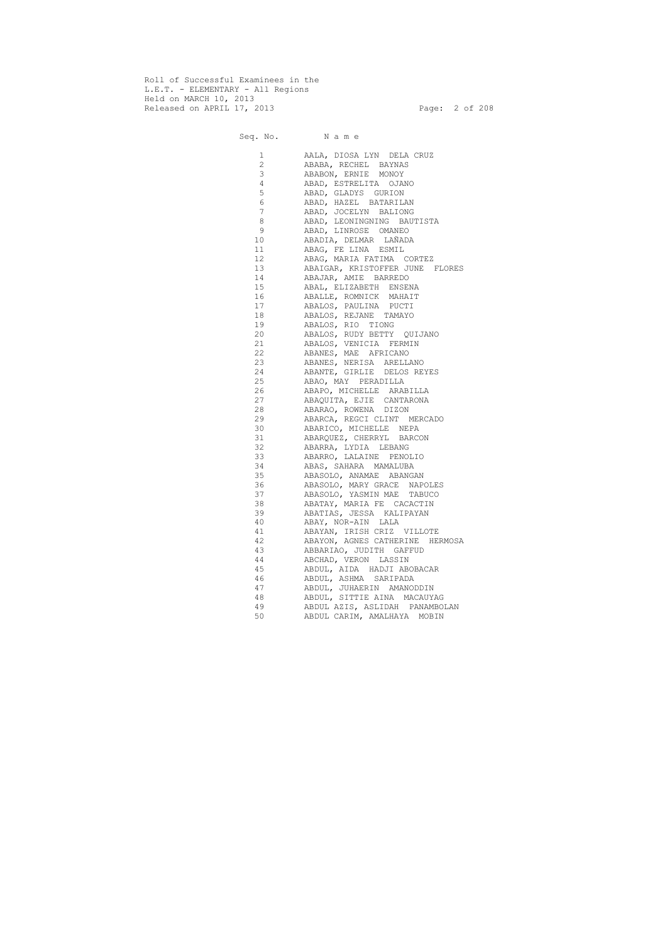Roll of Successful Examinees in the L.E.T. - ELEMENTARY - All Regions Held on MARCH 10, 2013 Released on APRIL 17, 2013 Page: 2 of 208

## Seq. No. Name

| 1              | AALA, DIOSA LYN DELA CRUZ       |
|----------------|---------------------------------|
| $\overline{2}$ | ABABA, RECHEL BAYNAS            |
| 3              | ABABON, ERNIE MONOY             |
| 4              | ABAD, ESTRELITA OJANO           |
| 5              | ABAD, GLADYS GURION             |
| 6              | ABAD, HAZEL BATARILAN           |
| $7\phantom{.}$ | ABAD, JOCELYN BALIONG           |
| 8              | ABAD, LEONINGNING BAUTISTA      |
| 9              | ABAD, LINROSE OMANEO            |
| 10             | ABADIA, DELMAR LAÑADA           |
| 11             | ABAG, FE LINA ESMIL             |
| 12             | ABAG, MARIA FATIMA CORTEZ       |
| 13             | ABAIGAR, KRISTOFFER JUNE FLORES |
| 14             | ABAJAR, AMIE BARREDO            |
| 15             | ABAL, ELIZABETH ENSENA          |
| 16             | ABALLE, ROMNICK MAHAIT          |
| 17             | ABALOS, PAULINA PUCTI           |
| 18             | ABALOS, REJANE TAMAYO           |
| 19             | ABALOS, RIO TIONG               |
|                | 20 ABALOS, RUDY BETTY QUIJANO   |
|                |                                 |
|                | 21 ABALOS, VENICIA FERMIN       |
| 22             | ABANES, MAE AFRICANO            |
|                | 23 ABANES, NERISA ARELLANO      |
|                | 24 ABANTE, GIRLIE DELOS REYES   |
|                | 25 ABAO, MAY PERADILLA          |
|                | 26 ABAPO, MICHELLE ARABILLA     |
| 27             | ABAQUITA, EJIE CANTARONA        |
| 28 and $\sim$  | ABARAO, ROWENA DIZON            |
| 29             | ABARCA, REGCI CLINT MERCADO     |
| 30             | ABARICO, MICHELLE NEPA          |
| 31             | ABARQUEZ, CHERRYL BARCON        |
| 32             | ABARRA, LYDIA LEBANG            |
|                | 33 ABARRO, LALAINE PENOLIO      |
|                | 34 ABAS, SAHARA MAMALUBA        |
| 35             | ABASOLO, ANAMAE ABANGAN         |
|                | 36 ABASOLO, MARY GRACE NAPOLES  |
| 37             | ABASOLO, YASMIN MAE TABUCO      |
| 38             | ABATAY, MARIA FE CACACTIN       |
| 39             | ABATIAS, JESSA KALIPAYAN        |
| 40             | ABAY, NOR-AIN LALA              |
| 41             | ABAYAN, IRISH CRIZ VILLOTE      |
| 42             | ABAYON, AGNES CATHERINE HERMOSA |
| 43             | ABBARIAO, JUDITH GAFFUD         |
| 44             | ABCHAD, VERON LASSIN            |
| 45             | ABDUL, AIDA HADJI ABOBACAR      |
| 46             | ABDUL, ASHMA SARIPADA           |
| 47             | ABDUL, JUHAERIN AMANODDIN       |
| 48             | ABDUL, SITTIE AINA MACAUYAG     |
| 49             |                                 |
|                | ABDUL AZIS, ASLIDAH PANAMBOLAN  |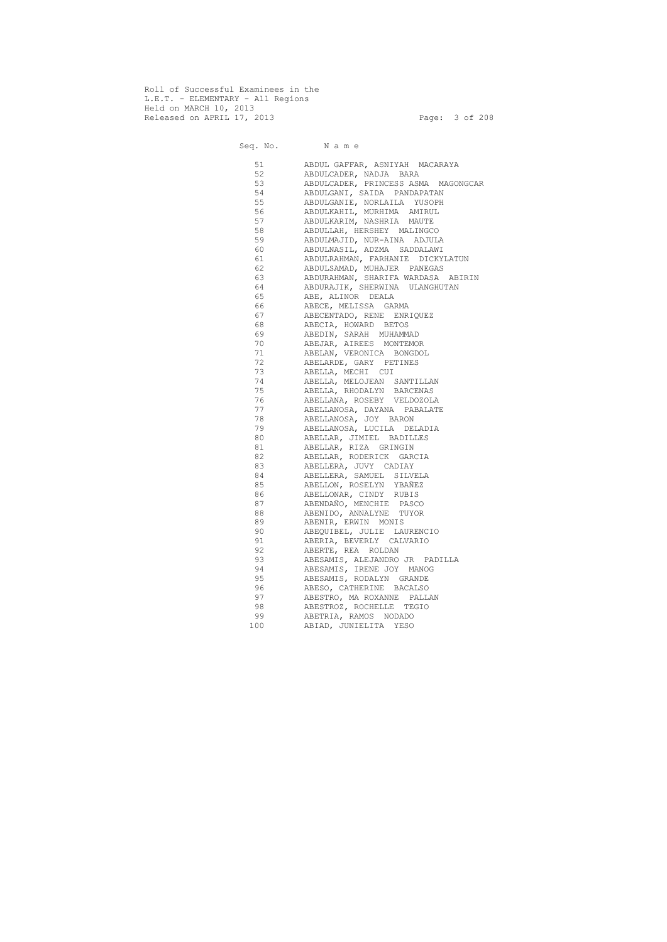Roll of Successful Examinees in the L.E.T. - ELEMENTARY - All Regions Held on MARCH 10, 2013 Released on APRIL 17, 2013 Page: 3 of 208

Seq. No. N a m e

51 ABDUL GAFFAR, ASNIYAH MACARAYA<br>52 ABDULCADER, NADJA BARA 52 ABDULCADER, NADJA BARA 53 ABDULCADER, PRINCESS ASMA MAGONGCAR 54 ABDULGANI, SAIDA PANDAPATAN 55 ABDULGANIE, NORLAILA YUSOPH<br>56 ABDULKAHIL, MURHIMA AMIRUL 56 ABDULKAHIL, MURHIMA AMIRUL 57 ABDULKARIM, NASHRIA MAUTE 58 ABDULLAH, HERSHEY MALINGCO 59 ABDULMAJID, NUR-AINA ADJULA 60 ABDULNASIL, ADZMA SADDALAWI 61 ABDULRAHMAN, FARHANIE DICKYLATUN 62 ABDULSAMAD, MUHAJER PANEGAS 63 ABDURAHMAN, SHARIFA WARDASA ABIRIN 64 ABDURAJIK, SHERWINA ULANGHUTAN 65 ABE, ALINOR DEALA 66 ABECE, MELISSA GARMA 67 ABECENTADO, RENE ENRIQUEZ 68 ABECIA, HOWARD BETOS 69 ABEDIN, SARAH MUHAMMAD 70 ABEJAR, AIREES MONTEMOR 71 ABELAN, VERONICA BONGDOL 72 ABELARDE, GARY PETINES 73 ABELLA, MECHI CUI 74 ABELLA, MELOJEAN SANTILLAN 75 ABELLA, RHODALYN BARCENAS 76 ABELLANA, ROSEBY VELDOZOLA 77 ABELLANOSA, DAYANA PABALATE 78 ABELLANOSA, JOY BARON 79 ABELLANOSA, LUCILA DELADIA 80 ABELLAR, JIMIEL BADILLES 81 ABELLAR, RIZA GRINGIN 82 ABELLAR, RODERICK GARCIA 83 ABELLERA, JUVY CADIAY 84 ABELLERA, SAMUEL SILVELA 85 ABELLON, ROSELYN YBAÑEZ 86 ABELLONAR, CINDY RUBIS 87 ABENDAÑO, MENCHIE PASCO 88 ABENIDO, ANNALYNE TUYOR 89 ABENIR, ERWIN MONIS 90 ABEQUIBEL, JULIE LAURENCIO 91 ABERIA, BEVERLY CALVARIO 92 ABERTE, REA ROLDAN 93 ABESAMIS, ALEJANDRO JR PADILLA 94 ABESAMIS, IRENE JOY MANOG 95 ABESAMIS, RODALYN GRANDE 96 ABESO, CATHERINE BACALSO 97 ABESTRO, MA ROXANNE PALLAN 98 ABESTROZ, ROCHELLE TEGIO 99 ABETRIA, RAMOS NODADO 100 ABIAD, JUNIELITA YESO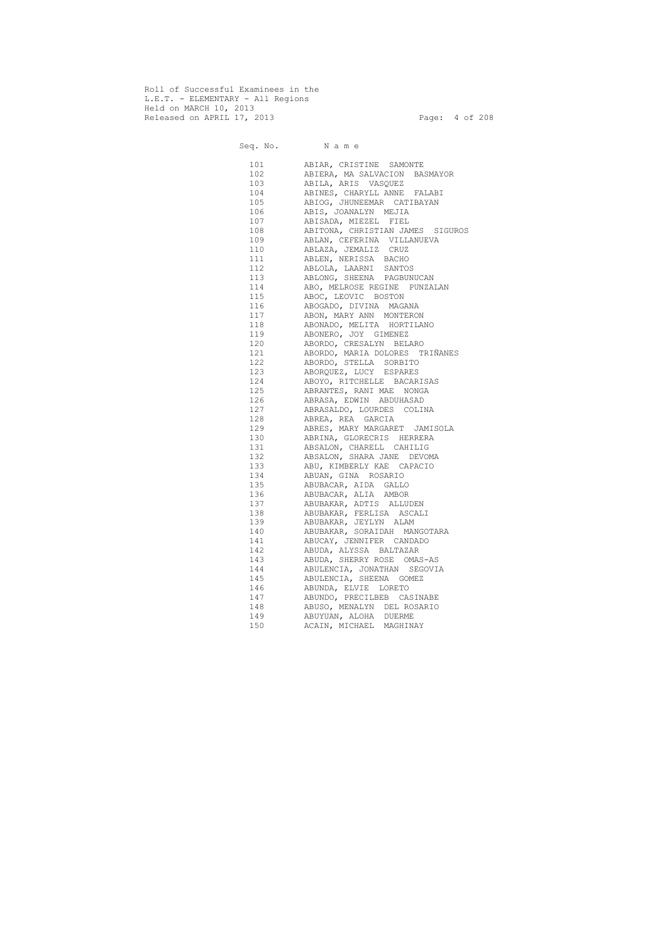Roll of Successful Examinees in the L.E.T. - ELEMENTARY - All Regions Held on MARCH 10, 2013 Released on APRIL 17, 2013 Page: 4 of 208

 Seq. No. N a m e 101 ABIAR, CRISTINE SAMONTE 102 ABIERA, MA SALVACION BASMAYOR 103 ABILA, ARIS VASQUEZ 104 ABINES, CHARYLL ANNE FALABI 105 ABIOG, JHUNEEMAR CATIBAYAN 106 ABIS, JOANALYN MEJIA 107 ABISADA, MIEZEL FIEL 108 ABITONA, CHRISTIAN JAMES SIGUROS 109 ABLAN, CEFERINA VILLANUEVA 110 ABLAZA, JEMALIZ CRUZ 111 ABLEN, NERISSA BACHO 112 ABLOLA, LAARNI SANTOS 113 ABLONG, SHEENA PAGBUNUCAN 114 ABO, MELROSE REGINE PUNZALAN 115 ABOC, LEOVIC BOSTON 116 ABOGADO, DIVINA MAGANA 117 ABON, MARY ANN MONTERON 118 ABONADO, MELITA HORTILANO 119 ABONERO, JOY GIMENEZ 120 ABORDO, CRESALYN BELARO 121 ABORDO, MARIA DOLORES TRIÑANES 122 ABORDO, STELLA SORBITO 123 ABORQUEZ, LUCY ESPARES 124 ABOYO, RITCHELLE BACARISAS 125 ABRANTES, RANI MAE NONGA 126 ABRASA, EDWIN ABDUHASAD 127 ABRASALDO, LOURDES COLINA 128 ABREA, REA GARCIA 129 ABRES, MARY MARGARET JAMISOLA 130 ABRINA, GLORECRIS HERRERA 131 ABSALON, CHARELL CAHILIG 132 ABSALON, SHARA JANE DEVOMA 133 ABU, KIMBERLY KAE CAPACIO 134 ABUAN, GINA ROSARIO 135 ABUBACAR, AIDA GALLO 136 ABUBACAR, ALIA AMBOR 137 ABUBAKAR, ADTIS ALLUDEN 138 ABUBAKAR, FERLISA ASCALI 139 ABUBAKAR, JEYLYN ALAM 140 ABUBAKAR, SORAIDAH MANGOTARA 141 ABUCAY, JENNIFER CANDADO 142 ABUDA, ALYSSA BALTAZAR 143 ABUDA, SHERRY ROSE OMAS-AS 144 ABULENCIA, JONATHAN SEGOVIA 145 ABULENCIA, SHEENA GOMEZ 146 ABUNDA, ELVIE LORETO 147 ABUNDO, PRECILBEB CASINABE 148 ABUSO, MENALYN DEL ROSARIO 149 ABUYUAN, ALOHA DUERME 150 ACAIN, MICHAEL MAGHINAY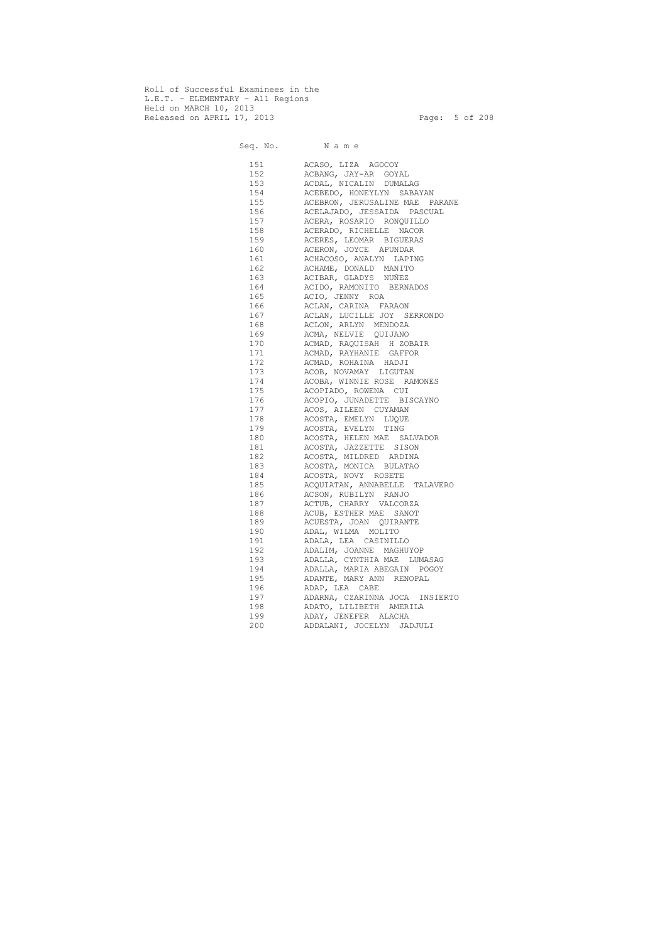Roll of Successful Examinees in the L.E.T. - ELEMENTARY - All Regions Held on MARCH 10, 2013 Released on APRIL 17, 2013 Page: 5 of 208

 Seq. No. N a m e 151 ACASO, LIZA AGOCOY 152 ACBANG, JAY-AR GOYAL 153 ACDAL, NICALIN DUMALAG 154 ACEBEDO, HONEYLYN SABAYAN 155 ACEBRON, JERUSALINE MAE PARANE 156 ACELAJADO, JESSAIDA PASCUAL 157 ACERA, ROSARIO RONQUILLO 158 ACERADO, RICHELLE NACOR 159 ACERES, LEOMAR BIGUERAS 160 ACERON, JOYCE APUNDAR 161 ACHACOSO, ANALYN LAPING 162 ACHAME, DONALD MANITO 163 ACIBAR, GLADYS NUÑEZ 164 ACIDO, RAMONITO BERNADOS 165 ACIO, JENNY ROA 166 ACLAN, CARINA FARAON 167 ACLAN, LUCILLE JOY SERRONDO 168 ACLON, ARLYN MENDOZA 169 ACMA, NELVIE QUIJANO 170 ACMAD, RAQUISAH H ZOBAIR 171 ACMAD, RAYHANIE GAFFOR 172 ACMAD, ROHAINA HADJI 173 ACOB, NOVAMAY LIGUTAN 174 ACOBA, WINNIE ROSE RAMONES 175 ACOPIADO, ROWENA CUI 176 ACOPIO, JUNADETTE BISCAYNO 177 ACOS, AILEEN CUYAMAN 178 ACOSTA, EMELYN LUQUE 179 ACOSTA, EVELYN TING 180 ACOSTA, HELEN MAE SALVADOR 181 ACOSTA, JAZZETTE SISON 182 ACOSTA, MILDRED ARDINA 183 ACOSTA, MONICA BULATAO 184 ACOSTA, NOVY ROSETE 185 ACQUIATAN, ANNABELLE TALAVERO 186 ACSON, RUBILYN RANJO 187 ACTUB, CHARRY VALCORZA 188 ACUB, ESTHER MAE SANOT 189 ACUESTA, JOAN QUIRANTE 190 ADAL, WILMA MOLITO 191 ADALA, LEA CASINILLO 192 ADALIM, JOANNE MAGHUYOP 193 ADALLA, CYNTHIA MAE LUMASAG 194 ADALLA, MARIA ABEGAIN POGOY 195 ADANTE, MARY ANN RENOPAL 196 ADAP, LEA CABE 197 ADARNA, CZARINNA JOCA INSIERTO 198 ADATO, LILIBETH AMERILA 199 ADAY, JENEFER ALACHA 200 ADDALANI, JOCELYN JADJULI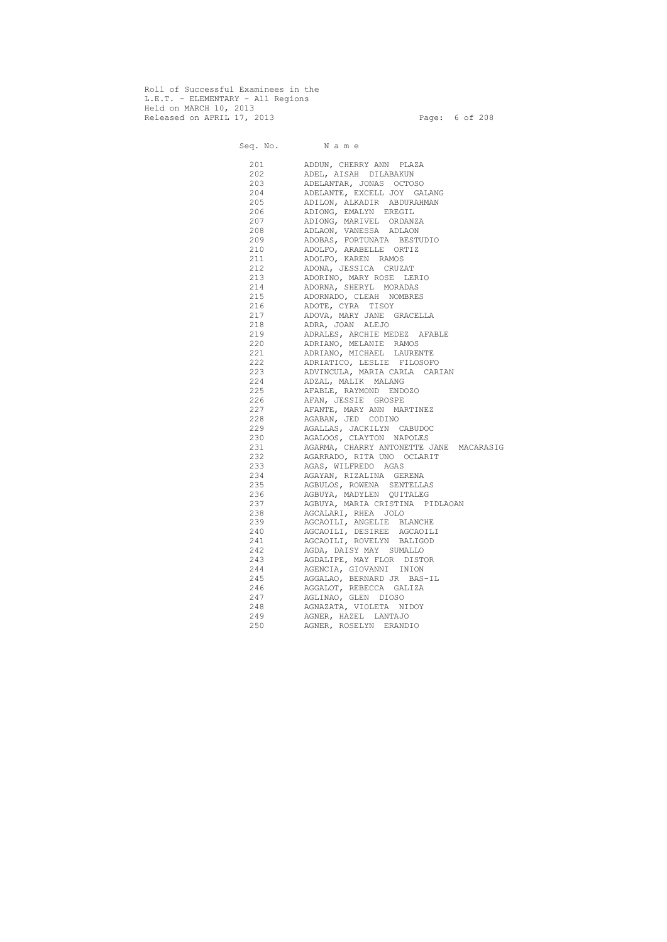Roll of Successful Examinees in the L.E.T. - ELEMENTARY - All Regions Held on MARCH 10, 2013 Released on APRIL 17, 2013 Page: 6 of 208

 Seq. No. N a m e 201 ADDUN, CHERRY ANN PLAZA 202 ADEL, AISAH DILABAKUN 203 ADELANTAR, JONAS OCTOSO 204 ADELANTE, EXCELL JOY GALANG 205 ADILON, ALKADIR ABDURAHMAN 206 ADIONG, EMALYN EREGIL 207 ADIONG, MARIVEL ORDANZA 208 ADLAON, VANESSA ADLAON 209 ADOBAS, FORTUNATA BESTUDIO 210 ADOLFO, ARABELLE ORTIZ 211 ADOLFO, KAREN RAMOS 212 ADONA, JESSICA CRUZAT 213 ADORINO, MARY ROSE LERIO 214 ADORNA, SHERYL MORADAS 215 ADORNADO, CLEAH NOMBRES 216 ADOTE, CYRA TISOY 217 ADOVA, MARY JANE GRACELLA 218 ADRA, JOAN ALEJO 219 ADRALES, ARCHIE MEDEZ AFABLE 220 ADRIANO, MELANIE RAMOS 221 ADRIANO, MICHAEL LAURENTE 222 ADRIATICO, LESLIE FILOSOFO 223 ADVINCULA, MARIA CARLA CARIAN 224 ADZAL, MALIK MALANG 225 AFABLE, RAYMOND ENDOZO 226 AFAN, JESSIE GROSPE 227 AFANTE, MARY ANN MARTINEZ 228 AGABAN, JED CODINO 229 AGALLAS, JACKILYN CABUDOC 230 AGALOOS, CLAYTON NAPOLES 231 AGARMA, CHARRY ANTONETTE JANE MACARASIG 232 AGARRADO, RITA UNO OCLARIT 233 AGAS, WILFREDO AGAS 234 AGAYAN, RIZALINA GERENA 235 AGBULOS, ROWENA SENTELLAS 236 AGBUYA, MADYLEN QUITALEG 237 AGBUYA, MARIA CRISTINA PIDLAOAN 238 AGCALARI, RHEA JOLO 239 AGCAOILI, ANGELIE BLANCHE 240 AGCAOILI, DESIREE AGCAOILI 241 AGCAOILI, ROVELYN BALIGOD 242 AGDA, DAISY MAY SUMALLO 243 AGDALIPE, MAY FLOR DISTOR 244 AGENCIA, GIOVANNI INION 245 AGGALAO, BERNARD JR BAS-IL 246 AGGALOT, REBECCA GALIZA 247 AGLINAO, GLEN DIOSO 248 AGNAZATA, VIOLETA NIDOY 249 AGNER, HAZEL LANTAJO 250 AGNER, ROSELYN ERANDIO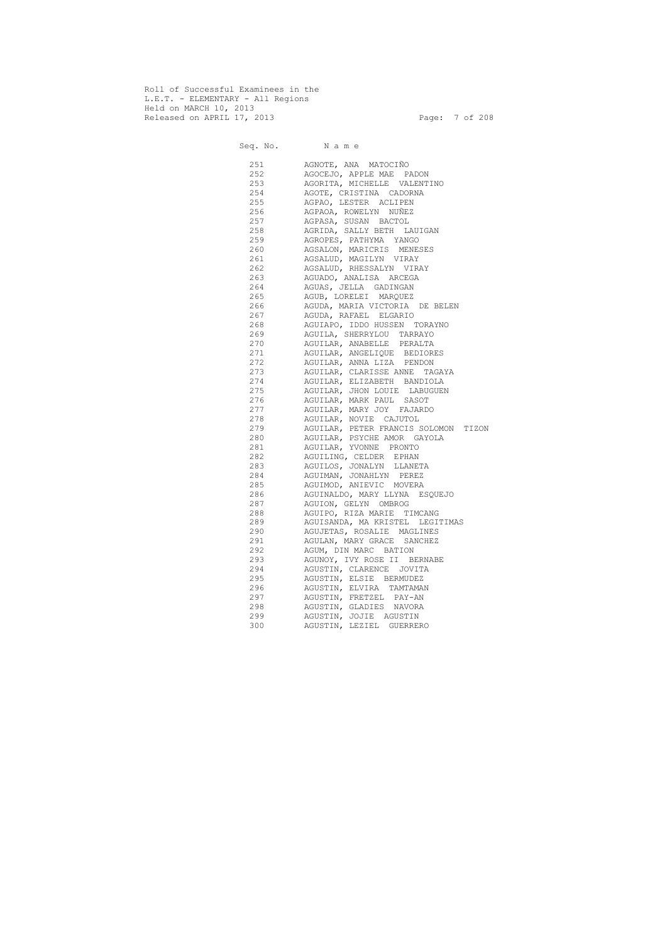Roll of Successful Examinees in the L.E.T. - ELEMENTARY - All Regions Held on MARCH 10, 2013 Released on APRIL 17, 2013 Page: 7 of 208

 Seq. No. N a m e 251 AGNOTE, ANA MATOCIÑO 252 AGOCEJO, APPLE MAE PADON 253 AGORITA, MICHELLE VALENTINO 254 AGOTE, CRISTINA CADORNA 255 AGPAO, LESTER ACLIPEN 256 AGPAOA, ROWELYN NUÑEZ 257 AGPASA, SUSAN BACTOL 258 AGRIDA, SALLY BETH LAUIGAN 259 AGROPES, PATHYMA YANGO 260 AGSALON, MARICRIS MENESES 261 AGSALUD, MAGILYN VIRAY 262 AGSALUD, RHESSALYN VIRAY 263 AGUADO, ANALISA ARCEGA 264 AGUAS, JELLA GADINGAN 265 AGUB, LORELEI MARQUEZ 266 AGUDA, MARIA VICTORIA DE BELEN 267 AGUDA, RAFAEL ELGARIO 268 AGUIAPO, IDDO HUSSEN TORAYNO 269 AGUILA, SHERRYLOU TARRAYO 270 AGUILAR, ANABELLE PERALTA 271 AGUILAR, ANGELIQUE BEDIORES 272 AGUILAR, ANNA LIZA PENDON 273 AGUILAR, CLARISSE ANNE TAGAYA 274 AGUILAR, ELIZABETH BANDIOLA 275 AGUILAR, JHON LOUIE LABUGUEN 276 AGUILAR, MARK PAUL SASOT 277 AGUILAR, MARY JOY FAJARDO 278 AGUILAR, NOVIE CAJUTOL 279 AGUILAR, PETER FRANCIS SOLOMON TIZON 280 AGUILAR, PSYCHE AMOR GAYOLA 281 AGUILAR, YVONNE PRONTO 282 AGUILING, CELDER EPHAN 283 AGUILOS, JONALYN LLANETA 284 AGUIMAN, JONAHLYN PEREZ 285 AGUIMOD, ANIEVIC MOVERA 286 AGUINALDO, MARY LLYNA ESQUEJO 287 AGUION, GELYN OMBROG 288 AGUIPO, RIZA MARIE TIMCANG 289 AGUISANDA, MA KRISTEL LEGITIMAS 290 AGUJETAS, ROSALIE MAGLINES 291 AGULAN, MARY GRACE SANCHEZ 292 AGUM, DIN MARC BATION 293 AGUNOY, IVY ROSE II BERNABE 294 AGUSTIN, CLARENCE JOVITA 295 AGUSTIN, ELSIE BERMUDEZ 296 AGUSTIN, ELVIRA TAMTAMAN 297 AGUSTIN, FRETZEL PAY-AN 298 AGUSTIN, GLADIES NAVORA 299 AGUSTIN, JOJIE AGUSTIN 300 AGUSTIN, LEZIEL GUERRERO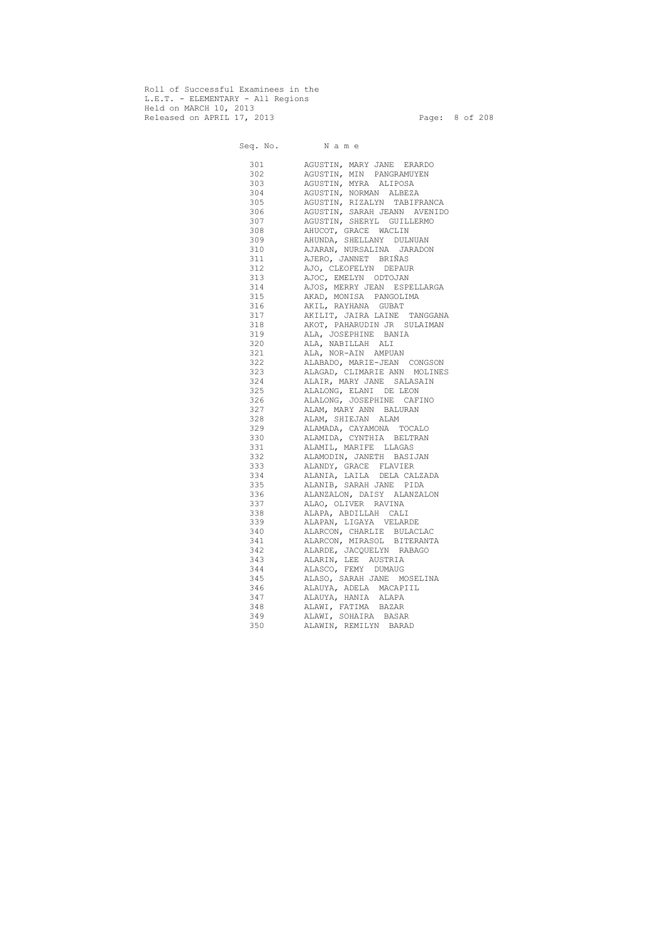Roll of Successful Examinees in the L.E.T. - ELEMENTARY - All Regions Held on MARCH 10, 2013 Released on APRIL 17, 2013 Page: 8 of 208

 Seq. No. N a m e 301 AGUSTIN, MARY JANE ERARDO 302 AGUSTIN, MIN PANGRAMUYEN 303 AGUSTIN, MYRA ALIPOSA 304 AGUSTIN, NORMAN ALBEZA 305 AGUSTIN, RIZALYN TABIFRANCA 306 AGUSTIN, SARAH JEANN AVENIDO 307 AGUSTIN, SHERYL GUILLERMO 308 AHUCOT, GRACE WACLIN 309 AHUNDA, SHELLANY DULNUAN 310 AJARAN, NURSALINA JARADON 311 AJERO, JANNET BRIÑAS 312 AJO, CLEOFELYN DEPAUR 313 AJOC, EMELYN ODTOJAN 314 AJOS, MERRY JEAN ESPELLARGA 315 AKAD, MONISA PANGOLIMA 316 AKIL, RAYHANA GUBAT 317 AKILIT, JAIRA LAINE TANGGANA 318 AKOT, PAHARUDIN JR SULAIMAN 319 ALA, JOSEPHINE BANIA 320 ALA, NABILLAH ALI 321 ALA, NOR-AIN AMPUAN 322 ALABADO, MARIE-JEAN CONGSON 323 ALAGAD, CLIMARIE ANN MOLINES 324 ALAIR, MARY JANE SALASAIN 325 ALALONG, ELANI DE LEON 326 ALALONG, JOSEPHINE CAFINO 327 ALAM, MARY ANN BALURAN 328 ALAM, SHIEJAN ALAM 329 ALAMADA, CAYAMONA TOCALO 330 ALAMIDA, CYNTHIA BELTRAN 331 ALAMIL, MARIFE LLAGAS 332 ALAMODIN, JANETH BASIJAN 333 ALANDY, GRACE FLAVIER 334 ALANIA, LAILA DELA CALZADA 335 ALANIB, SARAH JANE PIDA 336 ALANZALON, DAISY ALANZALON 337 ALAO, OLIVER RAVINA 338 ALAPA, ABDILLAH CALI 339 ALAPAN, LIGAYA VELARDE 340 ALARCON, CHARLIE BULACLAC 341 ALARCON, MIRASOL BITERANTA 342 ALARDE, JACQUELYN RABAGO 343 ALARIN, LEE AUSTRIA 344 ALASCO, FEMY DUMAUG 345 ALASO, SARAH JANE MOSELINA 346 ALAUYA, ADELA MACAPIIL 347 ALAUYA, HANIA ALAPA 348 ALAWI, FATIMA BAZAR 349 ALAWI, SOHAIRA BASAR 350 ALAWIN, REMILYN BARAD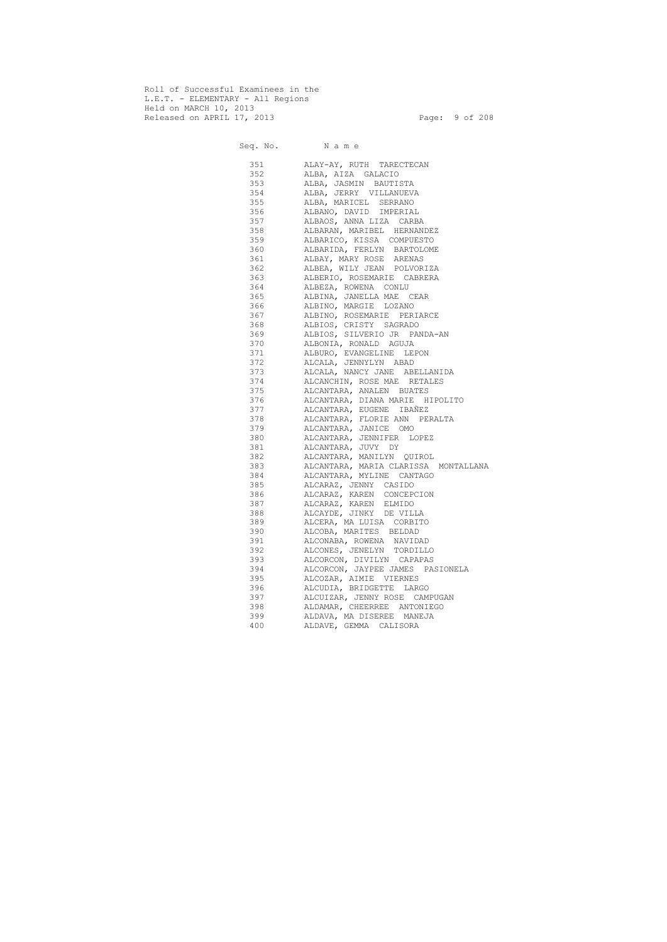Roll of Successful Examinees in the L.E.T. - ELEMENTARY - All Regions Held on MARCH 10, 2013 Released on APRIL 17, 2013 Page: 9 of 208

 Seq. No. N a m e 351 ALAY-AY, RUTH TARECTECAN 352 ALBA, AIZA GALACIO 353 ALBA, JASMIN BAUTISTA 354 ALBA, JERRY VILLANUEVA 355 ALBA, MARICEL SERRANO 356 ALBANO, DAVID IMPERIAL 357 ALBAOS, ANNA LIZA CARBA 358 ALBARAN, MARIBEL HERNANDEZ 359 ALBARICO, KISSA COMPUESTO 360 ALBARIDA, FERLYN BARTOLOME 361 ALBAY, MARY ROSE ARENAS 362 ALBEA, WILY JEAN POLVORIZA 363 ALBERIO, ROSEMARIE CABRERA 364 ALBEZA, ROWENA CONLU 365 ALBINA, JANELLA MAE CEAR 366 ALBINO, MARGIE LOZANO 367 ALBINO, ROSEMARIE PERIARCE 368 ALBIOS, CRISTY SAGRADO 369 ALBIOS, SILVERIO JR PANDA-AN 370 ALBONIA, RONALD AGUJA 371 ALBURO, EVANGELINE LEPON 372 ALCALA, JENNYLYN ABAD 373 ALCALA, NANCY JANE ABELLANIDA 374 ALCANCHIN, ROSE MAE RETALES 375 ALCANTARA, ANALEN BUATES 376 ALCANTARA, DIANA MARIE HIPOLITO 377 ALCANTARA, EUGENE IBAÑEZ 378 ALCANTARA, FLORIE ANN PERALTA 379 ALCANTARA, JANICE OMO 380 ALCANTARA, JENNIFER LOPEZ 381 ALCANTARA, JUVY DY 382 ALCANTARA, MANILYN QUIROL 383 ALCANTARA, MARIA CLARISSA MONTALLANA 384 ALCANTARA, MYLINE CANTAGO 385 ALCARAZ, JENNY CASIDO 386 ALCARAZ, KAREN CONCEPCION 387 ALCARAZ, KAREN ELMIDO 388 ALCAYDE, JINKY DE VILLA 389 ALCERA, MA LUISA CORBITO 390 ALCOBA, MARITES BELDAD 391 ALCONABA, ROWENA NAVIDAD 392 ALCONES, JENELYN TORDILLO 393 ALCORCON, DIVILYN CAPAPAS 394 ALCORCON, JAYPEE JAMES PASIONELA 395 ALCOZAR, AIMIE VIERNES 396 ALCUDIA, BRIDGETTE LARGO 397 ALCUIZAR, JENNY ROSE CAMPUGAN 398 ALDAMAR, CHEERREE ANTONIEGO 399 ALDAVA, MA DISEREE MANEJA 400 ALDAVE, GEMMA CALISORA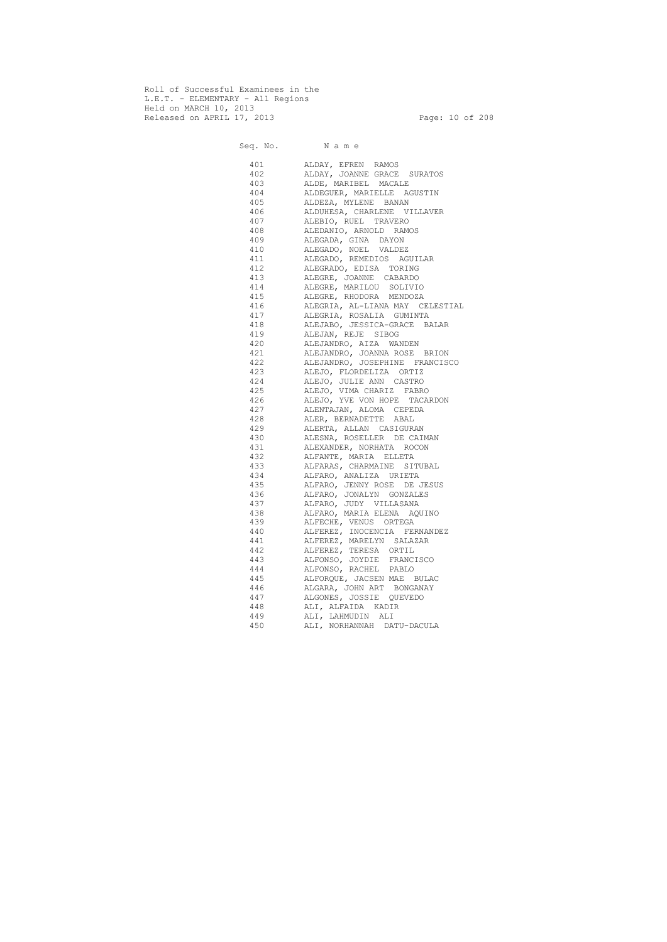Roll of Successful Examinees in the L.E.T. - ELEMENTARY - All Regions Held on MARCH 10, 2013 Released on APRIL 17, 2013 Page: 10 of 208

 Seq. No. N a m e 401 ALDAY, EFREN RAMOS 402 ALDAY, JOANNE GRACE SURATOS 403 ALDE, MARIBEL MACALE 404 ALDEGUER, MARIELLE AGUSTIN 405 ALDEZA, MYLENE BANAN 406 ALDUHESA, CHARLENE VILLAVER 407 ALEBIO, RUEL TRAVERO 408 ALEDANIO, ARNOLD RAMOS 409 ALEGADA, GINA DAYON 410 ALEGADO, NOEL VALDEZ 411 ALEGADO, REMEDIOS AGUILAR 412 ALEGRADO, EDISA TORING 413 ALEGRE, JOANNE CABARDO 414 ALEGRE, MARILOU SOLIVIO 415 ALEGRE, RHODORA MENDOZA 416 ALEGRIA, AL-LIANA MAY CELESTIAL 417 ALEGRIA, ROSALIA GUMINTA 418 ALEJABO, JESSICA-GRACE BALAR 419 ALEJAN, REJE SIBOG 420 ALEJANDRO, AIZA WANDEN 421 ALEJANDRO, JOANNA ROSE BRION 422 ALEJANDRO, JOSEPHINE FRANCISCO 423 ALEJO, FLORDELIZA ORTIZ 424 ALEJO, JULIE ANN CASTRO 425 ALEJO, VIMA CHARIZ FABRO 426 ALEJO, YVE VON HOPE TACARDON 427 ALENTAJAN, ALOMA CEPEDA 428 ALER, BERNADETTE ABAL 429 ALERTA, ALLAN CASIGURAN 430 ALESNA, ROSELLER DE CAIMAN 431 ALEXANDER, NORHATA ROCON 432 ALFANTE, MARIA ELLETA 433 ALFARAS, CHARMAINE SITUBAL 434 ALFARO, ANALIZA URIETA 435 ALFARO, JENNY ROSE DE JESUS 436 ALFARO, JONALYN GONZALES 437 ALFARO, JUDY VILLASANA 438 ALFARO, MARIA ELENA AQUINO 439 ALFECHE, VENUS ORTEGA 440 ALFEREZ, INOCENCIA FERNANDEZ 441 ALFEREZ, MARELYN SALAZAR 442 ALFEREZ, TERESA ORTIL 443 ALFONSO, JOYDIE FRANCISCO 444 ALFONSO, RACHEL PABLO 445 ALFORQUE, JACSEN MAE BULAC 446 ALGARA, JOHN ART BONGANAY 447 ALGONES, JOSSIE QUEVEDO 448 ALI, ALFAIDA KADIR 449 ALI, LAHMUDIN ALI 450 ALI, NORHANNAH DATU-DACULA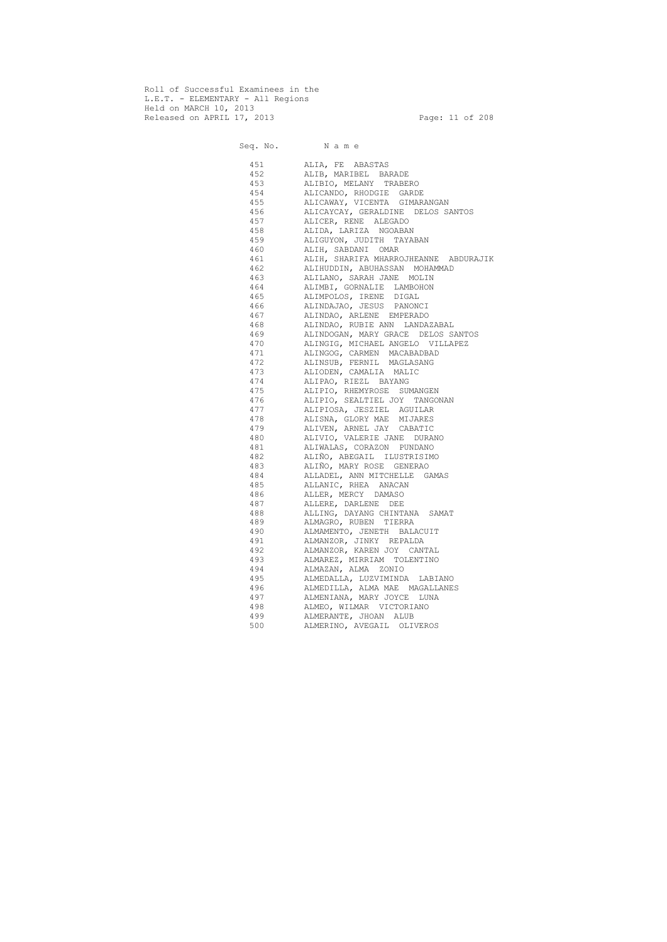Roll of Successful Examinees in the L.E.T. - ELEMENTARY - All Regions Held on MARCH 10, 2013 Released on APRIL 17, 2013 Page: 11 of 208

 Seq. No. N a m e 451 ALIA, FE ABASTAS 452 ALIB, MARIBEL BARADE 453 ALIBIO, MELANY TRABERO 454 ALICANDO, RHODGIE GARDE 455 ALICAWAY, VICENTA GIMARANGAN 456 ALICAYCAY, GERALDINE DELOS SANTOS 457 ALICER, RENE ALEGADO 458 ALIDA, LARIZA NGOABAN 459 ALIGUYON, JUDITH TAYABAN 460 ALIH, SABDANI OMAR 461 ALIH, SHARIFA MHARROJHEANNE ABDURAJIK 462 ALIHUDDIN, ABUHASSAN MOHAMMAD 463 ALILANO, SARAH JANE MOLIN 464 ALIMBI, GORNALIE LAMBOHON 465 ALIMPOLOS, IRENE DIGAL 466 ALINDAJAO, JESUS PANONCI 467 ALINDAO, ARLENE EMPERADO 468 ALINDAO, RUBIE ANN LANDAZABAL 469 ALINDOGAN, MARY GRACE DELOS SANTOS 470 ALINGIG, MICHAEL ANGELO VILLAPEZ 471 ALINGOG, CARMEN MACABADBAD 472 ALINSUB, FERNIL MAGLASANG 473 ALIODEN, CAMALIA MALIC 474 ALIPAO, RIEZL BAYANG 475 ALIPIO, RHEMYROSE SUMANGEN 476 ALIPIO, SEALTIEL JOY TANGONAN 477 ALIPIOSA, JESZIEL AGUILAR 478 ALISNA, GLORY MAE MIJARES 479 ALIVEN, ARNEL JAY CABATIC 480 ALIVIO, VALERIE JANE DURANO 481 ALIWALAS, CORAZON PUNDANO 482 ALIÑO, ABEGAIL ILUSTRISIMO 483 ALIÑO, MARY ROSE GENERAO 484 ALLADEL, ANN MITCHELLE GAMAS 485 ALLANIC, RHEA ANACAN 486 ALLER, MERCY DAMASO 487 ALLERE, DARLENE DEE 488 ALLING, DAYANG CHINTANA SAMAT 489 ALMAGRO, RUBEN TIERRA 490 ALMAMENTO, JENETH BALACUIT 491 ALMANZOR, JINKY REPALDA 492 ALMANZOR, KAREN JOY CANTAL 493 ALMAREZ, MIRRIAM TOLENTINO 494 ALMAZAN, ALMA ZONIO 495 ALMEDALLA, LUZVIMINDA LABIANO 496 ALMEDILLA, ALMA MAE MAGALLANES 497 ALMENIANA, MARY JOYCE LUNA 498 ALMEO, WILMAR VICTORIANO 499 ALMERANTE, JHOAN ALUB 500 ALMERINO, AVEGAIL OLIVEROS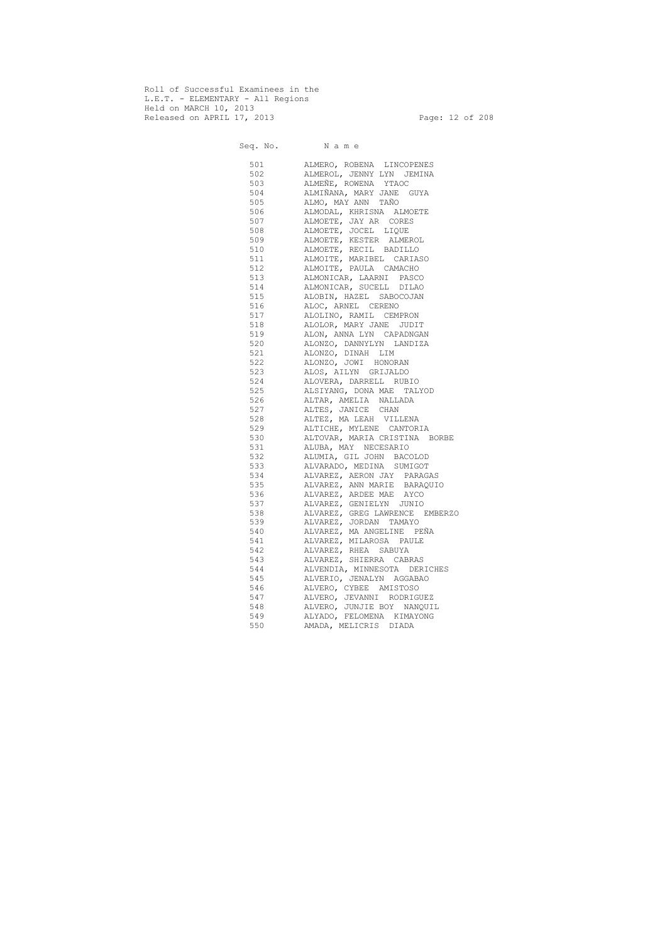Roll of Successful Examinees in the L.E.T. - ELEMENTARY - All Regions Held on MARCH 10, 2013 Released on APRIL 17, 2013 Page: 12 of 208

 Seq. No. N a m e 501 ALMERO, ROBENA LINCOPENES 502 ALMEROL, JENNY LYN JEMINA 503 ALMEÑE, ROWENA YTAOC 504 ALMIÑANA, MARY JANE GUYA 505 ALMO, MAY ANN TAÑO 506 ALMODAL, KHRISNA ALMOETE 507 ALMOETE, JAY AR CORES 508 ALMOETE, JOCEL LIQUE 509 ALMOETE, KESTER ALMEROL 510 ALMOETE, RECIL BADILLO 511 ALMOITE, MARIBEL CARIASO 512 ALMOITE, PAULA CAMACHO 513 ALMONICAR, LAARNI PASCO 514 ALMONICAR, SUCELL DILAO 515 ALOBIN, HAZEL SABOCOJAN 516 ALOC, ARNEL CERENO 517 ALOLINO, RAMIL CEMPRON 518 ALOLOR, MARY JANE JUDIT 519 ALON, ANNA LYN CAPADNGAN 520 ALONZO, DANNYLYN LANDIZA 521 ALONZO, DINAH LIM 522 ALONZO, JOWI HONORAN 523 ALOS, AILYN GRIJALDO 524 ALOVERA, DARRELL RUBIO 525 ALSIYANG, DONA MAE TALYOD 526 ALTAR, AMELIA NALLADA 527 ALTES, JANICE CHAN 528 ALTEZ, MA LEAH VILLENA 529 ALTICHE, MYLENE CANTORIA 530 ALTOVAR, MARIA CRISTINA BORBE 531 ALUBA, MAY NECESARIO 532 ALUMIA, GIL JOHN BACOLOD 533 ALVARADO, MEDINA SUMIGOT 534 ALVAREZ, AERON JAY PARAGAS 535 ALVAREZ, ANN MARIE BARAQUIO 536 ALVAREZ, ARDEE MAE AYCO 537 ALVAREZ, GENIELYN JUNIO 538 ALVAREZ, GREG LAWRENCE EMBERZO 539 ALVAREZ, JORDAN TAMAYO 540 ALVAREZ, MA ANGELINE PEÑA 541 ALVAREZ, MILAROSA PAULE 542 ALVAREZ, RHEA SABUYA 543 ALVAREZ, SHIERRA CABRAS 544 ALVENDIA, MINNESOTA DERICHES 545 ALVERIO, JENALYN AGGABAO 546 ALVERO, CYBEE AMISTOSO 547 ALVERO, JEVANNI RODRIGUEZ 548 ALVERO, JUNJIE BOY NANQUIL 549 ALYADO, FELOMENA KIMAYONG 550 AMADA, MELICRIS DIADA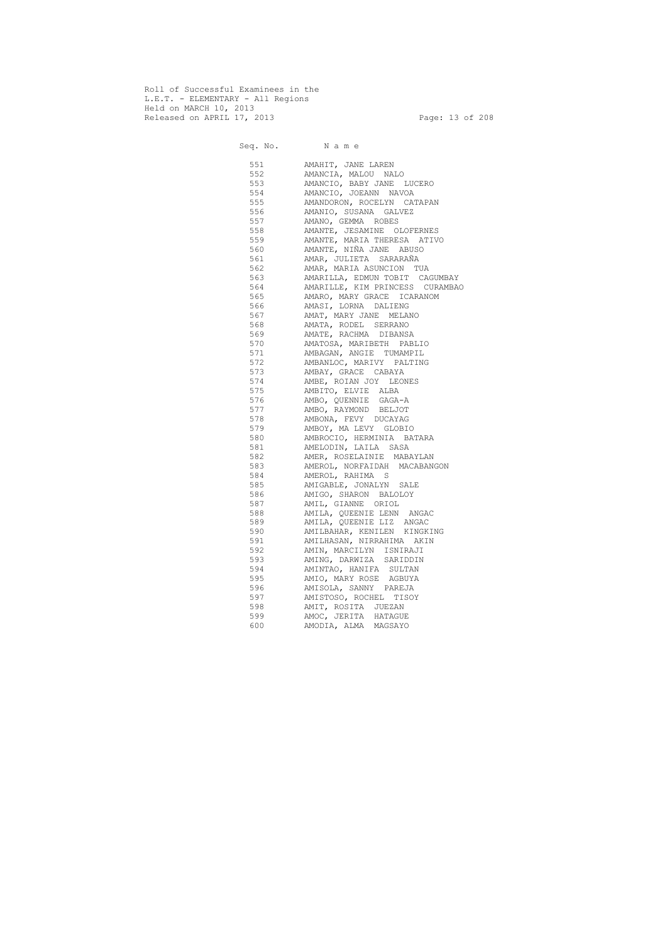Roll of Successful Examinees in the L.E.T. - ELEMENTARY - All Regions Held on MARCH 10, 2013 Released on APRIL 17, 2013 Page: 13 of 208

 Seq. No. N a m e 551 AMAHIT, JANE LAREN 552 AMANCIA, MALOU NALO 553 AMANCIO, BABY JANE LUCERO 554 AMANCIO, JOEANN NAVOA 555 AMANDORON, ROCELYN CATAPAN 556 AMANIO, SUSANA GALVEZ 557 AMANO, GEMMA ROBES 558 AMANTE, JESAMINE OLOFERNES 559 AMANTE, MARIA THERESA ATIVO 560 AMANTE, NIÑA JANE ABUSO 561 AMAR, JULIETA SARARAÑA 562 AMAR, MARIA ASUNCION TUA 563 AMARILLA, EDMUN TOBIT CAGUMBAY 564 AMARILLE, KIM PRINCESS CURAMBAO 565 AMARO, MARY GRACE ICARANOM 566 AMASI, LORNA DALIENG 567 AMAT, MARY JANE MELANO 568 AMATA, RODEL SERRANO 569 AMATE, RACHMA DIBANSA 570 AMATOSA, MARIBETH PABLIO 571 AMBAGAN, ANGIE TUMAMPIL 572 AMBANLOC, MARIVY PALTING 573 AMBAY, GRACE CABAYA 574 AMBE, ROIAN JOY LEONES 575 AMBITO, ELVIE ALBA 576 AMBO, QUENNIE GAGA-A 577 AMBO, RAYMOND BELJOT 578 AMBONA, FEVY DUCAYAG 579 AMBOY, MA LEVY GLOBIO 580 AMBROCIO, HERMINIA BATARA 581 AMELODIN, LAILA SASA 582 AMER, ROSELAINIE MABAYLAN 583 AMEROL, NORFAIDAH MACABANGON 584 AMEROL, RAHIMA S 585 AMIGABLE, JONALYN SALE 586 AMIGO, SHARON BALOLOY 587 AMIL, GIANNE ORIOL 588 AMILA, QUEENIE LENN ANGAC 589 AMILA, QUEENIE LIZ ANGAC 590 AMILBAHAR, KENILEN KINGKING 591 AMILHASAN, NIRRAHIMA AKIN 592 AMIN, MARCILYN ISNIRAJI 593 AMING, DARWIZA SARIDDIN 594 AMINTAO, HANIFA SULTAN 595 AMIO, MARY ROSE AGBUYA 596 AMISOLA, SANNY PAREJA 597 AMISTOSO, ROCHEL TISOY 598 AMIT, ROSITA JUEZAN 599 AMOC, JERITA HATAGUE 600 AMODIA, ALMA MAGSAYO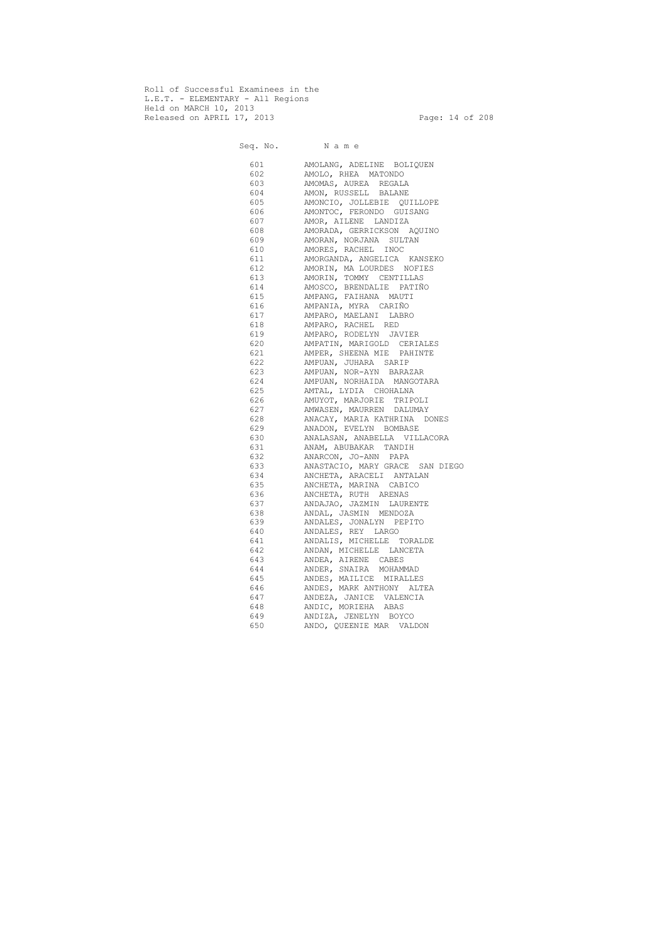Roll of Successful Examinees in the L.E.T. - ELEMENTARY - All Regions Held on MARCH 10, 2013 Released on APRIL 17, 2013 Page: 14 of 208

 Seq. No. N a m e 601 AMOLANG, ADELINE BOLIQUEN 602 AMOLO, RHEA MATONDO 603 AMOMAS, AUREA REGALA 604 AMON, RUSSELL BALANE 605 AMONCIO, JOLLEBIE QUILLOPE 606 AMONTOC, FERONDO GUISANG 607 AMOR, AILENE LANDIZA 608 AMORADA, GERRICKSON AQUINO 609 AMORAN, NORJANA SULTAN 610 AMORES, RACHEL INOC 611 AMORGANDA, ANGELICA KANSEKO 612 AMORIN, MA LOURDES NOFIES 613 AMORIN, TOMMY CENTILLAS 614 AMOSCO, BRENDALIE PATIÑO 615 AMPANG, FAIHANA MAUTI 616 AMPANIA, MYRA CARIÑO 617 AMPARO, MAELANI LABRO 618 AMPARO, RACHEL RED 619 AMPARO, RODELYN JAVIER 620 AMPATIN, MARIGOLD CERIALES 621 AMPER, SHEENA MIE PAHINTE 622 AMPUAN, JUHARA SARIP 623 AMPUAN, NOR-AYN BARAZAR 624 AMPUAN, NORHAIDA MANGOTARA 625 AMTAL, LYDIA CHOHALNA 626 AMUYOT, MARJORIE TRIPOLI 627 AMWASEN, MAURREN DALUMAY 628 ANACAY, MARIA KATHRINA DONES 629 ANADON, EVELYN BOMBASE 630 ANALASAN, ANABELLA VILLACORA 631 ANAM, ABUBAKAR TANDIH 632 ANARCON, JO-ANN PAPA 633 ANASTACIO, MARY GRACE SAN DIEGO 634 ANCHETA, ARACELI ANTALAN 635 ANCHETA, MARINA CABICO 636 ANCHETA, RUTH ARENAS 637 ANDAJAO, JAZMIN LAURENTE 638 ANDAL, JASMIN MENDOZA 639 ANDALES, JONALYN PEPITO 640 ANDALES, REY LARGO 641 ANDALIS, MICHELLE TORALDE 642 ANDAN, MICHELLE LANCETA 643 ANDEA, AIRENE CABES 644 ANDER, SNAIRA MOHAMMAD 645 ANDES, MAILICE MIRALLES 646 ANDES, MARK ANTHONY ALTEA 647 ANDEZA, JANICE VALENCIA 648 ANDIC, MORIEHA ABAS 649 ANDIZA, JENELYN BOYCO 650 ANDO, QUEENIE MAR VALDON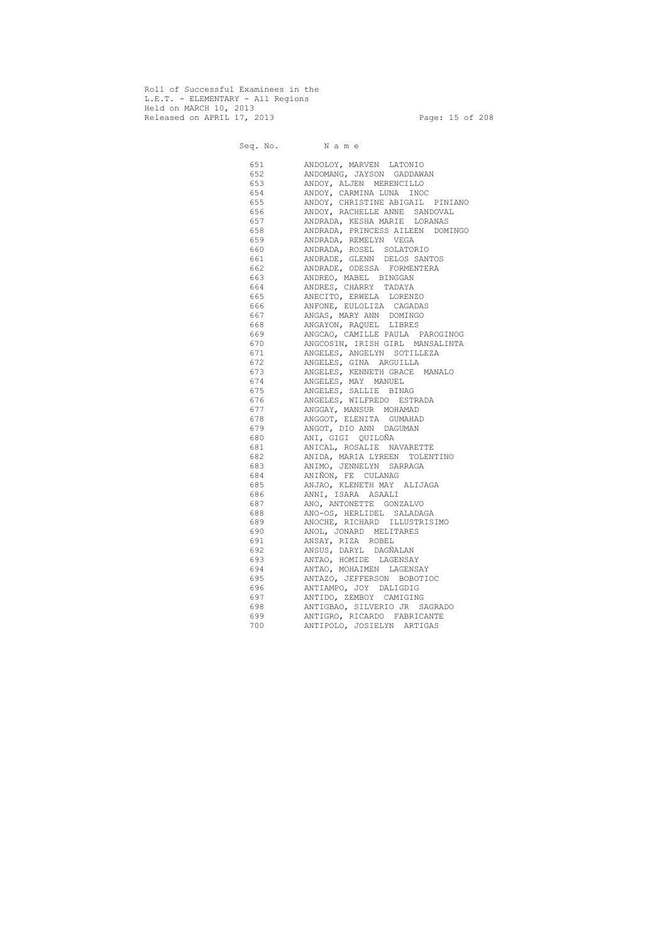Roll of Successful Examinees in the L.E.T. - ELEMENTARY - All Regions Held on MARCH 10, 2013 Released on APRIL 17, 2013 Page: 15 of 208

 Seq. No. N a m e 651 ANDOLOY, MARVEN LATONIO 652 ANDOMANG, JAYSON GADDAWAN 653 ANDOY, ALJEN MERENCILLO 654 ANDOY, CARMINA LUNA INOC 655 ANDOY, CHRISTINE ABIGAIL PINIANO 656 ANDOY, RACHELLE ANNE SANDOVAL 657 ANDRADA, KESHA MARIE LORANAS 658 ANDRADA, PRINCESS AILEEN DOMINGO 659 ANDRADA, REMELYN VEGA 660 ANDRADA, ROSEL SOLATORIO 661 ANDRADE, GLENN DELOS SANTOS 662 ANDRADE, ODESSA FORMENTERA 663 ANDREO, MABEL BINGGAN 664 ANDRES, CHARRY TADAYA 665 ANECITO, ERWELA LORENZO 666 ANFONE, EULOLIZA CAGADAS 667 ANGAS, MARY ANN DOMINGO 668 ANGAYON, RAQUEL LIBRES 669 ANGCAO, CAMILLE PAULA PAROGINOG 670 ANGCOSIN, IRISH GIRL MANSALINTA 671 ANGELES, ANGELYN SOTILLEZA 672 ANGELES, GINA ARGUILLA 673 ANGELES, KENNETH GRACE MANALO 674 ANGELES, MAY MANUEL 675 ANGELES, SALLIE BINAG 676 ANGELES, WILFREDO ESTRADA 677 ANGGAY, MANSUR MOHAMAD 678 ANGGOT, ELENITA GUMAHAD 679 ANGOT, DIO ANN DAGUMAN 680 ANI, GIGI QUILOÑA 681 ANICAL, ROSALIE NAVARETTE 682 ANIDA, MARIA LYREEN TOLENTINO 683 ANIMO, JENNELYN SARRAGA 684 ANIÑON, FE CULANAG 685 ANJAO, KLENETH MAY ALIJAGA 686 ANNI, ISARA ASAALI 687 ANO, ANTONETTE GONZALVO 688 ANO-OS, HERLIDEL SALADAGA 689 ANOCHE, RICHARD ILLUSTRISIMO 690 ANOL, JONARD MELITARES 691 ANSAY, RIZA ROBEL 692 ANSUS, DARYL DAGÑALAN 693 ANTAO, HOMIDE LAGENSAY 694 ANTAO, MOHAIMEN LAGENSAY 695 ANTAZO, JEFFERSON BOBOTIOC 696 ANTIAMPO, JOY DALIGDIG 697 ANTIDO, ZEMBOY CAMIGING 698 ANTIGBAO, SILVERIO JR SAGRADO 699 ANTIGRO, RICARDO FABRICANTE 700 ANTIPOLO, JOSIELYN ARTIGAS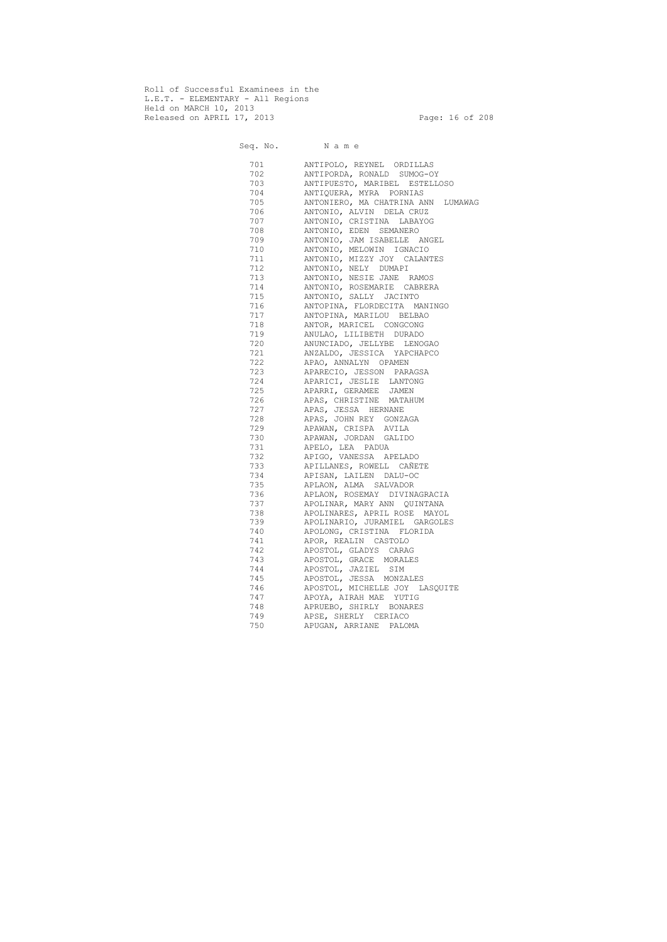Roll of Successful Examinees in the L.E.T. - ELEMENTARY - All Regions Held on MARCH 10, 2013 Released on APRIL 17, 2013 Page: 16 of 208

 Seq. No. N a m e 701 ANTIPOLO, REYNEL ORDILLAS 702 ANTIPORDA, RONALD SUMOG-OY 703 ANTIPUESTO, MARIBEL ESTELLOSO 704 ANTIQUERA, MYRA PORNIAS 705 ANTONIERO, MA CHATRINA ANN LUMAWAG 706 ANTONIO, ALVIN DELA CRUZ 707 ANTONIO, CRISTINA LABAYOG 708 ANTONIO, EDEN SEMANERO 709 ANTONIO, JAM ISABELLE ANGEL 710 ANTONIO, MELOWIN IGNACIO 711 ANTONIO, MIZZY JOY CALANTES 712 ANTONIO, NELY DUMAPI 713 ANTONIO, NESIE JANE RAMOS 714 ANTONIO, ROSEMARIE CABRERA 715 ANTONIO, SALLY JACINTO 716 ANTOPINA, FLORDECITA MANINGO 717 ANTOPINA, MARILOU BELBAO 718 ANTOR, MARICEL CONGCONG 719 ANULAO, LILIBETH DURADO 720 ANUNCIADO, JELLYBE LENOGAO 721 ANZALDO, JESSICA YAPCHAPCO 722 APAO, ANNALYN OPAMEN 723 APARECIO, JESSON PARAGSA 724 APARICI, JESLIE LANTONG 725 APARRI, GERAMEE JAMEN 726 APAS, CHRISTINE MATAHUM 727 APAS, JESSA HERNANE 728 APAS, JOHN REY GONZAGA 729 APAWAN, CRISPA AVILA 730 APAWAN, JORDAN GALIDO 731 APELO, LEA PADUA 732 APIGO, VANESSA APELADO 733 APILLANES, ROWELL CAÑETE 734 APISAN, LAILEN DALU-OC 735 APLAON, ALMA SALVADOR 736 APLAON, ROSEMAY DIVINAGRACIA 737 APOLINAR, MARY ANN QUINTANA 738 APOLINARES, APRIL ROSE MAYOL 739 APOLINARIO, JURAMIEL GARGOLES 740 APOLONG, CRISTINA FLORIDA 741 APOR, REALIN CASTOLO 742 APOSTOL, GLADYS CARAG 743 APOSTOL, GRACE MORALES 744 APOSTOL, JAZIEL SIM 745 APOSTOL, JESSA MONZALES 746 APOSTOL, MICHELLE JOY LASQUITE 747 APOYA, AIRAH MAE YUTIG 748 APRUEBO, SHIRLY BONARES 749 APSE, SHERLY CERIACO 750 APUGAN, ARRIANE PALOMA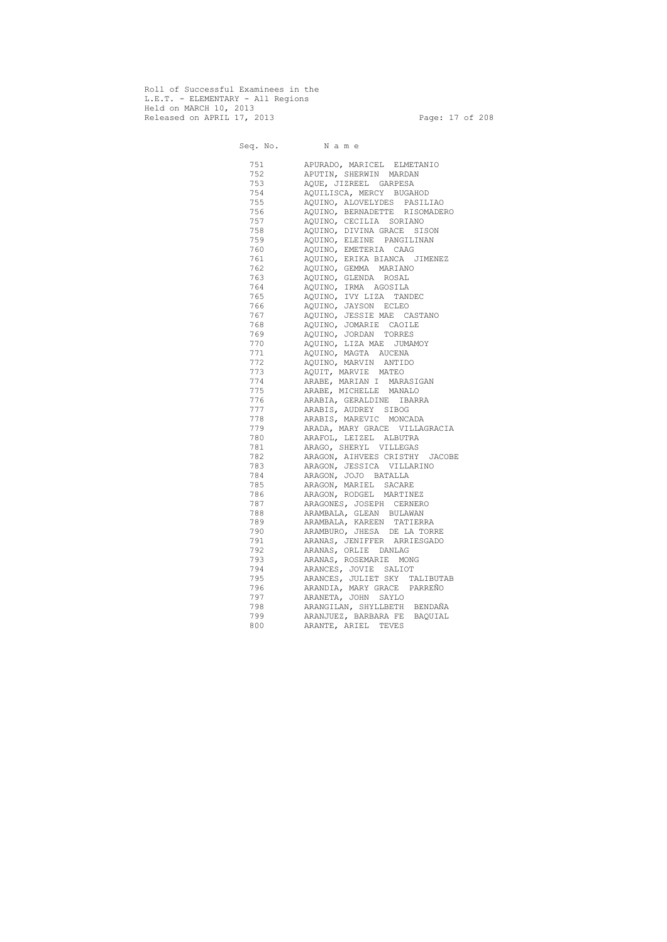Roll of Successful Examinees in the L.E.T. - ELEMENTARY - All Regions Held on MARCH 10, 2013 Released on APRIL 17, 2013 Page: 17 of 208

 Seq. No. N a m e 751 APURADO, MARICEL ELMETANIO 752 APUTIN, SHERWIN MARDAN 753 AQUE, JIZREEL GARPESA 754 AQUILISCA, MERCY BUGAHOD 755 AQUINO, ALOVELYDES PASILIAO 756 AQUINO, BERNADETTE RISOMADERO 757 AQUINO, CECILIA SORIANO 758 AQUINO, DIVINA GRACE SISON 759 AQUINO, ELEINE PANGILINAN 760 AQUINO, EMETERIA CAAG 761 AQUINO, ERIKA BIANCA JIMENEZ 762 AQUINO, GEMMA MARIANO 763 AQUINO, GLENDA ROSAL 764 AQUINO, IRMA AGOSILA 765 AQUINO, IVY LIZA TANDEC 766 AQUINO, JAYSON ECLEO 767 AQUINO, JESSIE MAE CASTANO 768 AQUINO, JOMARIE CAOILE 769 AQUINO, JORDAN TORRES 770 AQUINO, LIZA MAE JUMAMOY 771 AQUINO, MAGTA AUCENA 772 AQUINO, MARVIN ANTIDO 773 AQUIT, MARVIE MATEO 774 ARABE, MARIAN I MARASIGAN 775 ARABE, MICHELLE MANALO 776 ARABIA, GERALDINE IBARRA 777 ARABIS, AUDREY SIBOG 778 ARABIS, MAREVIC MONCADA 779 ARADA, MARY GRACE VILLAGRACIA 780 ARAFOL, LEIZEL ALBUTRA 781 ARAGO, SHERYL VILLEGAS 782 ARAGON, AIHVEES CRISTHY JACOBE 783 ARAGON, JESSICA VILLARINO 784 ARAGON, JOJO BATALLA 785 ARAGON, MARIEL SACARE 786 ARAGON, RODGEL MARTINEZ 787 ARAGONES, JOSEPH CERNERO 788 ARAMBALA, GLEAN BULAWAN 789 ARAMBALA, KAREEN TATIERRA 790 ARAMBURO, JHESA DE LA TORRE 791 ARANAS, JENIFFER ARRIESGADO 792 ARANAS, ORLIE DANLAG 793 ARANAS, ROSEMARIE MONG 794 ARANCES, JOVIE SALIOT 795 ARANCES, JULIET SKY TALIBUTAB 796 ARANDIA, MARY GRACE PARREÑO 797 ARANETA, JOHN SAYLO 798 ARANGILAN, SHYLLBETH BENDAÑA 799 ARANJUEZ, BARBARA FE BAQUIAL 800 ARANTE, ARIEL TEVES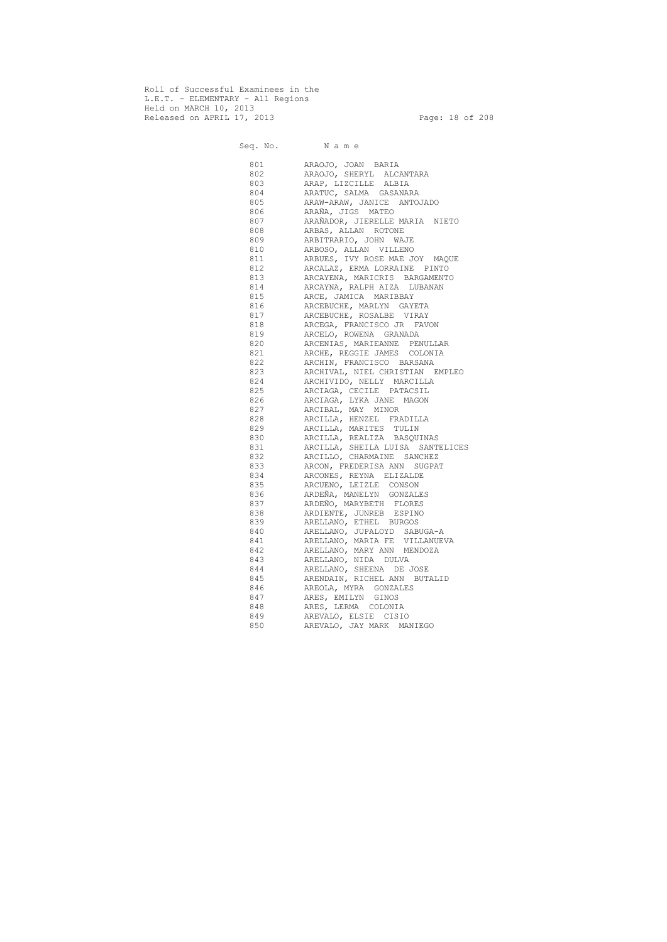Roll of Successful Examinees in the L.E.T. - ELEMENTARY - All Regions Held on MARCH 10, 2013 Released on APRIL 17, 2013 Page: 18 of 208

 Seq. No. N a m e 801 ARAOJO, JOAN BARIA 802 ARAOJO, SHERYL ALCANTARA 803 ARAP, LIZCILLE ALBIA 804 ARATUC, SALMA GASANARA 805 ARAW-ARAW, JANICE ANTOJADO 806 ARAÑA, JIGS MATEO 807 ARAÑADOR, JIERELLE MARIA NIETO 808 ARBAS, ALLAN ROTONE 809 ARBITRARIO, JOHN WAJE 810 ARBOSO, ALLAN VILLENO 811 ARBUES, IVY ROSE MAE JOY MAQUE 812 ARCALAZ, ERMA LORRAINE PINTO 813 ARCAYENA, MARICRIS BARGAMENTO 814 ARCAYNA, RALPH AIZA LUBANAN 815 ARCE, JAMICA MARIBBAY 816 ARCEBUCHE, MARLYN GAYETA 817 ARCEBUCHE, ROSALBE VIRAY 818 ARCEGA, FRANCISCO JR FAVON 819 ARCELO, ROWENA GRANADA 820 ARCENIAS, MARIEANNE PENULLAR 821 ARCHE, REGGIE JAMES COLONIA 822 ARCHIN, FRANCISCO BARSANA 823 ARCHIVAL, NIEL CHRISTIAN EMPLEO 824 ARCHIVIDO, NELLY MARCILLA 825 ARCIAGA, CECILE PATACSIL 826 ARCIAGA, LYKA JANE MAGON 827 ARCIBAL, MAY MINOR 828 ARCILLA, HENZEL FRADILLA 829 ARCILLA, MARITES TULIN 830 ARCILLA, REALIZA BASQUINAS 831 ARCILLA, SHEILA LUISA SANTELICES 832 ARCILLO, CHARMAINE SANCHEZ 833 ARCON, FREDERISA ANN SUGPAT 834 ARCONES, REYNA ELIZALDE 835 ARCUENO, LEIZLE CONSON 836 ARDEÑA, MANELYN GONZALES 837 ARDEÑO, MARYBETH FLORES 838 ARDIENTE, JUNREB ESPINO 839 ARELLANO, ETHEL BURGOS 840 ARELLANO, JUPALOYD SABUGA-A 841 ARELLANO, MARIA FE VILLANUEVA 842 ARELLANO, MARY ANN MENDOZA 843 ARELLANO, NIDA DULVA 844 ARELLANO, SHEENA DE JOSE 845 ARENDAIN, RICHEL ANN BUTALID 846 AREOLA, MYRA GONZALES 847 ARES, EMILYN GINOS 848 ARES, LERMA COLONIA 849 AREVALO, ELSIE CISIO 850 AREVALO, JAY MARK MANIEGO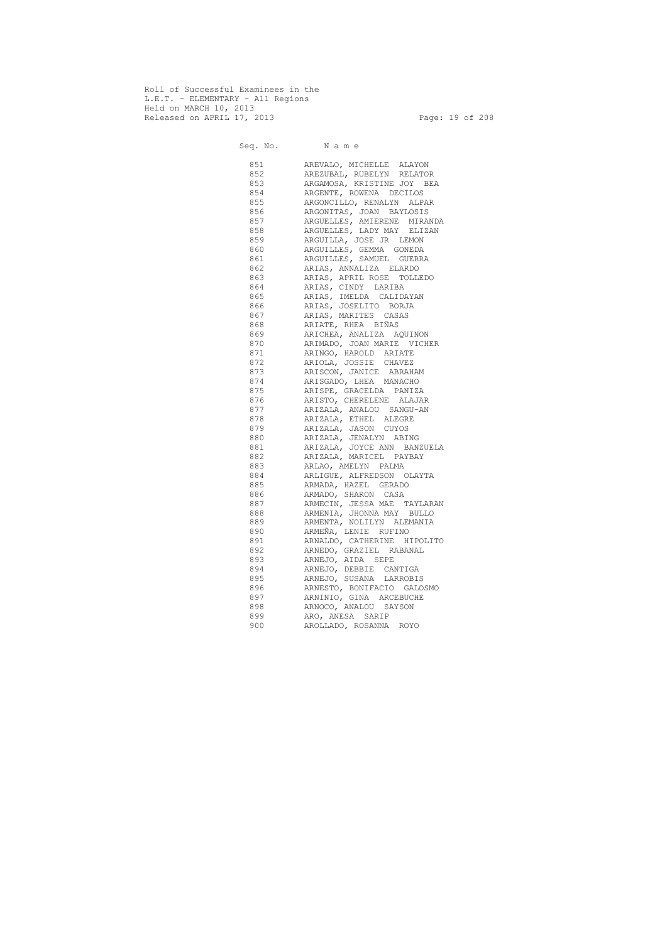Roll of Successful Examinees in the L.E.T. - ELEMENTARY - All Regions Held on MARCH 10, 2013 Released on APRIL 17, 2013 Page: 19 of 208

 Seq. No. N a m e 851 AREVALO, MICHELLE ALAYON 852 AREZUBAL, RUBELYN RELATOR 853 ARGAMOSA, KRISTINE JOY BEA 854 ARGENTE, ROWENA DECILOS 855 ARGONCILLO, RENALYN ALPAR 856 ARGONITAS, JOAN BAYLOSIS 857 ARGUELLES, AMIERENE MIRANDA 858 ARGUELLES, LADY MAY ELIZAN 859 ARGUILLA, JOSE JR LEMON 860 ARGUILLES, GEMMA GONEDA 861 ARGUILLES, SAMUEL GUERRA 862 ARIAS, ANNALIZA ELARDO 863 ARIAS, APRIL ROSE TOLLEDO 864 ARIAS, CINDY LARIBA 865 ARIAS, IMELDA CALIDAYAN 866 ARIAS, JOSELITO BORJA 867 ARIAS, MARITES CASAS 868 ARIATE, RHEA BIÑAS 869 ARICHEA, ANALIZA AQUINON 870 ARIMADO, JOAN MARIE VICHER 871 ARINGO, HAROLD ARIATE 872 ARIOLA, JOSSIE CHAVEZ 873 ARISCON, JANICE ABRAHAM 874 ARISGADO, LHEA MANACHO 875 ARISPE, GRACELDA PANIZA 876 ARISTO, CHERELENE ALAJAR 877 ARIZALA, ANALOU SANGU-AN 878 ARIZALA, ETHEL ALEGRE 879 ARIZALA, JASON CUYOS 880 ARIZALA, JENALYN ABING 881 ARIZALA, JOYCE ANN BANZUELA 882 ARIZALA, MARICEL PAYBAY 883 ARLAO, AMELYN PALMA 884 ARLIGUE, ALFREDSON OLAYTA 885 ARMADA, HAZEL GERADO 886 ARMADO, SHARON CASA 887 ARMECIN, JESSA MAE TAYLARAN 888 ARMENIA, JHONNA MAY BULLO 889 ARMENTA, NOLILYN ALEMANIA 890 ARMEÑA, LENIE RUFINO 891 ARNALDO, CATHERINE HIPOLITO 892 ARNEDO, GRAZIEL RABANAL 893 ARNEJO, AIDA SEPE 894 ARNEJO, DEBBIE CANTIGA 895 ARNEJO, SUSANA LARROBIS 896 ARNESTO, BONIFACIO GALOSMO 897 ARNINIO, GINA ARCEBUCHE 898 ARNOCO, ANALOU SAYSON 899 ARO, ANESA SARIP 900 AROLLADO, ROSANNA ROYO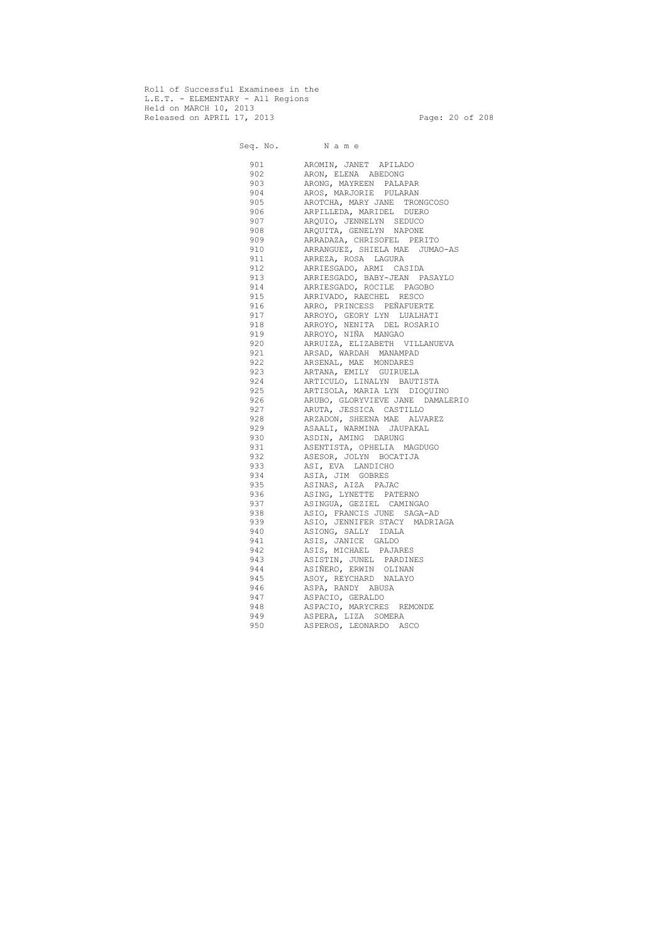Roll of Successful Examinees in the L.E.T. - ELEMENTARY - All Regions Held on MARCH 10, 2013 Released on APRIL 17, 2013 Page: 20 of 208

 Seq. No. N a m e 901 AROMIN, JANET APILADO 902 ARON, ELENA ABEDONG 903 ARONG, MAYREEN PALAPAR 904 AROS, MARJORIE PULARAN 905 AROTCHA, MARY JANE TRONGCOSO 906 ARPILLEDA, MARIDEL DUERO 907 ARQUIO, JENNELYN SEDUCO 908 ARQUITA, GENELYN NAPONE 909 ARRADAZA, CHRISOFEL PERITO 910 ARRANGUEZ, SHIELA MAE JUMAO-AS 911 ARREZA, ROSA LAGURA 912 ARRIESGADO, ARMI CASIDA 913 ARRIESGADO, BABY-JEAN PASAYLO 914 ARRIESGADO, ROCILE PAGOBO 915 ARRIVADO, RAECHEL RESCO 916 ARRO, PRINCESS PEÑAFUERTE 917 ARROYO, GEORY LYN LUALHATI 918 ARROYO, NENITA DEL ROSARIO 919 ARROYO, NIÑA MANGAO 920 ARRUIZA, ELIZABETH VILLANUEVA 921 ARSAD, WARDAH MANAMPAD 922 ARSENAL, MAE MONDARES 923 ARTANA, EMILY GUIRUELA 924 ARTICULO, LINALYN BAUTISTA 925 ARTISOLA, MARIA LYN DIOQUINO 926 ARUBO, GLORYVIEVE JANE DAMALERIO 927 ARUTA, JESSICA CASTILLO 928 ARZADON, SHEENA MAE ALVAREZ 929 ASAALI, WARMINA JAUPAKAL 930 ASDIN, AMING DARUNG 931 ASENTISTA, OPHELIA MAGDUGO 932 ASESOR, JOLYN BOCATIJA 933 ASI, EVA LANDICHO 934 ASIA, JIM GOBRES 935 ASINAS, AIZA PAJAC 936 ASING, LYNETTE PATERNO 937 ASINGUA, GEZIEL CAMINGAO 938 ASIO, FRANCIS JUNE SAGA-AD 939 ASIO, JENNIFER STACY MADRIAGA 940 ASIONG, SALLY IDALA 941 ASIS, JANICE GALDO 942 ASIS, MICHAEL PAJARES 943 ASISTIN, JUNEL PARDINES 944 ASIÑERO, ERWIN OLINAN 945 ASOY, REYCHARD NALAYO 946 ASPA, RANDY ABUSA 947 ASPACIO, GERALDO 948 ASPACIO, MARYCRES REMONDE 949 ASPERA, LIZA SOMERA 950 ASPEROS, LEONARDO ASCO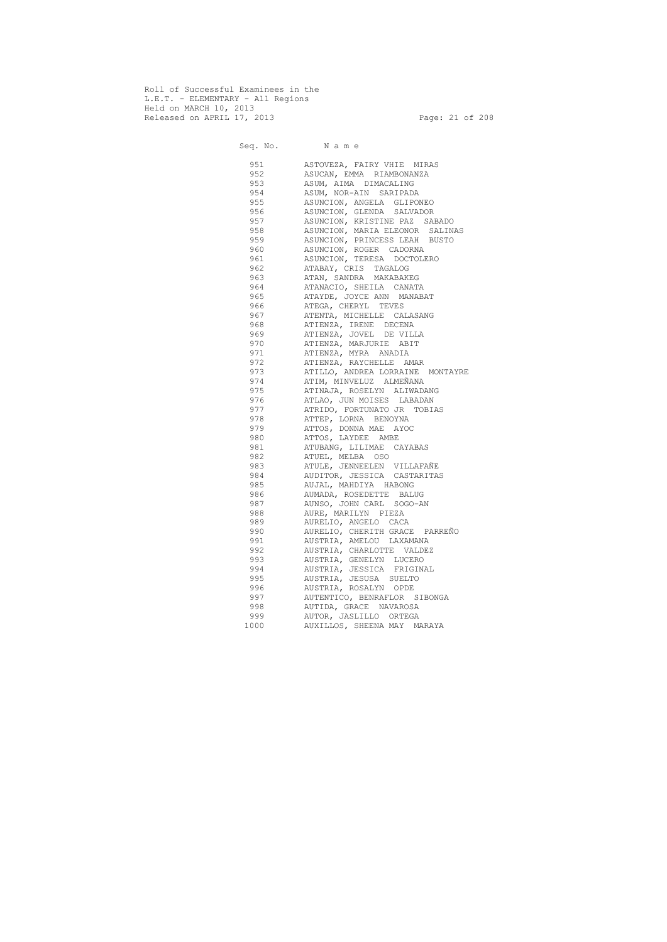Roll of Successful Examinees in the L.E.T. - ELEMENTARY - All Regions Held on MARCH 10, 2013 Released on APRIL 17, 2013 Page: 21 of 208

 Seq. No. N a m e 951 ASTOVEZA, FAIRY VHIE MIRAS 952 ASUCAN, EMMA RIAMBONANZA 953 ASUM, AIMA DIMACALING 954 ASUM, NOR-AIN SARIPADA 955 ASUNCION, ANGELA GLIPONEO 956 ASUNCION, GLENDA SALVADOR 957 ASUNCION, KRISTINE PAZ SABADO 958 ASUNCION, MARIA ELEONOR SALINAS 959 ASUNCION, PRINCESS LEAH BUSTO 960 ASUNCION, ROGER CADORNA 961 ASUNCION, TERESA DOCTOLERO 962 ATABAY, CRIS TAGALOG 963 ATAN, SANDRA MAKABAKEG 964 ATANACIO, SHEILA CANATA 965 ATAYDE, JOYCE ANN MANABAT 966 ATEGA, CHERYL TEVES 967 ATENTA, MICHELLE CALASANG 968 ATIENZA, IRENE DECENA 969 ATIENZA, JOVEL DE VILLA 970 ATIENZA, MARJURIE ABIT 971 ATIENZA, MYRA ANADIA 972 ATIENZA, RAYCHELLE AMAR 973 ATILLO, ANDREA LORRAINE MONTAYRE 974 ATIM, MINVELUZ ALMEÑANA 975 ATINAJA, ROSELYN ALIWADANG 976 ATLAO, JUN MOISES LABADAN 977 ATRIDO, FORTUNATO JR TOBIAS 978 ATTEP, LORNA BENOYNA 979 ATTOS, DONNA MAE AYOC 980 ATTOS, LAYDEE AMBE 981 ATUBANG, LILIMAE CAYABAS 982 ATUEL, MELBA OSO 983 ATULE, JENNEELEN VILLAFAÑE 984 AUDITOR, JESSICA CASTARITAS 985 AUJAL, MAHDIYA HABONG 986 AUMADA, ROSEDETTE BALUG 987 AUNSO, JOHN CARL SOGO-AN 988 AURE, MARILYN PIEZA 989 AURELIO, ANGELO CACA 990 AURELIO, CHERITH GRACE PARREÑO 991 AUSTRIA, AMELOU LAXAMANA 992 AUSTRIA, CHARLOTTE VALDEZ 993 AUSTRIA, GENELYN LUCERO 994 AUSTRIA, JESSICA FRIGINAL 995 AUSTRIA, JESUSA SUELTO 996 AUSTRIA, ROSALYN OPDE 997 AUTENTICO, BENRAFLOR SIBONGA 998 AUTIDA, GRACE NAVAROSA 999 AUTOR, JASLILLO ORTEGA 1000 AUXILLOS, SHEENA MAY MARAYA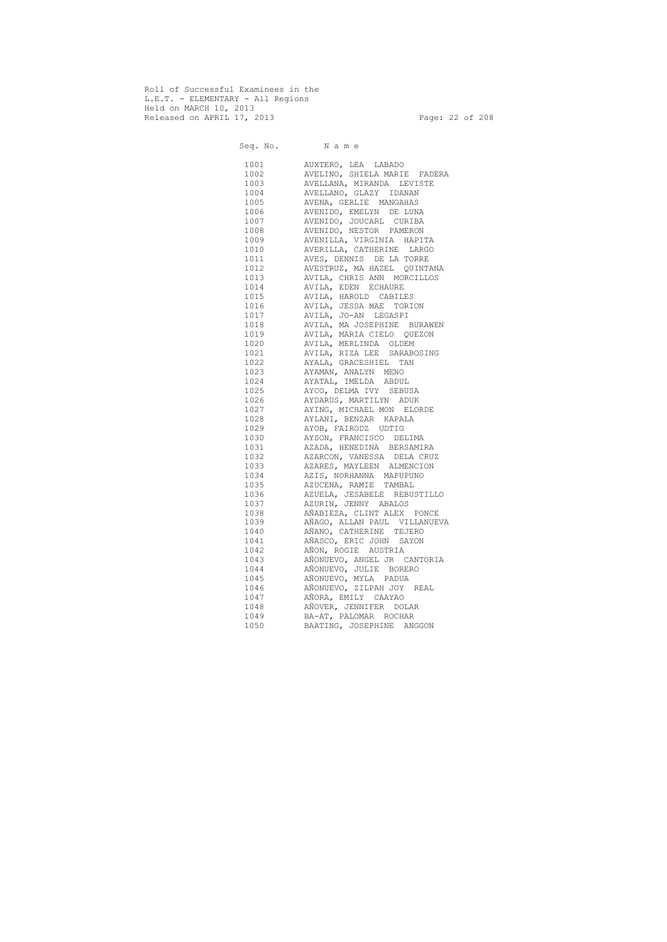Roll of Successful Examinees in the L.E.T. - ELEMENTARY - All Regions Held on MARCH 10, 2013 Released on APRIL 17, 2013 Page: 22 of 208

 Seq. No. N a m e 1001 AUXTERO, LEA LABADO 1002 AVELINO, SHIELA MARIE FADERA 1003 AVELLANA, MIRANDA LEVISTE 1004 AVELLANO, GLAZY IDANAN 1005 AVENA, GERLIE MANGAHAS 1006 AVENIDO, EMELYN DE LUNA 1007 AVENIDO, JOUCARL CURIBA 1008 AVENIDO, NESTOR PAMERON 1009 AVENILLA, VIRGINIA HAPITA 1010 AVERILLA, CATHERINE LARGO 1011 AVES, DENNIS DE LA TORRE 1012 AVESTRUZ, MA HAZEL QUINTANA 1013 AVILA, CHRIS ANN MORCILLOS 1014 AVILA, EDEN ECHAURE 1015 AVILA, HAROLD CABILES 1016 AVILA, JESSA MAE TORION 1017 AVILA, JO-AN LEGASPI 1018 AVILA, MA JOSEPHINE BURAWEN 1019 AVILA, MARIA CIELO QUEZON 1020 AVILA, MERLINDA OLDEM 1021 AVILA, RIZA LEE SARABOSING 1022 AYALA, GRACESHIEL TAN 1023 AYAMAN, ANALYN MENO 1024 AYATAL, IMELDA ABDUL 1025 AYCO, DELMA IVY SEBUSA 1026 AYDARUS, MARTILYN ADUK 1027 AYING, MICHAEL MON ELORDE 1028 AYLANI, BENZAR KAPALA 1029 AYOB, FAIRODZ UDTIG 1030 AYSON, FRANCISCO DELIMA 1031 AZADA, HENEDINA BERSAMIRA 1032 AZARCON, VANESSA DELA CRUZ 1033 AZARES, MAYLEEN ALMENCION 1034 AZIS, NORHANNA MAPUPUNO 1035 AZUCENA, RAMIE TAMBAL 1036 AZUELA, JESABELE REBUSTILLO 1037 AZURIN, JENNY ABALOS 1038 AÑABIEZA, CLINT ALEX PONCE 1039 AÑAGO, ALLAN PAUL VILLANUEVA 1040 AÑANO, CATHERINE TEJERO 1041 AÑASCO, ERIC JOHN SAYON 1042 AÑON, ROGIE AUSTRIA 1043 AÑONUEVO, ANGEL JR CANTORIA 1044 AÑONUEVO, JULIE BORERO 1045 AÑONUEVO, MYLA PADUA 1046 AÑONUEVO, ZILPAH JOY REAL 1047 AÑORA, EMILY CAAYAO 1048 AÑOVER, JENNIFER DOLAR 1049 BA-AT, PALOMAR ROCHAR 1050 BAATING, JOSEPHINE ANGGON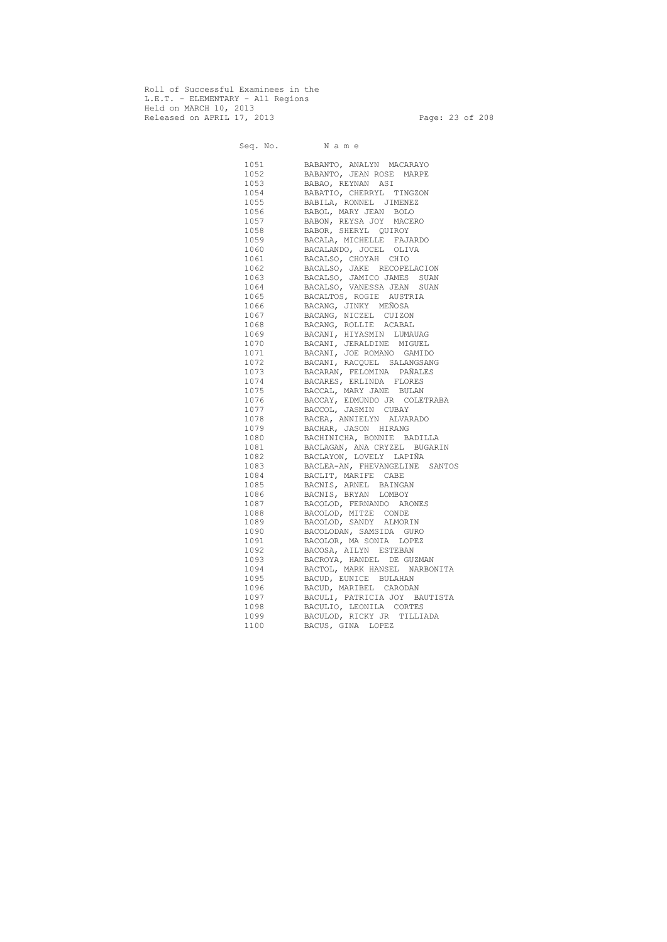Roll of Successful Examinees in the L.E.T. - ELEMENTARY - All Regions Held on MARCH 10, 2013 Released on APRIL 17, 2013 Page: 23 of 208

 Seq. No. N a m e 1051 BABANTO, ANALYN MACARAYO 1052 BABANTO, JEAN ROSE MARPE 1053 BABAO, REYNAN ASI 1054 BABATIO, CHERRYL TINGZON 1055 BABILA, RONNEL JIMENEZ 1056 BABOL, MARY JEAN BOLO 1057 BABON, REYSA JOY MACERO 1058 BABOR, SHERYL QUIROY 1059 BACALA, MICHELLE FAJARDO 1060 BACALANDO, JOCEL OLIVA 1061 BACALSO, CHOYAH CHIO 1062 BACALSO, JAKE RECOPELACION 1063 BACALSO, JAMICO JAMES SUAN 1064 BACALSO, VANESSA JEAN SUAN 1065 BACALTOS, ROGIE AUSTRIA 1066 BACANG, JINKY MEÑOSA 1067 BACANG, NICZEL CUIZON 1068 BACANG, ROLLIE ACABAL 1069 BACANI, HIYASMIN LUMAUAG 1070 BACANI, JERALDINE MIGUEL 1071 BACANI, JOE ROMANO GAMIDO 1072 BACANI, RACQUEL SALANGSANG 1073 BACARAN, FELOMINA PAÑALES 1074 BACARES, ERLINDA FLORES 1075 BACCAL, MARY JANE BULAN 1076 BACCAY, EDMUNDO JR COLETRABA 1077 BACCOL, JASMIN CUBAY 1078 BACEA, ANNIELYN ALVARADO 1079 BACHAR, JASON HIRANG 1080 BACHINICHA, BONNIE BADILLA 1081 BACLAGAN, ANA CRYZEL BUGARIN 1082 BACLAYON, LOVELY LAPIÑA 1083 BACLEA-AN, FHEVANGELINE SANTOS 1084 BACLIT, MARIFE CABE 1085 BACNIS, ARNEL BAINGAN 1086 BACNIS, BRYAN LOMBOY 1087 BACOLOD, FERNANDO ARONES 1088 BACOLOD, MITZE CONDE 1089 BACOLOD, SANDY ALMORIN 1090 BACOLODAN, SAMSIDA GURO 1091 BACOLOR, MA SONIA LOPEZ 1092 BACOSA, AILYN ESTEBAN 1093 BACROYA, HANDEL DE GUZMAN 1094 BACTOL, MARK HANSEL NARBONITA 1095 BACUD, EUNICE BULAHAN 1096 BACUD, MARIBEL CARODAN 1097 BACULI, PATRICIA JOY BAUTISTA 1098 BACULIO, LEONILA CORTES 1099 BACULOD, RICKY JR TILLIADA 1100 BACUS, GINA LOPEZ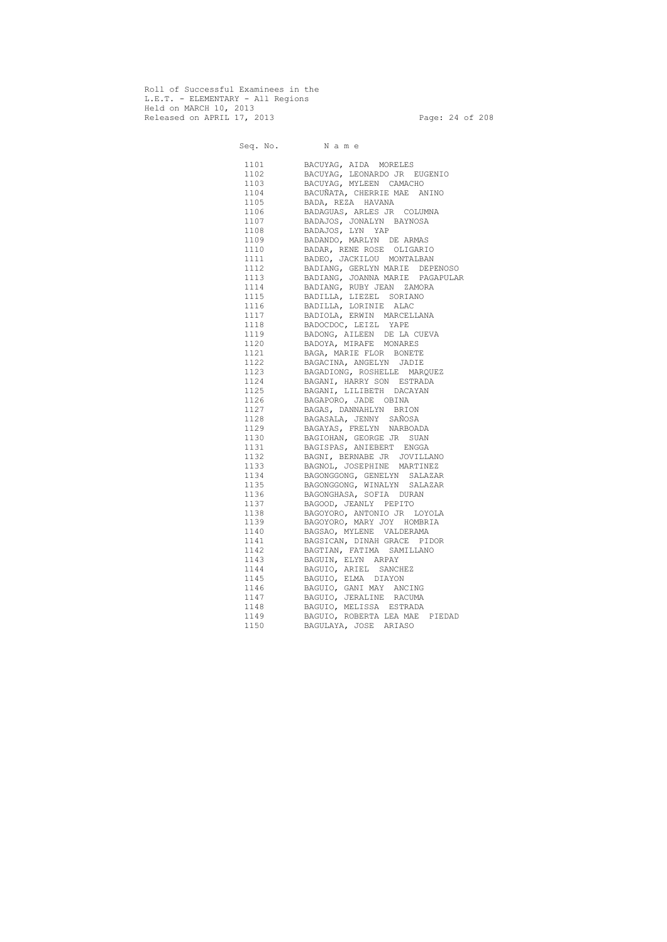Roll of Successful Examinees in the L.E.T. - ELEMENTARY - All Regions Held on MARCH 10, 2013 Released on APRIL 17, 2013 Page: 24 of 208

Seq. No. Name 1101 BACUYAG, AIDA MORELES 1102 BACUYAG, LEONARDO JR EUGENIO 1103 BACUYAG, MYLEEN CAMACHO 1104 BACUÑATA, CHERRIE MAE ANINO 1105 BADA, REZA HAVANA 1106 BADAGUAS, ARLES JR COLUMNA 1107 BADAJOS, JONALYN BAYNOSA 1108 BADAJOS, LYN YAP 1109 BADANDO, MARLYN DE ARMAS 1110 BADAR, RENE ROSE OLIGARIO 1111 BADEO, JACKILOU MONTALBAN 1112 BADIANG, GERLYN MARIE DEPENOSO 1113 BADIANG, JOANNA MARIE PAGAPULAR 1114 BADIANG, RUBY JEAN ZAMORA 1115 BADILLA, LIEZEL SORIANO 1116 BADILLA, LORINIE ALAC 1117 BADIOLA, ERWIN MARCELLANA 1118 BADOCDOC, LEIZL YAPE 1119 BADONG, AILEEN DE LA CUEVA 1120 BADOYA, MIRAFE MONARES 1121 BAGA, MARIE FLOR BONETE<br>1122 BAGACINA, ANGELYN JADIE<br>1123 BAGADIONG, ROSHELLE MAR<br>1124 BAGANI, HARRY SON ESTRA<br>1125 BAGANI, LILIBETH DACAYA<br>1126 BAGAPORO, JADE OBINA 1122 BAGACINA, ANGELYN JADIE 1123 BAGADIONG, ROSHELLE MARQUEZ 1124 BAGANI, HARRY SON ESTRADA 1125 BAGANI, LILIBETH DACAYAN 1126 BAGAPORO, JADE OBINA 1127 BAGAS, DANNAHLYN BRION 1128 BAGASALA, JENNY SAÑOSA 1129 BAGAYAS, FRELYN NARBOADA 1130 BAGIOHAN, GEORGE JR SUAN 1131 BAGISPAS, ANIEBERT ENGGA 1132 BAGNI, BERNABE JR JOVILLANO 1133 BAGNOL, JOSEPHINE MARTINEZ 1134 BAGONGGONG, GENELYN SALAZAR 1135 BAGONGGONG, WINALYN SALAZAR 1136 BAGONGHASA, SOFIA DURAN 1137 BAGOOD, JEANLY PEPITO 1138 BAGOYORO, ANTONIO JR LOYOLA 1139 BAGOYORO, MARY JOY HOMBRIA 1140 BAGSAO, MYLENE VALDERAMA 1141 BAGSICAN, DINAH GRACE PIDOR 1142 BAGTIAN, FATIMA SAMILLANO 1143 BAGUIN, ELYN ARPAY 1144 BAGUIO, ARIEL SANCHEZ 1145 BAGUIO, ELMA DIAYON 1146 BAGUIO, GANI MAY ANCING 1147 BAGUIO, JERALINE RACUMA 1148 BAGUIO, MELISSA ESTRADA 1149 BAGUIO, ROBERTA LEA MAE PIEDAD 1150 BAGULAYA, JOSE ARIASO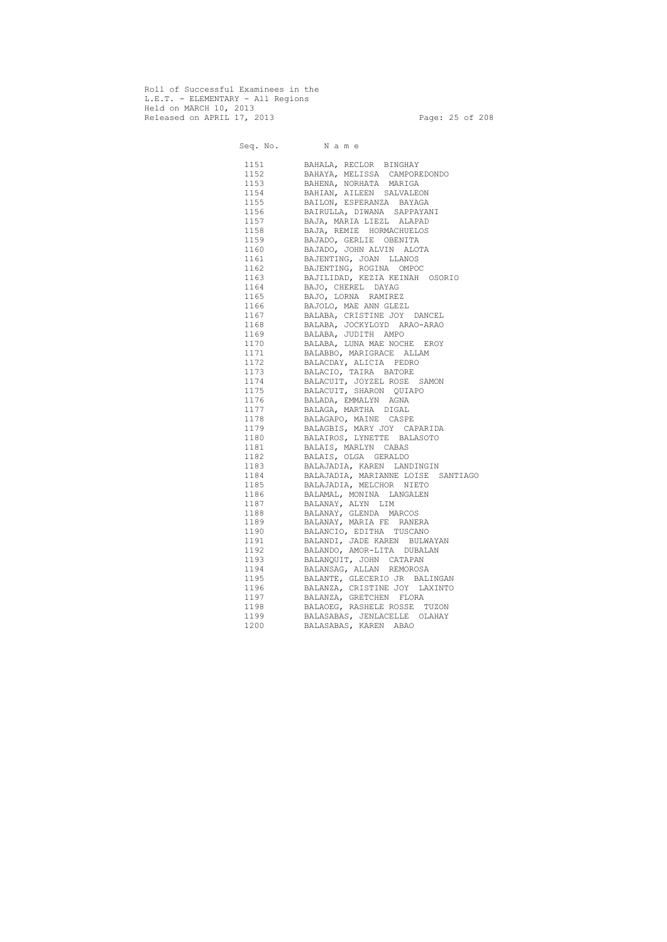Roll of Successful Examinees in the L.E.T. - ELEMENTARY - All Regions Held on MARCH 10, 2013 Released on APRIL 17, 2013 Page: 25 of 208

Seq. No. Name 1151 BAHALA, RECLOR BINGHAY 1152 BAHAYA, MELISSA CAMPOREDONDO 1153 BAHENA, NORHATA MARIGA 1154 BAHIAN, AILEEN SALVALEON 1155 BAILON, ESPERANZA BAYAGA 1156 BAIRULLA, DIWANA SAPPAYANI 1157 BAJA, MARIA LIEZL ALAPAD 1158 BAJA, REMIE HORMACHUELOS 1159 BAJADO, GERLIE OBENITA 1160 BAJADO, JOHN ALVIN ALOTA 1161 BAJENTING, JOAN LLANOS 1162 BAJENTING, ROGINA OMPOC 1163 BAJILIDAD, KEZIA KEINAH OSORIO 1164 BAJO, CHEREL DAYAG 1165 BAJO, LORNA RAMIREZ 1166 BAJOLO, MAE ANN GLEZL 1167 BALABA, CRISTINE JOY DANCEL 1168 BALABA, JOCKYLOYD ARAO-ARAO 1169 BALABA, JUDITH AMPO 1170 BALABA, LUNA MAE NOCHE EROY 1171 BALABBO, MARIGRACE ALLAM 1172 BALACDAY, ALICIA PEDRO 1173 BALACIO, TAIRA BATORE 1174 BALACUIT, JOYZEL ROSE SAMON 1175 BALACUIT, SHARON QUIAPO 1176 BALADA, EMMALYN AGNA 1177 BALAGA, MARTHA DIGAL 1178 BALAGAPO, MAINE CASPE 1179 BALAGBIS, MARY JOY CAPARIDA 1180 BALAIROS, LYNETTE BALASOTO 1181 BALAIS, MARLYN CABAS 1182 BALAIS, OLGA GERALDO 1183 BALAJADIA, KAREN LANDINGIN 1184 BALAJADIA, MARIANNE LOISE SANTIAGO 1185 BALAJADIA, MELCHOR NIETO 1186 BALAMAL, MONINA LANGALEN 1187 BALANAY, ALYN LIM 1188 BALANAY, GLENDA MARCOS 1189 BALANAY, MARIA FE RANERA 1190 BALANCIO, EDITHA TUSCANO 1191 BALANDI, JADE KAREN BULWAYAN 1192 BALANDO, AMOR-LITA DUBALAN 1193 BALANQUIT, JOHN CATAPAN 1194 BALANSAG, ALLAN REMOROSA 1195 BALANTE, GLECERIO JR BALINGAN 1196 BALANZA, CRISTINE JOY LAXINTO 1197 BALANZA, GRETCHEN FLORA 1198 BALAOEG, RASHELE ROSSE TUZON 1199 BALASABAS, JENLACELLE OLAHAY 1200 BALASABAS, KAREN ABAO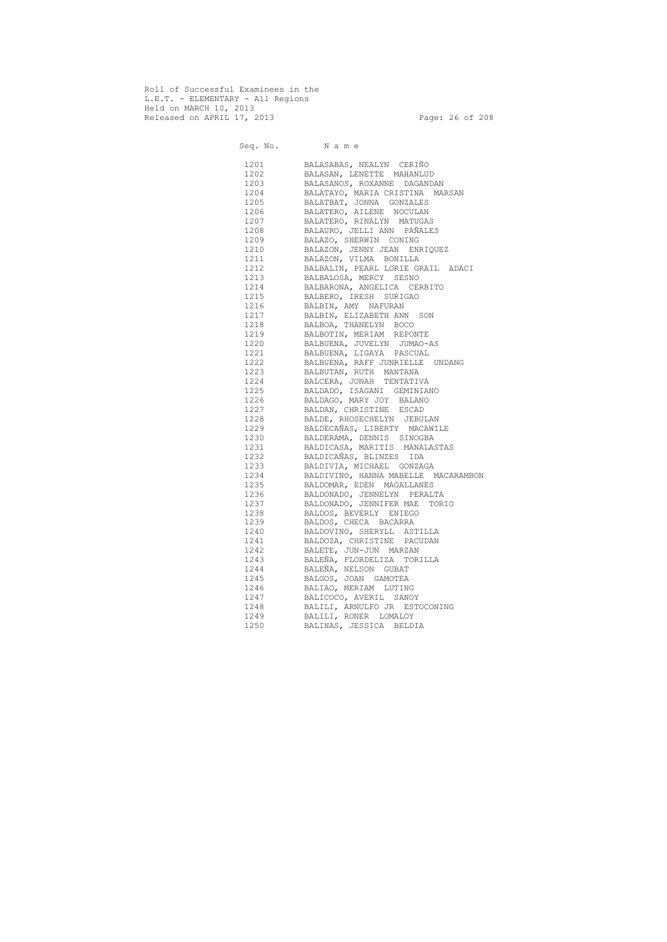Roll of Successful Examinees in the L.E.T. - ELEMENTARY - All Regions Held on MARCH 10, 2013 Released on APRIL 17, 2013 Page: 26 of 208

Seq. No. Name 1201 BALASABAS, NEALYN CERIÑO 1202 BALASAN, LENETTE MAHANLUD 1203 BALASANOS, ROXANNE DAGANDAN 1204 BALATAYO, MARIA CRISTINA MARSAN 1205 BALATBAT, JONNA GONZALES 1206 BALATERO, AILENE NOCULAN 1207 BALATERO, RINALYN MATUGAS 1208 BALAURO, JELLI ANN PAÑALES 1209 BALAZO, SHERWIN CONING 1210 BALAZON, JENNY JEAN ENRIQUEZ 1211 BALAZON, VILMA BONILLA 1212 BALBALIN, PEARL LORIE GRAIL ADACI 1213 BALBALOSA, MERCY SESNO 1214 BALBARONA, ANGELICA CERBITO 1215 BALBERO, IRESH SURIGAO 1216 BALBIN, AMY NAFURAN 1217 BALBIN, ELIZABETH ANN SON 1218 BALBOA, THANELYN BOCO 1219 BALBOTIN, MERIAM REPONTE 1220 BALBUENA, JUVELYN JUMAO-AS 1221 BALBUENA, LIGAYA PASCUAL 1222 BALBUENA, RAFF JUNRIELLE UNDANG 1223 BALBUTAN, RUTH MANTANA 1224 BALCERA, JONAH TENTATIVA 1225 BALDADO, ISAGANI GEMINIANO 1226 BALDAGO, MARY JOY BALANO 1227 BALDAN, CHRISTINE ESCAD 1228 BALDE, RHOSECHELYN JEBULAN 1229 BALDECAÑAS, LIBERTY MACAWILE 1230 BALDERAMA, DENNIS SINOGBA 1231 BALDICASA, MARITIS MANALASTAS 1232 BALDICAÑAS, BLINZES IDA 1233 BALDIVIA, MICHAEL GONZAGA 1234 BALDIVINO, HANNA MABELLE MACARAMBON 1235 BALDOMAR, EDEN MAGALLANES 1236 BALDONADO, JENNELYN PERALTA 1237 BALDONADO, JENNIFER MAE TORIO 1238 BALDOS, BEVERLY ENIEGO 1239 BALDOS, CHECA BACARRA 1240 BALDOVINO, SHERYLL ASTILLA 1241 BALDOZA, CHRISTINE PACUDAN 1242 BALETE, JUN-JUN MARZAN 1243 BALEÑA, FLORDELIZA TORILLA 1244 BALEÑA, NELSON GUBAT 1245 BALGOS, JOAN GAMOTEA 1246 BALIAO, MERIAM LUTING 1247 BALICOCO, AVERIL SANOY 1248 BALILI, ARNULFO JR ESTOCONING 1249 BALILI, RONER LOMALOY 1250 BALINAS, JESSICA BELDIA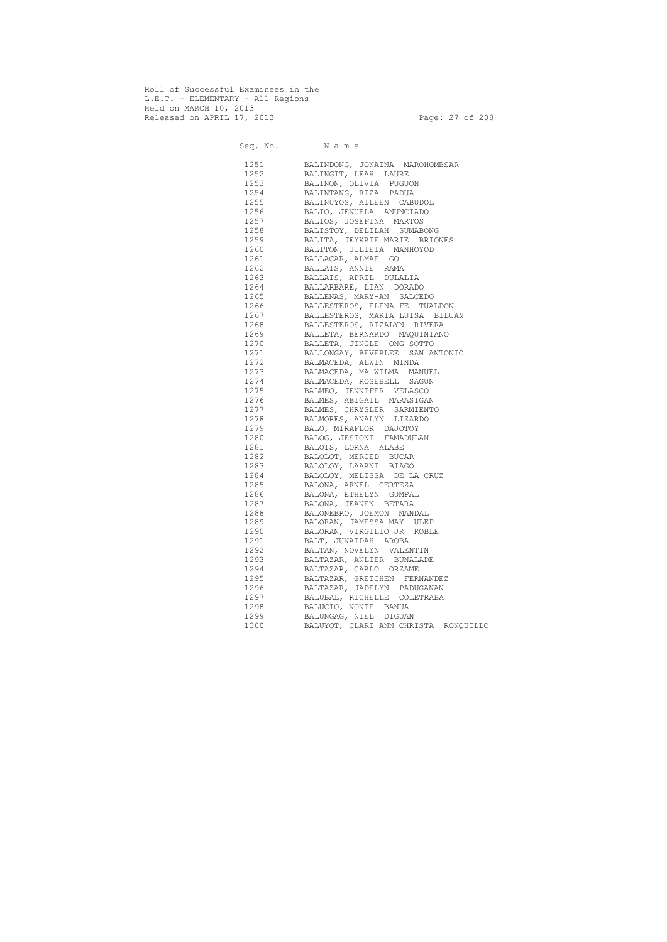Roll of Successful Examinees in the L.E.T. - ELEMENTARY - All Regions Held on MARCH 10, 2013 Released on APRIL 17, 2013 Page: 27 of 208

Seq. No. Name 1251 BALINDONG, JONAINA MAROHOMBSAR 1252 BALINGIT, LEAH LAURE 1253 BALINON, OLIVIA PUGUON 1254 BALINTANG, RIZA PADUA BALINUYOS, AILEEN CABUDOL 1256 BALIO, JENUELA ANUNCIADO 1257 BALIOS, JOSEFINA MARTOS 1258 BALISTOY, DELILAH SUMABONG 1259 BALITA, JEYKRIE MARIE BRIONES 1260 BALITON, JULIETA MANHOYOD 1261 BALLACAR, ALMAE GO 1262 BALLAIS, ANNIE RAMA 1263 BALLAIS, APRIL DULALIA 1264 BALLARBARE, LIAN DORADO 1265 BALLENAS, MARY-AN SALCEDO 1266 BALLESTEROS, ELENA FE TUALDON 1267 BALLESTEROS, MARIA LUISA BILUAN 1268 BALLESTEROS, RIZALYN RIVERA 1269 BALLETA, BERNARDO MAQUINIANO 1270 BALLETA, JINGLE ONG SOTTO 1271 BALLONGAY, BEVERLEE SAN ANTONIO 1272 BALMACEDA, ALWIN MINDA BALMACEDA, MA WILMA MANUEL 1274 BALMACEDA, ROSEBELL SAGUN 1275 BALMEO, JENNIFER VELASCO 1276 BALMES, ABIGAIL MARASIGAN 1277 BALMES, CHRYSLER SARMIENTO 1278 BALMORES, ANALYN LIZARDO 1279 BALO, MIRAFLOR DAJOTOY 1280 BALOG, JESTONI FAMADULAN 1281 BALOIS, LORNA ALABE 1282 BALOLOT, MERCED BUCAR 1283 BALOLOY, LAARNI BIAGO 1284 BALOLOY, MELISSA DE LA CRUZ 1285 BALONA, ARNEL CERTEZA 1286 BALONA, ETHELYN GUMPAL 1287 BALONA, JEANEN BETARA 1288 BALONEBRO, JOEMON MANDAL 1289 BALORAN, JAMESSA MAY ULEP 1290 BALORAN, VIRGILIO JR ROBLE 1291 BALT, JUNAIDAH AROBA 1292 BALTAN, NOVELYN VALENTIN 1293 BALTAZAR, ANLIER BUNALADE 1294 BALTAZAR, CARLO ORZAME 1295 BALTAZAR, GRETCHEN FERNANDEZ 1296 BALTAZAR, JADELYN PADUGANAN 1297 BALUBAL, RICHELLE COLETRABA 1298 BALUCIO, NONIE BANUA 1299 BALUNGAG, NIEL DIGUAN 1300 BALUYOT, CLARI ANN CHRISTA RONQUILLO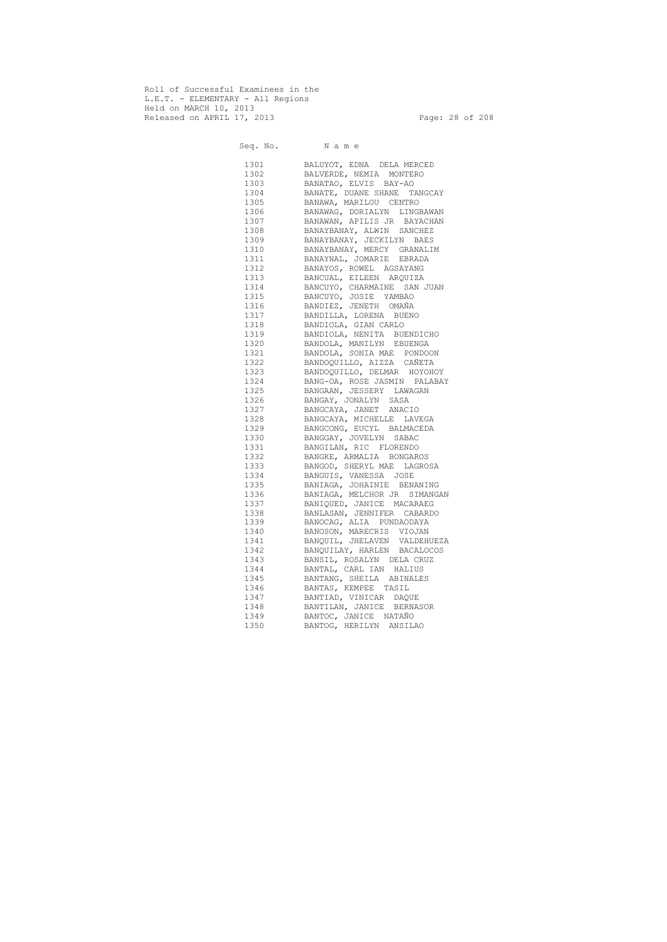Roll of Successful Examinees in the L.E.T. - ELEMENTARY - All Regions Held on MARCH 10, 2013 Released on APRIL 17, 2013 Page: 28 of 208

Seq. No. Name 1301 BALUYOT, EDNA DELA MERCED 1302 BALVERDE, NEMIA MONTERO 1303 BANATAO, ELVIS BAY-AO 1304 BANATE, DUANE SHANE TANGCAY 1305 BANAWA, MARILOU CENTRO 1306 BANAWAG, DORIALYN LINGBAWAN 1307 BANAWAN, APILIS JR BAYACHAN 1308 BANAYBANAY, ALWIN SANCHEZ 1309 BANAYBANAY, JECKILYN BAES 1310 BANAYBANAY, MERCY GRANALIM 1311 BANAYNAL, JOMARIE EBRADA 1312 BANAYOS, ROWEL AGSAYANG 1313 BANCUAL, EILEEN ARQUIZA 1314 BANCUYO, CHARMAINE SAN JUAN 1315 BANCUYO, JOSIE YAMBAO 1316 BANDIEZ, JENETH OMAÑA 1317 BANDILLA, LORENA BUENO 1318 BANDIOLA, GIAN CARLO 1319 BANDIOLA, NENITA BUENDICHO 1320 BANDOLA, MANILYN EBUENGA 1321 BANDOLA, SONIA MAE PONDOON 1322 BANDOQUILLO, AIZZA CAÑETA 1323 BANDOQUILLO, DELMAR HOYOHOY 1324 BANG-OA, ROSE JASMIN PALABAY 1325 BANGAAN, JESSERY LAWAGAN 1326 BANGAY, JONALYN SASA 1327 BANGCAYA, JANET ANACIO 1328 BANGCAYA, MICHELLE LAVEGA 1329 BANGCONG, EUCYL BALMACEDA 1330 BANGGAY, JOVELYN SABAC 1331 BANGILAN, RIC FLORENDO 1332 BANGKE, ARMALIA BONGAROS 1333 BANGOD, SHERYL MAE LAGROSA 1334 BANGUIS, VANESSA JOSE 1335 BANIAGA, JOHAINIE BENANING 1336 BANIAGA, MELCHOR JR SIMANGAN 1337 BANIQUED, JANICE MACARAEG 1338 BANLASAN, JENNIFER CABARDO 1339 BANOCAG, ALIA PUNDAODAYA 1340 BANOSON, MARECRIS VIOJAN 1341 BANQUIL, JHELAVEN VALDEHUEZA 1342 BANQUILAY, HARLEN BACALOCOS 1343 BANSIL, ROSALYN DELA CRUZ 1344 BANTAL, CARL IAN HALIUS 1345 BANTANG, SHEILA ABINALES 1346 BANTAS, KEMPEE TASIL 1347 BANTIAD, VINICAR DAQUE 1348 BANTILAN, JANICE BERNASOR 1349 BANTOC, JANICE NATAÑO 1350 BANTOG, HERILYN ANSILAO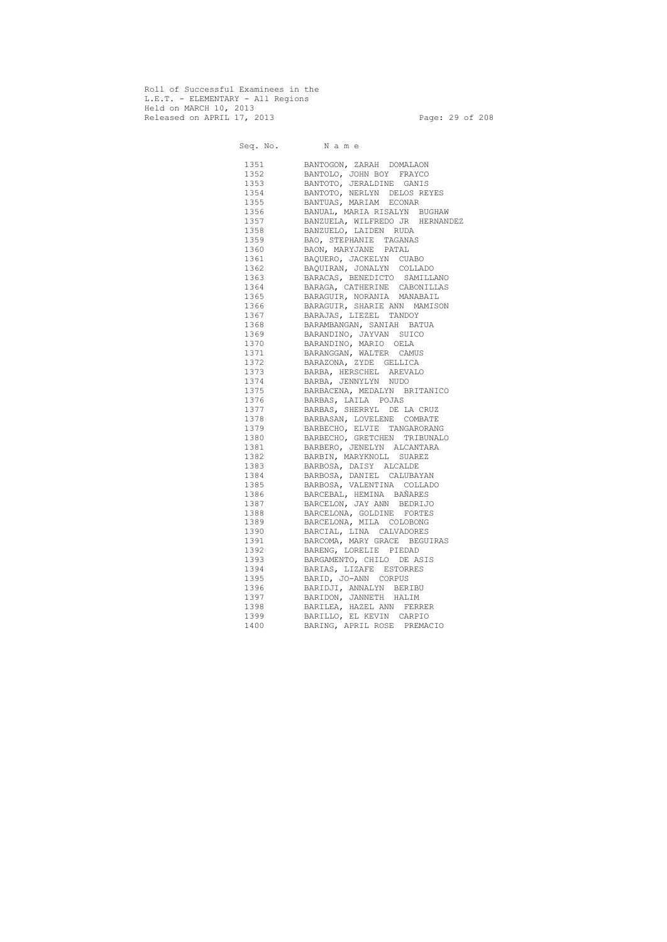Roll of Successful Examinees in the L.E.T. - ELEMENTARY - All Regions Held on MARCH 10, 2013 Released on APRIL 17, 2013 Page: 29 of 208

 Seq. No. N a m e 1351 BANTOGON, ZARAH DOMALAON 1352 BANTOLO, JOHN BOY FRAYCO 1353 BANTOTO, JERALDINE GANIS 1354 BANTOTO, NERLYN DELOS REYES 1355 BANTUAS, MARIAM ECONAR 1356 BANUAL, MARIA RISALYN BUGHAW 1357 BANZUELA, WILFREDO JR HERNANDEZ 1358 BANZUELO, LAIDEN RUDA 1359 BAO, STEPHANIE TAGANAS 1360 BAON, MARYJANE PATAL 1361 BAQUERO, JACKELYN CUABO 1362 BAQUIRAN, JONALYN COLLADO 1363 BARACAS, BENEDICTO SAMILLANO 1364 BARAGA, CATHERINE CABONILLAS 1365 BARAGUIR, NORANIA MANABAIL 1366 BARAGUIR, SHARIE ANN MAMISON 1367 BARAJAS, LIEZEL TANDOY 1368 BARAMBANGAN, SANIAH BATUA 1369 BARANDINO, JAYVAN SUICO 1370 BARANDINO, MARIO OELA 1371 BARANGGAN, WALTER CAMUS 1372 BARAZONA, ZYDE GELLICA 1373 BARBA, HERSCHEL AREVALO 1374 BARBA, JENNYLYN NUDO 1375 BARBACENA, MEDALYN BRITANICO 1376 BARBAS, LAILA POJAS 1377 BARBAS, SHERRYL DE LA CRUZ 1378 BARBASAN, LOVELENE COMBATE 1379 BARBECHO, ELVIE TANGARORANG 1380 BARBECHO, GRETCHEN TRIBUNALO 1381 BARBERO, JENELYN ALCANTARA 1382 BARBIN, MARYKNOLL SUAREZ 1383 BARBOSA, DAISY ALCALDE 1384 BARBOSA, DANIEL CALUBAYAN 1385 BARBOSA, VALENTINA COLLADO 1386 BARCEBAL, HEMINA BAÑARES 1387 BARCELON, JAY ANN BEDRIJO 1388 BARCELONA, GOLDINE FORTES 1389 BARCELONA, MILA COLOBONG 1390 BARCIAL, LINA CALVADORES 1391 BARCOMA, MARY GRACE BEGUIRAS 1392 BARENG, LORELIE PIEDAD 1393 BARGAMENTO, CHILO DE ASIS 1394 BARIAS, LIZAFE ESTORRES 1395 BARID, JO-ANN CORPUS 1396 BARIDJI, ANNALYN BERIBU 1397 BARIDON, JANNETH HALIM 1398 BARILEA, HAZEL ANN FERRER 1399 BARILLO, EL KEVIN CARPIO 1400 BARING, APRIL ROSE PREMACIO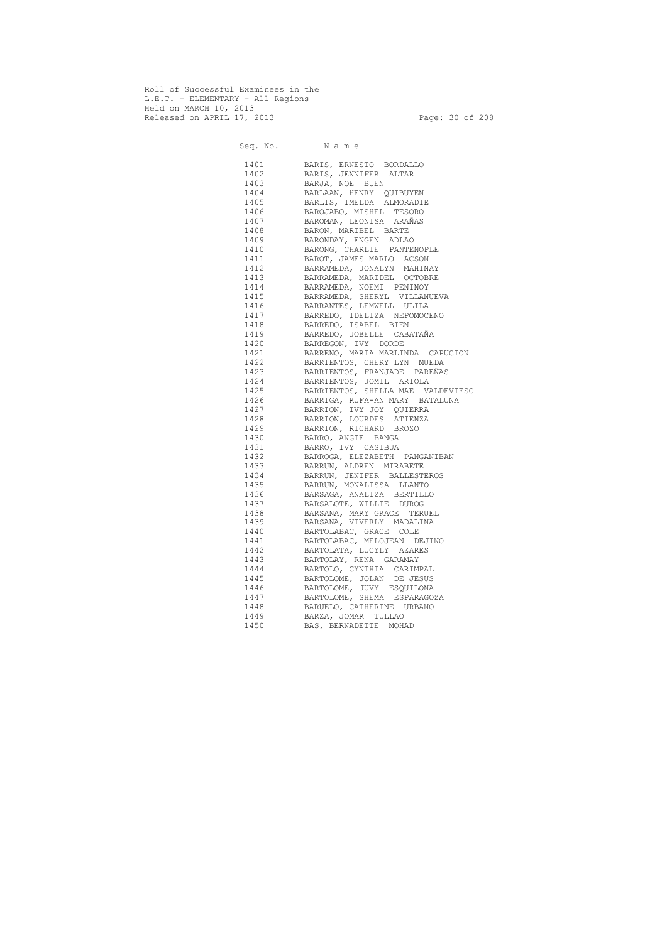Roll of Successful Examinees in the L.E.T. - ELEMENTARY - All Regions Held on MARCH 10, 2013 Released on APRIL 17, 2013 Page: 30 of 208

Seq. No. Name 1401 BARIS, ERNESTO BORDALLO 1402 BARIS, JENNIFER ALTAR 1403 BARJA, NOE BUEN 1404 BARLAAN, HENRY QUIBUYEN 1405 BARLIS, IMELDA ALMORADIE 1406 BAROJABO, MISHEL TESORO 1407 BAROMAN, LEONISA ARAÑAS 1408 BARON, MARIBEL BARTE 1409 BARONDAY, ENGEN ADLAO 1410 BARONG, CHARLIE PANTENOPLE 1411 BAROT, JAMES MARLO ACSON 1412 BARRAMEDA, JONALYN MAHINAY 1413 BARRAMEDA, MARIDEL OCTOBRE 1414 BARRAMEDA, NOEMI PENINOY 1415 BARRAMEDA, SHERYL VILLANUEVA 1416 BARRANTES, LEMWELL ULILA 1417 BARREDO, IDELIZA NEPOMOCENO 1418 BARREDO, ISABEL BIEN 1419 BARREDO, JOBELLE CABATAÑA 1420 BARREGON, IVY DORDE<br>
1421 BARRENO, MARIA MARLIN<br>
1422 BARRIENTOS, CHERY LYN<br>
1423 BARRIENTOS, FRANJADE<br>
1424 BARRIENTOS, JOMIL AF<br>
1425 BARRIENTOS, SHELLA M2<br>
1426 BARRIGA, RUFA-AN MARY 1421 BARRENO, MARIA MARLINDA CAPUCION 1422 BARRIENTOS, CHERY LYN MUEDA 1423 BARRIENTOS, FRANJADE PAREÑAS 1424 BARRIENTOS, JOMIL ARIOLA 1425 BARRIENTOS, SHELLA MAE VALDEVIESO<br>1426 BARRIGA, RUFA-AN MARY BATALUNA BARRIGA, RUFA-AN MARY BATALUNA 1427 BARRION, IVY JOY QUIERRA 1428 BARRION, LOURDES ATIENZA 1429 BARRION, RICHARD BROZO 1430 BARRO, ANGIE BANGA 1431 BARRO, IVY CASIBUA 1432 BARROGA, ELEZABETH PANGANIBAN 1433 BARRUN, ALDREN MIRABETE 1434 BARRUN, JENIFER BALLESTEROS 1435 BARRUN, MONALISSA LLANTO 1436 BARSAGA, ANALIZA BERTILLO 1437 BARSALOTE, WILLIE DUROG 1438 BARSANA, MARY GRACE TERUEL 1439 BARSANA, VIVERLY MADALINA 1440 BARTOLABAC, GRACE COLE 1441 BARTOLABAC, MELOJEAN DEJINO 1442 BARTOLATA, LUCYLY AZARES 1443 BARTOLAY, RENA GARAMAY 1444 BARTOLO, CYNTHIA CARIMPAL 1445 BARTOLOME, JOLAN DE JESUS 1446 BARTOLOME, JUVY ESQUILONA 1447 BARTOLOME, SHEMA ESPARAGOZA 1448 BARUELO, CATHERINE URBANO 1449 BARZA, JOMAR TULLAO 1450 BAS, BERNADETTE MOHAD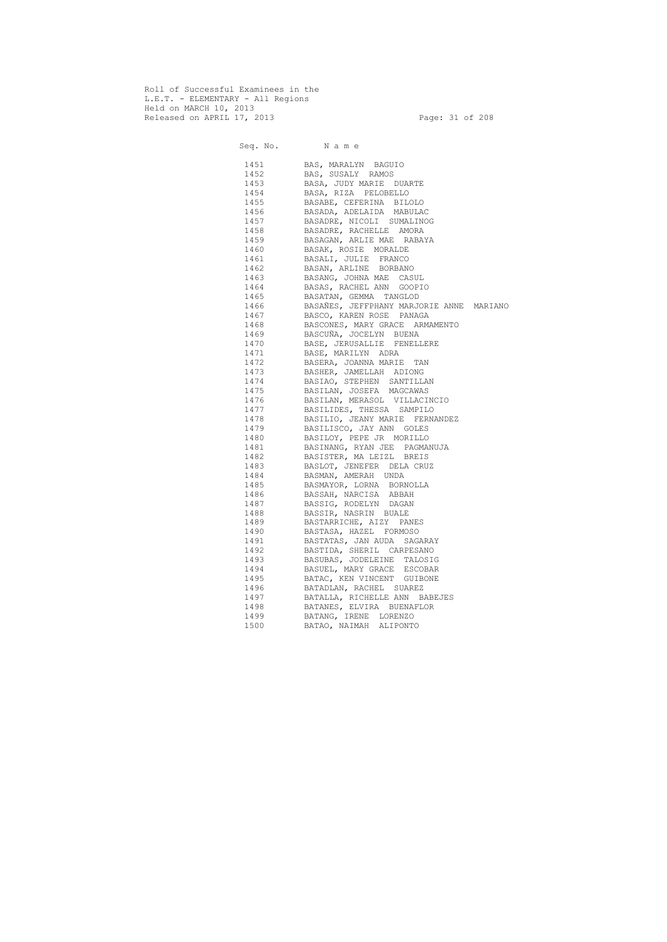Roll of Successful Examinees in the L.E.T. - ELEMENTARY - All Regions Held on MARCH 10, 2013 Released on APRIL 17, 2013 Page: 31 of 208

 Seq. No. N a m e 1451 BAS, MARALYN BAGUIO 1452 BAS, SUSALY RAMOS 1453 BASA, JUDY MARIE DUARTE 1454 BASA, RIZA PELOBELLO 1455 BASABE, CEFERINA BILOLO 1456 BASADA, ADELAIDA MABULAC 1457 BASADRE, NICOLI SUMALINOG 1458 BASADRE, RACHELLE AMORA 1459 BASAGAN, ARLIE MAE RABAYA 1460 BASAK, ROSIE MORALDE 1461 BASALI, JULIE FRANCO 1462 BASAN, ARLINE BORBANO 1463 BASANG, JOHNA MAE CASUL 1464 BASAS, RACHEL ANN GOOPIO 1465 BASATAN, GEMMA TANGLOD 1466 BASAÑES, JEFFPHANY MARJORIE ANNE MARIANO 1467 BASCO, KAREN ROSE PANAGA 1468 BASCONES, MARY GRACE ARMAMENTO 1469 BASCUÑA, JOCELYN BUENA 1470 BASE, JERUSALLIE FENELLERE 1471 BASE, MARILYN ADRA 1472 BASERA, JOANNA MARIE TAN 1473 BASHER, JAMELLAH ADIONG 1474 BASIAO, STEPHEN SANTILLAN 1475 BASILAN, JOSEFA MAGCAWAS 1476 BASILAN, MERASOL VILLACINCIO 1477 BASILIDES, THESSA SAMPILO 1478 BASILIO, JEANY MARIE FERNANDEZ 1479 BASILISCO, JAY ANN GOLES 1480 BASILOY, PEPE JR MORILLO 1481 BASINANG, RYAN JEE PAGMANUJA 1482 BASISTER, MA LEIZL BREIS 1483 BASLOT, JENEFER DELA CRUZ 1484 BASMAN, AMERAH UNDA 1485 BASMAYOR, LORNA BORNOLLA 1486 BASSAH, NARCISA ABBAH 1487 BASSIG, RODELYN DAGAN 1488 BASSIR, NASRIN BUALE 1489 BASTARRICHE, AIZY PANES 1490 BASTASA, HAZEL FORMOSO 1491 BASTATAS, JAN AUDA SAGARAY 1492 BASTIDA, SHERIL CARPESANO 1493 BASUBAS, JODELEINE TALOSIG 1494 BASUEL, MARY GRACE ESCOBAR 1495 BATAC, KEN VINCENT GUIBONE 1496 BATADLAN, RACHEL SUAREZ 1497 BATALLA, RICHELLE ANN BABEJES 1498 BATANES, ELVIRA BUENAFLOR 1499 BATANG, IRENE LORENZO 1500 BATAO, NAIMAH ALIPONTO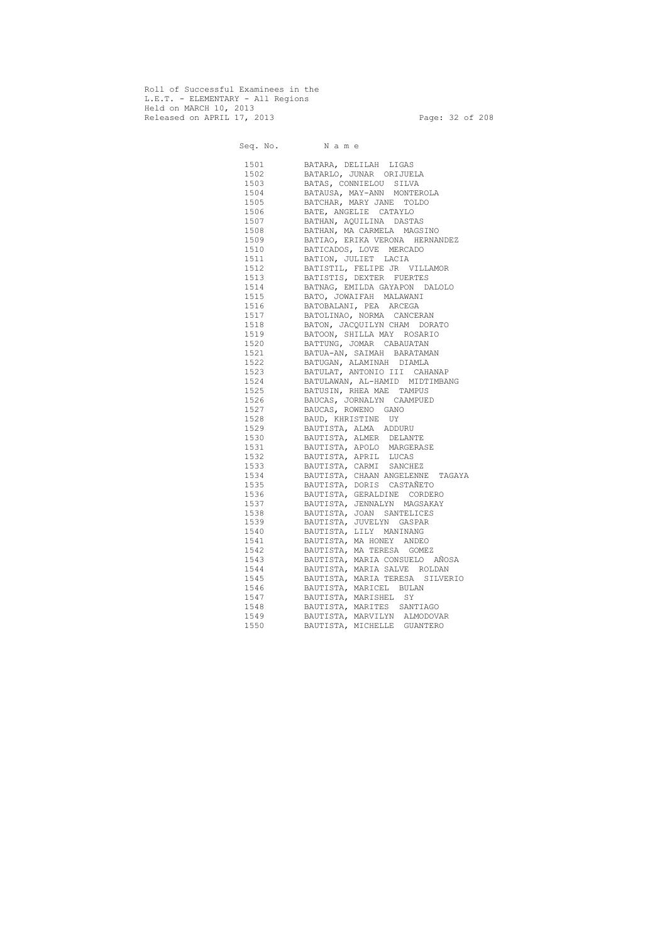Roll of Successful Examinees in the L.E.T. - ELEMENTARY - All Regions Held on MARCH 10, 2013 Released on APRIL 17, 2013 Page: 32 of 208

Seq. No. Name 1501 BATARA, DELILAH LIGAS 1502 BATARLO, JUNAR ORIJUELA 1503 BATAS, CONNIELOU SILVA 1504 BATAUSA, MAY-ANN MONTEROLA 1505 BATCHAR, MARY JANE TOLDO 1506 BATE, ANGELIE CATAYLO 1507 BATHAN, AQUILINA DASTAS 1508 BATHAN, MA CARMELA MAGSINO 1509 BATIAO, ERIKA VERONA HERNANDEZ 1510 BATICADOS, LOVE MERCADO 1511 BATION, JULIET LACIA 1512 BATISTIL, FELIPE JR VILLAMOR 1513 BATISTIS, DEXTER FUERTES 1514 BATNAG, EMILDA GAYAPON DALOLO 1515 BATO, JOWAIFAH MALAWANI 1516 BATOBALANI, PEA ARCEGA 1517 BATOLINAO, NORMA CANCERAN 1518 BATON, JACQUILYN CHAM DORATO 1519 BATOON, SHILLA MAY ROSARIO 1520 BATTUNG, JOMAR CABAUATAN 1521 BATUA-AN, SAIMAH BARATAMAN 1522 BATUGAN, ALAMINAH DIAMLA 1523 BATULAT, ANTONIO III CAHANAP 1524 BATULAWAN, AL-HAMID MIDTIMBANG 1525 BATUSIN, RHEA MAE TAMPUS 1526 BAUCAS, JORNALYN CAAMPUED 1527 BAUCAS, ROWENO GANO 1528 BAUD, KHRISTINE UY 1529 BAUTISTA, ALMA ADDURU 1530 BAUTISTA, ALMER DELANTE 1531 BAUTISTA, APOLO MARGERASE 1532 BAUTISTA, APRIL LUCAS 1533 BAUTISTA, CARMI SANCHEZ 1534 BAUTISTA, CHAAN ANGELENNE TAGAYA 1535 BAUTISTA, DORIS CASTAÑETO 1536 BAUTISTA, GERALDINE CORDERO 1537 BAUTISTA, JENNALYN MAGSAKAY 1538 BAUTISTA, JOAN SANTELICES 1539 BAUTISTA, JUVELYN GASPAR 1540 BAUTISTA, LILY MANINANG 1541 BAUTISTA, MA HONEY ANDEO 1542 BAUTISTA, MA TERESA GOMEZ 1543 BAUTISTA, MARIA CONSUELO AÑOSA 1544 BAUTISTA, MARIA SALVE ROLDAN 1545 BAUTISTA, MARIA TERESA SILVERIO 1546 BAUTISTA, MARICEL BULAN 1547 BAUTISTA, MARISHEL SY 1548 BAUTISTA, MARITES SANTIAGO 1549 BAUTISTA, MARVILYN ALMODOVAR 1550 BAUTISTA, MICHELLE GUANTERO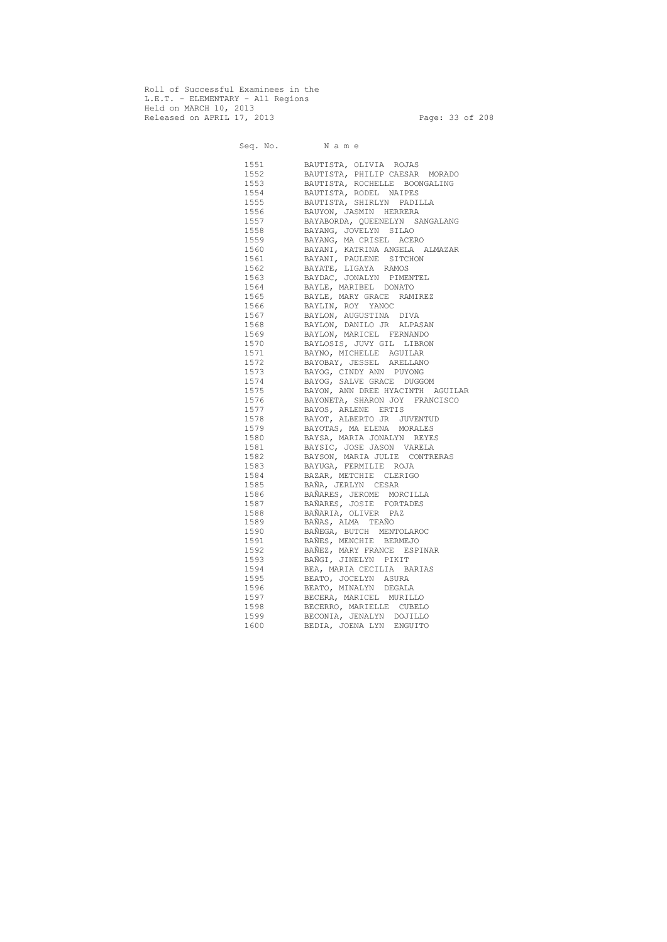Roll of Successful Examinees in the L.E.T. - ELEMENTARY - All Regions Held on MARCH 10, 2013 Released on APRIL 17, 2013 Page: 33 of 208

 Seq. No. N a m e 1551 BAUTISTA, OLIVIA ROJAS 1552 BAUTISTA, PHILIP CAESAR MORADO 1553 BAUTISTA, ROCHELLE BOONGALING 1554 BAUTISTA, RODEL NAIPES 1555 BAUTISTA, SHIRLYN PADILLA 1556 BAUYON, JASMIN HERRERA 1557 BAYABORDA, QUEENELYN SANGALANG 1558 BAYANG, JOVELYN SILAO 1559 BAYANG, MA CRISEL ACERO 1560 BAYANI, KATRINA ANGELA ALMAZAR 1561 BAYANI, PAULENE SITCHON 1562 BAYATE, LIGAYA RAMOS 1563 BAYDAC, JONALYN PIMENTEL 1564 BAYLE, MARIBEL DONATO 1565 BAYLE, MARY GRACE RAMIREZ 1566 BAYLIN, ROY YANOC 1567 BAYLON, AUGUSTINA DIVA 1568 BAYLON, DANILO JR ALPASAN 1569 BAYLON, MARICEL FERNANDO 1570 BAYLOSIS, JUVY GIL LIBRON 1571 BAYNO, MICHELLE AGUILAR 1572 BAYOBAY, JESSEL ARELLANO 1573 BAYOG, CINDY ANN PUYONG 1574 BAYOG, SALVE GRACE DUGGOM 1575 BAYON, ANN DREE HYACINTH AGUILAR 1576 BAYONETA, SHARON JOY FRANCISCO 1577 BAYOS, ARLENE ERTIS 1578 BAYOT, ALBERTO JR JUVENTUD 1579 BAYOTAS, MA ELENA MORALES 1580 BAYSA, MARIA JONALYN REYES 1581 BAYSIC, JOSE JASON VARELA 1582 BAYSON, MARIA JULIE CONTRERAS 1583 BAYUGA, FERMILIE ROJA 1584 BAZAR, METCHIE CLERIGO 1585 BAÑA, JERLYN CESAR 1586 BAÑARES, JEROME MORCILLA 1587 BAÑARES, JOSIE FORTADES 1588 BAÑARIA, OLIVER PAZ 1589 BAÑAS, ALMA TEAÑO 1590 BAÑEGA, BUTCH MENTOLAROC 1591 BAÑES, MENCHIE BERMEJO 1592 BAÑEZ, MARY FRANCE ESPINAR 1593 BAÑGI, JINELYN PIKIT 1594 BEA, MARIA CECILIA BARIAS 1595 BEATO, JOCELYN ASURA 1596 BEATO, MINALYN DEGALA 1597 BECERA, MARICEL MURILLO 1598 BECERRO, MARIELLE CUBELO 1599 BECONIA, JENALYN DOJILLO 1600 BEDIA, JOENA LYN ENGUITO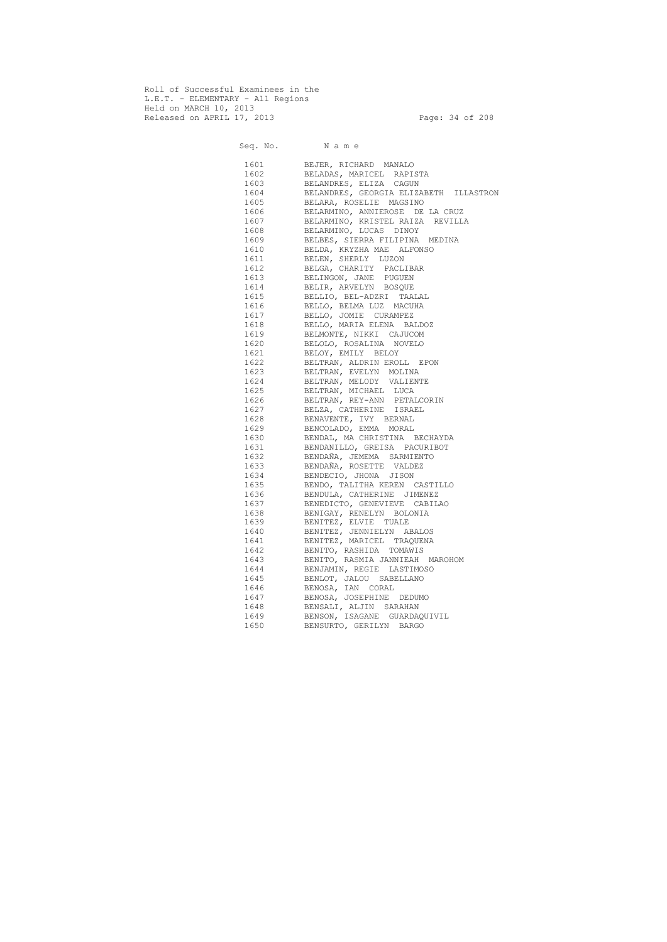Roll of Successful Examinees in the L.E.T. - ELEMENTARY - All Regions Held on MARCH 10, 2013 Released on APRIL 17, 2013 Page: 34 of 208

Seq. No. Name 1601 BEJER, RICHARD MANALO 1602 BELADAS, MARICEL RAPISTA 1603 BELANDRES, ELIZA CAGUN 1604 BELANDRES, GEORGIA ELIZABETH ILLASTRON 1605 BELARA, ROSELIE MAGSINO 1606 BELARMINO, ANNIEROSE DE LA CRUZ 1607 BELARMINO, KRISTEL RAIZA REVILLA 1608 BELARMINO, LUCAS DINOY 1609 BELBES, SIERRA FILIPINA MEDINA 1610 BELDA, KRYZHA MAE ALFONSO 1611 BELEN, SHERLY LUZON 1612 BELGA, CHARITY PACLIBAR 1613 BELINGON, JANE PUGUEN 1614 BELIR, ARVELYN BOSQUE 1615 BELLIO, BEL-ADZRI TAALAL 1616 BELLO, BELMA LUZ MACUHA 1617 BELLO, JOMIE CURAMPEZ 1618 BELLO, MARIA ELENA BALDOZ 1619 BELMONTE, NIKKI CAJUCOM 1620 BELOLO, ROSALINA NOVELO 1621 BELOY, EMILY BELOY 1622 BELTRAN, ALDRIN EROLL EPON 1623 BELTRAN, EVELYN MOLINA 1624 BELTRAN, MELODY VALIENTE 1625 BELTRAN, MICHAEL LUCA 1626 BELTRAN, REY-ANN PETALCORIN 1627 BELZA, CATHERINE ISRAEL 1628 BENAVENTE, IVY BERNAL 1629 BENCOLADO, EMMA MORAL 1630 BENDAL, MA CHRISTINA BECHAYDA 1631 BENDANILLO, GREISA PACURIBOT 1632 BENDAÑA, JEMEMA SARMIENTO 1633 BENDAÑA, ROSETTE VALDEZ 1634 BENDECIO, JHONA JISON 1635 BENDO, TALITHA KEREN CASTILLO 1636 BENDULA, CATHERINE JIMENEZ 1637 BENEDICTO, GENEVIEVE CABILAO 1638 BENIGAY, RENELYN BOLONIA 1639 BENITEZ, ELVIE TUALE 1640 BENITEZ, JENNIELYN ABALOS 1641 BENITEZ, MARICEL TRAQUENA 1642 BENITO, RASHIDA TOMAWIS 1643 BENITO, RASMIA JANNIEAH MAROHOM 1644 BENJAMIN, REGIE LASTIMOSO 1645 BENLOT, JALOU SABELLANO 1646 BENOSA, IAN CORAL 1647 BENOSA, JOSEPHINE DEDUMO 1648 BENSALI, ALJIN SARAHAN 1649 BENSON, ISAGANE GUARDAQUIVIL 1650 BENSURTO, GERILYN BARGO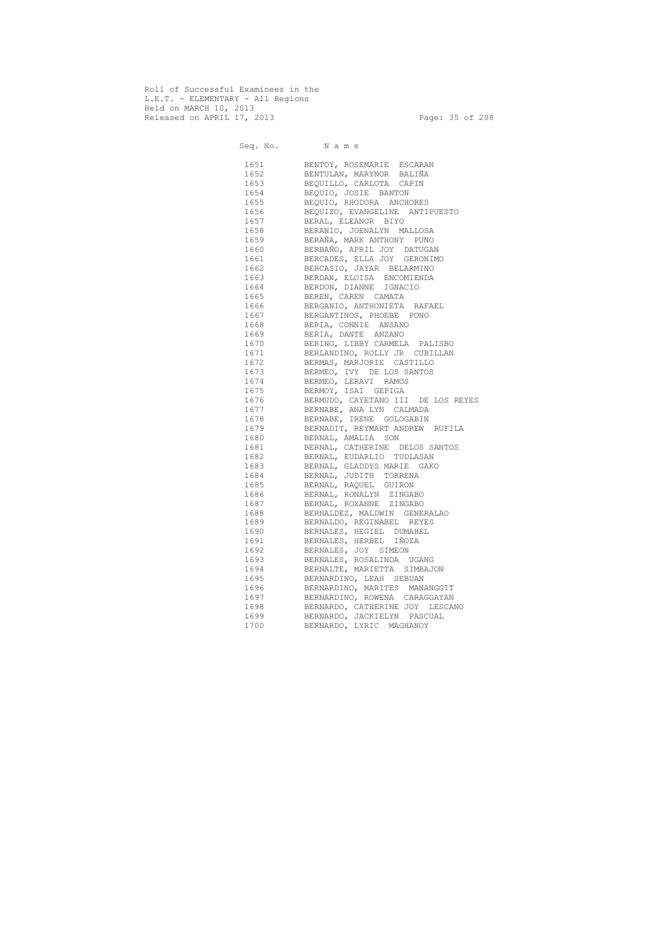Roll of Successful Examinees in the L.E.T. - ELEMENTARY - All Regions Held on MARCH 10, 2013 Released on APRIL 17, 2013 Page: 35 of 208

 Seq. No. N a m e 1651 BENTOY, ROSEMARIE ESCARAN 1652 BENTULAN, MARYNOR BALIÑA 1653 BEQUILLO, CARLOTA CAPIN 1654 BEQUIO, JOSIE BANTON 1655 BEQUIO, RHODORA ANCHORES 1656 BEQUIZO, EVANGELINE ANTIPUESTO 1657 BERAL, ELEANOR BIYO 1658 BERANIO, JOENALYN MALLOSA 1659 BERAÑA, MARK ANTHONY PUNO 1660 BERBAÑO, APRIL JOY DATUGAN 1661 BERCADES, ELLA JOY GERONIMO 1662 BERCASIO, JAYAR BELARMINO 1663 BERDAN, ELOISA ENCOMIENDA 1664 BERDON, DIANNE IGNACIO 1665 BEREN, CAREN CAMATA 1666 BERGANIO, ANTHONIETA RAFAEL 1667 BERGANTINOS, PHOEBE PONO 1668 BERIA, CONNIE ANSANO 1669 BERIA, DANTE ANZANO 1670 BERING, LIBBY CARMELA PALISBO 1671 BERLANDINO, ROLLY JR CUBILLAN 1672 BERMAS, MARJORIE CASTILLO 1673 BERMEO, IVY DE LOS SANTOS 1674 BERMEO, LERAVI RAMOS 1675 BERMOY, ISAI GEPIGA 1676 BERMUDO, CAYETANO III DE LOS REYES 1677 BERNABE, ANA LYN CALMADA 1678 BERNABE, IRENE GOLOGABIN 1679 BERNADIT, REYMART ANDREW RUFILA 1680 BERNAL, AMALIA SON 1681 BERNAL, CATHERINE DELOS SANTOS 1682 BERNAL, EUDARLIO TUDLASAN 1683 BERNAL, GLADDYS MARIE GAKO 1684 BERNAL, JUDITH TORRENA 1685 BERNAL, RAQUEL GUIRON 1686 BERNAL, RONALYN ZINGABO 1687 BERNAL, ROXANNE ZINGABO 1688 BERNALDEZ, MALDWIN GENERALAO 1689 BERNALDO, REGINABEL REYES 1690 BERNALES, HEGIEL DUMAHEL 1691 BERNALES, HERBEL IÑOZA 1692 BERNALES, JOY SIMEON 1693 BERNALES, ROSALINDA UGANG 1694 BERNALTE, MARIETTA SIMBAJON 1695 BERNARDINO, LEAH SEBUAN 1696 BERNARDINO, MARITES MANANGGIT 1697 BERNARDINO, ROWENA CARAGGAYAN 1698 BERNARDO, CATHERINE JOY LESCANO 1699 BERNARDO, JACKIELYN PASCUAL 1700 BERNARDO, LYRIC MAGHANOY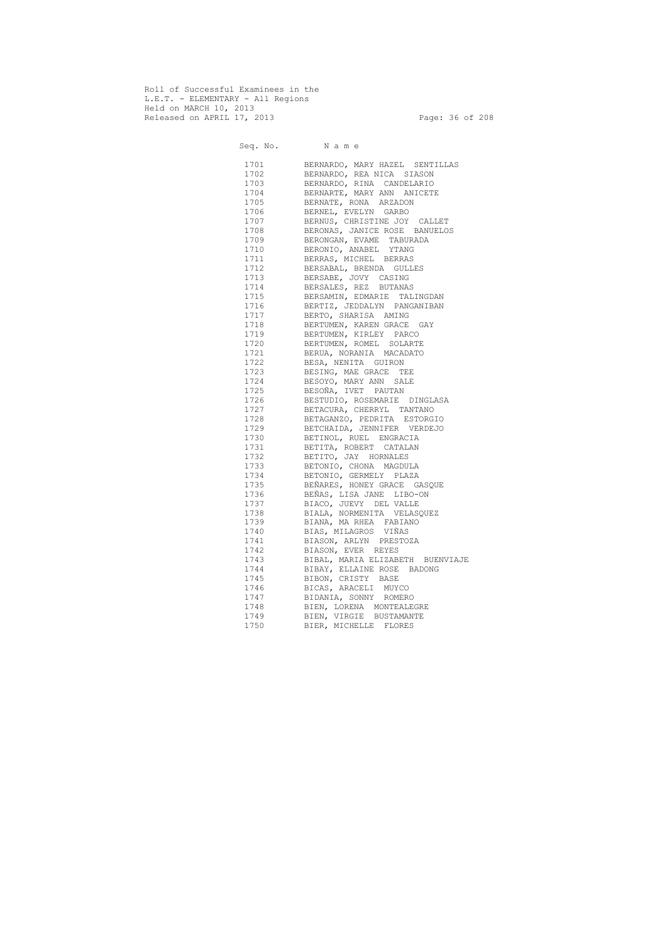Roll of Successful Examinees in the L.E.T. - ELEMENTARY - All Regions Held on MARCH 10, 2013 Released on APRIL 17, 2013 Page: 36 of 208

 Seq. No. N a m e 1701 BERNARDO, MARY HAZEL SENTILLAS 1702 BERNARDO, REA NICA SIASON 1703 BERNARDO, RINA CANDELARIO 1704 BERNARTE, MARY ANN ANICETE 1705 BERNATE, RONA ARZADON 1706 BERNEL, EVELYN GARBO 1707 BERNUS, CHRISTINE JOY CALLET 1708 BERONAS, JANICE ROSE BANUELOS 1709 BERONGAN, EVAME TABURADA 1710 BERONIO, ANABEL YTANG 1711 BERRAS, MICHEL BERRAS 1712 BERSABAL, BRENDA GULLES 1713 BERSABE, JOVY CASING 1714 BERSALES, REZ BUTANAS 1715 BERSAMIN, EDMARIE TALINGDAN 1716 BERTIZ, JEDDALYN PANGANIBAN 1717 BERTO, SHARISA AMING 1718 BERTUMEN, KAREN GRACE GAY 1719 BERTUMEN, KIRLEY PARCO 1720 BERTUMEN, ROMEL SOLARTE 1721 BERUA, NORANIA MACADATO 1722 BESA, NENITA GUIRON 1723 BESING, MAE GRACE TEE 1724 BESOYO, MARY ANN SALE 1725 BESOÑA, IVET PAUTAN 1726 BESTUDIO, ROSEMARIE DINGLASA 1727 BETACURA, CHERRYL TANTANO 1728 BETAGANZO, PEDRITA ESTORGIO 1729 BETCHAIDA, JENNIFER VERDEJO 1730 BETINOL, RUEL ENGRACIA 1731 BETITA, ROBERT CATALAN 1732 BETITO, JAY HORNALES 1733 BETONIO, CHONA MAGDULA 1734 BETONIO, GERMELY PLAZA 1735 BEÑARES, HONEY GRACE GASQUE 1736 BEÑAS, LISA JANE LIBO-ON 1737 BIACO, JUEVY DEL VALLE 1738 BIALA, NORMENITA VELASQUEZ 1739 BIANA, MA RHEA FABIANO 1740 BIAS, MILAGROS VIÑAS 1741 BIASON, ARLYN PRESTOZA 1742 BIASON, EVER REYES 1743 BIBAL, MARIA ELIZABETH BUENVIAJE 1744 BIBAY, ELLAINE ROSE BADONG 1745 BIBON, CRISTY BASE 1746 BICAS, ARACELI MUYCO 1747 BIDANIA, SONNY ROMERO 1748 BIEN, LORENA MONTEALEGRE 1749 BIEN, VIRGIE BUSTAMANTE 1750 BIER, MICHELLE FLORES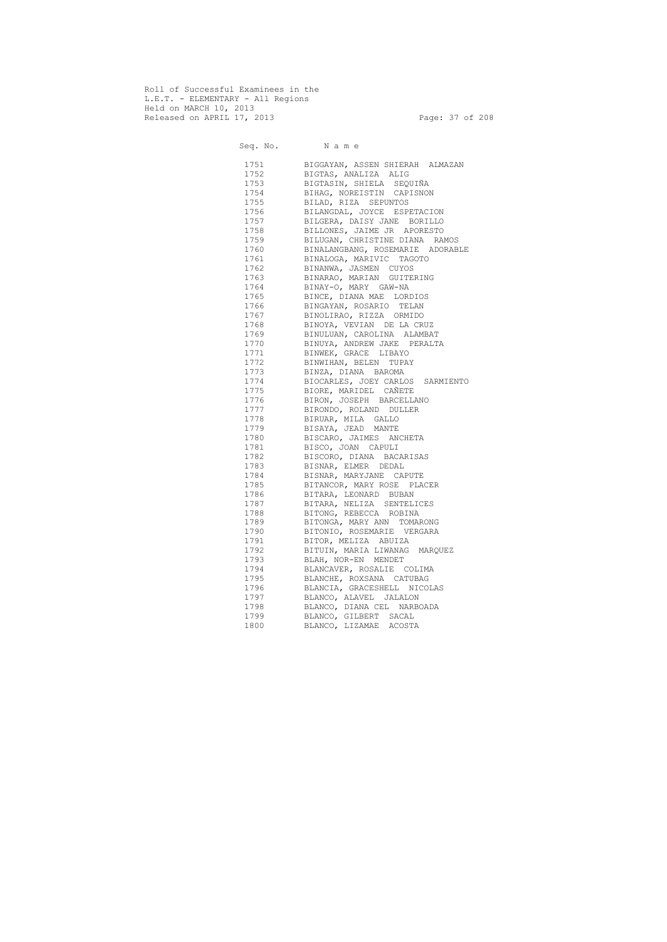Roll of Successful Examinees in the L.E.T. - ELEMENTARY - All Regions Held on MARCH 10, 2013 Released on APRIL 17, 2013 Page: 37 of 208

 Seq. No. N a m e 1751 BIGGAYAN, ASSEN SHIERAH ALMAZAN 1752 BIGTAS, ANALIZA ALIG 1753 BIGTASIN, SHIELA SEQUIÑA 1754 BIHAG, NOREISTIN CAPISNON 1755 BILAD, RIZA SEPUNTOS 1756 BILANGDAL, JOYCE ESPETACION 1757 BILGERA, DAISY JANE BORILLO 1758 BILLONES, JAIME JR APORESTO 1759 BILUGAN, CHRISTINE DIANA RAMOS 1760 BINALANGBANG, ROSEMARIE ADORABLE 1761 BINALOGA, MARIVIC TAGOTO 1762 BINANWA, JASMEN CUYOS 1763 BINARAO, MARIAN GUITERING 1764 BINAY-O, MARY GAW-NA 1765 BINCE, DIANA MAE LORDIOS 1766 BINGAYAN, ROSARIO TELAN 1767 BINOLIRAO, RIZZA ORMIDO 1768 BINOYA, VEVIAN DE LA CRUZ 1769 BINULUAN, CAROLINA ALAMBAT 1770 BINUYA, ANDREW JAKE PERALTA 1771 BINWEK, GRACE LIBAYO 1772 BINWIHAN, BELEN TUPAY 1773 BINZA, DIANA BAROMA 1774 BIOCARLES, JOEY CARLOS SARMIENTO 1775 BIORE, MARIDEL CAÑETE 1776 BIRON, JOSEPH BARCELLANO 1777 BIRONDO, ROLAND DULLER 1778 BIRUAR, MILA GALLO 1779 BISAYA, JEAD MANTE 1780 BISCARO, JAIMES ANCHETA 1781 BISCO, JOAN CAPULI 1782 BISCORO, DIANA BACARISAS 1783 BISNAR, ELMER DEDAL 1784 BISNAR, MARYJANE CAPUTE 1785 BITANCOR, MARY ROSE PLACER 1786 BITARA, LEONARD BUBAN 1787 BITARA, NELIZA SENTELICES 1788 BITONG, REBECCA ROBINA 1789 BITONGA, MARY ANN TOMARONG 1790 BITONIO, ROSEMARIE VERGARA 1791 BITOR, MELIZA ABUIZA 1792 BITUIN, MARIA LIWANAG MARQUEZ 1793 BLAH, NOR-EN MENDET 1794 BLANCAVER, ROSALIE COLIMA 1795 BLANCHE, ROXSANA CATUBAG 1796 BLANCIA, GRACESHELL NICOLAS 1797 BLANCO, ALAVEL JALALON 1798 BLANCO, DIANA CEL NARBOADA 1799 BLANCO, GILBERT SACAL 1800 BLANCO, LIZAMAE ACOSTA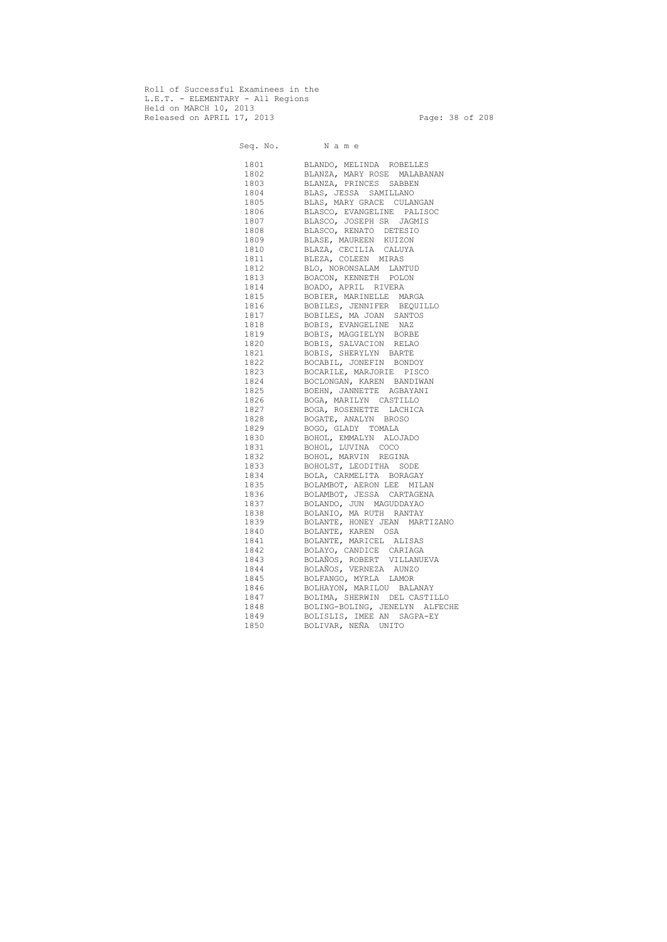Roll of Successful Examinees in the L.E.T. - ELEMENTARY - All Regions Held on MARCH 10, 2013 Released on APRIL 17, 2013 Page: 38 of 208

 Seq. No. N a m e 1801 BLANDO, MELINDA ROBELLES 1802 BLANZA, MARY ROSE MALABANAN 1803 BLANZA, PRINCES SABBEN 1804 BLAS, JESSA SAMILLANO 1805 BLAS, MARY GRACE CULANGAN 1806 BLASCO, EVANGELINE PALISOC 1807 BLASCO, JOSEPH SR JAGMIS 1808 BLASCO, RENATO DETESIO 1809 BLASE, MAUREEN KUIZON 1810 BLAZA, CECILIA CALUYA 1811 BLEZA, COLEEN MIRAS 1812 BLO, NORONSALAM LANTUD 1813 BOACON, KENNETH POLON 1814 BOADO, APRIL RIVERA 1815 BOBIER, MARINELLE MARGA 1816 BOBILES, JENNIFER BEQUILLO 1817 BOBILES, MA JOAN SANTOS 1818 BOBIS, EVANGELINE NAZ 1819 BOBIS, MAGGIELYN BORBE 1820 BOBIS, SALVACION RELAO 1821 BOBIS, SHERYLYN BARTE 1822 BOCABIL, JONEFIN BONDOY 1823 BOCARILE, MARJORIE PISCO 1824 BOCLONGAN, KAREN BANDIWAN 1825 BOEHN, JANNETTE AGBAYANI 1826 BOGA, MARILYN CASTILLO 1827 BOGA, ROSENETTE LACHICA 1828 BOGATE, ANALYN BROSO 1829 BOGO, GLADY TOMALA 1830 BOHOL, EMMALYN ALOJADO 1831 BOHOL, LUVINA COCO 1832 BOHOL, MARVIN REGINA 1833 BOHOLST, LEODITHA SODE 1834 BOLA, CARMELITA BORAGAY 1835 BOLAMBOT, AERON LEE MILAN 1836 BOLAMBOT, JESSA CARTAGENA 1837 BOLANDO, JUN MAGUDDAYAO 1838 BOLANIO, MA RUTH RANTAY 1839 BOLANTE, HONEY JEAN MARTIZANO 1840 BOLANTE, KAREN OSA 1841 BOLANTE, MARICEL ALISAS 1842 BOLAYO, CANDICE CARIAGA 1843 BOLAÑOS, ROBERT VILLANUEVA 1844 BOLAÑOS, VERNEZA AUNZO 1845 BOLFANGO, MYRLA LAMOR 1846 BOLHAYON, MARILOU BALANAY 1847 BOLIMA, SHERWIN DEL CASTILLO 1848 BOLING-BOLING, JENELYN ALFECHE 1849 BOLISLIS, IMEE AN SAGPA-EY 1850 BOLIVAR, NEÑA UNITO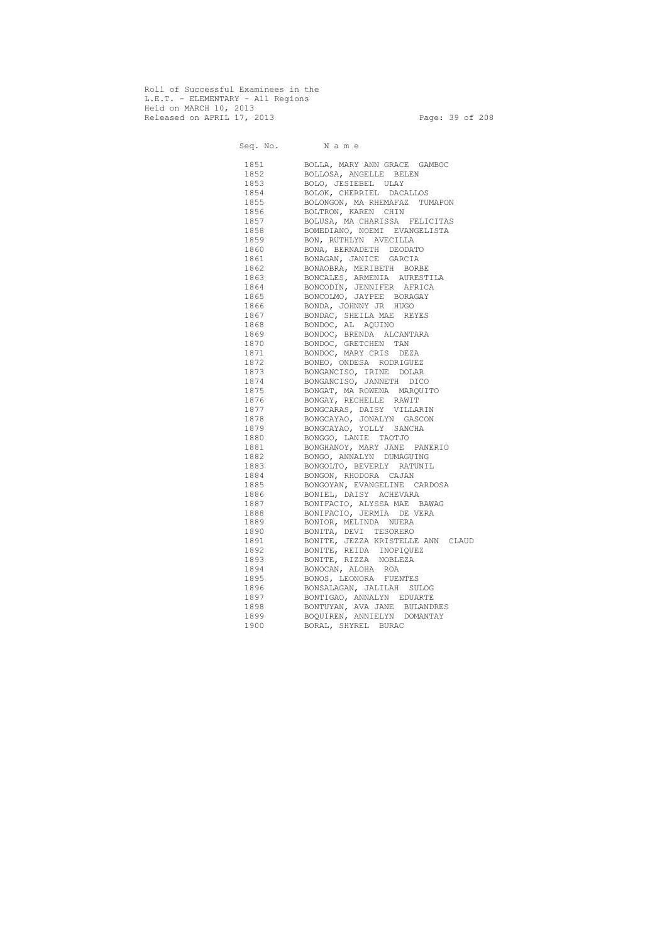Roll of Successful Examinees in the L.E.T. - ELEMENTARY - All Regions Held on MARCH 10, 2013 Released on APRIL 17, 2013 Page: 39 of 208

Seq. No. Name 1851 BOLLA, MARY ANN GRACE GAMBOC 1852 BOLLOSA, ANGELLE BELEN 1853 BOLO, JESIEBEL ULAY 1854 BOLOK, CHERRIEL DACALLOS 1855 BOLONGON, MA RHEMAFAZ TUMAPON 1856 BOLTRON, KAREN CHIN 1857 BOLUSA, MA CHARISSA FELICITAS 1858 BOMEDIANO, NOEMI EVANGELISTA 1859 BON, RUTHLYN AVECILLA 1860 BONA, BERNADETH DEODATO 1861 BONAGAN, JANICE GARCIA 1862 BONAOBRA, MERIBETH BORBE 1863 BONCALES, ARMENIA AURESTILA 1864 BONCODIN, JENNIFER AFRICA 1865 BONCOLMO, JAYPEE BORAGAY 1866 BONDA, JOHNNY JR HUGO 1867 BONDAC, SHEILA MAE REYES 1868 BONDOC, AL AQUINO 1869 BONDOC, BRENDA ALCANTARA 1870 BONDOC, GRETCHEN TAN 1871 BONDOC, MARY CRIS DEZA 1872 BONEO, ONDESA RODRIGUEZ 1873 BONGANCISO, IRINE DOLAR 1874 BONGANCISO, JANNETH DICO 1875 BONGAT, MA ROWENA MARQUITO 1876 BONGAY, RECHELLE RAWIT 1877 BONGCARAS, DAISY VILLARIN 1878 BONGCAYAO, JONALYN GASCON 1879 BONGCAYAO, YOLLY SANCHA 1880 BONGGO, LANIE TAOTJO 1881 BONGHANOY, MARY JANE PANERIO 1882 BONGO, ANNALYN DUMAGUING 1883 BONGOLTO, BEVERLY RATUNIL 1884 BONGON, RHODORA CAJAN 1885 BONGOYAN, EVANGELINE CARDOSA 1886 BONIEL, DAISY ACHEVARA 1887 BONIFACIO, ALYSSA MAE BAWAG 1888 BONIFACIO, JERMIA DE VERA 1889 BONIOR, MELINDA NUERA 1890 BONITA, DEVI TESORERO 1891 BONITE, JEZZA KRISTELLE ANN CLAUD 1892 BONITE, REIDA INOPIQUEZ 1893 BONITE, RIZZA NOBLEZA 1894 BONOCAN, ALOHA ROA 1895 BONOS, LEONORA FUENTES 1896 BONSALAGAN, JALILAH SULOG 1897 BONTIGAO, ANNALYN EDUARTE 1898 BONTUYAN, AVA JANE BULANDRES 1899 BOQUIREN, ANNIELYN DOMANTAY 1900 BORAL, SHYREL BURAC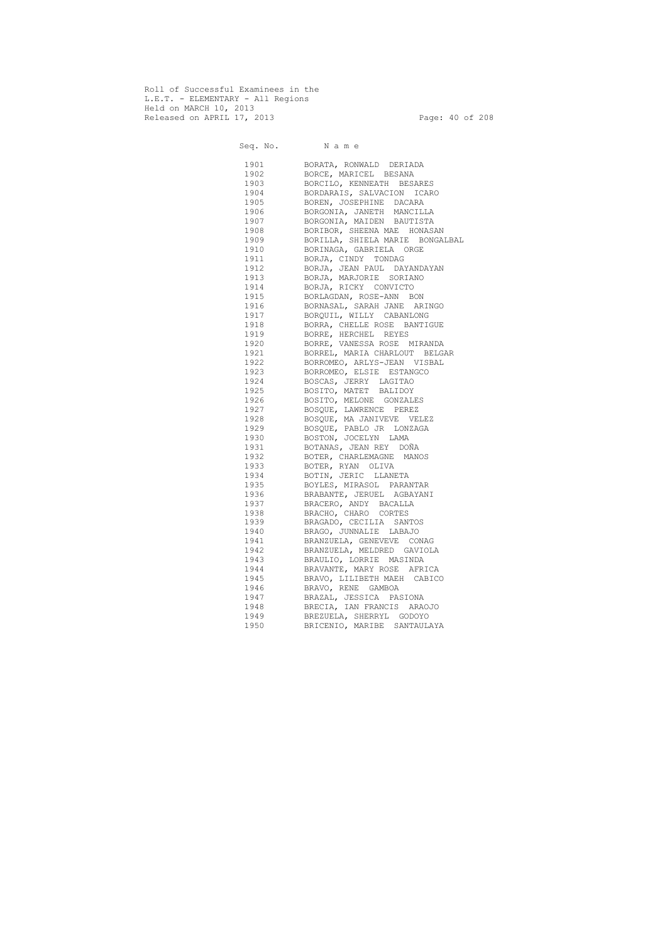Roll of Successful Examinees in the L.E.T. - ELEMENTARY - All Regions Held on MARCH 10, 2013 Released on APRIL 17, 2013 Page: 40 of 208

Seq. No. Name 1901 BORATA, RONWALD DERIADA 1902 BORCE, MARICEL BESANA 1903 BORCILO, KENNEATH BESARES 1904 BORDARAIS, SALVACION ICARO 1905 BOREN, JOSEPHINE DACARA 1906 BORGONIA, JANETH MANCILLA 1907 BORGONIA, MAIDEN BAUTISTA 1908 BORIBOR, SHEENA MAE HONASAN 1909 BORILLA, SHIELA MARIE BONGALBAL 1910 BORINAGA, GABRIELA ORGE 1911 BORJA, CINDY TONDAG 1912 BORJA, JEAN PAUL DAYANDAYAN 1913 BORJA, MARJORIE SORIANO 1914 BORJA, RICKY CONVICTO 1915 BORLAGDAN, ROSE-ANN BON 1916 BORNASAL, SARAH JANE ARINGO 1917 BORQUIL, WILLY CABANLONG 1918 BORRA, CHELLE ROSE BANTIGUE 1919 BORRE, HERCHEL REYES 1920 BORRE, VANESSA ROSE MIRANDA 1921 BORREL, MARIA CHARLOUT BELGAR 1922 BORROMEO, ARLYS-JEAN VISBAL 1923 BORROMEO, ELSIE ESTANGCO 1924 BOSCAS, JERRY LAGITAO 1925 BOSITO, MATET BALIDOY 1926 BOSITO, MELONE GONZALES 1927 BOSQUE, LAWRENCE PEREZ 1928 BOSQUE, MA JANIVEVE VELEZ 1929 BOSQUE, PABLO JR LONZAGA 1930 BOSTON, JOCELYN LAMA 1931 BOTANAS, JEAN REY DOÑA 1932 BOTER, CHARLEMAGNE MANOS 1933 BOTER, RYAN OLIVA 1934 BOTIN, JERIC LLANETA 1935 BOYLES, MIRASOL PARANTAR 1936 BRABANTE, JERUEL AGBAYANI 1937 BRACERO, ANDY BACALLA 1938 BRACHO, CHARO CORTES 1939 BRAGADO, CECILIA SANTOS 1940 BRAGO, JUNNALIE LABAJO 1941 BRANZUELA, GENEVEVE CONAG 1942 BRANZUELA, MELDRED GAVIOLA 1943 BRAULIO, LORRIE MASINDA 1944 BRAVANTE, MARY ROSE AFRICA 1945 BRAVO, LILIBETH MAEH CABICO 1946 BRAVO, RENE GAMBOA 1947 BRAZAL, JESSICA PASIONA 1948 BRECIA, IAN FRANCIS ARAOJO 1949 BREZUELA, SHERRYL GODOYO 1950 BRICENIO, MARIBE SANTAULAYA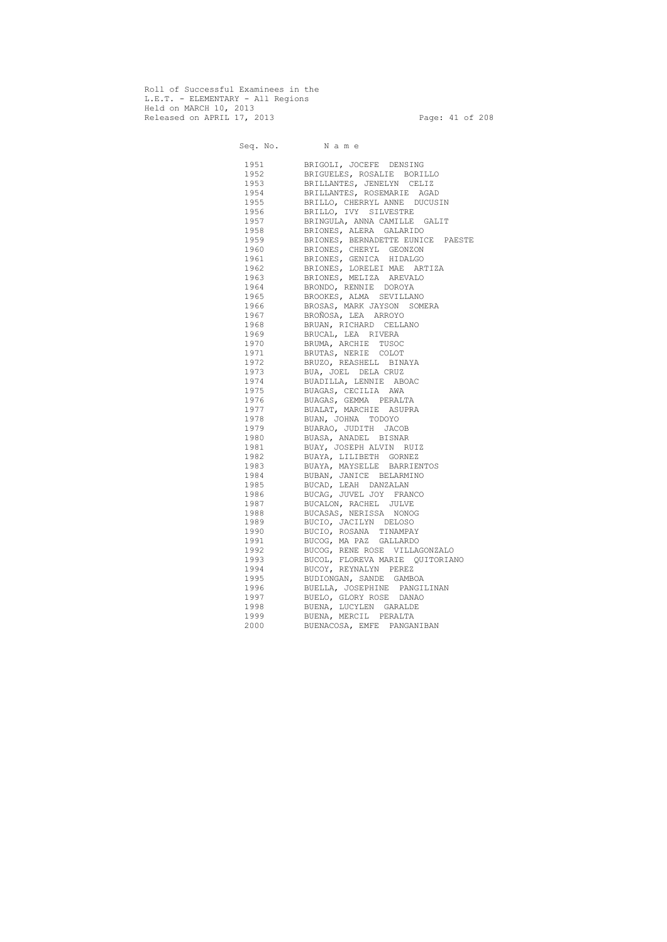Roll of Successful Examinees in the L.E.T. - ELEMENTARY - All Regions Held on MARCH 10, 2013 Released on APRIL 17, 2013 Page: 41 of 208

 Seq. No. N a m e 1951 BRIGOLI, JOCEFE DENSING 1952 BRIGUELES, ROSALIE BORILLO 1953 BRILLANTES, JENELYN CELIZ 1954 BRILLANTES, ROSEMARIE AGAD 1955 BRILLO, CHERRYL ANNE DUCUSIN 1956 BRILLO, IVY SILVESTRE 1957 BRINGULA, ANNA CAMILLE GALIT 1958 BRIONES, ALERA GALARIDO 1959 BRIONES, BERNADETTE EUNICE PAESTE 1960 BRIONES, CHERYL GEONZON 1961 BRIONES, GENICA HIDALGO 1962 BRIONES, LORELEI MAE ARTIZA 1963 BRIONES, MELIZA AREVALO 1964 BRONDO, RENNIE DOROYA 1965 BROOKES, ALMA SEVILLANO 1966 BROSAS, MARK JAYSON SOMERA 1967 BROÑOSA, LEA ARROYO 1968 BRUAN, RICHARD CELLANO 1969 BRUCAL, LEA RIVERA 1970 BRUMA, ARCHIE TUSOC 1971 BRUTAS, NERIE COLOT 1972 BRUZO, REASHELL BINAYA 1973 BUA, JOEL DELA CRUZ 1974 BUADILLA, LENNIE ABOAC 1975 BUAGAS, CECILIA AWA 1976 BUAGAS, GEMMA PERALTA 1977 BUALAT, MARCHIE ASUPRA 1978 BUAN, JOHNA TODOYO 1979 BUARAO, JUDITH JACOB 1980 BUASA, ANADEL BISNAR 1981 BUAY, JOSEPH ALVIN RUIZ 1982 BUAYA, LILIBETH GORNEZ 1983 BUAYA, MAYSELLE BARRIENTOS 1984 BUBAN, JANICE BELARMINO 1985 BUCAD, LEAH DANZALAN 1986 BUCAG, JUVEL JOY FRANCO 1987 BUCALON, RACHEL JULVE 1988 BUCASAS, NERISSA NONOG 1989 BUCIO, JACILYN DELOSO 1990 BUCIO, ROSANA TINAMPAY 1991 BUCOG, MA PAZ GALLARDO 1992 BUCOG, RENE ROSE VILLAGONZALO 1993 BUCOL, FLOREVA MARIE QUITORIANO 1994 BUCOY, REYNALYN PEREZ 1995 BUDIONGAN, SANDE GAMBOA 1996 BUELLA, JOSEPHINE PANGILINAN 1997 BUELO, GLORY ROSE DANAO 1998 BUENA, LUCYLEN GARALDE 1999 BUENA, MERCIL PERALTA 2000 BUENACOSA, EMFE PANGANIBAN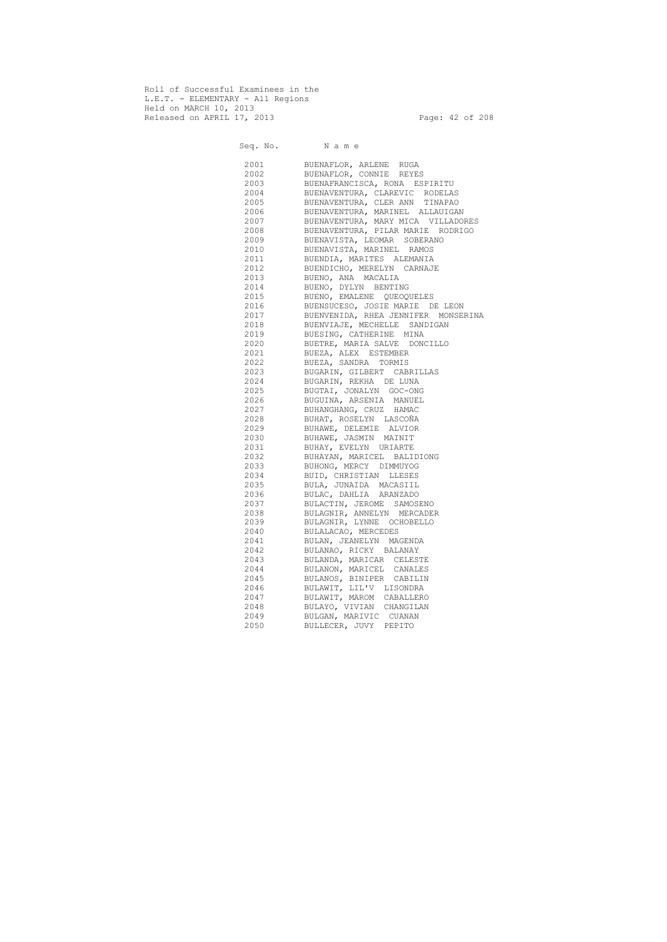Roll of Successful Examinees in the L.E.T. - ELEMENTARY - All Regions Held on MARCH 10, 2013 Released on APRIL 17, 2013 Page: 42 of 208

 Seq. No. N a m e 2001 BUENAFLOR, ARLENE RUGA 2002 BUENAFLOR, CONNIE REYES 2003 BUENAFRANCISCA, RONA ESPIRITU 2004 BUENAVENTURA, CLAREVIC RODELAS<br>2005 BUENAVENTURA, CLER ANN TINAPAO BUENAVENTURA, CLER ANN TINAPAO 2006 BUENAVENTURA, MARINEL ALLAUIGAN 2007 BUENAVENTURA, MARY MICA VILLADORES 2008 BUENAVENTURA, PILAR MARIE RODRIGO 2009 BUENAVISTA, LEOMAR SOBERANO 2010 BUENAVISTA, MARINEL RAMOS 2011 BUENDIA, MARITES ALEMANIA 2012 BUENDICHO, MERELYN CARNAJE 2013 BUENO, ANA MACALIA 2014 BUENO, DYLYN BENTING 2015 BUENO, EMALENE QUEOQUELES 2016 BUENSUCESO, JOSIE MARIE DE LEON 2017 BUENVENIDA, RHEA JENNIFER MONSERINA 2018 BUENVIAJE, MECHELLE SANDIGAN 2019 BUESING, CATHERINE MINA 2020 BUETRE, MARIA SALVE DONCILLO 2021 BUEZA, ALEX ESTEMBER 2022 BUEZA, SANDRA TORMIS 2023 BUGARIN, GILBERT CABRILLAS 2024 BUGARIN, REKHA DE LUNA 2025 BUGTAI, JONALYN GOC-ONG 2026 BUGUINA, ARSENIA MANUEL 2027 BUHANGHANG, CRUZ HAMAC 2028 BUHAT, ROSELYN LASCOÑA 2029 BUHAWE, DELEMIE ALVIOR 2030 BUHAWE, JASMIN MAINIT 2031 BUHAY, EVELYN URIARTE 2032 BUHAYAN, MARICEL BALIDIONG 2033 BUHONG, MERCY DIMMUYOG 2034 BUID, CHRISTIAN LLESES 2035 BULA, JUNAIDA MACASIIL 2036 BULAC, DAHLIA ARANZADO 2037 BULACTIN, JEROME SAMOSENO 2038 BULAGNIR, ANNELYN MERCADER 2039 BULAGNIR, LYNNE OCHOBELLO 2040 BULALACAO, MERCEDES 2041 BULAN, JEANELYN MAGENDA 2042 BULANAO, RICKY BALANAY 2043 BULANDA, MARICAR CELESTE 2044 BULANON, MARICEL CANALES 2045 BULANOS, BINIPER CABILIN 2046 BULAWIT, LIL'V LISONDRA 2047 BULAWIT, MAROM CABALLERO 2048 BULAYO, VIVIAN CHANGILAN 2049 BULGAN, MARIVIC CUANAN 2050 BULLECER, JUVY PEPITO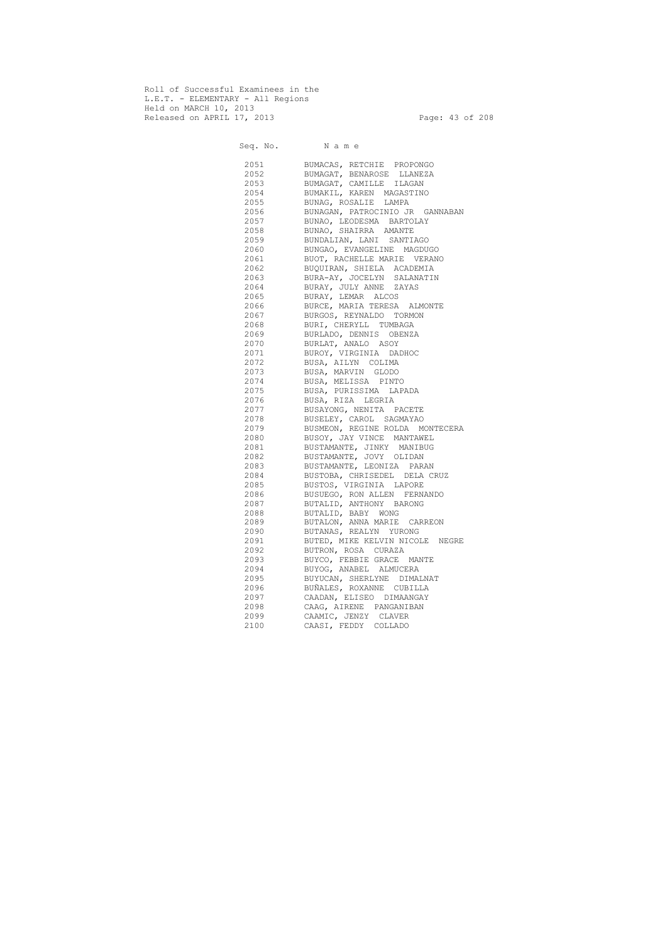Roll of Successful Examinees in the L.E.T. - ELEMENTARY - All Regions Held on MARCH 10, 2013 Released on APRIL 17, 2013 Page: 43 of 208

 Seq. No. N a m e 2051 BUMACAS, RETCHIE PROPONGO 2052 BUMAGAT, BENAROSE LLANEZA 2053 BUMAGAT, CAMILLE ILAGAN 2054 BUMAKIL, KAREN MAGASTINO 2055 BUNAG, ROSALIE LAMPA 2056 BUNAGAN, PATROCINIO JR GANNABAN 2057 BUNAO, LEODESMA BARTOLAY 2058 BUNAO, SHAIRRA AMANTE 2059 BUNDALIAN, LANI SANTIAGO 2060 BUNGAO, EVANGELINE MAGDUGO 2061 BUOT, RACHELLE MARIE VERANO 2062 BUQUIRAN, SHIELA ACADEMIA 2063 BURA-AY, JOCELYN SALANATIN 2064 BURAY, JULY ANNE ZAYAS 2065 BURAY, LEMAR ALCOS 2066 BURCE, MARIA TERESA ALMONTE 2067 BURGOS, REYNALDO TORMON 2068 BURI, CHERYLL TUMBAGA 2069 BURLADO, DENNIS OBENZA 2070 BURLAT, ANALO ASOY 2071 BUROY, VIRGINIA DADHOC 2072 BUSA, AILYN COLIMA 2073 BUSA, MARVIN GLODO 2074 BUSA, MELISSA PINTO 2075 BUSA, PURISSIMA LAPADA 2076 BUSA, RIZA LEGRIA 2077 BUSAYONG, NENITA PACETE 2078 BUSELEY, CAROL SAGMAYAO 2079 BUSMEON, REGINE ROLDA MONTECERA 2080 BUSOY, JAY VINCE MANTAWEL 2081 BUSTAMANTE, JINKY MANIBUG 2082 BUSTAMANTE, JOVY OLIDAN 2083 BUSTAMANTE, LEONIZA PARAN 2084 BUSTOBA, CHRISEDEL DELA CRUZ 2085 BUSTOS, VIRGINIA LAPORE 2086 BUSUEGO, RON ALLEN FERNANDO 2087 BUTALID, ANTHONY BARONG 2088 BUTALID, BABY WONG 2089 BUTALON, ANNA MARIE CARREON 2090 BUTANAS, REALYN YURONG 2091 BUTED, MIKE KELVIN NICOLE NEGRE 2092 BUTRON, ROSA CURAZA 2093 BUYCO, FEBBIE GRACE MANTE 2094 BUYOG, ANABEL ALMUCERA 2095 BUYUCAN, SHERLYNE DIMALNAT 2096 BUÑALES, ROXANNE CUBILLA 2097 CAADAN, ELISEO DIMAANGAY 2098 CAAG, AIRENE PANGANIBAN 2099 CAAMIC, JENZY CLAVER 2100 CAASI, FEDDY COLLADO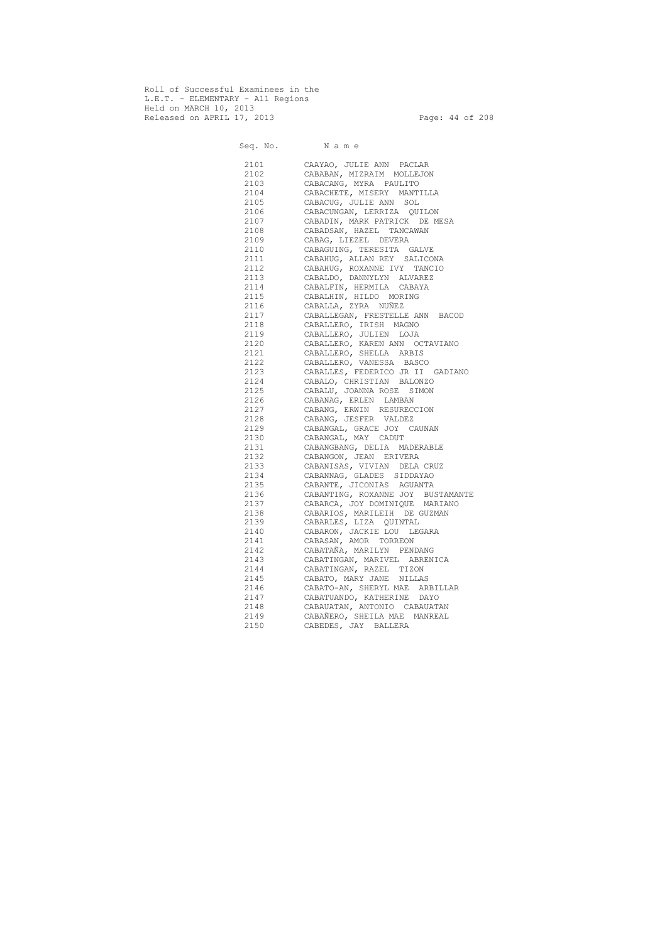Roll of Successful Examinees in the L.E.T. - ELEMENTARY - All Regions Held on MARCH 10, 2013 Released on APRIL 17, 2013 Page: 44 of 208

Seq. No. Name 2101 CAAYAO, JULIE ANN PACLAR 2102 CABABAN, MIZRAIM MOLLEJON 2103 CABACANG, MYRA PAULITO 2104 CABACHETE, MISERY MANTILLA CABACUG, JULIE ANN SOL 2106 CABACUNGAN, LERRIZA QUILON 2107 CABADIN, MARK PATRICK DE MESA 2108 CABADSAN, HAZEL TANCAWAN 2109 CABAG, LIEZEL DEVERA 2110 CABAGUING, TERESITA GALVE 2111 CABAHUG, ALLAN REY SALICONA 2112 CABAHUG, ROXANNE IVY TANCIO 2113 CABALDO, DANNYLYN ALVAREZ 2114 CABALFIN, HERMILA CABAYA 2115 CABALHIN, HILDO MORING 2116 CABALLA, ZYRA NUÑEZ 2117 CABALLEGAN, FRESTELLE ANN BACOD 2118 CABALLERO, IRISH MAGNO 2119 CABALLERO, JULIEN LOJA 2120 CABALLERO, KAREN ANN OCTAVIANO 2121 CABALLERO, SHELLA ARBIS 2122 CABALLERO, VANESSA BASCO 2123 CABALLES, FEDERICO JR II GADIANO 2124 CABALO, CHRISTIAN BALONZO 2125 CABALU, JOANNA ROSE SIMON 2126 CABANAG, ERLEN LAMBAN 2127 CABANG, ERWIN RESURECCION 2128 CABANG, JESFER VALDEZ 2129 CABANGAL, GRACE JOY CAUNAN 2130 CABANGAL, MAY CADUT 2131 CABANGBANG, DELIA MADERABLE 2132 CABANGON, JEAN ERIVERA 2133 CABANISAS, VIVIAN DELA CRUZ 2134 CABANNAG, GLADES SIDDAYAO 2135 CABANTE, JICONIAS AGUANTA 2136 CABANTING, ROXANNE JOY BUSTAMANTE 2137 CABARCA, JOY DOMINIQUE MARIANO 2138 CABARIOS, MARILEIH DE GUZMAN 2139 CABARLES, LIZA QUINTAL 2140 CABARON, JACKIE LOU LEGARA 2141 CABASAN, AMOR TORREON 2142 CABATAÑA, MARILYN PENDANG 2143 CABATINGAN, MARIVEL ABRENICA 2144 CABATINGAN, RAZEL TIZON 2145 CABATO, MARY JANE NILLAS 2146 CABATO-AN, SHERYL MAE ARBILLAR 2147 CABATUANDO, KATHERINE DAYO 2148 CABAUATAN, ANTONIO CABAUATAN 2149 CABAÑERO, SHEILA MAE MANREAL 2150 CABEDES, JAY BALLERA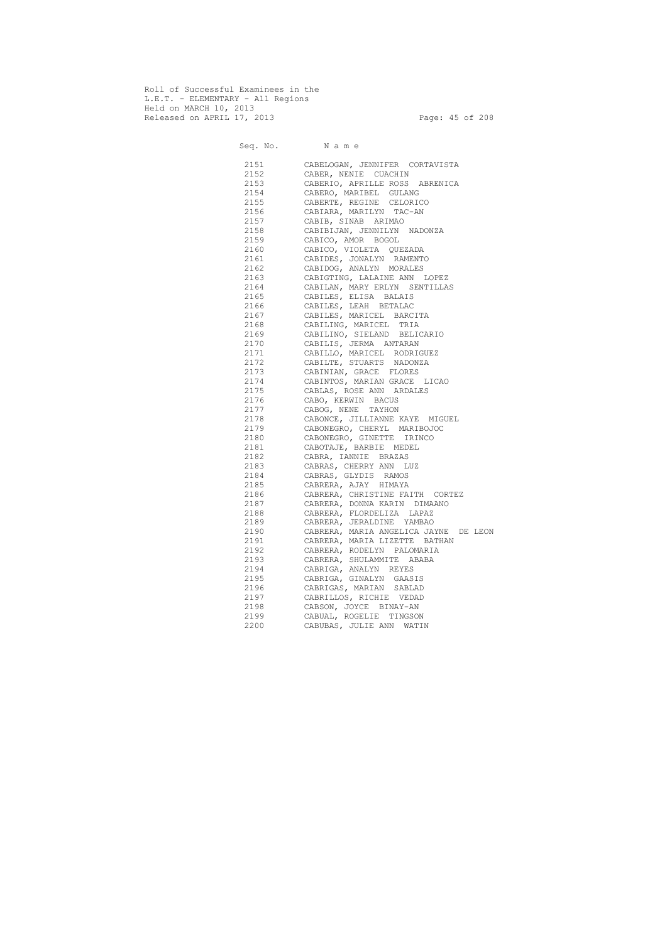Roll of Successful Examinees in the L.E.T. - ELEMENTARY - All Regions Held on MARCH 10, 2013 Released on APRIL 17, 2013 Page: 45 of 208

 Seq. No. N a m e 2151 CABELOGAN, JENNIFER CORTAVISTA 2152 CABER, NENIE CUACHIN 2153 CABERIO, APRILLE ROSS ABRENICA 2154 CABERO, MARIBEL GULANG CABERTE, REGINE CELORICO 2156 CABIARA, MARILYN TAC-AN 2157 CABIB, SINAB ARIMAO<br>2158 CABIBIJAN, JENNILYN CABIBIJAN, JENNILYN NADONZA 2159 CABICO, AMOR BOGOL 2160 CABICO, VIOLETA QUEZADA 2161 CABIDES, JONALYN RAMENTO 2162 CABIDOG, ANALYN MORALES 2163 CABIGTING, LALAINE ANN LOPEZ 2164 CABILAN, MARY ERLYN SENTILLAS 2165 CABILES, ELISA BALAIS 2166 CABILES, LEAH BETALAC 2167 CABILES, MARICEL BARCITA 2168 CABILING, MARICEL TRIA 2169 CABILINO, SIELAND BELICARIO 2170 CABILIS, JERMA ANTARAN 2171 CABILLO, MARICEL RODRIGUEZ 2172 CABILTE, STUARTS NADONZA 2173 CABINIAN, GRACE FLORES 2174 CABINTOS, MARIAN GRACE LICAO 2175 CABLAS, ROSE ANN ARDALES 2176 CABO, KERWIN BACUS 2177 CABOG, NENE TAYHON 2178 CABONCE, JILLIANNE KAYE MIGUEL 2179 CABONEGRO, CHERYL MARIBOJOC 2180 CABONEGRO, GINETTE IRINCO 2181 CABOTAJE, BARBIE MEDEL 2182 CABRA, IANNIE BRAZAS 2183 CABRAS, CHERRY ANN LUZ 2184 CABRAS, GLYDIS RAMOS 2185 CABRERA, AJAY HIMAYA 2186 CABRERA, CHRISTINE FAITH CORTEZ 2187 CABRERA, DONNA KARIN DIMAANO 2188 CABRERA, FLORDELIZA LAPAZ 2189 CABRERA, JERALDINE YAMBAO 2190 CABRERA, MARIA ANGELICA JAYNE DE LEON 2191 CABRERA, MARIA LIZETTE BATHAN 2192 CABRERA, RODELYN PALOMARIA 2193 CABRERA, SHULAMMITE ABABA 2194 CABRIGA, ANALYN REYES 2195 CABRIGA, GINALYN GAASIS 2196 CABRIGAS, MARIAN SABLAD 2197 CABRILLOS, RICHIE VEDAD 2198 CABSON, JOYCE BINAY-AN 2199 CABUAL, ROGELIE TINGSON 2200 CABUBAS, JULIE ANN WATIN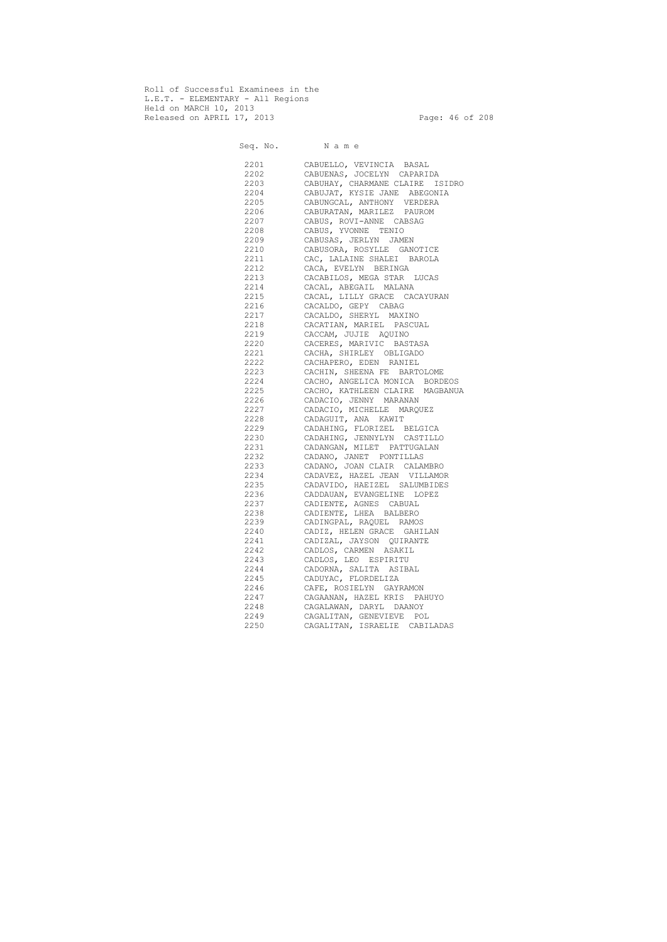Roll of Successful Examinees in the L.E.T. - ELEMENTARY - All Regions Held on MARCH 10, 2013 Released on APRIL 17, 2013 Page: 46 of 208

 Seq. No. N a m e 2201 CABUELLO, VEVINCIA BASAL 2202 CABUENAS, JOCELYN CAPARIDA 2203 CABUHAY, CHARMANE CLAIRE ISIDRO 2204 CABUJAT, KYSIE JANE ABEGONIA 2205 CABUNGCAL, ANTHONY VERDERA 2206 CABURATAN, MARILEZ PAUROM 2207 CABUS, ROVI-ANNE CABSAG 2208 CABUS, YVONNE TENIO 2209 CABUSAS, JERLYN JAMEN 2210 CABUSORA, ROSYLLE GANOTICE 2211 CAC, LALAINE SHALEI BAROLA 2212 CACA, EVELYN BERINGA 2213 CACABILOS, MEGA STAR LUCAS 2214 CACAL, ABEGAIL MALANA 2215 CACAL, LILLY GRACE CACAYURAN 2216 CACALDO, GEPY CABAG 2217 CACALDO, SHERYL MAXINO 2218 CACATIAN, MARIEL PASCUAL 2219 CACCAM, JUJIE AQUINO 2220 CACERES, MARIVIC BASTASA 2221 CACHA, SHIRLEY OBLIGADO 2222 CACHAPERO, EDEN RANIEL 2223 CACHIN, SHEENA FE BARTOLOME 2224 CACHO, ANGELICA MONICA BORDEOS 2225 CACHO, KATHLEEN CLAIRE MAGBANUA 2226 CADACIO, JENNY MARANAN 2227 CADACIO, MICHELLE MARQUEZ 2228 CADAGUIT, ANA KAWIT 2229 CADAHING, FLORIZEL BELGICA 2230 CADAHING, JENNYLYN CASTILLO 2231 CADANGAN, MILET PATTUGALAN 2232 CADANO, JANET PONTILLAS 2233 CADANO, JOAN CLAIR CALAMBRO 2234 CADAVEZ, HAZEL JEAN VILLAMOR 2235 CADAVIDO, HAEIZEL SALUMBIDES 2236 CADDAUAN, EVANGELINE LOPEZ 2237 CADIENTE, AGNES CABUAL 2238 CADIENTE, LHEA BALBERO 2239 CADINGPAL, RAQUEL RAMOS 2240 CADIZ, HELEN GRACE GAHILAN 2241 CADIZAL, JAYSON QUIRANTE 2242 CADLOS, CARMEN ASAKIL 2243 CADLOS, LEO ESPIRITU 2244 CADORNA, SALITA ASIBAL 2245 CADUYAC, FLORDELIZA 2246 CAFE, ROSIELYN GAYRAMON 2247 CAGAANAN, HAZEL KRIS PAHUYO 2248 CAGALAWAN, DARYL DAANOY 2249 CAGALITAN, GENEVIEVE POL 2250 CAGALITAN, ISRAELIE CABILADAS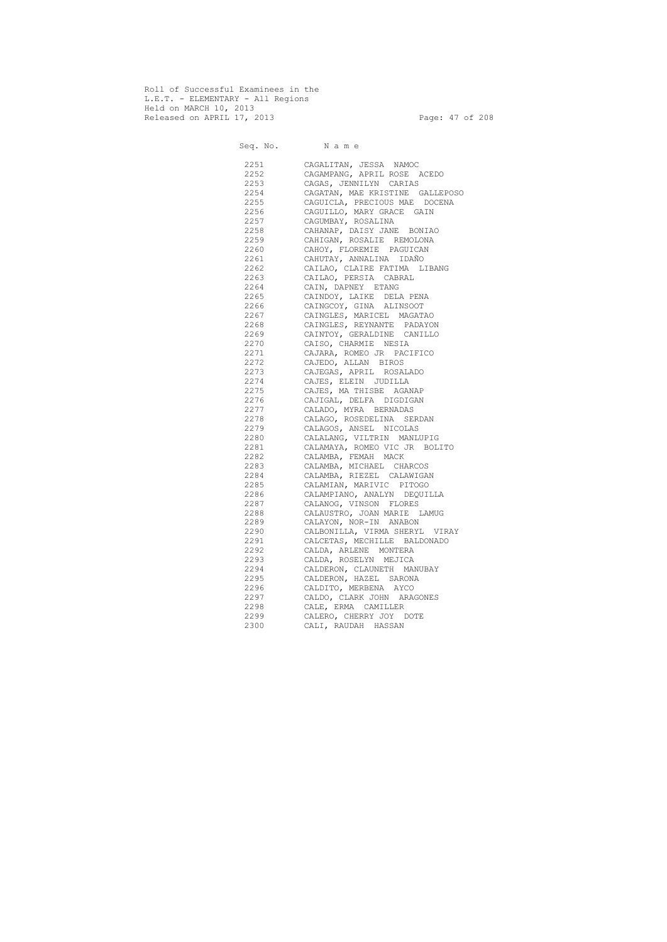Roll of Successful Examinees in the L.E.T. - ELEMENTARY - All Regions Held on MARCH 10, 2013 Released on APRIL 17, 2013 Page: 47 of 208

 Seq. No. N a m e 2251 CAGALITAN, JESSA NAMOC 2252 CAGAMPANG, APRIL ROSE ACEDO 2253 CAGAS, JENNILYN CARIAS 2254 CAGATAN, MAE KRISTINE GALLEPOSO 2255 CAGUICLA, PRECIOUS MAE DOCENA 2256 CAGUILLO, MARY GRACE GAIN 2257 CAGUMBAY, ROSALINA 2258 CAHANAP, DAISY JANE BONIAO 2259 CAHIGAN, ROSALIE REMOLONA 2260 CAHOY, FLOREMIE PAGUICAN 2261 CAHUTAY, ANNALINA IDAÑO 2262 CAILAO, CLAIRE FATIMA LIBANG 2263 CAILAO, PERSIA CABRAL 2264 CAIN, DAPNEY ETANG 2265 CAINDOY, LAIKE DELA PENA 2266 CAINGCOY, GINA ALINSOOT 2267 CAINGLES, MARICEL MAGATAO 2268 CAINGLES, REYNANTE PADAYON 2269 CAINTOY, GERALDINE CANILLO 2270 CAISO, CHARMIE NESIA 2271 CAJARA, ROMEO JR PACIFICO 2272 CAJEDO, ALLAN BIROS 2273 CAJEGAS, APRIL ROSALADO 2274 CAJES, ELEIN JUDILLA 2275 CAJES, MA THISBE AGANAP 2276 CAJIGAL, DELFA DIGDIGAN 2277 CALADO, MYRA BERNADAS 2278 CALAGO, ROSEDELINA SERDAN 2279 CALAGOS, ANSEL NICOLAS 2280 CALALANG, VILTRIN MANLUPIG 2281 CALAMAYA, ROMEO VIC JR BOLITO 2282 CALAMBA, FEMAH MACK 2283 CALAMBA, MICHAEL CHARCOS 2284 CALAMBA, RIEZEL CALAWIGAN 2285 CALAMIAN, MARIVIC PITOGO 2286 CALAMPIANO, ANALYN DEQUILLA 2287 CALANOG, VINSON FLORES 2288 CALAUSTRO, JOAN MARIE LAMUG 2289 CALAYON, NOR-IN ANABON 2290 CALBONILLA, VIRMA SHERYL VIRAY 2291 CALCETAS, MECHILLE BALDONADO 2292 CALDA, ARLENE MONTERA 2293 CALDA, ROSELYN MEJICA 2294 CALDERON, CLAUNETH MANUBAY 2295 CALDERON, HAZEL SARONA 2296 CALDITO, MERBENA AYCO 2297 CALDO, CLARK JOHN ARAGONES 2298 CALE, ERMA CAMILLER 2299 CALERO, CHERRY JOY DOTE 2300 CALI, RAUDAH HASSAN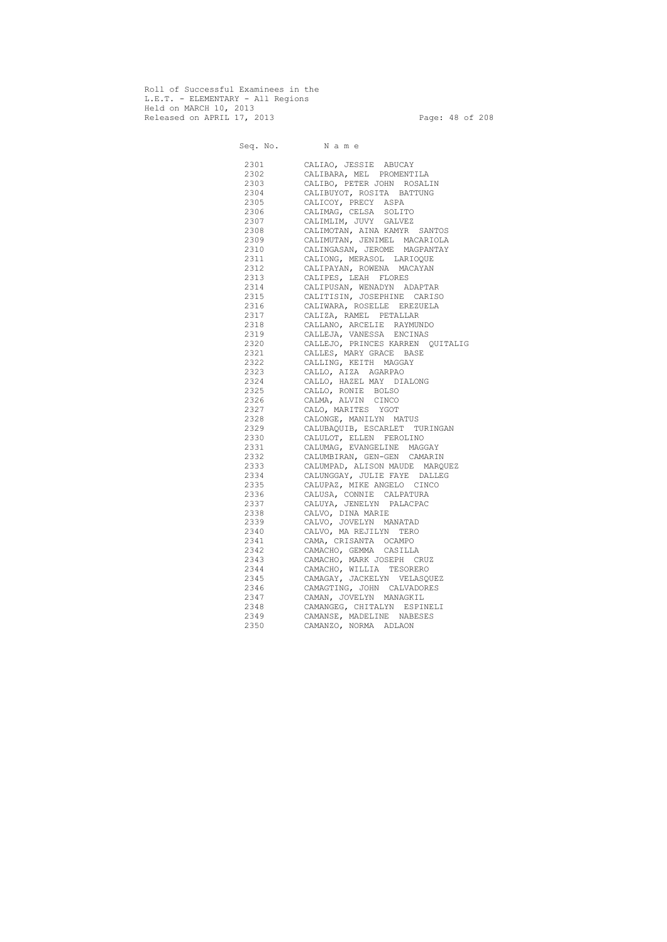Roll of Successful Examinees in the L.E.T. - ELEMENTARY - All Regions Held on MARCH 10, 2013 Released on APRIL 17, 2013 Page: 48 of 208

 Seq. No. N a m e 2301 CALIAO, JESSIE ABUCAY 2302 CALIBARA, MEL PROMENTILA 2303 CALIBO, PETER JOHN ROSALIN 2304 CALIBUYOT, ROSITA BATTUNG 2305 CALICOY, PRECY ASPA 2306 CALIMAG, CELSA SOLITO 2307 CALIMLIM, JUVY GALVEZ 2308 CALIMOTAN, AINA KAMYR SANTOS 2309 CALIMUTAN, JENIMEL MACARIOLA 2310 CALINGASAN, JEROME MAGPANTAY 2311 CALIONG, MERASOL LARIOQUE 2312 CALIPAYAN, ROWENA MACAYAN 2313 CALIPES, LEAH FLORES 2314 CALIPUSAN, WENADYN ADAPTAR 2315 CALITISIN, JOSEPHINE CARISO 2316 CALIWARA, ROSELLE EREZUELA 2317 CALIZA, RAMEL PETALLAR 2318 CALLANO, ARCELIE RAYMUNDO 2319 CALLEJA, VANESSA ENCINAS 2320 CALLEJO, PRINCES KARREN QUITALIG 2321 CALLES, MARY GRACE BASE 2322 CALLING, KEITH MAGGAY 2323 CALLO, AIZA AGARPAO 2324 CALLO, HAZEL MAY DIALONG 2325 CALLO, RONIE BOLSO 2326 CALMA, ALVIN CINCO 2327 CALO, MARITES YGOT 2328 CALONGE, MANILYN MATUS 2329 CALUBAQUIB, ESCARLET TURINGAN 2330 CALULOT, ELLEN FEROLINO 2331 CALUMAG, EVANGELINE MAGGAY 2332 CALUMBIRAN, GEN-GEN CAMARIN 2333 CALUMPAD, ALISON MAUDE MARQUEZ 2334 CALUNGGAY, JULIE FAYE DALLEG 2335 CALUPAZ, MIKE ANGELO CINCO 2336 CALUSA, CONNIE CALPATURA 2337 CALUYA, JENELYN PALACPAC 2338 CALVO, DINA MARIE 2339 CALVO, JOVELYN MANATAD 2340 CALVO, MA REJILYN TERO 2341 CAMA, CRISANTA OCAMPO 2342 CAMACHO, GEMMA CASILLA 2343 CAMACHO, MARK JOSEPH CRUZ 2344 CAMACHO, WILLIA TESORERO 2345 CAMAGAY, JACKELYN VELASQUEZ 2346 CAMAGTING, JOHN CALVADORES 2347 CAMAN, JOVELYN MANAGKIL 2348 CAMANGEG, CHITALYN ESPINELI 2349 CAMANSE, MADELINE NABESES 2350 CAMANZO, NORMA ADLAON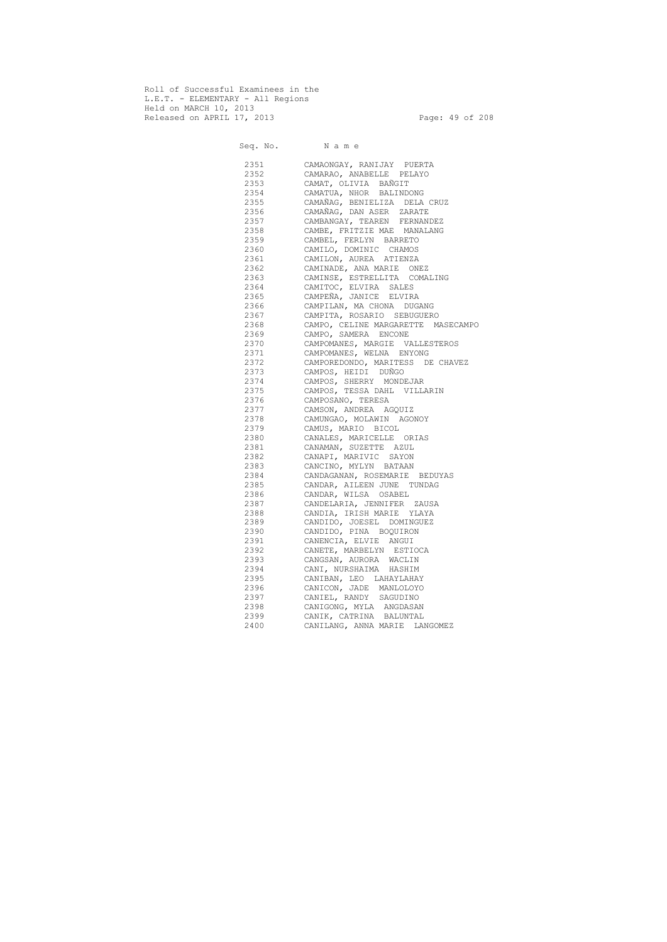Roll of Successful Examinees in the L.E.T. - ELEMENTARY - All Regions Held on MARCH 10, 2013 Released on APRIL 17, 2013 Page: 49 of 208

 Seq. No. N a m e 2351 CAMAONGAY, RANIJAY PUERTA 2352 CAMARAO, ANABELLE PELAYO 2353 CAMAT, OLIVIA BAÑGIT 2354 CAMATUA, NHOR BALINDONG CAMAÑAG, BENIELIZA DELA CRUZ 2356 CAMAÑAG, DAN ASER ZARATE 2357 CAMBANGAY, TEAREN FERNANDEZ 2358 CAMBE, FRITZIE MAE MANALANG 2359 CAMBEL, FERLYN BARRETO 2360 CAMILO, DOMINIC CHAMOS 2361 CAMILON, AUREA ATIENZA 2362 CAMINADE, ANA MARIE ONEZ 2363 CAMINSE, ESTRELLITA COMALING 2364 CAMITOC, ELVIRA SALES 2365 CAMPEÑA, JANICE ELVIRA 2366 CAMPILAN, MA CHONA DUGANG 2367 CAMPITA, ROSARIO SEBUGUERO 2368 CAMPO, CELINE MARGARETTE MASECAMPO 2369 CAMPO, SAMERA ENCONE 2370 CAMPOMANES, MARGIE VALLESTEROS 2371 CAMPOMANES, WELNA ENYONG 2372 CAMPOREDONDO, MARITESS DE CHAVEZ 2373 CAMPOS, HEIDI DUÑGO 2374 CAMPOS, SHERRY MONDEJAR 2375 CAMPOS, TESSA DAHL VILLARIN 2376 CAMPOSANO, TERESA 2377 CAMSON, ANDREA AGQUIZ 2378 CAMUNGAO, MOLAWIN AGONOY 2379 CAMUS, MARIO BICOL 2380 CANALES, MARICELLE ORIAS 2381 CANAMAN, SUZETTE AZUL 2382 CANAPI, MARIVIC SAYON 2383 CANCINO, MYLYN BATAAN 2384 CANDAGANAN, ROSEMARIE BEDUYAS 2385 CANDAR, AILEEN JUNE TUNDAG 2386 CANDAR, WILSA OSABEL 2387 CANDELARIA, JENNIFER ZAUSA 2388 CANDIA, IRISH MARIE YLAYA 2389 CANDIDO, JOESEL DOMINGUEZ 2390 CANDIDO, PINA BOQUIRON 2391 CANENCIA, ELVIE ANGUI 2392 CANETE, MARBELYN ESTIOCA 2393 CANGSAN, AURORA WACLIN 2394 CANI, NURSHAIMA HASHIM 2395 CANIBAN, LEO LAHAYLAHAY 2396 CANICON, JADE MANLOLOYO 2397 CANIEL, RANDY SAGUDINO 2398 CANIGONG, MYLA ANGDASAN 2399 CANIK, CATRINA BALUNTAL 2400 CANILANG, ANNA MARIE LANGOMEZ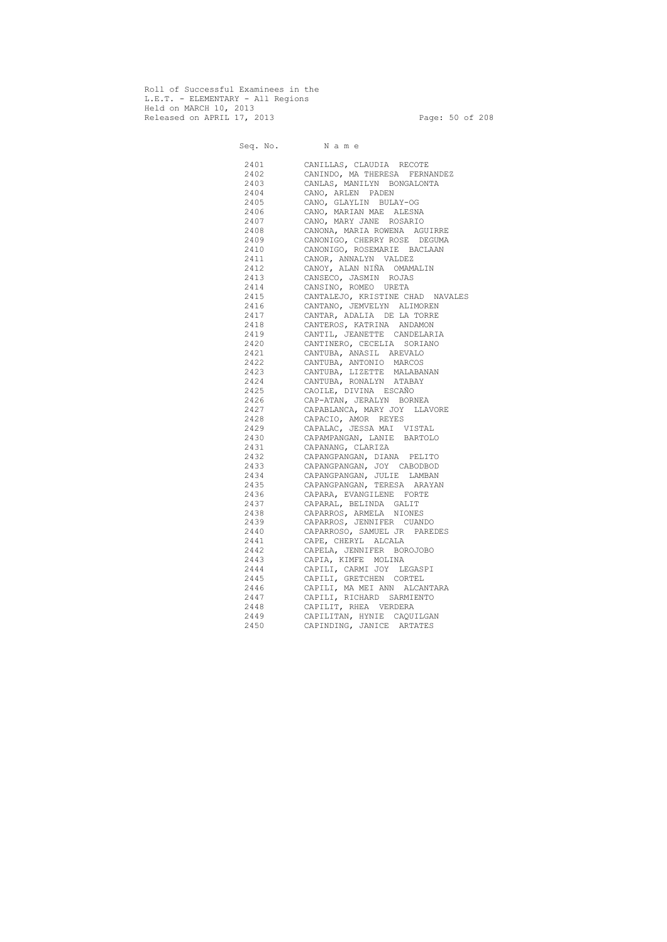Roll of Successful Examinees in the L.E.T. - ELEMENTARY - All Regions Held on MARCH 10, 2013 Released on APRIL 17, 2013 Page: 50 of 208

Seq. No. Name 2401 CANILLAS, CLAUDIA RECOTE 2402 CANINDO, MA THERESA FERNANDEZ 2403 CANLAS, MANILYN BONGALONTA 2404 CANO, ARLEN PADEN<br>2405 CANO, GLAYLIN BULA CANO, GLAYLIN BULAY-OG 2406 CANO, MARIAN MAE ALESNA 2407 CANO, MARY JANE ROSARIO 2408 CANONA, MARIA ROWENA AGUIRRE 2409 CANONIGO, CHERRY ROSE DEGUMA 2410 CANONIGO, ROSEMARIE BACLAAN 2411 CANOR, ANNALYN VALDEZ 2412 CANOY, ALAN NIÑA OMAMALIN 2413 CANSECO, JASMIN ROJAS 2414 CANSINO, ROMEO URETA 2415 CANTALEJO, KRISTINE CHAD NAVALES 2416 CANTANO, JEMVELYN ALIMOREN 2417 CANTAR, ADALIA DE LA TORRE 2418 CANTEROS, KATRINA ANDAMON 2419 CANTIL, JEANETTE CANDELARIA 2420 CANTINERO, CECELIA SORIANO 2421 CANTUBA, ANASIL AREVALO 2422 CANTUBA, ANTONIO MARCOS 2423 CANTUBA, LIZETTE MALABANAN 2424 CANTUBA, RONALYN ATABAY 2425 CAOILE, DIVINA ESCAÑO 2426 CAP-ATAN, JERALYN BORNEA 2427 CAPABLANCA, MARY JOY LLAVORE 2428 CAPACIO, AMOR REYES 2429 CAPALAC, JESSA MAI VISTAL 2430 CAPAMPANGAN, LANIE BARTOLO 2431 CAPANANG, CLARIZA 2432 CAPANGPANGAN, DIANA PELITO 2433 CAPANGPANGAN, JOY CABODBOD 2434 CAPANGPANGAN, JULIE LAMBAN 2435 CAPANGPANGAN, TERESA ARAYAN 2436 CAPARA, EVANGILENE FORTE 2437 CAPARAL, BELINDA GALIT 2438 CAPARROS, ARMELA NIONES 2439 CAPARROS, JENNIFER CUANDO 2440 CAPARROSO, SAMUEL JR PAREDES 2441 CAPE, CHERYL ALCALA 2442 CAPELA, JENNIFER BOROJOBO 2443 CAPIA, KIMFE MOLINA 2444 CAPILI, CARMI JOY LEGASPI 2445 CAPILI, GRETCHEN CORTEL 2446 CAPILI, MA MEI ANN ALCANTARA 2447 CAPILI, RICHARD SARMIENTO 2448 CAPILIT, RHEA VERDERA 2449 CAPILITAN, HYNIE CAQUILGAN 2450 CAPINDING, JANICE ARTATES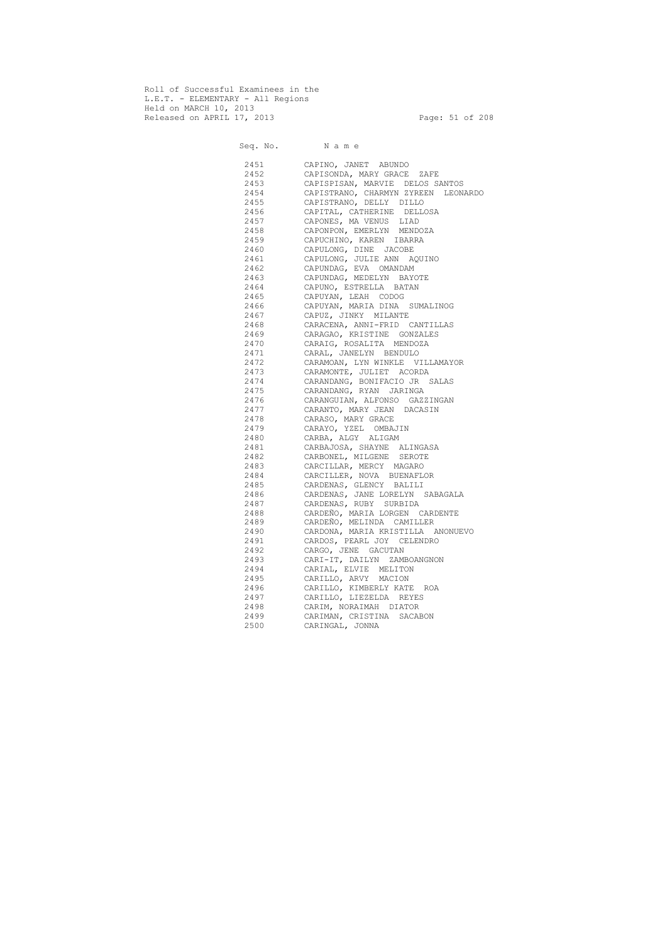Roll of Successful Examinees in the L.E.T. - ELEMENTARY - All Regions Held on MARCH 10, 2013 Released on APRIL 17, 2013 Page: 51 of 208

 Seq. No. N a m e 2451 CAPINO, JANET ABUNDO 2452 CAPISONDA, MARY GRACE ZAFE 2453 CAPISPISAN, MARVIE DELOS SANTOS 2454 CAPISTRANO, CHARMYN ZYREEN LEONARDO 2455 CAPISTRANO, DELLY DILLO 2456 CAPITAL, CATHERINE DELLOSA 2457 CAPONES, MA VENUS LIAD 2458 CAPONPON, EMERLYN MENDOZA 2459 CAPUCHINO, KAREN IBARRA 2460 CAPULONG, DINE JACOBE 2461 CAPULONG, JULIE ANN AQUINO 2462 CAPUNDAG, EVA OMANDAM 2463 CAPUNDAG, MEDELYN BAYOTE 2464 CAPUNO, ESTRELLA BATAN 2465 CAPUYAN, LEAH CODOG 2466 CAPUYAN, MARIA DINA SUMALINOG 2467 CAPUZ, JINKY MILANTE 2468 CARACENA, ANNI-FRID CANTILLAS 2469 CARAGAO, KRISTINE GONZALES 2470 CARAIG, ROSALITA MENDOZA 2471 CARAL, JANELYN BENDULO 2472 CARAMOAN, LYN WINKLE VILLAMAYOR 2473 CARAMONTE, JULIET ACORDA 2474 CARANDANG, BONIFACIO JR SALAS 2475 CARANDANG, RYAN JARINGA 2476 CARANGUIAN, ALFONSO GAZZINGAN 2477 CARANTO, MARY JEAN DACASIN 2478 CARASO, MARY GRACE 2479 CARAYO, YZEL OMBAJIN 2480 CARBA, ALGY ALIGAM 2481 CARBAJOSA, SHAYNE ALINGASA 2482 CARBONEL, MILGENE SEROTE 2483 CARCILLAR, MERCY MAGARO 2484 CARCILLER, NOVA BUENAFLOR 2485 CARDENAS, GLENCY BALILI 2486 CARDENAS, JANE LORELYN SABAGALA 2487 CARDENAS, RUBY SURBIDA 2488 CARDEÑO, MARIA LORGEN CARDENTE 2489 CARDEÑO, MELINDA CAMILLER 2490 CARDONA, MARIA KRISTILLA ANONUEVO 2491 CARDOS, PEARL JOY CELENDRO 2492 CARGO, JENE GACUTAN 2493 CARI-IT, DAILYN ZAMBOANGNON 2494 CARIAL, ELVIE MELITON 2495 CARILLO, ARVY MACION 2496 CARILLO, KIMBERLY KATE ROA 2497 CARILLO, LIEZELDA REYES 2498 CARIM, NORAIMAH DIATOR 2499 CARIMAN, CRISTINA SACABON 2500 CARINGAL, JONNA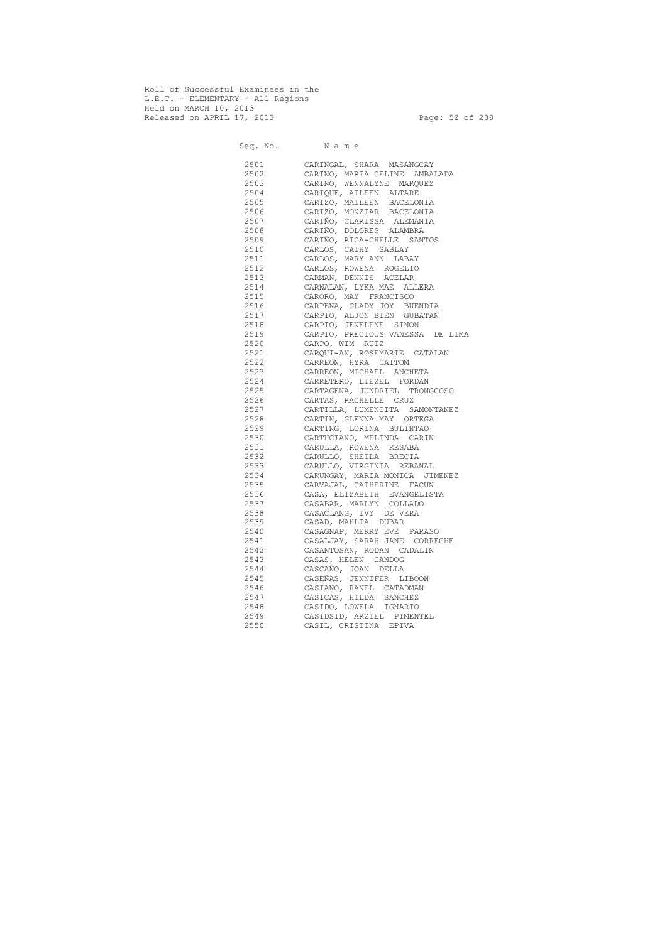Roll of Successful Examinees in the L.E.T. - ELEMENTARY - All Regions Held on MARCH 10, 2013 Released on APRIL 17, 2013 Page: 52 of 208

 Seq. No. N a m e 2501 CARINGAL, SHARA MASANGCAY 2502 CARINO, MARIA CELINE AMBALADA 2503 CARINO, WENNALYNE MARQUEZ 2504 CARIQUE, AILEEN ALTARE 2505 CARIZO, MAILEEN BACELONIA 2506 CARIZO, MONZIAR BACELONIA 2507 CARIÑO, CLARISSA ALEMANIA 2508 CARIÑO, DOLORES ALAMBRA 2509 CARIÑO, RICA-CHELLE SANTOS 2510 CARLOS, CATHY SABLAY 2511 CARLOS, MARY ANN LABAY 2512 CARLOS, ROWENA ROGELIO 2513 CARMAN, DENNIS ACELAR 2514 CARNALAN, LYKA MAE ALLERA 2515 CARORO, MAY FRANCISCO 2516 CARPENA, GLADY JOY BUENDIA 2517 CARPIO, ALJON BIEN GUBATAN 2518 CARPIO, JENELENE SINON 2519 CARPIO, PRECIOUS VANESSA DE LIMA 2520 CARPO, WIM RUIZ 2521 CARQUI-AN, ROSEMARIE CATALAN 2522 CARREON, HYRA CAITOM 2523 CARREON, MICHAEL ANCHETA 2524 CARRETERO, LIEZEL FORDAN 2525 CARTAGENA, JUNDRIEL TRONGCOSO 2526 CARTAS, RACHELLE CRUZ 2527 CARTILLA, LUMENCITA SAMONTANEZ 2528 CARTIN, GLENNA MAY ORTEGA 2529 CARTING, LORINA BULINTAO 2530 CARTUCIANO, MELINDA CARIN 2531 CARULLA, ROWENA RESABA 2532 CARULLO, SHEILA BRECIA 2533 CARULLO, VIRGINIA REBANAL 2534 CARUNGAY, MARIA MONICA JIMENEZ 2535 CARVAJAL, CATHERINE FACUN 2536 CASA, ELIZABETH EVANGELISTA 2537 CASABAR, MARLYN COLLADO 2538 CASACLANG, IVY DE VERA 2539 CASAD, MAHLIA DUBAR 2540 CASAGNAP, MERRY EVE PARASO 2541 CASALJAY, SARAH JANE CORRECHE 2542 CASANTOSAN, RODAN CADALIN 2543 CASAS, HELEN CANDOG 2544 CASCAÑO, JOAN DELLA 2545 CASEÑAS, JENNIFER LIBOON 2546 CASIANO, RANEL CATADMAN 2547 CASICAS, HILDA SANCHEZ 2548 CASIDO, LOWELA IGNARIO 2549 CASIDSID, ARZIEL PIMENTEL 2550 CASIL, CRISTINA EPIVA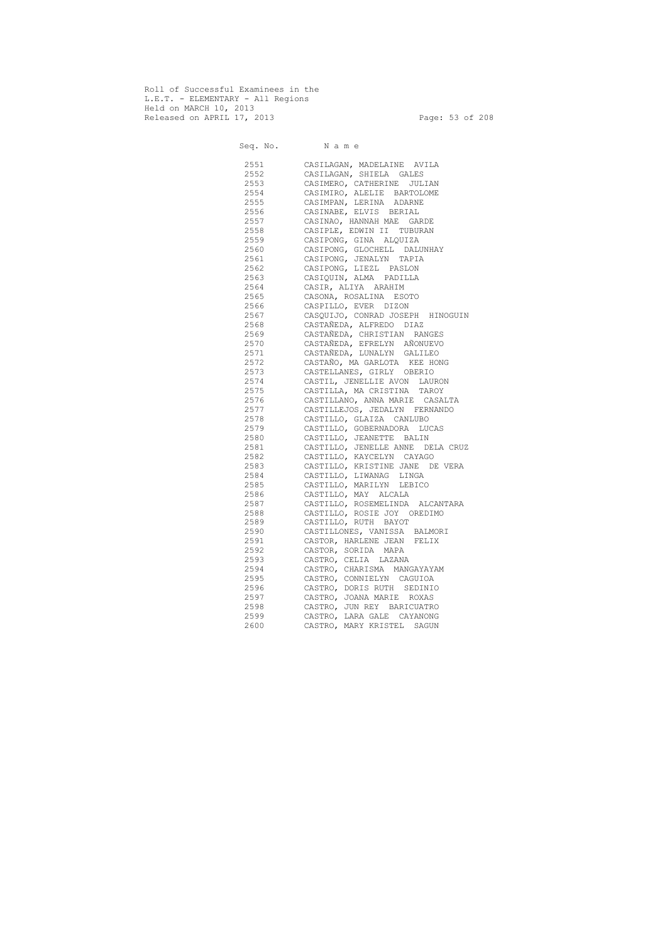Roll of Successful Examinees in the L.E.T. - ELEMENTARY - All Regions Held on MARCH 10, 2013 Released on APRIL 17, 2013 Page: 53 of 208

 Seq. No. N a m e 2551 CASILAGAN, MADELAINE AVILA 2552 CASILAGAN, SHIELA GALES 2553 CASIMERO, CATHERINE JULIAN 2554 CASIMIRO, ALELIE BARTOLOME 2555 CASIMPAN, LERINA ADARNE 2556 CASINABE, ELVIS BERIAL 2557 CASINAO, HANNAH MAE GARDE 2558 CASIPLE, EDWIN II TUBURAN 2559 CASIPONG, GINA ALQUIZA 2560 CASIPONG, GLOCHELL DALUNHAY 2561 CASIPONG, JENALYN TAPIA 2562 CASIPONG, LIEZL PASLON 2563 CASIQUIN, ALMA PADILLA 2564 CASIR, ALIYA ARAHIM 2565 CASONA, ROSALINA ESOTO 2566 CASPILLO, EVER DIZON 2567 CASQUIJO, CONRAD JOSEPH HINOGUIN 2568 CASTAÑEDA, ALFREDO DIAZ 2569 CASTAÑEDA, CHRISTIAN RANGES 2570 CASTAÑEDA, EFRELYN AÑONUEVO 2571 CASTAÑEDA, LUNALYN GALILEO 2572 CASTAÑO, MA GARLOTA KEE HONG 2573 CASTELLANES, GIRLY OBERIO 2574 CASTIL, JENELLIE AVON LAURON 2575 CASTILLA, MA CRISTINA TAROY 2576 CASTILLANO, ANNA MARIE CASALTA 2577 CASTILLEJOS, JEDALYN FERNANDO 2578 CASTILLO, GLAIZA CANLUBO 2579 CASTILLO, GOBERNADORA LUCAS 2580 CASTILLO, JEANETTE BALIN 2581 CASTILLO, JENELLE ANNE DELA CRUZ 2582 CASTILLO, KAYCELYN CAYAGO 2583 CASTILLO, KRISTINE JANE DE VERA 2584 CASTILLO, LIWANAG LINGA 2585 CASTILLO, MARILYN LEBICO 2586 CASTILLO, MAY ALCALA 2587 CASTILLO, ROSEMELINDA ALCANTARA 2588 CASTILLO, ROSIE JOY OREDIMO 2589 CASTILLO, RUTH BAYOT 2590 CASTILLONES, VANISSA BALMORI 2591 CASTOR, HARLENE JEAN FELIX 2592 CASTOR, SORIDA MAPA 2593 CASTRO, CELIA LAZANA 2594 CASTRO, CHARISMA MANGAYAYAM 2595 CASTRO, CONNIELYN CAGUIOA 2596 CASTRO, DORIS RUTH SEDINIO 2597 CASTRO, JOANA MARIE ROXAS 2598 CASTRO, JUN REY BARICUATRO 2599 CASTRO, LARA GALE CAYANONG 2600 CASTRO, MARY KRISTEL SAGUN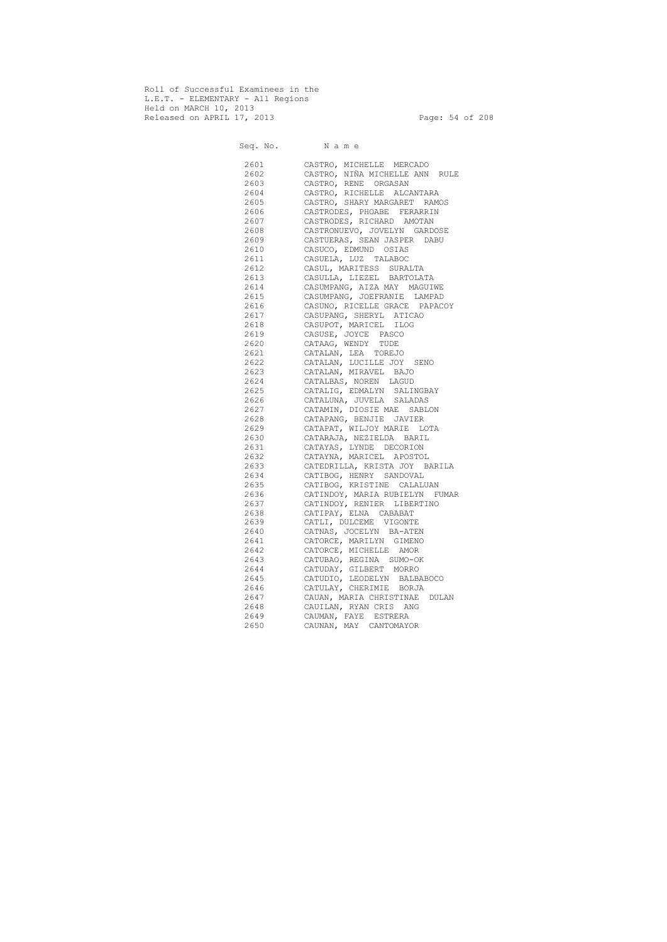Roll of Successful Examinees in the L.E.T. - ELEMENTARY - All Regions Held on MARCH 10, 2013 Released on APRIL 17, 2013 Page: 54 of 208

 Seq. No. N a m e 2601 CASTRO, MICHELLE MERCADO 2602 CASTRO, NIÑA MICHELLE ANN RULE 2603 CASTRO, RENE ORGASAN 2604 CASTRO, RICHELLE ALCANTARA 2605 CASTRO, SHARY MARGARET RAMOS 2606 CASTRODES, PHOABE FERARRIN 2607 CASTRODES, RICHARD AMOTAN 2608 CASTRONUEVO, JOVELYN GARDOSE 2609 CASTUERAS, SEAN JASPER DABU 2610 CASUCO, EDMUND OSIAS 2611 CASUELA, LUZ TALABOC 2612 CASUL, MARITESS SURALTA 2613 CASULLA, LIEZEL BARTOLATA 2614 CASUMPANG, AIZA MAY MAGUIWE 2615 CASUMPANG, JOEFRANIE LAMPAD 2616 CASUNO, RICELLE GRACE PAPACOY 2617 CASUPANG, SHERYL ATICAO 2618 CASUPOT, MARICEL ILOG 2619 CASUSE, JOYCE PASCO 2620 CATAAG, WENDY TUDE 2621 CATALAN, LEA TOREJO 2622 CATALAN, LUCILLE JOY SENO 2623 CATALAN, MIRAVEL BAJO 2624 CATALBAS, NOREN LAGUD 2625 CATALIG, EDMALYN SALINGBAY 2626 CATALUNA, JUVELA SALADAS 2627 CATAMIN, DIOSIE MAE SABLON 2628 CATAPANG, BENJIE JAVIER 2629 CATAPAT, WILJOY MARIE LOTA 2630 CATARAJA, NEZIELDA BARIL 2631 CATAYAS, LYNDE DECORION 2632 CATAYNA, MARICEL APOSTOL 2633 CATEDRILLA, KRISTA JOY BARILA 2634 CATIBOG, HENRY SANDOVAL 2635 CATIBOG, KRISTINE CALALUAN 2636 CATINDOY, MARIA RUBIELYN FUMAR 2637 CATINDOY, RENIER LIBERTINO 2638 CATIPAY, ELNA CABABAT 2639 CATLI, DULCEME VIGONTE 2640 CATNAS, JOCELYN BA-ATEN 2641 CATORCE, MARILYN GIMENO 2642 CATORCE, MICHELLE AMOR 2643 CATUBAO, REGINA SUMO-OK 2644 CATUDAY, GILBERT MORRO 2645 CATUDIO, LEODELYN BALBABOCO 2646 CATULAY, CHERIMIE BORJA 2647 CAUAN, MARIA CHRISTINAE DULAN 2648 CAUILAN, RYAN CRIS ANG 2649 CAUMAN, FAYE ESTRERA 2650 CAUNAN, MAY CANTOMAYOR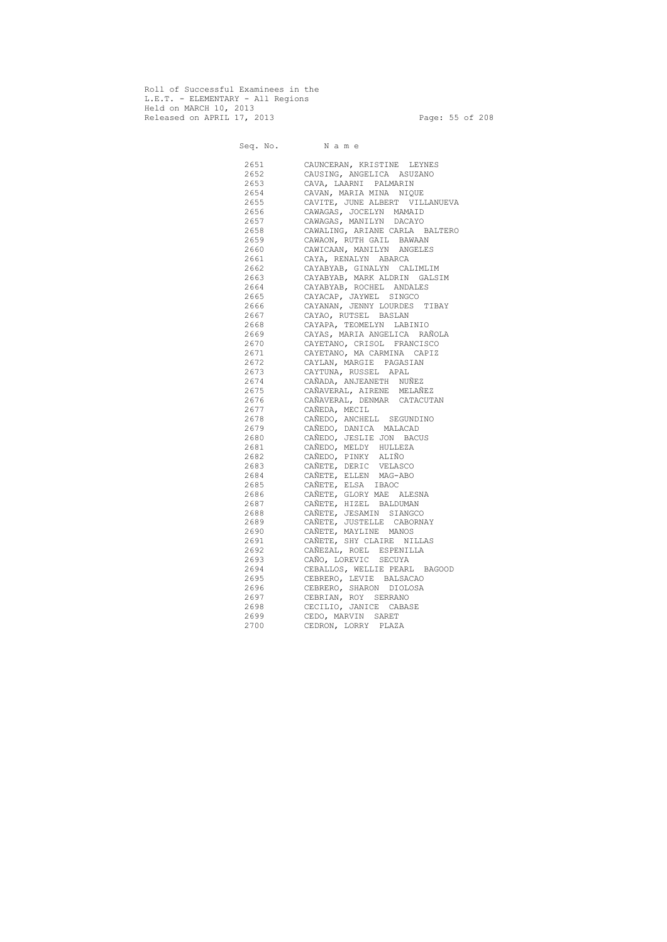Roll of Successful Examinees in the L.E.T. - ELEMENTARY - All Regions Held on MARCH 10, 2013 Released on APRIL 17, 2013 Page: 55 of 208

 Seq. No. N a m e 2651 CAUNCERAN, KRISTINE LEYNES 2652 CAUSING, ANGELICA ASUZANO 2653 CAVA, LAARNI PALMARIN 2654 CAVAN, MARIA MINA NIQUE 2655 CAVITE, JUNE ALBERT VILLANUEVA 2656 CAWAGAS, JOCELYN MAMAID 2657 CAWAGAS, MANILYN DACAYO 2658 CAWALING, ARIANE CARLA BALTERO 2659 CAWAON, RUTH GAIL BAWAAN 2660 CAWICAAN, MANILYN ANGELES 2661 CAYA, RENALYN ABARCA 2662 CAYABYAB, GINALYN CALIMLIM 2663 CAYABYAB, MARK ALDRIN GALSIM 2664 CAYABYAB, ROCHEL ANDALES 2665 CAYACAP, JAYWEL SINGCO 2666 CAYANAN, JENNY LOURDES TIBAY 2667 CAYAO, RUTSEL BASLAN 2668 CAYAPA, TEOMELYN LABINIO 2669 CAYAS, MARIA ANGELICA RAÑOLA 2670 CAYETANO, CRISOL FRANCISCO 2671 CAYETANO, MA CARMINA CAPIZ 2672 CAYLAN, MARGIE PAGASIAN 2673 CAYTUNA, RUSSEL APAL 2674 CAÑADA, ANJEANETH NUÑEZ 2675 CAÑAVERAL, AIRENE MELAÑEZ 2676 CAÑAVERAL, DENMAR CATACUTAN 2677 CAÑEDA, MECIL 2678 CAÑEDO, ANCHELL SEGUNDINO 2679 CAÑEDO, DANICA MALACAD 2680 CAÑEDO, JESLIE JON BACUS 2681 CAÑEDO, MELDY HULLEZA 2682 CAÑEDO, PINKY ALIÑO 2683 CAÑETE, DERIC VELASCO 2684 CAÑETE, ELLEN MAG-ABO 2685 CAÑETE, ELSA IBAOC 2686 CAÑETE, GLORY MAE ALESNA 2687 CAÑETE, HIZEL BALDUMAN 2688 CAÑETE, JESAMIN SIANGCO 2689 CAÑETE, JUSTELLE CABORNAY 2690 CAÑETE, MAYLINE MANOS 2691 CAÑETE, SHY CLAIRE NILLAS 2692 CAÑEZAL, ROEL ESPENILLA 2693 CAÑO, LOREVIC SECUYA 2694 CEBALLOS, WELLIE PEARL BAGOOD 2695 CEBRERO, LEVIE BALSACAO 2696 CEBRERO, SHARON DIOLOSA 2697 CEBRIAN, ROY SERRANO 2698 CECILIO, JANICE CABASE 2699 CEDO, MARVIN SARET 2700 CEDRON, LORRY PLAZA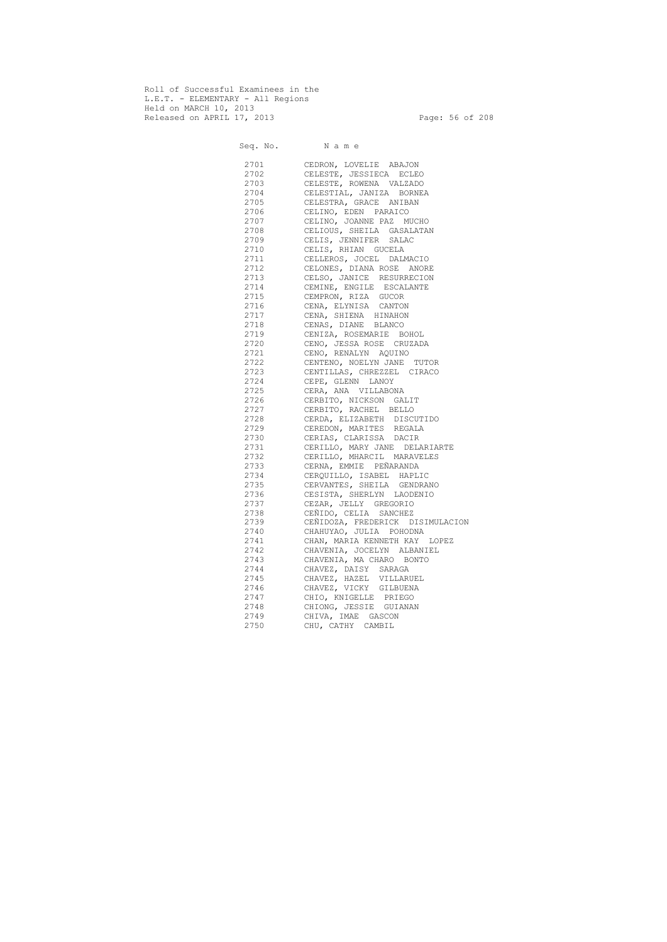Roll of Successful Examinees in the L.E.T. - ELEMENTARY - All Regions Held on MARCH 10, 2013 Released on APRIL 17, 2013 Page: 56 of 208

 Seq. No. N a m e 2701 CEDRON, LOVELIE ABAJON 2702 CELESTE, JESSIECA ECLEO 2703 CELESTE, ROWENA VALZADO 2704 CELESTIAL, JANIZA BORNEA 2705 CELESTRA, GRACE ANIBAN 2706 CELINO, EDEN PARAICO 2707 CELINO, JOANNE PAZ MUCHO 2708 CELIOUS, SHEILA GASALATAN 2709 CELIS, JENNIFER SALAC 2710 CELIS, RHIAN GUCELA 2711 CELLEROS, JOCEL DALMACIO 2712 CELONES, DIANA ROSE ANORE 2713 CELSO, JANICE RESURRECION 2714 CEMINE, ENGILE ESCALANTE 2715 CEMPRON, RIZA GUCOR 2716 CENA, ELYNISA CANTON 2717 CENA, SHIENA HINAHON 2718 CENAS, DIANE BLANCO 2719 CENIZA, ROSEMARIE BOHOL 2720 CENO, JESSA ROSE CRUZADA 2721 CENO, RENALYN AQUINO 2722 CENTENO, NOELYN JANE TUTOR 2723 CENTILLAS, CHREZZEL CIRACO 2724 CEPE, GLENN LANOY 2725 CERA, ANA VILLABONA 2726 CERBITO, NICKSON GALIT 2727 CERBITO, RACHEL BELLO 2728 CERDA, ELIZABETH DISCUTIDO 2729 CEREDON, MARITES REGALA 2730 CERIAS, CLARISSA DACIR 2731 CERILLO, MARY JANE DELARIARTE 2732 CERILLO, MHARCIL MARAVELES 2733 CERNA, EMMIE PEÑARANDA 2734 CERQUILLO, ISABEL HAPLIC 2735 CERVANTES, SHEILA GENDRANO 2736 CESISTA, SHERLYN LAODENIO 2737 CEZAR, JELLY GREGORIO 2738 CEÑIDO, CELIA SANCHEZ 2739 CEÑIDOZA, FREDERICK DISIMULACION 2740 CHAHUYAO, JULIA POHODNA 2741 CHAN, MARIA KENNETH KAY LOPEZ 2742 CHAVENIA, JOCELYN ALBANIEL 2743 CHAVENIA, MA CHARO BONTO 2744 CHAVEZ, DAISY SARAGA 2745 CHAVEZ, HAZEL VILLARUEL 2746 CHAVEZ, VICKY GILBUENA 2747 CHIO, KNIGELLE PRIEGO 2748 CHIONG, JESSIE GUIANAN 2749 CHIVA, IMAE GASCON 2750 CHU, CATHY CAMBIL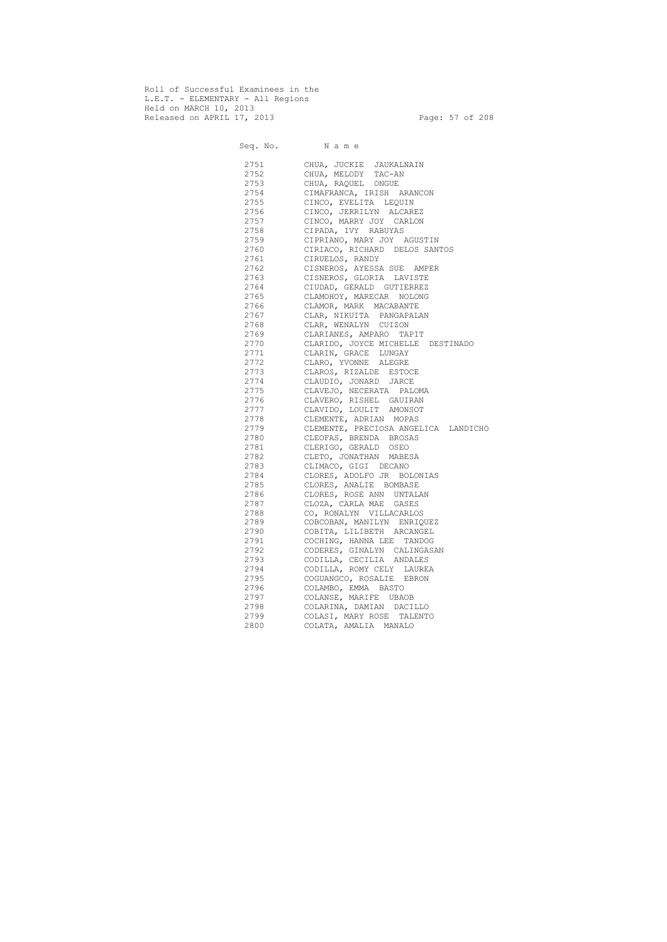Roll of Successful Examinees in the L.E.T. - ELEMENTARY - All Regions Held on MARCH 10, 2013 Released on APRIL 17, 2013 Page: 57 of 208

 Seq. No. N a m e 2751 CHUA, JUCKIE JAUKALNAIN 2752 CHUA, MELODY TAC-AN 2753 CHUA, RAQUEL ONGUE 2754 CIMAFRANCA, IRISH ARANCON 2755 CINCO, EVELITA LEQUIN 2756 CINCO, JERRILYN ALCAREZ 2757 CINCO, MARRY JOY CARLON 2758 CIPADA, IVY RABUYAS 2759 CIPRIANO, MARY JOY AGUSTIN 2760 CIRIACO, RICHARD DELOS SANTOS 2761 CIRUELOS, RANDY 2762 CISNEROS, AYESSA SUE AMPER 2763 CISNEROS, GLORIA LAVISTE 2764 CIUDAD, GERALD GUTIERREZ 2765 CLAMOHOY, MARECAR NOLONG 2766 CLAMOR, MARK MACABANTE 2767 CLAR, NIKUITA PANGAPALAN 2768 CLAR, WENALYN CUIZON 2769 CLARIANES, AMPARO TAPIT 2770 CLARIDO, JOYCE MICHELLE DESTINADO 2771 CLARIN, GRACE LUNGAY 2772 CLARO, YVONNE ALEGRE 2773 CLAROS, RIZALDE ESTOCE 2774 CLAUDIO, JONARD JARCE 2775 CLAVEJO, NECERATA PALOMA 2776 CLAVERO, RISHEL GAUIRAN 2777 CLAVIDO, LOULIT AMONSOT 2778 CLEMENTE, ADRIAN MOPAS 2779 CLEMENTE, PRECIOSA ANGELICA LANDICHO 2780 CLEOFAS, BRENDA BROSAS 2781 CLERIGO, GERALD OSEO 2782 CLETO, JONATHAN MABESA 2783 CLIMACO, GIGI DECANO 2784 CLORES, ADOLFO JR BOLONIAS 2785 CLORES, ANALIE BOMBASE 2786 CLORES, ROSE ANN UNTALAN 2787 CLOZA, CARLA MAE GASES 2788 CO, RONALYN VILLACARLOS 2789 COBCOBAN, MANILYN ENRIQUEZ 2790 COBITA, LILIBETH ARCANGEL 2791 COCHING, HANNA LEE TANDOG 2792 CODERES, GINALYN CALINGASAN 2793 CODILLA, CECILIA ANDALES 2794 CODILLA, ROMY CELY LAUREA 2795 COGUANGCO, ROSALIE EBRON 2796 COLAMBO, EMMA BASTO 2797 COLANSE, MARIFE UBAOB 2798 COLARINA, DAMIAN DACILLO 2799 COLASI, MARY ROSE TALENTO 2800 COLATA, AMALIA MANALO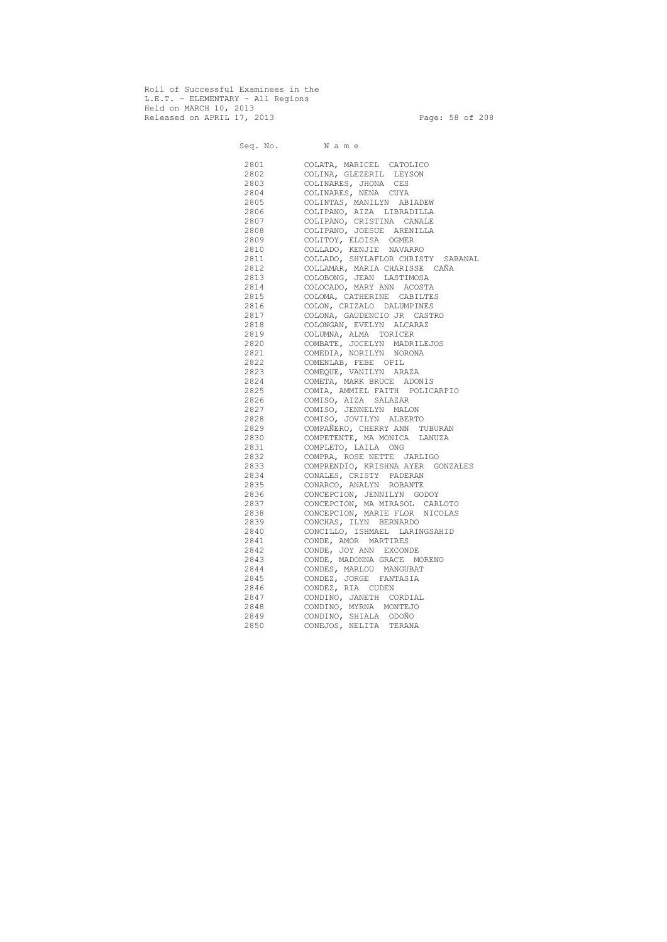Roll of Successful Examinees in the L.E.T. - ELEMENTARY - All Regions Held on MARCH 10, 2013 Released on APRIL 17, 2013 Page: 58 of 208

 Seq. No. N a m e 2801 COLATA, MARICEL CATOLICO 2802 COLINA, GLEZERIL LEYSON 2803 COLINARES, JHONA CES 2804 COLINARES, NENA CUYA 2805 COLINTAS, MANILYN ABIADEW 2806 COLIPANO, AIZA LIBRADILLA 2807 COLIPANO, CRISTINA CANALE 2808 COLIPANO, JOESUE ARENILLA 2809 COLITOY, ELOISA OGMER 2810 COLLADO, KENJIE NAVARRO 2811 COLLADO, SHYLAFLOR CHRISTY SABANAL 2812 COLLAMAR, MARIA CHARISSE CAÑA 2813 COLOBONG, JEAN LASTIMOSA 2814 COLOCADO, MARY ANN ACOSTA 2815 COLOMA, CATHERINE CABILTES 2816 COLON, CRIZALO DALUMPINES 2817 COLONA, GAUDENCIO JR CASTRO 2818 COLONGAN, EVELYN ALCARAZ 2819 COLUMNA, ALMA TORICER 2820 COMBATE, JOCELYN MADRILEJOS 2821 COMEDIA, NORILYN NORONA 2822 COMENLAB, FEBE OPIL 2823 COMEQUE, VANILYN ARAZA 2824 COMETA, MARK BRUCE ADONIS 2825 COMIA, AMMIEL FAITH POLICARPIO 2826 COMISO, AIZA SALAZAR 2827 COMISO, JENNELYN MALON 2828 COMISO, JOVILYN ALBERTO 2829 COMPAÑERO, CHERRY ANN TUBURAN 2830 COMPETENTE, MA MONICA LANUZA 2831 COMPLETO, LAILA ONG 2832 COMPRA, ROSE NETTE JARLIGO 2833 COMPRENDIO, KRISHNA AYER GONZALES 2834 CONALES, CRISTY PADERAN 2835 CONARCO, ANALYN ROBANTE 2836 CONCEPCION, JENNILYN GODOY 2837 CONCEPCION, MA MIRASOL CARLOTO 2838 CONCEPCION, MARIE FLOR NICOLAS 2839 CONCHAS, ILYN BERNARDO 2840 CONCILLO, ISHMAEL LARINGSAHID 2841 CONDE, AMOR MARTIRES 2842 CONDE, JOY ANN EXCONDE 2843 CONDE, MADONNA GRACE MORENO 2844 CONDES, MARLOU MANGUBAT 2845 CONDEZ, JORGE FANTASIA 2846 CONDEZ, RIA CUDEN 2847 CONDINO, JANETH CORDIAL 2848 CONDINO, MYRNA MONTEJO 2849 CONDINO, SHIALA ODOÑO 2850 CONEJOS, NELITA TERANA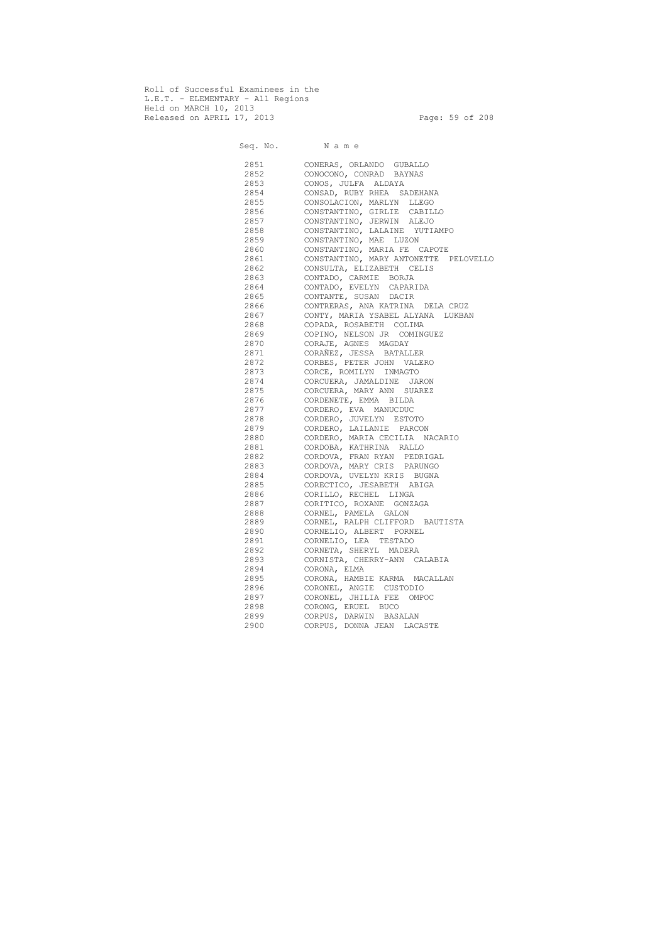Roll of Successful Examinees in the L.E.T. - ELEMENTARY - All Regions Held on MARCH 10, 2013 Released on APRIL 17, 2013 Page: 59 of 208

 Seq. No. N a m e 2851 CONERAS, ORLANDO GUBALLO 2852 CONOCONO, CONRAD BAYNAS 2853 CONOS, JULFA ALDAYA 2854 CONSAD, RUBY RHEA SADEHANA 2855 CONSOLACION, MARLYN LLEGO 2856 CONSTANTINO, GIRLIE CABILLO 2857 CONSTANTINO, JERWIN ALEJO 2858 CONSTANTINO, LALAINE YUTIAMPO 2859 CONSTANTINO, MAE LUZON 2860 CONSTANTINO, MARIA FE CAPOTE 2861 CONSTANTINO, MARY ANTONETTE PELOVELLO 2862 CONSULTA, ELIZABETH CELIS 2863 CONTADO, CARMIE BORJA 2864 CONTADO, EVELYN CAPARIDA 2865 CONTANTE, SUSAN DACIR 2866 CONTRERAS, ANA KATRINA DELA CRUZ 2867 CONTY, MARIA YSABEL ALYANA LUKBAN 2868 COPADA, ROSABETH COLIMA 2869 COPINO, NELSON JR COMINGUEZ 2870 CORAJE, AGNES MAGDAY 2871 CORAÑEZ, JESSA BATALLER 2872 CORBES, PETER JOHN VALERO 2873 CORCE, ROMILYN INMAGTO 2874 CORCUERA, JAMALDINE JARON 2875 CORCUERA, MARY ANN SUAREZ 2876 CORDENETE, EMMA BILDA 2877 CORDERO, EVA MANUCDUC 2878 CORDERO, JUVELYN ESTOTO 2879 CORDERO, LAILANIE PARCON 2880 CORDERO, MARIA CECILIA NACARIO 2881 CORDOBA, KATHRINA RALLO 2882 CORDOVA, FRAN RYAN PEDRIGAL 2883 CORDOVA, MARY CRIS PARUNGO 2884 CORDOVA, UVELYN KRIS BUGNA 2885 CORECTICO, JESABETH ABIGA 2886 CORILLO, RECHEL LINGA 2887 CORITICO, ROXANE GONZAGA 2888 CORNEL, PAMELA GALON 2889 CORNEL, RALPH CLIFFORD BAUTISTA 2890 CORNELIO, ALBERT PORNEL 2891 CORNELIO, LEA TESTADO 2892 CORNETA, SHERYL MADERA 2893 CORNISTA, CHERRY-ANN CALABIA 2894 CORONA, ELMA 2895 CORONA, HAMBIE KARMA MACALLAN 2896 CORONEL, ANGIE CUSTODIO 2897 CORONEL, JHILIA FEE OMPOC 2898 CORONG, ERUEL BUCO 2899 CORPUS, DARWIN BASALAN 2900 CORPUS, DONNA JEAN LACASTE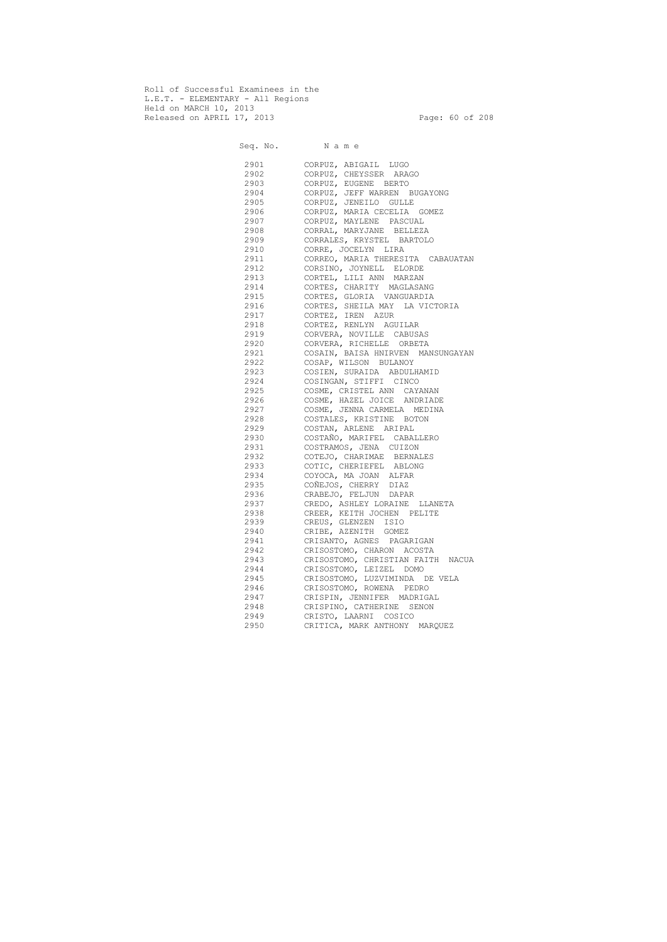Roll of Successful Examinees in the L.E.T. - ELEMENTARY - All Regions Held on MARCH 10, 2013 Released on APRIL 17, 2013 Page: 60 of 208

 Seq. No. N a m e 2901 CORPUZ, ABIGAIL LUGO 2902 CORPUZ, CHEYSSER ARAGO 2903 CORPUZ, EUGENE BERTO 2904 CORPUZ, JEFF WARREN BUGAYONG 2905 CORPUZ, JENEILO GULLE 2906 CORPUZ, MARIA CECELIA GOMEZ 2907 CORPUZ, MAYLENE PASCUAL 2908 CORRAL, MARYJANE BELLEZA 2909 CORRALES, KRYSTEL BARTOLO 2910 CORRE, JOCELYN LIRA 2911 CORREO, MARIA THERESITA CABAUATAN 2912 CORSINO, JOYNELL ELORDE 2913 CORTEL, LILI ANN MARZAN 2914 CORTES, CHARITY MAGLASANG 2915 CORTES, GLORIA VANGUARDIA 2916 CORTES, SHEILA MAY LA VICTORIA 2917 CORTEZ, IREN AZUR 2918 CORTEZ, RENLYN AGUILAR 2919 CORVERA, NOVILLE CABUSAS 2920 CORVERA, RICHELLE ORBETA 2921 COSAIN, BAISA HNIRVEN MANSUNGAYAN 2922 COSAP, WILSON BULANOY 2923 COSIEN, SURAIDA ABDULHAMID 2924 COSINGAN, STIFFI CINCO 2925 COSME, CRISTEL ANN CAYANAN 2926 COSME, HAZEL JOICE ANDRIADE 2927 COSME, JENNA CARMELA MEDINA 2928 COSTALES, KRISTINE BOTON 2929 COSTAN, ARLENE ARIPAL 2930 COSTAÑO, MARIFEL CABALLERO 2931 COSTRAMOS, JENA CUIZON 2932 COTEJO, CHARIMAE BERNALES 2933 COTIC, CHERIEFEL ABLONG 2934 COYOCA, MA JOAN ALFAR 2935 COÑEJOS, CHERRY DIAZ 2936 CRABEJO, FELJUN DAPAR 2937 CREDO, ASHLEY LORAINE LLANETA 2938 CREER, KEITH JOCHEN PELITE 2939 CREUS, GLENZEN ISIO 2940 CRIBE, AZENITH GOMEZ 2941 CRISANTO, AGNES PAGARIGAN 2942 CRISOSTOMO, CHARON ACOSTA 2943 CRISOSTOMO, CHRISTIAN FAITH NACUA 2944 CRISOSTOMO, LEIZEL DOMO 2945 CRISOSTOMO, LUZVIMINDA DE VELA 2946 CRISOSTOMO, ROWENA PEDRO 2947 CRISPIN, JENNIFER MADRIGAL 2948 CRISPINO, CATHERINE SENON 2949 CRISTO, LAARNI COSICO 2950 CRITICA, MARK ANTHONY MARQUEZ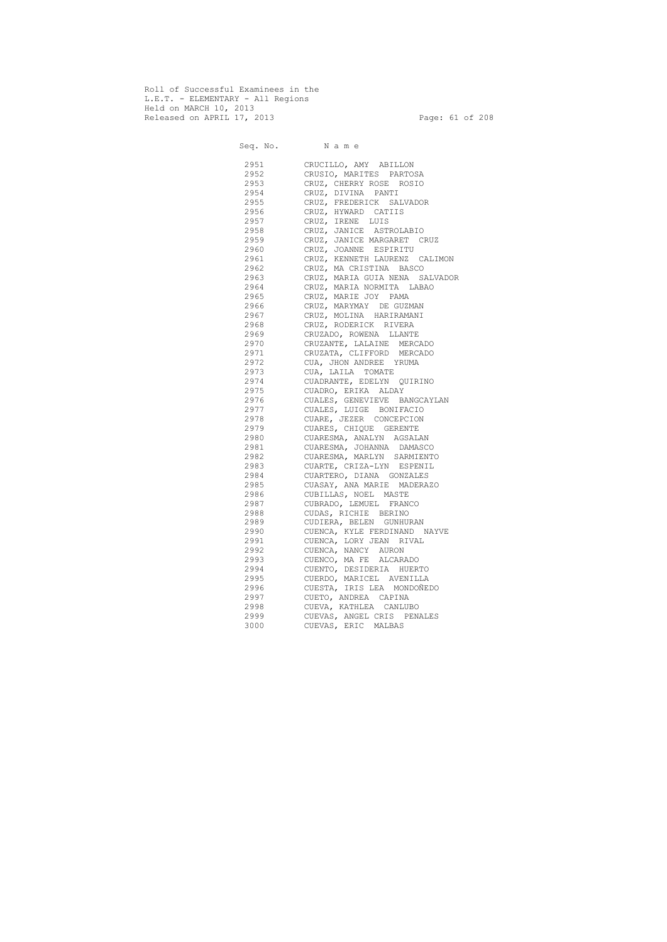Roll of Successful Examinees in the L.E.T. - ELEMENTARY - All Regions Held on MARCH 10, 2013 Released on APRIL 17, 2013 Page: 61 of 208

 Seq. No. N a m e 2951 CRUCILLO, AMY ABILLON 2952 CRUSIO, MARITES PARTOSA 2953 CRUZ, CHERRY ROSE ROSIO 2954 CRUZ, DIVINA PANTI 2955 CRUZ, FREDERICK SALVADOR 2956 CRUZ, HYWARD CATIIS 2957 CRUZ, IRENE LUIS 2958 CRUZ, JANICE ASTROLABIO 2959 CRUZ, JANICE MARGARET CRUZ 2960 CRUZ, JOANNE ESPIRITU 2961 CRUZ, KENNETH LAURENZ CALIMON 2962 CRUZ, MA CRISTINA BASCO 2963 CRUZ, MARIA GUIA NENA SALVADOR 2964 CRUZ, MARIA NORMITA LABAO 2965 CRUZ, MARIE JOY PAMA 2966 CRUZ, MARYMAY DE GUZMAN 2967 CRUZ, MOLINA HARIRAMANI 2968 CRUZ, RODERICK RIVERA 2969 CRUZADO, ROWENA LLANTE 2970 CRUZANTE, LALAINE MERCADO 2971 CRUZATA, CLIFFORD MERCADO 2972 CUA, JHON ANDREE YRUMA 2973 CUA, LAILA TOMATE 2974 CUADRANTE, EDELYN QUIRINO 2975 CUADRO, ERIKA ALDAY 2976 CUALES, GENEVIEVE BANGCAYLAN 2977 CUALES, LUIGE BONIFACIO 2978 CUARE, JEZER CONCEPCION 2979 CUARES, CHIQUE GERENTE 2980 CUARESMA, ANALYN AGSALAN 2981 CUARESMA, JOHANNA DAMASCO 2982 CUARESMA, MARLYN SARMIENTO 2983 CUARTE, CRIZA-LYN ESPENIL 2984 CUARTERO, DIANA GONZALES 2985 CUASAY, ANA MARIE MADERAZO 2986 CUBILLAS, NOEL MASTE 2987 CUBRADO, LEMUEL FRANCO 2988 CUDAS, RICHIE BERINO 2989 CUDIERA, BELEN GUNHURAN 2990 CUENCA, KYLE FERDINAND NAYVE 2991 CUENCA, LORY JEAN RIVAL 2992 CUENCA, NANCY AURON 2993 CUENCO, MA FE ALCARADO 2994 CUENTO, DESIDERIA HUERTO 2995 CUERDO, MARICEL AVENILLA 2996 CUESTA, IRIS LEA MONDOÑEDO 2997 CUETO, ANDREA CAPINA 2998 CUEVA, KATHLEA CANLUBO 2999 CUEVAS, ANGEL CRIS PENALES 3000 CUEVAS, ERIC MALBAS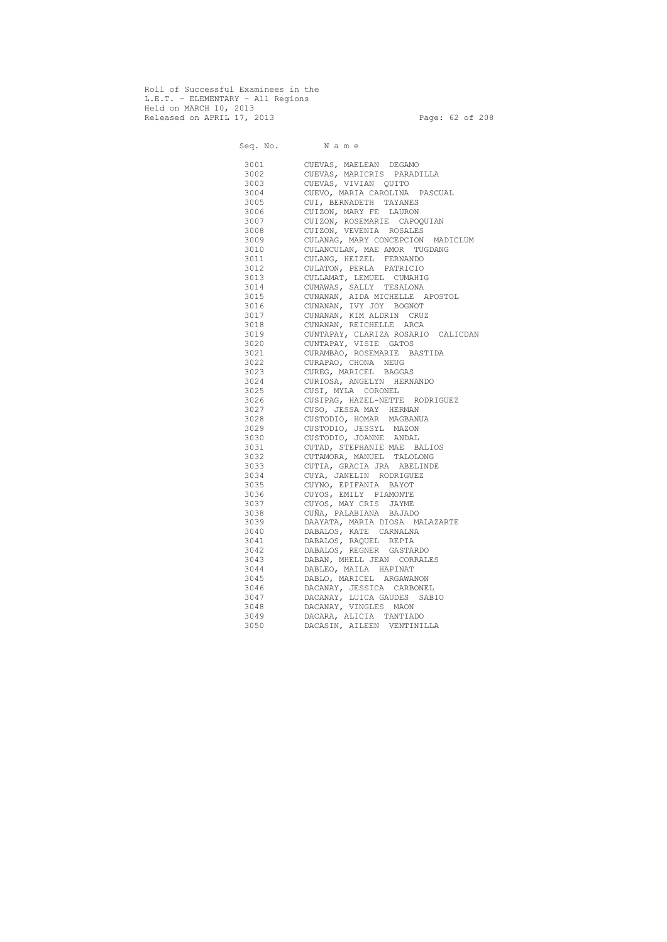Roll of Successful Examinees in the L.E.T. - ELEMENTARY - All Regions Held on MARCH 10, 2013 Released on APRIL 17, 2013 Page: 62 of 208

 Seq. No. N a m e 3001 CUEVAS, MAELEAN DEGAMO 3002 CUEVAS, MARICRIS PARADILLA 3003 CUEVAS, VIVIAN QUITO 3004 CUEVO, MARIA CAROLINA PASCUAL 3005 CUI, BERNADETH TAYANES 3006 CUIZON, MARY FE LAURON 3007 CUIZON, ROSEMARIE CAPOQUIAN 3008 CUIZON, VEVENIA ROSALES 3009 CULANAG, MARY CONCEPCION MADICLUM 3010 CULANCULAN, MAE AMOR TUGDANG 3011 CULANG, HEIZEL FERNANDO 3012 CULATON, PERLA PATRICIO 3013 CULLAMAT, LEMUEL CUMAHIG 3014 CUMAWAS, SALLY TESALONA 3015 CUNANAN, AIDA MICHELLE APOSTOL 3016 CUNANAN, IVY JOY BOGNOT 3017 CUNANAN, KIM ALDRIN CRUZ 3018 CUNANAN, REICHELLE ARCA 3019 CUNTAPAY, CLARIZA ROSARIO CALICDAN 3020 CUNTAPAY, VISIE GATOS 3021 CURAMBAO, ROSEMARIE BASTIDA 3022 CURAPAO, CHONA NEUG 3023 CUREG, MARICEL BAGGAS 3024 CURIOSA, ANGELYN HERNANDO 3025 CUSI, MYLA CORONEL 3026 CUSIPAG, HAZEL-NETTE RODRIGUEZ 3027 CUSO, JESSA MAY HERMAN 3028 CUSTODIO, HOMAR MAGBANUA 3029 CUSTODIO, JESSYL MAZON 3030 CUSTODIO, JOANNE ANDAL 3031 CUTAD, STEPHANIE MAE BALIOS 3032 CUTAMORA, MANUEL TALOLONG 3033 CUTIA, GRACIA JRA ABELINDE 3034 CUYA, JANELIN RODRIGUEZ 3035 CUYNO, EPIFANIA BAYOT 3036 CUYOS, EMILY PIAMONTE 3037 CUYOS, MAY CRIS JAYME 3038 CUÑA, PALABIANA BAJADO 3039 DAAYATA, MARIA DIOSA MALAZARTE 3040 DABALOS, KATE CARNALNA 3041 DABALOS, RAQUEL REPIA 3042 DABALOS, REGNER GASTARDO 3043 DABAN, MHELL JEAN CORRALES 3044 DABLEO, MAILA HAPINAT 3045 DABLO, MARICEL ARGAWANON 3046 DACANAY, JESSICA CARBONEL 3047 DACANAY, LUICA GAUDES SABIO 3048 DACANAY, VINGLES MAON 3049 DACARA, ALICIA TANTIADO 3050 DACASIN, AILEEN VENTINILLA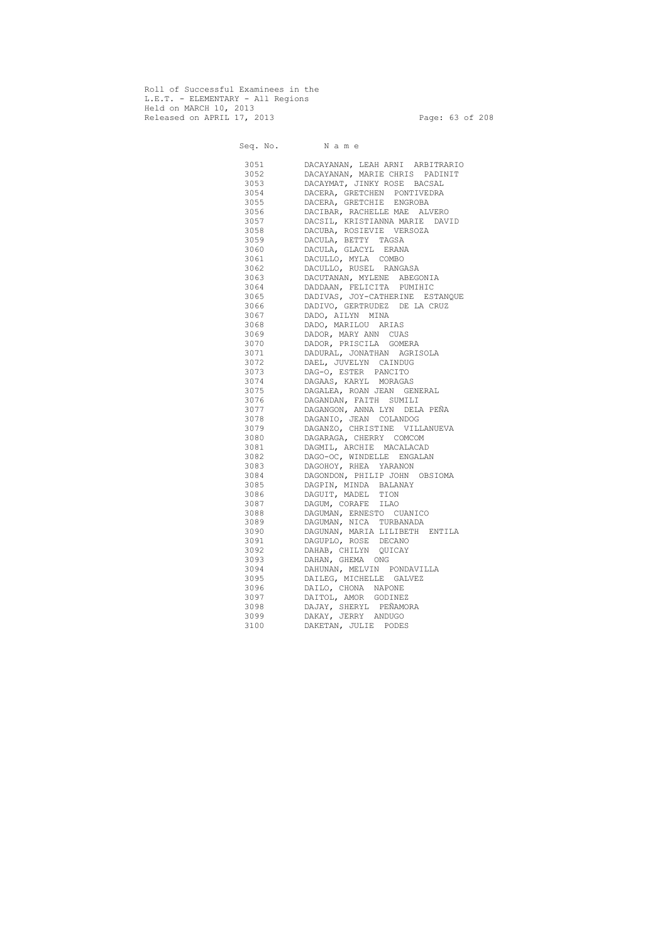Roll of Successful Examinees in the L.E.T. - ELEMENTARY - All Regions Held on MARCH 10, 2013 Released on APRIL 17, 2013 Page: 63 of 208

 Seq. No. N a m e 3051 DACAYANAN, LEAH ARNI ARBITRARIO 3052 DACAYANAN, MARIE CHRIS PADINIT 3053 DACAYMAT, JINKY ROSE BACSAL 3054 DACERA, GRETCHEN PONTIVEDRA 3055 DACERA, GRETCHIE ENGROBA 3056 DACIBAR, RACHELLE MAE ALVERO 3057 DACSIL, KRISTIANNA MARIE DAVID 3058 DACUBA, ROSIEVIE VERSOZA 3059 DACULA, BETTY TAGSA 3060 DACULA, GLACYL ERANA 3061 DACULLO, MYLA COMBO 3062 DACULLO, RUSEL RANGASA 3063 DACUTANAN, MYLENE ABEGONIA 3064 DADDAAN, FELICITA PUMIHIC 3065 DADIVAS, JOY-CATHERINE ESTANQUE 3066 DADIVO, GERTRUDEZ DE LA CRUZ 3067 DADO, AILYN MINA 3068 DADO, MARILOU ARIAS 3069 DADOR, MARY ANN CUAS 3070 DADOR, PRISCILA GOMERA 3071 DADURAL, JONATHAN AGRISOLA 3072 DAEL, JUVELYN CAINDUG 3073 DAG-O, ESTER PANCITO 3074 DAGAAS, KARYL MORAGAS 3075 DAGALEA, ROAN JEAN GENERAL 3076 DAGANDAN, FAITH SUMILI 3077 DAGANGON, ANNA LYN DELA PEÑA 3078 DAGANIO, JEAN COLANDOG 3079 DAGANZO, CHRISTINE VILLANUEVA 3080 DAGARAGA, CHERRY COMCOM 3081 DAGMIL, ARCHIE MACALACAD 3082 DAGO-OC, WINDELLE ENGALAN 3083 DAGOHOY, RHEA YARANON 3084 DAGONDON, PHILIP JOHN OBSIOMA 3085 DAGPIN, MINDA BALANAY 3086 DAGUIT, MADEL TION 3087 DAGUM, CORAFE ILAO 3088 DAGUMAN, ERNESTO CUANICO 3089 DAGUMAN, NICA TURBANADA 3090 DAGUNAN, MARIA LILIBETH ENTILA 3091 DAGUPLO, ROSE DECANO 3092 DAHAB, CHILYN QUICAY 3093 DAHAN, GHEMA ONG 3094 DAHUNAN, MELVIN PONDAVILLA 3095 DAILEG, MICHELLE GALVEZ 3096 DAILO, CHONA NAPONE 3097 DAITOL, AMOR GODINEZ 3098 DAJAY, SHERYL PEÑAMORA 3099 DAKAY, JERRY ANDUGO 3100 DAKETAN, JULIE PODES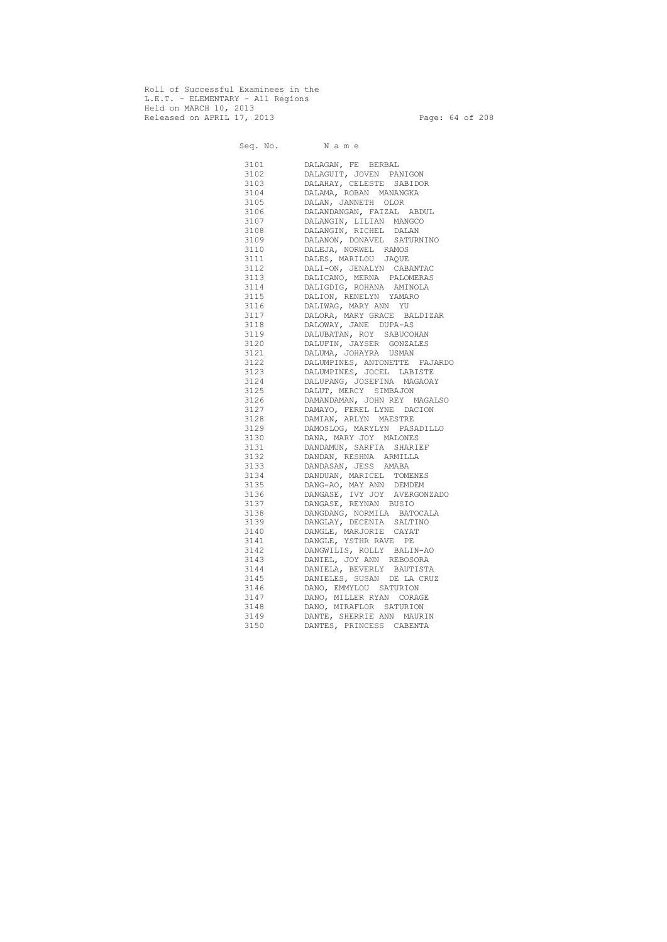Roll of Successful Examinees in the L.E.T. - ELEMENTARY - All Regions Held on MARCH 10, 2013 Released on APRIL 17, 2013 Page: 64 of 208

 Seq. No. N a m e 3101 DALAGAN, FE BERBAL 3102 DALAGUIT, JOVEN PANIGON 3103 DALAHAY, CELESTE SABIDOR 3104 DALAMA, ROBAN MANANGKA 3105 DALAN, JANNETH OLOR 3106 DALANDANGAN, FAIZAL ABDUL 3107 DALANGIN, LILIAN MANGCO 3108 DALANGIN, RICHEL DALAN 3109 DALANON, DONAVEL SATURNINO 3110 DALEJA, NORWEL RAMOS 3111 DALES, MARILOU JAQUE 3112 DALI-ON, JENALYN CABANTAC 3113 DALICANO, MERNA PALOMERAS 3114 DALIGDIG, ROHANA AMINOLA 3115 DALION, RENELYN YAMARO 3116 DALIWAG, MARY ANN YU 3117 DALORA, MARY GRACE BALDIZAR 3118 DALOWAY, JANE DUPA-AS 3119 DALUBATAN, ROY SABUCOHAN 3120 DALUFIN, JAYSER GONZALES 3121 DALUMA, JOHAYRA USMAN 3122 DALUMPINES, ANTONETTE FAJARDO 3123 DALUMPINES, JOCEL LABISTE 3124 DALUPANG, JOSEFINA MAGAOAY 3125 DALUT, MERCY SIMBAJON 3126 DAMANDAMAN, JOHN REY MAGALSO 3127 DAMAYO, FEREL LYNE DACION 3128 DAMIAN, ARLYN MAESTRE 3129 DAMOSLOG, MARYLYN PASADILLO 3130 DANA, MARY JOY MALONES 3131 DANDAMUN, SARFIA SHARIEF 3132 DANDAN, RESHNA ARMILLA 3133 DANDASAN, JESS AMABA 3134 DANDUAN, MARICEL TOMENES 3135 DANG-AO, MAY ANN DEMDEM 3136 DANGASE, IVY JOY AVERGONZADO 3137 DANGASE, REYNAN BUSIO 3138 DANGDANG, NORMILA BATOCALA 3139 DANGLAY, DECENIA SALTINO 3140 DANGLE, MARJORIE CAYAT 3141 DANGLE, YSTHR RAVE PE 3142 DANGWILIS, ROLLY BALIN-AO 3143 DANIEL, JOY ANN REBOSORA 3144 DANIELA, BEVERLY BAUTISTA 3145 DANIELES, SUSAN DE LA CRUZ 3146 DANO, EMMYLOU SATURION 3147 DANO, MILLER RYAN CORAGE 3148 DANO, MIRAFLOR SATURION 3149 DANTE, SHERRIE ANN MAURIN 3150 DANTES, PRINCESS CABENTA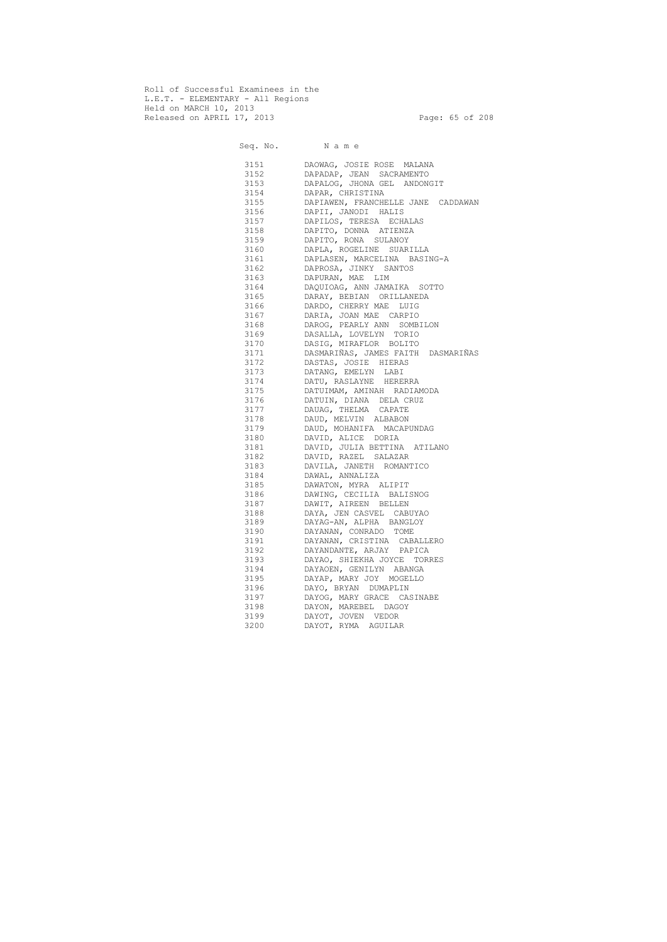Roll of Successful Examinees in the L.E.T. - ELEMENTARY - All Regions Held on MARCH 10, 2013 Released on APRIL 17, 2013 Page: 65 of 208

 Seq. No. N a m e 3151 DAOWAG, JOSIE ROSE MALANA 3152 DAPADAP, JEAN SACRAMENTO 3153 DAPALOG, JHONA GEL ANDONGIT 3154 DAPAR, CHRISTINA 3155 DAPIAWEN, FRANCHELLE JANE CADDAWAN 3156 DAPII, JANODI HALIS 3157 DAPILOS, TERESA ECHALAS<br>3158 DAPITO, DONNA ATIENZA DAPITO, DONNA ATIENZA 3159 DAPITO, RONA SULANOY 3160 DAPLA, ROGELINE SUARILLA 3161 DAPLASEN, MARCELINA BASING-A 3162 DAPROSA, JINKY SANTOS 3163 DAPURAN, MAE LIM 3164 DAQUIOAG, ANN JAMAIKA SOTTO 3165 DARAY, BEBIAN ORILLANEDA 3166 DARDO, CHERRY MAE LUIG 3167 DARIA, JOAN MAE CARPIO 3168 DAROG, PEARLY ANN SOMBILON 3169 DASALLA, LOVELYN TORIO 3170 DASIG, MIRAFLOR BOLITO 3171 DASMARIÑAS, JAMES FAITH DASMARIÑAS 3172 DASTAS, JOSIE HIERAS 3173 DATANG, EMELYN LABI 3174 DATU, RASLAYNE HERERRA 3175 DATUIMAM, AMINAH RADIAMODA 3176 DATUIN, DIANA DELA CRUZ 3177 DAUAG, THELMA CAPATE 3178 DAUD, MELVIN ALBABON 3179 DAUD, MOHANIFA MACAPUNDAG 3180 DAVID, ALICE DORIA 3181 DAVID, JULIA BETTINA ATILANO 3182 DAVID, RAZEL SALAZAR 3183 DAVILA, JANETH ROMANTICO 3184 DAWAL, ANNALIZA 3185 DAWATON, MYRA ALIPIT 3186 DAWING, CECILIA BALISNOG 3187 DAWIT, AIREEN BELLEN 3188 DAYA, JEN CASVEL CABUYAO 3189 DAYAG-AN, ALPHA BANGLOY 3190 DAYANAN, CONRADO TOME 3191 DAYANAN, CRISTINA CABALLERO 3192 DAYANDANTE, ARJAY PAPICA 3193 DAYAO, SHIEKHA JOYCE TORRES 3194 DAYAOEN, GENILYN ABANGA 3195 DAYAP, MARY JOY MOGELLO 3196 DAYO, BRYAN DUMAPLIN 3197 DAYOG, MARY GRACE CASINABE 3198 DAYON, MAREBEL DAGOY 3199 DAYOT, JOVEN VEDOR 3200 DAYOT, RYMA AGUILAR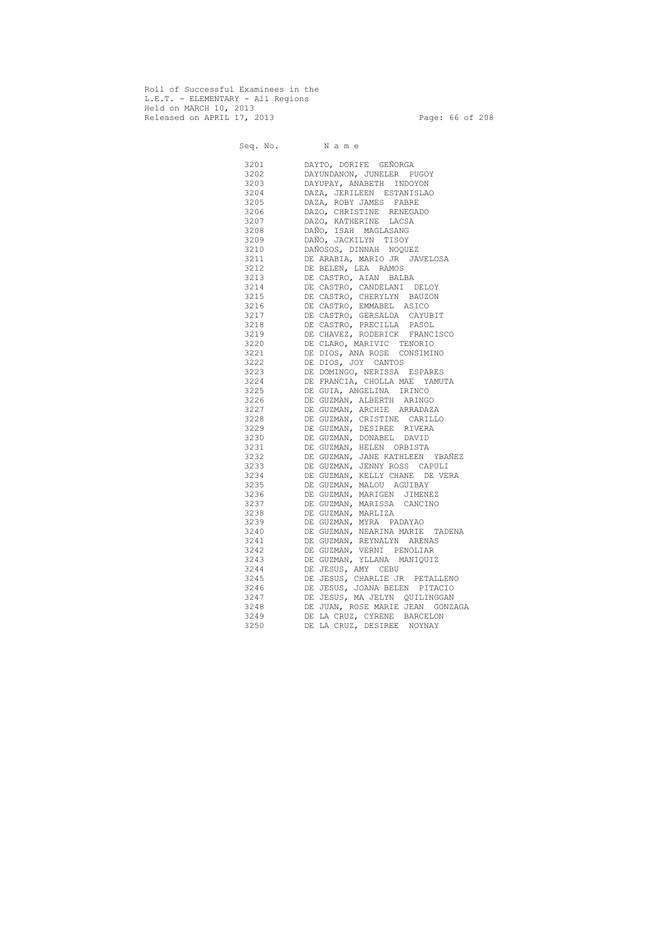Roll of Successful Examinees in the L.E.T. - ELEMENTARY - All Regions Held on MARCH 10, 2013 Released on APRIL 17, 2013 Page: 66 of 208

 Seq. No. N a m e 3201 DAYTO, DORIFE GEÑORGA 3202 DAYUNDANON, JUNELER PUGOY 3203 DAYUPAY, ANABETH INDOYON 3204 DAZA, JERILEEN ESTANISLAO 3205 DAZA, ROBY JAMES FABRE 3206 DAZO, CHRISTINE RENEGADO 3207 DAZO, KATHERINE LACSA 3208 DAÑO, ISAH MAGLASANG 3209 DAÑO, JACKILYN TISOY 3210 DAÑOSOS, DINNAH NOQUEZ 3211 DE ARABIA, MARIO JR JAVELOSA 3212 DE BELEN, LEA RAMOS 3213 DE CASTRO, AIAN BALBA 3214 DE CASTRO, CANDELANI DELOY 3215 DE CASTRO, CHERYLYN BAUZON 3216 DE CASTRO, EMMABEL ASICO 3217 DE CASTRO, GERSALDA CAYUBIT 3218 DE CASTRO, PRECILLA PASOL 3219 DE CHAVEZ, RODERICK FRANCISCO 3220 DE CLARO, MARIVIC TENORIO 3221 DE DIOS, ANA ROSE CONSIMINO 3222 DE DIOS, JOY CANTOS 3223 DE DOMINGO, NERISSA ESPARES 3224 DE FRANCIA, CHOLLA MAE YAMUTA 3225 DE GUIA, ANGELINA IRINCO 3226 DE GUZMAN, ALBERTH ARINGO 3227 DE GUZMAN, ARCHIE ARRADAZA 3228 DE GUZMAN, CRISTINE CARILLO 3229 DE GUZMAN, DESIREE RIVERA 3230 DE GUZMAN, DONABEL DAVID 3231 DE GUZMAN, HELEN ORBISTA 3232 DE GUZMAN, JANE KATHLEEN YBAÑEZ 3233 DE GUZMAN, JENNY ROSS CAPULI 3234 DE GUZMAN, KELLY CHANE DE VERA 3235 DE GUZMAN, MALOU AGUIBAY 3236 DE GUZMAN, MARIGEN JIMENEZ 3237 DE GUZMAN, MARISSA CANCINO 3238 DE GUZMAN, MARLIZA 3239 DE GUZMAN, MYRA PADAYAO 3240 DE GUZMAN, NEARINA MARIE TADENA 3241 DE GUZMAN, REYNALYN ARENAS 3242 DE GUZMAN, VERNI PENOLIAR 3243 DE GUZMAN, YLLANA MANIQUIZ 3244 DE JESUS, AMY CEBU 3245 DE JESUS, CHARLIE JR PETALLENO 3246 DE JESUS, JOANA BELEN PITACIO 3247 DE JESUS, MA JELYN QUILINGGAN 3248 DE JUAN, ROSE MARIE JEAN GONZAGA 3249 DE LA CRUZ, CYRENE BARCELON 3250 DE LA CRUZ, DESIREE NOYNAY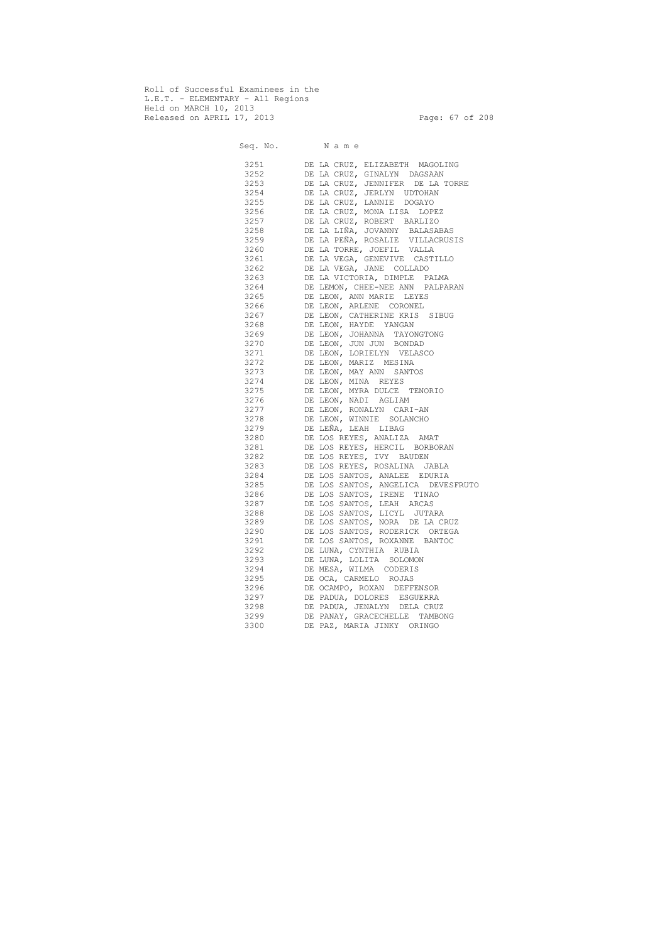Roll of Successful Examinees in the L.E.T. - ELEMENTARY - All Regions Held on MARCH 10, 2013 Released on APRIL 17, 2013 Page: 67 of 208

 Seq. No. N a m e 3251 DE LA CRUZ, ELIZABETH MAGOLING 3252 DE LA CRUZ, GINALYN DAGSAAN 3253 DE LA CRUZ, JENNIFER DE LA TORRE 3254 DE LA CRUZ, JERLYN UDTOHAN 3255 DE LA CRUZ, LANNIE DOGAYO 3256 DE LA CRUZ, MONA LISA LOPEZ 3257 DE LA CRUZ, ROBERT BARLIZO 3258 DE LA LIÑA, JOVANNY BALASABAS 3259 DE LA PEÑA, ROSALIE VILLACRUSIS 3260 DE LA TORRE, JOEFIL VALLA 3261 DE LA VEGA, GENEVIVE CASTILLO 3262 DE LA VEGA, JANE COLLADO 3263 DE LA VICTORIA, DIMPLE PALMA 3264 DE LEMON, CHEE-NEE ANN PALPARAN 3265 DE LEON, ANN MARIE LEYES 3266 DE LEON, ARLENE CORONEL 3267 DE LEON, CATHERINE KRIS SIBUG 3268 DE LEON, HAYDE YANGAN 3269 DE LEON, JOHANNA TAYONGTONG 3270 DE LEON, JUN JUN BONDAD 3271 DE LEON, LORIELYN VELASCO 3272 DE LEON, MARIZ MESINA 3273 DE LEON, MAY ANN SANTOS 3274 DE LEON, MINA REYES 3275 DE LEON, MYRA DULCE TENORIO 3276 DE LEON, NADI AGLIAM 3277 DE LEON, RONALYN CARI-AN 3278 DE LEON, WINNIE SOLANCHO 3279 DE LEÑA, LEAH LIBAG 3280 DE LOS REYES, ANALIZA AMAT 3281 DE LOS REYES, HERCIL BORBORAN 3282 DE LOS REYES, IVY BAUDEN 3283 DE LOS REYES, ROSALINA JABLA 3284 DE LOS SANTOS, ANALEE EDURIA 3285 DE LOS SANTOS, ANGELICA DEVESFRUTO 3286 DE LOS SANTOS, IRENE TINAO 3287 DE LOS SANTOS, LEAH ARCAS 3288 DE LOS SANTOS, LICYL JUTARA 3289 DE LOS SANTOS, NORA DE LA CRUZ 3290 DE LOS SANTOS, RODERICK ORTEGA 3291 DE LOS SANTOS, ROXANNE BANTOC 3292 DE LUNA, CYNTHIA RUBIA 3293 DE LUNA, LOLITA SOLOMON 3294 DE MESA, WILMA CODERIS 3295 DE OCA, CARMELO ROJAS 3296 DE OCAMPO, ROXAN DEFFENSOR 3297 DE PADUA, DOLORES ESGUERRA 3298 DE PADUA, JENALYN DELA CRUZ 3299 DE PANAY, GRACECHELLE TAMBONG 3300 DE PAZ, MARIA JINKY ORINGO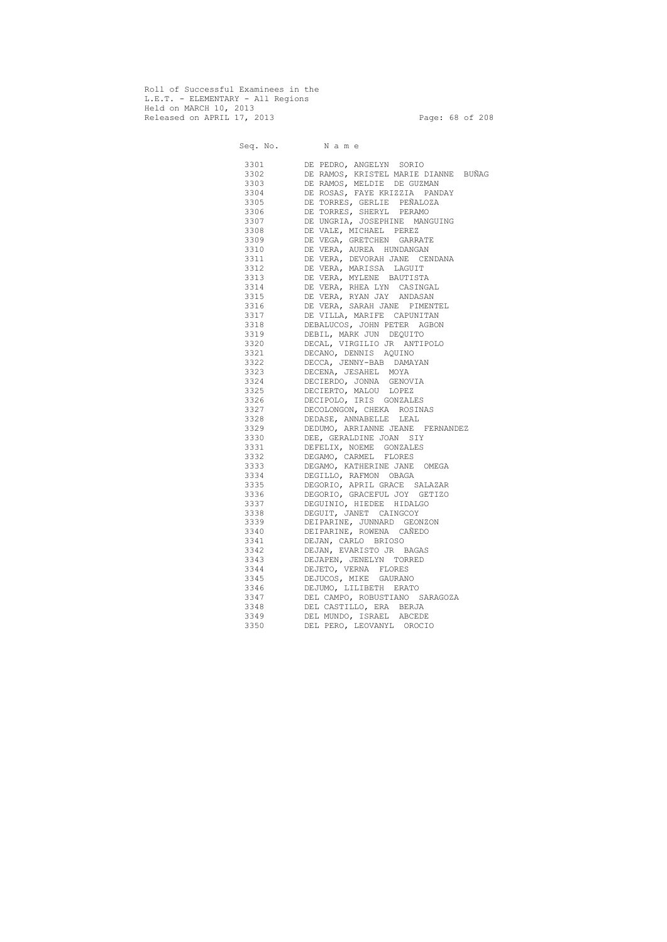Roll of Successful Examinees in the L.E.T. - ELEMENTARY - All Regions Held on MARCH 10, 2013 Released on APRIL 17, 2013 Page: 68 of 208

 Seq. No. N a m e 3301 DE PEDRO, ANGELYN SORIO 3302 DE RAMOS, KRISTEL MARIE DIANNE BUÑAG 3303 DE RAMOS, MELDIE DE GUZMAN 3304 DE ROSAS, FAYE KRIZZIA PANDAY 3305 DE TORRES, GERLIE PEÑALOZA 3306 DE TORRES, SHERYL PERAMO 3307 DE UNGRIA, JOSEPHINE MANGUING 3308 DE VALE, MICHAEL PEREZ 3309 DE VEGA, GRETCHEN GARRATE 3310 DE VERA, AUREA HUNDANGAN 3311 DE VERA, DEVORAH JANE CENDANA 3312 DE VERA, MARISSA LAGUIT 3313 DE VERA, MYLENE BAUTISTA 3314 DE VERA, RHEA LYN CASINGAL 3315 DE VERA, RYAN JAY ANDASAN 3316 DE VERA, SARAH JANE PIMENTEL 3317 DE VILLA, MARIFE CAPUNITAN 3318 DEBALUCOS, JOHN PETER AGBON 3319 DEBIL, MARK JUN DEQUITO 3320 DECAL, VIRGILIO JR ANTIPOLO 3321 DECANO, DENNIS AQUINO 3322 DECCA, JENNY-BAB DAMAYAN 3323 DECENA, JESAHEL MOYA 3324 DECIERDO, JONNA GENOVIA 3325 DECIERTO, MALOU LOPEZ 3326 DECIPOLO, IRIS GONZALES 3327 DECOLONGON, CHEKA ROSINAS 3328 DEDASE, ANNABELLE LEAL 3329 DEDUMO, ARRIANNE JEANE FERNANDEZ 3330 DEE, GERALDINE JOAN SIY 3331 DEFELIX, NOEME GONZALES 3332 DEGAMO, CARMEL FLORES 3333 DEGAMO, KATHERINE JANE OMEGA 3334 DEGILLO, RAFMON OBAGA 3335 DEGORIO, APRIL GRACE SALAZAR 3336 DEGORIO, GRACEFUL JOY GETIZO 3337 DEGUINIO, HIEDEE HIDALGO 3338 DEGUIT, JANET CAINGCOY 3339 DEIPARINE, JUNNARD GEONZON 3340 DEIPARINE, ROWENA CAÑEDO 3341 DEJAN, CARLO BRIOSO 3342 DEJAN, EVARISTO JR BAGAS 3343 DEJAPEN, JENELYN TORRED 3344 DEJETO, VERNA FLORES 3345 DEJUCOS, MIKE GAURANO 3346 DEJUMO, LILIBETH ERATO 3347 DEL CAMPO, ROBUSTIANO SARAGOZA 3348 DEL CASTILLO, ERA BERJA 3349 DEL MUNDO, ISRAEL ABCEDE 3350 DEL PERO, LEOVANYL OROCIO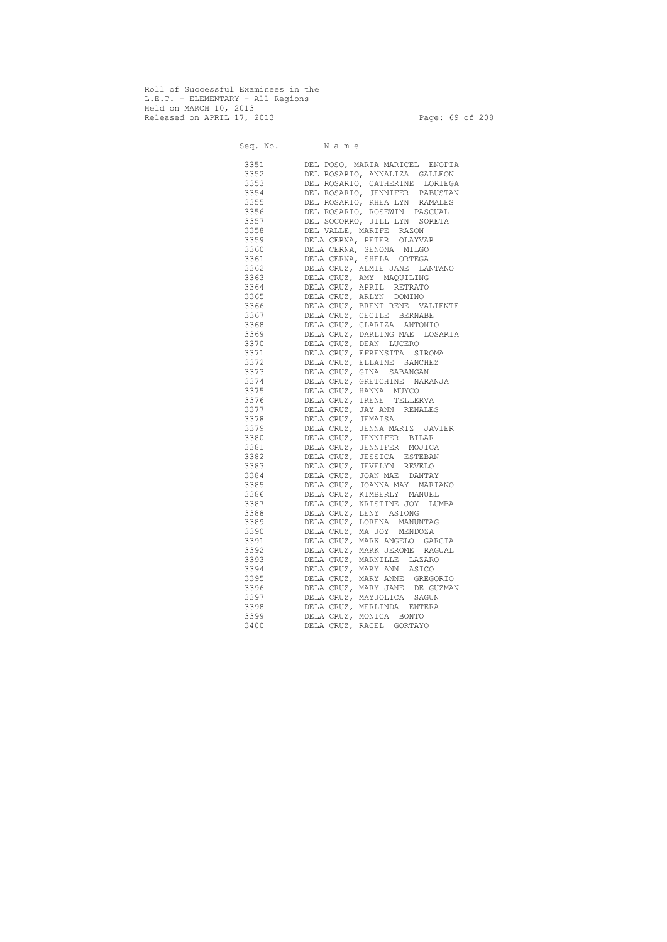Roll of Successful Examinees in the L.E.T. - ELEMENTARY - All Regions Held on MARCH 10, 2013 Released on APRIL 17, 2013 Page: 69 of 208

 Seq. No. N a m e 3351 DEL POSO, MARIA MARICEL ENOPIA 3352 DEL ROSARIO, ANNALIZA GALLEON 3353 DEL ROSARIO, CATHERINE LORIEGA 3354 DEL ROSARIO, JENNIFER PABUSTAN 3355 DEL ROSARIO, RHEA LYN RAMALES 3356 DEL ROSARIO, ROSEWIN PASCUAL 3357 DEL SOCORRO, JILL LYN SORETA 3358 DEL VALLE, MARIFE RAZON 3359 DELA CERNA, PETER OLAYVAR 3360 DELA CERNA, SENONA MILGO 3361 DELA CERNA, SHELA ORTEGA 3362 DELA CRUZ, ALMIE JANE LANTANO 3363 DELA CRUZ, AMY MAQUILING 3364 DELA CRUZ, APRIL RETRATO 3365 DELA CRUZ, ARLYN DOMINO 3366 DELA CRUZ, BRENT RENE VALIENTE 3367 DELA CRUZ, CECILE BERNABE 3368 DELA CRUZ, CLARIZA ANTONIO 3369 DELA CRUZ, DARLING MAE LOSARIA 3370 DELA CRUZ, DEAN LUCERO 3371 DELA CRUZ, EFRENSITA SIROMA 3372 DELA CRUZ, ELLAINE SANCHEZ 3373 DELA CRUZ, GINA SABANGAN 3374 DELA CRUZ, GRETCHINE NARANJA 3375 DELA CRUZ, HANNA MUYCO 3376 DELA CRUZ, IRENE TELLERVA 3377 DELA CRUZ, JAY ANN RENALES 3378 DELA CRUZ, JEMAISA 3379 DELA CRUZ, JENNA MARIZ JAVIER 3380 DELA CRUZ, JENNIFER BILAR 3381 DELA CRUZ, JENNIFER MOJICA 3382 DELA CRUZ, JESSICA ESTEBAN 3383 DELA CRUZ, JEVELYN REVELO 3384 DELA CRUZ, JOAN MAE DANTAY 3385 DELA CRUZ, JOANNA MAY MARIANO 3386 DELA CRUZ, KIMBERLY MANUEL 3387 DELA CRUZ, KRISTINE JOY LUMBA 3388 DELA CRUZ, LENY ASIONG 3389 DELA CRUZ, LORENA MANUNTAG 3390 DELA CRUZ, MA JOY MENDOZA 3391 DELA CRUZ, MARK ANGELO GARCIA 3392 DELA CRUZ, MARK JEROME RAGUAL 3393 DELA CRUZ, MARNILLE LAZARO 3394 DELA CRUZ, MARY ANN ASICO 3395 DELA CRUZ, MARY ANNE GREGORIO 3396 DELA CRUZ, MARY JANE DE GUZMAN 3397 DELA CRUZ, MAYJOLICA SAGUN 3398 DELA CRUZ, MERLINDA ENTERA 3399 DELA CRUZ, MONICA BONTO 3400 DELA CRUZ, RACEL GORTAYO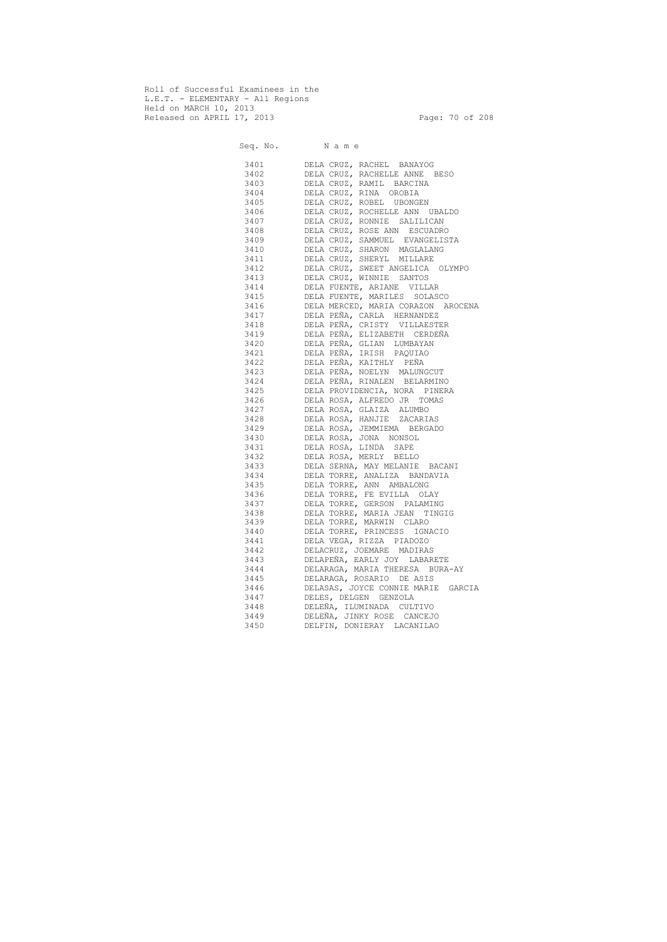Roll of Successful Examinees in the L.E.T. - ELEMENTARY - All Regions Held on MARCH 10, 2013 Released on APRIL 17, 2013 Page: 70 of 208

 Seq. No. N a m e 3401 DELA CRUZ, RACHEL BANAYOG 3402 DELA CRUZ, RACHELLE ANNE BESO 3403 DELA CRUZ, RAMIL BARCINA 3404 DELA CRUZ, RINA OROBIA 3405 DELA CRUZ, ROBEL UBONGEN 3406 DELA CRUZ, ROCHELLE ANN UBALDO 3407 DELA CRUZ, RONNIE SALILICAN 3408 DELA CRUZ, ROSE ANN ESCUADRO 3409 DELA CRUZ, SAMMUEL EVANGELISTA 3410 DELA CRUZ, SHARON MAGLALANG 3411 DELA CRUZ, SHERYL MILLARE 3412 DELA CRUZ, SWEET ANGELICA OLYMPO 3413 DELA CRUZ, WINNIE SANTOS 3414 DELA FUENTE, ARIANE VILLAR 3415 DELA FUENTE, MARILES SOLASCO 3416 DELA MERCED, MARIA CORAZON AROCENA 3417 DELA PEÑA, CARLA HERNANDEZ 3418 DELA PEÑA, CRISTY VILLAESTER 3419 DELA PEÑA, ELIZABETH CERDEÑA 3420 DELA PEÑA, GLIAN LUMBAYAN 3421 DELA PEÑA, IRISH PAQUIAO 3422 DELA PEÑA, KAITHLY PEÑA 3423 DELA PEÑA, NOELYN MALUNGCUT 3424 DELA PEÑA, RINALEN BELARMINO 3425 DELA PROVIDENCIA, NORA PINERA 3426 DELA ROSA, ALFREDO JR TOMAS 3427 DELA ROSA, GLAIZA ALUMBO 3428 DELA ROSA, HANJIE ZACARIAS 3429 DELA ROSA, JEMMIEMA BERGADO 3430 DELA ROSA, JONA NONSOL 3431 DELA ROSA, LINDA SAPE 3432 DELA ROSA, MERLY BELLO 3433 DELA SERNA, MAY MELANIE BACANI 3434 DELA TORRE, ANALIZA BANDAVIA 3435 DELA TORRE, ANN AMBALONG 3436 DELA TORRE, FE EVILLA OLAY 3437 DELA TORRE, GERSON PALAMING 3438 DELA TORRE, MARIA JEAN TINGIG 3439 DELA TORRE, MARWIN CLARO 3440 DELA TORRE, PRINCESS IGNACIO 3441 DELA VEGA, RIZZA PIADOZO 3442 DELACRUZ, JOEMARE MADIRAS 3443 DELAPEÑA, EARLY JOY LABARETE 3444 DELARAGA, MARIA THERESA BURA-AY 3445 DELARAGA, ROSARIO DE ASIS 3446 DELASAS, JOYCE CONNIE MARIE GARCIA 3447 DELES, DELGEN GENZOLA 3448 DELEÑA, ILUMINADA CULTIVO 3449 DELEÑA, JINKY ROSE CANCEJO 3450 DELFIN, DONIERAY LACANILAO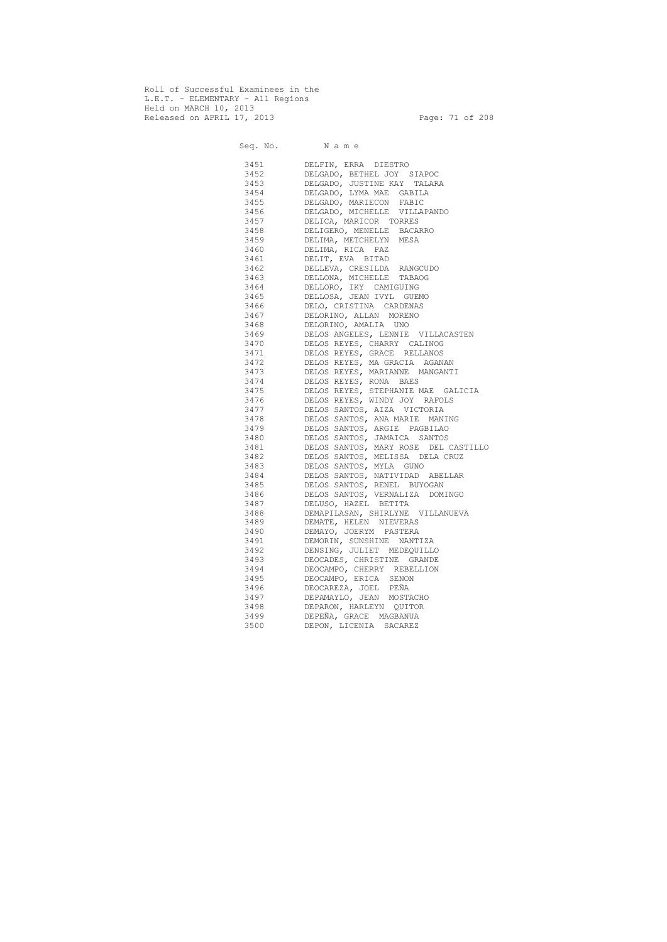Roll of Successful Examinees in the L.E.T. - ELEMENTARY - All Regions Held on MARCH 10, 2013 Released on APRIL 17, 2013 Page: 71 of 208

 Seq. No. N a m e 3451 DELFIN, ERRA DIESTRO 3452 DELGADO, BETHEL JOY SIAPOC 3453 DELGADO, JUSTINE KAY TALARA 3454 DELGADO, LYMA MAE GABILA 3455 DELGADO, MARIECON FABIC 3456 DELGADO, MICHELLE VILLAPANDO 3457 DELICA, MARICOR TORRES 3458 DELIGERO, MENELLE BACARRO 3459 DELIMA, METCHELYN MESA 3460 DELIMA, RICA PAZ 3461 DELIT, EVA BITAD 3462 DELLEVA, CRESILDA RANGCUDO 3463 DELLONA, MICHELLE TABAOG 3464 DELLORO, IKY CAMIGUING 3465 DELLOSA, JEAN IVYL GUEMO 3466 DELO, CRISTINA CARDENAS 3467 DELORINO, ALLAN MORENO 3468 DELORINO, AMALIA UNO 3469 DELOS ANGELES, LENNIE VILLACASTEN 3470 DELOS REYES, CHARRY CALINOG 3471 DELOS REYES, GRACE RELLANOS 3472 DELOS REYES, MA GRACIA AGANAN 3473 DELOS REYES, MARIANNE MANGANTI 3474 DELOS REYES, RONA BAES 3475 DELOS REYES, STEPHANIE MAE GALICIA 3476 DELOS REYES, WINDY JOY RAFOLS 3477 DELOS SANTOS, AIZA VICTORIA 3478 DELOS SANTOS, ANA MARIE MANING 3479 DELOS SANTOS, ARGIE PAGBILAO 3480 DELOS SANTOS, JAMAICA SANTOS 3481 DELOS SANTOS, MARY ROSE DEL CASTILLO 3482 DELOS SANTOS, MELISSA DELA CRUZ 3483 DELOS SANTOS, MYLA GUNO 3484 DELOS SANTOS, NATIVIDAD ABELLAR 3485 DELOS SANTOS, RENEL BUYOGAN 3486 DELOS SANTOS, VERNALIZA DOMINGO 3487 DELUSO, HAZEL BETITA 3488 DEMAPILASAN, SHIRLYNE VILLANUEVA 3489 DEMATE, HELEN NIEVERAS 3490 DEMAYO, JOERYM PASTERA 3491 DEMORIN, SUNSHINE NANTIZA 3492 DENSING, JULIET MEDEQUILLO 3493 DEOCADES, CHRISTINE GRANDE 3494 DEOCAMPO, CHERRY REBELLION 3495 DEOCAMPO, ERICA SENON 3496 DEOCAREZA, JOEL PEÑA 3497 DEPAMAYLO, JEAN MOSTACHO 3498 DEPARON, HARLEYN QUITOR 3499 DEPEÑA, GRACE MAGBANUA 3500 DEPON, LICENIA SACAREZ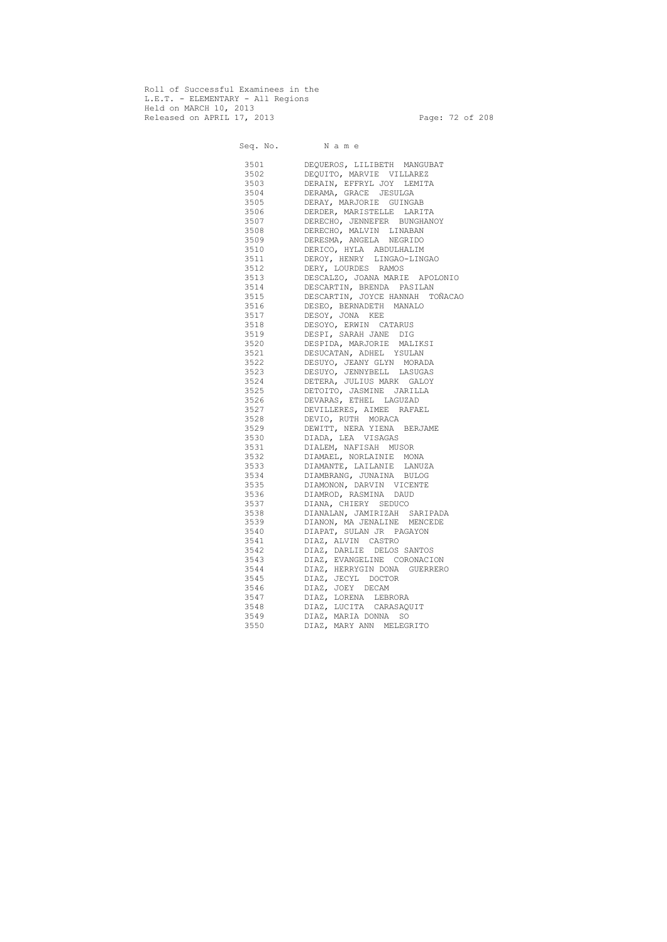Roll of Successful Examinees in the L.E.T. - ELEMENTARY - All Regions Held on MARCH 10, 2013 Released on APRIL 17, 2013 Page: 72 of 208

 Seq. No. N a m e 3501 DEQUEROS, LILIBETH MANGUBAT 3502 DEQUITO, MARVIE VILLAREZ 3503 DERAIN, EFFRYL JOY LEMITA 3504 DERAMA, GRACE JESULGA 3505 DERAY, MARJORIE GUINGAB 3506 DERDER, MARISTELLE LARITA 3507 DERECHO, JENNEFER BUNGHANOY<br>3508 DERECHO, MALVIN LINABAN DERECHO, MALVIN LINABAN 3509 DERESMA, ANGELA NEGRIDO 3510 DERICO, HYLA ABDULHALIM 3511 DEROY, HENRY LINGAO-LINGAO 3512 DERY, LOURDES RAMOS 3513 DESCALZO, JOANA MARIE APOLONIO 3514 DESCARTIN, BRENDA PASILAN 3515 DESCARTIN, JOYCE HANNAH TOÑACAO 3516 DESEO, BERNADETH MANALO 3517 DESOY, JONA KEE 3518 DESOYO, ERWIN CATARUS 3519 DESPI, SARAH JANE DIG 3520 DESPIDA, MARJORIE MALIKSI 3521 DESUCATAN, ADHEL YSULAN 3522 DESUYO, JEANY GLYN MORADA 3523 DESUYO, JENNYBELL LASUGAS 3524 DETERA, JULIUS MARK GALOY 3525 DETOITO, JASMINE JARILLA 3526 DEVARAS, ETHEL LAGUZAD 3527 DEVILLERES, AIMEE RAFAEL 3528 DEVIO, RUTH MORACA 3529 DEWITT, NERA YIENA BERJAME 3530 DIADA, LEA VISAGAS 3531 DIALEM, NAFISAH MUSOR 3532 DIAMAEL, NORLAINIE MONA 3533 DIAMANTE, LAILANIE LANUZA 3534 DIAMBRANG, JUNAINA BULOG 3535 DIAMONON, DARVIN VICENTE 3536 DIAMROD, RASMINA DAUD 3537 DIANA, CHIERY SEDUCO 3538 DIANALAN, JAMIRIZAH SARIPADA 3539 DIANON, MA JENALINE MENCEDE 3540 DIAPAT, SULAN JR PAGAYON 3541 DIAZ, ALVIN CASTRO 3542 DIAZ, DARLIE DELOS SANTOS 3543 DIAZ, EVANGELINE CORONACION 3544 DIAZ, HERRYGIN DONA GUERRERO 3545 DIAZ, JECYL DOCTOR 3546 DIAZ, JOEY DECAM 3547 DIAZ, LORENA LEBRORA 3548 DIAZ, LUCITA CARASAQUIT 3549 DIAZ, MARIA DONNA SO 3550 DIAZ, MARY ANN MELEGRITO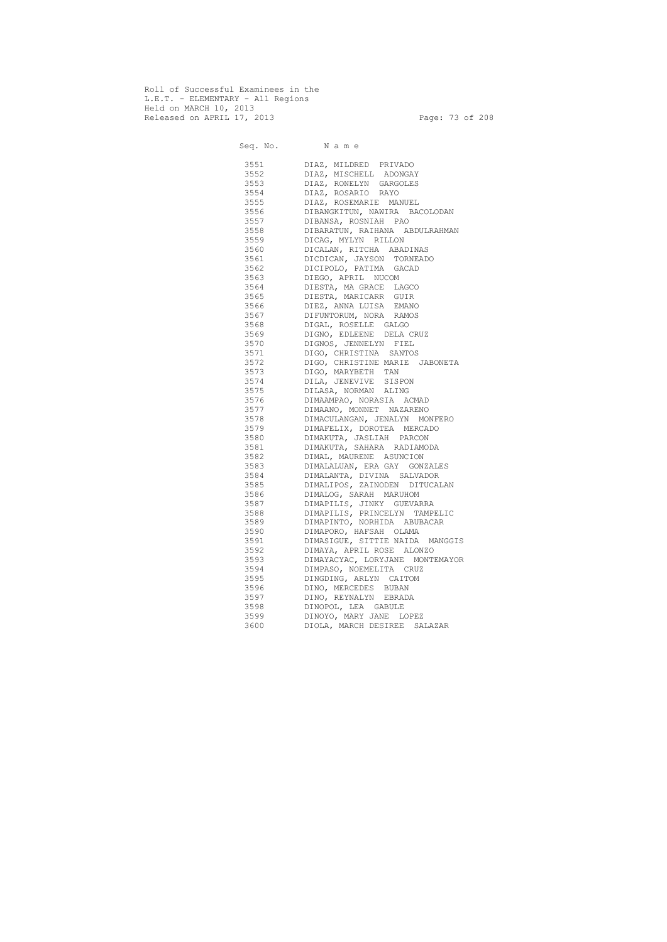Roll of Successful Examinees in the L.E.T. - ELEMENTARY - All Regions Held on MARCH 10, 2013 Released on APRIL 17, 2013 Page: 73 of 208

 Seq. No. N a m e 3551 DIAZ, MILDRED PRIVADO 3552 DIAZ, MISCHELL ADONGAY 3553 DIAZ, RONELYN GARGOLES 3554 DIAZ, ROSARIO RAYO 3555 DIAZ, ROSEMARIE MANUEL 3556 DIBANGKITUN, NAWIRA BACOLODAN 3557 DIBANSA, ROSNIAH PAO 3558 DIBARATUN, RAIHANA ABDULRAHMAN 3559 DICAG, MYLYN RILLON 3560 DICALAN, RITCHA ABADINAS 3561 DICDICAN, JAYSON TORNEADO 3562 DICIPOLO, PATIMA GACAD 3563 DIEGO, APRIL NUCOM 3564 DIESTA, MA GRACE LAGCO 3565 DIESTA, MARICARR GUIR 3566 DIEZ, ANNA LUISA EMANO 3567 DIFUNTORUM, NORA RAMOS 3568 DIGAL, ROSELLE GALGO 3569 DIGNO, EDLEENE DELA CRUZ 3570 DIGNOS, JENNELYN FIEL 3571 DIGO, CHRISTINA SANTOS 3572 DIGO, CHRISTINE MARIE JABONETA 3573 DIGO, MARYBETH TAN 3574 DILA, JENEVIVE SISPON 3575 DILASA, NORMAN ALING 3576 DIMAAMPAO, NORASIA ACMAD 3577 DIMAANO, MONNET NAZARENO 3578 DIMACULANGAN, JENALYN MONFERO 3579 DIMAFELIX, DOROTEA MERCADO 3580 DIMAKUTA, JASLIAH PARCON 3581 DIMAKUTA, SAHARA RADIAMODA 3582 DIMAL, MAURENE ASUNCION 3583 DIMALALUAN, ERA GAY GONZALES 3584 DIMALANTA, DIVINA SALVADOR 3585 DIMALIPOS, ZAINODEN DITUCALAN 3586 DIMALOG, SARAH MARUHOM 3587 DIMAPILIS, JINKY GUEVARRA 3588 DIMAPILIS, PRINCELYN TAMPELIC 3589 DIMAPINTO, NORHIDA ABUBACAR 3590 DIMAPORO, HAFSAH OLAMA 3591 DIMASIGUE, SITTIE NAIDA MANGGIS 3592 DIMAYA, APRIL ROSE ALONZO 3593 DIMAYACYAC, LORYJANE MONTEMAYOR 3594 DIMPASO, NOEMELITA CRUZ 3595 DINGDING, ARLYN CAITOM 3596 DINO, MERCEDES BUBAN 3597 DINO, REYNALYN EBRADA 3598 DINOPOL, LEA GABULE 3599 DINOYO, MARY JANE LOPEZ 3600 DIOLA, MARCH DESIREE SALAZAR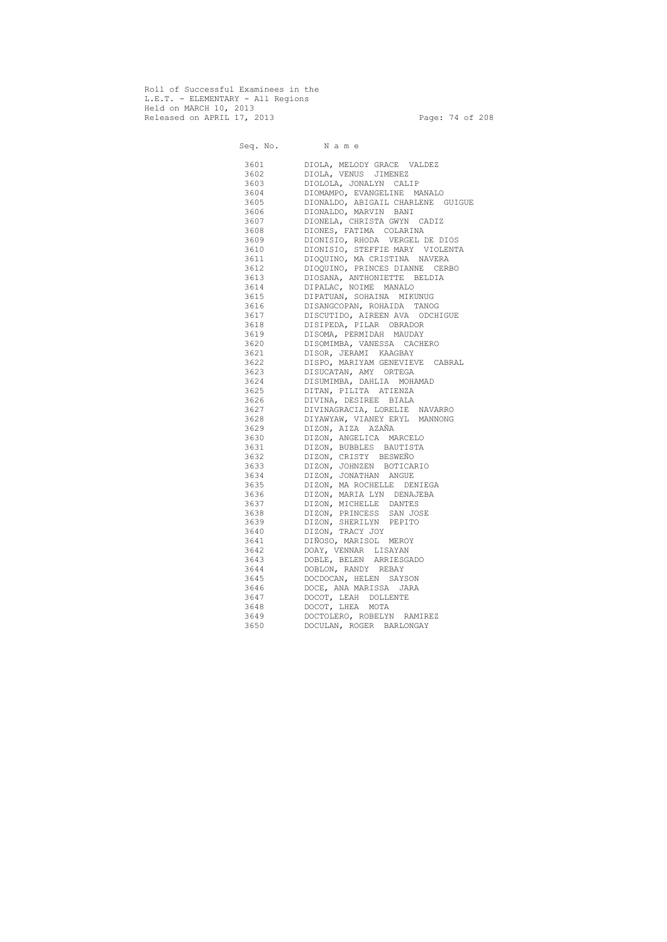Roll of Successful Examinees in the L.E.T. - ELEMENTARY - All Regions Held on MARCH 10, 2013 Released on APRIL 17, 2013 Page: 74 of 208

 Seq. No. N a m e 3601 DIOLA, MELODY GRACE VALDEZ 3602 DIOLA, VENUS JIMENEZ 3603 DIOLOLA, JONALYN CALIP 3604 DIOMAMPO, EVANGELINE MANALO 3605 DIONALDO, ABIGAIL CHARLENE GUIGUE 3606 DIONALDO, MARVIN BANI 3607 DIONELA, CHRISTA GWYN CADIZ 3608 DIONES, FATIMA COLARINA 3609 DIONISIO, RHODA VERGEL DE DIOS 3610 DIONISIO, STEFFIE MARY VIOLENTA 3611 DIOQUINO, MA CRISTINA NAVERA 3612 DIOQUINO, PRINCES DIANNE CERBO 3613 DIOSANA, ANTHONIETTE BELDIA 3614 DIPALAC, NOIME MANALO 3615 DIPATUAN, SOHAINA MIKUNUG 3616 DISANGCOPAN, ROHAIDA TANOG 3617 DISCUTIDO, AIREEN AVA ODCHIGUE 3618 DISIPEDA, PILAR OBRADOR 3619 DISOMA, PERMIDAH MAUDAY 3620 DISOMIMBA, VANESSA CACHERO 3621 DISOR, JERAMI KAAGBAY 3622 DISPO, MARIYAM GENEVIEVE CABRAL 3623 DISUCATAN, AMY ORTEGA 3624 DISUMIMBA, DAHLIA MOHAMAD 3625 DITAN, PILITA ATIENZA 3626 DIVINA, DESIREE BIALA 3627 DIVINAGRACIA, LORELIE NAVARRO 3628 DIYAWYAW, VIANEY ERYL MANNONG 3629 DIZON, AIZA AZAÑA 3630 DIZON, ANGELICA MARCELO 3631 DIZON, BUBBLES BAUTISTA 3632 DIZON, CRISTY BESWEÑO 3633 DIZON, JOHNZEN BOTICARIO 3634 DIZON, JONATHAN ANGUE 3635 DIZON, MA ROCHELLE DENIEGA 3636 DIZON, MARIA LYN DENAJEBA 3637 DIZON, MICHELLE DANTES 3638 DIZON, PRINCESS SAN JOSE 3639 DIZON, SHERILYN PEPITO 3640 DIZON, TRACY JOY 3641 DIÑOSO, MARISOL MEROY 3642 DOAY, VENNAR LISAYAN 3643 DOBLE, BELEN ARRIESGADO 3644 DOBLON, RANDY REBAY 3645 DOCDOCAN, HELEN SAYSON 3646 DOCE, ANA MARISSA JARA 3647 DOCOT, LEAH DOLLENTE 3648 DOCOT, LHEA MOTA 3649 DOCTOLERO, ROBELYN RAMIREZ 3650 DOCULAN, ROGER BARLONGAY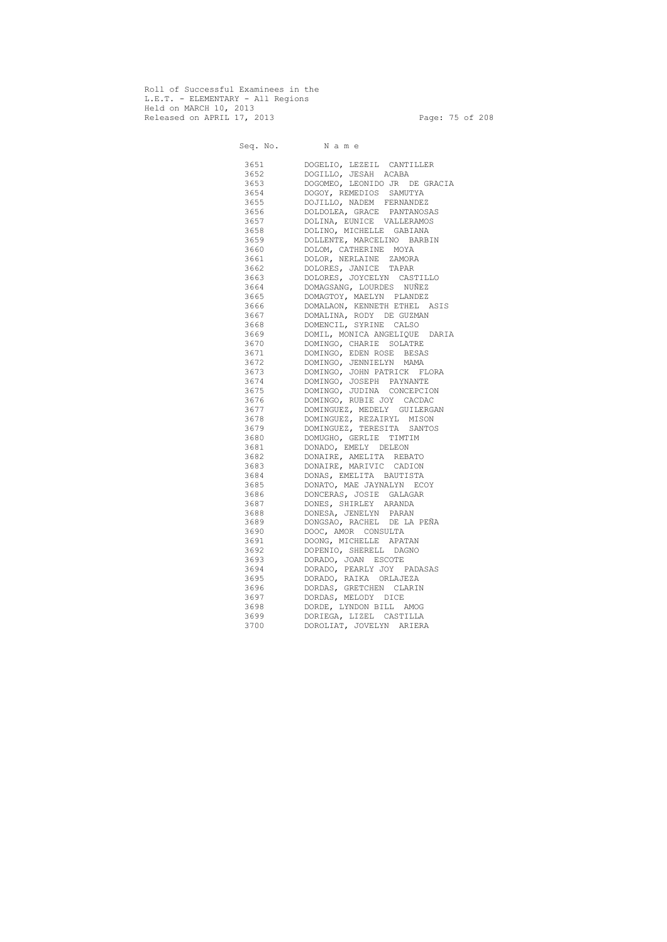Roll of Successful Examinees in the L.E.T. - ELEMENTARY - All Regions Held on MARCH 10, 2013 Released on APRIL 17, 2013 Page: 75 of 208

 Seq. No. N a m e 3651 DOGELIO, LEZEIL CANTILLER 3652 DOGILLO, JESAH ACABA 3653 DOGOMEO, LEONIDO JR DE GRACIA 3654 DOGOY, REMEDIOS SAMUTYA 3655 DOJILLO, NADEM FERNANDEZ 3656 DOLDOLEA, GRACE PANTANOSAS 3657 DOLINA, EUNICE VALLERAMOS 3658 DOLINO, MICHELLE GABIANA 3659 DOLLENTE, MARCELINO BARBIN 3660 DOLOM, CATHERINE MOYA 3661 DOLOR, NERLAINE ZAMORA 3662 DOLORES, JANICE TAPAR<br>3663 DOLORES, JOYCELYN CAS' 3663 DOLORES, JOYCELYN CASTILLO 3664 DOMAGSANG, LOURDES NUÑEZ 3665 DOMAGTOY, MAELYN PLANDEZ 3666 DOMALAON, KENNETH ETHEL ASIS 3667 DOMALINA, RODY DE GUZMAN 3668 DOMENCIL, SYRINE CALSO 3669 DOMIL, MONICA ANGELIQUE DARIA 3670 DOMINGO, CHARIE SOLATRE 3671 DOMINGO, EDEN ROSE BESAS 3672 DOMINGO, JENNIELYN MAMA 3673 DOMINGO, JOHN PATRICK FLORA 3674 DOMINGO, JOSEPH PAYNANTE 3675 DOMINGO, JUDINA CONCEPCION 3676 DOMINGO, RUBIE JOY CACDAC 3677 DOMINGUEZ, MEDELY GUILERGAN 3678 DOMINGUEZ, REZAIRYL MISON 3679 DOMINGUEZ, TERESITA SANTOS 3680 DOMUGHO, GERLIE TIMTIM 3681 DONADO, EMELY DELEON 3682 DONAIRE, AMELITA REBATO 3683 DONAIRE, MARIVIC CADION 3684 DONAS, EMELITA BAUTISTA 3685 DONATO, MAE JAYNALYN ECOY 3686 DONCERAS, JOSIE GALAGAR 3687 DONES, SHIRLEY ARANDA 3688 DONESA, JENELYN PARAN 3689 DONGSAO, RACHEL DE LA PEÑA 3690 DOOC, AMOR CONSULTA 3691 DOONG, MICHELLE APATAN 3692 DOPENIO, SHERELL DAGNO 3693 DORADO, JOAN ESCOTE 3694 DORADO, PEARLY JOY PADASAS 3695 DORADO, RAIKA ORLAJEZA 3696 DORDAS, GRETCHEN CLARIN 3697 DORDAS, MELODY DICE 3698 DORDE, LYNDON BILL AMOG 3699 DORIEGA, LIZEL CASTILLA 3700 DOROLIAT, JOVELYN ARIERA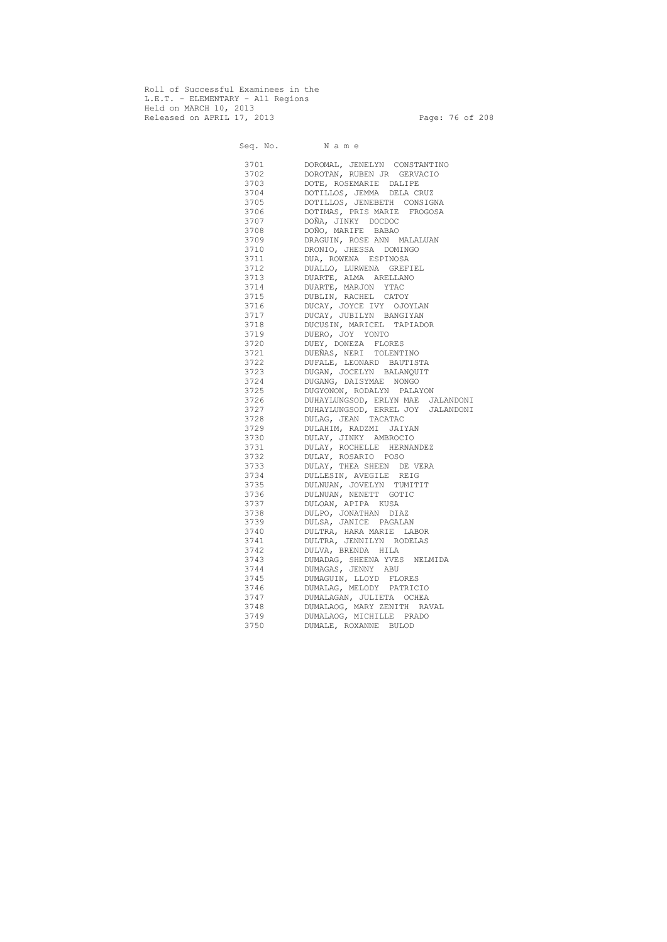Roll of Successful Examinees in the L.E.T. - ELEMENTARY - All Regions Held on MARCH 10, 2013 Released on APRIL 17, 2013 Page: 76 of 208

 Seq. No. N a m e 3701 DOROMAL, JENELYN CONSTANTINO 3702 DOROTAN, RUBEN JR GERVACIO 3703 DOTE, ROSEMARIE DALIPE 3704 DOTILLOS, JEMMA DELA CRUZ 3705 DOTILLOS, JENEBETH CONSIGNA 3706 DOTIMAS, PRIS MARIE FROGOSA 3707 DOÑA, JINKY DOCDOC 3708 DOÑO, MARIFE BABAO 3709 DRAGUIN, ROSE ANN MALALUAN 3710 DRONIO, JHESSA DOMINGO 3711 DUA, ROWENA ESPINOSA 3712 DUALLO, LURWENA GREFIEL 3713 DUARTE, ALMA ARELLANO 3714 DUARTE, MARJON YTAC 3715 DUBLIN, RACHEL CATOY 3716 DUCAY, JOYCE IVY OJOYLAN 3717 DUCAY, JUBILYN BANGIYAN 3718 DUCUSIN, MARICEL TAPIADOR 3719 DUERO, JOY YONTO 3720 DUEY, DONEZA FLORES 3721 DUEÑAS, NERI TOLENTINO 3722 DUFALE, LEONARD BAUTISTA 3723 DUGAN, JOCELYN BALANQUIT 3724 DUGANG, DAISYMAE NONGO 3725 DUGYONON, RODALYN PALAYON 3726 DUHAYLUNGSOD, ERLYN MAE JALANDONI 3727 DUHAYLUNGSOD, ERREL JOY JALANDONI 3728 DULAG, JEAN TACATAC 3729 DULAHIM, RADZMI JAIYAN 3730 DULAY, JINKY AMBROCIO 3731 DULAY, ROCHELLE HERNANDEZ 3732 DULAY, ROSARIO POSO 3733 DULAY, THEA SHEEN DE VERA 3734 DULLESIN, AVEGILE REIG 3735 DULNUAN, JOVELYN TUMITIT 3736 DULNUAN, NENETT GOTIC 3737 DULOAN, APIPA KUSA 3738 DULPO, JONATHAN DIAZ 3739 DULSA, JANICE PAGALAN 3740 DULTRA, HARA MARIE LABOR 3741 DULTRA, JENNILYN RODELAS 3742 DULVA, BRENDA HILA 3743 DUMADAG, SHEENA YVES NELMIDA 3744 DUMAGAS, JENNY ABU 3745 DUMAGUIN, LLOYD FLORES 3746 DUMALAG, MELODY PATRICIO 3747 DUMALAGAN, JULIETA OCHEA 3748 DUMALAOG, MARY ZENITH RAVAL 3749 DUMALAOG, MICHILLE PRADO 3750 DUMALE, ROXANNE BULOD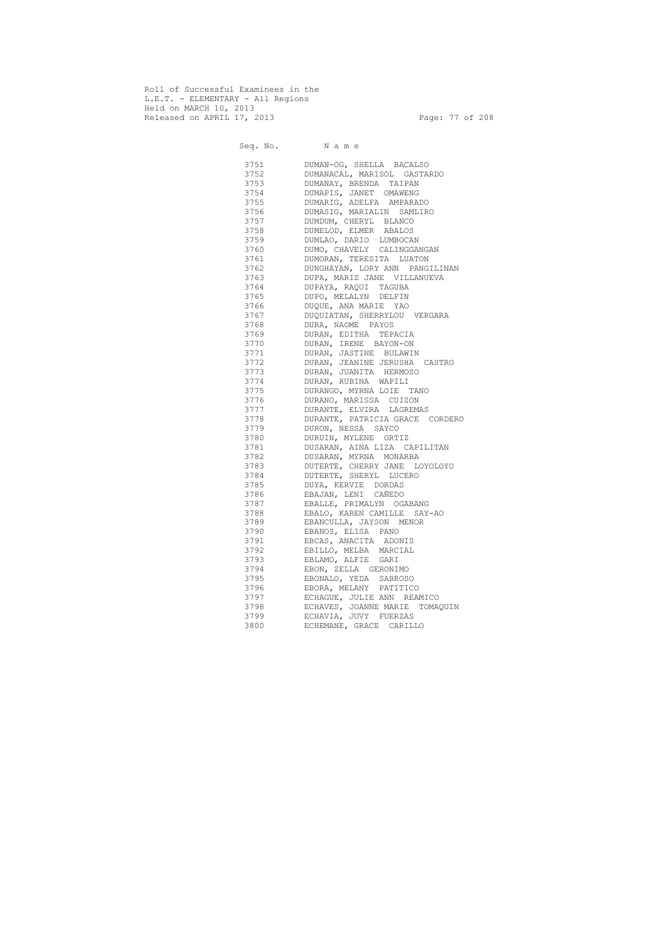Roll of Successful Examinees in the L.E.T. - ELEMENTARY - All Regions Held on MARCH 10, 2013 Released on APRIL 17, 2013 Page: 77 of 208

 Seq. No. N a m e 3751 DUMAN-OG, SHELLA BACALSO 3752 DUMANACAL, MARISOL GASTARDO 3753 DUMANAY, BRENDA TAIPAN 3754 DUMAPIS, JANET OMAWENG 3755 DUMARIG, ADELFA AMPARADO 3756 DUMASIG, MARIALIN SAMLIRO 3757 DUMDUM, CHERYL BLANCO 3758 DUMELOD, ELMER ABALOS 3759 DUMLAO, DARIO LUMBOCAN 3760 DUMO, CHAVELY CALINGGANGAN 3761 DUMORAN, TERESITA LUATON 3762 DUNGHAYAN, LORY ANN PANGILINAN 3763 DUPA, MARIZ JANE VILLANUEVA 3764 DUPAYA, RAQUI TAGUBA 3765 DUPO, MELALYN DELFIN 3766 DUQUE, ANA MARIE YAO 3767 DUQUIATAN, SHERRYLOU VERGARA 3768 DURA, NAOME PAYOS 3769 DURAN, EDITHA TEPACIA 3770 DURAN, IRENE BAYON-ON 3771 DURAN, JASTINE BULAWIN 3772 DURAN, JEANINE JERUSHA CASTRO 3773 DURAN, JUANITA HERMOSO 3774 DURAN, RUBINA WAPILI 3775 DURANGO, MYRNA LOIE TANO 3776 DURANO, MARISSA CUIZON 3777 DURANTE, ELVIRA LAGREMAS 3778 DURANTE, PATRICIA GRACE CORDERO 3779 DURON, NESSA SAYCO 3780 DURUIN, MYLENE ORTIZ 3781 DUSARAN, AINA LIZA CAPILITAN 3782 DUSARAN, MYRNA MONARBA 3783 DUTERTE, CHERRY JANE LOYOLOYO 3784 DUTERTE, SHERYL LUCERO 3785 DUYA, KERVIE DORDAS 3786 EBAJAN, LENI CAÑEDO 3787 EBALLE, PRIMALYN OGABANG 3788 EBALO, KAREN CAMILLE SAY-AO 3789 EBANCULLA, JAYSON MENOR 3790 EBANOS, ELISA PANO 3791 EBCAS, ANACITA ADONIS 3792 EBILLO, MELBA MARCIAL 3793 EBLAMO, ALFIE GARI 3794 EBON, ZELLA GERONIMO 3795 EBONALO, YEDA SABROSO 3796 EBORA, MELANY PATITICO 3797 ECHAGUE, JULIE ANN REAMICO 3798 ECHAVES, JOANNE MARIE TOMAQUIN 3799 ECHAVIA, JUVY FUERZAS 3800 ECHEMANE, GRACE CARILLO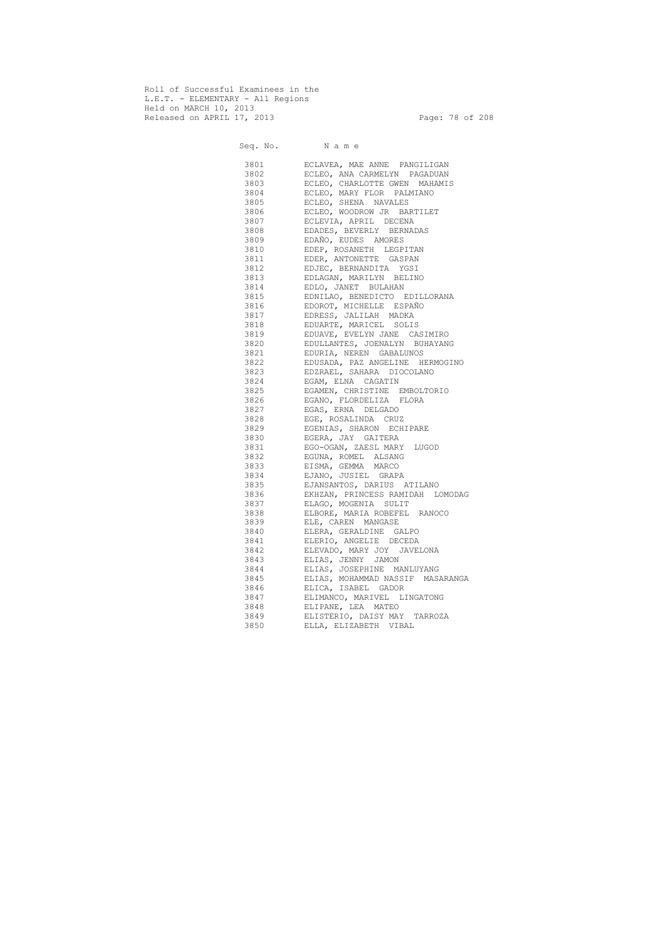Roll of Successful Examinees in the L.E.T. - ELEMENTARY - All Regions Held on MARCH 10, 2013 Released on APRIL 17, 2013 Page: 78 of 208

 Seq. No. N a m e 3801 ECLAVEA, MAE ANNE PANGILIGAN ECLEO, ANA CARMELYN PAGADUAN 3803 ECLEO, CHARLOTTE GWEN MAHAMIS 3804 ECLEO, MARY FLOR PALMIANO 3805 ECLEO, SHENA NAVALES 3806 ECLEO, WOODROW JR BARTILET 3807 ECLEVIA, APRIL DECENA 3808 EDADES, BEVERLY BERNADAS 3809 EDAÑO, EUDES AMORES 3810 EDEP, ROSANETH LEGPITAN 3811 EDER, ANTONETTE GASPAN 3812 EDJEC, BERNANDITA YGSI 3813 EDLAGAN, MARILYN BELINO 3814 EDLO, JANET BULAHAN 3815 EDNILAO, BENEDICTO EDILLORANA 3816 EDOROT, MICHELLE ESPAÑO 3817 EDRESS, JALILAH MADKA 3818 EDUARTE, MARICEL SOLIS 3819 EDUAVE, EVELYN JANE CASIMIRO 3820 EDULLANTES, JOENALYN BUHAYANG 3821 EDURIA, NEREN GABALUNOS 3822 EDUSADA, PAZ ANGELINE HERMOGINO 3823 EDZRAEL, SAHARA DIOCOLANO 3824 EGAM, ELNA CAGATIN 3825 EGAMEN, CHRISTINE EMBOLTORIO 3826 EGANO, FLORDELIZA FLORA 3827 EGAS, ERNA DELGADO 3828 EGE, ROSALINDA CRUZ 3829 EGENIAS, SHARON ECHIPARE 3830 EGERA, JAY GAITERA 3831 EGO-OGAN, ZAESL MARY LUGOD 3832 EGUNA, ROMEL ALSANG 3833 EISMA, GEMMA MARCO 3834 EJANO, JUSIEL GRAPA 3835 EJANSANTOS, DARIUS ATILANO 3836 EKHZAN, PRINCESS RAMIDAH LOMODAG 3837 ELAGO, MOGENIA SULIT 3838 ELBORE, MARIA ROBEFEL RANOCO 3839 ELE, CAREN MANGASE 3840 ELERA, GERALDINE GALPO 3841 ELERIO, ANGELIE DECEDA 3842 ELEVADO, MARY JOY JAVELONA 3843 ELIAS, JENNY JAMON 3844 ELIAS, JOSEPHINE MANLUYANG 3845 ELIAS, MOHAMMAD NASSIF MASARANGA 3846 ELICA, ISABEL GADOR 3847 ELIMANCO, MARIVEL LINGATONG 3848 ELIPANE, LEA MATEO 3849 ELISTERIO, DAISY MAY TARROZA 3850 ELLA, ELIZABETH VIBAL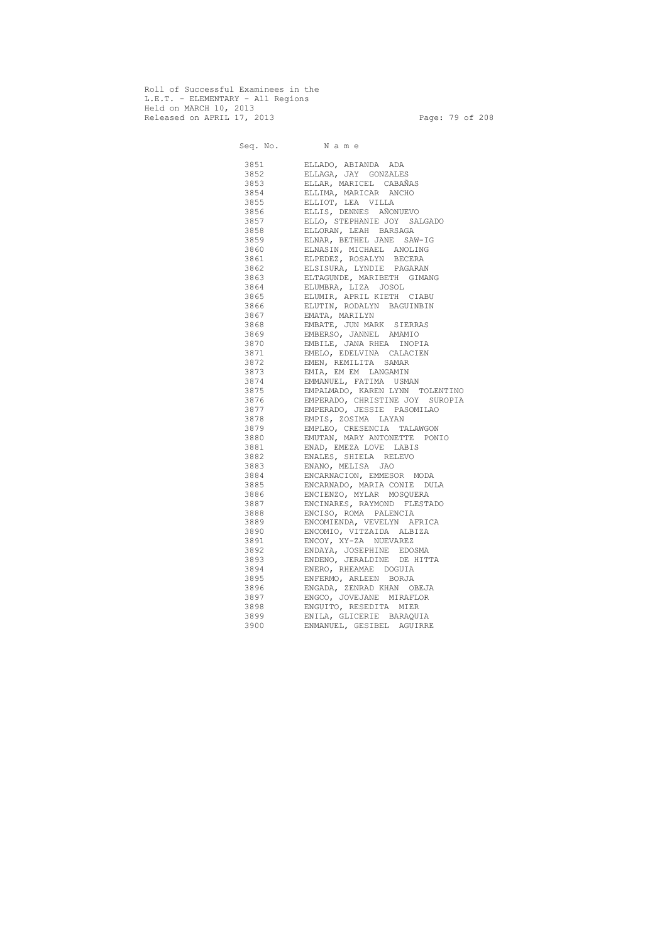Roll of Successful Examinees in the L.E.T. - ELEMENTARY - All Regions Held on MARCH 10, 2013 Released on APRIL 17, 2013 Page: 79 of 208

 Seq. No. N a m e 3851 ELLADO, ABIANDA ADA 3852 ELLAGA, JAY GONZALES 3853 ELLAR, MARICEL CABAÑAS 3854 ELLIMA, MARICAR ANCHO 3855 ELLIOT, LEA VILLA 3856 ELLIS, DENNES AÑONUEVO 3857 ELLO, STEPHANIE JOY SALGADO 3858 ELLORAN, LEAH BARSAGA 3859 ELNAR, BETHEL JANE SAW-IG 3860 ELNASIN, MICHAEL ANOLING 3861 ELPEDEZ, ROSALYN BECERA 3862 ELSISURA, LYNDIE PAGARAN 3863 ELTAGUNDE, MARIBETH GIMANG 3864 ELUMBRA, LIZA JOSOL 3865 ELUMIR, APRIL KIETH CIABU 3866 ELUTIN, RODALYN BAGUINBIN 3867 EMATA, MARILYN 3868 EMBATE, JUN MARK SIERRAS 3869 EMBERSO, JANNEL AMAMIO 3870 EMBILE, JANA RHEA INOPIA 3871 EMELO, EDELVINA CALACIEN 3872 EMEN, REMILITA SAMAR 3873 EMIA, EM EM LANGAMIN 3874 EMMANUEL, FATIMA USMAN 3875 EMPALMADO, KAREN LYNN TOLENTINO 3876 EMPERADO, CHRISTINE JOY SUROPIA 3877 EMPERADO, JESSIE PASOMILAO 3878 EMPIS, ZOSIMA LAYAN 3879 EMPLEO, CRESENCIA TALAWGON 3880 EMUTAN, MARY ANTONETTE PONIO 3881 ENAD, EMEZA LOVE LABIS 3882 ENALES, SHIELA RELEVO 3883 ENANO, MELISA JAO 3884 ENCARNACION, EMMESOR MODA 3885 ENCARNADO, MARIA CONIE DULA 3886 ENCIENZO, MYLAR MOSQUERA 3887 ENCINARES, RAYMOND FLESTADO 3888 ENCISO, ROMA PALENCIA 3889 ENCOMIENDA, VEVELYN AFRICA 3890 ENCOMIO, VITZAIDA ALBIZA 3891 ENCOY, XY-ZA NUEVAREZ 3892 ENDAYA, JOSEPHINE EDOSMA 3893 ENDENO, JERALDINE DE HITTA 3894 ENERO, RHEAMAE DOGUIA 3895 ENFERMO, ARLEEN BORJA 3896 ENGADA, ZENRAD KHAN OBEJA 3897 ENGCO, JOVEJANE MIRAFLOR 3898 ENGUITO, RESEDITA MIER 3899 ENILA, GLICERIE BARAQUIA 3900 ENMANUEL, GESIBEL AGUIRRE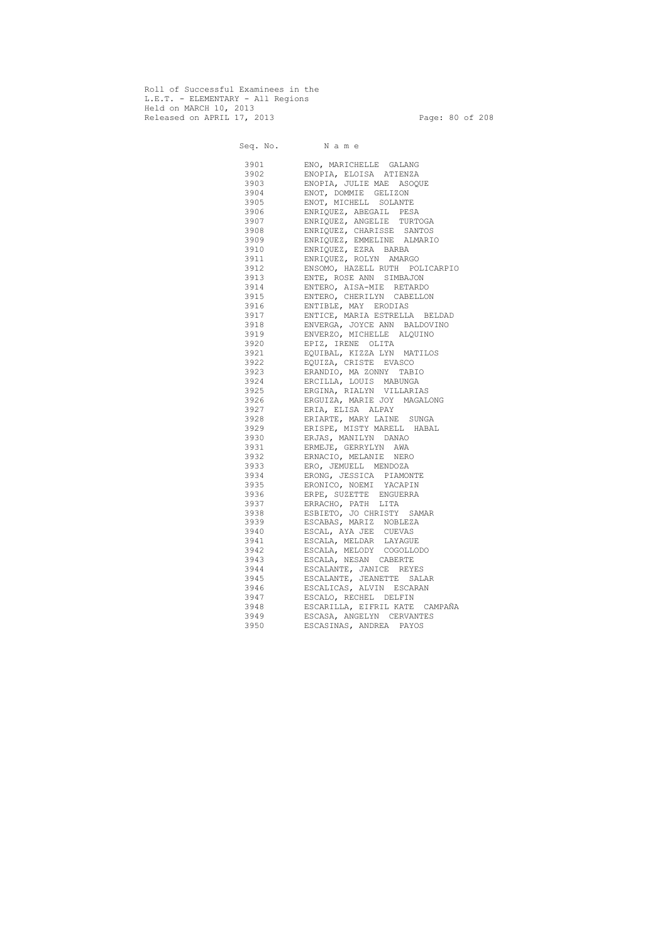Roll of Successful Examinees in the L.E.T. - ELEMENTARY - All Regions Held on MARCH 10, 2013 Released on APRIL 17, 2013 Page: 80 of 208

 Seq. No. N a m e 3901 ENO, MARICHELLE GALANG 3902 ENOPIA, ELOISA ATIENZA 3903 ENOPIA, JULIE MAE ASOQUE 3904 ENOT, DOMMIE GELIZON 3905 ENOT, MICHELL SOLANTE 3906 ENRIQUEZ, ABEGAIL PESA 3907 ENRIQUEZ, ANGELIE TURTOGA 3908 ENRIQUEZ, CHARISSE SANTOS 3909 ENRIQUEZ, EMMELINE ALMARIO 3910 ENRIQUEZ, EZRA BARBA 3911 ENRIQUEZ, ROLYN AMARGO 3912 ENSOMO, HAZELL RUTH POLICARPIO 3913 ENTE, ROSE ANN SIMBAJON 3914 ENTERO, AISA-MIE RETARDO 3915 ENTERO, CHERILYN CABELLON 3916 ENTIBLE, MAY ERODIAS 3917 ENTICE, MARIA ESTRELLA BELDAD 3918 ENVERGA, JOYCE ANN BALDOVINO 3919 ENVERZO, MICHELLE ALQUINO 3920 EPIZ, IRENE OLITA 3921 EQUIBAL, KIZZA LYN MATILOS 3922 EQUIZA, CRISTE EVASCO 3923 ERANDIO, MA ZONNY TABIO 3924 ERCILLA, LOUIS MABUNGA 3925 ERGINA, RIALYN VILLARIAS 3926 ERGUIZA, MARIE JOY MAGALONG 3927 ERIA, ELISA ALPAY 3928 ERIARTE, MARY LAINE SUNGA 3929 ERISPE, MISTY MARELL HABAL 3930 ERJAS, MANILYN DANAO 3931 ERMEJE, GERRYLYN AWA 3932 ERNACIO, MELANIE NERO 3933 ERO, JEMUELL MENDOZA 3934 ERONG, JESSICA PIAMONTE 3935 ERONICO, NOEMI YACAPIN 3936 ERPE, SUZETTE ENGUERRA 3937 ERRACHO, PATH LITA 3938 ESBIETO, JO CHRISTY SAMAR 3939 ESCABAS, MARIZ NOBLEZA 3940 ESCAL, AYA JEE CUEVAS 3941 ESCALA, MELDAR LAYAGUE 3942 ESCALA, MELODY COGOLLODO 3943 ESCALA, NESAN CABERTE 3944 ESCALANTE, JANICE REYES 3945 ESCALANTE, JEANETTE SALAR 3946 ESCALICAS, ALVIN ESCARAN 3947 ESCALO, RECHEL DELFIN 3948 ESCARILLA, EIFRIL KATE CAMPAÑA 3949 ESCASA, ANGELYN CERVANTES 3950 ESCASINAS, ANDREA PAYOS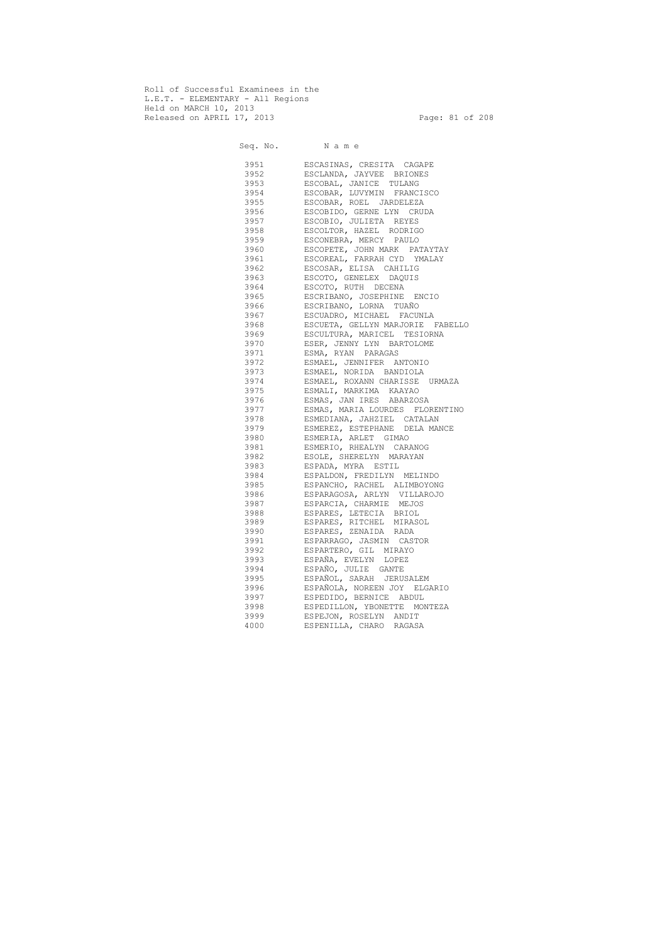Roll of Successful Examinees in the L.E.T. - ELEMENTARY - All Regions Held on MARCH 10, 2013 Released on APRIL 17, 2013 Page: 81 of 208

 Seq. No. N a m e 3951 ESCASINAS, CRESITA CAGAPE 3952 ESCLANDA, JAYVEE BRIONES 3953 ESCOBAL, JANICE TULANG 3954 ESCOBAR, LUVYMIN FRANCISCO 3955 ESCOBAR, ROEL JARDELEZA 3956 ESCOBIDO, GERNE LYN CRUDA 3957 ESCOBIO, JULIETA REYES 3958 ESCOLTOR, HAZEL RODRIGO 3959 ESCONEBRA, MERCY PAULO 3960 ESCOPETE, JOHN MARK PATAYTAY 3961 ESCOREAL, FARRAH CYD YMALAY 3962 ESCOSAR, ELISA CAHILIG 3963 ESCOTO, GENELEX DAQUIS 3964 ESCOTO, RUTH DECENA 3965 ESCRIBANO, JOSEPHINE ENCIO 3966 ESCRIBANO, LORNA TUAÑO 3967 ESCUADRO, MICHAEL FACUNLA 3968 ESCUETA, GELLYN MARJORIE FABELLO 3969 ESCULTURA, MARICEL TESIORNA 3970 ESER, JENNY LYN BARTOLOME 3971 ESMA, RYAN PARAGAS 3972 ESMAEL, JENNIFER ANTONIO 3973 ESMAEL, NORIDA BANDIOLA 3974 ESMAEL, ROXANN CHARISSE URMAZA 3975 ESMALI, MARKIMA KAAYAO 3976 ESMAS, JAN IRES ABARZOSA 3977 ESMAS, MARIA LOURDES FLORENTINO 3978 ESMEDIANA, JAHZIEL CATALAN 3979 ESMEREZ, ESTEPHANE DELA MANCE 3980 ESMERIA, ARLET GIMAO 3981 ESMERIO, RHEALYN CARANOG 3982 ESOLE, SHERELYN MARAYAN 3983 ESPADA, MYRA ESTIL 3984 ESPALDON, FREDILYN MELINDO 3985 ESPANCHO, RACHEL ALIMBOYONG 3986 ESPARAGOSA, ARLYN VILLAROJO 3987 ESPARCIA, CHARMIE MEJOS 3988 ESPARES, LETECIA BRIOL 3989 ESPARES, RITCHEL MIRASOL 3990 ESPARES, ZENAIDA RADA 3991 ESPARRAGO, JASMIN CASTOR 3992 ESPARTERO, GIL MIRAYO 3993 ESPAÑA, EVELYN LOPEZ 3994 ESPAÑO, JULIE GANTE 3995 ESPAÑOL, SARAH JERUSALEM 3996 ESPAÑOLA, NOREEN JOY ELGARIO 3997 ESPEDIDO, BERNICE ABDUL 3998 ESPEDILLON, YBONETTE MONTEZA 3999 ESPEJON, ROSELYN ANDIT 4000 ESPENILLA, CHARO RAGASA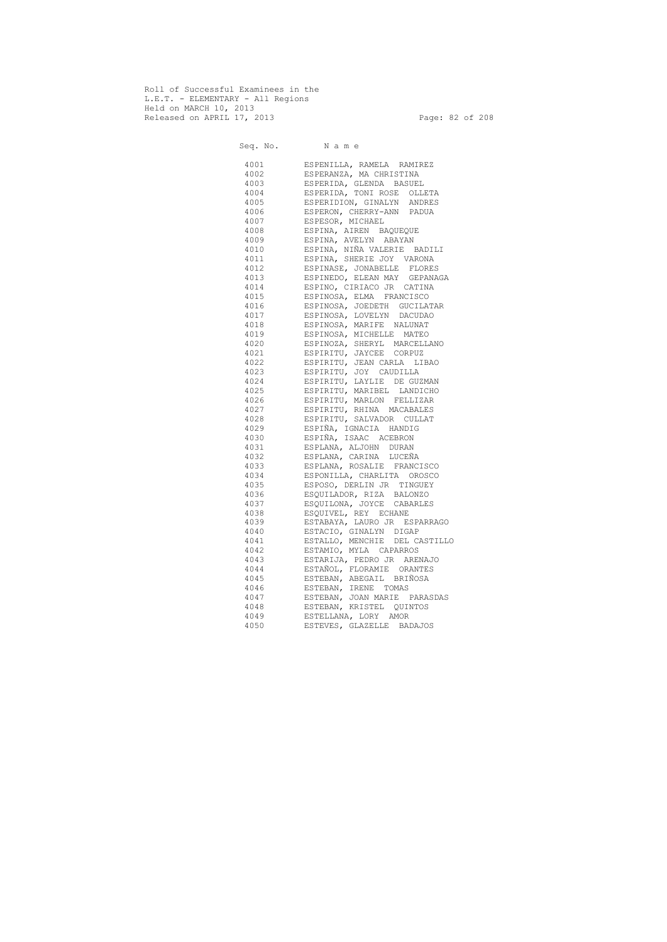Roll of Successful Examinees in the L.E.T. - ELEMENTARY - All Regions Held on MARCH 10, 2013 Released on APRIL 17, 2013 Page: 82 of 208

 Seq. No. N a m e 4001 ESPENILLA, RAMELA RAMIREZ 4002 ESPERANZA, MA CHRISTINA 4003 ESPERIDA, GLENDA BASUEL 4004 ESPERIDA, TONI ROSE OLLETA 4005 ESPERIDION, GINALYN ANDRES 4006 ESPERON, CHERRY-ANN PADUA 4007 ESPESOR, MICHAEL 4008 ESPINA, AIREN BAQUEQUE 4009 ESPINA, AVELYN ABAYAN 4010 ESPINA, NIÑA VALERIE BADILI 4011 ESPINA, SHERIE JOY VARONA 4012 ESPINASE, JONABELLE FLORES 4013 ESPINEDO, ELEAN MAY GEPANAGA 4014 ESPINO, CIRIACO JR CATINA 4015 ESPINOSA, ELMA FRANCISCO 4016 ESPINOSA, JOEDETH GUCILATAR 4017 ESPINOSA, LOVELYN DACUDAO 4018 ESPINOSA, MARIFE NALUNAT 4019 ESPINOSA, MICHELLE MATEO 4020 ESPINOZA, SHERYL MARCELLANO 4021 ESPIRITU, JAYCEE CORPUZ 4022 ESPIRITU, JEAN CARLA LIBAO 4023 ESPIRITU, JOY CAUDILLA 4024 ESPIRITU, LAYLIE DE GUZMAN 4025 ESPIRITU, MARIBEL LANDICHO 4026 ESPIRITU, MARLON FELLIZAR 4027 ESPIRITU, RHINA MACABALES 4028 ESPIRITU, SALVADOR CULLAT 4029 ESPIÑA, IGNACIA HANDIG 4030 ESPIÑA, ISAAC ACEBRON 4031 ESPLANA, ALJOHN DURAN 4032 ESPLANA, CARINA LUCEÑA 4033 ESPLANA, ROSALIE FRANCISCO 4034 ESPONILLA, CHARLITA OROSCO 4035 ESPOSO, DERLIN JR TINGUEY 4036 ESQUILADOR, RIZA BALONZO 4037 ESQUILONA, JOYCE CABARLES 4038 ESQUIVEL, REY ECHANE 4039 ESTABAYA, LAURO JR ESPARRAGO 4040 ESTACIO, GINALYN DIGAP 4041 ESTALLO, MENCHIE DEL CASTILLO 4042 ESTAMIO, MYLA CAPARROS 4043 ESTARIJA, PEDRO JR ARENAJO 4044 ESTAÑOL, FLORAMIE ORANTES 4045 ESTEBAN, ABEGAIL BRIÑOSA 4046 ESTEBAN, IRENE TOMAS 4047 ESTEBAN, JOAN MARIE PARASDAS 4048 ESTEBAN, KRISTEL QUINTOS 4049 ESTELLANA, LORY AMOR 4050 ESTEVES, GLAZELLE BADAJOS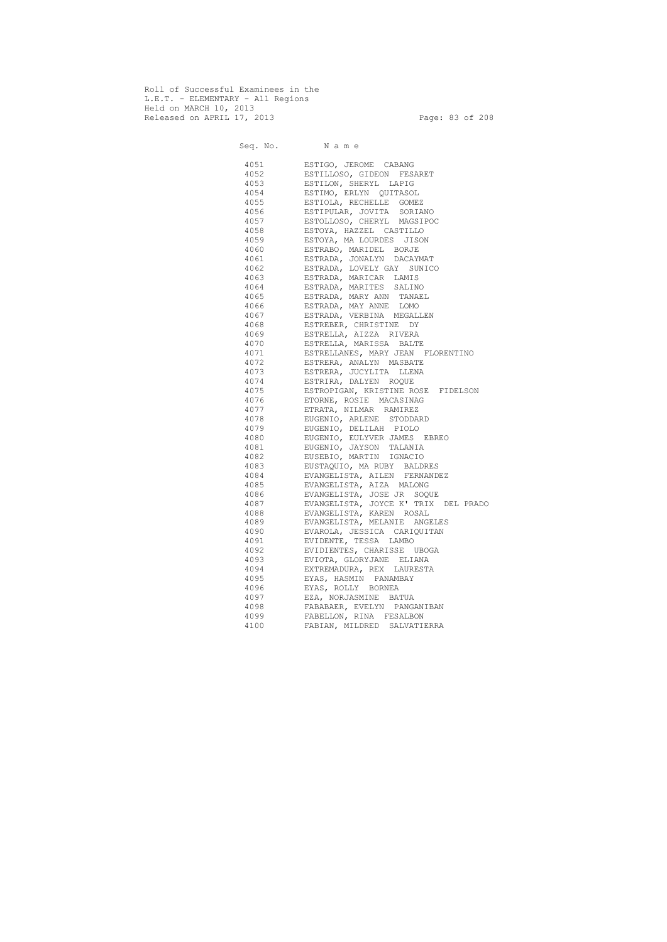Roll of Successful Examinees in the L.E.T. - ELEMENTARY - All Regions Held on MARCH 10, 2013 Released on APRIL 17, 2013 Page: 83 of 208

Seq. No. Name 4051 ESTIGO, JEROME CABANG 4052 ESTILLOSO, GIDEON FESARET 4053 ESTILON, SHERYL LAPIG 4054 ESTIMO, ERLYN QUITASOL 4055 ESTIOLA, RECHELLE GOMEZ 4056 ESTIPULAR, JOVITA SORIANO 4057 ESTOLLOSO, CHERYL MAGSIPOC 4058 ESTOYA, HAZZEL CASTILLO 4059 ESTOYA, MA LOURDES JISON 4060 ESTRABO, MARIDEL BORJE 4061 ESTRADA, JONALYN DACAYMAT 4062 ESTRADA, LOVELY GAY SUNICO 4063 ESTRADA, MARICAR LAMIS 4064 ESTRADA, MARITES SALINO 4065 ESTRADA, MARY ANN TANAEL 4066 ESTRADA, MAY ANNE LOMO 4067 ESTRADA, VERBINA MEGALLEN 4068 ESTREBER, CHRISTINE DY 4069 ESTRELLA, AIZZA RIVERA 4070 ESTRELLA, MARISSA BALTE 4071 ESTRELLANES, MARY JEAN FLORENTINO 4072 ESTRERA, ANALYN MASBATE 4073 ESTRERA, JUCYLITA LLENA 4074 ESTRIRA, DALYEN ROQUE 4075 ESTROPIGAN, KRISTINE ROSE FIDELSON 4076 ETORNE, ROSIE MACASINAG 4077 ETRATA, NILMAR RAMIREZ 4078 EUGENIO, ARLENE STODDARD 4079 EUGENIO, DELILAH PIOLO 4080 EUGENIO, EULYVER JAMES EBREO 4081 EUGENIO, JAYSON TALANIA 4082 EUSEBIO, MARTIN IGNACIO 4083 EUSTAQUIO, MA RUBY BALDRES 4084 EVANGELISTA, AILEN FERNANDEZ 4085 EVANGELISTA, AIZA MALONG 4086 EVANGELISTA, JOSE JR SOQUE 4087 EVANGELISTA, JOYCE K' TRIX DEL PRADO 4088 EVANGELISTA, KAREN ROSAL 4089 EVANGELISTA, MELANIE ANGELES 4090 EVAROLA, JESSICA CARIQUITAN 4091 EVIDENTE, TESSA LAMBO 4092 EVIDIENTES, CHARISSE UBOGA 4093 EVIOTA, GLORYJANE ELIANA 4094 EXTREMADURA, REX LAURESTA 4095 EYAS, HASMIN PANAMBAY 4096 EYAS, ROLLY BORNEA 4097 EZA, NORJASMINE BATUA 4098 FABABAER, EVELYN PANGANIBAN 4099 FABELLON, RINA FESALBON 4100 FABIAN, MILDRED SALVATIERRA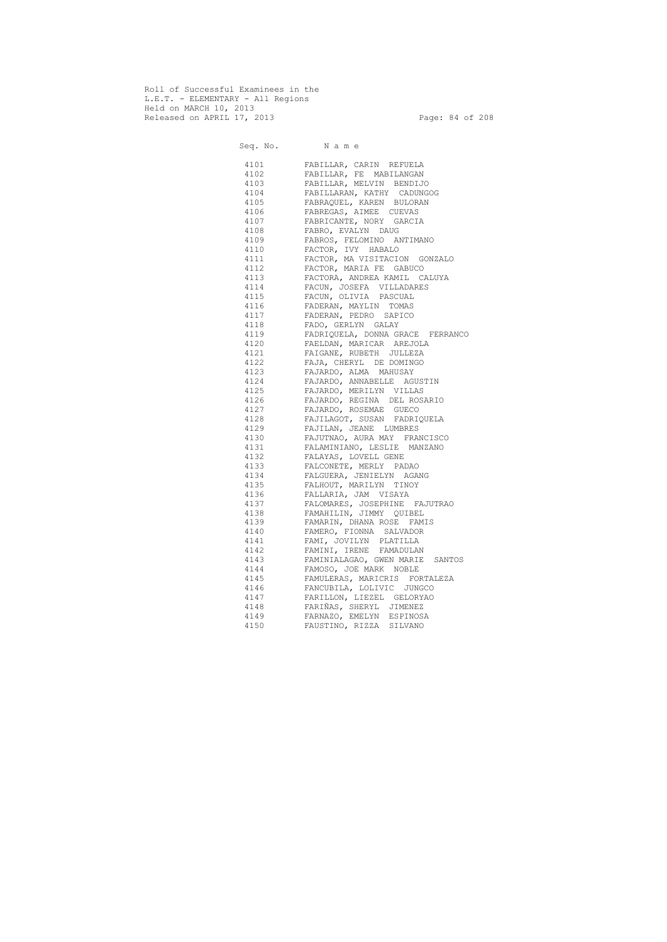Roll of Successful Examinees in the L.E.T. - ELEMENTARY - All Regions Held on MARCH 10, 2013 Released on APRIL 17, 2013 Page: 84 of 208

Seq. No. Name 4101 FABILLAR, CARIN REFUELA 4102 FABILLAR, FE MABILANGAN 4103 FABILLAR, MELVIN BENDIJO 4104 FABILLARAN, KATHY CADUNGOG 4105 FABRAQUEL, KAREN BULORAN 4106 FABREGAS, AIMEE CUEVAS 4107 FABRICANTE, NORY GARCIA 4108 FABRO, EVALYN DAUG 4109 FABROS, FELOMINO ANTIMANO 4110 FACTOR, IVY HABALO 4111 FACTOR, MA VISITACION GONZALO 4112 FACTOR, MARIA FE GABUCO 4113 FACTORA, ANDREA KAMIL CALUYA 4114 FACUN, JOSEFA VILLADARES 4115 FACUN, OLIVIA PASCUAL 4116 FADERAN, MAYLIN TOMAS 4117 FADERAN, PEDRO SAPICO 4118 FADO, GERLYN GALAY 4119 FADRIQUELA, DONNA GRACE FERRANCO 4120 FAELDAN, MARICAR AREJOLA 4121 FAIGANE, RUBETH JULLEZA 4122 FAJA, CHERYL DE DOMINGO 4123 FAJARDO, ALMA MAHUSAY 4124 FAJARDO, ANNABELLE AGUSTIN 4125 FAJARDO, MERILYN VILLAS 4126 FAJARDO, REGINA DEL ROSARIO 4127 FAJARDO, ROSEMAE GUECO 4128 FAJILAGOT, SUSAN FADRIQUELA 4129 FAJILAN, JEANE LUMBRES 4130 FAJUTNAO, AURA MAY FRANCISCO 4131 FALAMINIANO, LESLIE MANZANO 4132 FALAYAS, LOVELL GENE 4133 FALCONETE, MERLY PADAO 4134 FALGUERA, JENIELYN AGANG 4135 FALHOUT, MARILYN TINOY 4136 FALLARIA, JAM VISAYA 4137 FALOMARES, JOSEPHINE FAJUTRAO 4138 FAMAHILIN, JIMMY QUIBEL 4139 FAMARIN, DHANA ROSE FAMIS 4140 FAMERO, FIONNA SALVADOR 4141 FAMI, JOVILYN PLATILLA 4142 FAMINI, IRENE FAMADULAN 4143 FAMINIALAGAO, GWEN MARIE SANTOS 4144 FAMOSO, JOE MARK NOBLE 4145 FAMULERAS, MARICRIS FORTALEZA 4146 FANCUBILA, LOLIVIC JUNGCO 4147 FARILLON, LIEZEL GELORYAO 4148 FARIÑAS, SHERYL JIMENEZ 4149 FARNAZO, EMELYN ESPINOSA 4150 FAUSTINO, RIZZA SILVANO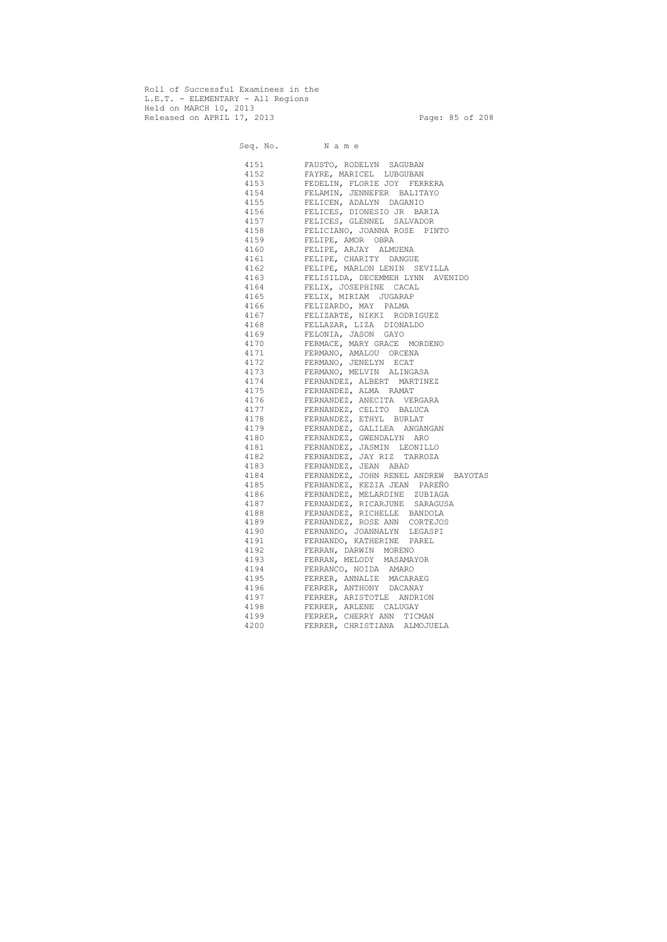Roll of Successful Examinees in the L.E.T. - ELEMENTARY - All Regions Held on MARCH 10, 2013 Released on APRIL 17, 2013 Page: 85 of 208

Seq. No. Name 4151 FAUSTO, RODELYN SAGUBAN 4152 FAYRE, MARICEL LUBGUBAN 4153 FEDELIN, FLORIE JOY FERRERA 4154 FELAMIN, JENNEFER BALITAYO 4155 FELICEN, ADALYN DAGANIO 4156 FELICES, DIONESIO JR BARIA 4157 FELICES, GLENNEL SALVADOR 4158 FELICIANO, JOANNA ROSE PINTO 4159 FELIPE, AMOR OBRA 4160 FELIPE, ARJAY ALMUENA 4161 FELIPE, CHARITY DANGUE 4162 FELIPE, MARLON LENIN SEVILLA 4163 FELISILDA, DECEMMEH LYNN AVENIDO 4164 FELIX, JOSEPHINE CACAL 4165 FELIX, MIRIAM JUGARAP 4166 FELIZARDO, MAY PALMA 4167 FELIZARTE, NIKKI RODRIGUEZ 4168 FELLAZAR, LIZA DIONALDO 4169 FELONIA, JASON GAYO 4170 FERMACE, MARY GRACE MORDENO 4171 FERMANO, AMALOU ORCENA 4172 FERMANO, JENELYN ECAT 4173 FERMANO, MELVIN ALINGASA 4174 FERNANDEZ, ALBERT MARTINEZ 4175 FERNANDEZ, ALMA RAMAT 4176 FERNANDEZ, ANECITA VERGARA 4177 FERNANDEZ, CELITO BALUCA 4178 FERNANDEZ, ETHYL BURLAT 4179 FERNANDEZ, GALILEA ANGANGAN 4180 FERNANDEZ, GWENDALYN ARO 4181 FERNANDEZ, JASMIN LEONILLO 4182 FERNANDEZ, JAY RIZ TARROZA 4183 FERNANDEZ, JEAN ABAD 4184 FERNANDEZ, JOHN RENEL ANDREW BAYOTAS 4185 FERNANDEZ, KEZIA JEAN PAREÑO 4186 FERNANDEZ, MELARDINE ZUBIAGA 4187 FERNANDEZ, RICARJUNE SARAGUSA 4188 FERNANDEZ, RICHELLE BANDOLA 4189 FERNANDEZ, ROSE ANN CORTEJOS 4190 FERNANDO, JOANNALYN LEGASPI 4191 FERNANDO, KATHERINE PAREL 4192 FERRAN, DARWIN MORENO 4193 FERRAN, MELODY MASAMAYOR 4194 FERRANCO, NOIDA AMARO 4195 FERRER, ANNALIE MACARAEG 4196 FERRER, ANTHONY DACANAY 4197 FERRER, ARISTOTLE ANDRION 4198 FERRER, ARLENE CALUGAY 4199 FERRER, CHERRY ANN TICMAN 4200 FERRER, CHRISTIANA ALMOJUELA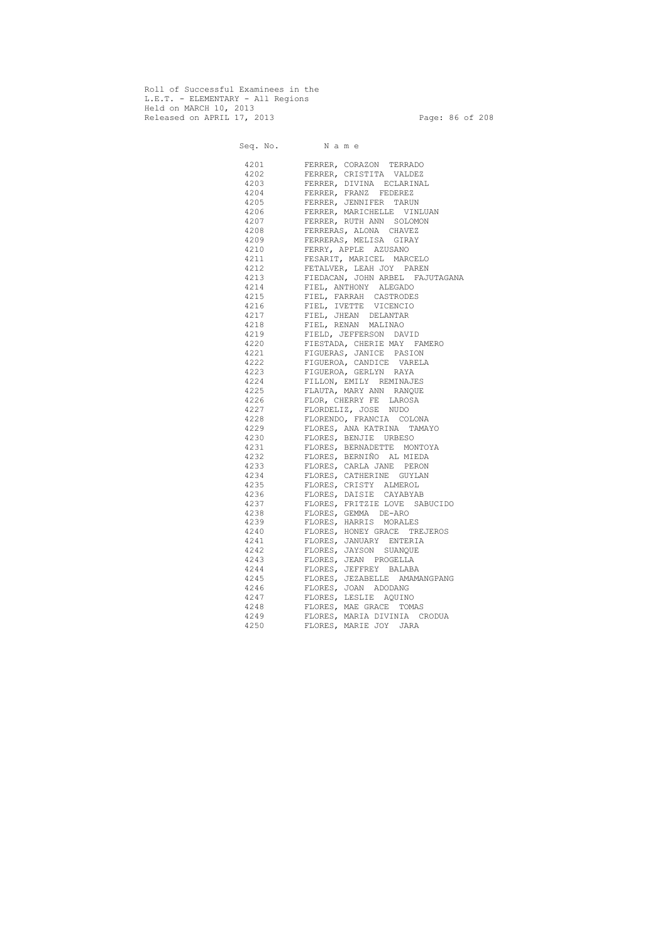Roll of Successful Examinees in the L.E.T. - ELEMENTARY - All Regions Held on MARCH 10, 2013 Released on APRIL 17, 2013 Page: 86 of 208

 Seq. No. N a m e 4201 FERRER, CORAZON TERRADO 4202 FERRER, CRISTITA VALDEZ 4203 FERRER, DIVINA ECLARINAL 4204 FERRER, FRANZ FEDEREZ 4205 FERRER, JENNIFER TARUN 4206 FERRER, MARICHELLE VINLUAN 4207 FERRER, RUTH ANN SOLOMON 4208 FERRERAS, ALONA CHAVEZ 4209 FERRERAS, MELISA GIRAY 4210 FERRY, APPLE AZUSANO 4211 FESARIT, MARICEL MARCELO 4212 FETALVER, LEAH JOY PAREN 4213 FIEDACAN, JOHN ARBEL FAJUTAGANA 4214 FIEL, ANTHONY ALEGADO 4215 FIEL, FARRAH CASTRODES 4216 FIEL, IVETTE VICENCIO 4217 FIEL, JHEAN DELANTAR 4218 FIEL, RENAN MALINAO 4219 FIELD, JEFFERSON DAVID 4220 FIESTADA, CHERIE MAY FAMERO 4221 FIGUERAS, JANICE PASION 4222 FIGUEROA, CANDICE VARELA 4223 FIGUEROA, GERLYN RAYA 4224 FILLON, EMILY REMINAJES 4225 FLAUTA, MARY ANN RANQUE 4226 FLOR, CHERRY FE LAROSA 4227 FLORDELIZ, JOSE NUDO 4228 FLORENDO, FRANCIA COLONA 4229 FLORES, ANA KATRINA TAMAYO 4230 FLORES, BENJIE URBESO 4231 FLORES, BERNADETTE MONTOYA 4232 FLORES, BERNIÑO AL MIEDA 4233 FLORES, CARLA JANE PERON 4234 FLORES, CATHERINE GUYLAN 4235 FLORES, CRISTY ALMEROL 4236 FLORES, DAISIE CAYABYAB 4237 FLORES, FRITZIE LOVE SABUCIDO 4238 FLORES, GEMMA DE-ARO 4239 FLORES, HARRIS MORALES 4240 FLORES, HONEY GRACE TREJEROS 4241 FLORES, JANUARY ENTERIA 4242 FLORES, JAYSON SUANQUE 4243 FLORES, JEAN PROGELLA 4244 FLORES, JEFFREY BALABA 4245 FLORES, JEZABELLE AMAMANGPANG 4246 FLORES, JOAN ADODANG 4247 FLORES, LESLIE AQUINO 4248 FLORES, MAE GRACE TOMAS 4249 FLORES, MARIA DIVINIA CRODUA 4250 FLORES, MARIE JOY JARA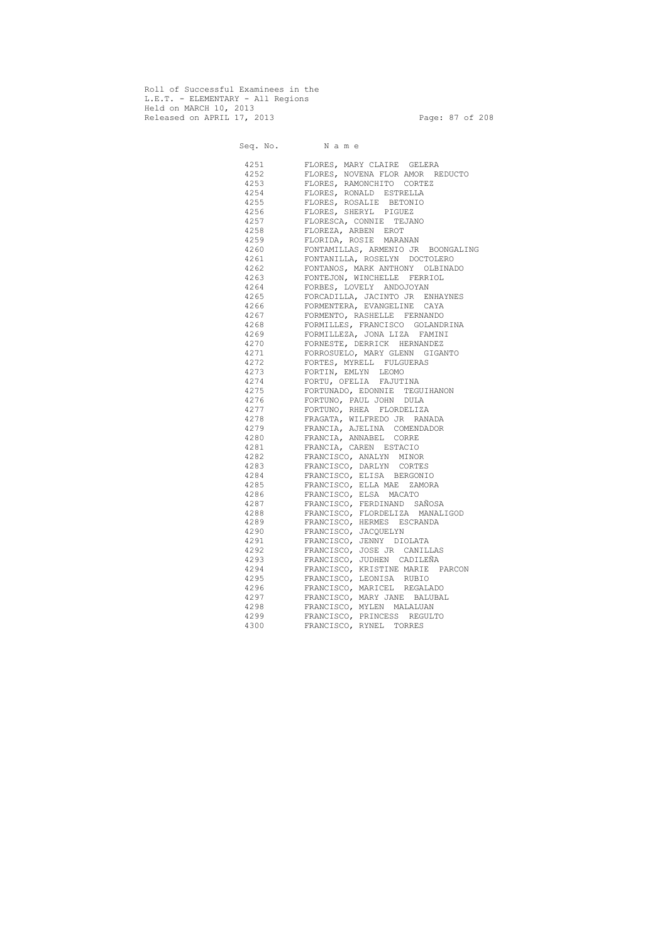Roll of Successful Examinees in the L.E.T. - ELEMENTARY - All Regions Held on MARCH 10, 2013 Released on APRIL 17, 2013 Page: 87 of 208

Seq. No. Name 4251 FLORES, MARY CLAIRE GELERA 4252 FLORES, NOVENA FLOR AMOR REDUCTO 4253 FLORES, RAMONCHITO CORTEZ 4254 FLORES, RONALD ESTRELLA 4255 FLORES, ROSALIE BETONIO 4256 FLORES, SHERYL PIGUEZ 4257 FLORESCA, CONNIE TEJANO 4258 FLOREZA, ARBEN EROT 4259 FLORIDA, ROSIE MARANAN 4260 FONTAMILLAS, ARMENIO JR BOONGALING 4261 FONTANILLA, ROSELYN DOCTOLERO 4262 FONTANOS, MARK ANTHONY OLBINADO 4263 FONTEJON, WINCHELLE FERRIOL 4264 FORBES, LOVELY ANDOJOYAN 4265 FORCADILLA, JACINTO JR ENHAYNES 4266 FORMENTERA, EVANGELINE CAYA 4267 FORMENTO, RASHELLE FERNANDO 4268 FORMILLES, FRANCISCO GOLANDRINA 4269 FORMILLEZA, JONA LIZA FAMINI 4270 FORNESTE, DERRICK HERNANDEZ 4271 FORROSUELO, MARY GLENN GIGANTO 4272 FORTES, MYRELL FULGUERAS 4273 FORTIN, EMLYN LEOMO 4274 FORTU, OFELIA FAJUTINA 4275 FORTUNADO, EDONNIE TEGUIHANON 4276 FORTUNO, PAUL JOHN DULA 4277 FORTUNO, RHEA FLORDELIZA 4278 FRAGATA, WILFREDO JR RANADA 4279 FRANCIA, AJELINA COMENDADOR 4280 FRANCIA, ANNABEL CORRE 4281 FRANCIA, CAREN ESTACIO 4282 FRANCISCO, ANALYN MINOR 4283 FRANCISCO, DARLYN CORTES 4284 FRANCISCO, ELISA BERGONIO 4285 FRANCISCO, ELLA MAE ZAMORA 4286 FRANCISCO, ELSA MACATO 4287 FRANCISCO, FERDINAND SAÑOSA 4288 FRANCISCO, FLORDELIZA MANALIGOD 4289 FRANCISCO, HERMES ESCRANDA 4290 FRANCISCO, JACQUELYN 4291 FRANCISCO, JENNY DIOLATA 4292 FRANCISCO, JOSE JR CANILLAS 4293 FRANCISCO, JUDHEN CADILEÑA 4294 FRANCISCO, KRISTINE MARIE PARCON 4295 FRANCISCO, LEONISA RUBIO 4296 FRANCISCO, MARICEL REGALADO 4297 FRANCISCO, MARY JANE BALUBAL 4298 FRANCISCO, MYLEN MALALUAN 4299 FRANCISCO, PRINCESS REGULTO 4300 FRANCISCO, RYNEL TORRES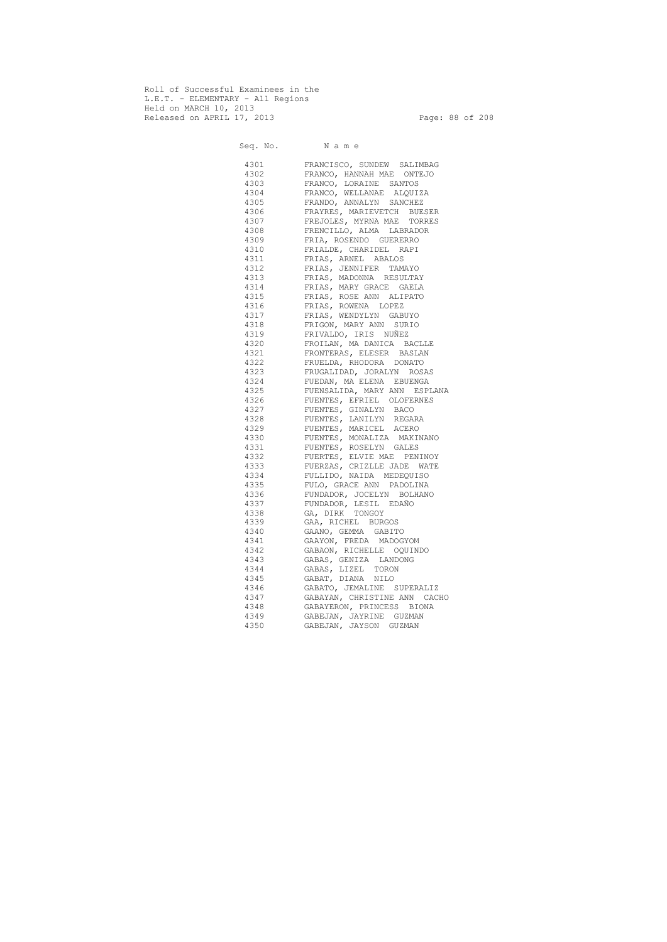Roll of Successful Examinees in the L.E.T. - ELEMENTARY - All Regions Held on MARCH 10, 2013 Released on APRIL 17, 2013 Page: 88 of 208

 Seq. No. N a m e 4301 FRANCISCO, SUNDEW SALIMBAG 4302 FRANCO, HANNAH MAE ONTEJO 4303 FRANCO, LORAINE SANTOS 4304 FRANCO, WELLANAE ALQUIZA 4305 FRANDO, ANNALYN SANCHEZ 4306 FRAYRES, MARIEVETCH BUESER 4307 FREJOLES, MYRNA MAE TORRES 4308 FRENCILLO, ALMA LABRADOR 4309 FRIA, ROSENDO GUERERRO 4310 FRIALDE, CHARIDEL RAPI 4311 FRIAS, ARNEL ABALOS 4312 FRIAS, JENNIFER TAMAYO 4313 FRIAS, MADONNA RESULTAY 4314 FRIAS, MARY GRACE GAELA 4315 FRIAS, ROSE ANN ALIPATO 4316 FRIAS, ROWENA LOPEZ 4317 FRIAS, WENDYLYN GABUYO 4318 FRIGON, MARY ANN SURIO 4319 FRIVALDO, IRIS NUÑEZ 4320 FROILAN, MA DANICA BACLLE 4321 FRONTERAS, ELESER BASLAN 4322 FRUELDA, RHODORA DONATO 4323 FRUGALIDAD, JORALYN ROSAS 4324 FUEDAN, MA ELENA EBUENGA 4325 FUENSALIDA, MARY ANN ESPLANA 4326 FUENTES, EFRIEL OLOFERNES 4327 FUENTES, GINALYN BACO 4328 FUENTES, LANILYN REGARA 4329 FUENTES, MARICEL ACERO 4330 FUENTES, MONALIZA MAKINANO 4331 FUENTES, ROSELYN GALES 4332 FUERTES, ELVIE MAE PENINOY 4333 FUERZAS, CRIZLLE JADE WATE 4334 FULLIDO, NAIDA MEDEQUISO 4335 FULO, GRACE ANN PADOLINA 4336 FUNDADOR, JOCELYN BOLHANO 4337 FUNDADOR, LESIL EDAÑO 4338 GA, DIRK TONGOY 4339 GAA, RICHEL BURGOS 4340 GAANO, GEMMA GABITO 4341 GAAYON, FREDA MADOGYOM 4342 GABAON, RICHELLE OQUINDO 4343 GABAS, GENIZA LANDONG 4344 GABAS, LIZEL TORON 4345 GABAT, DIANA NILO 4346 GABATO, JEMALINE SUPERALIZ 4347 GABAYAN, CHRISTINE ANN CACHO 4348 GABAYERON, PRINCESS BIONA 4349 GABEJAN, JAYRINE GUZMAN 4350 GABEJAN, JAYSON GUZMAN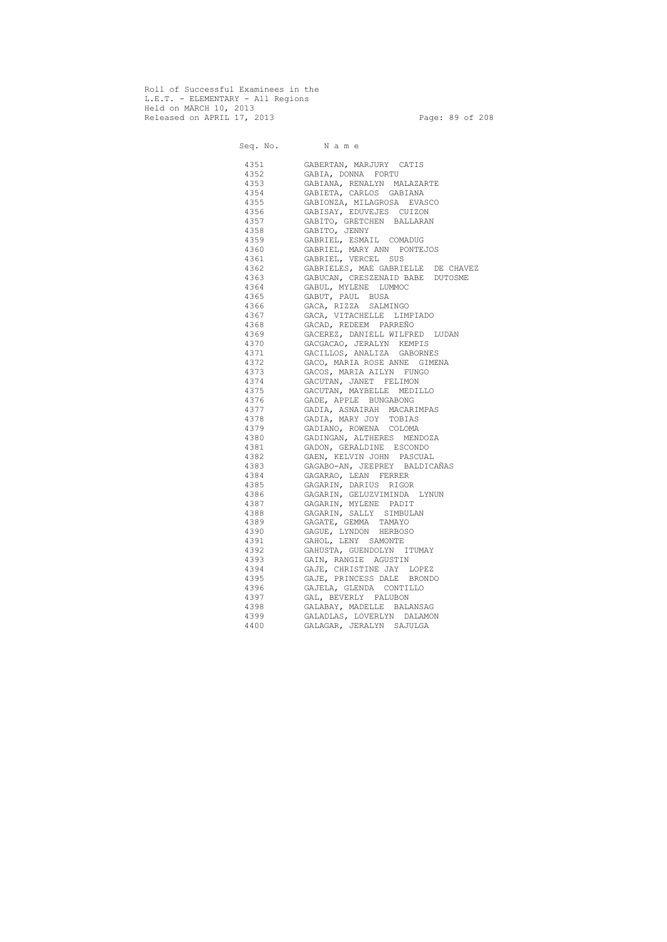Roll of Successful Examinees in the L.E.T. - ELEMENTARY - All Regions Held on MARCH 10, 2013 Released on APRIL 17, 2013 Page: 89 of 208

 Seq. No. N a m e 4351 GABERTAN, MARJURY CATIS 4352 GABIA, DONNA FORTU 4353 GABIANA, RENALYN MALAZARTE 4354 GABIETA, CARLOS GABIANA 4355 GABIONZA, MILAGROSA EVASCO 4356 GABISAY, EDUVEJES CUIZON 4357 GABITO, GRETCHEN BALLARAN 4358 GABITO, JENNY 4359 GABRIEL, ESMAIL COMADUG 4360 GABRIEL, MARY ANN PONTEJOS 4361 GABRIEL, VERCEL SUS 4362 GABRIELES, MAE GABRIELLE DE CHAVEZ 4363 GABUCAN, CRESZENAID BABE DUTOSME 4364 GABUL, MYLENE LUMMOC 4365 GABUT, PAUL BUSA 4366 GACA, RIZZA SALMINGO 4367 GACA, VITACHELLE LIMPIADO 4368 GACAD, REDEEM PARREÑO 4369 GACEREZ, DANIELL WILFRED LUDAN 4370 GACGACAO, JERALYN KEMPIS 4371 GACILLOS, ANALIZA GABORNES 4372 GACO, MARIA ROSE ANNE GIMENA 4373 GACOS, MARIA AILYN FUNGO 4374 GACUTAN, JANET FELIMON 4375 GACUTAN, MAYBELLE MEDILLO 4376 GADE, APPLE BUNGABONG 4377 GADIA, ASNAIRAH MACARIMPAS 4378 GADIA, MARY JOY TOBIAS 4379 GADIANO, ROWENA COLOMA 4380 GADINGAN, ALTHERES MENDOZA 4381 GADON, GERALDINE ESCONDO 4382 GAEN, KELVIN JOHN PASCUAL 4383 GAGABO-AN, JEEPREY BALDICAÑAS 4384 GAGARAO, LEAN FERRER 4385 GAGARIN, DARIUS RIGOR 4386 GAGARIN, GELUZVIMINDA LYNUN 4387 GAGARIN, MYLENE PADIT 4388 GAGARIN, SALLY SIMBULAN 4389 GAGATE, GEMMA TAMAYO 4390 GAGUE, LYNDON HERBOSO 4391 GAHOL, LENY SAMONTE 4392 GAHUSTA, GUENDOLYN ITUMAY 4393 GAIN, RANGIE AGUSTIN 4394 GAJE, CHRISTINE JAY LOPEZ 4395 GAJE, PRINCESS DALE BRONDO 4396 GAJELA, GLENDA CONTILLO 4397 GAL, BEVERLY PALUBON 4398 GALABAY, MADELLE BALANSAG 4399 GALADLAS, LOVERLYN DALAMON 4400 GALAGAR, JERALYN SAJULGA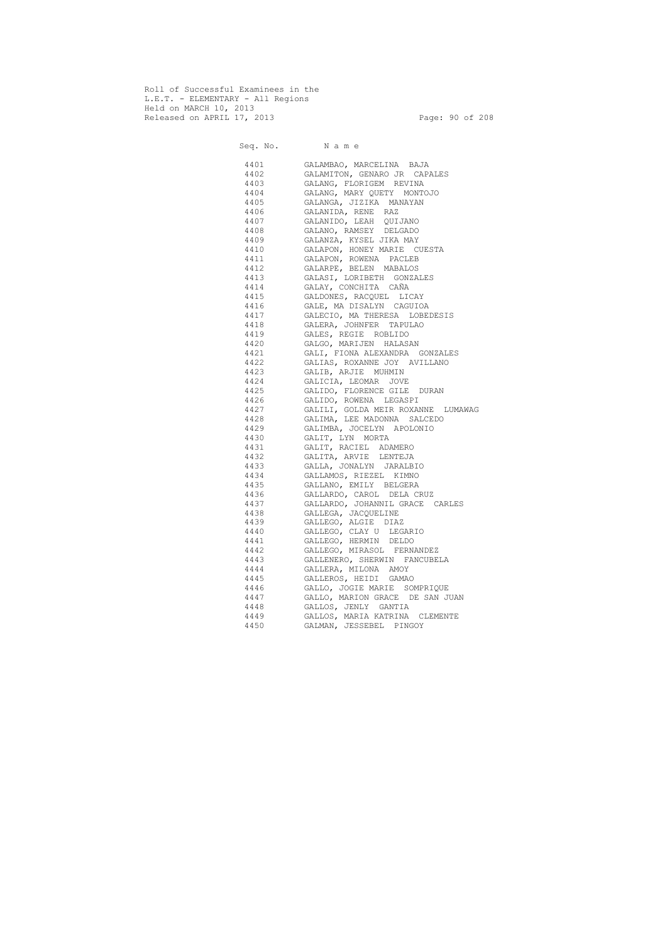Roll of Successful Examinees in the L.E.T. - ELEMENTARY - All Regions Held on MARCH 10, 2013 Released on APRIL 17, 2013 Page: 90 of 208

 Seq. No. N a m e 4401 GALAMBAO, MARCELINA BAJA 4402 GALAMITON, GENARO JR CAPALES 4403 GALANG, FLORIGEM REVINA 4404 GALANG, MARY QUETY MONTOJO 4405 GALANGA, JIZIKA MANAYAN 4406 GALANIDA, RENE RAZ 4407 GALANIDO, LEAH QUIJANO 4408 GALANO, RAMSEY DELGADO 4409 GALANZA, KYSEL JIKA MAY 4410 GALAPON, HONEY MARIE CUESTA 4411 GALAPON, ROWENA PACLEB 4412 GALARPE, BELEN MABALOS 4413 GALASI, LORIBETH GONZALES 4414 GALAY, CONCHITA CAÑA 4415 GALDONES, RACQUEL LICAY 4416 GALE, MA DISALYN CAGUIOA 4417 GALECIO, MA THERESA LOBEDESIS 4418 GALERA, JOHNFER TAPULAO 4419 GALES, REGIE ROBLIDO 4420 GALGO, MARIJEN HALASAN 4421 GALI, FIONA ALEXANDRA GONZALES 4422 GALIAS, ROXANNE JOY AVILLANO 4423 GALIB, ARJIE MUHMIN 4424 GALICIA, LEOMAR JOVE 4425 GALIDO, FLORENCE GILE DURAN 4426 GALIDO, ROWENA LEGASPI 4427 GALILI, GOLDA MEIR ROXANNE LUMAWAG 4428 GALIMA, LEE MADONNA SALCEDO 4429 GALIMBA, JOCELYN APOLONIO 4430 GALIT, LYN MORTA 4431 GALIT, RACIEL ADAMERO 4432 GALITA, ARVIE LENTEJA 4433 GALLA, JONALYN JARALBIO 4434 GALLAMOS, RIEZEL KIMNO 4435 GALLANO, EMILY BELGERA 4436 GALLARDO, CAROL DELA CRUZ 4437 GALLARDO, JOHANNIL GRACE CARLES 4438 GALLEGA, JACQUELINE 4439 GALLEGO, ALGIE DIAZ 4440 GALLEGO, CLAY U LEGARIO 4441 GALLEGO, HERMIN DELDO 4442 GALLEGO, MIRASOL FERNANDEZ 4443 GALLENERO, SHERWIN FANCUBELA 4444 GALLERA, MILONA AMOY 4445 GALLEROS, HEIDI GAMAO 4446 GALLO, JOGIE MARIE SOMPRIQUE 4447 GALLO, MARION GRACE DE SAN JUAN 4448 GALLOS, JENLY GANTIA 4449 GALLOS, MARIA KATRINA CLEMENTE 4450 GALMAN, JESSEBEL PINGOY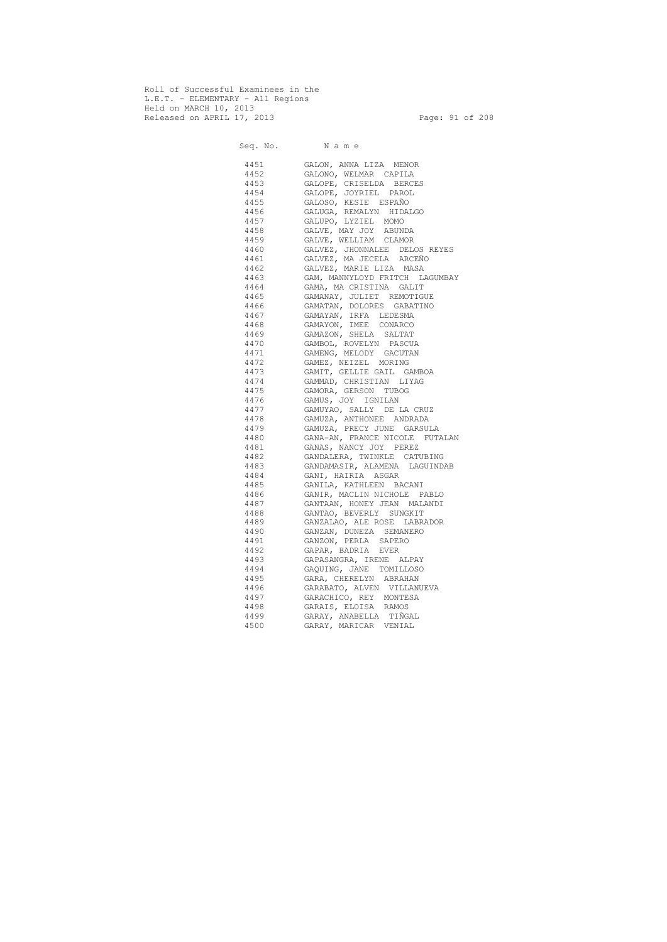Roll of Successful Examinees in the L.E.T. - ELEMENTARY - All Regions Held on MARCH 10, 2013 Released on APRIL 17, 2013 Page: 91 of 208

 Seq. No. N a m e 4451 GALON, ANNA LIZA MENOR 4452 GALONO, WELMAR CAPILA 4453 GALOPE, CRISELDA BERCES 4454 GALOPE, JOYRIEL PAROL 4455 GALOSO, KESIE ESPAÑO 4456 GALUGA, REMALYN HIDALGO 4457 GALUPO, LYZIEL MOMO 4458 GALVE, MAY JOY ABUNDA 4459 GALVE, WELLIAM CLAMOR 4460 GALVEZ, JHONNALEE DELOS REYES 4461 GALVEZ, MA JECELA ARCEÑO 4462 GALVEZ, MARIE LIZA MASA 4463 GAM, MANNYLOYD FRITCH LAGUMBAY 4464 GAMA, MA CRISTINA GALIT 4465 GAMANAY, JULIET REMOTIGUE 4466 GAMATAN, DOLORES GABATINO 4467 GAMAYAN, IRFA LEDESMA 4468 GAMAYON, IMEE CONARCO 4469 GAMAZON, SHELA SALTAT 4470 GAMBOL, ROVELYN PASCUA 4471 GAMENG, MELODY GACUTAN 4472 GAMEZ, NEIZEL MORING 4473 GAMIT, GELLIE GAIL GAMBOA 4474 GAMMAD, CHRISTIAN LIYAG 4475 GAMORA, GERSON TUBOG 4476 GAMUS, JOY IGNILAN 4477 GAMUYAO, SALLY DE LA CRUZ 4478 GAMUZA, ANTHONEE ANDRADA 4479 GAMUZA, PRECY JUNE GARSULA 4480 GANA-AN, FRANCE NICOLE FUTALAN 4481 GANAS, NANCY JOY PEREZ 4482 GANDALERA, TWINKLE CATUBING 4483 GANDAMASIR, ALAMENA LAGUINDAB 4484 GANI, HAIRIA ASGAR 4485 GANILA, KATHLEEN BACANI 4486 GANIR, MACLIN NICHOLE PABLO 4487 GANTAAN, HONEY JEAN MALANDI 4488 GANTAO, BEVERLY SUNGKIT 4489 GANZALAO, ALE ROSE LABRADOR 4490 GANZAN, DUNEZA SEMANERO 4491 GANZON, PERLA SAPERO 4492 GAPAR, BADRIA EVER 4493 GAPASANGRA, IRENE ALPAY 4494 GAQUING, JANE TOMILLOSO 4495 GARA, CHERELYN ABRAHAN 4496 GARABATO, ALVEN VILLANUEVA 4497 GARACHICO, REY MONTESA 4498 GARAIS, ELOISA RAMOS 4499 GARAY, ANABELLA TIÑGAL 4500 GARAY, MARICAR VENIAL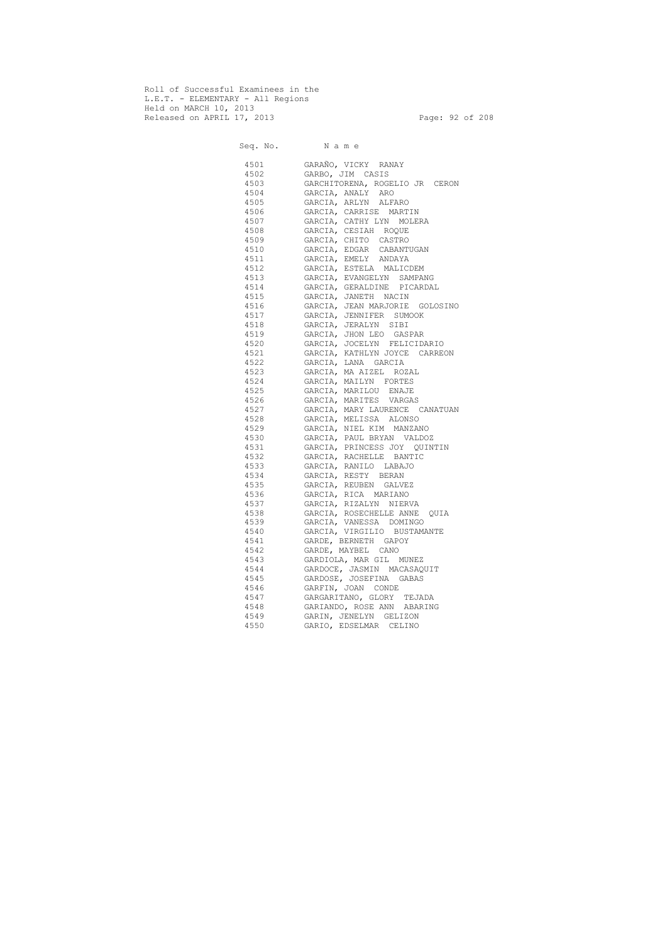Roll of Successful Examinees in the L.E.T. - ELEMENTARY - All Regions Held on MARCH 10, 2013 Released on APRIL 17, 2013 **Page: 92 of 208** 

|      | Seq. No. Name                  |
|------|--------------------------------|
| 4501 | GARAÑO, VICKY RANAY            |
| 4502 | GARBO, JIM CASIS               |
| 4503 | GARCHITORENA, ROGELIO JR CERON |
| 4504 | GARCIA, ANALY ARO              |
| 4505 | GARCIA, ARLYN ALFARO           |
| 4506 | GARCIA, CARRISE MARTIN         |
| 4507 | GARCIA, CATHY LYN MOLERA       |
| 4508 | GARCIA, CESIAH ROQUE           |
| 4509 | GARCIA, CHITO CASTRO           |
| 4510 | GARCIA, EDGAR CABANTUGAN       |
| 4511 | GARCIA, EMELY ANDAYA           |
| 4512 | GARCIA, ESTELA MALICDEM        |
| 4513 | GARCIA, EVANGELYN SAMPANG      |
| 4514 | GARCIA, GERALDINE PICARDAL     |
| 4515 | GARCIA, JANETH NACIN           |
| 4516 | GARCIA, JEAN MARJORIE GOLOSINO |
| 4517 | GARCIA, JENNIFER SUMOOK        |
| 4518 | GARCIA, JERALYN SIBI           |
| 4519 | GARCIA, JHON LEO GASPAR        |
| 4520 | GARCIA, JOCELYN FELICIDARIO    |
| 4521 | GARCIA, KATHLYN JOYCE CARREON  |
| 4522 | GARCIA, LANA GARCIA            |
| 4523 | GARCIA, MA AIZEL ROZAL         |
| 4524 | GARCIA, MAILYN FORTES          |
| 4525 | GARCIA, MARILOU ENAJE          |
| 4526 | GARCIA, MARITES VARGAS         |
| 4527 | GARCIA, MARY LAURENCE CANATUAN |
| 4528 | GARCIA, MELISSA ALONSO         |
| 4529 | GARCIA, NIEL KIM MANZANO       |
| 4530 | GARCIA, PAUL BRYAN VALDOZ      |
| 4531 | GARCIA, PRINCESS JOY QUINTIN   |
| 4532 | GARCIA, RACHELLE BANTIC        |
| 4533 | GARCIA, RANILO LABAJO          |
| 4534 | GARCIA, RESTY BERAN            |
| 4535 | GARCIA, REUBEN GALVEZ          |
| 4536 | GARCIA, RICA MARIANO           |
| 4537 | GARCIA, RIZALYN NIERVA         |
| 4538 | GARCIA, ROSECHELLE ANNE QUIA   |
| 4539 | GARCIA, VANESSA DOMINGO        |
| 4540 | GARCIA, VIRGILIO BUSTAMANTE    |
| 4541 | GARDE, BERNETH GAPOY           |
| 4542 | GARDE, MAYBEL CANO             |
| 4543 | GARDIOLA, MAR GIL MUNEZ        |
| 4544 | GARDOCE, JASMIN MACASAQUIT     |
| 4545 | GARDOSE, JOSEFINA GABAS        |
| 4546 | GARFIN, JOAN CONDE             |
| 4547 | GARGARITANO, GLORY<br>TEJADA   |
| 4548 | GARIANDO, ROSE ANN ABARING     |
| 4549 | GARIN, JENELYN GELIZON         |
| 4550 | GARIO, EDSELMAR CELINO         |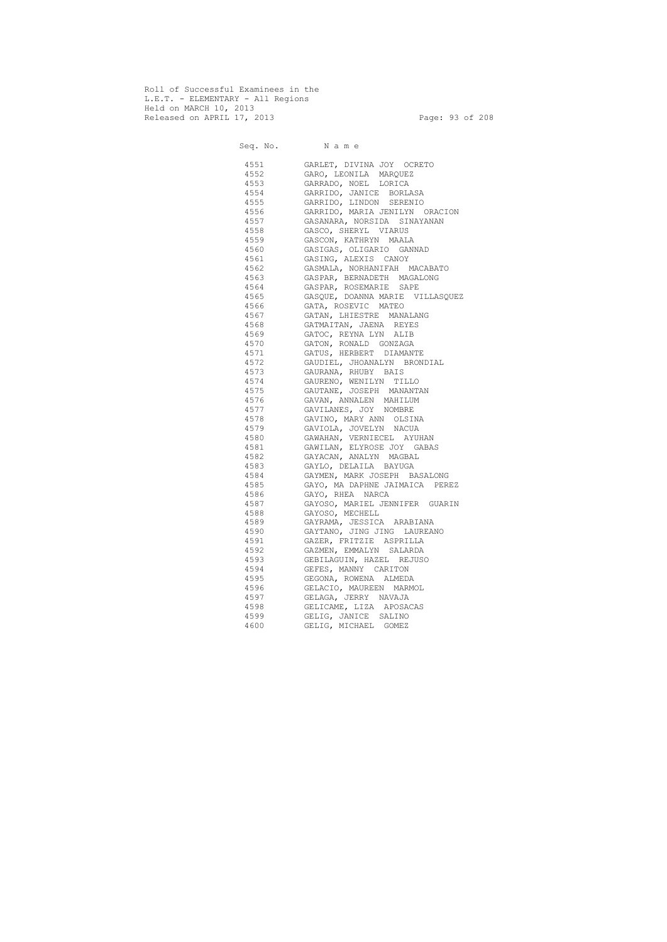Roll of Successful Examinees in the L.E.T. - ELEMENTARY - All Regions Held on MARCH 10, 2013 Released on APRIL 17, 2013 Page: 93 of 208

 Seq. No. N a m e 4551 GARLET, DIVINA JOY OCRETO 4552 GARO, LEONILA MARQUEZ 4553 GARRADO, NOEL LORICA 4554 GARRIDO, JANICE BORLASA 4555 GARRIDO, LINDON SERENIO 4556 GARRIDO, MARIA JENILYN ORACION 4557 GASANARA, NORSIDA SINAYANAN 4558 GASCO, SHERYL VIARUS 4559 GASCON, KATHRYN MAALA 4560 GASIGAS, OLIGARIO GANNAD 4561 GASING, ALEXIS CANOY 4562 GASMALA, NORHANIFAH MACABATO 4563 GASPAR, BERNADETH MAGALONG 4564 GASPAR, ROSEMARIE SAPE 4565 GASQUE, DOANNA MARIE VILLASQUEZ 4566 GATA, ROSEVIC MATEO 4567 GATAN, LHIESTRE MANALANG 4568 GATMAITAN, JAENA REYES 4569 GATOC, REYNA LYN ALIB 4570 GATON, RONALD GONZAGA 4571 GATUS, HERBERT DIAMANTE 4572 GAUDIEL, JHOANALYN BRONDIAL 4573 GAURANA, RHUBY BAIS 4574 GAURENO, WENILYN TILLO 4575 GAUTANE, JOSEPH MANANTAN 4576 GAVAN, ANNALEN MAHILUM 4577 GAVILANES, JOY NOMBRE 4578 GAVINO, MARY ANN OLSINA 4579 GAVIOLA, JOVELYN NACUA 4580 GAWAHAN, VERNIECEL AYUHAN 4581 GAWILAN, ELYROSE JOY GABAS 4582 GAYACAN, ANALYN MAGBAL 4583 GAYLO, DELAILA BAYUGA 4584 GAYMEN, MARK JOSEPH BASALONG 4585 GAYO, MA DAPHNE JAIMAICA PEREZ 4586 GAYO, RHEA NARCA 4587 GAYOSO, MARIEL JENNIFER GUARIN 4588 GAYOSO, MECHELL 4589 GAYRAMA, JESSICA ARABIANA 4590 GAYTANO, JING JING LAUREANO 4591 GAZER, FRITZIE ASPRILLA 4592 GAZMEN, EMMALYN SALARDA 4593 GEBILAGUIN, HAZEL REJUSO 4594 GEFES, MANNY CARITON 4595 GEGONA, ROWENA ALMEDA 4596 GELACIO, MAUREEN MARMOL 4597 GELAGA, JERRY NAVAJA 4598 GELICAME, LIZA APOSACAS 4599 GELIG, JANICE SALINO 4600 GELIG, MICHAEL GOMEZ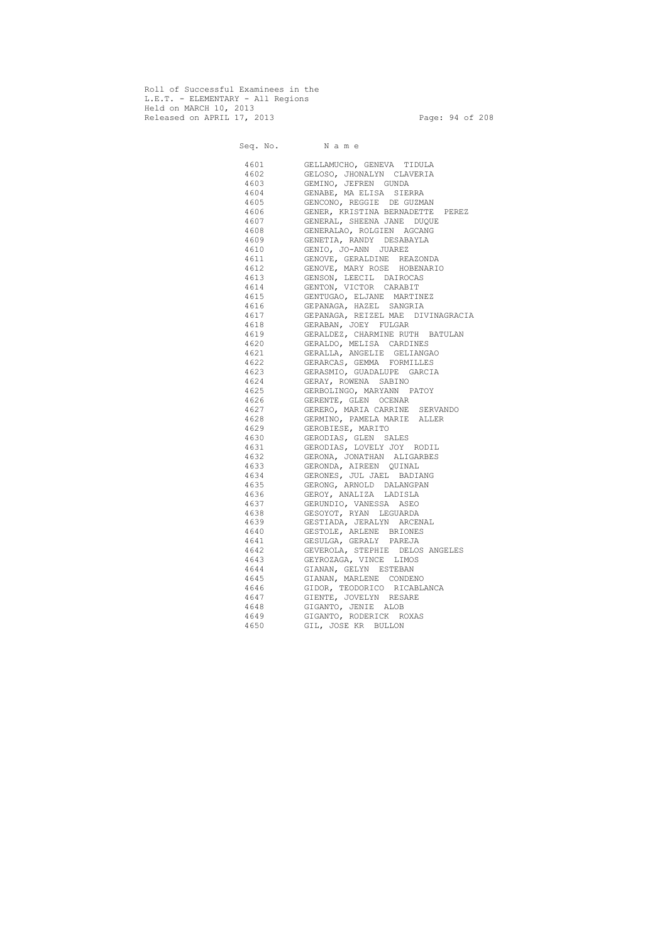Roll of Successful Examinees in the L.E.T. - ELEMENTARY - All Regions Held on MARCH 10, 2013 Released on APRIL 17, 2013 Page: 94 of 208

 Seq. No. N a m e 4601 GELLAMUCHO, GENEVA TIDULA 4602 GELOSO, JHONALYN CLAVERIA 4603 GEMINO, JEFREN GUNDA 4604 GENABE, MA ELISA SIERRA 4605 GENCONO, REGGIE DE GUZMAN 4606 GENER, KRISTINA BERNADETTE PEREZ 4607 GENERAL, SHEENA JANE DUQUE 4608 GENERALAO, ROLGIEN AGCANG 4609 GENETIA, RANDY DESABAYLA 4610 GENIO, JO-ANN JUAREZ 4611 GENOVE, GERALDINE REAZONDA 4612 GENOVE, MARY ROSE HOBENARIO 4613 GENSON, LEECIL DAIROCAS 4614 GENTON, VICTOR CARABIT 4615 GENTUGAO, ELJANE MARTINEZ 4616 GEPANAGA, HAZEL SANGRIA 4617 GEPANAGA, REIZEL MAE DIVINAGRACIA 4618 GERABAN, JOEY FULGAR 4619 GERALDEZ, CHARMINE RUTH BATULAN 4620 GERALDO, MELISA CARDINES 4621 GERALLA, ANGELIE GELIANGAO 4622 GERARCAS, GEMMA FORMILLES 4623 GERASMIO, GUADALUPE GARCIA 4624 GERAY, ROWENA SABINO 4625 GERBOLINGO, MARYANN PATOY 4626 GERENTE, GLEN OCENAR 4627 GERERO, MARIA CARRINE SERVANDO 4628 GERMINO, PAMELA MARIE ALLER 4629 GEROBIESE, MARITO 4630 GERODIAS, GLEN SALES 4631 GERODIAS, LOVELY JOY RODIL 4632 GERONA, JONATHAN ALIGARBES 4633 GERONDA, AIREEN QUINAL 4634 GERONES, JUL JAEL BADIANG 4635 GERONG, ARNOLD DALANGPAN 4636 GEROY, ANALIZA LADISLA 4637 GERUNDIO, VANESSA ASEO 4638 GESOYOT, RYAN LEGUARDA 4639 GESTIADA, JERALYN ARCENAL 4640 GESTOLE, ARLENE BRIONES 4641 GESULGA, GERALY PAREJA 4642 GEVEROLA, STEPHIE DELOS ANGELES 4643 GEYROZAGA, VINCE LIMOS 4644 GIANAN, GELYN ESTEBAN 4645 GIANAN, MARLENE CONDENO 4646 GIDOR, TEODORICO RICABLANCA 4647 GIENTE, JOVELYN RESARE 4648 GIGANTO, JENIE ALOB 4649 GIGANTO, RODERICK ROXAS 4650 GIL, JOSE KR BULLON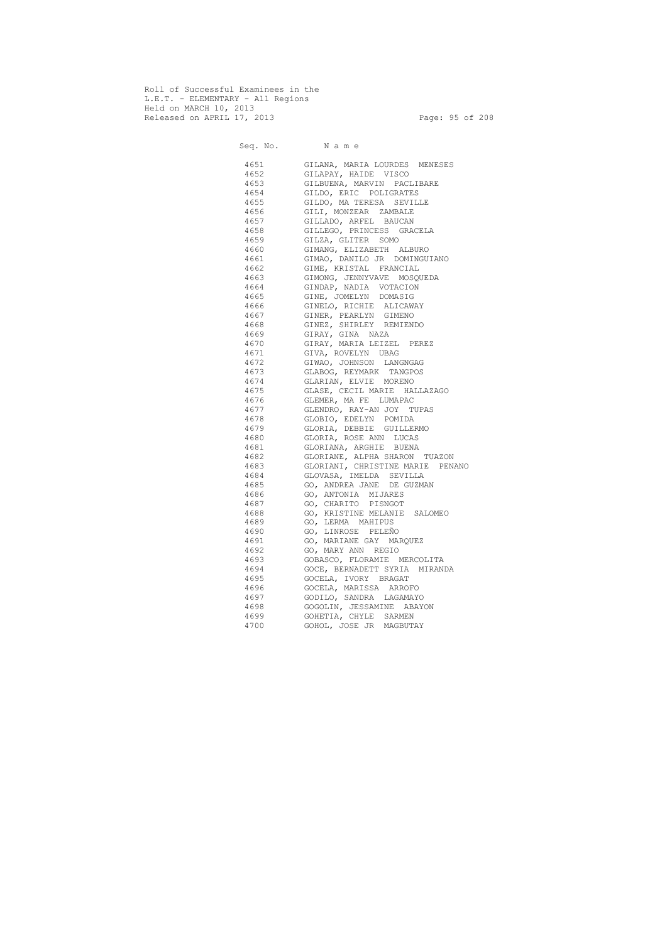Roll of Successful Examinees in the L.E.T. - ELEMENTARY - All Regions Held on MARCH 10, 2013 Released on APRIL 17, 2013 Page: 95 of 208

 Seq. No. N a m e 4651 GILANA, MARIA LOURDES MENESES 4652 GILAPAY, HAIDE VISCO 4653 GILBUENA, MARVIN PACLIBARE 4654 GILDO, ERIC POLIGRATES 4655 GILDO, MA TERESA SEVILLE 4656 GILI, MONZEAR ZAMBALE 4657 GILLADO, ARFEL BAUCAN 4658 GILLEGO, PRINCESS GRACELA 4659 GILZA, GLITER SOMO 4660 GIMANG, ELIZABETH ALBURO 4661 GIMAO, DANILO JR DOMINGUIANO 4662 GIME, KRISTAL FRANCIAL 4663 GIMONG, JENNYVAVE MOSQUEDA 4664 GINDAP, NADIA VOTACION 4665 GINE, JOMELYN DOMASIG 4666 GINELO, RICHIE ALICAWAY 4667 GINER, PEARLYN GIMENO 4668 GINEZ, SHIRLEY REMIENDO 4669 GIRAY, GINA NAZA 4670 GIRAY, MARIA LEIZEL PEREZ 4671 GIVA, ROVELYN UBAG 4672 GIWAO, JOHNSON LANGNGAG 4673 GLABOG, REYMARK TANGPOS 4674 GLARIAN, ELVIE MORENO 4675 GLASE, CECIL MARIE HALLAZAGO 4676 GLEMER, MA FE LUMAPAC 4677 GLENDRO, RAY-AN JOY TUPAS 4678 GLOBIO, EDELYN POMIDA 4679 GLORIA, DEBBIE GUILLERMO 4680 GLORIA, ROSE ANN LUCAS 4681 GLORIANA, ARGHIE BUENA 4682 GLORIANE, ALPHA SHARON TUAZON 4683 GLORIANI, CHRISTINE MARIE PENANO 4684 GLOVASA, IMELDA SEVILLA 4685 GO, ANDREA JANE DE GUZMAN 4686 GO, ANTONIA MIJARES 4687 GO, CHARITO PISNGOT 4688 GO, KRISTINE MELANIE SALOMEO 4689 GO, LERMA MAHIPUS 4690 GO, LINROSE PELEÑO 4691 GO, MARIANE GAY MARQUEZ 4692 GO, MARY ANN REGIO 4693 GOBASCO, FLORAMIE MERCOLITA 4694 GOCE, BERNADETT SYRIA MIRANDA 4695 GOCELA, IVORY BRAGAT 4696 GOCELA, MARISSA ARROFO 4697 GODILO, SANDRA LAGAMAYO 4698 GOGOLIN, JESSAMINE ABAYON 4699 GOHETIA, CHYLE SARMEN 4700 GOHOL, JOSE JR MAGBUTAY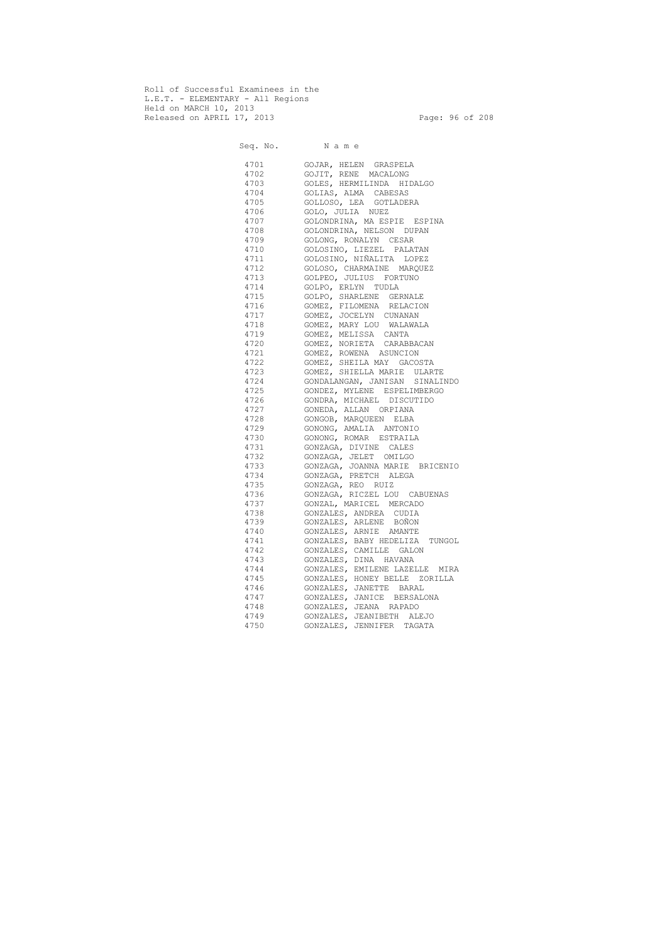Roll of Successful Examinees in the L.E.T. - ELEMENTARY - All Regions Held on MARCH 10, 2013 Released on APRIL 17, 2013 Page: 96 of 208

 Seq. No. N a m e 4701 GOJAR, HELEN GRASPELA 4702 GOJIT, RENE MACALONG 4703 GOLES, HERMILINDA HIDALGO 4704 GOLIAS, ALMA CABESAS 4705 GOLLOSO, LEA GOTLADERA 4706 GOLO, JULIA NUEZ 4707 GOLONDRINA, MA ESPIE ESPINA 4708 GOLONDRINA, NELSON DUPAN 4709 GOLONG, RONALYN CESAR 4710 GOLOSINO, LIEZEL PALATAN 4711 GOLOSINO, NIÑALITA LOPEZ 4712 GOLOSO, CHARMAINE MARQUEZ 4713 GOLPEO, JULIUS FORTUNO 4714 GOLPO, ERLYN TUDLA 4715 GOLPO, SHARLENE GERNALE 4716 GOMEZ, FILOMENA RELACION 4717 GOMEZ, JOCELYN CUNANAN 4718 GOMEZ, MARY LOU WALAWALA 4719 GOMEZ, MELISSA CANTA 4720 GOMEZ, NORIETA CARABBACAN 4721 GOMEZ, ROWENA ASUNCION 4722 GOMEZ, SHEILA MAY GACOSTA 4723 GOMEZ, SHIELLA MARIE ULARTE 4724 GONDALANGAN, JANISAN SINALINDO 4725 GONDEZ, MYLENE ESPELIMBERGO 4726 GONDRA, MICHAEL DISCUTIDO 4727 GONEDA, ALLAN ORPIANA 4728 GONGOB, MARQUEEN ELBA 4729 GONONG, AMALIA ANTONIO 4730 GONONG, ROMAR ESTRAILA 4731 GONZAGA, DIVINE CALES 4732 GONZAGA, JELET OMILGO 4733 GONZAGA, JOANNA MARIE BRICENIO 4734 GONZAGA, PRETCH ALEGA 4735 GONZAGA, REO RUIZ 4736 GONZAGA, RICZEL LOU CABUENAS 4737 GONZAL, MARICEL MERCADO 4738 GONZALES, ANDREA CUDIA 4739 GONZALES, ARLENE BOÑON 4740 GONZALES, ARNIE AMANTE 4741 GONZALES, BABY HEDELIZA TUNGOL 4742 GONZALES, CAMILLE GALON 4743 GONZALES, DINA HAVANA 4744 GONZALES, EMILENE LAZELLE MIRA 4745 GONZALES, HONEY BELLE ZORILLA 4746 GONZALES, JANETTE BARAL 4747 GONZALES, JANICE BERSALONA 4748 GONZALES, JEANA RAPADO 4749 GONZALES, JEANIBETH ALEJO 4750 GONZALES, JENNIFER TAGATA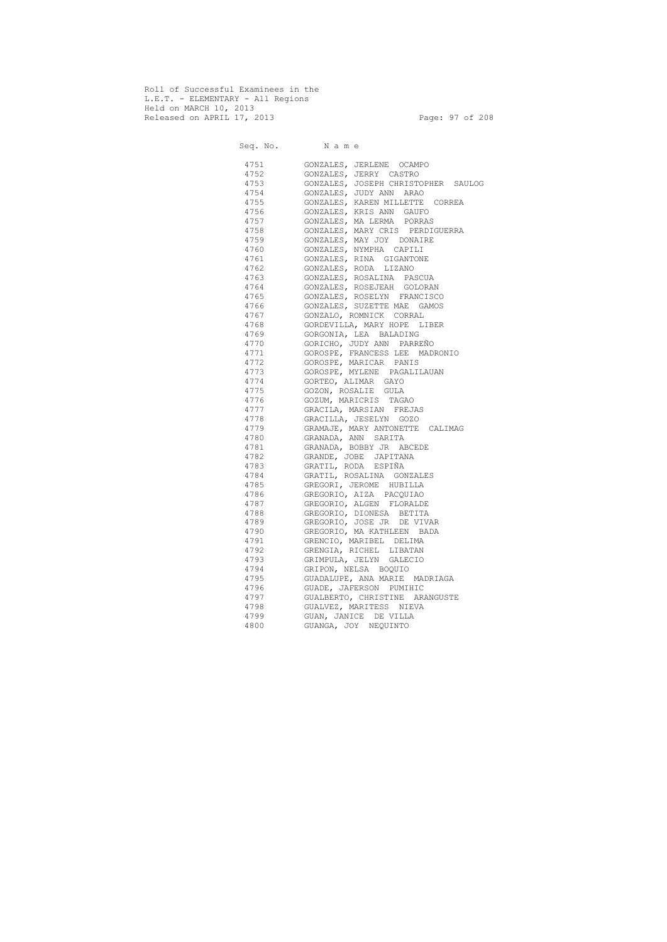Roll of Successful Examinees in the L.E.T. - ELEMENTARY - All Regions Held on MARCH 10, 2013 Released on APRIL 17, 2013 Page: 97 of 208

 Seq. No. N a m e 4751 GONZALES, JERLENE OCAMPO 4752 GONZALES, JERRY CASTRO 4753 GONZALES, JOSEPH CHRISTOPHER SAULOG 4754 GONZALES, JUDY ANN ARAO 4755 GONZALES, KAREN MILLETTE CORREA 4756 GONZALES, KRIS ANN GAUFO 4757 GONZALES, MA LERMA PORRAS 4758 GONZALES, MARY CRIS PERDIGUERRA 4759 GONZALES, MAY JOY DONAIRE 4760 GONZALES, NYMPHA CAPILI 4761 GONZALES, RINA GIGANTONE 4762 GONZALES, RODA LIZANO 4763 GONZALES, ROSALINA PASCUA 4764 GONZALES, ROSEJEAH GOLORAN 4765 GONZALES, ROSELYN FRANCISCO 4766 GONZALES, SUZETTE MAE GAMOS 4767 GONZALO, ROMNICK CORRAL 4768 GORDEVILLA, MARY HOPE LIBER 4769 GORGONIA, LEA BALADING 4770 GORICHO, JUDY ANN PARREÑO 4771 GOROSPE, FRANCESS LEE MADRONIO 4772 GOROSPE, MARICAR PANIS 4773 GOROSPE, MYLENE PAGALILAUAN 4774 GORTEO, ALIMAR GAYO 4775 GOZON, ROSALIE GULA 4776 GOZUM, MARICRIS TAGAO 4777 GRACILA, MARSIAN FREJAS 4778 GRACILLA, JESELYN GOZO 4779 GRAMAJE, MARY ANTONETTE CALIMAG 4780 GRANADA, ANN SARITA 4781 GRANADA, BOBBY JR ABCEDE 4782 GRANDE, JOBE JAPITANA 4783 GRATIL, RODA ESPIÑA 4784 GRATIL, ROSALINA GONZALES 4785 GREGORI, JEROME HUBILLA 4786 GREGORIO, AIZA PACQUIAO 4787 GREGORIO, ALGEN FLORALDE 4788 GREGORIO, DIONESA BETITA 4789 GREGORIO, JOSE JR DE VIVAR 4790 GREGORIO, MA KATHLEEN BADA 4791 GRENCIO, MARIBEL DELIMA 4792 GRENGIA, RICHEL LIBATAN 4793 GRIMPULA, JELYN GALECIO 4794 GRIPON, NELSA BOQUIO 4795 GUADALUPE, ANA MARIE MADRIAGA 4796 GUADE, JAFERSON PUMIHIC 4797 GUALBERTO, CHRISTINE ARANGUSTE 4798 GUALVEZ, MARITESS NIEVA 4799 GUAN, JANICE DE VILLA 4800 GUANGA, JOY NEQUINTO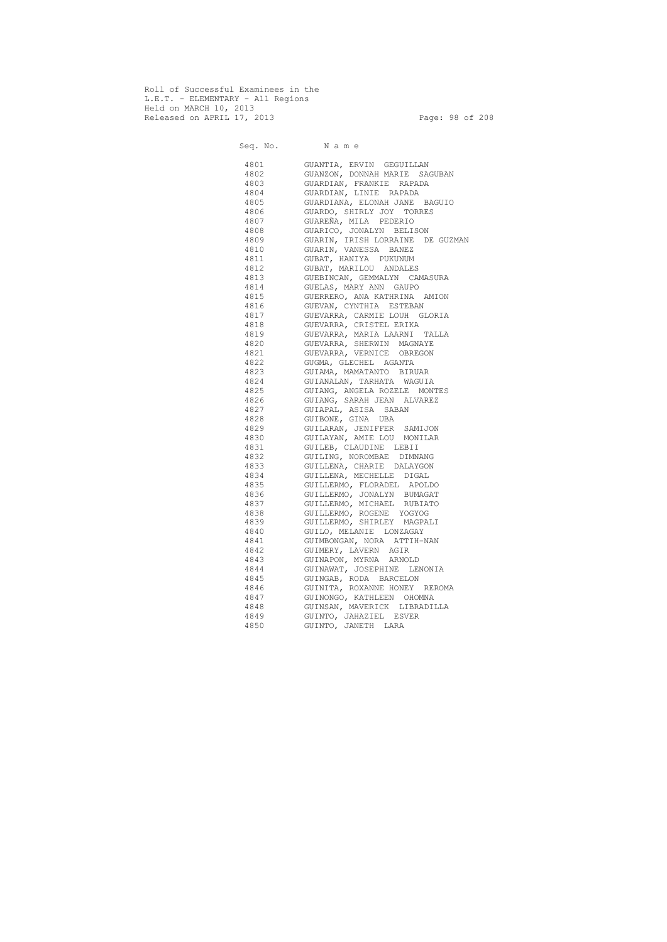Roll of Successful Examinees in the L.E.T. - ELEMENTARY - All Regions Held on MARCH 10, 2013 Released on APRIL 17, 2013 Page: 98 of 208

 Seq. No. N a m e 4801 GUANTIA, ERVIN GEGUILLAN 4802 GUANZON, DONNAH MARIE SAGUBAN 4803 GUARDIAN, FRANKIE RAPADA 4804 GUARDIAN, LINIE RAPADA 4805 GUARDIANA, ELONAH JANE BAGUIO 4806 GUARDO, SHIRLY JOY TORRES 4807 GUAREÑA, MILA PEDERIO 4808 GUARICO, JONALYN BELISON 4809 GUARIN, IRISH LORRAINE DE GUZMAN 4810 GUARIN, VANESSA BANEZ 4811 GUBAT, HANIYA PUKUNUM 4812 GUBAT, MARILOU ANDALES 4813 GUEBINCAN, GEMMALYN CAMASURA 4814 GUELAS, MARY ANN GAUPO 4815 GUERRERO, ANA KATHRINA AMION 4816 GUEVAN, CYNTHIA ESTEBAN 4817 GUEVARRA, CARMIE LOUH GLORIA 4818 GUEVARRA, CRISTEL ERIKA 4819 GUEVARRA, MARIA LAARNI TALLA 4820 GUEVARRA, SHERWIN MAGNAYE 4821 GUEVARRA, VERNICE OBREGON 4822 GUGMA, GLECHEL AGANTA 4823 GUIAMA, MAMATANTO BIRUAR 4824 GUIANALAN, TARHATA WAGUIA 4825 GUIANG, ANGELA ROZELE MONTES 4826 GUIANG, SARAH JEAN ALVAREZ 4827 GUIAPAL, ASISA SABAN 4828 GUIBONE, GINA UBA 4829 GUILARAN, JENIFFER SAMIJON 4830 GUILAYAN, AMIE LOU MONILAR 4831 GUILEB, CLAUDINE LEBII 4832 GUILING, NOROMBAE DIMNANG 4833 GUILLENA, CHARIE DALAYGON 4834 GUILLENA, MECHELLE DIGAL 4835 GUILLERMO, FLORADEL APOLDO 4836 GUILLERMO, JONALYN BUMAGAT 4837 GUILLERMO, MICHAEL RUBIATO 4838 GUILLERMO, ROGENE YOGYOG 4839 GUILLERMO, SHIRLEY MAGPALI 4840 GUILO, MELANIE LONZAGAY 4841 GUIMBONGAN, NORA ATTIH-NAN 4842 GUIMERY, LAVERN AGIR 4843 GUINAPON, MYRNA ARNOLD 4844 GUINAWAT, JOSEPHINE LENONIA 4845 GUINGAB, RODA BARCELON 4846 GUINITA, ROXANNE HONEY REROMA 4847 GUINONGO, KATHLEEN OHOMNA 4848 GUINSAN, MAVERICK LIBRADILLA 4849 GUINTO, JAHAZIEL ESVER 4850 GUINTO, JANETH LARA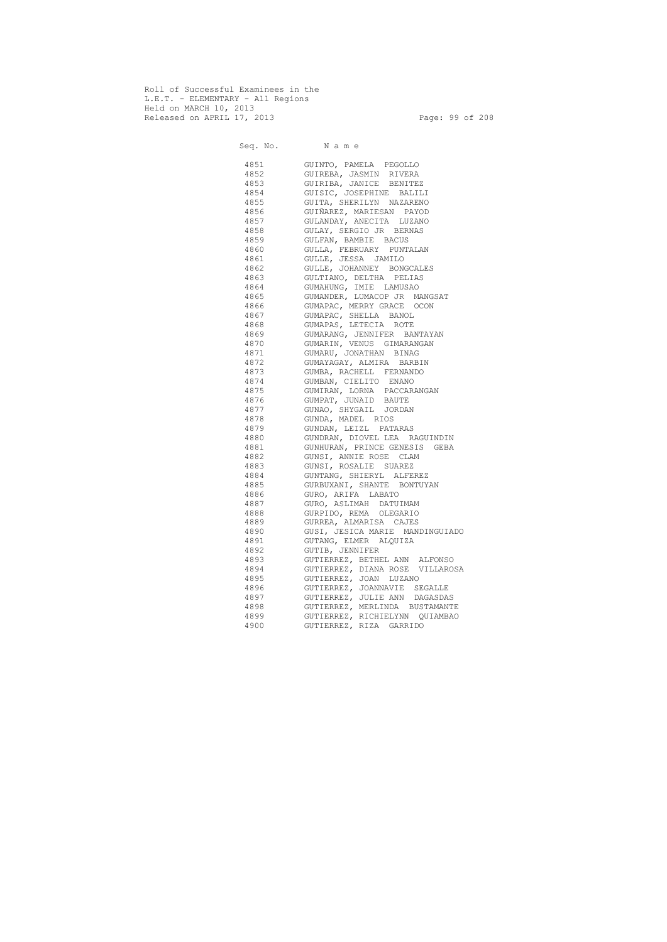Roll of Successful Examinees in the L.E.T. - ELEMENTARY - All Regions Held on MARCH 10, 2013 Released on APRIL 17, 2013 Page: 99 of 208

 Seq. No. N a m e 4851 GUINTO, PAMELA PEGOLLO 4852 GUIREBA, JASMIN RIVERA 4853 GUIRIBA, JANICE BENITEZ 4854 GUISIC, JOSEPHINE BALILI 4855 GUITA, SHERILYN NAZARENO 4856 GUIÑAREZ, MARIESAN PAYOD 4857 GULANDAY, ANECITA LUZANO 4858 GULAY, SERGIO JR BERNAS 4859 GULFAN, BAMBIE BACUS 4860 GULLA, FEBRUARY PUNTALAN 4861 GULLE, JESSA JAMILO 4862 GULLE, JOHANNEY BONGCALES 4863 GULTIANO, DELTHA PELIAS 4864 GUMAHUNG, IMIE LAMUSAO 4865 GUMANDER, LUMACOP JR MANGSAT 4866 GUMAPAC, MERRY GRACE OCON 4867 GUMAPAC, SHELLA BANOL 4868 GUMAPAS, LETECIA ROTE 4869 GUMARANG, JENNIFER BANTAYAN 4870 GUMARIN, VENUS GIMARANGAN 4871 GUMARU, JONATHAN BINAG 4872 GUMAYAGAY, ALMIRA BARBIN 4873 GUMBA, RACHELL FERNANDO 4874 GUMBAN, CIELITO ENANO 4875 GUMIRAN, LORNA PACCARANGAN 4876 GUMPAT, JUNAID BAUTE 4877 GUNAO, SHYGAIL JORDAN 4878 GUNDA, MADEL RIOS 4879 GUNDAN, LEIZL PATARAS 4880 GUNDRAN, DIOVEL LEA RAGUINDIN 4881 GUNHURAN, PRINCE GENESIS GEBA 4882 GUNSI, ANNIE ROSE CLAM 4883 GUNSI, ROSALIE SUAREZ 4884 GUNTANG, SHIERYL ALFEREZ 4885 GURBUXANI, SHANTE BONTUYAN 4886 GURO, ARIFA LABATO 4887 GURO, ASLIMAH DATUIMAM 4888 GURPIDO, REMA OLEGARIO 4889 GURREA, ALMARISA CAJES 4890 GUSI, JESICA MARIE MANDINGUIADO 4891 GUTANG, ELMER ALQUIZA 4892 GUTIB, JENNIFER 4893 GUTIERREZ, BETHEL ANN ALFONSO 4894 GUTIERREZ, DIANA ROSE VILLAROSA 4895 GUTIERREZ, JOAN LUZANO 4896 GUTIERREZ, JOANNAVIE SEGALLE 4897 GUTIERREZ, JULIE ANN DAGASDAS 4898 GUTIERREZ, MERLINDA BUSTAMANTE 4899 GUTIERREZ, RICHIELYNN QUIAMBAO 4900 GUTIERREZ, RIZA GARRIDO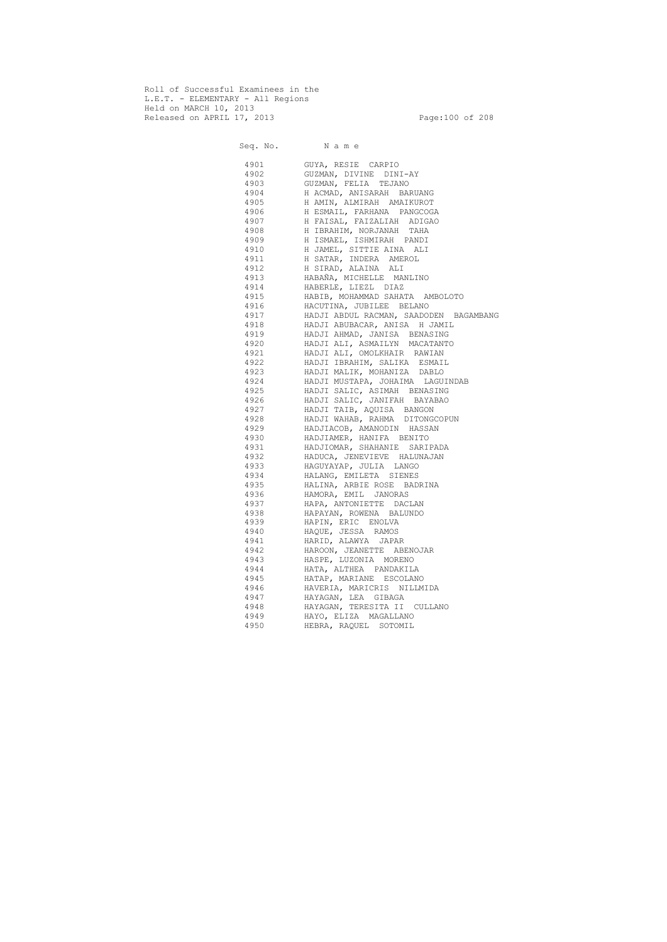Roll of Successful Examinees in the L.E.T. - ELEMENTARY - All Regions Held on MARCH 10, 2013 Released on APRIL 17, 2013 Page:100 of 208

 Seq. No. N a m e 4901 GUYA, RESIE CARPIO 4902 GUZMAN, DIVINE DINI-AY 4903 GUZMAN, FELIA TEJANO 4904 H ACMAD, ANISARAH BARUANG 4905 H AMIN, ALMIRAH AMAIKUROT 4906 H ESMAIL, FARHANA PANGCOGA 4907 H FAISAL, FAIZALIAH ADIGAO 4908 H IBRAHIM, NORJANAH TAHA 4909 H ISMAEL, ISHMIRAH PANDI 4910 H JAMEL, SITTIE AINA ALI 4911 H SATAR, INDERA AMEROL 4912 H SIRAD, ALAINA ALI 4913 HABAÑA, MICHELLE MANLINO 4914 HABERLE, LIEZL DIAZ 4915 HABIB, MOHAMMAD SAHATA AMBOLOTO 4916 HACUTINA, JUBILEE BELANO 4917 HADJI ABDUL RACMAN, SAADODEN BAGAMBANG 4918 HADJI ABUBACAR, ANISA H JAMIL 4919 HADJI AHMAD, JANISA BENASING 4920 HADJI ALI, ASMAILYN MACATANTO 4921 HADJI ALI, OMOLKHAIR RAWIAN 4922 HADJI IBRAHIM, SALIKA ESMAIL 4923 HADJI MALIK, MOHANIZA DABLO 4924 HADJI MUSTAPA, JOHAIMA LAGUINDAB 4925 HADJI SALIC, ASIMAH BENASING 4926 HADJI SALIC, JANIFAH BAYABAO 4927 HADJI TAIB, AQUISA BANGON 4928 HADJI WAHAB, RAHMA DITONGCOPUN 4929 HADJIACOB, AMANODIN HASSAN 4930 HADJIAMER, HANIFA BENITO 4931 HADJIOMAR, SHAHANIE SARIPADA 4932 HADUCA, JENEVIEVE HALUNAJAN 4933 HAGUYAYAP, JULIA LANGO 4934 HALANG, EMILETA SIENES 4935 HALINA, ARBIE ROSE BADRINA 4936 HAMORA, EMIL JANORAS 4937 HAPA, ANTONIETTE DACLAN 4938 HAPAYAN, ROWENA BALUNDO 4939 HAPIN, ERIC ENOLVA 4940 HAQUE, JESSA RAMOS 4941 HARID, ALAWYA JAPAR 4942 HAROON, JEANETTE ABENOJAR 4943 HASPE, LUZONIA MORENO 4944 HATA, ALTHEA PANDAKILA 4945 HATAP, MARIANE ESCOLANO 4946 HAVERIA, MARICRIS NILLMIDA 4947 HAYAGAN, LEA GIBAGA 4948 HAYAGAN, TERESITA II CULLANO 4949 HAYO, ELIZA MAGALLANO 4950 HEBRA, RAQUEL SOTOMIL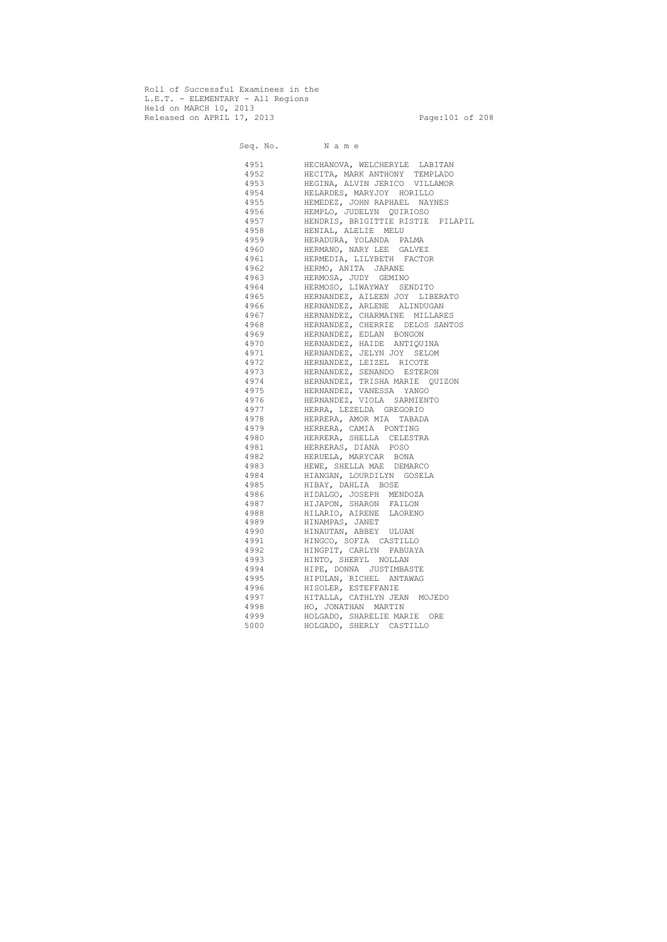Roll of Successful Examinees in the L.E.T. - ELEMENTARY - All Regions Held on MARCH 10, 2013 Released on APRIL 17, 2013 Page:101 of 208

Seq. No. Name 4951 HECHANOVA, WELCHERYLE LABITAN 4952 HECITA, MARK ANTHONY TEMPLADO 4953 HEGINA, ALVIN JERICO VILLAMOR 4954 HELARDES, MARYJOY HORILLO 4955 HEMEDEZ, JOHN RAPHAEL NAYNES 4956 HEMPLO, JUDELYN QUIRIOSO 4957 HENDRIS, BRIGITTIE RISTIE PILAPIL 4958 HENIAL, ALELIE MELU 4959 HERADURA, YOLANDA PALMA 4960 HERMANO, NARY LEE GALVEZ 4961 HERMEDIA, LILYBETH FACTOR 4962 HERMO, ANITA JARANE 4963 HERMOSA, JUDY GEMINO 4964 HERMOSO, LIWAYWAY SENDITO 4965 HERNANDEZ, AILEEN JOY LIBERATO 4966 HERNANDEZ, ARLENE ALINDUGAN 4967 HERNANDEZ, CHARMAINE MILLARES 4968 HERNANDEZ, CHERRIE DELOS SANTOS 4969 HERNANDEZ, EDLAN BONGON 4970 HERNANDEZ, HAIDE ANTIQUINA 4971 HERNANDEZ, JELYN JOY SELOM 4972 HERNANDEZ, LEIZEL RICOTE 4973 HERNANDEZ, SENANDO ESTERON 4974 HERNANDEZ, TRISHA MARIE QUIZON 4975 HERNANDEZ, VANESSA YANGO 4976 HERNANDEZ, VIOLA SARMIENTO 4977 HERRA, LEZELDA GREGORIO 4978 HERRERA, AMOR MIA TABADA 4979 HERRERA, CAMIA PONTING 4980 HERRERA, SHELLA CELESTRA 4981 HERRERAS, DIANA POSO 4982 HERUELA, MARYCAR BONA 4983 HEWE, SHELLA MAE DEMARCO 4984 HIANGAN, LOURDILYN GOSELA 4985 HIBAY, DAHLIA BOSE 4986 HIDALGO, JOSEPH MENDOZA 4987 HIJAPON, SHARON FAILON 4988 HILARIO, AIRENE LAORENO 4989 HINAMPAS, JANET 4990 HINAUTAN, ABBEY ULUAN 4991 HINGCO, SOFIA CASTILLO 4992 HINGPIT, CARLYN PABUAYA 4993 HINTO, SHERYL NOLLAN 4994 HIPE, DONNA JUSTIMBASTE 4995 HIPULAN, RICHEL ANTAWAG 4996 HISOLER, ESTEFFANIE 4997 HITALLA, CATHLYN JEAN MOJEDO 4998 HO, JONATHAN MARTIN 4999 HOLGADO, SHARELIE MARIE ORE 5000 HOLGADO, SHERLY CASTILLO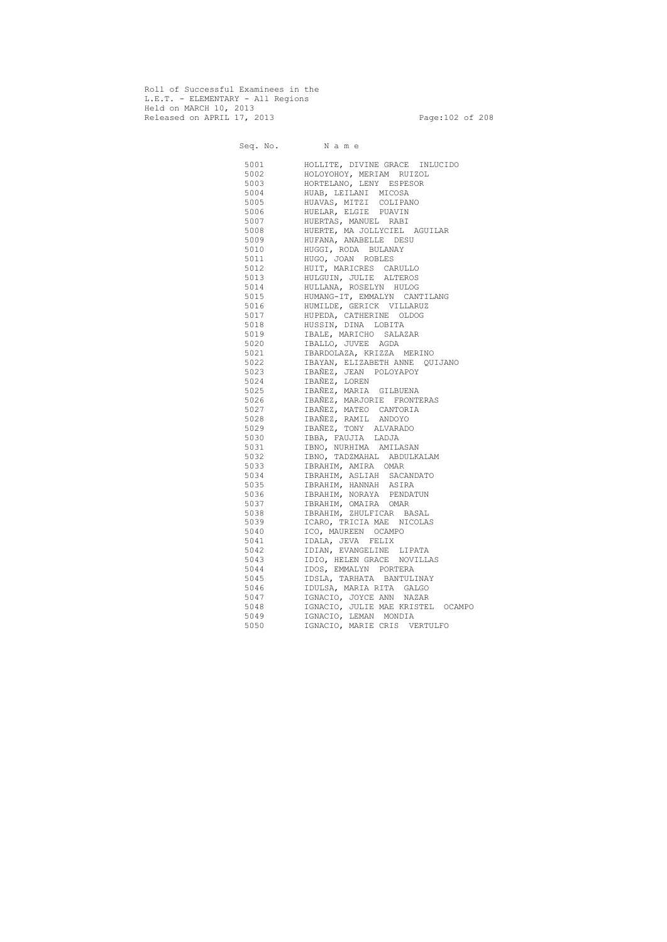Roll of Successful Examinees in the L.E.T. - ELEMENTARY - All Regions Held on MARCH 10, 2013 Released on APRIL 17, 2013 Page:102 of 208

 Seq. No. N a m e 5001 HOLLITE, DIVINE GRACE INLUCIDO 5002 HOLOYOHOY, MERIAM RUIZOL 5003 HORTELANO, LENY ESPESOR 5004 HUAB, LEILANI MICOSA 5005 HUAVAS, MITZI COLIPANO 5006 HUELAR, ELGIE PUAVIN 5007 HUERTAS, MANUEL RABI 5008 HUERTE, MA JOLLYCIEL AGUILAR 5009 HUFANA, ANABELLE DESU 5010 HUGGI, RODA BULANAY 5011 HUGO, JOAN ROBLES 5012 HUIT, MARICRES CARULLO 5013 HULGUIN, JULIE ALTEROS 5014 HULLANA, ROSELYN HULOG 5015 HUMANG-IT, EMMALYN CANTILANG 5016 HUMILDE, GERICK VILLARUZ 5017 HUPEDA, CATHERINE OLDOG 5018 HUSSIN, DINA LOBITA 5019 IBALE, MARICHO SALAZAR 5020 IBALLO, JUVEE AGDA 5021 IBARDOLAZA, KRIZZA MERINO 5022 IBAYAN, ELIZABETH ANNE QUIJANO 5023 IBAÑEZ, JEAN POLOYAPOY 5024 IBAÑEZ, LOREN 5025 IBAÑEZ, MARIA GILBUENA 5026 IBAÑEZ, MARJORIE FRONTERAS 5027 IBAÑEZ, MATEO CANTORIA 5028 IBAÑEZ, RAMIL ANDOYO 5029 IBAÑEZ, TONY ALVARADO 5030 IBBA, FAUJIA LADJA 5031 IBNO, NURHIMA AMILASAN 5032 IBNO, TADZMAHAL ABDULKALAM 5033 IBRAHIM, AMIRA OMAR 5034 IBRAHIM, ASLIAH SACANDATO 5035 IBRAHIM, HANNAH ASIRA 5036 IBRAHIM, NORAYA PENDATUN 5037 IBRAHIM, OMAIRA OMAR 5038 IBRAHIM, ZHULFICAR BASAL 5039 ICARO, TRICIA MAE NICOLAS 5040 ICO, MAUREEN OCAMPO 5041 IDALA, JEVA FELIX 5042 IDIAN, EVANGELINE LIPATA 5043 IDIO, HELEN GRACE NOVILLAS 5044 IDOS, EMMALYN PORTERA 5045 IDSLA, TARHATA BANTULINAY 5046 IDULSA, MARIA RITA GALGO 5047 IGNACIO, JOYCE ANN NAZAR 5048 IGNACIO, JULIE MAE KRISTEL OCAMPO 5049 IGNACIO, LEMAN MONDIA 5050 IGNACIO, MARIE CRIS VERTULFO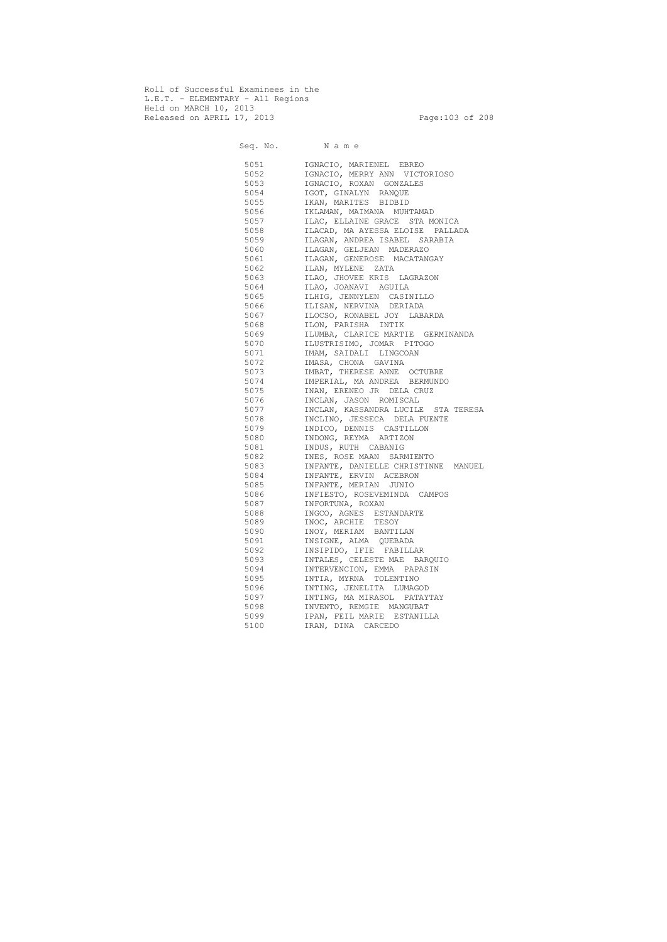Roll of Successful Examinees in the L.E.T. - ELEMENTARY - All Regions Held on MARCH 10, 2013 Released on APRIL 17, 2013 Page:103 of 208

 Seq. No. N a m e 5051 IGNACIO, MARIENEL EBREO 5052 IGNACIO, MERRY ANN VICTORIOSO 5053 IGNACIO, ROXAN GONZALES 5054 IGOT, GINALYN RANQUE 5055 IKAN, MARITES BIDBID 5056 IKLAMAN, MAIMANA MUHTAMAD 5057 ILAC, ELLAINE GRACE STA MONICA 5058 ILACAD, MA AYESSA ELOISE PALLADA 5059 ILAGAN, ANDREA ISABEL SARABIA 5060 ILAGAN, GELJEAN MADERAZO 5061 ILAGAN, GENEROSE MACATANGAY 5062 ILAN, MYLENE ZATA 5063 ILAO, JHOVEE KRIS LAGRAZON 5064 ILAO, JOANAVI AGUILA 5065 ILHIG, JENNYLEN CASINILLO 5066 ILISAN, NERVINA DERIADA 5067 ILOCSO, RONABEL JOY LABARDA 5068 ILON, FARISHA INTIK 5069 ILUMBA, CLARICE MARTIE GERMINANDA 5070 ILUSTRISIMO, JOMAR PITOGO 5071 IMAM, SAIDALI LINGCOAN 5072 IMASA, CHONA GAVINA 5073 IMBAT, THERESE ANNE OCTUBRE 5074 IMPERIAL, MA ANDREA BERMUNDO 5075 INAN, ERENEO JR DELA CRUZ 5076 INCLAN, JASON ROMISCAL 5077 INCLAN, KASSANDRA LUCILE STA TERESA 5078 INCLINO, JESSECA DELA FUENTE 5079 INDICO, DENNIS CASTILLON 5080 INDONG, REYMA ARTIZON 5081 INDUS, RUTH CABANIG 5082 INES, ROSE MAAN SARMIENTO 5083 INFANTE, DANIELLE CHRISTINNE MANUEL 5084 INFANTE, ERVIN ACEBRON 5085 INFANTE, MERIAN JUNIO 5086 INFIESTO, ROSEVEMINDA CAMPOS 5087 INFORTUNA, ROXAN 5088 INGCO, AGNES ESTANDARTE 5089 INOC, ARCHIE TESOY 5090 INOY, MERIAM BANTILAN 5091 INSIGNE, ALMA QUEBADA 5092 INSIPIDO, IFIE FABILLAR 5093 INTALES, CELESTE MAE BARQUIO 5094 INTERVENCION, EMMA PAPASIN 5095 INTIA, MYRNA TOLENTINO 5096 INTING, JENELITA LUMAGOD 5097 INTING, MA MIRASOL PATAYTAY 5098 INVENTO, REMGIE MANGUBAT 5099 IPAN, FEIL MARIE ESTANILLA 5100 IRAN, DINA CARCEDO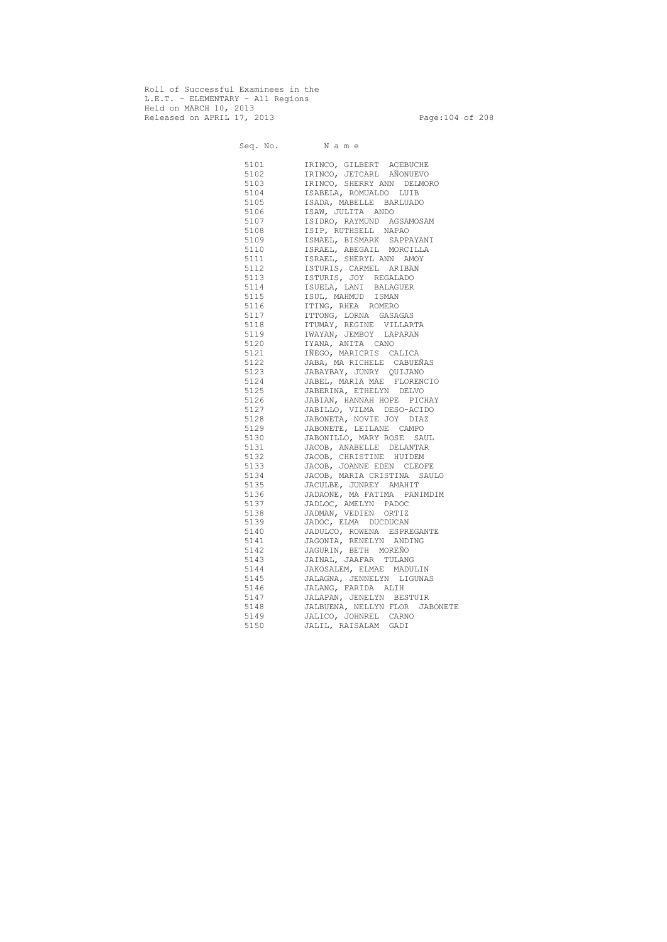Roll of Successful Examinees in the L.E.T. - ELEMENTARY - All Regions Held on MARCH 10, 2013 Released on APRIL 17, 2013 Page:104 of 208

 Seq. No. N a m e 5101 IRINCO, GILBERT ACEBUCHE 5102 IRINCO, JETCARL AÑONUEVO 5103 IRINCO, SHERRY ANN DELMORO 5104 ISABELA, ROMUALDO LUIB 5105 ISADA, MABELLE BARLUADO 5106 ISAW, JULITA ANDO 5107 ISIDRO, RAYMUND AGSAMOSAM 5108 ISIP, RUTHSELL NAPAO 5109 ISMAEL, BISMARK SAPPAYANI 5110 ISRAEL, ABEGAIL MORCILLA 5111 ISRAEL, SHERYL ANN AMOY 5112 ISTURIS, CARMEL ARIBAN 5113 ISTURIS, JOY REGALADO 5114 ISUELA, LANI BALAGUER 5115 ISUL, MAHMUD ISMAN 5116 ITING, RHEA ROMERO 5117 ITTONG, LORNA GASAGAS 5118 ITUMAY, REGINE VILLARTA 5119 IWAYAN, JEMBOY LAPARAN 5120 IYANA, ANITA CANO 5121 IÑEGO, MARICRIS CALICA 5122 JABA, MA RICHELE CABUEÑAS 5123 JABAYBAY, JUNRY QUIJANO 5124 JABEL, MARIA MAE FLORENCIO 5125 JABERINA, ETHELYN DELVO 5126 JABIAN, HANNAH HOPE PICHAY 5127 JABILLO, VILMA DESO-ACIDO 5128 JABONETA, NOVIE JOY DIAZ 5129 JABONETE, LEILANE CAMPO 5130 JABONILLO, MARY ROSE SAUL 5131 JACOB, ANABELLE DELANTAR 5132 JACOB, CHRISTINE HUIDEM 5133 JACOB, JOANNE EDEN CLEOFE 5134 JACOB, MARIA CRISTINA SAULO 5135 JACULBE, JUNREY AMAHIT 5136 JADAONE, MA FATIMA PANIMDIM 5137 JADLOC, AMELYN PADOC 5138 JADMAN, VEDIEN ORTIZ 5139 JADOC, ELMA DUCDUCAN 5140 JADULCO, ROWENA ESPREGANTE 5141 JAGONIA, RENELYN ANDING 5142 JAGURIN, BETH MOREÑO 5143 JAINAL, JAAFAR TULANG 5144 JAKOSALEM, ELMAE MADULIN 5145 JALAGNA, JENNELYN LIGUNAS 5146 JALANG, FARIDA ALIH 5147 JALAPAN, JENELYN BESTUIR 5148 JALBUENA, NELLYN FLOR JABONETE 5149 JALICO, JOHNREL CARNO 5150 JALIL, RAISALAM GADI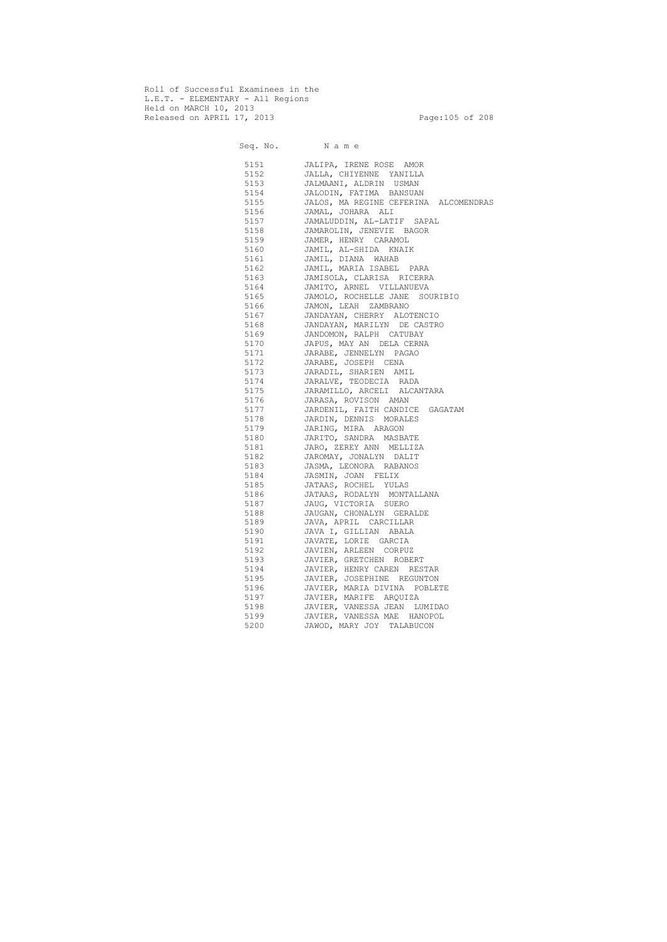Roll of Successful Examinees in the L.E.T. - ELEMENTARY - All Regions Held on MARCH 10, 2013 Released on APRIL 17, 2013 Page:105 of 208

 Seq. No. N a m e 5151 JALIPA, IRENE ROSE AMOR 5152 JALLA, CHIYENNE YANILLA 5153 JALMAANI, ALDRIN USMAN 5154 JALODIN, FATIMA BANSUAN 5155 JALOS, MA REGINE CEFERINA ALCOMENDRAS 5156 JAMAL, JOHARA ALI 5157 JAMALUDDIN, AL-LATIF SAPAL 5158 JAMAROLIN, JENEVIE BAGOR 5159 JAMER, HENRY CARAMOL 5160 JAMIL, AL-SHIDA KNAIK 5161 JAMIL, DIANA WAHAB 5162 JAMIL, MARIA ISABEL PARA 5163 JAMISOLA, CLARISA RICERRA 5164 JAMITO, ARNEL VILLANUEVA 5165 JAMOLO, ROCHELLE JANE SOURIBIO 5166 JAMON, LEAH ZAMBRANO 5167 JANDAYAN, CHERRY ALOTENCIO 5168 JANDAYAN, MARILYN DE CASTRO 5169 JANDOMON, RALPH CATUBAY 5170 JAPUS, MAY AN DELA CERNA 5171 JARABE, JENNELYN PAGAO 5172 JARABE, JOSEPH CENA 5173 JARADIL, SHARIEN AMIL 5174 JARALVE, TEODECIA RADA 5175 JARAMILLO, ARCELI ALCANTARA 5176 JARASA, ROVISON AMAN 5177 JARDENIL, FAITH CANDICE GAGATAM 5178 JARDIN, DENNIS MORALES 5179 JARING, MIRA ARAGON 5180 JARITO, SANDRA MASBATE 5181 JARO, ZEREY ANN MELLIZA 5182 JAROMAY, JONALYN DALIT 5183 JASMA, LEONORA RABANOS 5184 JASMIN, JOAN FELIX 5185 JATAAS, ROCHEL YULAS 5186 JATAAS, RODALYN MONTALLANA 5187 JAUG, VICTORIA SUERO 5188 JAUGAN, CHONALYN GERALDE 5189 JAVA, APRIL CARCILLAR 5190 JAVA I, GILLIAN ABALA 5191 JAVATE, LORIE GARCIA 5192 JAVIEN, ARLEEN CORPUZ 5193 JAVIER, GRETCHEN ROBERT 5194 JAVIER, HENRY CAREN RESTAR 5195 JAVIER, JOSEPHINE REGUNTON 5196 JAVIER, MARIA DIVINA POBLETE 5197 JAVIER, MARIFE ARQUIZA 5198 JAVIER, VANESSA JEAN LUMIDAO 5199 JAVIER, VANESSA MAE HANOPOL 5200 JAWOD, MARY JOY TALABUCON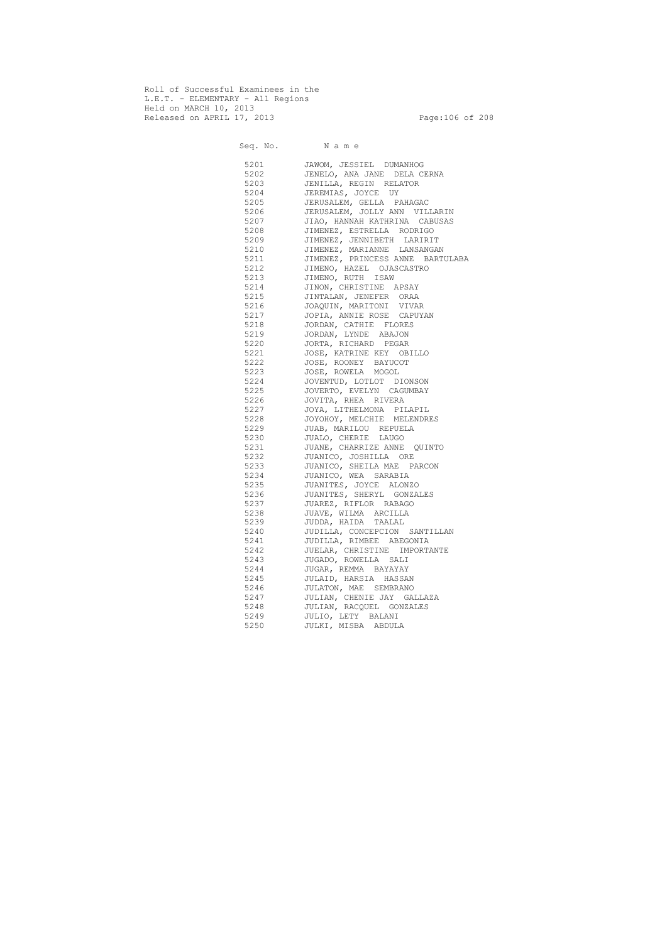Roll of Successful Examinees in the L.E.T. - ELEMENTARY - All Regions Held on MARCH 10, 2013 Released on APRIL 17, 2013 Page:106 of 208

 Seq. No. N a m e 5201 JAWOM, JESSIEL DUMANHOG 5202 JENELO, ANA JANE DELA CERNA 5203 JENILLA, REGIN RELATOR 5204 JEREMIAS, JOYCE UY 5205 JERUSALEM, GELLA PAHAGAC 5206 JERUSALEM, JOLLY ANN VILLARIN 5207 JIAO, HANNAH KATHRINA CABUSAS<br>5208 JIMENEZ, ESTRELLA RODRIGO 5208 JIMENEZ, ESTRELLA RODRIGO 5209 JIMENEZ, JENNIBETH LARIRIT 5210 JIMENEZ, MARIANNE LANSANGAN 5211 JIMENEZ, PRINCESS ANNE BARTULABA 5212 JIMENO, HAZEL OJASCASTRO 5213 JIMENO, RUTH ISAW 5214 JINON, CHRISTINE APSAY 5215 JINTALAN, JENEFER ORAA 5216 JOAQUIN, MARITONI VIVAR 5217 JOPIA, ANNIE ROSE CAPUYAN 5218 JORDAN, CATHIE FLORES 5219 JORDAN, LYNDE ABAJON 5220 JORTA, RICHARD PEGAR 5221 JOSE, KATRINE KEY OBILLO 5222 JOSE, ROONEY BAYUCOT 5223 JOSE, ROWELA MOGOL 5224 JOVENTUD, LOTLOT DIONSON 5225 JOVERTO, EVELYN CAGUMBAY 5226 JOVITA, RHEA RIVERA 5227 JOYA, LITHELMONA PILAPIL 5228 JOYOHOY, MELCHIE MELENDRES 5229 JUAB, MARILOU REPUELA 5230 JUALO, CHERIE LAUGO 5231 JUANE, CHARRIZE ANNE QUINTO 5232 JUANICO, JOSHILLA ORE 5233 JUANICO, SHEILA MAE PARCON 5234 JUANICO, WEA SARABIA 5235 JUANITES, JOYCE ALONZO 5236 JUANITES, SHERYL GONZALES 5237 JUAREZ, RIFLOR RABAGO 5238 JUAVE, WILMA ARCILLA 5239 JUDDA, HAIDA TAALAL 5240 JUDILLA, CONCEPCION SANTILLAN 5241 JUDILLA, RIMBEE ABEGONIA 5242 JUELAR, CHRISTINE IMPORTANTE 5243 JUGADO, ROWELLA SALI 5244 JUGAR, REMMA BAYAYAY 5245 JULAID, HARSIA HASSAN 5246 JULATON, MAE SEMBRANO 5247 JULIAN, CHENIE JAY GALLAZA 5248 JULIAN, RACQUEL GONZALES 5249 JULIO, LETY BALANI 5250 JULKI, MISBA ABDULA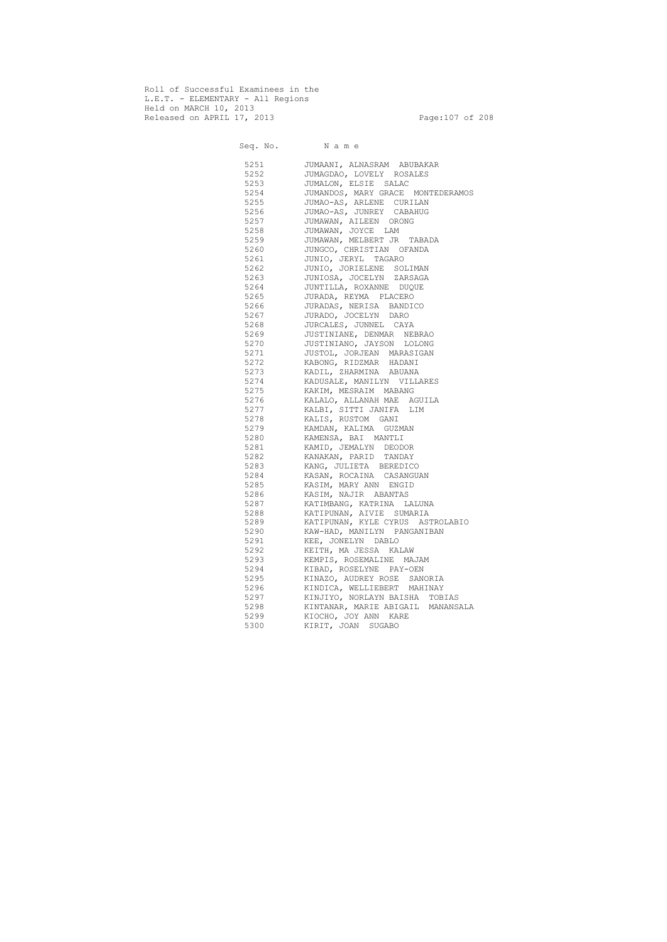Roll of Successful Examinees in the L.E.T. - ELEMENTARY - All Regions Held on MARCH 10, 2013 Released on APRIL 17, 2013 Page:107 of 208

 Seq. No. N a m e 5251 JUMAANI, ALNASRAM ABUBAKAR 5252 JUMAGDAO, LOVELY ROSALES 5253 JUMALON, ELSIE SALAC 5254 JUMANDOS, MARY GRACE MONTEDERAMOS<br>5255 JUMAO-AS, ARLENE CURILAN JUMAO-AS, ARLENE CURILAN 5256 JUMAO-AS, JUNREY CABAHUG 5257 JUMAWAN, AILEEN ORONG<br>5258 JUMAWAN, JOYCE LAM JUMAWAN, JOYCE LAM 5259 JUMAWAN, MELBERT JR TABADA 5260 JUNGCO, CHRISTIAN OFANDA 5261 JUNIO, JERYL TAGARO 5262 JUNIO, JORIELENE SOLIMAN 5263 JUNIOSA, JOCELYN ZARSAGA 5264 JUNTILLA, ROXANNE DUQUE 5265 JURADA, REYMA PLACERO 5266 JURADAS, NERISA BANDICO 5267 JURADO, JOCELYN DARO 5268 JURCALES, JUNNEL CAYA 5269 JUSTINIANE, DENMAR NEBRAO 5270 JUSTINIANO, JAYSON LOLONG 5271 JUSTOL, JORJEAN MARASIGAN 5272 KABONG, RIDZMAR HADANI 5273 KADIL, ZHARMINA ABUANA 5274 KADUSALE, MANILYN VILLARES 5275 KAKIM, MESRAIM MABANG 5276 KALALO, ALLANAH MAE AGUILA 5277 KALBI, SITTI JANIFA LIM 5278 KALIS, RUSTOM GANI 5279 KAMDAN, KALIMA GUZMAN 5280 KAMENSA, BAI MANTLI 5281 KAMID, JEMALYN DEODOR 5282 KANAKAN, PARID TANDAY 5283 KANG, JULIETA BEREDICO 5284 KASAN, ROCAINA CASANGUAN 5285 KASIM, MARY ANN ENGID 5286 KASIM, NAJIR ABANTAS 5287 KATIMBANG, KATRINA LALUNA 5288 KATIPUNAN, AIVIE SUMARIA 5289 KATIPUNAN, KYLE CYRUS ASTROLABIO 5290 KAW-HAD, MANILYN PANGANIBAN 5291 KEE, JONELYN DABLO 5292 KEITH, MA JESSA KALAW 5293 KEMPIS, ROSEMALINE MAJAM 5294 KIBAD, ROSELYNE PAY-OEN 5295 KINAZO, AUDREY ROSE SANORIA 5296 KINDICA, WELLIEBERT MAHINAY 5297 KINJIYO, NORLAYN BAISHA TOBIAS 5298 KINTANAR, MARIE ABIGAIL MANANSALA 5299 KIOCHO, JOY ANN KARE 5300 KIRIT, JOAN SUGABO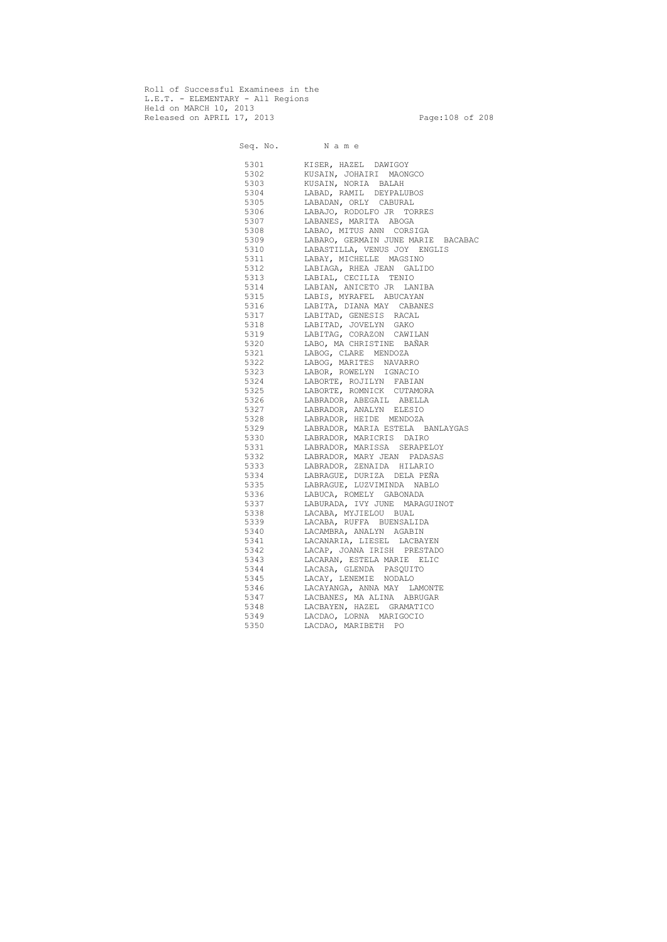Roll of Successful Examinees in the L.E.T. - ELEMENTARY - All Regions Held on MARCH 10, 2013 Released on APRIL 17, 2013 Page:108 of 208

 Seq. No. N a m e 5301 KISER, HAZEL DAWIGOY 5302 KUSAIN, JOHAIRI MAONGCO 5303 KUSAIN, NORIA BALAH 5304 LABAD, RAMIL DEYPALUBOS 5305 LABADAN, ORLY CABURAL 5306 LABAJO, RODOLFO JR TORRES 5307 LABANES, MARITA ABOGA 5308 LABAO, MITUS ANN CORSIGA 5309 LABARO, GERMAIN JUNE MARIE BACABAC 5310 LABASTILLA, VENUS JOY ENGLIS 5311 LABAY, MICHELLE MAGSINO 5312 LABIAGA, RHEA JEAN GALIDO 5313 LABIAL, CECILIA TENIO 5314 LABIAN, ANICETO JR LANIBA 5315 LABIS, MYRAFEL ABUCAYAN 5316 LABITA, DIANA MAY CABANES 5317 LABITAD, GENESIS RACAL 5318 LABITAD, JOVELYN GAKO 5319 LABITAG, CORAZON CAWILAN 5320 LABO, MA CHRISTINE BAÑAR 5321 LABOG, CLARE MENDOZA 5322 LABOG, MARITES NAVARRO 5323 LABOR, ROWELYN IGNACIO 5324 LABORTE, ROJILYN FABIAN 5325 LABORTE, ROMNICK CUTAMORA 5326 LABRADOR, ABEGAIL ABELLA 5327 LABRADOR, ANALYN ELESIO 5328 LABRADOR, HEIDE MENDOZA 5329 LABRADOR, MARIA ESTELA BANLAYGAS 5330 LABRADOR, MARICRIS DAIRO 5331 LABRADOR, MARISSA SERAPELOY 5332 LABRADOR, MARY JEAN PADASAS 5333 LABRADOR, ZENAIDA HILARIO 5334 LABRAGUE, DURIZA DELA PEÑA 5335 LABRAGUE, LUZVIMINDA NABLO 5336 LABUCA, ROMELY GABONADA 5337 LABURADA, IVY JUNE MARAGUINOT 5338 LACABA, MYJIELOU BUAL 5339 LACABA, RUFFA BUENSALIDA 5340 LACAMBRA, ANALYN AGABIN 5341 LACANARIA, LIESEL LACBAYEN 5342 LACAP, JOANA IRISH PRESTADO 5343 LACARAN, ESTELA MARIE ELIC 5344 LACASA, GLENDA PASQUITO 5345 LACAY, LENEMIE NODALO 5346 LACAYANGA, ANNA MAY LAMONTE 5347 LACBANES, MA ALINA ABRUGAR 5348 LACBAYEN, HAZEL GRAMATICO 5349 LACDAO, LORNA MARIGOCIO 5350 LACDAO, MARIBETH PO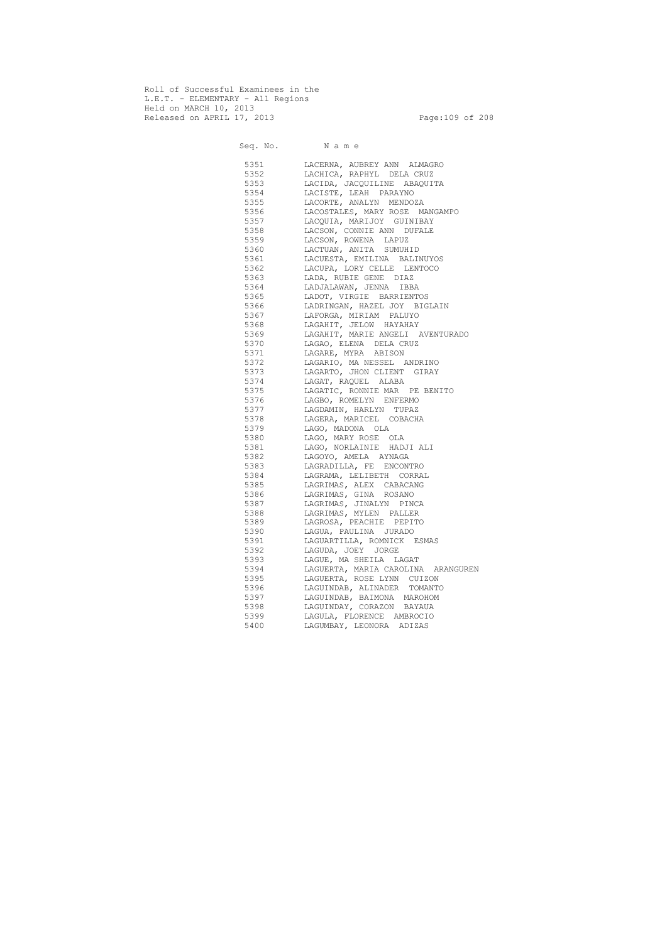Roll of Successful Examinees in the L.E.T. - ELEMENTARY - All Regions Held on MARCH 10, 2013 Released on APRIL 17, 2013 Page:109 of 208

 Seq. No. N a m e 5351 LACERNA, AUBREY ANN ALMAGRO 5352 LACHICA, RAPHYL DELA CRUZ 5353 LACIDA, JACQUILINE ABAQUITA 5354 LACISTE, LEAH PARAYNO 5355 LACORTE, ANALYN MENDOZA 5356 LACOSTALES, MARY ROSE MANGAMPO 5357 LACQUIA, MARIJOY GUINIBAY 5358 LACSON, CONNIE ANN DUFALE 5359 LACSON, ROWENA LAPUZ 5360 LACTUAN, ANITA SUMUHID 5361 LACUESTA, EMILINA BALINUYOS 5362 LACUPA, LORY CELLE LENTOCO 5363 LADA, RUBIE GENE DIAZ 5364 LADJALAWAN, JENNA IBBA 5365 LADOT, VIRGIE BARRIENTOS 5366 LADRINGAN, HAZEL JOY BIGLAIN 5367 LAFORGA, MIRIAM PALUYO 5368 LAGAHIT, JELOW HAYAHAY 5369 LAGAHIT, MARIE ANGELI AVENTURADO 5370 LAGAO, ELENA DELA CRUZ 5371 LAGARE, MYRA ABISON 5372 LAGARIO, MA NESSEL ANDRINO 5373 LAGARTO, JHON CLIENT GIRAY 5374 LAGAT, RAQUEL ALABA 5375 LAGATIC, RONNIE MAR PE BENITO 5376 LAGBO, ROMELYN ENFERMO 5377 LAGDAMIN, HARLYN TUPAZ 5378 LAGERA, MARICEL COBACHA 5379 LAGO, MADONA OLA 5380 LAGO, MARY ROSE OLA 5381 LAGO, NORLAINIE HADJI ALI 5382 LAGOYO, AMELA AYNAGA 5383 LAGRADILLA, FE ENCONTRO 5384 LAGRAMA, LELIBETH CORRAL 5385 LAGRIMAS, ALEX CABACANG 5386 LAGRIMAS, GINA ROSANO 5387 LAGRIMAS, JINALYN PINCA 5388 LAGRIMAS, MYLEN PALLER 5389 LAGROSA, PEACHIE PEPITO 5390 LAGUA, PAULINA JURADO 5391 LAGUARTILLA, ROMNICK ESMAS 5392 LAGUDA, JOEY JORGE 5393 LAGUE, MA SHEILA LAGAT 5394 LAGUERTA, MARIA CAROLINA ARANGUREN 5395 LAGUERTA, ROSE LYNN CUIZON 5396 LAGUINDAB, ALINADER TOMANTO 5397 LAGUINDAB, BAIMONA MAROHOM 5398 LAGUINDAY, CORAZON BAYAUA 5399 LAGULA, FLORENCE AMBROCIO 5400 LAGUMBAY, LEONORA ADIZAS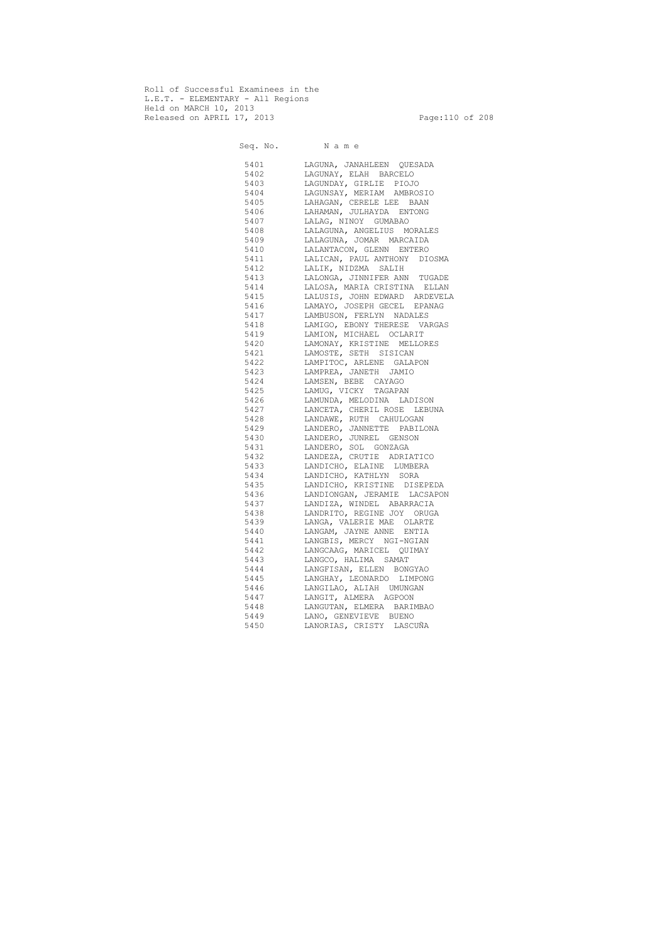Roll of Successful Examinees in the L.E.T. - ELEMENTARY - All Regions Held on MARCH 10, 2013 Released on APRIL 17, 2013 Page:110 of 208

 Seq. No. N a m e 5401 LAGUNA, JANAHLEEN QUESADA 5402 LAGUNAY, ELAH BARCELO 5403 LAGUNDAY, GIRLIE PIOJO 5404 LAGUNSAY, MERIAM AMBROSIO 5405 LAHAGAN, CERELE LEE BAAN 5406 LAHAMAN, JULHAYDA ENTONG 5407 LALAG, NINOY GUMABAO 5408 LALAGUNA, ANGELIUS MORALES 5409 LALAGUNA, JOMAR MARCAIDA 5410 LALANTACON, GLENN ENTERO 5411 LALICAN, PAUL ANTHONY DIOSMA 5412 LALIK, NIDZMA SALIH 5413 LALONGA, JINNIFER ANN TUGADE 5414 LALOSA, MARIA CRISTINA ELLAN 5415 LALUSIS, JOHN EDWARD ARDEVELA 5416 LAMAYO, JOSEPH GECEL EPANAG 5417 LAMBUSON, FERLYN NADALES 5418 LAMIGO, EBONY THERESE VARGAS 5419 LAMION, MICHAEL OCLARIT 5420 LAMONAY, KRISTINE MELLORES 5421 LAMOSTE, SETH SISICAN 5422 LAMPITOC, ARLENE GALAPON 5423 LAMPREA, JANETH JAMIO 5424 LAMSEN, BEBE CAYAGO 5425 LAMUG, VICKY TAGAPAN 5426 LAMUNDA, MELODINA LADISON 5427 LANCETA, CHERIL ROSE LEBUNA 5428 LANDAWE, RUTH CAHULOGAN 5429 LANDERO, JANNETTE PABILONA 5430 LANDERO, JUNREL GENSON 5431 LANDERO, SOL GONZAGA 5432 LANDEZA, CRUTIE ADRIATICO 5433 LANDICHO, ELAINE LUMBERA 5434 LANDICHO, KATHLYN SORA 5435 LANDICHO, KRISTINE DISEPEDA 5436 LANDIONGAN, JERAMIE LACSAPON 5437 LANDIZA, WINDEL ABARRACIA 5438 LANDRITO, REGINE JOY ORUGA 5439 LANGA, VALERIE MAE OLARTE 5440 LANGAM, JAYNE ANNE ENTIA 5441 LANGBIS, MERCY NGI-NGIAN 5442 LANGCAAG, MARICEL QUIMAY 5443 LANGCO, HALIMA SAMAT 5444 LANGFISAN, ELLEN BONGYAO 5445 LANGHAY, LEONARDO LIMPONG 5446 LANGILAO, ALIAH UMUNGAN 5447 LANGIT, ALMERA AGPOON 5448 LANGUTAN, ELMERA BARIMBAO 5449 LANO, GENEVIEVE BUENO 5450 LANORIAS, CRISTY LASCUÑA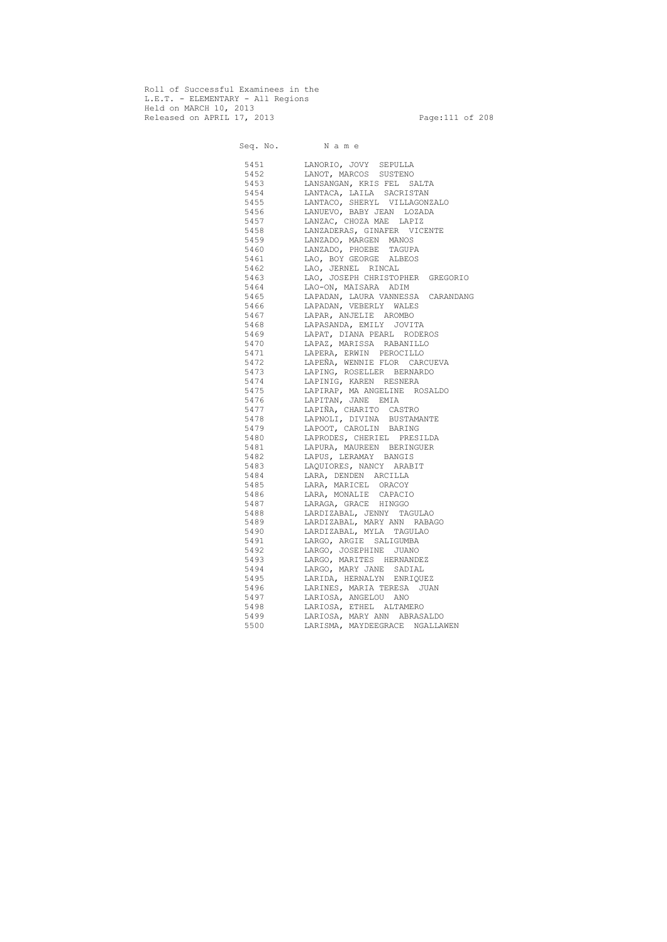Roll of Successful Examinees in the L.E.T. - ELEMENTARY - All Regions Held on MARCH 10, 2013 Released on APRIL 17, 2013 Page:111 of 208

 Seq. No. N a m e 5451 LANORIO, JOVY SEPULLA 5452 LANOT, MARCOS SUSTENO 5453 LANSANGAN, KRIS FEL SALTA 5454 LANTACA, LAILA SACRISTAN 5455 LANTACO, SHERYL VILLAGONZALO 5456 LANUEVO, BABY JEAN LOZADA 5457 LANZAC, CHOZA MAE LAPIZ 5458 LANZADERAS, GINAFER VICENTE 5459 LANZADO, MARGEN MANOS 5460 LANZADO, PHOEBE TAGUPA 5461 LAO, BOY GEORGE ALBEOS 5462 LAO, JERNEL RINCAL 5463 LAO, JOSEPH CHRISTOPHER GREGORIO 5464 LAO-ON, MAISARA ADIM 5465 LAPADAN, LAURA VANNESSA CARANDANG 5466 LAPADAN, VEBERLY WALES 5467 LAPAR, ANJELIE AROMBO 5468 LAPASANDA, EMILY JOVITA 5469 LAPAT, DIANA PEARL RODEROS 5470 LAPAZ, MARISSA RABANILLO 5471 LAPERA, ERWIN PEROCILLO 5472 LAPEÑA, WENNIE FLOR CARCUEVA 5473 LAPING, ROSELLER BERNARDO 5474 LAPINIG, KAREN RESNERA 5475 LAPIRAP, MA ANGELINE ROSALDO 5476 LAPITAN, JANE EMIA 5477 LAPIÑA, CHARITO CASTRO 5478 LAPNOLI, DIVINA BUSTAMANTE 5479 LAPOOT, CAROLIN BARING 5480 LAPRODES, CHERIEL PRESILDA 5481 LAPURA, MAUREEN BERINGUER 5482 LAPUS, LERAMAY BANGIS 5483 LAQUIORES, NANCY ARABIT 5484 LARA, DENDEN ARCILLA 5485 LARA, MARICEL ORACOY 5486 LARA, MONALIE CAPACIO 5487 LARAGA, GRACE HINGGO 5488 LARDIZABAL, JENNY TAGULAO 5489 LARDIZABAL, MARY ANN RABAGO 5490 LARDIZABAL, MYLA TAGULAO 5491 LARGO, ARGIE SALIGUMBA 5492 LARGO, JOSEPHINE JUANO 5493 LARGO, MARITES HERNANDEZ 5494 LARGO, MARY JANE SADIAL 5495 LARIDA, HERNALYN ENRIQUEZ 5496 LARINES, MARIA TERESA JUAN 5497 LARIOSA, ANGELOU ANO 5498 LARIOSA, ETHEL ALTAMERO 5499 LARIOSA, MARY ANN ABRASALDO 5500 LARISMA, MAYDEEGRACE NGALLAWEN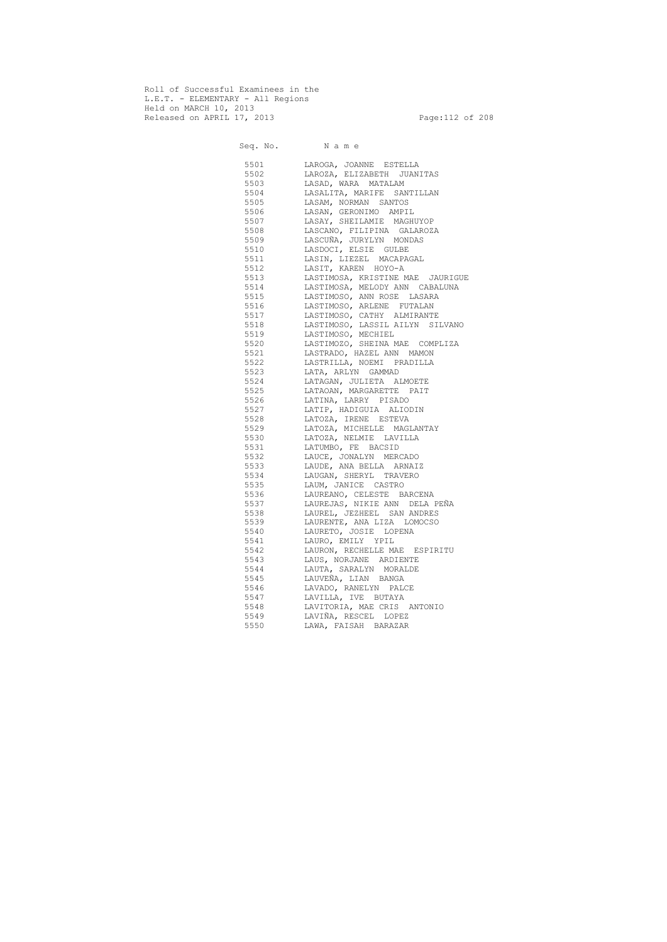Roll of Successful Examinees in the L.E.T. - ELEMENTARY - All Regions Held on MARCH 10, 2013 Released on APRIL 17, 2013 Page:112 of 208

 Seq. No. N a m e 5501 LAROGA, JOANNE ESTELLA 5502 LAROZA, ELIZABETH JUANITAS 5503 LASAD, WARA MATALAM 5504 LASALITA, MARIFE SANTILLAN 5505 LASAM, NORMAN SANTOS 5506 LASAN, GERONIMO AMPIL 5507 LASAY, SHEILAMIE MAGHUYOP<br>5508 LASCANO, FILIPINA GALAROZ. LASCANO, FILIPINA GALAROZA 5509 LASCUÑA, JURYLYN MONDAS 5510 LASDOCI, ELSIE GULBE 5511 LASIN, LIEZEL MACAPAGAL 5512 LASIT, KAREN HOYO-A 5513 LASTIMOSA, KRISTINE MAE JAURIGUE 5514 LASTIMOSA, MELODY ANN CABALUNA 5515 LASTIMOSO, ANN ROSE LASARA 5516 LASTIMOSO, ARLENE FUTALAN 5517 LASTIMOSO, CATHY ALMIRANTE 5518 LASTIMOSO, LASSIL AILYN SILVANO 5519 LASTIMOSO, MECHIEL 5520 LASTIMOZO, SHEINA MAE COMPLIZA 5521 LASTRADO, HAZEL ANN MAMON 5522 LASTRILLA, NOEMI PRADILLA 5523 LATA, ARLYN GAMMAD 5524 LATAGAN, JULIETA ALMOETE 5525 LATAOAN, MARGARETTE PAIT 5526 LATINA, LARRY PISADO 5527 LATIP, HADIGUIA ALIODIN 5528 LATOZA, IRENE ESTEVA 5529 LATOZA, MICHELLE MAGLANTAY 5530 LATOZA, NELMIE LAVILLA 5531 LATUMBO, FE BACSID 5532 LAUCE, JONALYN MERCADO 5533 LAUDE, ANA BELLA ARNAIZ 5534 LAUGAN, SHERYL TRAVERO 5535 LAUM, JANICE CASTRO 5536 LAUREANO, CELESTE BARCENA 5537 LAUREJAS, NIKIE ANN DELA PEÑA 5538 LAUREL, JEZHEEL SAN ANDRES 5539 LAURENTE, ANA LIZA LOMOCSO 5540 LAURETO, JOSIE LOPENA 5541 LAURO, EMILY YPIL 5542 LAURON, RECHELLE MAE ESPIRITU 5543 LAUS, NORJANE ARDIENTE 5544 LAUTA, SARALYN MORALDE 5545 LAUVEÑA, LIAN BANGA 5546 LAVADO, RANELYN PALCE 5547 LAVILLA, IVE BUTAYA 5548 LAVITORIA, MAE CRIS ANTONIO 5549 LAVIÑA, RESCEL LOPEZ<br>5550 LAWA, FAISAH BARAZAR 5550 LAWA, FAISAH BARAZAR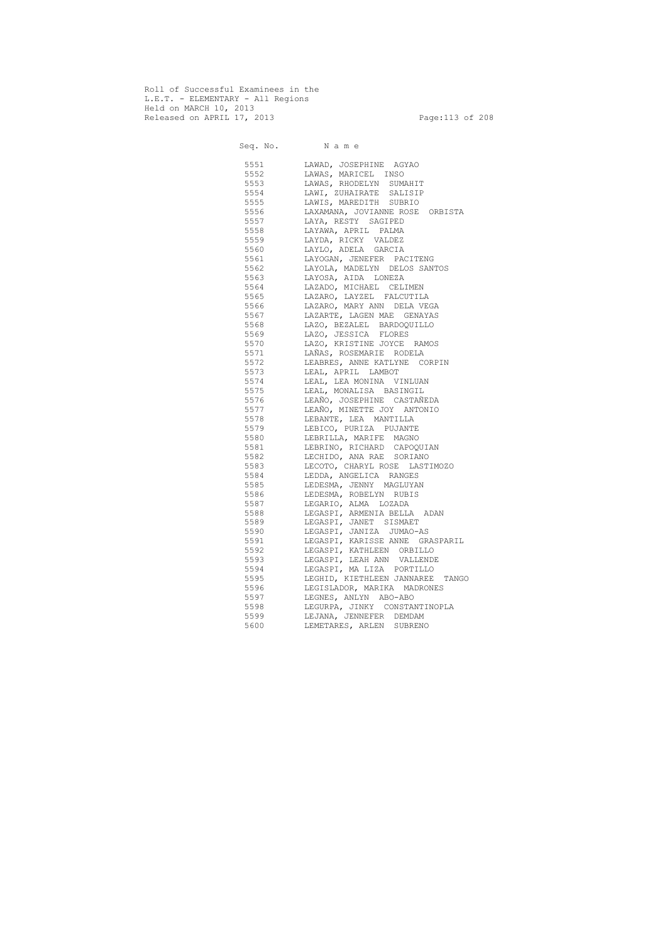Roll of Successful Examinees in the L.E.T. - ELEMENTARY - All Regions Held on MARCH 10, 2013 Released on APRIL 17, 2013 Page:113 of 208

 Seq. No. N a m e 5551 LAWAD, JOSEPHINE AGYAO 5552 LAWAS, MARICEL INSO 5553 LAWAS, RHODELYN SUMAHIT 5554 LAWI, ZUHAIRATE SALISIP 5555 LAWIS, MAREDITH SUBRIO 5556 LAXAMANA, JOVIANNE ROSE ORBISTA 5557 LAYA, RESTY SAGIPED 5558 LAYAWA, APRIL PALMA 5559 LAYDA, RICKY VALDEZ 5560 LAYLO, ADELA GARCIA 5561 LAYOGAN, JENEFER PACITENG 5562 LAYOLA, MADELYN DELOS SANTOS 5563 LAYOSA, AIDA LONEZA 5564 LAZADO, MICHAEL CELIMEN 5565 LAZARO, LAYZEL FALCUTILA 5566 LAZARO, MARY ANN DELA VEGA 5567 LAZARTE, LAGEN MAE GENAYAS 5568 LAZO, BEZALEL BARDOQUILLO 5569 LAZO, JESSICA FLORES 5570 LAZO, KRISTINE JOYCE RAMOS 5571 LAÑAS, ROSEMARIE RODELA 5572 LEABRES, ANNE KATLYNE CORPIN 5573 LEAL, APRIL LAMBOT 5574 LEAL, LEA MONINA VINLUAN 5575 LEAL, MONALISA BASINGIL 5576 LEAÑO, JOSEPHINE CASTAÑEDA 5577 LEAÑO, MINETTE JOY ANTONIO 5578 LEBANTE, LEA MANTILLA 5579 LEBICO, PURIZA PUJANTE 5580 LEBRILLA, MARIFE MAGNO 5581 LEBRINO, RICHARD CAPOQUIAN 5582 LECHIDO, ANA RAE SORIANO 5583 LECOTO, CHARYL ROSE LASTIMOZO 5584 LEDDA, ANGELICA RANGES 5585 LEDESMA, JENNY MAGLUYAN 5586 LEDESMA, ROBELYN RUBIS 5587 LEGARIO, ALMA LOZADA 5588 LEGASPI, ARMENIA BELLA ADAN 5589 LEGASPI, JANET SISMAET 5590 LEGASPI, JANIZA JUMAO-AS 5591 LEGASPI, KARISSE ANNE GRASPARIL 5592 LEGASPI, KATHLEEN ORBILLO 5593 LEGASPI, LEAH ANN VALLENDE 5594 LEGASPI, MA LIZA PORTILLO 5595 LEGHID, KIETHLEEN JANNAREE TANGO 5596 LEGISLADOR, MARIKA MADRONES 5597 LEGNES, ANLYN ABO-ABO 5598 LEGURPA, JINKY CONSTANTINOPLA 5599 LEJANA, JENNEFER DEMDAM 5600 LEMETARES, ARLEN SUBRENO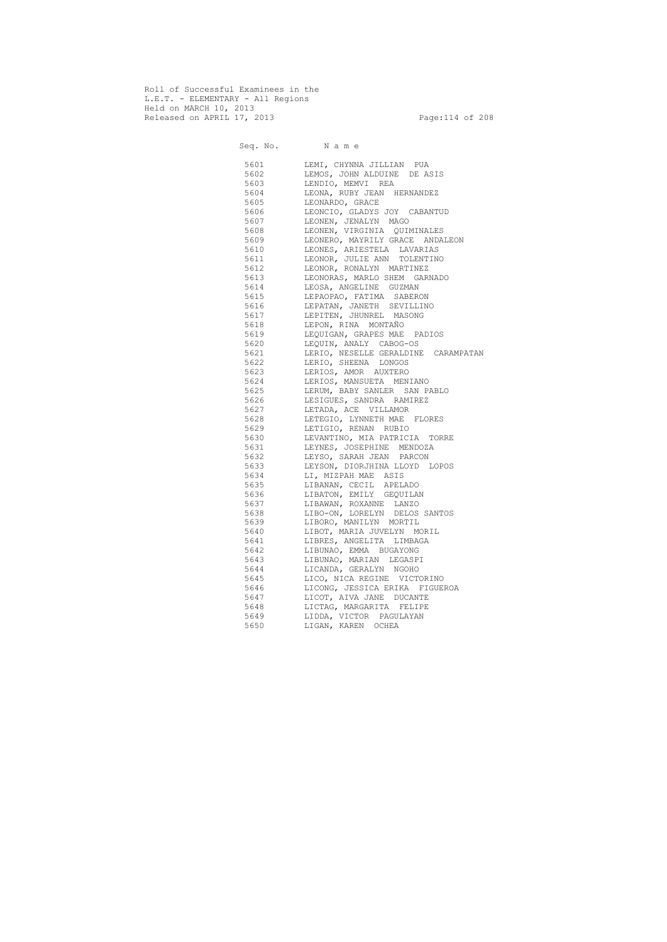Roll of Successful Examinees in the L.E.T. - ELEMENTARY - All Regions Held on MARCH 10, 2013 Released on APRIL 17, 2013 Page:114 of 208

 Seq. No. N a m e 5601 LEMI, CHYNNA JILLIAN PUA 5602 LEMOS, JOHN ALDUINE DE ASIS 5603 LENDIO, MEMVI REA 5604 LEONA, RUBY JEAN HERNANDEZ 5605 LEONARDO, GRACE 5606 LEONCIO, GLADYS JOY CABANTUD 5607 LEONEN, JENALYN MAGO 5608 LEONEN, VIRGINIA QUIMINALES 5609 LEONERO, MAYRILY GRACE ANDALEON 5610 LEONES, ARIESTELA LAVARIAS 5611 LEONOR, JULIE ANN TOLENTINO 5612 LEONOR, RONALYN MARTINEZ 5613 LEONORAS, MARLO SHEM GARNADO 5614 LEOSA, ANGELINE GUZMAN 5615 LEPAOPAO, FATIMA SABERON 5616 LEPATAN, JANETH SEVILLINO 5617 LEPITEN, JHUNREL MASONG 5618 LEPON, RINA MONTAÑO 5619 LEQUIGAN, GRAPES MAE PADIOS 5620 LEQUIN, ANALY CABOG-OS 5621 LERIO, NESELLE GERALDINE CARAMPATAN 5622 LERIO, SHEENA LONGOS 5623 LERIOS, AMOR AUXTERO 5624 LERIOS, MANSUETA MENIANO 5625 LERUM, BABY SANLER SAN PABLO 5626 LESIGUES, SANDRA RAMIREZ 5627 LETADA, ACE VILLAMOR 5628 LETEGIO, LYNNETH MAE FLORES 5629 LETIGIO, RENAN RUBIO 5630 LEVANTINO, MIA PATRICIA TORRE 5631 LEYNES, JOSEPHINE MENDOZA 5632 LEYSO, SARAH JEAN PARCON 5633 LEYSON, DIORJHINA LLOYD LOPOS 5634 LI, MIZPAH MAE ASIS 5635 LIBANAN, CECIL APELADO 5636 LIBATON, EMILY GEQUILAN 5637 LIBAWAN, ROXANNE LANZO 5638 LIBO-ON, LORELYN DELOS SANTOS 5639 LIBORO, MANILYN MORTIL 5640 LIBOT, MARIA JUVELYN MORIL 5641 LIBRES, ANGELITA LIMBAGA 5642 LIBUNAO, EMMA BUGAYONG 5643 LIBUNAO, MARIAN LEGASPI 5644 LICANDA, GERALYN NGOHO 5645 LICO, NICA REGINE VICTORINO 5646 LICONG, JESSICA ERIKA FIGUEROA 5647 LICOT, AIVA JANE DUCANTE 5648 LICTAG, MARGARITA FELIPE 5649 LIDDA, VICTOR PAGULAYAN 5650 LIGAN, KAREN OCHEA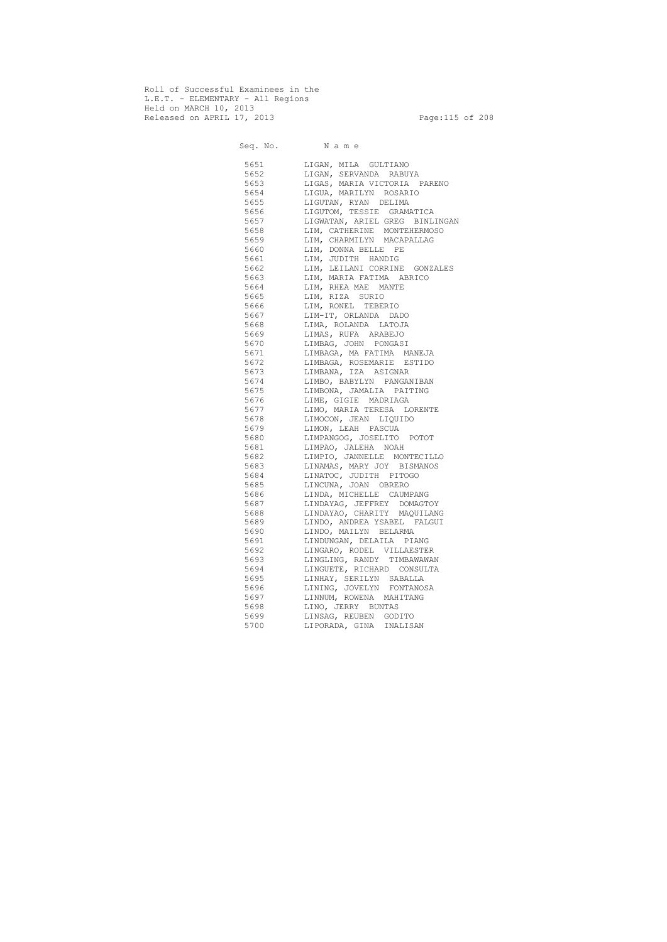Roll of Successful Examinees in the L.E.T. - ELEMENTARY - All Regions Held on MARCH 10, 2013 Released on APRIL 17, 2013 Page:115 of 208

 Seq. No. N a m e 5651 LIGAN, MILA GULTIANO 5652 LIGAN, SERVANDA RABUYA 5653 LIGAS, MARIA VICTORIA PARENO 5654 LIGUA, MARILYN ROSARIO 5655 LIGUTAN, RYAN DELIMA 5656 LIGUTOM, TESSIE GRAMATICA 5657 LIGWATAN, ARIEL GREG BINLINGAN 5658 LIM, CATHERINE MONTEHERMOSO 5659 LIM, CHARMILYN MACAPALLAG 5660 LIM, DONNA BELLE PE 5661 LIM, JUDITH HANDIG 5662 LIM, LEILANI CORRINE GONZALES 5663 LIM, MARIA FATIMA ABRICO 5664 LIM, RHEA MAE MANTE 5665 LIM, RIZA SURIO 5666 LIM, RONEL TEBERIO 5667 LIM-IT, ORLANDA DADO 5668 LIMA, ROLANDA LATOJA 5669 LIMAS, RUFA ARABEJO 5670 LIMBAG, JOHN PONGASI 5671 LIMBAGA, MA FATIMA MANEJA 5672 LIMBAGA, ROSEMARIE ESTIDO 5673 LIMBANA, IZA ASIGNAR 5674 LIMBO, BABYLYN PANGANIBAN 5675 LIMBONA, JAMALIA PAITING 5676 LIME, GIGIE MADRIAGA 5677 LIMO, MARIA TERESA LORENTE 5678 LIMOCON, JEAN LIQUIDO 5679 LIMON, LEAH PASCUA 5680 LIMPANGOG, JOSELITO POTOT 5681 LIMPAO, JALEHA NOAH 5682 LIMPIO, JANNELLE MONTECILLO 5683 LINAMAS, MARY JOY BISMANOS 5684 LINATOC, JUDITH PITOGO 5685 LINCUNA, JOAN OBRERO 5686 LINDA, MICHELLE CAUMPANG 5687 LINDAYAG, JEFFREY DOMAGTOY 5688 LINDAYAO, CHARITY MAQUILANG 5689 LINDO, ANDREA YSABEL FALGUI 5690 LINDO, MAILYN BELARMA 5691 LINDUNGAN, DELAILA PIANG 5692 LINGARO, RODEL VILLAESTER 5693 LINGLING, RANDY TIMBAWAWAN 5694 LINGUETE, RICHARD CONSULTA 5695 LINHAY, SERILYN SABALLA 5696 LINING, JOVELYN FONTANOSA 5697 LINNUM, ROWENA MAHITANG 5698 LINO, JERRY BUNTAS 5699 LINSAG, REUBEN GODITO 5700 LIPORADA, GINA INALISAN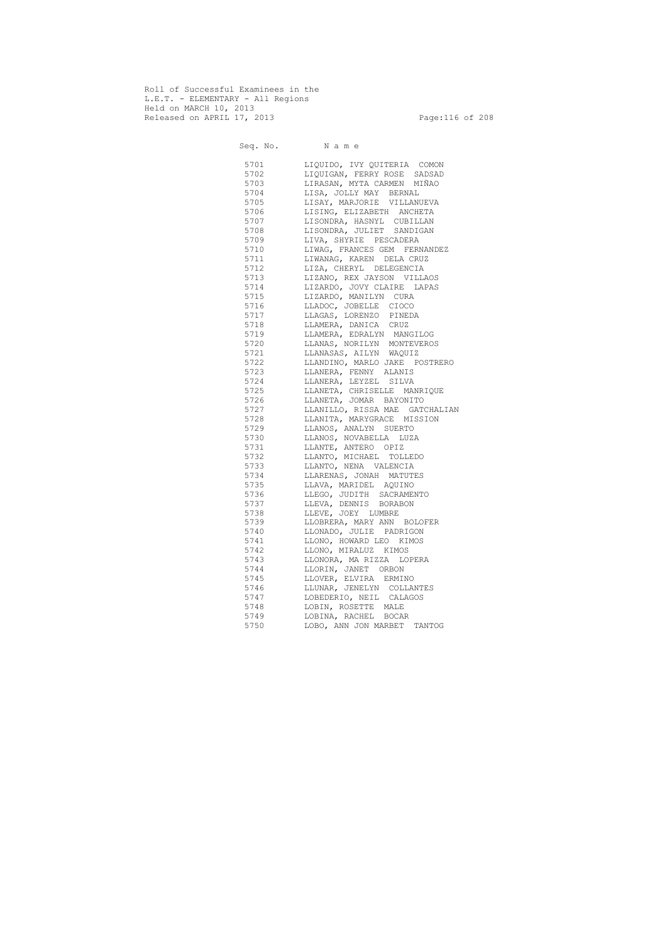Roll of Successful Examinees in the L.E.T. - ELEMENTARY - All Regions Held on MARCH 10, 2013 Released on APRIL 17, 2013 Page:116 of 208

 Seq. No. N a m e 5701 LIQUIDO, IVY QUITERIA COMON 5702 LIQUIGAN, FERRY ROSE SADSAD 5703 LIRASAN, MYTA CARMEN MIÑAO 5704 LISA, JOLLY MAY BERNAL 5705 LISAY, MARJORIE VILLANUEVA 5706 LISING, ELIZABETH ANCHETA 5707 LISONDRA, HASNYL CUBILLAN 5708 LISONDRA, JULIET SANDIGAN 5709 LIVA, SHYRIE PESCADERA 5710 LIWAG, FRANCES GEM FERNANDEZ 5711 LIWANAG, KAREN DELA CRUZ 5712 LIZA, CHERYL DELEGENCIA 5713 LIZANO, REX JAYSON VILLAOS 5714 LIZARDO, JOVY CLAIRE LAPAS 5715 LIZARDO, MANILYN CURA 5716 LLADOC, JOBELLE CIOCO 5717 LLAGAS, LORENZO PINEDA 5718 LLAMERA, DANICA CRUZ 5719 LLAMERA, EDRALYN MANGILOG 5720 LLANAS, NORILYN MONTEVEROS 5721 LLANASAS, AILYN WAQUIZ 5722 LLANDINO, MARLO JAKE POSTRERO 5723 LLANERA, FENNY ALANIS 5724 LLANERA, LEYZEL SILVA 5725 LLANETA, CHRISELLE MANRIQUE 5726 LLANETA, JOMAR BAYONITO 5727 LLANILLO, RISSA MAE GATCHALIAN 5728 LLANITA, MARYGRACE MISSION 5729 LLANOS, ANALYN SUERTO 5730 LLANOS, NOVABELLA LUZA 5731 LLANTE, ANTERO OPIZ 5732 LLANTO, MICHAEL TOLLEDO 5733 LLANTO, NENA VALENCIA 5734 LLARENAS, JONAH MATUTES 5735 LLAVA, MARIDEL AQUINO 5736 LLEGO, JUDITH SACRAMENTO 5737 LLEVA, DENNIS BORABON 5738 LLEVE, JOEY LUMBRE 5739 LLOBRERA, MARY ANN BOLOFER 5740 LLONADO, JULIE PADRIGON 5741 LLONO, HOWARD LEO KIMOS 5742 LLONO, MIRALUZ KIMOS 5743 LLONORA, MA RIZZA LOPERA 5744 LLORIN, JANET ORBON 5745 LLOVER, ELVIRA ERMINO 5746 LLUNAR, JENELYN COLLANTES 5747 LOBEDERIO, NEIL CALAGOS 5748 LOBIN, ROSETTE MALE 5749 LOBINA, RACHEL BOCAR<br>5750 LOBO, ANN JON MARBET LOBO, ANN JON MARBET TANTOG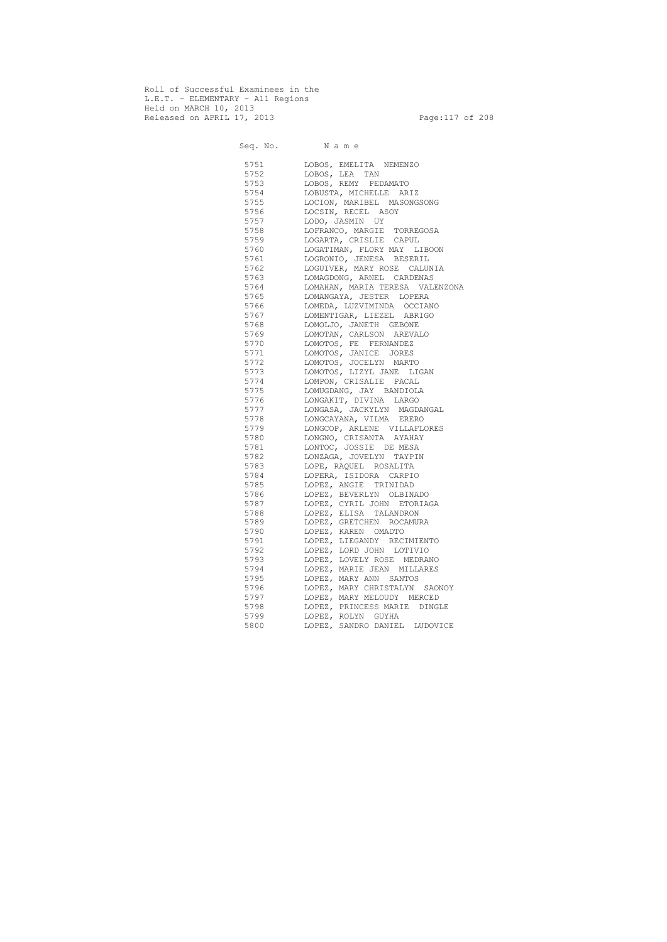Roll of Successful Examinees in the L.E.T. - ELEMENTARY - All Regions Held on MARCH 10, 2013 Released on APRIL 17, 2013 Page:117 of 208

 Seq. No. N a m e 5751 LOBOS, EMELITA NEMENZO 5752 LOBOS, LEA TAN 5753 LOBOS, REMY PEDAMATO 5754 LOBUSTA, MICHELLE ARIZ 5755 LOCION, MARIBEL MASONGSONG 5756 LOCSIN, RECEL ASOY 5757 LODO, JASMIN UY 5758 LOFRANCO, MARGIE TORREGOSA 5759 LOGARTA, CRISLIE CAPUL 5760 LOGATIMAN, FLORY MAY LIBOON 5761 LOGRONIO, JENESA BESERIL 5762 LOGUIVER, MARY ROSE CALUNIA 5763 LOMAGDONG, ARNEL CARDENAS 5764 LOMAHAN, MARIA TERESA VALENZONA 5765 LOMANGAYA, JESTER LOPERA 5766 LOMEDA, LUZVIMINDA OCCIANO 5767 LOMENTIGAR, LIEZEL ABRIGO 5768 LOMOLJO, JANETH GEBONE 5769 LOMOTAN, CARLSON AREVALO 5770 LOMOTOS, FE FERNANDEZ 5771 LOMOTOS, JANICE JORES 5772 LOMOTOS, JOCELYN MARTO<br>5773 LOMOTOS, LIZYL JANE LI 5773 LOMOTOS, LIZYL JANE LIGAN<br>5774 LOMPON, CRISALIE PACAL LOMPON, CRISALIE PACAL 5775 LOMUGDANG, JAY BANDIOLA 5776 LONGAKIT, DIVINA LARGO 5777 LONGASA, JACKYLYN MAGDANGAL 5778 LONGCAYANA, VILMA ERERO 5779 LONGCOP, ARLENE VILLAFLORES 5780 LONGNO, CRISANTA AYAHAY 5781 LONTOC, JOSSIE DE MESA 5782 LONZAGA, JOVELYN TAYPIN 5783 LOPE, RAQUEL ROSALITA 5784 LOPERA, ISIDORA CARPIO 5785 LOPEZ, ANGIE TRINIDAD 5786 LOPEZ, BEVERLYN OLBINADO 5787 LOPEZ, CYRIL JOHN ETORIAGA 5788 LOPEZ, ELISA TALANDRON 5789 LOPEZ, GRETCHEN ROCAMURA 5790 LOPEZ, KAREN OMADTO 5791 LOPEZ, LIEGANDY RECIMIENTO 5792 LOPEZ, LORD JOHN LOTIVIO 5793 LOPEZ, LOVELY ROSE MEDRANO 5794 LOPEZ, MARIE JEAN MILLARES 5795 LOPEZ, MARY ANN SANTOS 5796 LOPEZ, MARY CHRISTALYN SAONOY 5797 LOPEZ, MARY MELOUDY MERCED 5798 LOPEZ, PRINCESS MARIE DINGLE 5799 LOPEZ, ROLYN GUYHA 5800 LOPEZ, SANDRO DANIEL LUDOVICE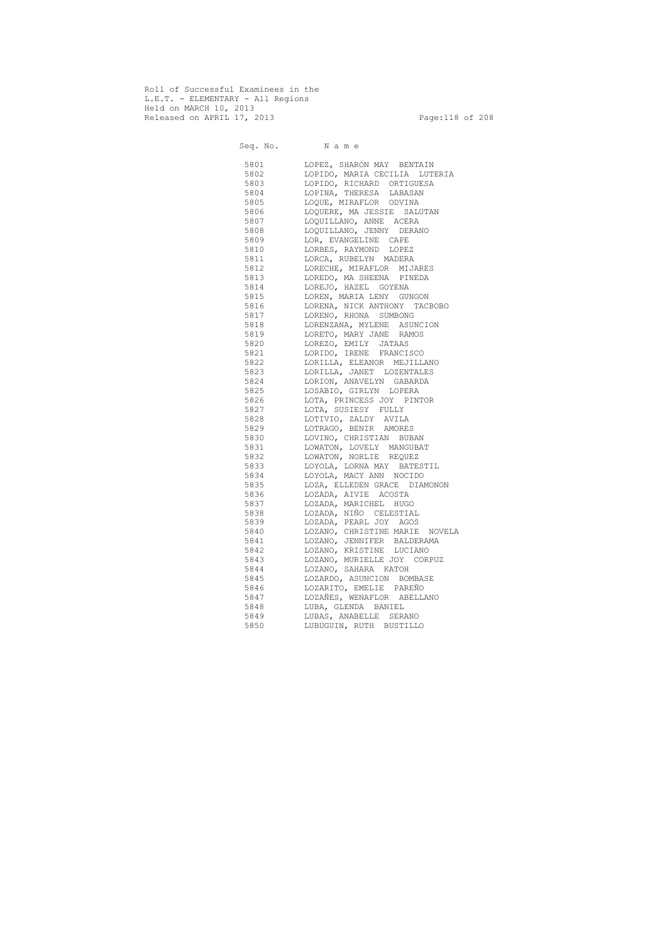Roll of Successful Examinees in the L.E.T. - ELEMENTARY - All Regions Held on MARCH 10, 2013 Released on APRIL 17, 2013 Page:118 of 208

 Seq. No. N a m e 5801 LOPEZ, SHARON MAY BENTAIN 5802 LOPIDO, MARIA CECILIA LUTERIA 5803 LOPIDO, RICHARD ORTIGUESA 5804 LOPINA, THERESA LABASAN 5805 LOQUE, MIRAFLOR ODVINA 5806 LOQUERE, MA JESSIE SALUTAN 5807 LOQUILLANO, ANNE ACERA 5808 LOQUILLANO, JENNY DERANO 5809 LOR, EVANGELINE CAPE 5810 LORBES, RAYMOND LOPEZ 5811 LORCA, RUBELYN MADERA 5812 LORECHE, MIRAFLOR MIJARES 5813 LOREDO, MA SHEENA PINEDA 5814 LOREJO, HAZEL GOYENA 5815 LOREN, MARIA LENY GUNGON 5816 LORENA, NICK ANTHONY TACBOBO 5817 LORENO, RHONA SUMBONG 5818 LORENZANA, MYLENE ASUNCION 5819 LORETO, MARY JANE RAMOS 5820 LOREZO, EMILY JATAAS 5821 LORIDO, IRENE FRANCISCO 5822 LORILLA, ELEANOR MEJILLANO 5823 LORILLA, JANET LOZENTALES 5824 LORION, ANAVELYN GABARDA 5825 LOSABIO, GIRLYN LOPERA 5826 LOTA, PRINCESS JOY PINTOR 5827 LOTA, SUSIESY FULLY 5828 LOTIVIO, ZALDY AVILA 5829 LOTRAGO, BENIR AMORES 5830 LOVINO, CHRISTIAN BUBAN 5831 LOWATON, LOVELY MANGUBAT 5832 LOWATON, NORLIE REQUEZ 5833 LOYOLA, LORNA MAY BATESTIL 5834 LOYOLA, MACY ANN NOCIDO 5835 LOZA, ELLEDEN GRACE DIAMONON 5836 LOZADA, AIVIE ACOSTA 5837 LOZADA, MARICHEL HUGO 5838 LOZADA, NIÑO CELESTIAL 5839 LOZADA, PEARL JOY AGOS 5840 LOZANO, CHRISTINE MARIE NOVELA 5841 LOZANO, JENNIFER BALDERAMA 5842 LOZANO, KRISTINE LUCIANO 5843 LOZANO, MURIELLE JOY CORPUZ 5844 LOZANO, SAHARA KATOH 5845 LOZARDO, ASUNCION BOMBASE 5846 LOZARITO, EMELIE PAREÑO 5847 LOZAÑES, WENAFLOR ABELLANO 5848 LUBA, GLENDA BANIEL 5849 LUBAS, ANABELLE SERANO 5850 LUBUGUIN, RUTH BUSTILLO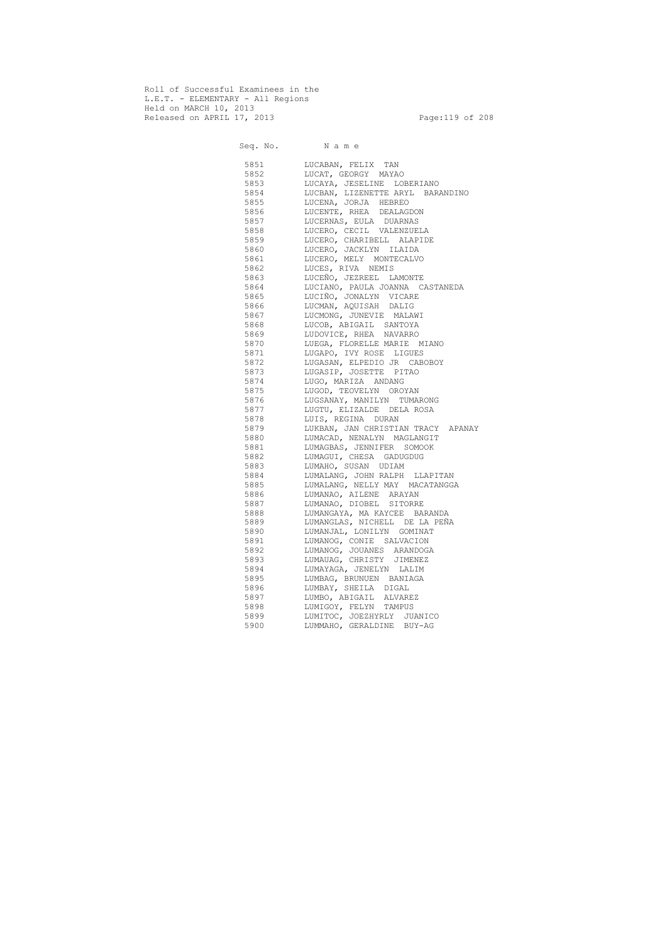Roll of Successful Examinees in the L.E.T. - ELEMENTARY - All Regions Held on MARCH 10, 2013 Released on APRIL 17, 2013 Page:119 of 208

 Seq. No. N a m e 5851 LUCABAN, FELIX TAN 5852 LUCAT, GEORGY MAYAO 5853 LUCAYA, JESELINE LOBERIANO 5854 LUCBAN, LIZENETTE ARYL BARANDINO 5855 LUCENA, JORJA HEBREO 5856 LUCENTE, RHEA DEALAGDON 5857 LUCERNAS, EULA DUARNAS 5858 LUCERO, CECIL VALENZUELA 5859 LUCERO, CHARIBELL ALAPIDE 5860 LUCERO, JACKLYN ILAIDA 5861 LUCERO, MELY MONTECALVO 5862 LUCES, RIVA NEMIS 5863 LUCEÑO, JEZREEL LAMONTE 5864 LUCIANO, PAULA JOANNA CASTANEDA 5865 LUCIÑO, JONALYN VICARE 5866 LUCMAN, AQUISAH DALIG 5867 LUCMONG, JUNEVIE MALAWI 5868 LUCOB, ABIGAIL SANTOYA 5869 LUDOVICE, RHEA NAVARRO 5870 LUEGA, FLORELLE MARIE MIANO 5871 LUGAPO, IVY ROSE LIGUES 5872 LUGASAN, ELPEDIO JR CABOBOY 5873 LUGASIP, JOSETTE PITAO 5874 LUGO, MARIZA ANDANG 5875 LUGOD, TEOVELYN OROYAN 5876 LUGSANAY, MANILYN TUMARONG 5877 LUGTU, ELIZALDE DELA ROSA 5878 LUIS, REGINA DURAN 5879 LUKBAN, JAN CHRISTIAN TRACY APANAY 5880 LUMACAD, NENALYN MAGLANGIT 5881 LUMAGBAS, JENNIFER SOMOOK 5882 LUMAGUI, CHESA GADUGDUG 5883 LUMAHO, SUSAN UDIAM 5884 LUMALANG, JOHN RALPH LLAPITAN 5885 LUMALANG, NELLY MAY MACATANGGA 5886 LUMANAO, AILENE ARAYAN 5887 LUMANAO, DIOBEL SITORRE 5888 LUMANGAYA, MA KAYCEE BARANDA 5889 LUMANGLAS, NICHELL DE LA PEÑA 5890 LUMANJAL, LONILYN GOMINAT 5891 LUMANOG, CONIE SALVACION 5892 LUMANOG, JOUANES ARANDOGA 5893 LUMAUAG, CHRISTY JIMENEZ 5894 LUMAYAGA, JENELYN LALIM 5895 LUMBAG, BRUNUEN BANIAGA 5896 LUMBAY, SHEILA DIGAL 5897 LUMBO, ABIGAIL ALVAREZ 5898 LUMIGOY, FELYN TAMPUS 5899 LUMITOC, JOEZHYRLY JUANICO 5900 LUMMAHO, GERALDINE BUY-AG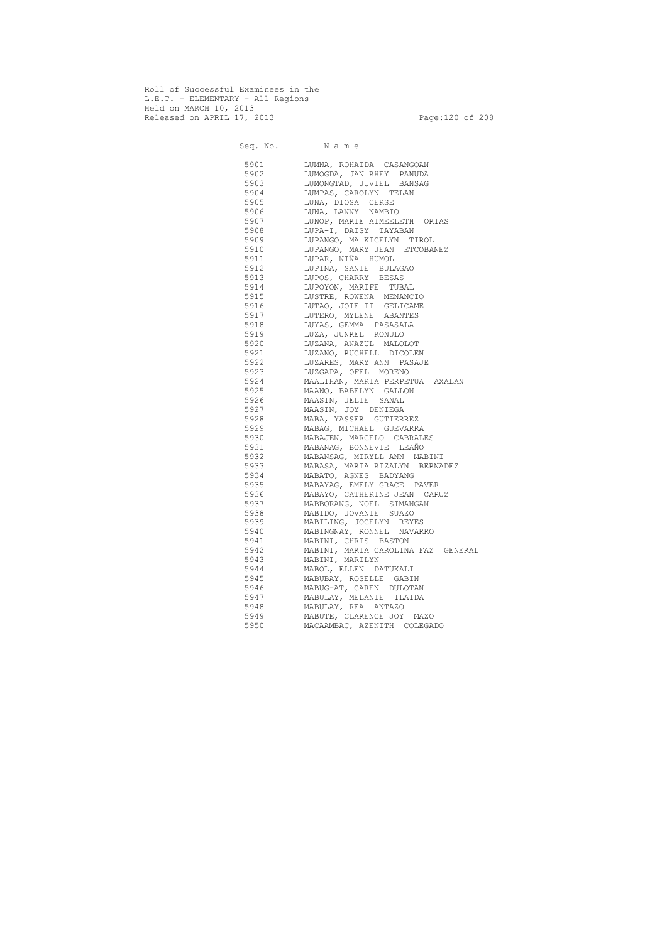Roll of Successful Examinees in the L.E.T. - ELEMENTARY - All Regions Held on MARCH 10, 2013 Released on APRIL 17, 2013 Page:120 of 208

 Seq. No. N a m e 5901 LUMNA, ROHAIDA CASANGOAN 5902 LUMOGDA, JAN RHEY PANUDA 5903 LUMONGTAD, JUVIEL BANSAG 5904 LUMPAS, CAROLYN TELAN 5905 LUNA, DIOSA CERSE 5906 LUNA, LANNY NAMBIO 5907 LUNOP, MARIE AIMEELETH ORIAS 5908 LUPA-I, DAISY TAYABAN 5909 LUPANGO, MA KICELYN TIROL 5910 LUPANGO, MARY JEAN ETCOBANEZ 5911 LUPAR, NIÑA HUMOL 5912 LUPINA, SANIE BULAGAO 5913 LUPOS, CHARRY BESAS 5914 LUPOYON, MARIFE TUBAL 5915 LUSTRE, ROWENA MENANCIO 5916 LUTAO, JOIE II GELICAME 5917 LUTERO, MYLENE ABANTES 5918 LUYAS, GEMMA PASASALA 5919 LUZA, JUNREL RONULO 5920 LUZANA, ANAZUL MALOLOT 5921 LUZANO, RUCHELL DICOLEN 5922 LUZARES, MARY ANN PASAJE 5923 LUZGAPA, OFEL MORENO 5924 MAALIHAN, MARIA PERPETUA AXALAN 5925 MAANO, BABELYN GALLON 5926 MAASIN, JELIE SANAL 5927 MAASIN, JOY DENIEGA 5928 MABA, YASSER GUTIERREZ 5929 MABAG, MICHAEL GUEVARRA 5930 MABAJEN, MARCELO CABRALES 5931 MABANAG, BONNEVIE LEAÑO 5932 MABANSAG, MIRYLL ANN MABINI 5933 MABASA, MARIA RIZALYN BERNADEZ 5934 MABATO, AGNES BADYANG 5935 MABAYAG, EMELY GRACE PAVER 5936 MABAYO, CATHERINE JEAN CARUZ 5937 MABBORANG, NOEL SIMANGAN 5938 MABIDO, JOVANIE SUAZO 5939 MABILING, JOCELYN REYES 5940 MABINGNAY, RONNEL NAVARRO 5941 MABINI, CHRIS BASTON 5942 MABINI, MARIA CAROLINA FAZ GENERAL 5943 MABINI, MARILYN 5944 MABOL, ELLEN DATUKALI 5945 MABUBAY, ROSELLE GABIN 5946 MABUG-AT, CAREN DULOTAN 5947 MABULAY, MELANIE ILAIDA 5948 MABULAY, REA ANTAZO 5949 MABUTE, CLARENCE JOY MAZO<br>5950 MACAAMBAC, AZENITH COLEGA MACAAMBAC, AZENITH COLEGADO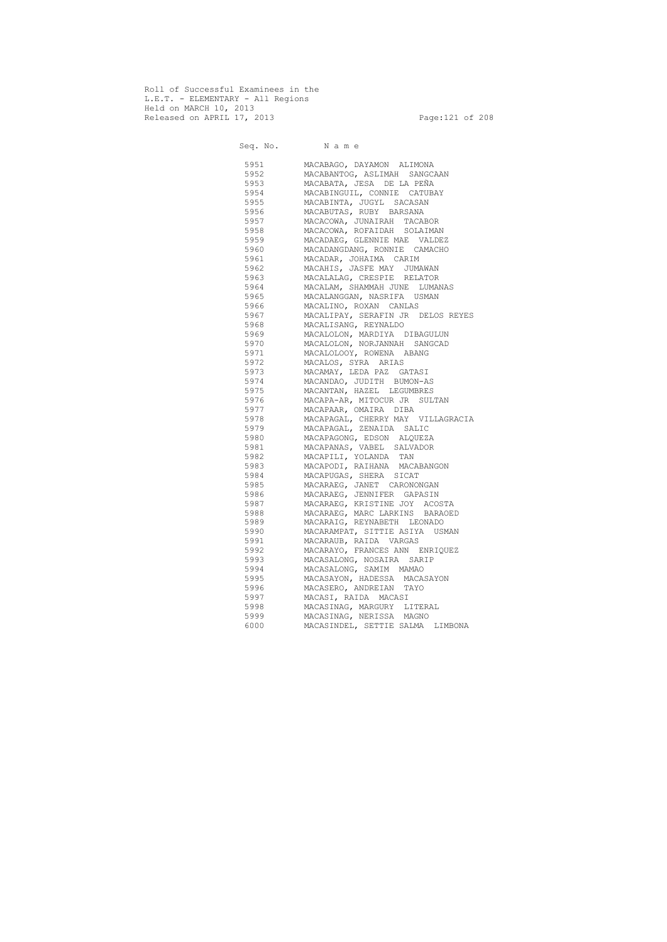Roll of Successful Examinees in the L.E.T. - ELEMENTARY - All Regions Held on MARCH 10, 2013 Released on APRIL 17, 2013 Page:121 of 208

 Seq. No. N a m e 5951 MACABAGO, DAYAMON ALIMONA 5952 MACABANTOG, ASLIMAH SANGCAAN 5953 MACABATA, JESA DE LA PEÑA 5954 MACABINGUIL, CONNIE CATUBAY 5955 MACABINTA, JUGYL SACASAN 5956 MACABUTAS, RUBY BARSANA 5957 MACACOWA, JUNAIRAH TACABOR 5958 MACACOWA, ROFAIDAH SOLAIMAN 5959 MACADAEG, GLENNIE MAE VALDEZ 5960 MACADANGDANG, RONNIE CAMACHO 5961 MACADAR, JOHAIMA CARIM 5962 MACAHIS, JASFE MAY JUMAWAN 5963 MACALALAG, CRESPIE RELATOR 5964 MACALAM, SHAMMAH JUNE LUMANAS 5965 MACALANGGAN, NASRIFA USMAN 5966 MACALINO, ROXAN CANLAS 5967 MACALIPAY, SERAFIN JR DELOS REYES 5968 MACALISANG, REYNALDO 5969 MACALOLON, MARDIYA DIBAGULUN 5970 MACALOLON, NORJANNAH SANGCAD 5971 MACALOLOOY, ROWENA ABANG 5972 MACALOS, SYRA ARIAS 5973 MACAMAY, LEDA PAZ GATASI<br>5974 MACANDAO, JUDITH BUMON-A MACANDAO, JUDITH BUMON-AS 5975 MACANTAN, HAZEL LEGUMBRES 5976 MACAPA-AR, MITOCUR JR SULTAN 5977 MACAPAAR, OMAIRA DIBA 5978 MACAPAGAL, CHERRY MAY VILLAGRACIA 5979 MACAPAGAL, ZENAIDA SALIC 5980 MACAPAGONG, EDSON ALQUEZA 5981 MACAPANAS, VABEL SALVADOR 5982 MACAPILI, YOLANDA TAN 5983 MACAPODI, RAIHANA MACABANGON 5984 MACAPUGAS, SHERA SICAT 5985 MACARAEG, JANET CARONONGAN 5986 MACARAEG, JENNIFER GAPASIN 5987 MACARAEG, KRISTINE JOY ACOSTA 5988 MACARAEG, MARC LARKINS BARAOED 5989 MACARAIG, REYNABETH LEONADO 5990 MACARAMPAT, SITTIE ASIYA USMAN 5991 MACARAUB, RAIDA VARGAS 5992 MACARAYO, FRANCES ANN ENRIQUEZ 5993 MACASALONG, NOSAIRA SARIP 5994 MACASALONG, SAMIM MAMAO 5995 MACASAYON, HADESSA MACASAYON 5996 MACASERO, ANDREIAN TAYO 5997 MACASI, RAIDA MACASI 5998 MACASINAG, MARGURY LITERAL 5999 MACASINAG, NERISSA MAGNO 6000 MACASINDEL, SETTIE SALMA LIMBONA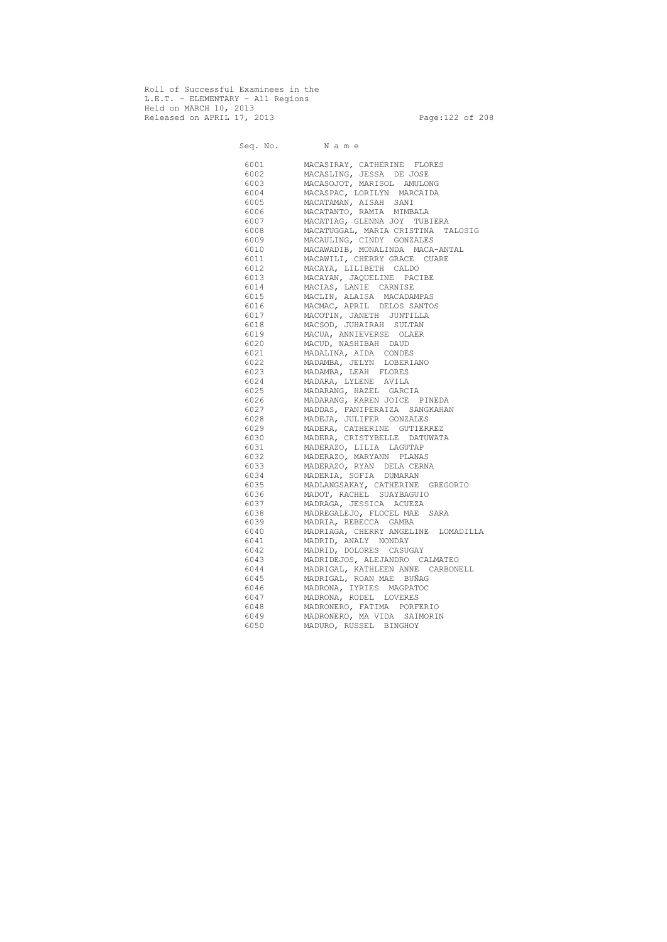Roll of Successful Examinees in the L.E.T. - ELEMENTARY - All Regions Held on MARCH 10, 2013 Released on APRIL 17, 2013 Page:122 of 208

Seq. No. Name 6001 MACASIRAY, CATHERINE FLORES 6002 MACASLING, JESSA DE JOSE 6003 MACASOJOT, MARISOL AMULONG 6004 MACASPAC, LORILYN MARCAIDA 6005 MACATAMAN, AISAH SANI 6006 MACATANTO, RAMIA MIMBALA 6007 MACATIAG, GLENNA JOY TUBIERA 6008 MACATUGGAL, MARIA CRISTINA TALOSIG 6009 MACAULING, CINDY GONZALES 6010 MACAWADIB, MONALINDA MACA-ANTAL 6011 MACAWILI, CHERRY GRACE CUARE 6012 MACAYA, LILIBETH CALDO 6013 MACAYAN, JAQUELINE PACIBE 6014 MACIAS, LANIE CARNISE 6015 MACLIN, ALAISA MACADAMPAS 6016 MACMAC, APRIL DELOS SANTOS 6017 MACOTIN, JANETH JUNTILLA 6018 MACSOD, JUHAIRAH SULTAN 6019 MACUA, ANNIEVERSE OLAER 6020 MACUD, NASHIBAH DAUD 6021 MADALINA, AIDA CONDES 6022 MADAMBA, JELYN LOBERIANO 6023 MADAMBA, LEAH FLORES 6024 MADARA, LYLENE AVILA 6025 MADARANG, HAZEL GARCIA 6026 MADARANG, KAREN JOICE PINEDA 6027 MADDAS, FANIPERAIZA SANGKAHAN 6028 MADEJA, JULIFER GONZALES 6029 MADERA, CATHERINE GUTIERREZ 6030 MADERA, CRISTYBELLE DATUWATA 6031 MADERAZO, LILIA LAGUTAP 6032 MADERAZO, MARYANN PLANAS 6033 MADERAZO, RYAN DELA CERNA 6034 MADERIA, SOFIA DUMARAN 6035 MADLANGSAKAY, CATHERINE GREGORIO 6036 MADOT, RACHEL SUAYBAGUIO 6037 MADRAGA, JESSICA ACUEZA 6038 MADREGALEJO, FLOCEL MAE SARA 6039 MADRIA, REBECCA GAMBA 6040 MADRIAGA, CHERRY ANGELINE LOMADILLA 6041 MADRID, ANALY NONDAY 6042 MADRID, DOLORES CASUGAY 6043 MADRIDEJOS, ALEJANDRO CALMATEO 6044 MADRIGAL, KATHLEEN ANNE CARBONELL 6045 MADRIGAL, ROAN MAE BUÑAG 6046 MADRONA, IYRIES MAGPATOC 6047 MADRONA, RODEL LOVERES 6048 MADRONERO, FATIMA PORFERIO 6049 MADRONERO, MA VIDA SAIMORIN 6050 MADURO, RUSSEL BINGHOY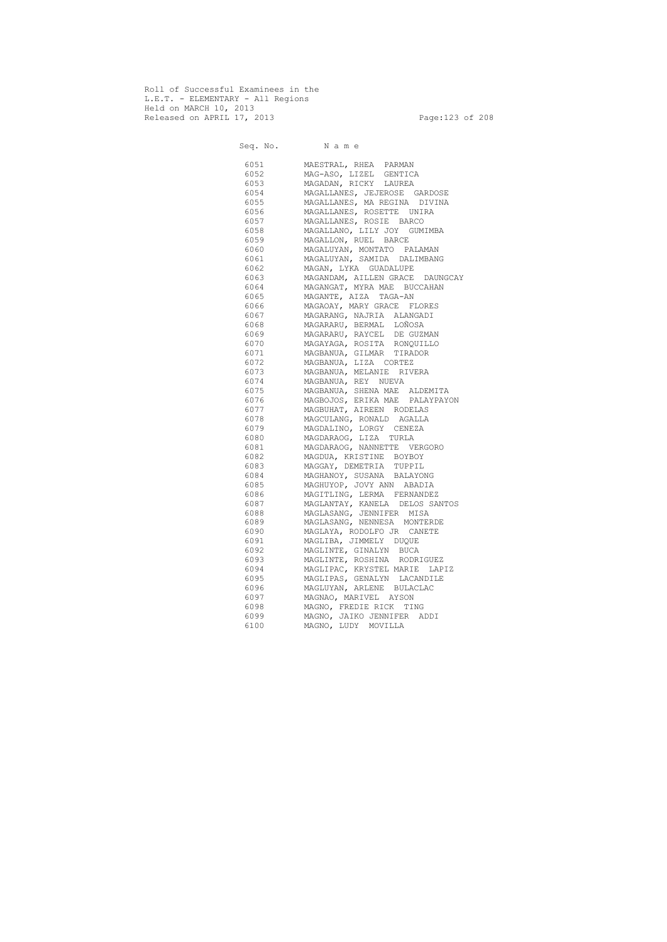Roll of Successful Examinees in the L.E.T. - ELEMENTARY - All Regions Held on MARCH 10, 2013 Released on APRIL 17, 2013 Page:123 of 208

 Seq. No. N a m e 6051 MAESTRAL, RHEA PARMAN 6052 MAG-ASO, LIZEL GENTICA 6053 MAGADAN, RICKY LAUREA 6054 MAGALLANES, JEJEROSE GARDOSE 6055 MAGALLANES, MA REGINA DIVINA 6056 MAGALLANES, ROSETTE UNIRA 6057 MAGALLANES, ROSIE BARCO 6058 MAGALLANO, LILY JOY GUMIMBA 6059 MAGALLON, RUEL BARCE 6060 MAGALUYAN, MONTATO PALAMAN 6061 MAGALUYAN, SAMIDA DALIMBANG 6062 MAGAN, LYKA GUADALUPE 6063 MAGANDAM, AILLEN GRACE DAUNGCAY 6064 MAGANGAT, MYRA MAE BUCCAHAN 6065 MAGANTE, AIZA TAGA-AN 6066 MAGAOAY, MARY GRACE FLORES 6067 MAGARANG, NAJRIA ALANGADI 6068 MAGARARU, BERMAL LOÑOSA 6069 MAGARARU, RAYCEL DE GUZMAN 6070 MAGAYAGA, ROSITA RONQUILLO 6071 MAGBANUA, GILMAR TIRADOR 6072 MAGBANUA, LIZA CORTEZ 6073 MAGBANUA, MELANIE RIVERA 6074 MAGBANUA, REY NUEVA 6075 MAGBANUA, SHENA MAE ALDEMITA 6076 MAGBOJOS, ERIKA MAE PALAYPAYON 6077 MAGBUHAT, AIREEN RODELAS 6078 MAGCULANG, RONALD AGALLA 6079 MAGDALINO, LORGY CENEZA 6080 MAGDARAOG, LIZA TURLA 6081 MAGDARAOG, NANNETTE VERGORO 6082 MAGDUA, KRISTINE BOYBOY 6083 MAGGAY, DEMETRIA TUPPIL 6084 MAGHANOY, SUSANA BALAYONG 6085 MAGHUYOP, JOVY ANN ABADIA 6086 MAGITLING, LERMA FERNANDEZ 6087 MAGLANTAY, KANELA DELOS SANTOS 6088 MAGLASANG, JENNIFER MISA 6089 MAGLASANG, NENNESA MONTERDE 6090 MAGLAYA, RODOLFO JR CANETE 6091 MAGLIBA, JIMMELY DUQUE 6092 MAGLINTE, GINALYN BUCA 6093 MAGLINTE, ROSHINA RODRIGUEZ 6094 MAGLIPAC, KRYSTEL MARIE LAPIZ 6095 MAGLIPAS, GENALYN LACANDILE 6096 MAGLUYAN, ARLENE BULACLAC 6097 MAGNAO, MARIVEL AYSON 6098 MAGNO, FREDIE RICK TING 6099 MAGNO, JAIKO JENNIFER ADDI 6100 MAGNO, LUDY MOVILLA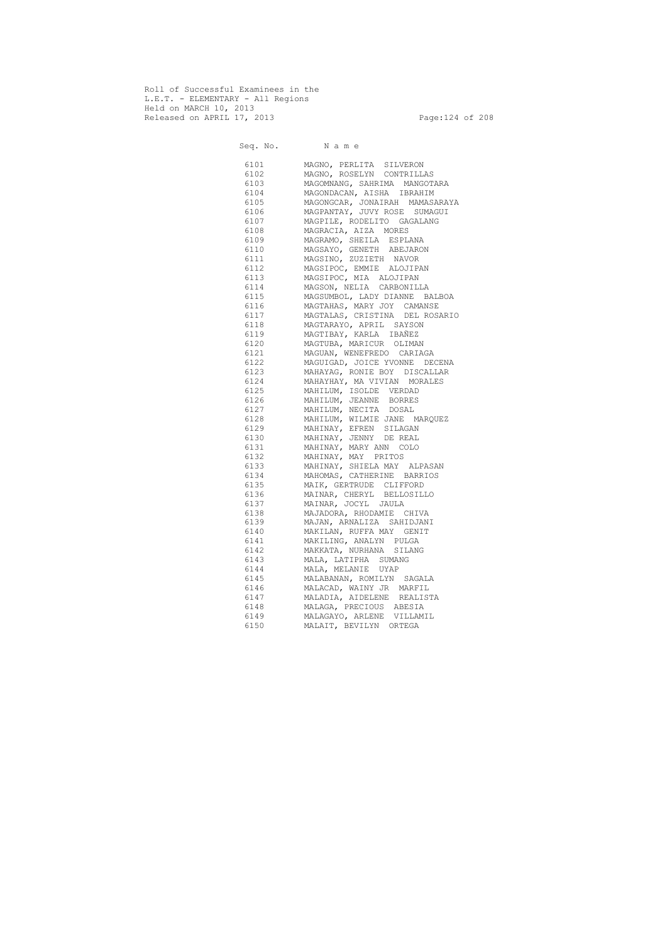Roll of Successful Examinees in the L.E.T. - ELEMENTARY - All Regions Held on MARCH 10, 2013 Released on APRIL 17, 2013 Page:124 of 208

Seq. No. Name 6101 MAGNO, PERLITA SILVERON 6102 MAGNO, ROSELYN CONTRILLAS 6103 MAGOMNANG, SAHRIMA MANGOTARA 6104 MAGONDACAN, AISHA IBRAHIM 6105 MAGONGCAR, JONAIRAH MAMASARAYA 6106 MAGPANTAY, JUVY ROSE SUMAGUI 6107 MAGPILE, RODELITO GAGALANG 6108 MAGRACIA, AIZA MORES 6109 MAGRAMO, SHEILA ESPLANA 6110 MAGSAYO, GENETH ABEJARON 6111 MAGSINO, ZUZIETH NAVOR 6112 MAGSIPOC, EMMIE ALOJIPAN 6113 MAGSIPOC, MIA ALOJIPAN 6114 MAGSON, NELIA CARBONILLA 6115 MAGSUMBOL, LADY DIANNE BALBOA 6116 MAGTAHAS, MARY JOY CAMANSE 6117 MAGTALAS, CRISTINA DEL ROSARIO 6118 MAGTARAYO, APRIL SAYSON 6119 MAGTIBAY, KARLA IBAÑEZ 6120 MAGTUBA, MARICUR OLIMAN 6121 MAGUAN, WENEFREDO CARIAGA 6122 MAGUIGAD, JOICE YVONNE DECENA 6123 MAHAYAG, RONIE BOY DISCALLAR<br>6124 MAHAYHAY, MA VIVIAN MORALES MAHAYHAY, MA VIVIAN MORALES 6125 MAHILUM, ISOLDE VERDAD 6126 MAHILUM, JEANNE BORRES 6127 MAHILUM, NECITA DOSAL 6128 MAHILUM, WILMIE JANE MARQUEZ 6129 MAHINAY, EFREN SILAGAN 6130 MAHINAY, JENNY DE REAL 6131 MAHINAY, MARY ANN COLO 6132 MAHINAY, MAY PRITOS 6133 MAHINAY, SHIELA MAY ALPASAN 6134 MAHOMAS, CATHERINE BARRIOS 6135 MAIK, GERTRUDE CLIFFORD 6136 MAINAR, CHERYL BELLOSILLO 6137 MAINAR, JOCYL JAULA 6138 MAJADORA, RHODAMIE CHIVA 6139 MAJAN, ARNALIZA SAHIDJANI 6140 MAKILAN, RUFFA MAY GENIT 6141 MAKILING, ANALYN PULGA 6142 MAKKATA, NURHANA SILANG 6143 MALA, LATIPHA SUMANG 6144 MALA, MELANIE UYAP 6145 MALABANAN, ROMILYN SAGALA 6146 MALACAD, WAINY JR MARFIL 6147 MALADIA, AIDELENE REALISTA 6148 MALAGA, PRECIOUS ABESIA 6149 MALAGAYO, ARLENE VILLAMIL 6150 MALAIT, BEVILYN ORTEGA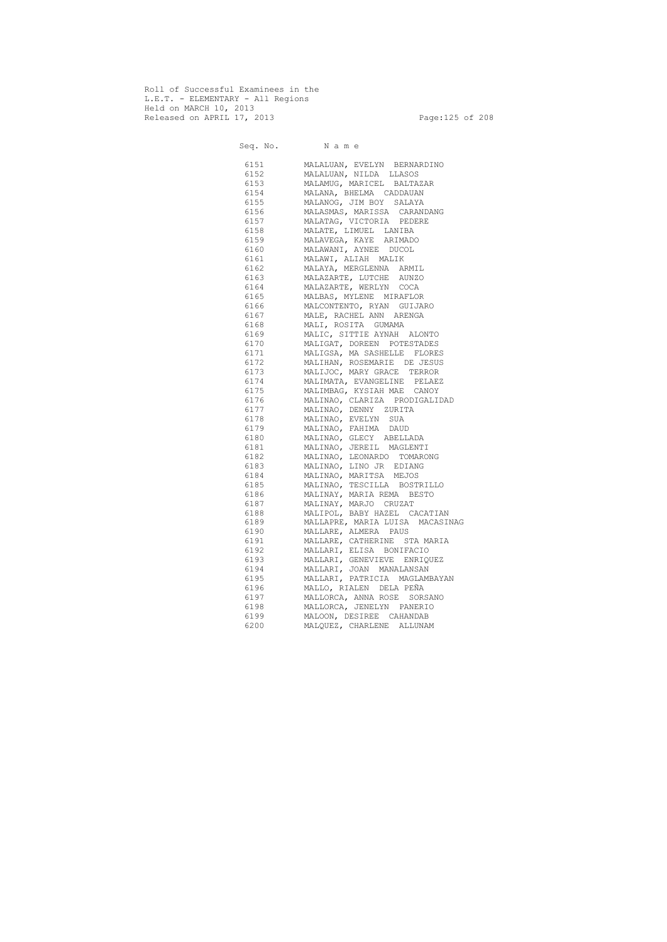Roll of Successful Examinees in the L.E.T. - ELEMENTARY - All Regions Held on MARCH 10, 2013 Released on APRIL 17, 2013 Page:125 of 208

Seq. No. Name 6151 MALALUAN, EVELYN BERNARDINO 6152 MALALUAN, NILDA LLASOS 6153 MALAMUG, MARICEL BALTAZAR 6154 MALANA, BHELMA CADDAUAN 6155 MALANOG, JIM BOY SALAYA 6156 MALASMAS, MARISSA CARANDANG 6157 MALATAG, VICTORIA PEDERE 6158 MALATE, LIMUEL LANIBA 6159 MALAVEGA, KAYE ARIMADO 6160 MALAWANI, AYNEE DUCOL 6161 MALAWI, ALIAH MALIK 6162 MALAYA, MERGLENNA ARMIL 6163 MALAZARTE, LUTCHE AUNZO 6164 MALAZARTE, WERLYN COCA 6165 MALBAS, MYLENE MIRAFLOR 6166 MALCONTENTO, RYAN GUIJARO 6167 MALE, RACHEL ANN ARENGA 6168 MALI, ROSITA GUMAMA 6169 MALIC, SITTIE AYNAH ALONTO 6170 MALIGAT, DOREEN POTESTADES 6171 MALIGSA, MA SASHELLE FLORES 6172 MALIHAN, ROSEMARIE DE JESUS 6173 MALIJOC, MARY GRACE TERROR 6174 MALIMATA, EVANGELINE PELAEZ 6175 MALIMBAG, KYSIAH MAE CANOY 6176 MALINAO, CLARIZA PRODIGALIDAD 6177 MALINAO, DENNY ZURITA 6178 MALINAO, EVELYN SUA 6179 MALINAO, FAHIMA DAUD 6180 MALINAO, GLECY ABELLADA 6181 MALINAO, JEREIL MAGLENTI 6182 MALINAO, LEONARDO TOMARONG 6183 MALINAO, LINO JR EDIANG 6184 MALINAO, MARITSA MEJOS 6185 MALINAO, TESCILLA BOSTRILLO 6186 MALINAY, MARIA REMA BESTO 6187 MALINAY, MARJO CRUZAT 6188 MALIPOL, BABY HAZEL CACATIAN 6189 MALLAPRE, MARIA LUISA MACASINAG 6190 MALLARE, ALMERA PAUS 6191 MALLARE, CATHERINE STA MARIA 6192 MALLARI, ELISA BONIFACIO 6193 MALLARI, GENEVIEVE ENRIQUEZ 6194 MALLARI, JOAN MANALANSAN 6195 MALLARI, PATRICIA MAGLAMBAYAN 6196 MALLO, RIALEN DELA PEÑA 6197 MALLORCA, ANNA ROSE SORSANO 6198 MALLORCA, JENELYN PANERIO 6199 MALOON, DESIREE CAHANDAB 6200 MALQUEZ, CHARLENE ALLUNAM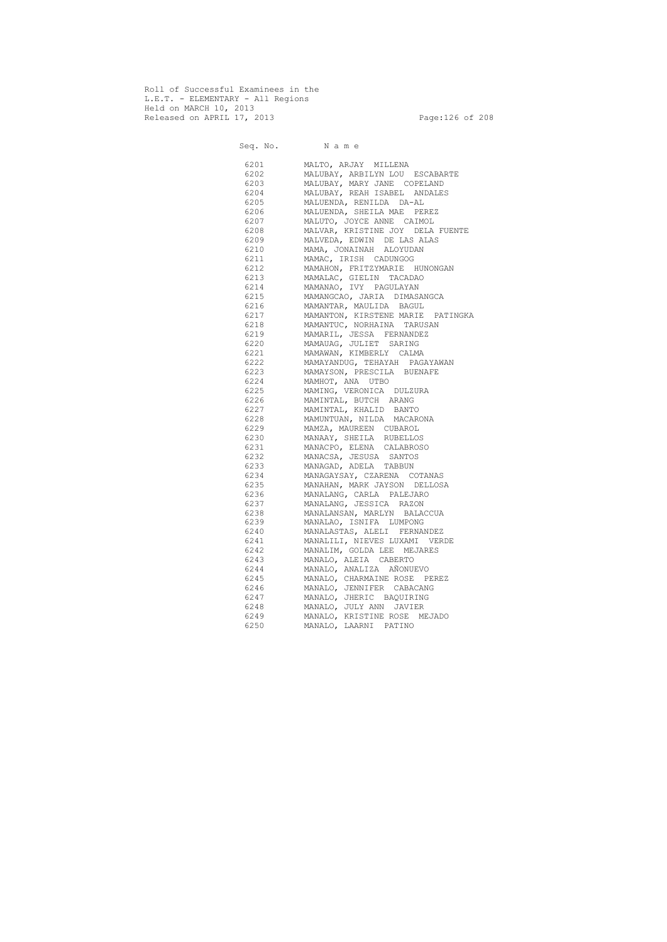Roll of Successful Examinees in the L.E.T. - ELEMENTARY - All Regions Held on MARCH 10, 2013 Released on APRIL 17, 2013 Page:126 of 208

Seq. No. Name 6201 MALTO, ARJAY MILLENA 6202 MALUBAY, ARBILYN LOU ESCABARTE 6203 MALUBAY, MARY JANE COPELAND 6204 MALUBAY, REAH ISABEL ANDALES 6205 MALUENDA, RENILDA DA-AL 6206 MALUENDA, SHEILA MAE PEREZ 6207 MALUTO, JOYCE ANNE CAIMOL 6208 MALVAR, KRISTINE JOY DELA FUENTE 6209 MALVEDA, EDWIN DE LAS ALAS 6210 MAMA, JONAINAH ALOYUDAN 6211 MAMAC, IRISH CADUNGOG 6212 MAMAHON, FRITZYMARIE HUNONGAN 6213 MAMALAC, GIELIN TACADAO 6214 MAMANAO, IVY PAGULAYAN 6215 MAMANGCAO, JARIA DIMASANGCA 6216 MAMANTAR, MAULIDA BAGUL 6217 MAMANTON, KIRSTENE MARIE PATINGKA 6218 MAMANTUC, NORHAINA TARUSAN 6219 MAMARIL, JESSA FERNANDEZ 6220 MAMAUAG, JULIET SARING 6221 MAMAWAN, KIMBERLY CALMA 6222 MAMAYANDUG, TEHAYAH PAGAYAWAN 6223 MAMAYSON, PRESCILA BUENAFE 6224 MAMHOT, ANA UTBO 6225 MAMING, VERONICA DULZURA 6226 MAMINTAL, BUTCH ARANG 6227 MAMINTAL, KHALID BANTO 6228 MAMUNTUAN, NILDA MACARONA 6229 MAMZA, MAUREEN CUBAROL 6230 MANAAY, SHEILA RUBELLOS 6231 MANACPO, ELENA CALABROSO 6232 MANACSA, JESUSA SANTOS 6233 MANAGAD, ADELA TABBUN 6234 MANAGAYSAY, CZARENA COTANAS 6235 MANAHAN, MARK JAYSON DELLOSA 6236 MANALANG, CARLA PALEJARO 6237 MANALANG, JESSICA RAZON 6238 MANALANSAN, MARLYN BALACCUA 6239 MANALAO, ISNIFA LUMPONG 6240 MANALASTAS, ALELI FERNANDEZ 6241 MANALILI, NIEVES LUXAMI VERDE 6242 MANALIM, GOLDA LEE MEJARES 6243 MANALO, ALEIA CABERTO 6244 MANALO, ANALIZA AÑONUEVO 6245 MANALO, CHARMAINE ROSE PEREZ 6246 MANALO, JENNIFER CABACANG 6247 MANALO, JHERIC BAQUIRING 6248 MANALO, JULY ANN JAVIER 6249 MANALO, KRISTINE ROSE MEJADO 6250 MANALO, LAARNI PATINO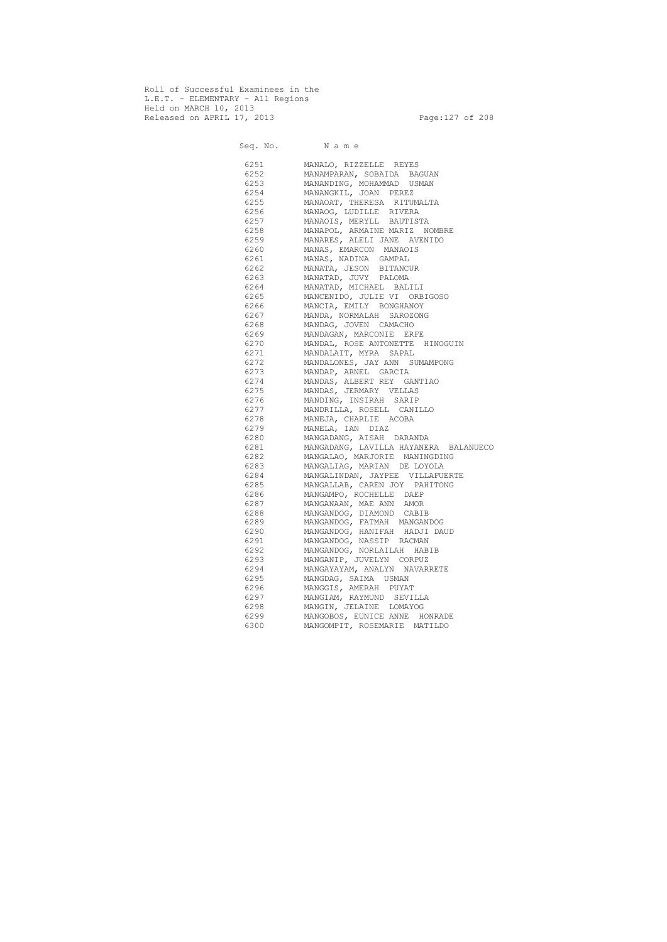Roll of Successful Examinees in the L.E.T. - ELEMENTARY - All Regions Held on MARCH 10, 2013 Released on APRIL 17, 2013 Page:127 of 208

 Seq. No. N a m e 6251 MANALO, RIZZELLE REYES 6252 MANAMPARAN, SOBAIDA BAGUAN 6253 MANANDING, MOHAMMAD USMAN 6254 MANANGKIL, JOAN PEREZ 6255 MANAOAT, THERESA RITUMALTA 6256 MANAOG, LUDILLE RIVERA 6257 MANAOIS, MERYLL BAUTISTA 6258 MANAPOL, ARMAINE MARIZ NOMBRE 6259 MANARES, ALELI JANE AVENIDO 6260 MANAS, EMARCON MANAOIS 6261 MANAS, NADINA GAMPAL 6262 MANATA, JESON BITANCUR 6263 MANATAD, JUVY PALOMA 6264 MANATAD, MICHAEL BALILI 6265 MANCENIDO, JULIE VI ORBIGOSO 6266 MANCIA, EMILY BONGHANOY 6267 MANDA, NORMALAH SAROZONG 6268 MANDAG, JOVEN CAMACHO 6269 MANDAGAN, MARCONIE ERFE 6270 MANDAL, ROSE ANTONETTE HINOGUIN 6271 MANDALAIT, MYRA SAPAL 6272 MANDALONES, JAY ANN SUMAMPONG 6273 MANDAP, ARNEL GARCIA 6274 MANDAS, ALBERT REY GANTIAO 6275 MANDAS, JERMARY VELLAS 6276 MANDING, INSIRAH SARIP 6277 MANDRILLA, ROSELL CANILLO 6278 MANEJA, CHARLIE ACOBA 6279 MANELA, IAN DIAZ 6280 MANGADANG, AISAH DARANDA 6281 MANGADANG, LAVILLA HAYANERA BALANUECO 6282 MANGALAO, MARJORIE MANINGDING 6283 MANGALIAG, MARIAN DE LOYOLA 6284 MANGALINDAN, JAYPEE VILLAFUERTE 6285 MANGALLAB, CAREN JOY PAHITONG 6286 MANGAMPO, ROCHELLE DAEP 6287 MANGANAAN, MAE ANN AMOR 6288 MANGANDOG, DIAMOND CABIB 6289 MANGANDOG, FATMAH MANGANDOG 6290 MANGANDOG, HANIFAH HADJI DAUD 6291 MANGANDOG, NASSIP RACMAN 6292 MANGANDOG, NORLAILAH HABIB 6293 MANGANIP, JUVELYN CORPUZ 6294 MANGAYAYAM, ANALYN NAVARRETE 6295 MANGDAG, SAIMA USMAN 6296 MANGGIS, AMERAH PUYAT 6297 MANGIAM, RAYMUND SEVILLA 6298 MANGIN, JELAINE LOMAYOG 6299 MANGOBOS, EUNICE ANNE HONRADE 6300 MANGOMPIT, ROSEMARIE MATILDO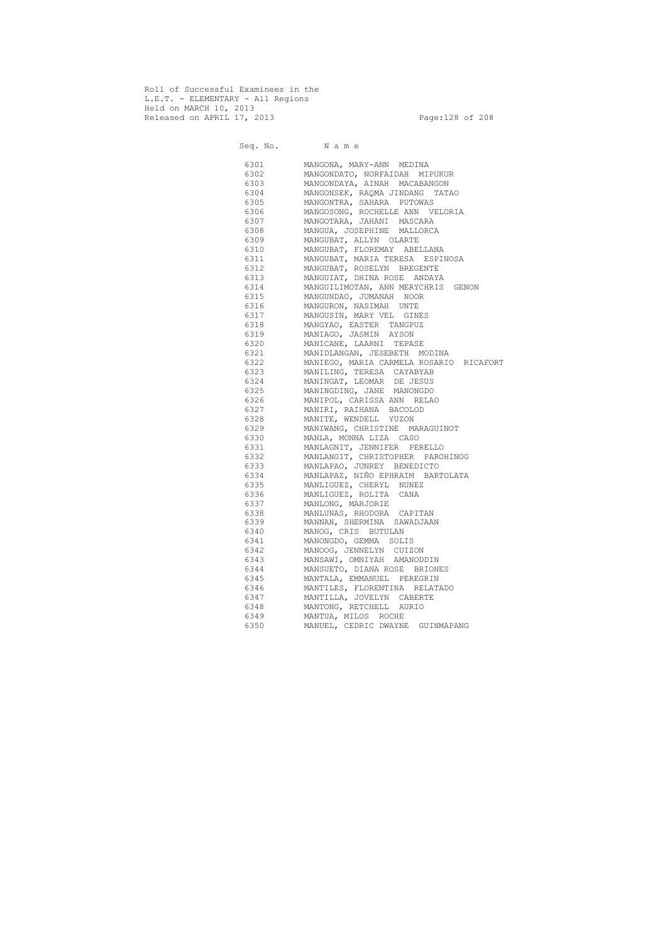Roll of Successful Examinees in the L.E.T. - ELEMENTARY - All Regions Held on MARCH 10, 2013 Released on APRIL 17, 2013 Page:128 of 208

Seq. No. Name 6301 MANGONA, MARY-ANN MEDINA 6302 MANGONDATO, NORFAIDAH MIPUKUR 6303 MANGONDAYA, AINAH MACABANGON 6304 MANGONSEK, RAQMA JINDANG TATAO 6305 MANGONTRA, SAHARA PUTOWAS 6306 MANGOSONG, ROCHELLE ANN VELORIA 6307 MANGOTARA, JAHANI MASCARA 6308 MANGUA, JOSEPHINE MALLORCA 6309 MANGUBAT, ALLYN OLARTE 6310 MANGUBAT, FLOREMAY ABELLANA 6311 MANGUBAT, MARIA TERESA ESPINOSA 6312 MANGUBAT, ROSELYN BREGENTE 6313 MANGUIAT, DHINA ROSE ANDAYA 6314 MANGUILIMOTAN, ANN MERYCHRIS GENON 6315 MANGUNDAO, JUMANAH NOOR 6316 MANGURON, NASIMAH UNTE 6317 MANGUSIN, MARY VEL GINES 6318 MANGYAO, EASTER TANGPUZ 6319 MANIAGO, JASMIN AYSON 6320 MANICANE, LAARNI TEPASE 6321 MANIDLANGAN, JESEBETH MODINA 6322 MANIEGO, MARIA CARMELA ROSARIO RICAFORT 6323 MANILING, TERESA CAYABYAB 6324 MANINGAT, LEOMAR DE JESUS 6325 MANINGDING, JANE MANONGDO 6326 MANIPOL, CARISSA ANN RELAO 6327 MANIRI, RAIHANA BACOLOD 6328 MANITE, WENDELL YUZON 6329 MANIWANG, CHRISTINE MARAGUINOT 6330 MANLA, MONNA LIZA CASO 6331 MANLAGNIT, JENNIFER PERELLO 6332 MANLANGIT, CHRISTOPHER PAROHINOG 6333 MANLAPAO, JUNREY BENEDICTO 6334 MANLAPAZ, NIÑO EPHRAIM BARTOLATA 6335 MANLIGUEZ, CHERYL NUNEZ 6336 MANLIGUEZ, ROLITA CANA 6337 MANLONG, MARJORIE 6338 MANLUNAS, RHODORA CAPITAN 6339 MANNAN, SHERMINA SAWADJAAN 6340 MANOG, CRIS BUTULAN 6341 MANONGDO, GEMMA SOLIS 6342 MANOOG, JENNELYN CUIZON 6343 MANSAWI, OMNIYAH AMANODDIN 6344 MANSUETO, DIANA ROSE BRIONES 6345 MANTALA, EMMANUEL PEREGRIN 6346 MANTILES, FLORENTINA RELATADO 6347 MANTILLA, JOVELYN CABERTE 6348 MANTONG, RETCHELL AURIO 6349 MANTUA, MILOS ROCHE 6350 MANUEL, CEDRIC DWAYNE GUINMAPANG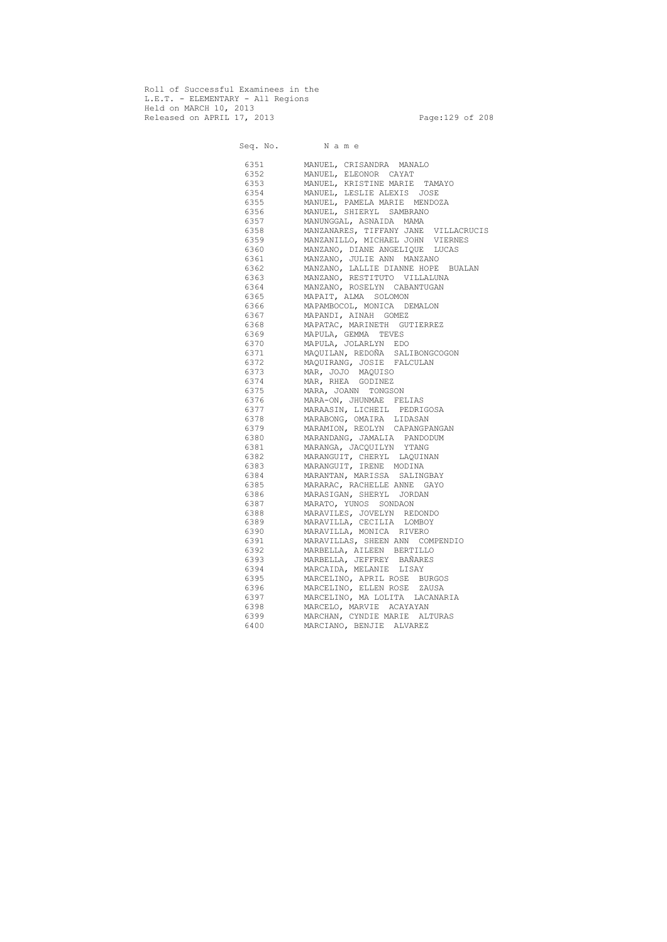Roll of Successful Examinees in the L.E.T. - ELEMENTARY - All Regions Held on MARCH 10, 2013 Released on APRIL 17, 2013 Page:129 of 208

Seq. No. Name 6351 MANUEL, CRISANDRA MANALO 6352 MANUEL, ELEONOR CAYAT 6353 MANUEL, KRISTINE MARIE TAMAYO 6354 MANUEL, LESLIE ALEXIS JOSE 6355 MANUEL, PAMELA MARIE MENDOZA 6356 MANUEL, SHIERYL SAMBRANO 6357 MANUNGGAL, ASNAIDA MAMA 6358 MANZANARES, TIFFANY JANE VILLACRUCIS 6359 MANZANILLO, MICHAEL JOHN VIERNES 6360 MANZANO, DIANE ANGELIQUE LUCAS 6361 MANZANO, JULIE ANN MANZANO 6362 MANZANO, LALLIE DIANNE HOPE BUALAN 6363 MANZANO, RESTITUTO VILLALUNA 6364 MANZANO, ROSELYN CABANTUGAN 6365 MAPAIT, ALMA SOLOMON 6366 MAPAMBOCOL, MONICA DEMALON 6367 MAPANDI, AINAH GOMEZ 6368 MAPATAC, MARINETH GUTIERREZ 6369 MAPULA, GEMMA TEVES 6370 MAPULA, JOLARLYN EDO 6371 MAQUILAN, REDOÑA SALIBONGCOGON 6372 MAQUIRANG, JOSIE FALCULAN 6373 MAR, JOJO MAQUISO 6374 MAR, RHEA GODINEZ 6375 MARA, JOANN TONGSON 6376 MARA-ON, JHUNMAE FELIAS 6377 MARAASIN, LICHEIL PEDRIGOSA 6378 MARABONG, OMAIRA LIDASAN 6379 MARAMION, REOLYN CAPANGPANGAN 6380 MARANDANG, JAMALIA PANDODUM 6381 MARANGA, JACQUILYN YTANG 6382 MARANGUIT, CHERYL LAQUINAN 6383 MARANGUIT, IRENE MODINA 6384 MARANTAN, MARISSA SALINGBAY 6385 MARARAC, RACHELLE ANNE GAYO 6386 MARASIGAN, SHERYL JORDAN 6387 MARATO, YUNOS SONDAON 6388 MARAVILES, JOVELYN REDONDO 6389 MARAVILLA, CECILIA LOMBOY 6390 MARAVILLA, MONICA RIVERO 6391 MARAVILLAS, SHEEN ANN COMPENDIO 6392 MARBELLA, AILEEN BERTILLO 6393 MARBELLA, JEFFREY BAÑARES 6394 MARCAIDA, MELANIE LISAY 6395 MARCELINO, APRIL ROSE BURGOS 6396 MARCELINO, ELLEN ROSE ZAUSA 6397 MARCELINO, MA LOLITA LACANARIA 6398 MARCELO, MARVIE ACAYAYAN 6399 MARCHAN, CYNDIE MARIE ALTURAS 6400 MARCIANO, BENJIE ALVAREZ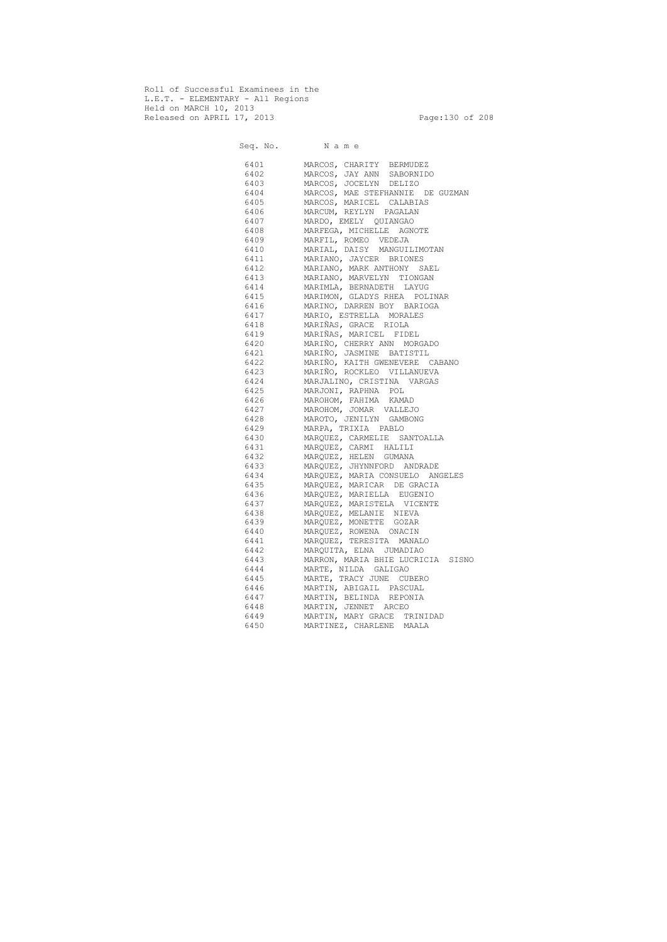Roll of Successful Examinees in the L.E.T. - ELEMENTARY - All Regions Held on MARCH 10, 2013 Released on APRIL 17, 2013 Page:130 of 208

 Seq. No. N a m e 6401 MARCOS, CHARITY BERMUDEZ 6402 MARCOS, JAY ANN SABORNIDO 6403 MARCOS, JOCELYN DELIZO 6404 MARCOS, MAE STEFHANNIE DE GUZMAN 6405 MARCOS, MARICEL CALABIAS 6406 MARCUM, REYLYN PAGALAN 6407 MARDO, EMELY QUIANGAO 6408 MARFEGA, MICHELLE AGNOTE 6409 MARFIL, ROMEO VEDEJA 6410 MARIAL, DAISY MANGUILIMOTAN 6411 MARIANO, JAYCER BRIONES 6412 MARIANO, MARK ANTHONY SAEL 6413 MARIANO, MARVELYN TIONGAN 6414 MARIMLA, BERNADETH LAYUG 6415 MARIMON, GLADYS RHEA POLINAR 6416 MARINO, DARREN BOY BARIOGA 6417 MARIO, ESTRELLA MORALES 6418 MARIÑAS, GRACE RIOLA 6419 MARIÑAS, MARICEL FIDEL 6420 MARIÑO, CHERRY ANN MORGADO 6421 MARIÑO, JASMINE BATISTIL 6422 MARIÑO, KAITH GWENEVERE CABANO 6423 MARIÑO, ROCKLEO VILLANUEVA 6424 MARJALINO, CRISTINA VARGAS 6425 MARJONI, RAPHNA POL 6426 MAROHOM, FAHIMA KAMAD 6427 MAROHOM, JOMAR VALLEJO 6428 MAROTO, JENILYN GAMBONG 6429 MARPA, TRIXIA PABLO 6430 MARQUEZ, CARMELIE SANTOALLA 6431 MARQUEZ, CARMI HALILI 6432 MARQUEZ, HELEN GUMANA 6433 MARQUEZ, JHYNNFORD ANDRADE 6434 MARQUEZ, MARIA CONSUELO ANGELES 6435 MARQUEZ, MARICAR DE GRACIA 6436 MARQUEZ, MARIELLA EUGENIO 6437 MARQUEZ, MARISTELA VICENTE 6438 MARQUEZ, MELANIE NIEVA 6439 MARQUEZ, MONETTE GOZAR 6440 MARQUEZ, ROWENA ONACIN 6441 MARQUEZ, TERESITA MANALO 6442 MARQUITA, ELNA JUMADIAO 6443 MARRON, MARIA BHIE LUCRICIA SISNO 6444 MARTE, NILDA GALIGAO 6445 MARTE, TRACY JUNE CUBERO 6446 MARTIN, ABIGAIL PASCUAL 6447 MARTIN, BELINDA REPONIA 6448 MARTIN, JENNET ARCEO 6449 MARTIN, MARY GRACE TRINIDAD 6450 MARTINEZ, CHARLENE MAALA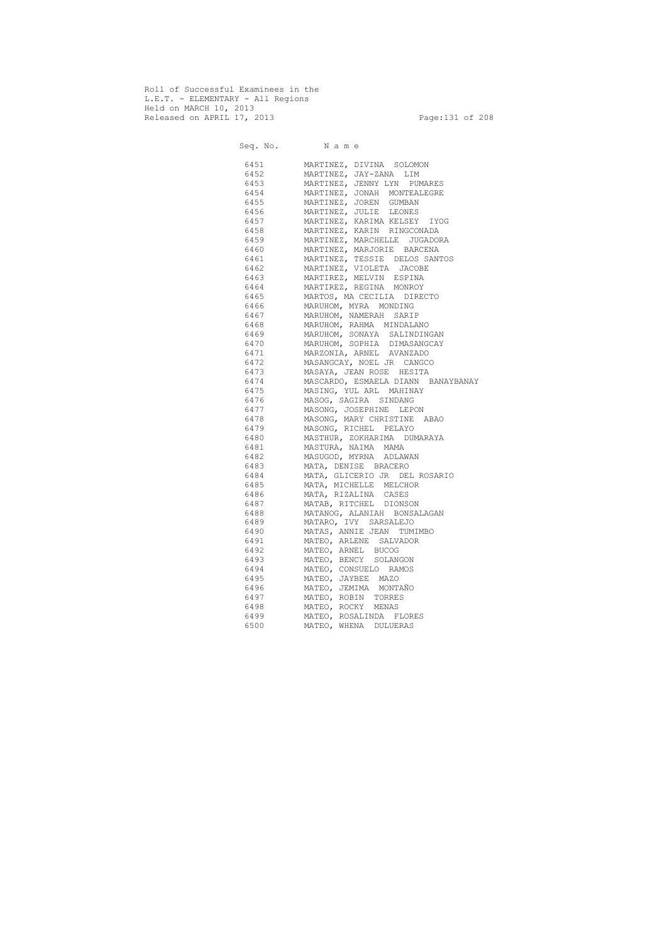Roll of Successful Examinees in the L.E.T. - ELEMENTARY - All Regions Held on MARCH 10, 2013 Released on APRIL 17, 2013 Page:131 of 208

 Seq. No. N a m e 6451 MARTINEZ, DIVINA SOLOMON 6452 MARTINEZ, JAY-ZANA LIM 6453 MARTINEZ, JENNY LYN PUMARES 6454 MARTINEZ, JONAH MONTEALEGRE 6455 MARTINEZ, JOREN GUMBAN 6456 MARTINEZ, JULIE LEONES 6457 MARTINEZ, KARIMA KELSEY IYOG 6458 MARTINEZ, KARIN RINGCONADA 6459 MARTINEZ, MARCHELLE JUGADORA 6460 MARTINEZ, MARJORIE BARCENA 6461 MARTINEZ, TESSIE DELOS SANTOS 6462 MARTINEZ, VIOLETA JACOBE 6463 MARTIREZ, MELVIN ESPINA 6464 MARTIREZ, REGINA MONROY 6465 MARTOS, MA CECILIA DIRECTO 6466 MARUHOM, MYRA MONDING 6467 MARUHOM, NAMERAH SARIP 6468 MARUHOM, RAHMA MINDALANO 6469 MARUHOM, SONAYA SALINDINGAN 6470 MARUHOM, SOPHIA DIMASANGCAY 6471 MARZONIA, ARNEL AVANZADO 6472 MASANGCAY, NOEL JR CANGCO 6473 MASAYA, JEAN ROSE HESITA 6474 MASCARDO, ESMAELA DIANN BANAYBANAY 6475 MASING, YUL ARL MAHINAY 6476 MASOG, SAGIRA SINDANG 6477 MASONG, JOSEPHINE LEPON 6478 MASONG, MARY CHRISTINE ABAO 6479 MASONG, RICHEL PELAYO 6480 MASTHUR, ZOKHARIMA DUMARAYA 6481 MASTURA, NAIMA MAMA 6482 MASUGOD, MYRNA ADLAWAN 6483 MATA, DENISE BRACERO 6484 MATA, GLICERIO JR DEL ROSARIO 6485 MATA, MICHELLE MELCHOR 6486 MATA, RIZALINA CASES 6487 MATAB, RITCHEL DIONSON 6488 MATANOG, ALANIAH BONSALAGAN 6489 MATARO, IVY SARSALEJO 6490 MATAS, ANNIE JEAN TUMIMBO 6491 MATEO, ARLENE SALVADOR 6492 MATEO, ARNEL BUCOG 6493 MATEO, BENCY SOLANGON 6494 MATEO, CONSUELO RAMOS 6495 MATEO, JAYBEE MAZO 6496 MATEO, JEMIMA MONTAÑO 6497 MATEO, ROBIN TORRES 6498 MATEO, ROCKY MENAS 6499 MATEO, ROSALINDA FLORES 6500 MATEO, WHENA DULUERAS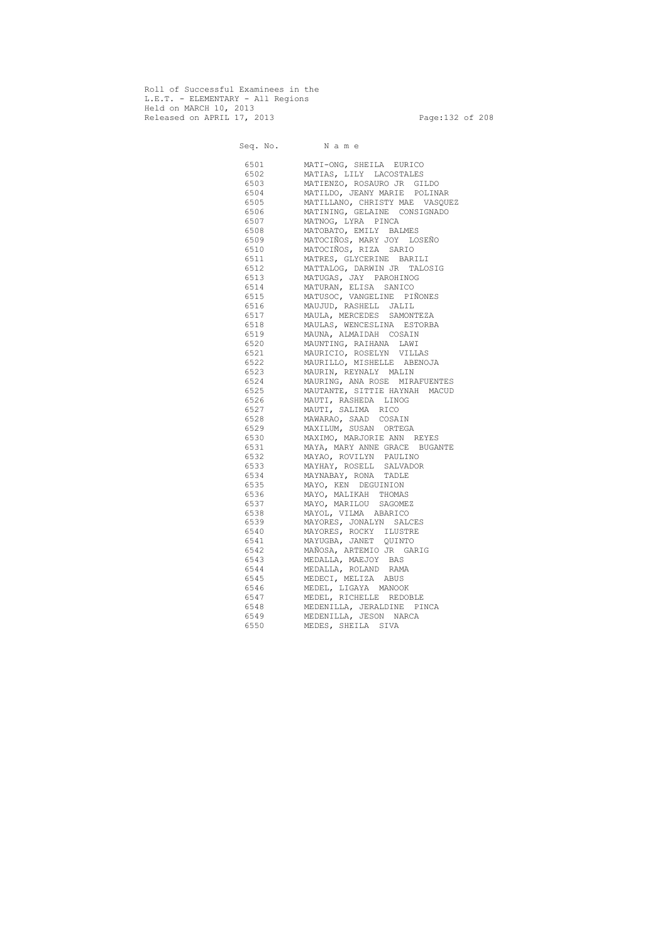Roll of Successful Examinees in the L.E.T. - ELEMENTARY - All Regions Held on MARCH 10, 2013 Released on APRIL 17, 2013 Page:132 of 208

 Seq. No. N a m e 6501 MATI-ONG, SHEILA EURICO 6502 MATIAS, LILY LACOSTALES 6503 MATIENZO, ROSAURO JR GILDO 6504 MATILDO, JEANY MARIE POLINAR 6505 MATILLANO, CHRISTY MAE VASQUEZ 6506 MATINING, GELAINE CONSIGNADO 6507 MATNOG, LYRA PINCA 6508 MATOBATO, EMILY BALMES 6509 MATOCIÑOS, MARY JOY LOSEÑO 6510 MATOCIÑOS, RIZA SARIO 6511 MATRES, GLYCERINE BARILI 6512 MATTALOG, DARWIN JR TALOSIG 6513 MATUGAS, JAY PAROHINOG 6514 MATURAN, ELISA SANICO 6515 MATUSOC, VANGELINE PIÑONES 6516 MAUJUD, RASHELL JALIL 6517 MAULA, MERCEDES SAMONTEZA 6518 MAULAS, WENCESLINA ESTORBA 6519 MAUNA, ALMAIDAH COSAIN 6520 MAUNTING, RAIHANA LAWI 6521 MAURICIO, ROSELYN VILLAS 6522 MAURILLO, MISHELLE ABENOJA 6523 MAURIN, REYNALY MALIN 6524 MAURING, ANA ROSE MIRAFUENTES 6525 MAUTANTE, SITTIE HAYNAH MACUD 6526 MAUTI, RASHEDA LINOG 6527 MAUTI, SALIMA RICO 6528 MAWARAO, SAAD COSAIN 6529 MAXILUM, SUSAN ORTEGA 6530 MAXIMO, MARJORIE ANN REYES 6531 MAYA, MARY ANNE GRACE BUGANTE 6532 MAYAO, ROVILYN PAULINO 6533 MAYHAY, ROSELL SALVADOR 6534 MAYNABAY, RONA TADLE 6535 MAYO, KEN DEGUINION 6536 MAYO, MALIKAH THOMAS 6537 MAYO, MARILOU SAGOMEZ 6538 MAYOL, VILMA ABARICO 6539 MAYORES, JONALYN SALCES 6540 MAYORES, ROCKY ILUSTRE 6541 MAYUGBA, JANET QUINTO 6542 MAÑOSA, ARTEMIO JR GARIG 6543 MEDALLA, MAEJOY BAS 6544 MEDALLA, ROLAND RAMA 6545 MEDECI, MELIZA ABUS 6546 MEDEL, LIGAYA MANOOK 6547 MEDEL, RICHELLE REDOBLE 6548 MEDENILLA, JERALDINE PINCA 6549 MEDENILLA, JESON NARCA 6550 MEDES, SHEILA SIVA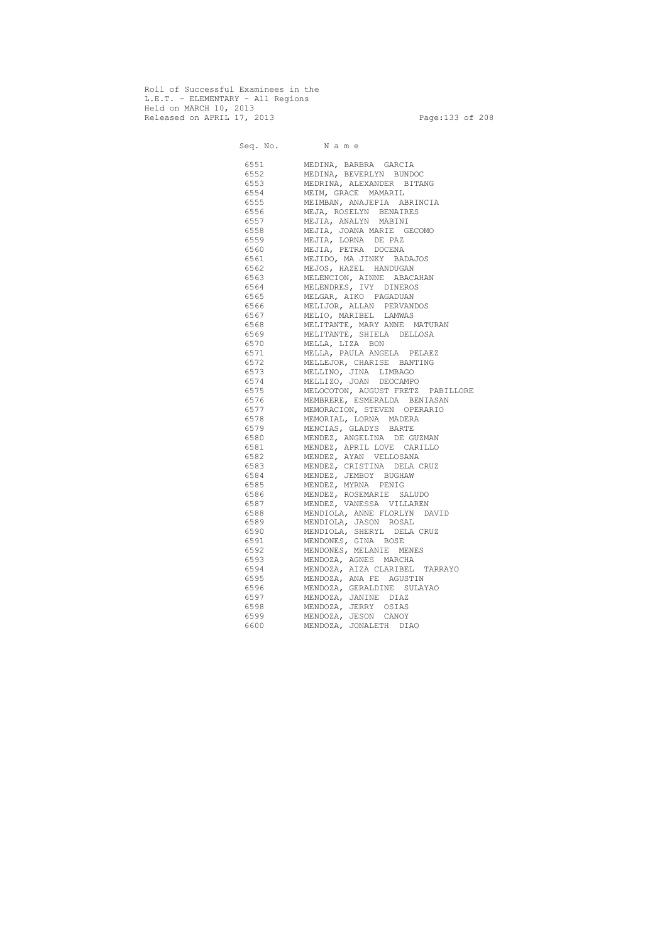Roll of Successful Examinees in the L.E.T. - ELEMENTARY - All Regions Held on MARCH 10, 2013 Released on APRIL 17, 2013 Page:133 of 208

 Seq. No. N a m e 6551 MEDINA, BARBRA GARCIA 6552 MEDINA, BEVERLYN BUNDOC 6553 MEDRINA, ALEXANDER BITANG 6554 MEIM, GRACE MAMARIL 6555 MEIMBAN, ANAJEPIA ABRINCIA 6556 MEJA, ROSELYN BENAIRES 6557 MEJIA, ANALYN MABINI 6558 MEJIA, JOANA MARIE GECOMO 6559 MEJIA, LORNA DE PAZ 6560 MEJIA, PETRA DOCENA 6561 MEJIDO, MA JINKY BADAJOS 6562 MEJOS, HAZEL HANDUGAN 6563 MELENCION, AINNE ABACAHAN 6564 MELENDRES, IVY DINEROS 6565 MELGAR, AIKO PAGADUAN 6566 MELIJOR, ALLAN PERVANDOS 6567 MELIO, MARIBEL LAMWAS 6568 MELITANTE, MARY ANNE MATURAN 6569 MELITANTE, SHIELA DELLOSA 6570 MELLA, LIZA BON 6571 MELLA, PAULA ANGELA PELAEZ 6572 MELLEJOR, CHARISE BANTING 6573 MELLINO, JINA LIMBAGO 6574 MELLIZO, JOAN DEOCAMPO 6575 MELOCOTON, AUGUST FRETZ PABILLORE 6576 MEMBRERE, ESMERALDA BENIASAN 6577 MEMORACION, STEVEN OPERARIO 6578 MEMORIAL, LORNA MADERA 6579 MENCIAS, GLADYS BARTE 6580 MENDEZ, ANGELINA DE GUZMAN 6581 MENDEZ, APRIL LOVE CARILLO 6582 MENDEZ, AYAN VELLOSANA 6583 MENDEZ, CRISTINA DELA CRUZ 6584 MENDEZ, JEMBOY BUGHAW 6585 MENDEZ, MYRNA PENIG 6586 MENDEZ, ROSEMARIE SALUDO 6587 MENDEZ, VANESSA VILLAREN 6588 MENDIOLA, ANNE FLORLYN DAVID 6589 MENDIOLA, JASON ROSAL 6590 MENDIOLA, SHERYL DELA CRUZ 6591 MENDONES, GINA BOSE 6592 MENDONES, MELANIE MENES 6593 MENDOZA, AGNES MARCHA 6594 MENDOZA, AIZA CLARIBEL TARRAYO 6595 MENDOZA, ANA FE AGUSTIN 6596 MENDOZA, GERALDINE SULAYAO 6597 MENDOZA, JANINE DIAZ 6598 MENDOZA, JERRY OSIAS 6599 MENDOZA, JESON CANOY 6600 MENDOZA, JONALETH DIAO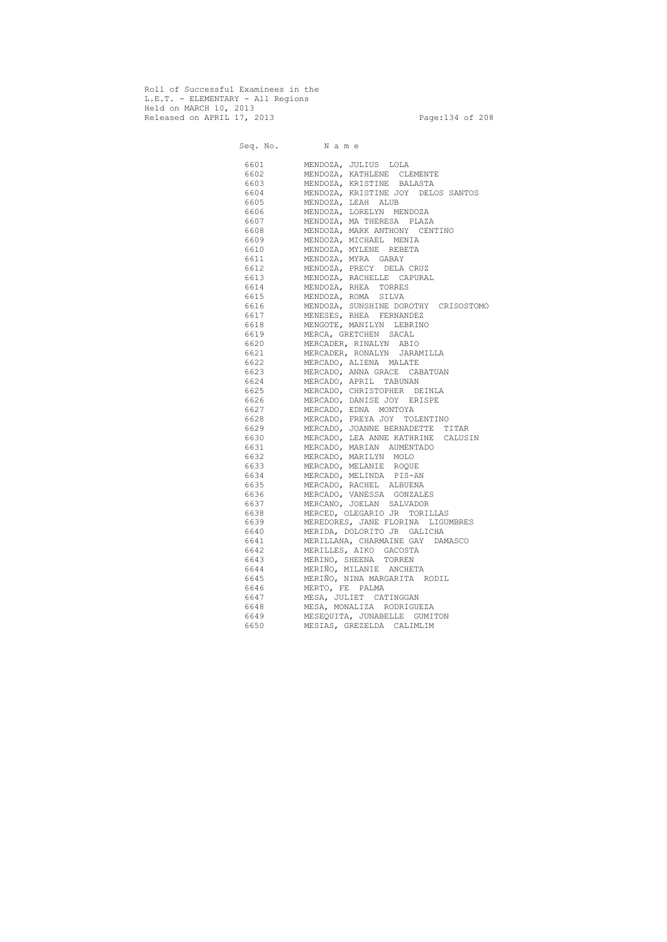Roll of Successful Examinees in the L.E.T. - ELEMENTARY - All Regions Held on MARCH 10, 2013 Released on APRIL 17, 2013 Page:134 of 208

 Seq. No. N a m e 6601 MENDOZA, JULIUS LOLA 6602 MENDOZA, KATHLENE CLEMENTE 6603 MENDOZA, KRISTINE BALASTA 6604 MENDOZA, KRISTINE JOY DELOS SANTOS 6605 MENDOZA, LEAH ALUB 6606 MENDOZA, LORELYN MENDOZA 6607 MENDOZA, MA THERESA PLAZA 6608 MENDOZA, MARK ANTHONY CENTINO 6609 MENDOZA, MICHAEL MENIA 6610 MENDOZA, MYLENE REBETA 6611 MENDOZA, MYRA GABAY 6612 MENDOZA, PRECY DELA CRUZ 6613 MENDOZA, RACHELLE CAPURAL 6614 MENDOZA, RHEA TORRES 6615 MENDOZA, ROMA SILVA 6616 MENDOZA, SUNSHINE DOROTHY CRISOSTOMO 6617 MENESES, RHEA FERNANDEZ 6618 MENGOTE, MANILYN LEBRINO 6619 MERCA, GRETCHEN SACAL 6620 MERCADER, RINALYN ABIO 6621 MERCADER, RONALYN JARAMILLA 6622 MERCADO, ALIENA MALATE 6623 MERCADO, ANNA GRACE CABATUAN 6624 MERCADO, APRIL TABUNAN 6625 MERCADO, CHRISTOPHER DEINLA 6626 MERCADO, DANISE JOY ERISPE 6627 MERCADO, EDNA MONTOYA 6628 MERCADO, FREYA JOY TOLENTINO<br>6629 MERCADO, JOANNE BERNADETTE T MERCADO, JOANNE BERNADETTE TITAR 6630 MERCADO, LEA ANNE KATHRINE CALUSIN 6631 MERCADO, MARIAN AUMENTADO 6632 MERCADO, MARILYN MOLO 6633 MERCADO, MELANIE ROQUE 6634 MERCADO, MELINDA PIS-AN 6635 MERCADO, RACHEL ALBUENA 6636 MERCADO, VANESSA GONZALES 6637 MERCANO, JOELAN SALVADOR 6638 MERCED, OLEGARIO JR TORILLAS 6639 MEREDORES, JANE FLORINA LIGUMBRES 6640 MERIDA, DOLORITO JR GALICHA 6641 MERILLANA, CHARMAINE GAY DAMASCO 6642 MERILLES, AIKO GACOSTA 6643 MERINO, SHEENA TORREN 6644 MERIÑO, MILANIE ANCHETA 6645 MERIÑO, NINA MARGARITA RODIL 6646 MERTO, FE PALMA 6647 MESA, JULIET CATINGGAN 6648 MESA, MONALIZA RODRIGUEZA 6649 MESEQUITA, JUNABELLE GUMITON 6650 MESIAS, GREZELDA CALIMLIM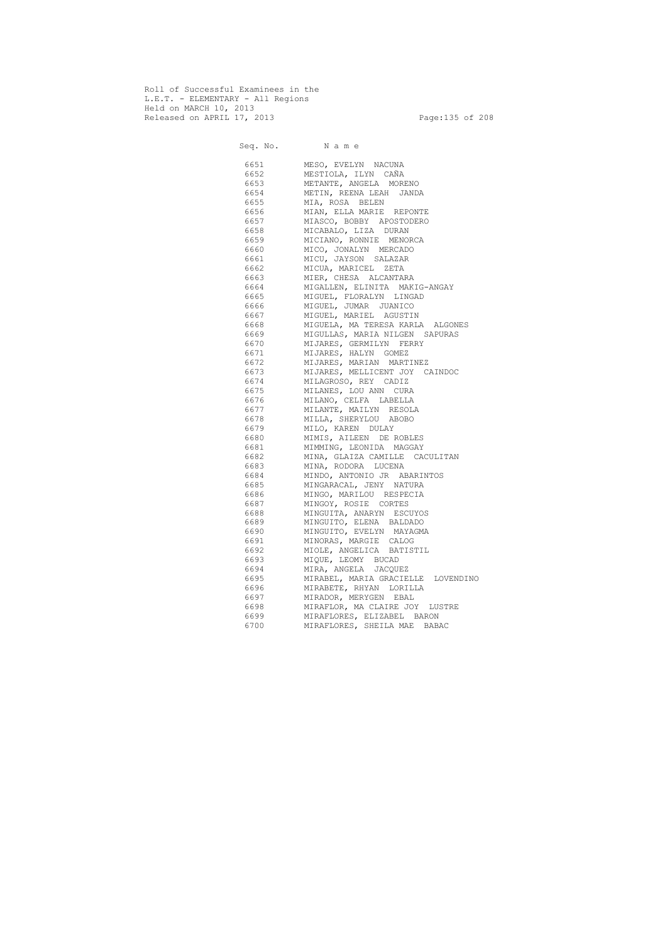Roll of Successful Examinees in the L.E.T. - ELEMENTARY - All Regions Held on MARCH 10, 2013 Released on APRIL 17, 2013 Page:135 of 208

 Seq. No. N a m e 6651 MESO, EVELYN NACUNA 6652 MESTIOLA, ILYN CAÑA 6653 METANTE, ANGELA MORENO 6654 METIN, REENA LEAH JANDA 6655 MIA, ROSA BELEN 6656 MIAN, ELLA MARIE REPONTE 6657 MIASCO, BOBBY APOSTODERO 6658 MICABALO, LIZA DURAN 6659 MICIANO, RONNIE MENORCA 6660 MICO, JONALYN MERCADO 6661 MICU, JAYSON SALAZAR 6662 MICUA, MARICEL ZETA 6663 MIER, CHESA ALCANTARA 6664 MIGALLEN, ELINITA MAKIG-ANGAY 6665 MIGUEL, FLORALYN LINGAD 6666 MIGUEL, JUMAR JUANICO 6667 MIGUEL, MARIEL AGUSTIN 6668 MIGUELA, MA TERESA KARLA ALGONES 6669 MIGULLAS, MARIA NILGEN SAPURAS 6670 MIJARES, GERMILYN FERRY 6671 MIJARES, HALYN GOMEZ 6672 MIJARES, MARIAN MARTINEZ 6673 MIJARES, MELLICENT JOY CAINDOC 6674 MILAGROSO, REY CADIZ 6675 MILANES, LOU ANN CURA 6676 MILANO, CELFA LABELLA 6677 MILANTE, MAILYN RESOLA 6678 MILLA, SHERYLOU ABOBO 6679 MILO, KAREN DULAY 6680 MIMIS, AILEEN DE ROBLES 6681 MIMMING, LEONIDA MAGGAY 6682 MINA, GLAIZA CAMILLE CACULITAN 6683 MINA, RODORA LUCENA 6684 MINDO, ANTONIO JR ABARINTOS 6685 MINGARACAL, JENY NATURA 6686 MINGO, MARILOU RESPECIA 6687 MINGOY, ROSIE CORTES 6688 MINGUITA, ANARYN ESCUYOS 6689 MINGUITO, ELENA BALDADO 6690 MINGUITO, EVELYN MAYAGMA 6691 MINORAS, MARGIE CALOG 6692 MIOLE, ANGELICA BATISTIL 6693 MIQUE, LEOMY BUCAD 6694 MIRA, ANGELA JACQUEZ 6695 MIRABEL, MARIA GRACIELLE LOVENDINO 6696 MIRABETE, RHYAN LORILLA 6697 MIRADOR, MERYGEN EBAL 6698 MIRAFLOR, MA CLAIRE JOY LUSTRE 6699 MIRAFLORES, ELIZABEL BARON 6700 MIRAFLORES, SHEILA MAE BABAC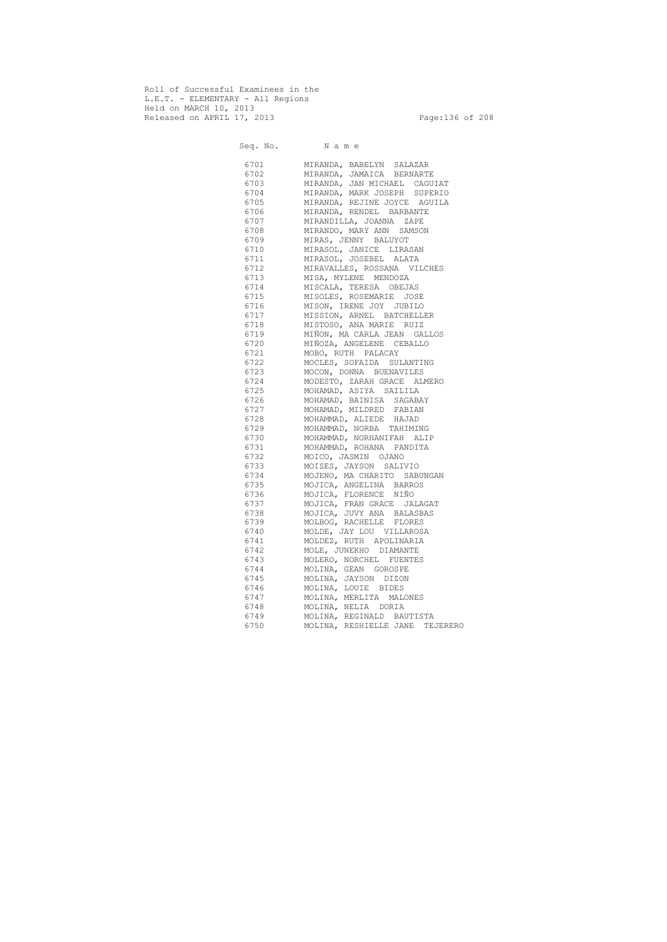Roll of Successful Examinees in the L.E.T. - ELEMENTARY - All Regions Held on MARCH 10, 2013 Released on APRIL 17, 2013 Page:136 of 208

 Seq. No. N a m e 6701 MIRANDA, BABELYN SALAZAR 6702 MIRANDA, JAMAICA BERNARTE 6703 MIRANDA, JAN MICHAEL CAGUIAT 6704 MIRANDA, MARK JOSEPH SUPERIO 6705 MIRANDA, REJINE JOYCE AGUILA 6706 MIRANDA, RENDEL BARBANTE 6707 MIRANDILLA, JOANNA ZAPE 6708 MIRANDO, MARY ANN SAMSON 6709 MIRAS, JENNY BALUYOT 6710 MIRASOL, JANICE LIRASAN 6711 MIRASOL, JOSEBEL ALATA 6712 MIRAVALLES, ROSSANA VILCHES 6713 MISA, MYLENE MENDOZA 6714 MISCALA, TERESA OBEJAS 6715 MISOLES, ROSEMARIE JOSE 6716 MISON, IRENE JOY JUBILO 6717 MISSION, ARNEL BATCHELLER 6718 MISTOSO, ANA MARIE RUIZ 6719 MIÑON, MA CARLA JEAN GALLOS 6720 MIÑOZA, ANGELENE CEBALLO 6721 MOBO, RUTH PALACAY 6722 MOCLES, SOFAIDA SULANTING 6723 MOCON, DONNA BUENAVILES 6724 MODESTO, ZARAH GRACE ALMERO 6725 MOHAMAD, ASIYA SAILILA 6726 MOHAMAD, BAINISA SAGABAY 6727 MOHAMAD, MILDRED FABIAN 6728 MOHAMMAD, ALIEDE HAJAD MOHAMMAD, NORBA TAHIMING 6730 MOHAMMAD, NORHANIFAH ALIP 6731 MOHAMMAD, ROHANA PANDITA 6732 MOICO, JASMIN OJANO 6733 MOISES, JAYSON SALIVIO 6734 MOJENO, MA CHARITO SABUNGAN 6735 MOJICA, ANGELINA BARROS 6736 MOJICA, FLORENCE NIÑO 6737 MOJICA, FRAN GRACE JALAGAT 6738 MOJICA, JUVY ANA BALASBAS 6739 MOLBOG, RACHELLE FLORES 6740 MOLDE, JAY LOU VILLAROSA 6741 MOLDEZ, RUTH APOLINARIA 6742 MOLE, JUNEKHO DIAMANTE 6743 MOLERO, NORCHEL FUENTES 6744 MOLINA, GEAN GOROSPE 6745 MOLINA, JAYSON DIZON 6746 MOLINA, LOUIE BIDES 6747 MOLINA, MERLITA MALONES 6748 MOLINA, NELIA DORIA 6749 MOLINA, REGINALD BAUTISTA 6750 MOLINA, RESHIELLE JANE TEJERERO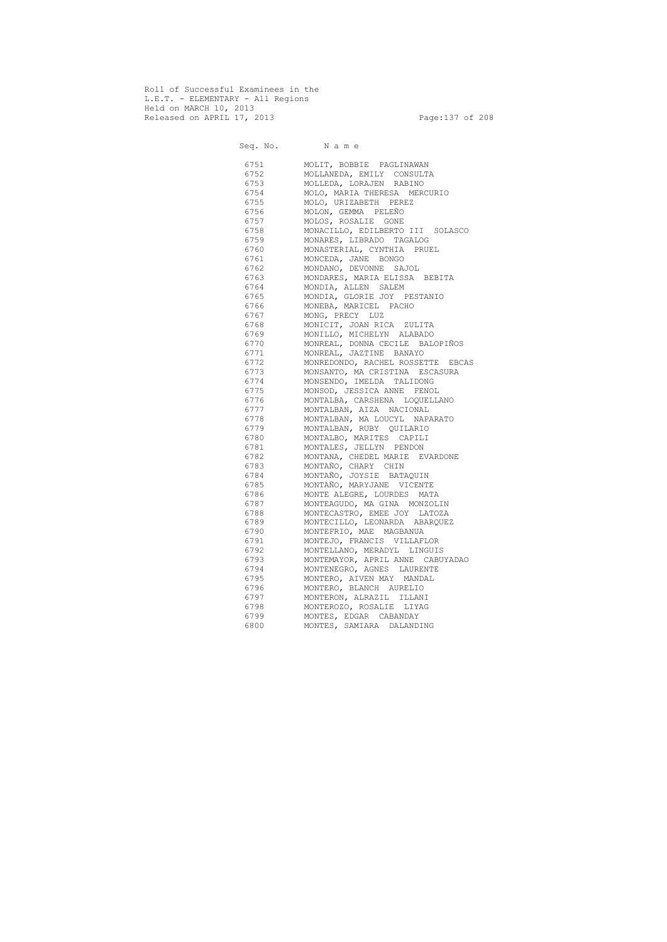Roll of Successful Examinees in the L.E.T. - ELEMENTARY - All Regions Held on MARCH 10, 2013 Released on APRIL 17, 2013 Page:137 of 208

Seq. No. Name 6751 MOLIT, BOBBIE PAGLINAWAN 6752 MOLLANEDA, EMILY CONSULTA 6753 MOLLEDA, LORAJEN RABINO 6754 MOLO, MARIA THERESA MERCURIO 6755 MOLO, URIZABETH PEREZ 6756 MOLON, GEMMA PELEÑO 6757 MOLOS, ROSALIE GONE 6758 MONACILLO, EDILBERTO III SOLASCO 6759 MONARES, LIBRADO TAGALOG 6760 MONASTERIAL, CYNTHIA PRUEL 6761 MONCEDA, JANE BONGO 6762 MONDANO, DEVONNE SAJOL 6763 MONDARES, MARIA ELISSA BEBITA 6764 MONDIA, ALLEN SALEM 6765 MONDIA, GLORIE JOY PESTANIO 6766 MONEBA, MARICEL PACHO 6767 MONG, PRECY LUZ 6768 MONICIT, JOAN RICA ZULITA 6769 MONILLO, MICHELYN ALABADO 6770 MONREAL, DONNA CECILE BALOPIÑOS 6771 MONREAL, JAZTINE BANAYO 6772 MONREDONDO, RACHEL ROSSETTE EBCAS 6773 MONSANTO, MA CRISTINA ESCASURA 6774 MONSENDO, IMELDA TALIDONG 6775 MONSOD, JESSICA ANNE FENOL 6776 MONTALBA, CARSHENA LOQUELLANO 6777 MONTALBAN, AIZA NACIONAL 6778 MONTALBAN, MA LOUCYL NAPARATO<br>6779 MONTALBAN, RUBY OUILARIO 6779 MONTALBAN, RUBY QUILARIO 6780 MONTALBO, MARITES CAPILI 6781 MONTALES, JELLYN PENDON 6782 MONTANA, CHEDEL MARIE EVARDONE 6783 MONTAÑO, CHARY CHIN 6784 MONTAÑO, JOYSIE BATAQUIN 6785 MONTAÑO, MARYJANE VICENTE 6786 MONTE ALEGRE, LOURDES MATA 6787 MONTEAGUDO, MA GINA MONZOLIN 6788 MONTECASTRO, EMEE JOY LATOZA 6789 MONTECILLO, LEONARDA ABARQUEZ 6790 MONTEFRIO, MAE MAGBANUA 6791 MONTEJO, FRANCIS VILLAFLOR 6792 MONTELLANO, MERADYL LINGUIS 6793 MONTEMAYOR, APRIL ANNE CABUYADAO 6794 MONTENEGRO, AGNES LAURENTE 6795 MONTERO, AIVEN MAY MANDAL 6796 MONTERO, BLANCH AURELIO 6797 MONTERON, ALRAZIL ILLANI 6798 MONTEROZO, ROSALIE LIYAG 6799 MONTES, EDGAR CABANDAY 6800 MONTES, SAMIARA DALANDING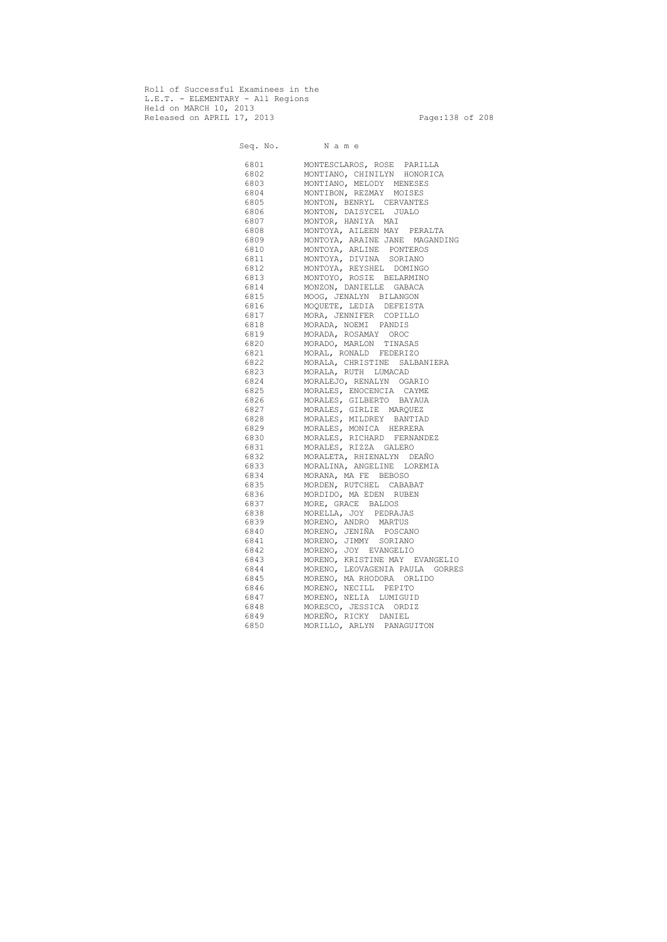Roll of Successful Examinees in the L.E.T. - ELEMENTARY - All Regions Held on MARCH 10, 2013 Released on APRIL 17, 2013 Page:138 of 208

 Seq. No. N a m e 6801 MONTESCLAROS, ROSE PARILLA 6802 MONTIANO, CHINILYN HONORICA 6803 MONTIANO, MELODY MENESES 6804 MONTIBON, REZMAY MOISES 6805 MONTON, BENRYL CERVANTES 6806 MONTON, DAISYCEL JUALO 6807 MONTOR, HANIYA MAI 6808 MONTOYA, AILEEN MAY PERALTA 6809 MONTOYA, ARAINE JANE MAGANDING 6810 MONTOYA, ARLINE PONTEROS 6811 MONTOYA, DIVINA SORIANO 6812 MONTOYA, REYSHEL DOMINGO 6813 MONTOYO, ROSIE BELARMINO 6814 MONZON, DANIELLE GABACA 6815 MOOG, JENALYN BILANGON 6816 MOQUETE, LEDIA DEFEISTA 6817 MORA, JENNIFER COPILLO 6818 MORADA, NOEMI PANDIS 6819 MORADA, ROSAMAY OROC 6820 MORADO, MARLON TINASAS 6821 MORAL, RONALD FEDERIZO 6822 MORALA, CHRISTINE SALBANIERA 6823 MORALA, RUTH LUMACAD 6824 MORALEJO, RENALYN OGARIO 6825 MORALES, ENOCENCIA CAYME 6826 MORALES, GILBERTO BAYAUA 6827 MORALES, GIRLIE MARQUEZ 6828 MORALES, MILDREY BANTIAD 6829 MORALES, MONICA HERRERA 6830 MORALES, RICHARD FERNANDEZ 6831 MORALES, RIZZA GALERO 6832 MORALETA, RHIENALYN DEAÑO 6833 MORALINA, ANGELINE LOREMIA 6834 MORANA, MA FE BEBOSO 6835 MORDEN, RUTCHEL CABABAT 6836 MORDIDO, MA EDEN RUBEN 6837 MORE, GRACE BALDOS 6838 MORELLA, JOY PEDRAJAS 6839 MORENO, ANDRO MARTUS 6840 MORENO, JENIÑA POSCANO 6841 MORENO, JIMMY SORIANO 6842 MORENO, JOY EVANGELIO 6843 MORENO, KRISTINE MAY EVANGELIO 6844 MORENO, LEOVAGENIA PAULA GORRES 6845 MORENO, MA RHODORA ORLIDO 6846 MORENO, NECILL PEPITO 6847 MORENO, NELIA LUMIGUID 6848 MORESCO, JESSICA ORDIZ 6849 MOREÑO, RICKY DANIEL 6850 MORILLO, ARLYN PANAGUITON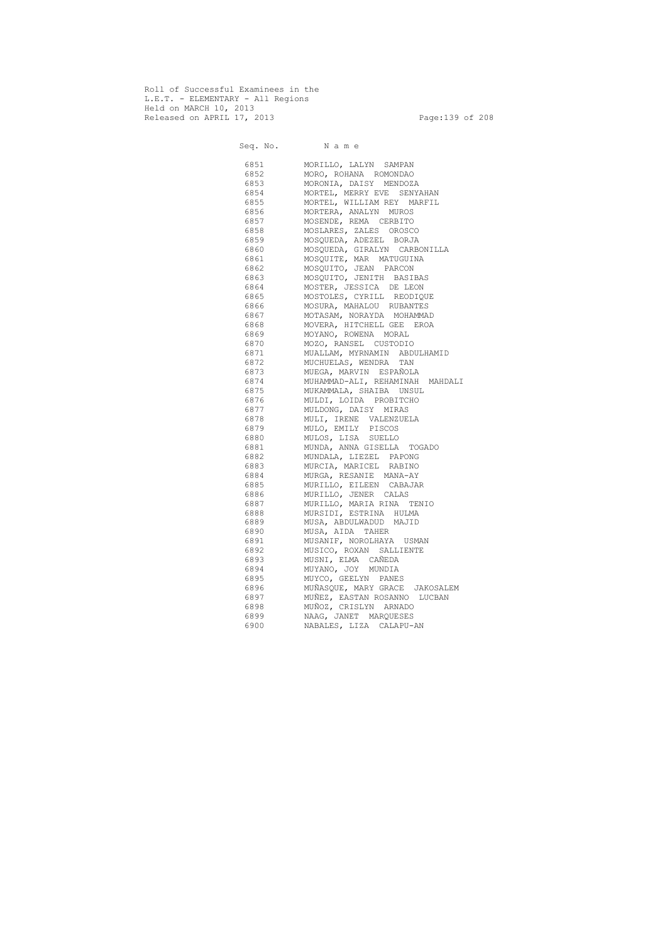Roll of Successful Examinees in the L.E.T. - ELEMENTARY - All Regions Held on MARCH 10, 2013 Released on APRIL 17, 2013 Page:139 of 208

 Seq. No. N a m e 6851 MORILLO, LALYN SAMPAN 6852 MORO, ROHANA ROMONDAO 6853 MORONIA, DAISY MENDOZA 6854 MORTEL, MERRY EVE SENYAHAN 6855 MORTEL, WILLIAM REY MARFIL 6856 MORTERA, ANALYN MUROS 6857 MOSENDE, REMA CERBITO 6858 MOSLARES, ZALES OROSCO 6859 MOSQUEDA, ADEZEL BORJA 6860 MOSQUEDA, GIRALYN CARBONILLA 6861 MOSQUITE, MAR MATUGUINA 6862 MOSQUITO, JEAN PARCON 6863 MOSQUITO, JENITH BASIBAS 6864 MOSTER, JESSICA DE LEON 6865 MOSTOLES, CYRILL REODIQUE 6866 MOSURA, MAHALOU RUBANTES 6867 MOTASAM, NORAYDA MOHAMMAD 6868 MOVERA, HITCHELL GEE EROA 6869 MOYANO, ROWENA MORAL 6870 MOZO, RANSEL CUSTODIO 6871 MUALLAM, MYRNAMIN ABDULHAMID 6872 MUCHUELAS, WENDRA TAN 6873 MUEGA, MARVIN ESPAÑOLA 6874 MUHAMMAD-ALI, REHAMINAH MAHDALI 6875 MUKAMMALA, SHAIBA UNSUL 6876 MULDI, LOIDA PROBITCHO 6877 MULDONG, DAISY MIRAS 6878 MULI, IRENE VALENZUELA 6879 MULO, EMILY PISCOS 6880 MULOS, LISA SUELLO 6881 MUNDA, ANNA GISELLA TOGADO 6882 MUNDALA, LIEZEL PAPONG 6883 MURCIA, MARICEL RABINO 6884 MURGA, RESANIE MANA-AY 6885 MURILLO, EILEEN CABAJAR 6886 MURILLO, JENER CALAS 6887 MURILLO, MARIA RINA TENIO 6888 MURSIDI, ESTRINA HULMA 6889 MUSA, ABDULWADUD MAJID 6890 MUSA, AIDA TAHER 6891 MUSANIF, NOROLHAYA USMAN 6892 MUSICO, ROXAN SALLIENTE 6893 MUSNI, ELMA CAÑEDA 6894 MUYANO, JOY MUNDIA 6895 MUYCO, GEELYN PANES 6896 MUÑASQUE, MARY GRACE JAKOSALEM 6897 MUÑEZ, EASTAN ROSANNO LUCBAN 6898 MUÑOZ, CRISLYN ARNADO 6899 NAAG, JANET MARQUESES 6900 NABALES, LIZA CALAPU-AN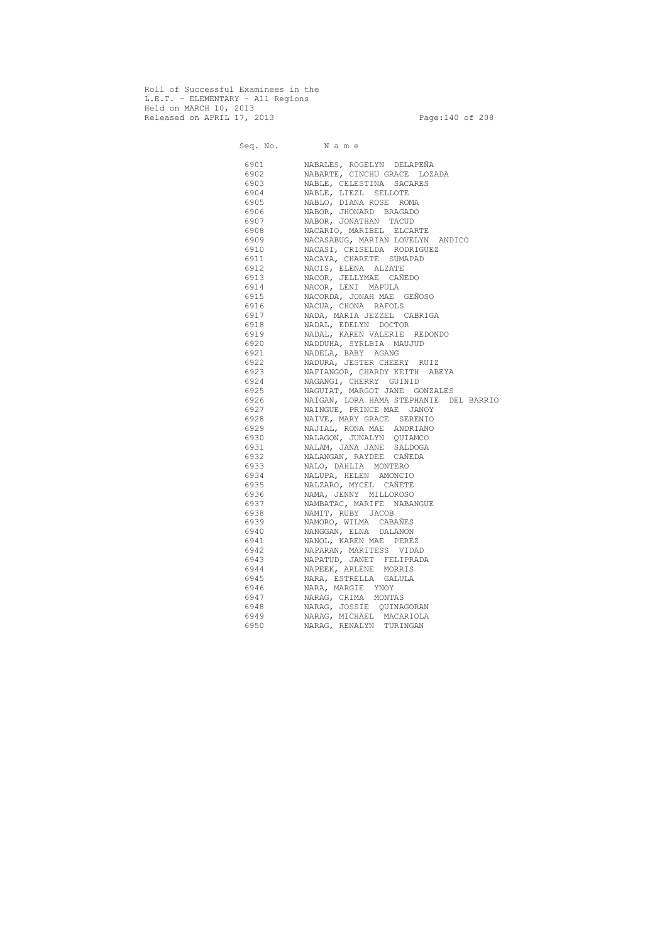Roll of Successful Examinees in the L.E.T. - ELEMENTARY - All Regions Held on MARCH 10, 2013 Released on APRIL 17, 2013 Page:140 of 208

 Seq. No. N a m e 6901 NABALES, ROGELYN DELAPEÑA 6902 NABARTE, CINCHU GRACE LOZADA 6903 NABLE, CELESTINA SACARES 6904 NABLE, LIEZL SELLOTE 6905 NABLO, DIANA ROSE ROMA 6906 NABOR, JHONARD BRAGADO 6907 NABOR, JONATHAN TACUD 6908 NACARIO, MARIBEL ELCARTE 6909 NACASABUG, MARIAN LOVELYN ANDICO 6910 NACASI, CRISELDA RODRIGUEZ 6911 NACAYA, CHARETE SUMAPAD 6912 NACIS, ELENA ALZATE 6913 NACOR, JELLYMAE CAÑEDO 6914 NACOR, LENI MAPULA 6915 NACORDA, JONAH MAE GEÑOSO 6916 NACUA, CHONA RAFOLS 6917 NADA, MARIA JEZZEL CABRIGA 6918 NADAL, EDELYN DOCTOR 6919 NADAL, KAREN VALERIE REDONDO 6920 NADDUHA, SYRLBIA MAUJUD 6921 NADELA, BABY AGANG 6922 NADURA, JESTER CHEERY RUIZ 6923 NAFIANGOR, CHARDY KEITH ABEYA 6924 NAGANGI, CHERRY GUINID 6925 NAGUIAT, MARGOT JANE GONZALES 6926 NAIGAN, LORA HAMA STEPHANIE DEL BARRIO 6927 NAINGUE, PRINCE MAE JANOY 6928 NAIVE, MARY GRACE SERENIO 6929 NAJIAL, RONA MAE ANDRIANO 6930 NALAGON, JUNALYN QUIAMCO 6931 NALAM, JANA JANE SALDOGA 6932 NALANGAN, RAYDEE CAÑEDA 6933 NALO, DAHLIA MONTERO 6934 NALUPA, HELEN AMONCIO 6935 NALZARO, MYCEL CAÑETE 6936 NAMA, JENNY MILLOROSO 6937 NAMBATAC, MARIFE NABANGUE 6938 NAMIT, RUBY JACOB 6939 NAMORO, WILMA CABAÑES 6940 NANGGAN, ELNA DALANON 6941 NANOL, KAREN MAE PEREZ 6942 NAPARAN, MARITESS VIDAD 6943 NAPATUD, JANET FELIPRADA 6944 NAPEEK, ARLENE MORRIS 6945 NARA, ESTRELLA GALULA 6946 NARA, MARGIE YNOY 6947 NARAG, CRIMA MONTAS 6948 NARAG, JOSSIE QUINAGORAN 6949 NARAG, MICHAEL MACARIOLA 6950 NARAG, RENALYN TURINGAN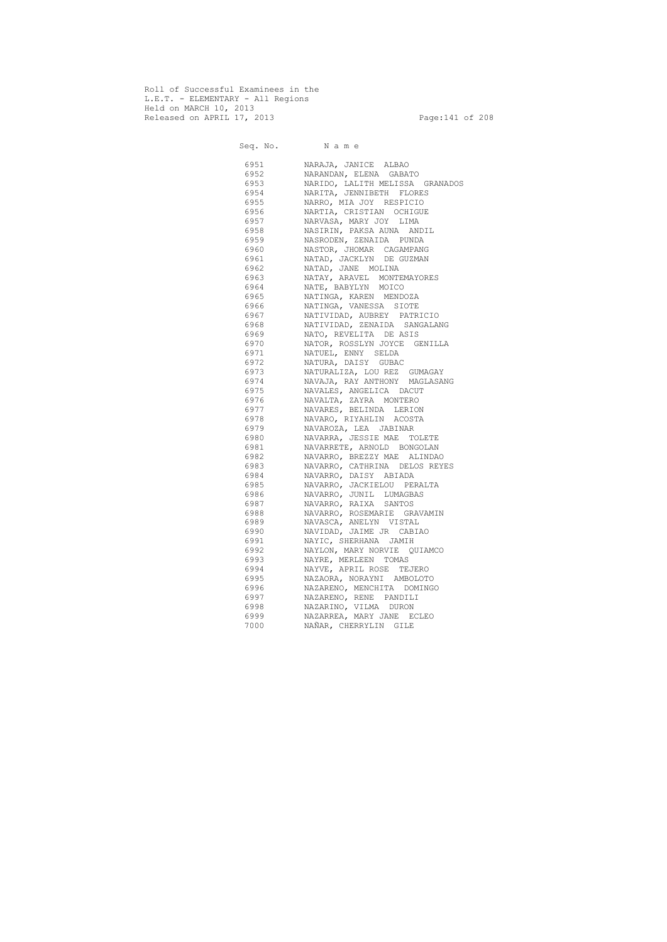Roll of Successful Examinees in the L.E.T. - ELEMENTARY - All Regions Held on MARCH 10, 2013 Released on APRIL 17, 2013 Page:141 of 208

 Seq. No. N a m e 6951 NARAJA, JANICE ALBAO 6952 NARANDAN, ELENA GABATO 6953 NARIDO, LALITH MELISSA GRANADOS 6954 NARITA, JENNIBETH FLORES 6955 NARRO, MIA JOY RESPICIO 6956 NARTIA, CRISTIAN OCHIGUE 6957 NARVASA, MARY JOY LIMA 6958 NASIRIN, PAKSA AUNA ANDIL 6959 NASRODEN, ZENAIDA PUNDA 6960 NASTOR, JHOMAR CAGAMPANG 6961 NATAD, JACKLYN DE GUZMAN 6962 NATAD, JANE MOLINA 6963 NATAY, ARAVEL MONTEMAYORES 6964 NATE, BABYLYN MOICO 6965 NATINGA, KAREN MENDOZA 6966 NATINGA, VANESSA SIOTE 6967 NATIVIDAD, AUBREY PATRICIO 6968 NATIVIDAD, ZENAIDA SANGALANG 6969 NATO, REVELITA DE ASIS 6970 NATOR, ROSSLYN JOYCE GENILLA 6971 NATUEL, ENNY SELDA 6972 NATURA, DAISY GUBAC 6973 NATURALIZA, LOU REZ GUMAGAY 6974 NAVAJA, RAY ANTHONY MAGLASANG 6975 NAVALES, ANGELICA DACUT 6976 NAVALTA, ZAYRA MONTERO 6977 NAVARES, BELINDA LERION 6978 NAVARO, RIYAHLIN ACOSTA 6979 NAVAROZA, LEA JABINAR 6980 NAVARRA, JESSIE MAE TOLETE 6981 NAVARRETE, ARNOLD BONGOLAN 6982 NAVARRO, BREZZY MAE ALINDAO 6983 NAVARRO, CATHRINA DELOS REYES 6984 NAVARRO, DAISY ABIADA 6985 NAVARRO, JACKIELOU PERALTA 6986 NAVARRO, JUNIL LUMAGBAS 6987 NAVARRO, RAIXA SANTOS 6988 NAVARRO, ROSEMARIE GRAVAMIN 6989 NAVASCA, ANELYN VISTAL 6990 NAVIDAD, JAIME JR CABIAO 6991 NAYIC, SHERHANA JAMIH 6992 NAYLON, MARY NORVIE QUIAMCO 6993 NAYRE, MERLEEN TOMAS 6994 NAYVE, APRIL ROSE TEJERO 6995 NAZAORA, NORAYNI AMBOLOTO 6996 NAZARENO, MENCHITA DOMINGO 6997 NAZARENO, RENE PANDILI 6998 NAZARINO, VILMA DURON 6999 NAZARREA, MARY JANE ECLEO 7000 NAÑAR, CHERRYLIN GILE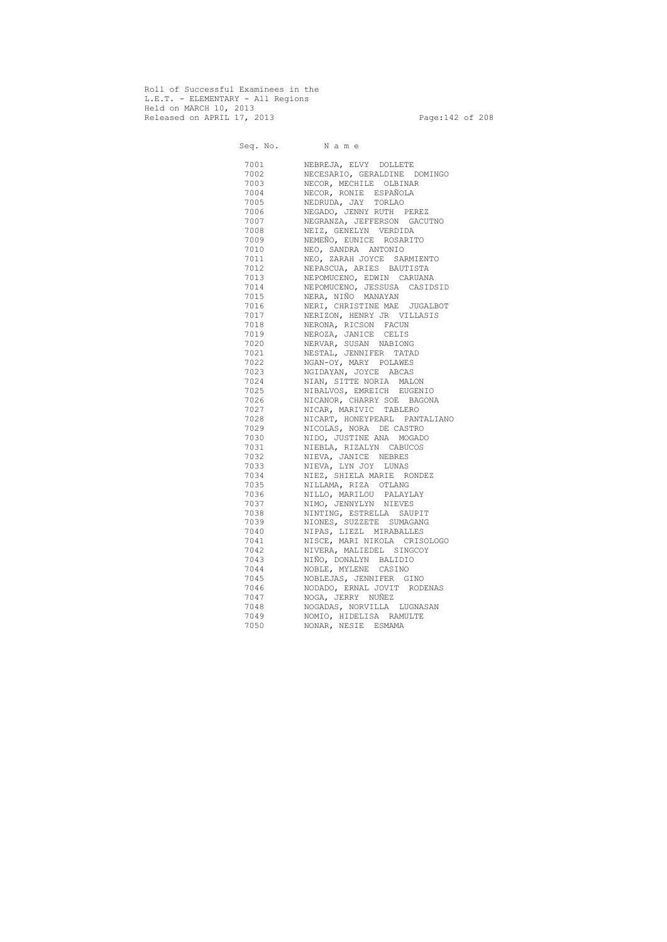Roll of Successful Examinees in the L.E.T. - ELEMENTARY - All Regions Held on MARCH 10, 2013 Released on APRIL 17, 2013 Page: 142 of 208

 Seq. No. N a m e 7001 NEBREJA, ELVY DOLLETE 7002 NECESARIO, GERALDINE DOMINGO 7003 NECOR, MECHILE OLBINAR 7004 NECOR, RONIE ESPAÑOLA NEDRUDA, JAY TORLAO 7006 NEGADO, JENNY RUTH PEREZ 7007 NEGRANZA, JEFFERSON GACUTNO 7008 NEIZ, GENELYN VERDIDA 7009 NEMEÑO, EUNICE ROSARITO 7010 NEO, SANDRA ANTONIO 7011 NEO, ZARAH JOYCE SARMIENTO 7012 NEPASCUA, ARIES BAUTISTA 7013 NEPOMUCENO, EDWIN CARUANA 7014 NEPOMUCENO, JESSUSA CASIDSID 7015 NERA, NIÑO MANAYAN 7016 NERI, CHRISTINE MAE JUGALBOT 7017 NERIZON, HENRY JR VILLASIS 7018 NERONA, RICSON FACUN 7019 NEROZA, JANICE CELIS 7020 NERVAR, SUSAN NABIONG 7021 NESTAL, JENNIFER TATAD 7022 NGAN-OY, MARY POLAWES 7023 NGIDAYAN, JOYCE ABCAS 7024 NIAN, SITTE NORIA MALON 7025 NIBALVOS, EMREICH EUGENIO 7026 NICANOR, CHARRY SOE BAGONA 7027 NICAR, MARIVIC TABLERO 7028 NICART, HONEYPEARL PANTALIANO 7029 NICOLAS, NORA DE CASTRO 7030 NIDO, JUSTINE ANA MOGADO 7031 NIEBLA, RIZALYN CABUCOS 7032 NIEVA, JANICE NEBRES 7033 NIEVA, LYN JOY LUNAS 7034 NIEZ, SHIELA MARIE RONDEZ 7035 NILLAMA, RIZA OTLANG 7036 NILLO, MARILOU PALAYLAY 7037 NIMO, JENNYLYN NIEVES 7038 NINTING, ESTRELLA SAUPIT 7039 NIONES, SUZZETE SUMAGANG 7040 NIPAS, LIEZL MIRABALLES 7041 NISCE, MARI NIKOLA CRISOLOGO 7042 NIVERA, MALIEDEL SINGCOY 7043 NIÑO, DONALYN BALIDIO 7044 NOBLE, MYLENE CASINO 7045 NOBLEJAS, JENNIFER GINO 7046 NODADO, ERNAL JOVIT RODENAS 7047 NOGA, JERRY NUÑEZ 7048 NOGADAS, NORVILLA LUGNASAN 7049 NOMIO, HIDELISA RAMULTE 7050 NONAR, NESIE ESMAMA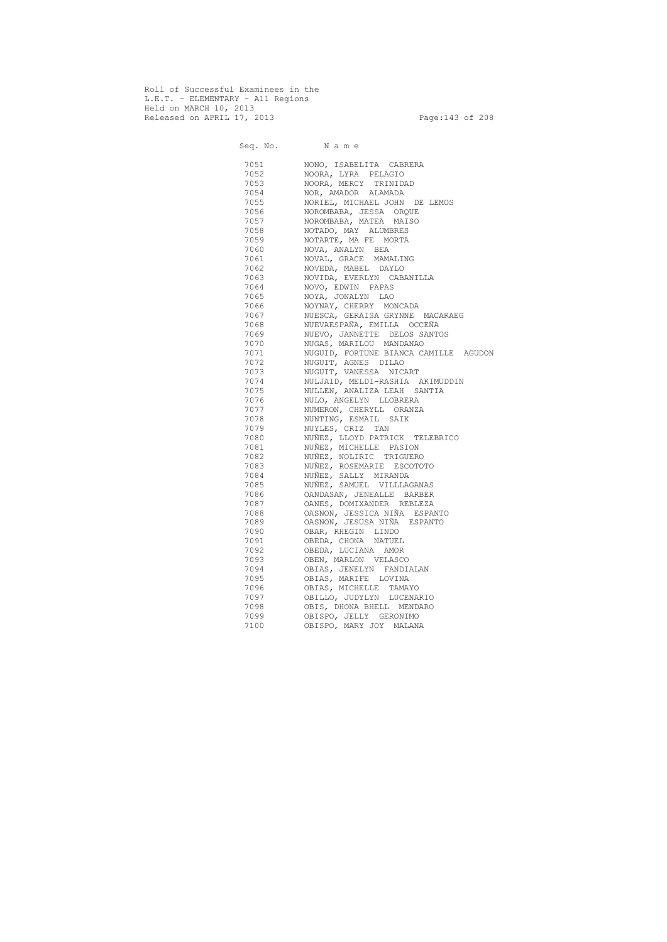Roll of Successful Examinees in the L.E.T. - ELEMENTARY - All Regions Held on MARCH 10, 2013 Released on APRIL 17, 2013 Page:143 of 208

 Seq. No. N a m e 7051 NONO, ISABELITA CABRERA 7052 NOORA, LYRA PELAGIO 7053 NOORA, MERCY TRINIDAD 7054 NOR, AMADOR ALAMADA 7055 NORIEL, MICHAEL JOHN DE LEMOS 7056 NOROMBABA, JESSA ORQUE 7057 NOROMBABA, MATEA MAISO 7058 NOTADO, MAY ALUMBRES 7059 NOTARTE, MA FE MORTA 7060 NOVA, ANALYN BEA 7061 NOVAL, GRACE MAMALING 7062 NOVEDA, MABEL DAYLO 7063 NOVIDA, EVERLYN CABANILLA 7064 NOVO, EDWIN PAPAS 7065 NOYA, JONALYN LAO 7066 NOYNAY, CHERRY MONCADA 7067 NUESCA, GERAISA GRYNNE MACARAEG 7068 NUEVAESPAÑA, EMILLA OCCEÑA 7069 NUEVO, JANNETTE DELOS SANTOS 7070 NUGAS, MARILOU MANDANAO 7071 NUGUID, FORTUNE BIANCA CAMILLE AGUDON 7072 NUGUIT, AGNES DILAO 7073 NUGUIT, VANESSA NICART 7074 NULJAID, MELDI-RASHIA AKIMUDDIN 7075 NULLEN, ANALIZA LEAH SANTIA 7076 NULO, ANGELYN LLOBRERA 7077 NUMERON, CHERYLL ORANZA 7078 NUNTING, ESMAIL SAIK 7079 NUYLES, CRIZ TAN 7080 NUÑEZ, LLOYD PATRICK TELEBRICO 7081 NUÑEZ, MICHELLE PASION 7082 NUÑEZ, NOLIRIC TRIGUERO 7083 NUÑEZ, ROSEMARIE ESCOTOTO 7084 NUÑEZ, SALLY MIRANDA 7085 NUÑEZ, SAMUEL VILLLAGANAS 7086 OANDASAN, JENEALLE BARBER 7087 OANES, DOMIXANDER REBLEZA 7088 OASNON, JESSICA NIÑA ESPANTO 7089 OASNON, JESUSA NIÑA ESPANTO 7090 OBAR, RHEGIN LINDO 7091 OBEDA, CHONA NATUEL 7092 OBEDA, LUCIANA AMOR 7093 OBEN, MARLON VELASCO 7094 OBIAS, JENELYN FANDIALAN 7095 OBIAS, MARIFE LOVINA 7096 OBIAS, MICHELLE TAMAYO 7097 OBILLO, JUDYLYN LUCENARIO 7098 OBIS, DHONA BHELL MENDARO 7099 OBISPO, JELLY GERONIMO 7100 OBISPO, MARY JOY MALANA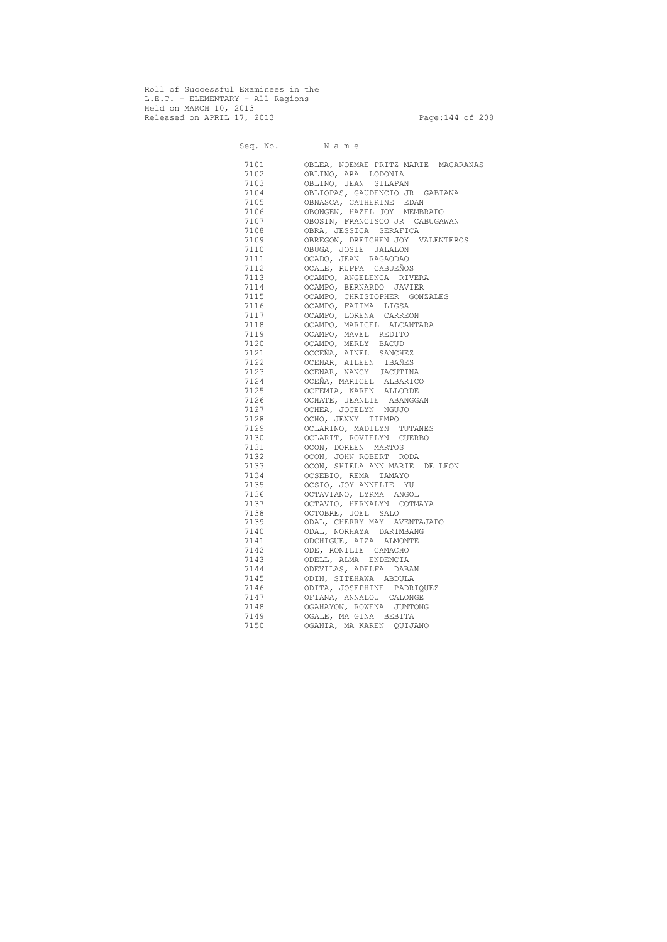Roll of Successful Examinees in the L.E.T. - ELEMENTARY - All Regions Held on MARCH 10, 2013 Released on APRIL 17, 2013 end and the Page: 144 of 208

| Seq. No. Name |                                     |
|---------------|-------------------------------------|
| 7101          | OBLEA, NOEMAE PRITZ MARIE MACARANAS |
| 7102          | OBLINO, ARA LODONIA                 |
| 7103          | OBLINO, JEAN SILAPAN                |
| 7104          | OBLIOPAS, GAUDENCIO JR GABIANA      |
| 7105          | OBNASCA, CATHERINE EDAN             |
| 7106          | OBONGEN, HAZEL JOY MEMBRADO         |
| 7107          | OBOSIN, FRANCISCO JR CABUGAWAN      |
| 7108          | OBRA, JESSICA SERAFICA              |
| 7109          | OBREGON, DRETCHEN JOY VALENTEROS    |
| 7110          | OBUGA, JOSIE JALALON                |
| 7111          | OCADO, JEAN RAGAODAO                |
| 7112          | OCALE, RUFFA CABUEÑOS               |
| 7113          | OCAMPO, ANGELENCA RIVERA            |
| 7114          | OCAMPO, BERNARDO JAVIER             |
| 7115          | OCAMPO, CHRISTOPHER GONZALES        |
| 7116          | OCAMPO, FATIMA LIGSA                |
| 7117          | OCAMPO, LORENA CARREON              |
| 7118          | OCAMPO, MARICEL ALCANTARA           |
| 7119          | OCAMPO, MAVEL REDITO                |
| 7120          | OCAMPO, MERLY BACUD                 |
| 7121          | OCCEÑA, AINEL SANCHEZ               |
| 7122          | OCENAR, AILEEN IBAÑES               |
| 7123          | OCENAR, NANCY JACUTINA              |
| 7124          | OCEÑA, MARICEL ALBARICO             |
| 7125          | OCFEMIA, KAREN ALLORDE              |
| 7126          | OCHATE, JEANLIE ABANGGAN            |
| 7127          | OCHEA, JOCELYN NGUJO                |
| 7128          | OCHO, JENNY TIEMPO                  |
| 7129          | OCLARINO, MADILYN TUTANES           |
| 7130          | OCLARIT, ROVIELYN CUERBO            |
| 7131          | OCON, DOREEN MARTOS                 |
| 7132          | OCON, JOHN ROBERT RODA              |
| 7133          | OCON, SHIELA ANN MARIE DE LEON      |
| 7134          | OCSEBIO, REMA TAMAYO                |
| 7135          | OCSIO, JOY ANNELIE YU               |
| 7136          | OCTAVIANO, LYRMA ANGOL              |
| 7137          | OCTAVIO, HERNALYN COTMAYA           |
| 7138          | OCTOBRE, JOEL SALO                  |
| 7139          | ODAL, CHERRY MAY AVENTAJADO         |
| 7140          | ODAL, NORHAYA DARIMBANG             |
| 7141          | ODCHIGUE, AIZA ALMONTE              |
| 7142          | ODE, RONILIE CAMACHO                |
| 7143          | ODELL, ALMA ENDENCIA                |
| 7144          | ODEVILAS, ADELFA DABAN              |
| 7145          | ODIN, SITEHAWA ABDULA               |
| 7146          | ODITA, JOSEPHINE PADRIQUEZ          |
| 7147          | OFIANA, ANNALOU CALONGE             |
| 7148          | OGAHAYON, ROWENA JUNTONG            |
| 7149          | OGALE, MA GINA BEBITA               |
| 7150          | OGANIA, MA KAREN QUIJANO            |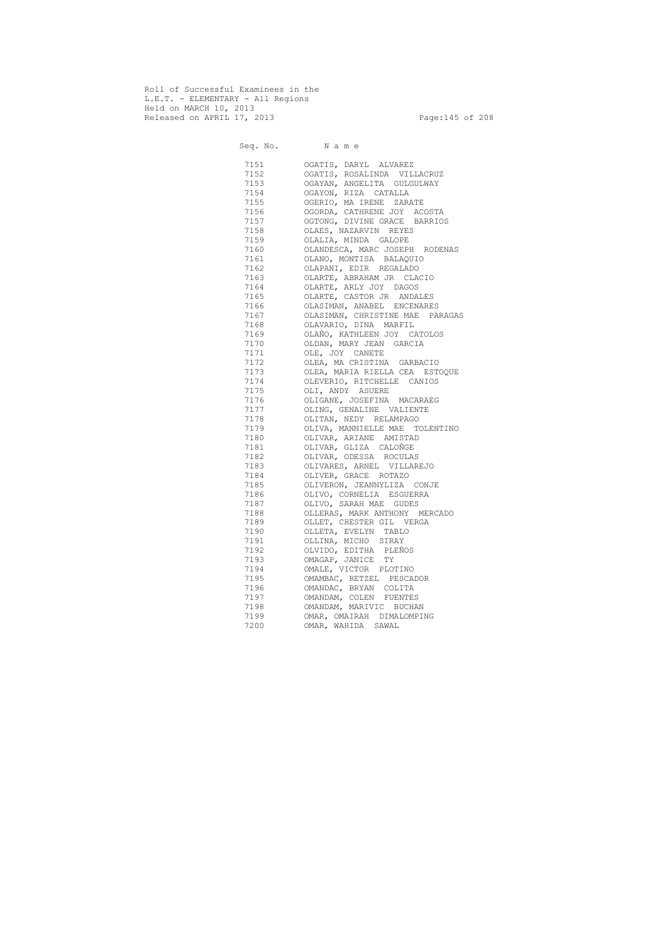Roll of Successful Examinees in the L.E.T. - ELEMENTARY - All Regions Held on MARCH 10, 2013 Released on APRIL 17, 2013 Page:145 of 208

 Seq. No. N a m e 7151 OGATIS, DARYL ALVAREZ 7152 OGATIS, ROSALINDA VILLACRUZ 7153 OGAYAN, ANGELITA GULGULWAY 7154 OGAYON, RIZA CATALLA 7155 OGERIO, MA IRENE ZARATE 7156 OGORDA, CATHRENE JOY ACOSTA 7157 OGTONG, DIVINE GRACE BARRIOS 7158 OLAES, NAZARVIN REYES 7159 OLALIA, MINDA GALOPE 7160 OLANDESCA, MARC JOSEPH RODENAS 7161 OLANO, MONTISA BALAQUIO 7162 OLAPANI, EDIR REGALADO 7163 OLARTE, ABRAHAM JR CLACIO 7164 OLARTE, ARLY JOY DAGOS 7165 OLARTE, CASTOR JR ANDALES 7166 OLASIMAN, ANABEL ENCENARES 7167 OLASIMAN, CHRISTINE MAE PARAGAS 7168 OLAVARIO, DINA MARFIL 7169 OLAÑO, KATHLEEN JOY CATOLOS 7170 OLDAN, MARY JEAN GARCIA 7171 OLE, JOY CANETE 7172 OLEA, MA CRISTINA GARBACIO 7173 OLEA, MARIA RIELLA CEA ESTOQUE 7174 OLEVERIO, RITCHELLE CANIOS 7175 OLI, ANDY ASUERE 7176 OLIGANE, JOSEFINA MACARAEG 7177 OLING, GENALINE VALIENTE 7178 OLITAN, NEDY RELAMPAGO 7179 OLIVA, MANNIELLE MAE TOLENTINO 7180 OLIVAR, ARIANE AMISTAD 7181 OLIVAR, GLIZA CALOÑGE 7182 OLIVAR, ODESSA ROCULAS 7183 OLIVARES, ARNEL VILLAREJO 7184 OLIVER, GRACE ROTAZO 7185 OLIVERON, JEANNYLIZA CONJE 7186 OLIVO, CORNELIA ESGUERRA 7187 OLIVO, SARAH MAE GUDES 7188 OLLERAS, MARK ANTHONY MERCADO 7189 OLLET, CHESTER GIL VERGA 7190 OLLETA, EVELYN TABLO 7191 OLLINA, MICHO SIRAY 7192 OLVIDO, EDITHA PLEÑOS 7193 OMAGAP, JANICE TY 7194 OMALE, VICTOR PLOTINO 7195 OMAMBAC, RETZEL PESCADOR 7196 OMANDAC, BRYAN COLITA 7197 OMANDAM, COLEN FUENTES 7198 OMANDAM, MARIVIC BUCHAN 7199 OMAR, OMAIRAH DIMALOMPING 7200 OMAR, WAHIDA SAWAL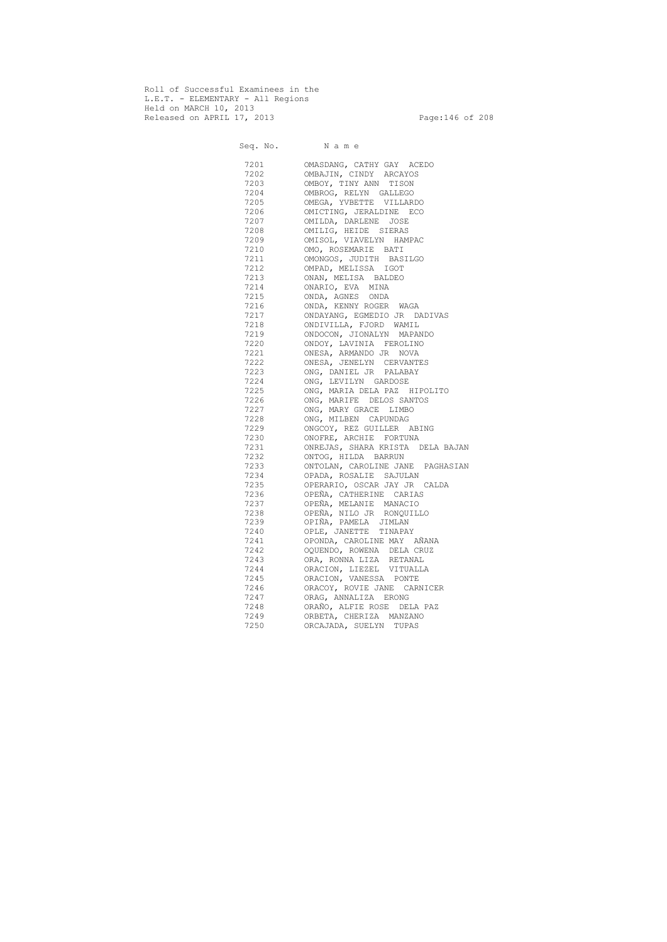Roll of Successful Examinees in the L.E.T. - ELEMENTARY - All Regions Held on MARCH 10, 2013 Released on APRIL 17, 2013 Page: 146 of 208

 Seq. No. N a m e 7201 OMASDANG, CATHY GAY ACEDO 7202 OMBAJIN, CINDY ARCAYOS 7203 OMBOY, TINY ANN TISON 7204 OMBROG, RELYN GALLEGO<br>7205 OMEGA, YVBETTE VILLAR OMEGA, YVBETTE VILLARDO 7206 OMICTING, JERALDINE ECO 7207 OMILDA, DARLENE JOSE 7208 OMILIG, HEIDE SIERAS 7209 OMISOL, VIAVELYN HAMPAC 7210 OMO, ROSEMARIE BATI 7211 OMONGOS, JUDITH BASILGO 7212 OMPAD, MELISSA IGOT 7213 ONAN, MELISA BALDEO 7214 ONARIO, EVA MINA 7215 ONDA, AGNES ONDA 7216 ONDA, KENNY ROGER WAGA 7217 ONDAYANG, EGMEDIO JR DADIVAS 7218 ONDIVILLA, FJORD WAMIL 7219 ONDOCON, JIONALYN MAPANDO 7220 ONDOY, LAVINIA FEROLINO 7221 ONESA, ARMANDO JR NOVA 7222 ONESA, JENELYN CERVANTES 7223 ONG, DANIEL JR PALABAY 7224 ONG, LEVILYN GARDOSE 7225 ONG, MARIA DELA PAZ HIPOLITO 7226 ONG, MARIFE DELOS SANTOS 7227 ONG, MARY GRACE LIMBO 7228 ONG, MILBEN CAPUNDAG 7229 ONGCOY, REZ GUILLER ABING 7230 ONOFRE, ARCHIE FORTUNA 7231 ONREJAS, SHARA KRISTA DELA BAJAN 7232 ONTOG, HILDA BARRUN 7233 ONTOLAN, CAROLINE JANE PAGHASIAN 7234 OPADA, ROSALIE SAJULAN 7235 OPERARIO, OSCAR JAY JR CALDA 7236 OPEÑA, CATHERINE CARIAS 7237 OPEÑA, MELANIE MANACIO 7238 OPEÑA, NILO JR RONQUILLO 7239 OPIÑA, PAMELA JIMLAN 7240 OPLE, JANETTE TINAPAY 7241 OPONDA, CAROLINE MAY AÑANA 7242 OQUENDO, ROWENA DELA CRUZ 7243 ORA, RONNA LIZA RETANAL 7244 ORACION, LIEZEL VITUALLA 7245 ORACION, VANESSA PONTE 7246 ORACOY, ROVIE JANE CARNICER 7247 ORAG, ANNALIZA ERONG 7248 ORAÑO, ALFIE ROSE DELA PAZ 7249 ORBETA, CHERIZA MANZANO 7250 ORCAJADA, SUELYN TUPAS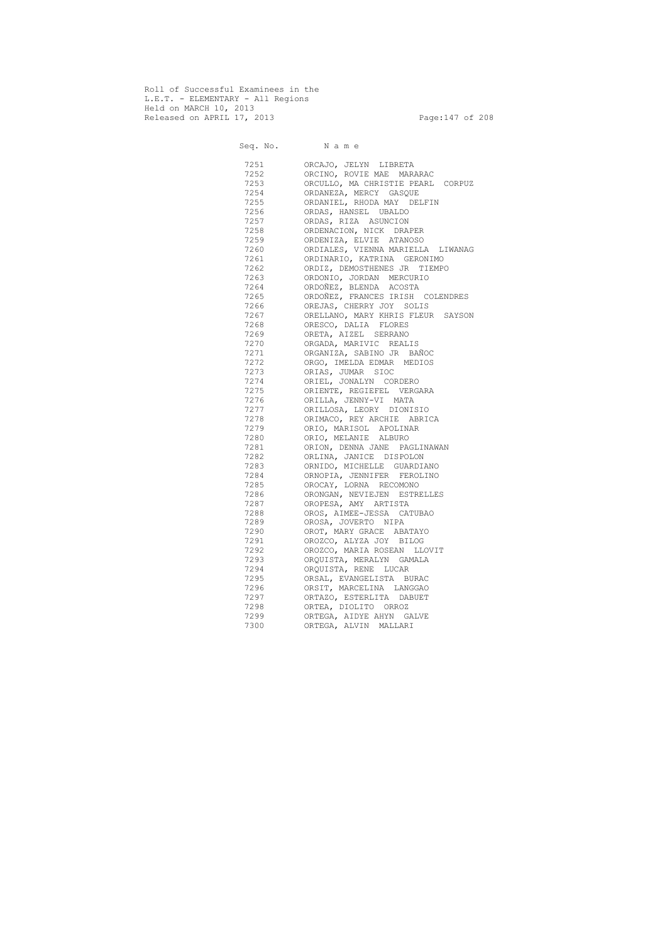Roll of Successful Examinees in the L.E.T. - ELEMENTARY - All Regions Held on MARCH 10, 2013 Released on APRIL 17, 2013 Page:147 of 208

 Seq. No. N a m e 7251 ORCAJO, JELYN LIBRETA 7252 ORCINO, ROVIE MAE MARARAC 7253 ORCULLO, MA CHRISTIE PEARL CORPUZ 7254 ORDANEZA, MERCY GASQUE ORDANIEL, RHODA MAY DELFIN 7256 ORDAS, HANSEL UBALDO 7257 ORDAS, RIZA ASUNCION 7258 ORDENACION, NICK DRAPER 7259 ORDENIZA, ELVIE ATANOSO 7260 ORDIALES, VIENNA MARIELLA LIWANAG 7261 ORDINARIO, KATRINA GERONIMO 7262 ORDIZ, DEMOSTHENES JR TIEMPO 7263 ORDONIO, JORDAN MERCURIO 7264 ORDOÑEZ, BLENDA ACOSTA 7265 ORDOÑEZ, FRANCES IRISH COLENDRES 7266 OREJAS, CHERRY JOY SOLIS 7267 ORELLANO, MARY KHRIS FLEUR SAYSON 7268 ORESCO, DALIA FLORES 7269 ORETA, AIZEL SERRANO 7270 ORGADA, MARIVIC REALIS 7271 ORGANIZA, SABINO JR BAÑOC 7272 ORGO, IMELDA EDMAR MEDIOS 7273 ORIAS, JUMAR SIOC 7274 ORIEL, JONALYN CORDERO 7275 ORIENTE, REGIEFEL VERGARA 7276 ORILLA, JENNY-VI MATA 7277 ORILLOSA, LEORY DIONISIO 7278 ORIMACO, REY ARCHIE ABRICA 7279 ORIO, MARISOL APOLINAR 7280 ORIO, MELANIE ALBURO 7281 ORION, DENNA JANE PAGLINAWAN 7282 ORLINA, JANICE DISPOLON 7283 ORNIDO, MICHELLE GUARDIANO 7284 ORNOPIA, JENNIFER FEROLINO 7285 OROCAY, LORNA RECOMONO 7286 ORONGAN, NEVIEJEN ESTRELLES 7287 OROPESA, AMY ARTISTA 7288 OROS, AIMEE-JESSA CATUBAO 7289 OROSA, JOVERTO NIPA 7290 OROT, MARY GRACE ABATAYO 7291 OROZCO, ALYZA JOY BILOG 7292 OROZCO, MARIA ROSEAN LLOVIT 7293 ORQUISTA, MERALYN GAMALA 7294 ORQUISTA, RENE LUCAR 7295 ORSAL, EVANGELISTA BURAC 7296 ORSIT, MARCELINA LANGGAO 7297 ORTAZO, ESTERLITA DABUET 7298 ORTEA, DIOLITO ORROZ 7299 ORTEGA, AIDYE AHYN GALVE 7300 ORTEGA, ALVIN MALLARI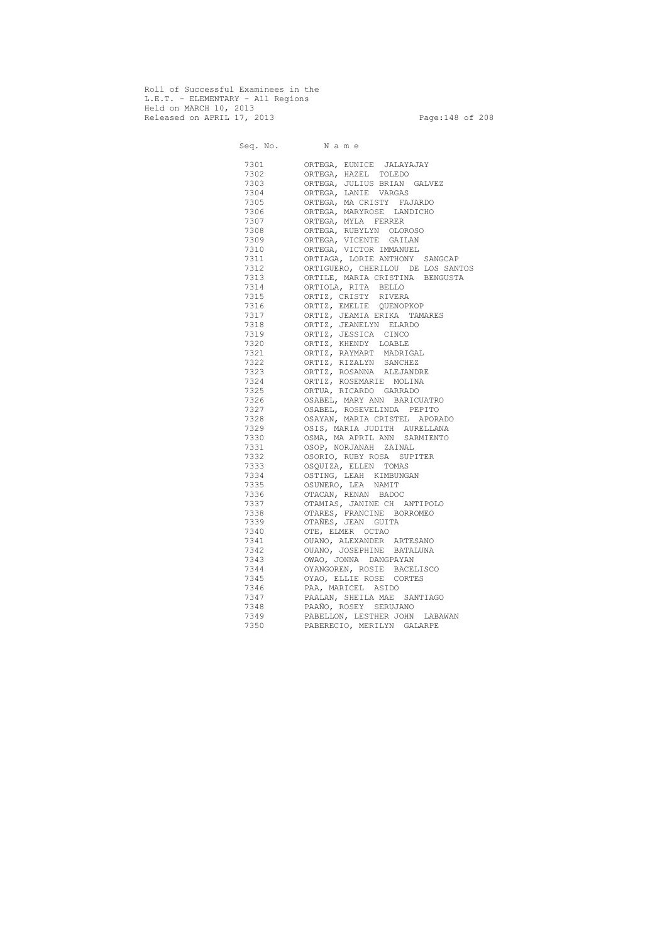Roll of Successful Examinees in the L.E.T. - ELEMENTARY - All Regions Held on MARCH 10, 2013 Released on APRIL 17, 2013 Page:148 of 208

 Seq. No. N a m e 7301 ORTEGA, EUNICE JALAYAJAY 7302 ORTEGA, HAZEL TOLEDO 7303 ORTEGA, JULIUS BRIAN GALVEZ 7304 ORTEGA, LANIE VARGAS ORTEGA, MA CRISTY FAJARDO 7306 ORTEGA, MARYROSE LANDICHO 7307 ORTEGA, MYLA FERRER 7308 ORTEGA, RUBYLYN OLOROSO 7309 ORTEGA, VICENTE GAILAN 7310 ORTEGA, VICTOR IMMANUEL 7311 ORTIAGA, LORIE ANTHONY SANGCAP 7312 ORTIGUERO, CHERILOU DE LOS SANTOS 7313 ORTILE, MARIA CRISTINA BENGUSTA 7314 ORTIOLA, RITA BELLO 7315 ORTIZ, CRISTY RIVERA 7316 ORTIZ, EMELIE QUENOPKOP 7317 ORTIZ, JEAMIA ERIKA TAMARES 7318 ORTIZ, JEANELYN ELARDO 7319 ORTIZ, JESSICA CINCO 7320 ORTIZ, KHENDY LOABLE 7321 ORTIZ, RAYMART MADRIGAL 7322 ORTIZ, RIZALYN SANCHEZ 7323 ORTIZ, ROSANNA ALEJANDRE 7324 ORTIZ, ROSEMARIE MOLINA 7325 ORTUA, RICARDO GARRADO 7326 OSABEL, MARY ANN BARICUATRO 7327 OSABEL, ROSEVELINDA PEPITO 7328 OSAYAN, MARIA CRISTEL APORADO 7329 OSIS, MARIA JUDITH AURELLANA 7330 OSMA, MA APRIL ANN SARMIENTO 7331 OSOP, NORJANAH ZAINAL 7332 OSORIO, RUBY ROSA SUPITER 7333 OSQUIZA, ELLEN TOMAS 7334 OSTING, LEAH KIMBUNGAN 7335 OSUNERO, LEA NAMIT 7336 OTACAN, RENAN BADOC 7337 OTAMIAS, JANINE CH ANTIPOLO 7338 OTARES, FRANCINE BORROMEO 7339 OTAÑES, JEAN GUITA 7340 OTE, ELMER OCTAO 7341 OUANO, ALEXANDER ARTESANO 7342 OUANO, JOSEPHINE BATALUNA 7343 OWAO, JONNA DANGPAYAN 7344 OYANGOREN, ROSIE BACELISCO 7345 OYAO, ELLIE ROSE CORTES 7346 PAA, MARICEL ASIDO 7347 PAALAN, SHEILA MAE SANTIAGO 7348 PAAÑO, ROSEY SERUJANO 7349 PABELLON, LESTHER JOHN LABAWAN 7350 PABERECIO, MERILYN GALARPE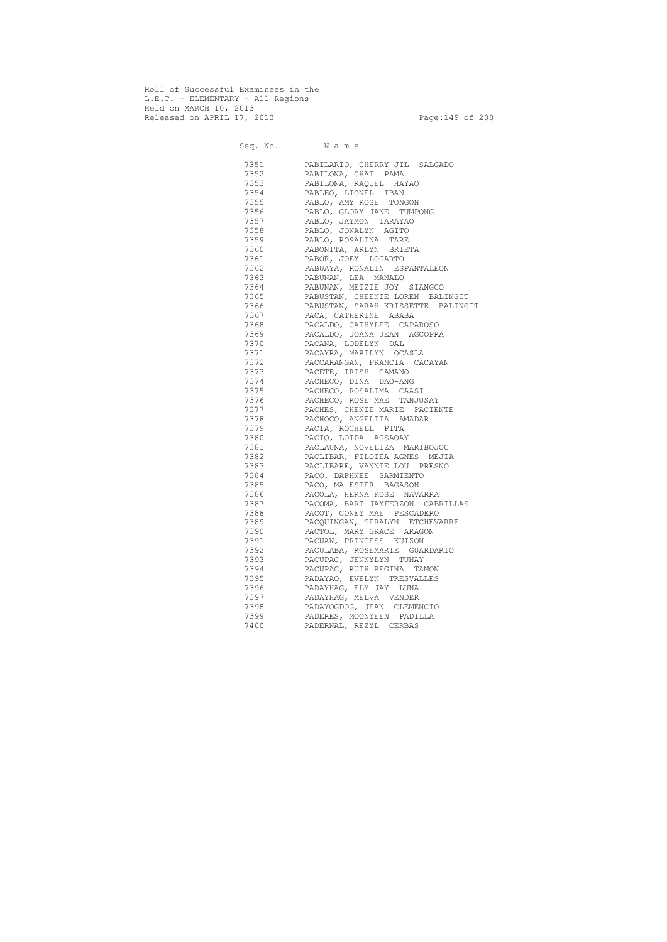Roll of Successful Examinees in the L.E.T. - ELEMENTARY - All Regions Held on MARCH 10, 2013 Released on APRIL 17, 2013 Page:149 of 208

 Seq. No. N a m e 7351 PABILARIO, CHERRY JIL SALGADO 7352 PABILONA, CHAT PAMA 7353 PABILONA, RAQUEL HAYAO PABLEO, LIONEL IBAN 7355 PABLO, AMY ROSE TONGON 7356 PABLO, GLORY JANE TUMPONG 7357 PABLO, JAYMON TARAYAO 7358 PABLO, JONALYN AGITO 7359 PABLO, ROSALINA TARE 7360 PABONITA, ARLYN BRIETA 7361 PABOR, JOEY LOGARTO 7362 PABUAYA, RONALIN ESPANTALEON 7363 PABUNAN, LEA MANALO 7364 PABUNAN, METZIE JOY SIANGCO 7365 PABUSTAN, CHEENIE LOREN BALINGIT 7366 PABUSTAN, SARAH KRISSETTE BALINGIT 7367 PACA, CATHERINE ABABA 7368 PACALDO, CATHYLEE CAPAROSO 7369 PACALDO, JOANA JEAN AGCOPRA 7370 PACANA, LODELYN DAL 7371 PACAYRA, MARILYN OCASLA 7372 PACCARANGAN, FRANCIA CACAYAN 7373 PACETE, IRISH CAMANO 7374 PACHECO, DINA DAO-ANG 7375 PACHECO, ROSALIMA CAASI 7376 PACHECO, ROSE MAE TANJUSAY 7377 PACHES, CHENIE MARIE PACIENTE 7378 PACHOCO, ANGELITA AMADAR 7379 PACIA, ROCHELL PITA 7380 PACIO, LOIDA AGSAOAY 7381 PACLAUNA, NOVELIZA MARIBOJOC 7382 PACLIBAR, FILOTEA AGNES MEJIA 7383 PACLIBARE, VANNIE LOU PRESNO 7384 PACO, DAPHNEE SARMIENTO 7385 PACO, MA ESTER BAGASON 7386 PACOLA, HERNA ROSE NAVARRA 7387 PACOMA, BART JAYFERZON CABRILLAS 7388 PACOT, CONEY MAE PESCADERO 7389 PACQUINGAN, GERALYN ETCHEVARRE 7390 PACTOL, MARY GRACE ARAGON 7391 PACUAN, PRINCESS KUIZON 7392 PACULABA, ROSEMARIE GUARDARIO 7393 PACUPAC, JENNYLYN TUNAY 7394 PACUPAC, RUTH REGINA TAMON 7395 PADAYAO, EVELYN TRESVALLES 7396 PADAYHAG, ELY JAY LUNA 7397 PADAYHAG, MELVA VENDER 7398 PADAYOGDOG, JEAN CLEMENCIO 7399 PADERES, MOONYEEN PADILLA 7400 PADERNAL, REZYL CERBAS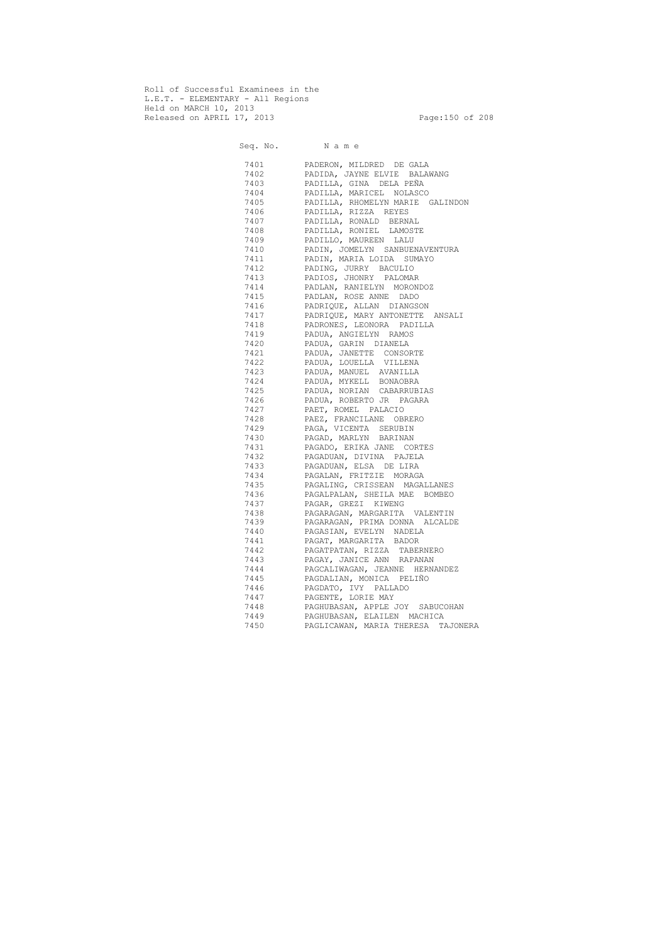Roll of Successful Examinees in the L.E.T. - ELEMENTARY - All Regions Held on MARCH 10, 2013 Released on APRIL 17, 2013 Page:150 of 208

 Seq. No. N a m e 7401 PADERON, MILDRED DE GALA 7402 PADIDA, JAYNE ELVIE BALAWANG 7403 PADILLA, GINA DELA PEÑA PADILLA, MARICEL NOLASCO 7405 PADILLA, RHOMELYN MARIE GALINDON 7406 PADILLA, RIZZA REYES 7407 PADILLA, RONALD BERNAL 7408 PADILLA, RONIEL LAMOSTE 7409 PADILLO, MAUREEN LALU 7410 PADIN, JOMELYN SANBUENAVENTURA 7411 PADIN, MARIA LOIDA SUMAYO 7412 PADING, JURRY BACULIO 7413 PADIOS, JHONRY PALOMAR 7414 PADLAN, RANIELYN MORONDOZ 7415 PADLAN, ROSE ANNE DADO 7416 PADRIQUE, ALLAN DIANGSON 7417 PADRIQUE, MARY ANTONETTE ANSALI 7418 PADRONES, LEONORA PADILLA 7419 PADUA, ANGIELYN RAMOS 7420 PADUA, GARIN DIANELA 7421 PADUA, JANETTE CONSORTE 7422 PADUA, LOUELLA VILLENA 7423 PADUA, MANUEL AVANILLA 7424 PADUA, MYKELL BONAOBRA 7425 PADUA, NORIAN CABARRUBIAS 7426 PADUA, ROBERTO JR PAGARA 7427 PAET, ROMEL PALACIO 7428 PAEZ, FRANCILANE OBRERO 7429 PAGA, VICENTA SERUBIN 7430 PAGAD, MARLYN BARINAN 7431 PAGADO, ERIKA JANE CORTES 7432 PAGADUAN, DIVINA PAJELA 7433 PAGADUAN, ELSA DE LIRA 7434 PAGALAN, FRITZIE MORAGA 7435 PAGALING, CRISSEAN MAGALLANES 7436 PAGALPALAN, SHEILA MAE BOMBEO 7437 PAGAR, GREZI KIWENG 7438 PAGARAGAN, MARGARITA VALENTIN 7439 PAGARAGAN, PRIMA DONNA ALCALDE 7440 PAGASIAN, EVELYN NADELA 7441 PAGAT, MARGARITA BADOR 7442 PAGATPATAN, RIZZA TABERNERO 7443 PAGAY, JANICE ANN RAPANAN 7444 PAGCALIWAGAN, JEANNE HERNANDEZ 7445 PAGDALIAN, MONICA PELIÑO 7446 PAGDATO, IVY PALLADO 7447 PAGENTE, LORIE MAY 7448 PAGHUBASAN, APPLE JOY SABUCOHAN 7449 PAGHUBASAN, ELAILEN MACHICA 7450 PAGLICAWAN, MARIA THERESA TAJONERA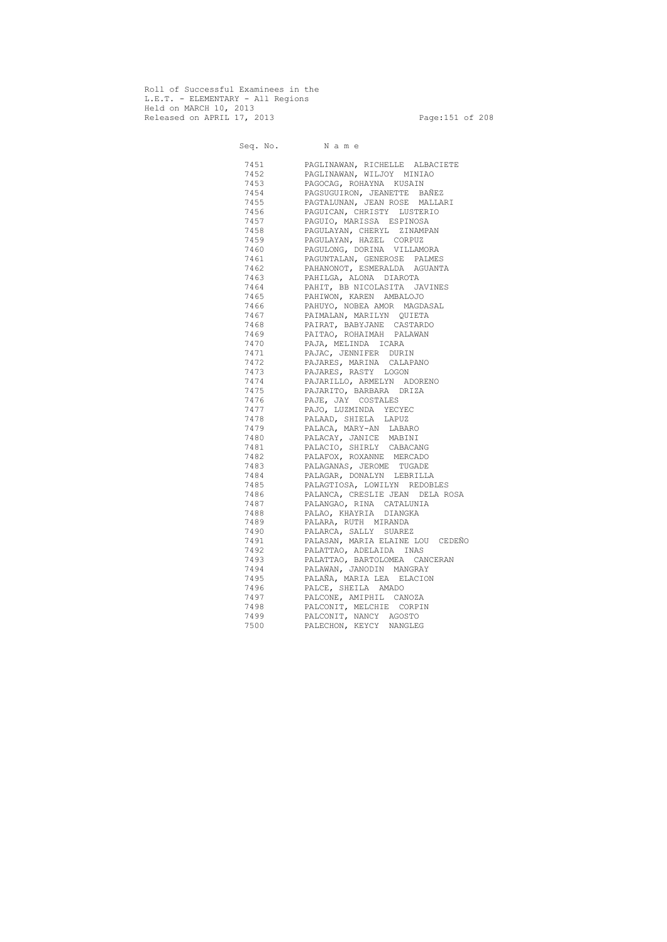Roll of Successful Examinees in the L.E.T. - ELEMENTARY - All Regions Held on MARCH 10, 2013 Released on APRIL 17, 2013 Page:151 of 208

 Seq. No. N a m e 7451 PAGLINAWAN, RICHELLE ALBACIETE 7452 PAGLINAWAN, WILJOY MINIAO 7453 PAGOCAG, ROHAYNA KUSAIN 7454 PAGSUGUIRON, JEANETTE BAÑEZ 7455 PAGTALUNAN, JEAN ROSE MALLARI<br>7456 PAGUICAN, CHRISTY LUSTERIO PAGUICAN, CHRISTY LUSTERIO 7457 PAGUIO, MARISSA ESPINOSA 7458 PAGULAYAN, CHERYL ZINAMPAN 7459 PAGULAYAN, HAZEL CORPUZ 7460 PAGULONG, DORINA VILLAMORA 7461 PAGUNTALAN, GENEROSE PALMES 7462 PAHANONOT, ESMERALDA AGUANTA 7463 PAHILGA, ALONA DIAROTA 7464 PAHIT, BB NICOLASITA JAVINES 7465 PAHIWON, KAREN AMBALOJO 7466 PAHUYO, NOBEA AMOR MAGDASAL 7467 PAIMALAN, MARILYN QUIETA 7468 PAIRAT, BABYJANE CASTARDO 7469 PAITAO, ROHAIMAH PALAWAN 7470 PAJA, MELINDA ICARA 7471 PAJAC, JENNIFER DURIN 7472 PAJARES, MARINA CALAPANO 7473 PAJARES, RASTY LOGON 7474 PAJARILLO, ARMELYN ADORENO 7475 PAJARITO, BARBARA DRIZA 7476 PAJE, JAY COSTALES 7477 PAJO, LUZMINDA YECYEC 7478 PALAAD, SHIELA LAPUZ 7479 PALACA, MARY-AN LABARO 7480 PALACAY, JANICE MABINI 7481 PALACIO, SHIRLY CABACANG 7482 PALAFOX, ROXANNE MERCADO 7483 PALAGANAS, JEROME TUGADE 7484 PALAGAR, DONALYN LEBRILLA 7485 PALAGTIOSA, LOWILYN REDOBLES 7486 PALANCA, CRESLIE JEAN DELA ROSA 7487 PALANGAO, RINA CATALUNIA 7488 PALAO, KHAYRIA DIANGKA 7489 PALARA, RUTH MIRANDA 7490 PALARCA, SALLY SUAREZ 7491 PALASAN, MARIA ELAINE LOU CEDEÑO 7492 PALATTAO, ADELAIDA INAS 7493 PALATTAO, BARTOLOMEA CANCERAN 7494 PALAWAN, JANODIN MANGRAY 7495 PALAÑA, MARIA LEA ELACION 7496 PALCE, SHEILA AMADO 7497 PALCONE, AMIPHIL CANOZA 7498 PALCONIT, MELCHIE CORPIN 7499 PALCONIT, NANCY AGOSTO 7500 PALECHON, KEYCY NANGLEG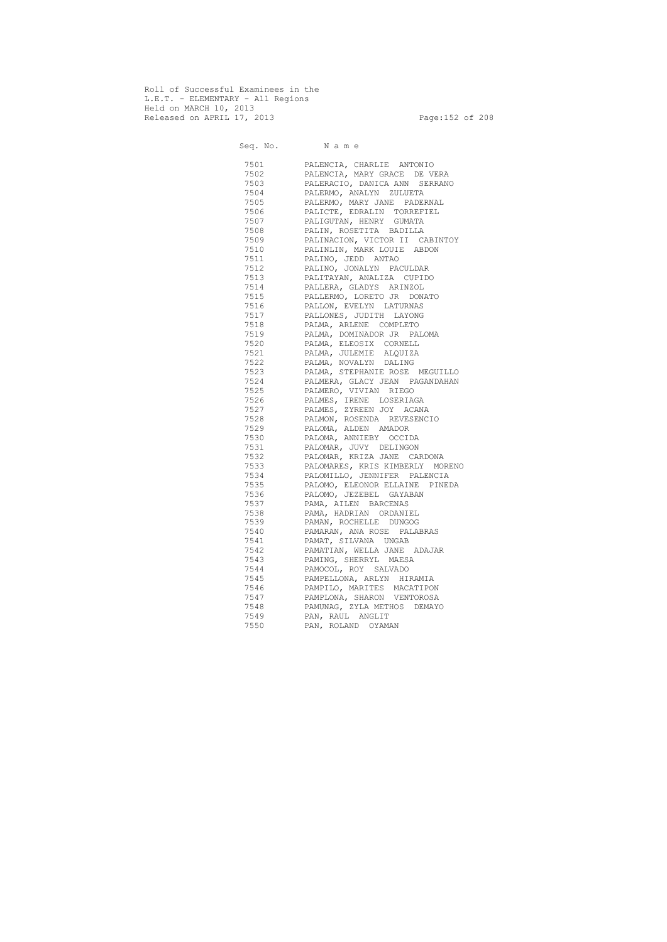Roll of Successful Examinees in the L.E.T. - ELEMENTARY - All Regions Held on MARCH 10, 2013 Released on APRIL 17, 2013 Page:152 of 208

 Seq. No. N a m e 7501 PALENCIA, CHARLIE ANTONIO 7502 PALENCIA, MARY GRACE DE VERA 7503 PALERACIO, DANICA ANN SERRANO PALERMO, ANALYN ZULUETA 7505 PALERMO, MARY JANE PADERNAL 7506 PALICTE, EDRALIN TORREFIEL 7507 PALIGUTAN, HENRY GUMATA 7508 PALIN, ROSETITA BADILLA 7509 PALINACION, VICTOR II CABINTOY 7510 PALINLIN, MARK LOUIE ABDON 7511 PALINO, JEDD ANTAO 7512 PALINO, JONALYN PACULDAR 7513 PALITAYAN, ANALIZA CUPIDO 7514 PALLERA, GLADYS ARINZOL 7515 PALLERMO, LORETO JR DONATO 7516 PALLON, EVELYN LATURNAS 7517 PALLONES, JUDITH LAYONG 7518 PALMA, ARLENE COMPLETO 7519 PALMA, DOMINADOR JR PALOMA 7520 PALMA, ELEOSIX CORNELL 7521 PALMA, JULEMIE ALQUIZA 7522 PALMA, NOVALYN DALING 7523 PALMA, STEPHANIE ROSE MEGUILLO 7524 PALMERA, GLACY JEAN PAGANDAHAN 7525 PALMERO, VIVIAN RIEGO 7526 PALMES, IRENE LOSERIAGA 7527 PALMES, ZYREEN JOY ACANA 7528 PALMON, ROSENDA REVESENCIO 7529 PALOMA, ALDEN AMADOR 7530 PALOMA, ANNIEBY OCCIDA 7531 PALOMAR, JUVY DELINGON 7532 PALOMAR, KRIZA JANE CARDONA 7533 PALOMARES, KRIS KIMBERLY MORENO 7534 PALOMILLO, JENNIFER PALENCIA 7535 PALOMO, ELEONOR ELLAINE PINEDA 7536 PALOMO, JEZEBEL GAYABAN 7537 PAMA, AILEN BARCENAS 7538 PAMA, HADRIAN ORDANIEL 7539 PAMAN, ROCHELLE DUNGOG 7540 PAMARAN, ANA ROSE PALABRAS 7541 PAMAT, SILVANA UNGAB 7542 PAMATIAN, WELLA JANE ADAJAR 7543 PAMING, SHERRYL MAESA 7544 PAMOCOL, ROY SALVADO 7545 PAMPELLONA, ARLYN HIRAMIA 7546 PAMPILO, MARITES MACATIPON 7547 PAMPLONA, SHARON VENTOROSA 7548 PAMUNAG, ZYLA METHOS DEMAYO 7549 PAN, RAUL ANGLIT<br>7550 PAN, ROLAND OYAM PAN, ROLAND OYAMAN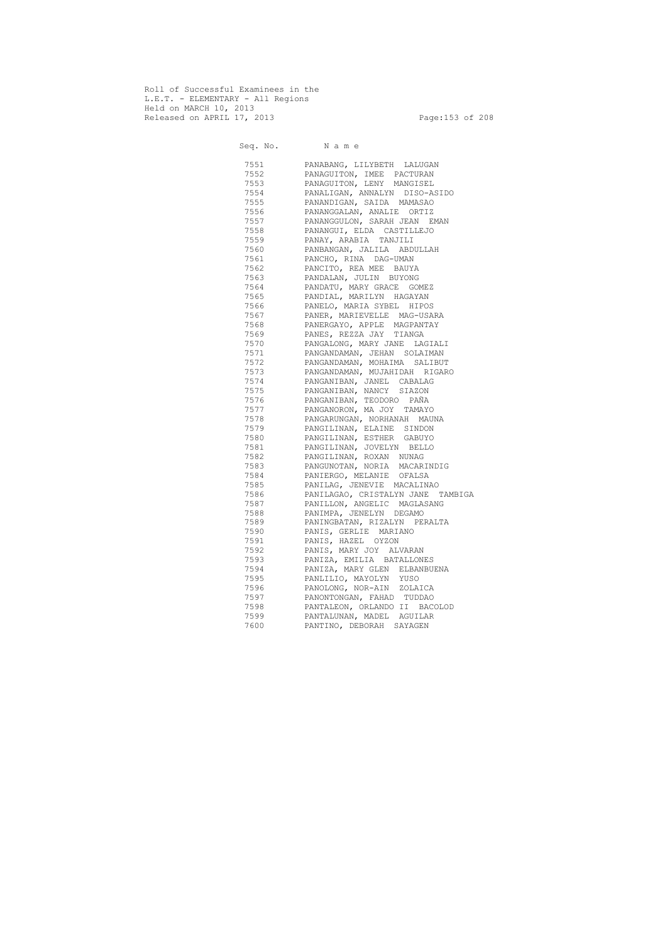Roll of Successful Examinees in the L.E.T. - ELEMENTARY - All Regions Held on MARCH 10, 2013 Released on APRIL 17, 2013 Page:153 of 208

 Seq. No. N a m e 7551 PANABANG, LILYBETH LALUGAN 7552 PANAGUITON, IMEE PACTURAN PANAGUITON, LENY MANGISEL 7554 PANALIGAN, ANNALYN DISO-ASIDO 7555 PANANDIGAN, SAIDA MAMASAO 7556 PANANGGALAN, ANALIE ORTIZ 7557 PANANGGULON, SARAH JEAN EMAN 7558 PANANGUI, ELDA CASTILLEJO 7559 PANAY, ARABIA TANJILI 7560 PANBANGAN, JALILA ABDULLAH 7561 PANCHO, RINA DAG-UMAN 7562 PANCITO, REA MEE BAUYA 7563 PANDALAN, JULIN BUYONG 7564 PANDATU, MARY GRACE GOMEZ 7565 PANDIAL, MARILYN HAGAYAN 7566 PANELO, MARIA SYBEL HIPOS 7567 PANER, MARIEVELLE MAG-USARA 7568 PANERGAYO, APPLE MAGPANTAY 7569 PANES, REZZA JAY TIANGA 7570 PANGALONG, MARY JANE LAGIALI 7571 PANGANDAMAN, JEHAN SOLAIMAN 7572 PANGANDAMAN, MOHAIMA SALIBUT 7573 PANGANDAMAN, MUJAHIDAH RIGARO 7574 PANGANIBAN, JANEL CABALAG 7575 PANGANIBAN, NANCY SIAZON 7576 PANGANIBAN, TEODORO PAÑA 7577 PANGANORON, MA JOY TAMAYO 7578 PANGARUNGAN, NORHANAH MAUNA 7579 PANGILINAN, ELAINE SINDON 7580 PANGILINAN, ESTHER GABUYO 7581 PANGILINAN, JOVELYN BELLO 7582 PANGILINAN, ROXAN NUNAG 7583 PANGUNOTAN, NORIA MACARINDIG 7584 PANIERGO, MELANIE OFALSA 7585 PANILAG, JENEVIE MACALINAO 7586 PANILAGAO, CRISTALYN JANE TAMBIGA 7587 PANILLON, ANGELIC MAGLASANG 7588 PANIMPA, JENELYN DEGAMO 7589 PANINGBATAN, RIZALYN PERALTA 7590 PANIS, GERLIE MARIANO 7591 PANIS, HAZEL OYZON 7592 PANIS, MARY JOY ALVARAN 7593 PANIZA, EMILIA BATALLONES 7594 PANIZA, MARY GLEN ELBANBUENA 7595 PANLILIO, MAYOLYN YUSO 7596 PANOLONG, NOR-AIN ZOLAICA 7597 PANONTONGAN, FAHAD TUDDAO 7598 PANTALEON, ORLANDO II BACOLOD 7599 PANTALUNAN, MADEL AGUILAR 7600 PANTINO, DEBORAH SAYAGEN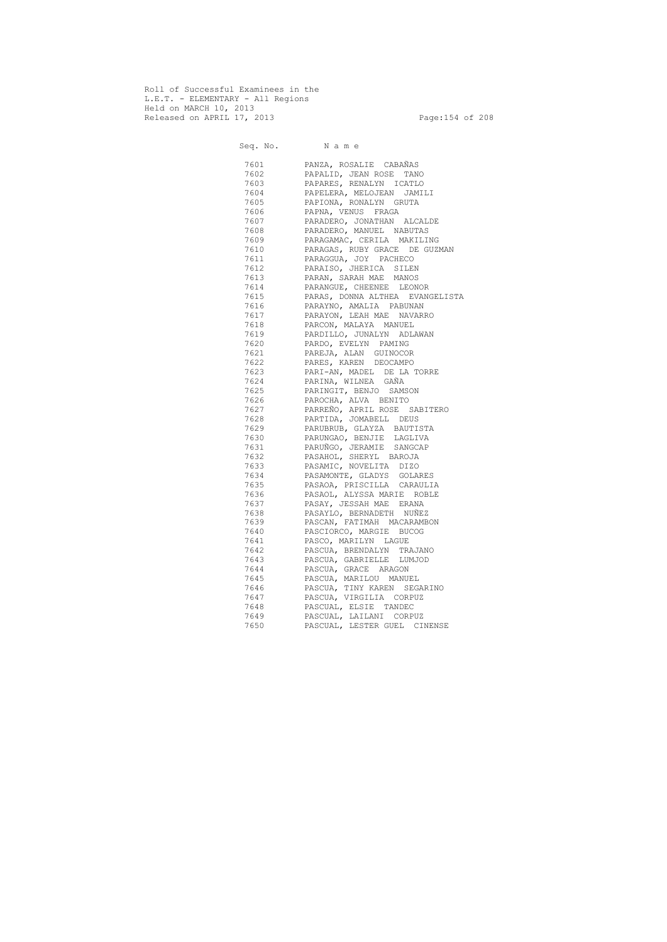Roll of Successful Examinees in the L.E.T. - ELEMENTARY - All Regions Held on MARCH 10, 2013 Released on APRIL 17, 2013 Page:154 of 208

 Seq. No. N a m e 7601 PANZA, ROSALIE CABAÑAS 7602 PAPALID, JEAN ROSE TANO 7603 PAPARES, RENALYN ICATLO 7604 PAPELERA, MELOJEAN JAMILI 7605 PAPIONA, RONALYN GRUTA<br>7606 PAPNA, VENUS FRAGA PAPNA, VENUS FRAGA 7607 PARADERO, JONATHAN ALCALDE 7608 PARADERO, MANUEL NABUTAS 7609 PARAGAMAC, CERILA MAKILING 7610 PARAGAS, RUBY GRACE DE GUZMAN 7611 PARAGGUA, JOY PACHECO 7612 PARAISO, JHERICA SILEN 7613 PARAN, SARAH MAE MANOS 7614 PARANGUE, CHEENEE LEONOR 7615 PARAS, DONNA ALTHEA EVANGELISTA 7616 PARAYNO, AMALIA PABUNAN 7617 PARAYON, LEAH MAE NAVARRO 7618 PARCON, MALAYA MANUEL 7619 PARDILLO, JUNALYN ADLAWAN 7620 PARDO, EVELYN PAMING 7621 PAREJA, ALAN GUINOCOR 7622 PARES, KAREN DEOCAMPO 7623 PARI-AN, MADEL DE LA TORRE 7624 PARINA, WILNEA GAÑA 7625 PARINGIT, BENJO SAMSON 7626 PAROCHA, ALVA BENITO 7627 PARREÑO, APRIL ROSE SABITERO 7628 PARTIDA, JOMABELL DEUS 7629 PARUBRUB, GLAYZA BAUTISTA 7630 PARUNGAO, BENJIE LAGLIVA 7631 PARUÑGO, JERAMIE SANGCAP 7632 PASAHOL, SHERYL BAROJA 7633 PASAMIC, NOVELITA DIZO 7634 PASAMONTE, GLADYS GOLARES 7635 PASAOA, PRISCILLA CARAULIA 7636 PASAOL, ALYSSA MARIE ROBLE 7637 PASAY, JESSAH MAE ERANA 7638 PASAYLO, BERNADETH NUÑEZ 7639 PASCAN, FATIMAH MACARAMBON 7640 PASCIORCO, MARGIE BUCOG 7641 PASCO, MARILYN LAGUE 7642 PASCUA, BRENDALYN TRAJANO 7643 PASCUA, GABRIELLE LUMJOD 7644 PASCUA, GRACE ARAGON 7645 PASCUA, MARILOU MANUEL 7646 PASCUA, TINY KAREN SEGARINO 7647 PASCUA, VIRGILIA CORPUZ 7648 PASCUAL, ELSIE TANDEC 7649 PASCUAL, LAILANI CORPUZ 7650 PASCUAL, LESTER GUEL CINENSE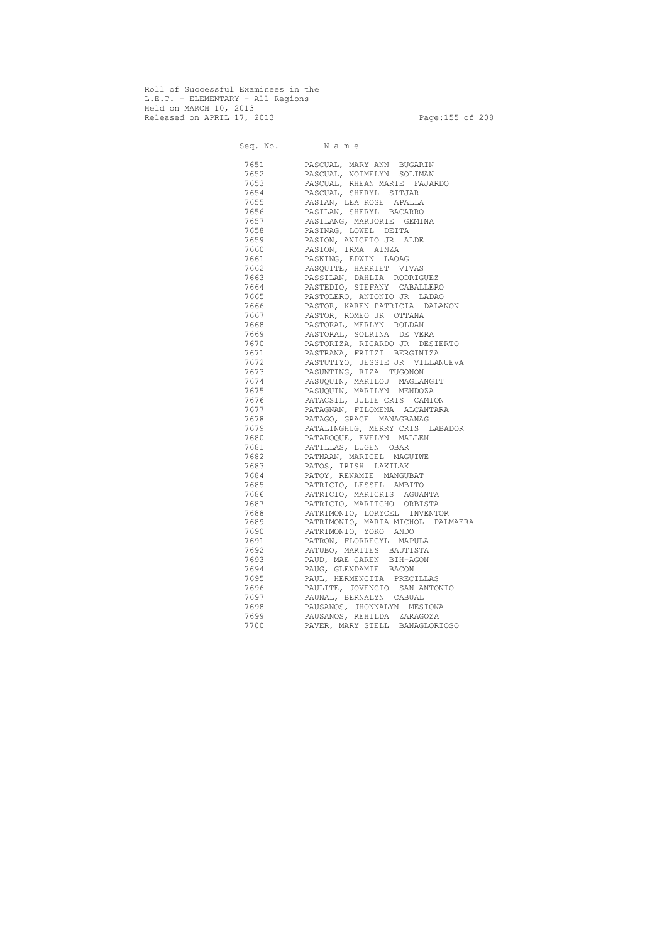Roll of Successful Examinees in the L.E.T. - ELEMENTARY - All Regions Held on MARCH 10, 2013 Released on APRIL 17, 2013 Page:155 of 208

 Seq. No. N a m e 7651 PASCUAL, MARY ANN BUGARIN 7652 PASCUAL, NOIMELYN SOLIMAN 7653 PASCUAL, RHEAN MARIE FAJARDO 7654 PASCUAL, SHERYL SITJAR 7655 PASIAN, LEA ROSE APALLA 7656 PASILAN, SHERYL BACARRO 7657 PASILANG, MARJORIE GEMINA 7658 PASINAG, LOWEL DEITA 7659 PASION, ANICETO JR ALDE 7660 PASION, IRMA AINZA 7661 PASKING, EDWIN LAOAG 7662 PASQUITE, HARRIET VIVAS 7663 PASSILAN, DAHLIA RODRIGUEZ 7664 PASTEDIO, STEFANY CABALLERO 7665 PASTOLERO, ANTONIO JR LADAO 7666 PASTOR, KAREN PATRICIA DALANON 7667 PASTOR, ROMEO JR OTTANA 7668 PASTORAL, MERLYN ROLDAN 7669 PASTORAL, SOLRINA DE VERA 7670 PASTORIZA, RICARDO JR DESIERTO 7671 PASTRANA, FRITZI BERGINIZA 7672 PASTUTIYO, JESSIE JR VILLANUEVA 7673 PASUNTING, RIZA TUGONON 7674 PASUQUIN, MARILOU MAGLANGIT 7675 PASUQUIN, MARILYN MENDOZA 7676 PATACSIL, JULIE CRIS CAMION 7677 PATAGNAN, FILOMENA ALCANTARA 7678 PATAGO, GRACE MANAGBANAG 7679 PATALINGHUG, MERRY CRIS LABADOR 7680 PATAROQUE, EVELYN MALLEN 7681 PATILLAS, LUGEN OBAR 7682 PATNAAN, MARICEL MAGUIWE 7683 PATOS, IRISH LAKILAK 7684 PATOY, RENAMIE MANGUBAT 7685 PATRICIO, LESSEL AMBITO 7686 PATRICIO, MARICRIS AGUANTA 7687 PATRICIO, MARITCHO ORBISTA 7688 PATRIMONIO, LORYCEL INVENTOR 7689 PATRIMONIO, MARIA MICHOL PALMAERA 7690 PATRIMONIO, YOKO ANDO 7691 PATRON, FLORRECYL MAPULA 7692 PATUBO, MARITES BAUTISTA 7693 PAUD, MAE CAREN BIH-AGON 7694 PAUG, GLENDAMIE BACON 7695 PAUL, HERMENCITA PRECILLAS 7696 PAULITE, JOVENCIO SAN ANTONIO 7697 PAUNAL, BERNALYN CABUAL 7698 PAUSANOS, JHONNALYN MESIONA 7699 PAUSANOS, REHILDA ZARAGOZA 7700 PAVER, MARY STELL BANAGLORIOSO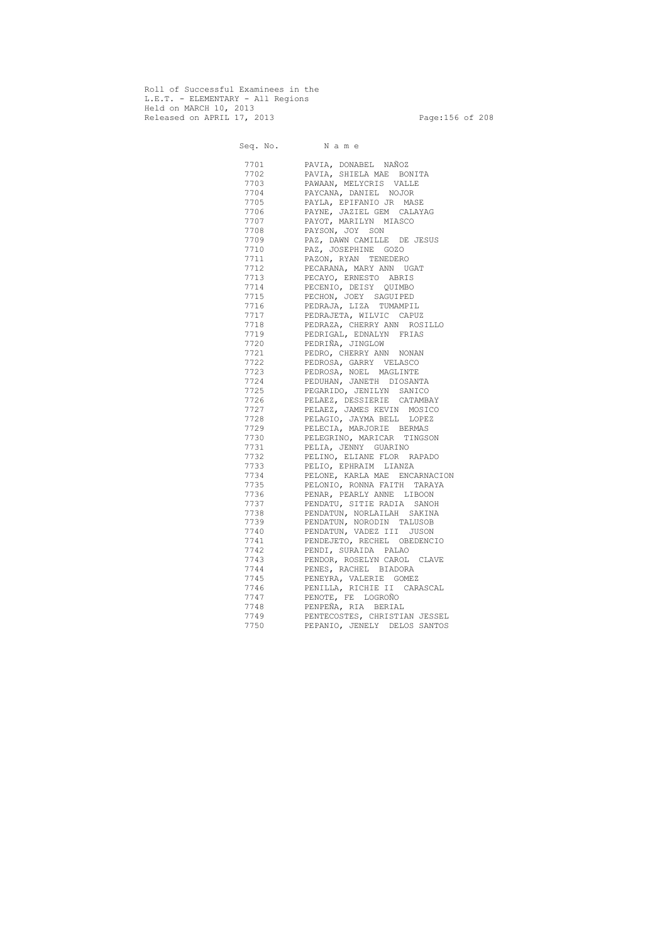Roll of Successful Examinees in the L.E.T. - ELEMENTARY - All Regions Held on MARCH 10, 2013 Released on APRIL 17, 2013 Page:156 of 208

 Seq. No. N a m e 7701 PAVIA, DONABEL NAÑOZ 7702 PAVIA, SHIELA MAE BONITA 7703 PAWAAN, MELYCRIS VALLE 7704 PAYCANA, DANIEL NOJOR 7705 PAYLA, EPIFANIO JR MASE 7706 PAYNE, JAZIEL GEM CALAYAG 7707 PAYOT, MARILYN MIASCO 7708 PAYSON, JOY SON 7709 PAZ, DAWN CAMILLE DE JESUS 7710 PAZ, JOSEPHINE GOZO 7711 PAZON, RYAN TENEDERO 7712 PECARANA, MARY ANN UGAT 7713 PECAYO, ERNESTO ABRIS 7714 PECENIO, DEISY QUIMBO 7715 PECHON, JOEY SAGUIPED 7716 PEDRAJA, LIZA TUMAMPIL 7717 PEDRAJETA, WILVIC CAPUZ 7718 PEDRAZA, CHERRY ANN ROSILLO 7719 PEDRIGAL, EDNALYN FRIAS 7720 PEDRIÑA, JINGLOW 7721 PEDRO, CHERRY ANN NONAN 7722 PEDROSA, GARRY VELASCO 7723 PEDROSA, NOEL MAGLINTE 7724 PEDUHAN, JANETH DIOSANTA 7725 PEGARIDO, JENILYN SANICO 7726 PELAEZ, DESSIERIE CATAMBAY 7727 PELAEZ, JAMES KEVIN MOSICO 7728 PELAGIO, JAYMA BELL LOPEZ 7729 PELECIA, MARJORIE BERMAS 7730 PELEGRINO, MARICAR TINGSON 7731 PELIA, JENNY GUARINO 7732 PELINO, ELIANE FLOR RAPADO 7733 PELIO, EPHRAIM LIANZA 7734 PELONE, KARLA MAE ENCARNACION 7735 PELONIO, RONNA FAITH TARAYA 7736 PENAR, PEARLY ANNE LIBOON 7737 PENDATU, SITIE RADIA SANOH 7738 PENDATUN, NORLAILAH SAKINA 7739 PENDATUN, NORODIN TALUSOB 7740 PENDATUN, VADEZ III JUSON 7741 PENDEJETO, RECHEL OBEDENCIO 7742 PENDI, SURAIDA PALAO 7743 PENDOR, ROSELYN CAROL CLAVE 7744 PENES, RACHEL BIADORA PENEYRA, VALERIE GOMEZ 7746 PENILLA, RICHIE II CARASCAL<br>7747 PENOTE, FE LOGROÑO PENOTE, FE LOGROÑO 7748 PENPEÑA, RIA BERIAL 7749 PENTECOSTES, CHRISTIAN JESSEL PEPANIO, JENELY DELOS SANTOS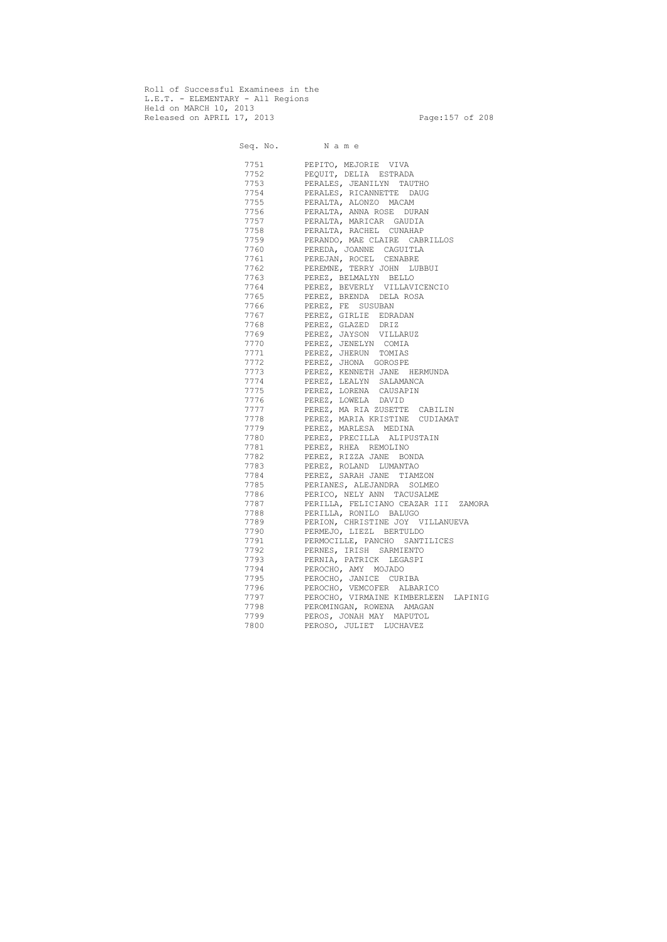Roll of Successful Examinees in the L.E.T. - ELEMENTARY - All Regions Held on MARCH 10, 2013 Released on APRIL 17, 2013 Page:157 of 208

 Seq. No. N a m e 7751 PEPITO, MEJORIE VIVA 7752 PEQUIT, DELIA ESTRADA 7753 PERALES, JEANILYN TAUTHO 7754 PERALES, RICANNETTE DAUG 7755 PERALTA, ALONZO MACAM PERALTA, ANNA ROSE DURAN 7757 PERALTA, MARICAR GAUDIA 7758 PERALTA, RACHEL CUNAHAP 7759 PERANDO, MAE CLAIRE CABRILLOS 7760 PEREDA, JOANNE CAGUITLA 7761 PEREJAN, ROCEL CENABRE 7762 PEREMNE, TERRY JOHN LUBBUI 7763 PEREZ, BELMALYN BELLO 7764 PEREZ, BEVERLY VILLAVICENCIO 7765 PEREZ, BRENDA DELA ROSA 7766 PEREZ, FE SUSUBAN 7767 PEREZ, GIRLIE EDRADAN 7768 PEREZ, GLAZED DRIZ 7769 PEREZ, JAYSON VILLARUZ 7770 PEREZ, JENELYN COMIA 7771 PEREZ, JHERUN TOMIAS 7772 PEREZ, JHONA GOROSPE 7773 PEREZ, KENNETH JANE HERMUNDA 7774 PEREZ, LEALYN SALAMANCA PEREZ, LORENA CAUSAPIN 7776 PEREZ, LOWELA DAVID 7777 PEREZ, MA RIA ZUSETTE CABILIN 7778 PEREZ, MARIA KRISTINE CUDIAMAT 7779 PEREZ, MARLESA MEDINA 7780 PEREZ, PRECILLA ALIPUSTAIN 7781 PEREZ, RHEA REMOLINO 7782 PEREZ, RIZZA JANE BONDA 7783 PEREZ, ROLAND LUMANTAO 7784 PEREZ, SARAH JANE TIAMZON 7785 PERIANES, ALEJANDRA SOLMEO 7786 PERICO, NELY ANN TACUSALME 7787 PERILLA, FELICIANO CEAZAR III ZAMORA 7788 PERILLA, RONILO BALUGO 7789 PERION, CHRISTINE JOY VILLANUEVA 7790 PERMEJO, LIEZL BERTULDO 7791 PERMOCILLE, PANCHO SANTILICES 7792 PERNES, IRISH SARMIENTO 7793 PERNIA, PATRICK LEGASPI 7794 PEROCHO, AMY MOJADO PEROCHO, JANICE CURIBA 7796 PEROCHO, VEMCOFER ALBARICO<br>7797 PEROCHO, VIRMAINE KIMBERLEEI PEROCHO, VIRMAINE KIMBERLEEN LAPINIG 7798 PEROMINGAN, ROWENA AMAGAN 7799 PEROS, JONAH MAY MAPUTOL<br>7800 PEROSO, JULIET LUCHAVEZ PEROSO, JULIET LUCHAVEZ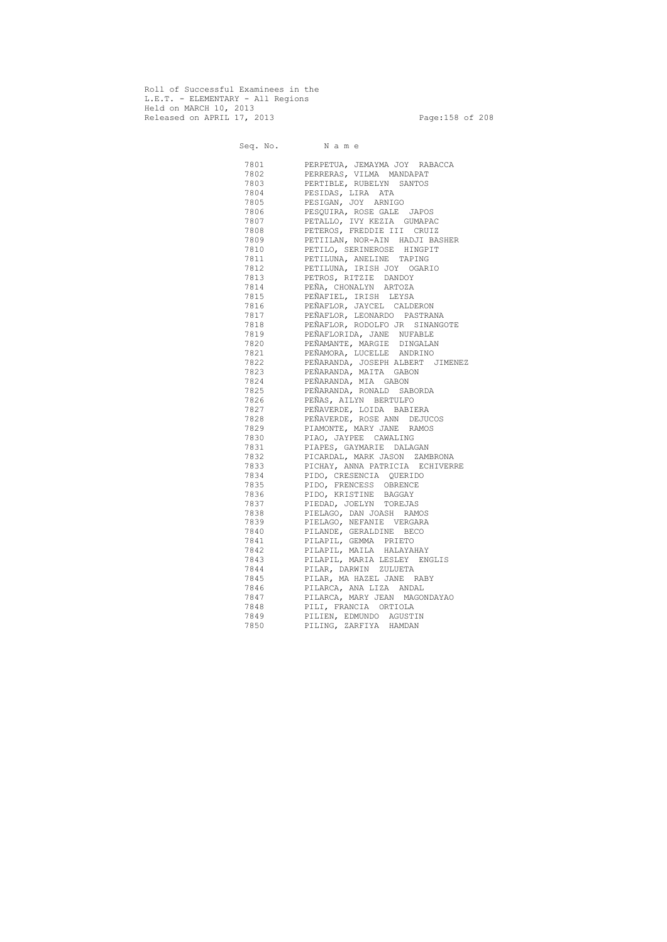Roll of Successful Examinees in the L.E.T. - ELEMENTARY - All Regions Held on MARCH 10, 2013 Released on APRIL 17, 2013 Page:158 of 208

 Seq. No. N a m e 7801 PERPETUA, JEMAYMA JOY RABACCA 7802 PERRERAS, VILMA MANDAPAT 7803 PERTIBLE, RUBELYN SANTOS 7804 PESIDAS, LIRA ATA 7805 PESIGAN, JOY ARNIGO<br>7806 PESQUIRA, ROSE GALE PESQUIRA, ROSE GALE JAPOS 7807 PETALLO, IVY KEZIA GUMAPAC 7808 PETEROS, FREDDIE III CRUIZ 7809 PETIILAN, NOR-AIN HADJI BASHER 7810 PETILO, SERINEROSE HINGPIT 7811 PETILUNA, ANELINE TAPING 7812 PETILUNA, IRISH JOY OGARIO 7813 PETROS, RITZIE DANDOY 7814 PEÑA, CHONALYN ARTOZA 7815 PEÑAFIEL, IRISH LEYSA 7816 PEÑAFLOR, JAYCEL CALDERON 7817 PEÑAFLOR, LEONARDO PASTRANA 7818 PEÑAFLOR, RODOLFO JR SINANGOTE 7819 PEÑAFLORIDA, JANE NUFABLE 7820 PEÑAMANTE, MARGIE DINGALAN 7821 PEÑAMORA, LUCELLE ANDRINO 7822 PEÑARANDA, JOSEPH ALBERT JIMENEZ 7823 PEÑARANDA, MAITA GABON 7824 PEÑARANDA, MIA GABON 7825 PEÑARANDA, RONALD SABORDA 7826 PEÑAS, AILYN BERTULFO 7827 PEÑAVERDE, LOIDA BABIERA 7828 PEÑAVERDE, ROSE ANN DEJUCOS 7829 PIAMONTE, MARY JANE RAMOS 7830 PIAO, JAYPEE CAWALING 7831 PIAPES, GAYMARIE DALAGAN 7832 PICARDAL, MARK JASON ZAMBRONA 7833 PICHAY, ANNA PATRICIA ECHIVERRE 7834 PIDO, CRESENCIA QUERIDO 7835 PIDO, FRENCESS OBRENCE 7836 PIDO, KRISTINE BAGGAY 7837 PIEDAD, JOELYN TOREJAS 7838 PIELAGO, DAN JOASH RAMOS 7839 PIELAGO, NEFANIE VERGARA 7840 PILANDE, GERALDINE BECO 7841 PILAPIL, GEMMA PRIETO 7842 PILAPIL, MAILA HALAYAHAY 7843 PILAPIL, MARIA LESLEY ENGLIS 7844 PILAR, DARWIN ZULUETA 7845 PILAR, MA HAZEL JANE RABY 7846 PILARCA, ANA LIZA ANDAL 7847 PILARCA, MARY JEAN MAGONDAYAO 7848 PILI, FRANCIA ORTIOLA 7849 PILIEN, EDMUNDO AGUSTIN 7850 PILING, ZARFIYA HAMDAN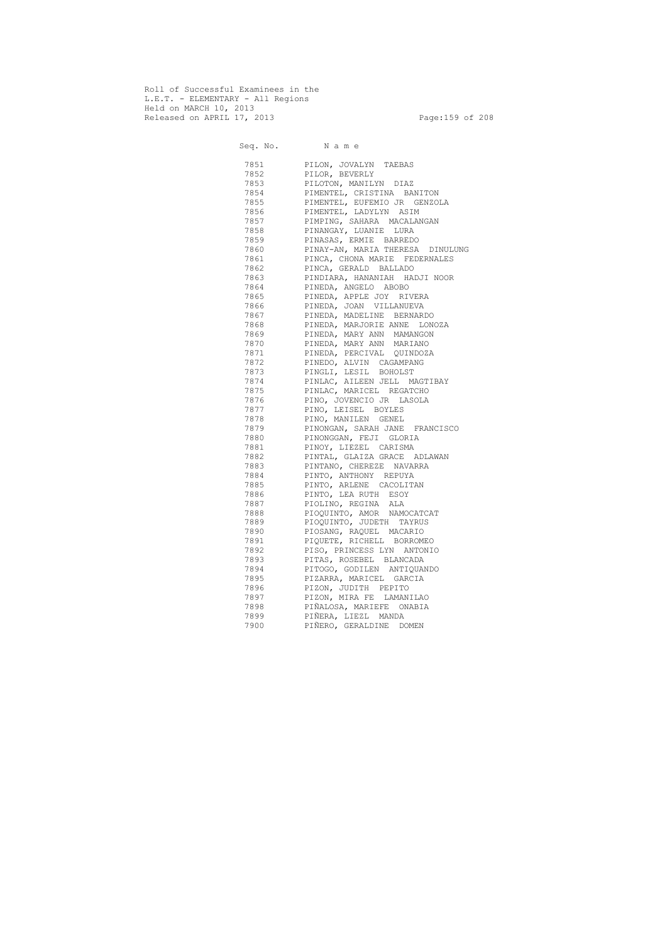Roll of Successful Examinees in the L.E.T. - ELEMENTARY - All Regions Held on MARCH 10, 2013 Released on APRIL 17, 2013 Page:159 of 208

 Seq. No. N a m e 7851 PILON, JOVALYN TAEBAS 7852 PILOR, BEVERLY 7853 PILOTON, MANILYN DIAZ 7854 PIMENTEL, CRISTINA BANITON 7855 PIMENTEL, EUFEMIO JR GENZOLA 7856 PIMENTEL, LADYLYN ASIM 7857 PIMPING, SAHARA MACALANGAN 7858 PINANGAY, LUANIE LURA 7859 PINASAS, ERMIE BARREDO 7860 PINAY-AN, MARIA THERESA DINULUNG 7861 PINCA, CHONA MARIE FEDERNALES 7862 PINCA, GERALD BALLADO 7863 PINDIARA, HANANIAH HADJI NOOR 7864 PINEDA, ANGELO ABOBO 7865 PINEDA, APPLE JOY RIVERA 7866 PINEDA, JOAN VILLANUEVA 7867 PINEDA, MADELINE BERNARDO 7868 PINEDA, MARJORIE ANNE LONOZA 7869 PINEDA, MARY ANN MAMANGON 7870 PINEDA, MARY ANN MARIANO 7871 PINEDA, PERCIVAL QUINDOZA 7872 PINEDO, ALVIN CAGAMPANG 7873 PINGLI, LESIL BOHOLST 7874 PINLAC, AILEEN JELL MAGTIBAY 7875 PINLAC, MARICEL REGATCHO 7876 PINO, JOVENCIO JR LASOLA 7877 PINO, LEISEL BOYLES 7878 PINO, MANILEN GENEL 7879 PINONGAN, SARAH JANE FRANCISCO 7880 PINONGGAN, FEJI GLORIA 7881 PINOY, LIEZEL CARISMA 7882 PINTAL, GLAIZA GRACE ADLAWAN 7883 PINTANO, CHEREZE NAVARRA 7884 PINTO, ANTHONY REPUYA 7885 PINTO, ARLENE CACOLITAN 7886 PINTO, LEA RUTH ESOY 7887 PIOLINO, REGINA ALA 7888 PIOQUINTO, AMOR NAMOCATCAT 7889 PIOQUINTO, JUDETH TAYRUS 7890 PIOSANG, RAQUEL MACARIO 7891 PIQUETE, RICHELL BORROMEO 7892 PISO, PRINCESS LYN ANTONIO 7893 PITAS, ROSEBEL BLANCADA 7894 PITOGO, GODILEN ANTIQUANDO 7895 PIZARRA, MARICEL GARCIA 7896 PIZON, JUDITH PEPITO 7897 PIZON, MIRA FE LAMANILAO 7898 PIÑALOSA, MARIEFE ONABIA 7899 PIÑERA, LIEZL MANDA 7900 PIÑERO, GERALDINE DOMEN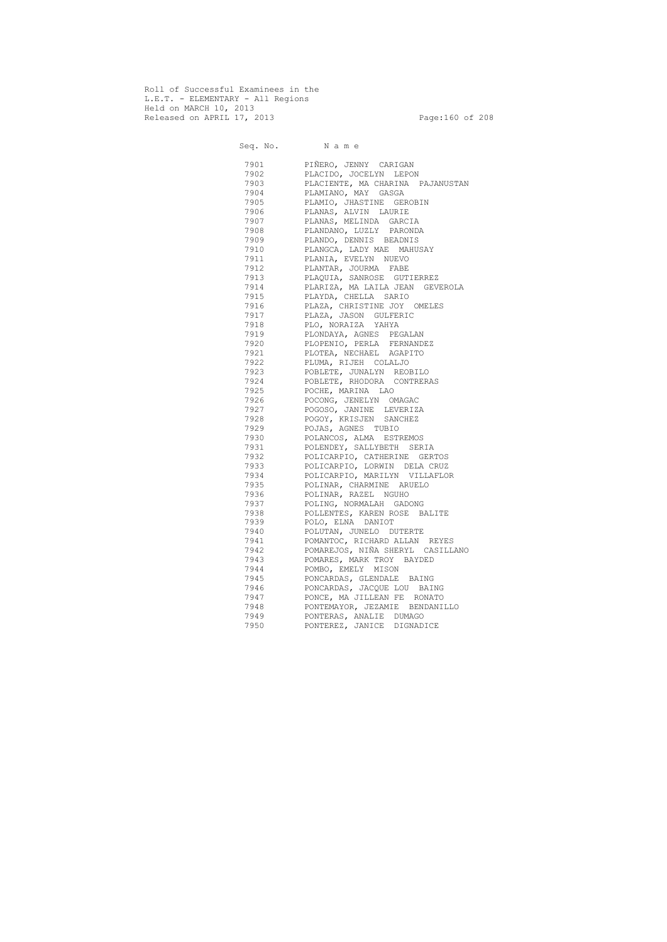Roll of Successful Examinees in the L.E.T. - ELEMENTARY - All Regions Held on MARCH 10, 2013 Released on APRIL 17, 2013 Page:160 of 208

 Seq. No. N a m e 7901 PIÑERO, JENNY CARIGAN 7902 PLACIDO, JOCELYN LEPON 7903 PLACIENTE, MA CHARINA PAJANUSTAN 7904 PLAMIANO, MAY GASGA 7905 PLAMIO, JHASTINE GEROBIN 7906 PLANAS, ALVIN LAURIE 7907 PLANAS, MELINDA GARCIA 7908 PLANDANO, LUZLY PARONDA 7909 PLANDO, DENNIS BEADNIS 7910 PLANGCA, LADY MAE MAHUSAY 7911 PLANIA, EVELYN NUEVO 7912 PLANTAR, JOURMA FABE 7913 PLAQUIA, SANROSE GUTIERREZ 7914 PLARIZA, MA LAILA JEAN GEVEROLA 7915 PLAYDA, CHELLA SARIO 7916 PLAZA, CHRISTINE JOY OMELES 7917 PLAZA, JASON GULFERIC 7918 PLO, NORAIZA YAHYA 7919 PLONDAYA, AGNES PEGALAN 7920 PLOPENIO, PERLA FERNANDEZ 7921 PLOTEA, NECHAEL AGAPITO 7922 PLUMA, RIJEH COLALJO 7923 POBLETE, JUNALYN REOBILO 7924 POBLETE, RHODORA CONTRERAS 7925 POCHE, MARINA LAO 7926 POCONG, JENELYN OMAGAC 7927 POGOSO, JANINE LEVERIZA 7928 POGOY, KRISJEN SANCHEZ 7929 POJAS, AGNES TUBIO 7930 POLANCOS, ALMA ESTREMOS 7931 POLENDEY, SALLYBETH SERIA 7932 POLICARPIO, CATHERINE GERTOS 7933 POLICARPIO, LORWIN DELA CRUZ 7934 POLICARPIO, MARILYN VILLAFLOR 7935 POLINAR, CHARMINE ARUELO 7936 POLINAR, RAZEL NGUHO 7937 POLING, NORMALAH GADONG 7938 POLLENTES, KAREN ROSE BALITE 7939 POLO, ELNA DANIOT 7940 POLUTAN, JUNELO DUTERTE 7941 POMANTOC, RICHARD ALLAN REYES 7942 POMAREJOS, NIÑA SHERYL CASILLANO 7943 POMARES, MARK TROY BAYDED 7944 POMBO, EMELY MISON 7945 PONCARDAS, GLENDALE BAING 7946 PONCARDAS, JACQUE LOU BAING 7947 PONCE, MA JILLEAN FE RONATO 7948 PONTEMAYOR, JEZAMIE BENDANILLO 7949 PONTERAS, ANALIE DUMAGO 7950 PONTEREZ, JANICE DIGNADICE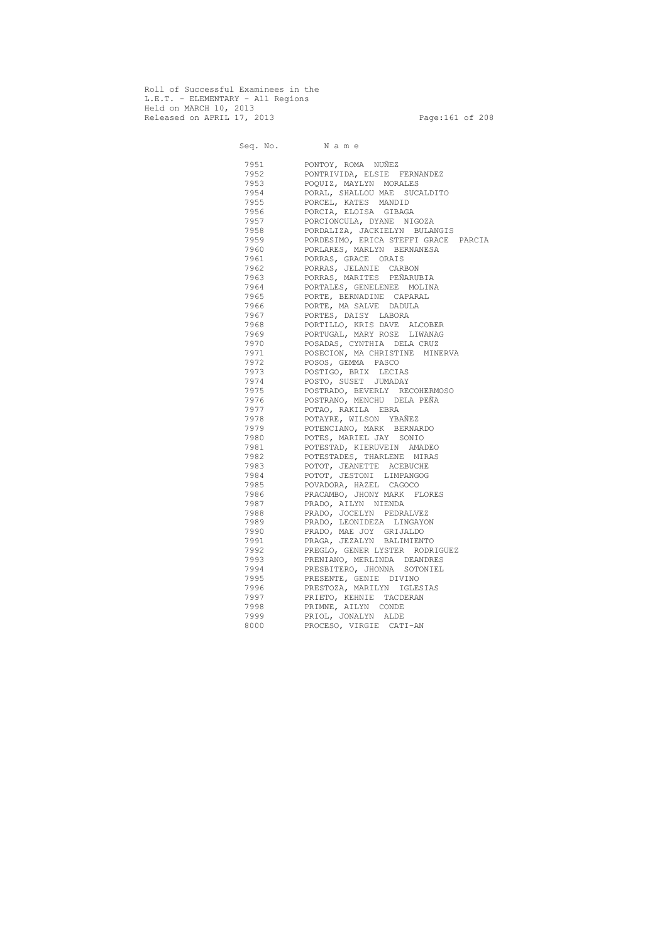Roll of Successful Examinees in the L.E.T. - ELEMENTARY - All Regions Held on MARCH 10, 2013 Released on APRIL 17, 2013 Page:161 of 208

 Seq. No. N a m e 7951 PONTOY, ROMA NUÑEZ 7952 PONTRIVIDA, ELSIE FERNANDEZ 7953 POQUIZ, MAYLYN MORALES PORAL, SHALLOU MAE SUCALDITO 7955 PORCEL, KATES MANDID PORCIA, ELOISA GIBAGA 7957 PORCIONCULA, DYANE NIGOZA 7958 PORDALIZA, JACKIELYN BULANGIS 7959 PORDESIMO, ERICA STEFFI GRACE PARCIA 7960 PORLARES, MARLYN BERNANESA 7961 PORRAS, GRACE ORAIS 7962 PORRAS, JELANIE CARBON 7963 PORRAS, MARITES PEÑARUBIA 7964 PORTALES, GENELENEE MOLINA 7965 PORTE, BERNADINE CAPARAL 7966 PORTE, MA SALVE DADULA 7967 PORTES, DAISY LABORA 7968 PORTILLO, KRIS DAVE ALCOBER 7969 PORTUGAL, MARY ROSE LIWANAG 7970 POSADAS, CYNTHIA DELA CRUZ 7971 POSECION, MA CHRISTINE MINERVA 7972 POSOS, GEMMA PASCO 7973 POSTIGO, BRIX LECIAS 7974 POSTO, SUSET JUMADAY 7975 POSTRADO, BEVERLY RECOHERMOSO 7976 POSTRANO, MENCHU DELA PEÑA 7977 POTAO, RAKILA EBRA 7978 POTAYRE, WILSON YBAÑEZ 7979 POTENCIANO, MARK BERNARDO 7980 POTES, MARIEL JAY SONIO 7981 POTESTAD, KIERUVEIN AMADEO 7982 POTESTADES, THARLENE MIRAS 7983 POTOT, JEANETTE ACEBUCHE 7984 POTOT, JESTONI LIMPANGOG 7985 POVADORA, HAZEL CAGOCO 7986 PRACAMBO, JHONY MARK FLORES 7987 PRADO, AILYN NIENDA 7988 PRADO, JOCELYN PEDRALVEZ 7989 PRADO, LEONIDEZA LINGAYON 7990 PRADO, MAE JOY GRIJALDO 7991 PRAGA, JEZALYN BALIMIENTO 7992 PREGLO, GENER LYSTER RODRIGUEZ 7993 PRENIANO, MERLINDA DEANDRES 7994 PRESBITERO, JHONNA SOTONIEL 7995 PRESENTE, GENIE DIVINO 7996 PRESTOZA, MARILYN IGLESIAS 7997 PRIETO, KEHNIE TACDERAN 7998 PRIMNE, AILYN CONDE 7999 PRIOL, JONALYN ALDE 8000 PROCESO, VIRGIE CATI-AN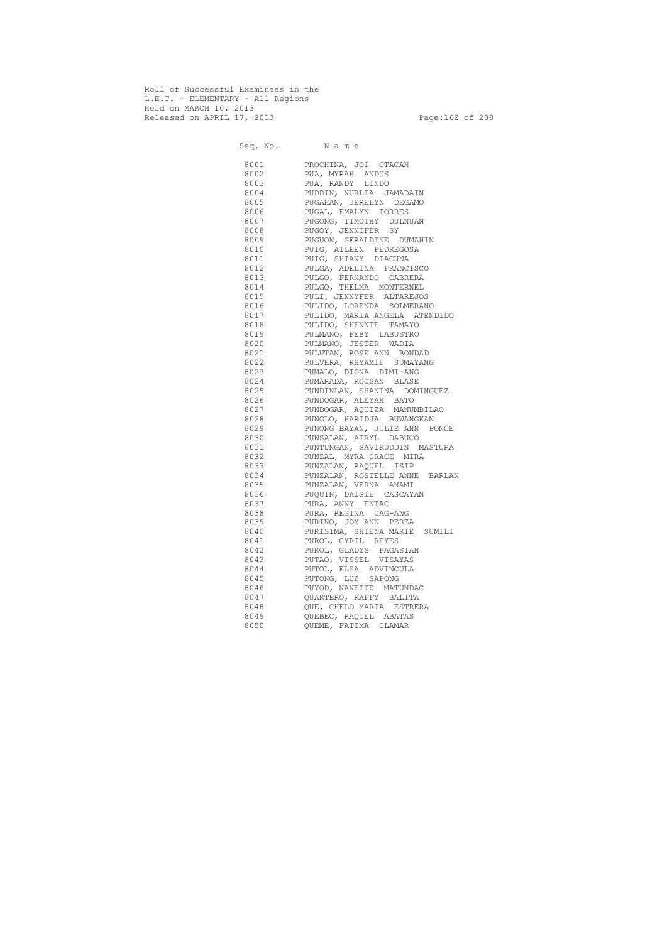Roll of Successful Examinees in the L.E.T. - ELEMENTARY - All Regions Held on MARCH 10, 2013 Released on APRIL 17, 2013 Page:162 of 208

 Seq. No. N a m e 8001 PROCHINA, JOI OTACAN 8002 PUA, MYRAH ANDUS 8003 PUA, RANDY LINDO 8004 PUDDIN, NURLIA JAMADAIN 8005 PUGAHAN, JERELYN DEGAMO 8006 PUGAL, EMALYN TORRES 8007 PUGONG, TIMOTHY DULNUAN 8008 PUGOY, JENNIFER SY 8009 PUGUON, GERALDINE DUMAHIN 8010 PUIG, AILEEN PEDREGOSA 8011 PUIG, SHIANY DIACUNA 8012 PULGA, ADELINA FRANCISCO 8013 PULGO, FERNANDO CABRERA 8014 PULGO, THELMA MONTERNEL 8015 PULI, JENNYFER ALTAREJOS 8016 PULIDO, LORENDA SOLMERANO 8017 PULIDO, MARIA ANGELA ATENDIDO 8018 PULIDO, SHENNIE TAMAYO 8019 PULMANO, FEBY LABUSTRO 8020 PULMANO, JESTER WADIA 8021 PULUTAN, ROSE ANN BONDAD 8022 PULVERA, RHYAMIE SUMAYANG 8023 PUMALO, DIGNA DIMI-ANG 8024 PUMARADA, ROCSAN BLASE 8025 PUNDINLAN, SHANINA DOMINGUEZ 8026 PUNDOGAR, ALEYAH BATO 8027 PUNDOGAR, AQUIZA MANUMBILAO 8028 PUNGLO, HARIDJA BUWANGKAN 8029 PUNONG BAYAN, JULIE ANN PONCE 8030 PUNSALAN, AIRYL DABUCO 8031 PUNTUNGAN, SAVIRUDDIN MASTURA 8032 PUNZAL, MYRA GRACE MIRA 8033 PUNZALAN, RAQUEL ISIP 8034 PUNZALAN, ROSIELLE ANNE BARLAN 8035 PUNZALAN, VERNA ANAMI 8036 PUQUIN, DAISIE CASCAYAN 8037 PURA, ANNY ENTAC 8038 PURA, REGINA CAG-ANG 8039 PURINO, JOY ANN PEREA 8040 PURISIMA, SHIENA MARIE SUMILI 8041 PUROL, CYRIL REYES 8042 PUROL, GLADYS PAGASIAN 8043 PUTAO, VISSEL VISAYAS 8044 PUTOL, ELSA ADVINCULA 8045 PUTONG, LUZ SAPONG 8046 PUYOD, NANETTE MATUNDAC 8047 QUARTERO, RAFFY BALITA 8048 QUE, CHELO MARIA ESTRERA 8049 QUEBEC, RAQUEL ABATAS 8050 QUEME, FATIMA CLAMAR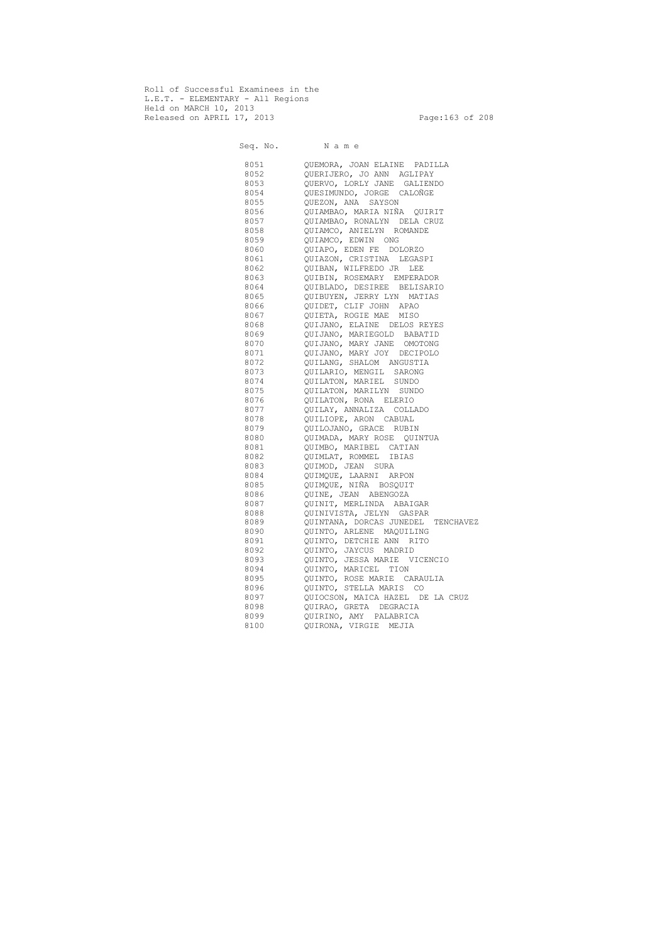Roll of Successful Examinees in the L.E.T. - ELEMENTARY - All Regions Held on MARCH 10, 2013 Released on APRIL 17, 2013 Page:163 of 208

 Seq. No. N a m e 8051 QUEMORA, JOAN ELAINE PADILLA 8052 QUERIJERO, JO ANN AGLIPAY 8053 QUERVO, LORLY JANE GALIENDO 8054 QUESIMUNDO, JORGE CALOÑGE 8055 QUEZON, ANA SAYSON 8056 QUIAMBAO, MARIA NIÑA QUIRIT 8057 QUIAMBAO, RONALYN DELA CRUZ 8058 QUIAMCO, ANIELYN ROMANDE 8059 QUIAMCO, EDWIN ONG 8060 QUIAPO, EDEN FE DOLORZO 8061 QUIAZON, CRISTINA LEGASPI 8062 QUIBAN, WILFREDO JR LEE 8063 QUIBIN, ROSEMARY EMPERADOR 8064 QUIBLADO, DESIREE BELISARIO 8065 QUIBUYEN, JERRY LYN MATIAS 8066 QUIDET, CLIF JOHN APAO 8067 QUIETA, ROGIE MAE MISO 8068 QUIJANO, ELAINE DELOS REYES 8069 QUIJANO, MARIEGOLD BABATID 8070 QUIJANO, MARY JANE OMOTONG 8071 QUIJANO, MARY JOY DECIPOLO 8072 QUILANG, SHALOM ANGUSTIA 8073 QUILARIO, MENGIL SARONG 8074 QUILATON, MARIEL SUNDO 8075 QUILATON, MARILYN SUNDO 8076 QUILATON, RONA ELERIO 8077 QUILAY, ANNALIZA COLLADO 8078 QUILIOPE, ARON CABUAL 8079 QUILOJANO, GRACE RUBIN 8080 QUIMADA, MARY ROSE QUINTUA 8081 QUIMBO, MARIBEL CATIAN 8082 QUIMLAT, ROMMEL IBIAS 8083 QUIMOD, JEAN SURA 8084 QUIMQUE, LAARNI ARPON 8085 QUIMQUE, NIÑA BOSQUIT 8086 QUINE, JEAN ABENGOZA 8087 QUINIT, MERLINDA ABAIGAR 8088 QUINIVISTA, JELYN GASPAR 8089 QUINTANA, DORCAS JUNEDEL TENCHAVEZ 8090 QUINTO, ARLENE MAQUILING 8091 QUINTO, DETCHIE ANN RITO 8092 QUINTO, JAYCUS MADRID 8093 QUINTO, JESSA MARIE VICENCIO 8094 QUINTO, MARICEL TION 8095 QUINTO, ROSE MARIE CARAULIA 8096 QUINTO, STELLA MARIS CO 8097 QUIOCSON, MAICA HAZEL DE LA CRUZ 8098 QUIRAO, GRETA DEGRACIA 8099 QUIRINO, AMY PALABRICA 8100 QUIRONA, VIRGIE MEJIA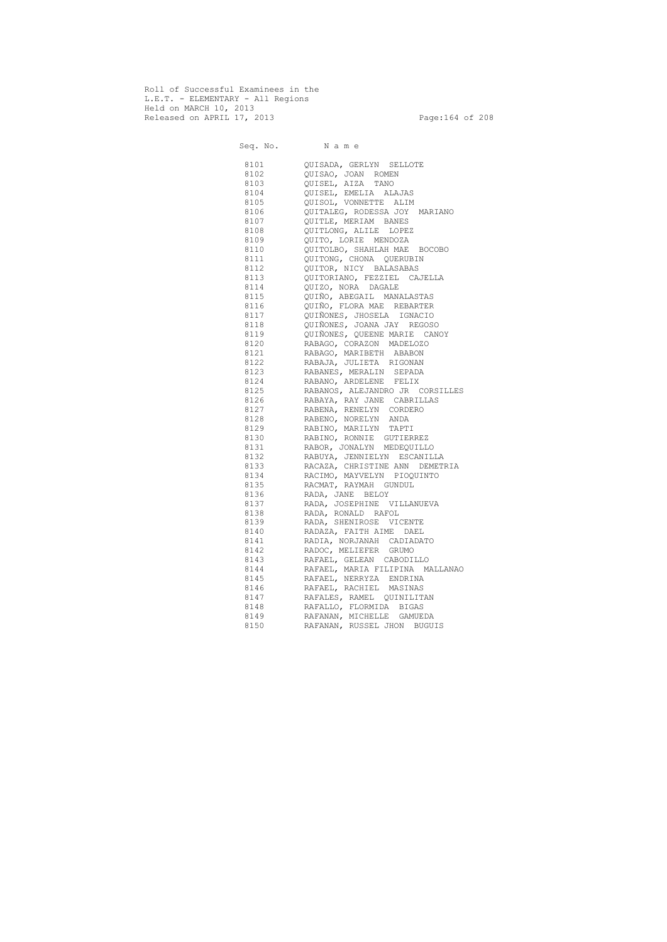Roll of Successful Examinees in the L.E.T. - ELEMENTARY - All Regions Held on MARCH 10, 2013 Released on APRIL 17, 2013 Page:164 of 208

 Seq. No. N a m e 8101 QUISADA, GERLYN SELLOTE 8102 QUISAO, JOAN ROMEN 8103 QUISEL, AIZA TANO 8104 QUISEL, EMELIA ALAJAS 8105 QUISOL, VONNETTE ALIM 8106 QUITALEG, RODESSA JOY MARIANO 8107 QUITLE, MERIAM BANES 8108 QUITLONG, ALILE LOPEZ 8109 QUITO, LORIE MENDOZA 8110 QUITOLBO, SHAHLAH MAE BOCOBO 8111 QUITONG, CHONA QUERUBIN 8112 QUITOR, NICY BALASABAS 8113 QUITORIANO, FEZZIEL CAJELLA 8114 QUIZO, NORA DAGALE 8115 QUIÑO, ABEGAIL MANALASTAS 8116 QUIÑO, FLORA MAE REBARTER 8117 QUIÑONES, JHOSELA IGNACIO 8118 QUIÑONES, JOANA JAY REGOSO 8119 QUIÑONES, QUEENE MARIE CANOY 8120 RABAGO, CORAZON MADELOZO 8121 RABAGO, MARIBETH ABABON 8122 RABAJA, JULIETA RIGONAN 8123 RABANES, MERALIN SEPADA 8124 RABANO, ARDELENE FELIX 8125 RABANOS, ALEJANDRO JR CORSILLES 8126 RABAYA, RAY JANE CABRILLAS<br>8127 RABENA, RENELYN CORDERO RABENA, RENELYN CORDERO 8128 RABENO, NORELYN ANDA 8129 RABINO, MARILYN TAPTI 8130 RABINO, RONNIE GUTIERREZ 8131 RABOR, JONALYN MEDEQUILLO 8132 RABUYA, JENNIELYN ESCANILLA 8133 RACAZA, CHRISTINE ANN DEMETRIA 8134 RACIMO, MAYVELYN PIOQUINTO 8135 RACMAT, RAYMAH GUNDUL 8136 RADA, JANE BELOY 8137 RADA, JOSEPHINE VILLANUEVA 8138 RADA, RONALD RAFOL 8139 RADA, SHENIROSE VICENTE 8140 RADAZA, FAITH AIME DAEL 8141 RADIA, NORJANAH CADIADATO 8142 RADOC, MELIEFER GRUMO 8143 RAFAEL, GELEAN CABODILLO 8144 RAFAEL, MARIA FILIPINA MALLANAO 8145 RAFAEL, NERRYZA ENDRINA 8146 RAFAEL, RACHIEL MASINAS 8147 RAFALES, RAMEL QUINILITAN 8148 RAFALLO, FLORMIDA BIGAS 8149 RAFANAN, MICHELLE GAMUEDA 8150 RAFANAN, RUSSEL JHON BUGUIS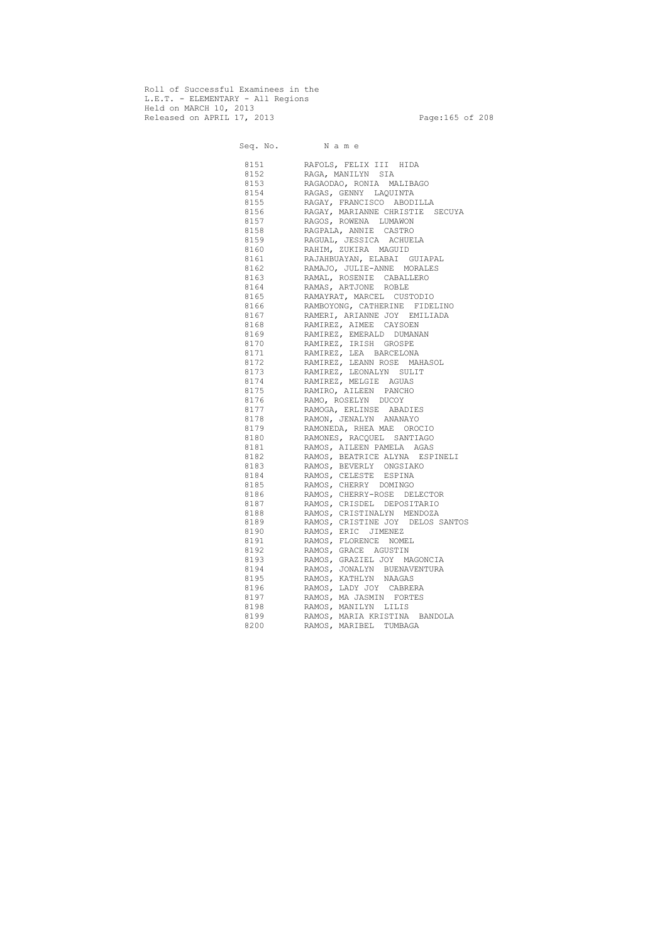Roll of Successful Examinees in the L.E.T. - ELEMENTARY - All Regions Held on MARCH 10, 2013 Released on APRIL 17, 2013 Page:165 of 208

 Seq. No. N a m e 8151 RAFOLS, FELIX III HIDA 8152 RAGA, MANILYN SIA 8153 RAGAODAO, RONIA MALIBAGO 8154 RAGAS, GENNY LAQUINTA 8155 RAGAY, FRANCISCO ABODILLA 8156 RAGAY, MARIANNE CHRISTIE SECUYA 8157 RAGOS, ROWENA LUMAWON 8158 RAGPALA, ANNIE CASTRO 8159 RAGUAL, JESSICA ACHUELA 8160 RAHIM, ZUKIRA MAGUID 8161 RAJAHBUAYAN, ELABAI GUIAPAL 8162 RAMAJO, JULIE-ANNE MORALES 8163 RAMAL, ROSENIE CABALLERO 8164 RAMAS, ARTJONE ROBLE 8165 RAMAYRAT, MARCEL CUSTODIO 8166 RAMBOYONG, CATHERINE FIDELINO 8167 RAMERI, ARIANNE JOY EMILIADA 8168 RAMIREZ, AIMEE CAYSOEN 8169 RAMIREZ, EMERALD DUMANAN 8170 RAMIREZ, IRISH GROSPE 8171 RAMIREZ, LEA BARCELONA 8172 RAMIREZ, LEANN ROSE MAHASOL 8173 RAMIREZ, LEONALYN SULIT 8174 RAMIREZ, MELGIE AGUAS 8175 RAMIRO, AILEEN PANCHO 8176 RAMO, ROSELYN DUCOY 8177 RAMOGA, ERLINSE ABADIES 8178 RAMON, JENALYN ANANAYO 8179 RAMONEDA, RHEA MAE OROCIO 8180 RAMONES, RACQUEL SANTIAGO 8181 RAMOS, AILEEN PAMELA AGAS 8182 RAMOS, BEATRICE ALYNA ESPINELI 8183 RAMOS, BEVERLY ONGSIAKO 8184 RAMOS, CELESTE ESPINA 8185 RAMOS, CHERRY DOMINGO 8186 RAMOS, CHERRY-ROSE DELECTOR 8187 RAMOS, CRISDEL DEPOSITARIO 8188 RAMOS, CRISTINALYN MENDOZA 8189 RAMOS, CRISTINE JOY DELOS SANTOS 8190 RAMOS, ERIC JIMENEZ 8191 RAMOS, FLORENCE NOMEL 8192 RAMOS, GRACE AGUSTIN 8193 RAMOS, GRAZIEL JOY MAGONCIA 8194 RAMOS, JONALYN BUENAVENTURA 8195 RAMOS, KATHLYN NAAGAS 8196 RAMOS, LADY JOY CABRERA 8197 RAMOS, MA JASMIN FORTES 8198 RAMOS, MANILYN LILIS 8199 RAMOS, MARIA KRISTINA BANDOLA 8200 RAMOS, MARIBEL TUMBAGA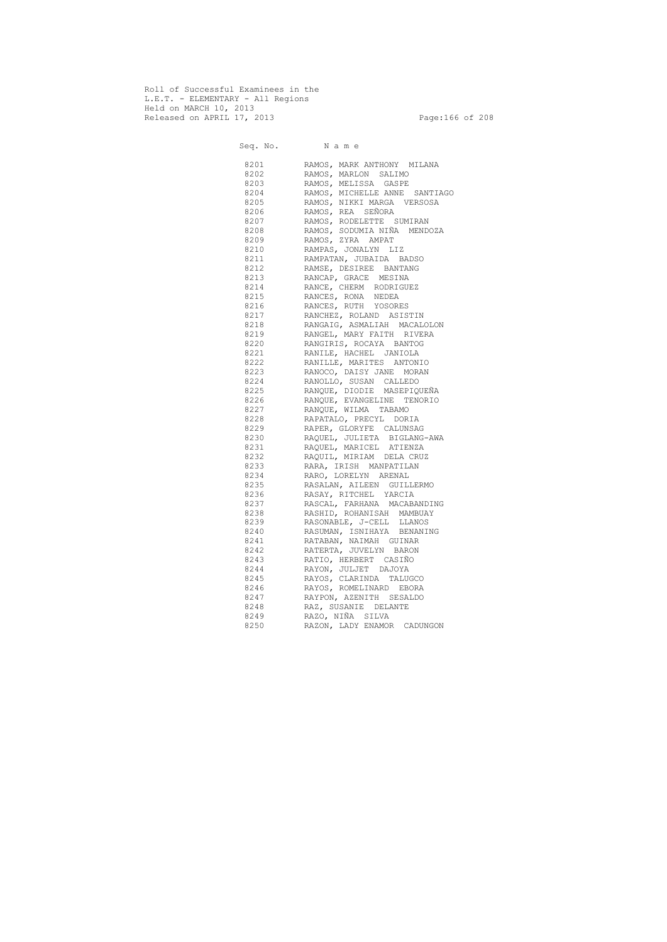Roll of Successful Examinees in the L.E.T. - ELEMENTARY - All Regions Held on MARCH 10, 2013 Released on APRIL 17, 2013 Page:166 of 208

 Seq. No. N a m e 8201 RAMOS, MARK ANTHONY MILANA 8202 RAMOS, MARLON SALIMO 8203 RAMOS, MELISSA GASPE 8204 RAMOS, MICHELLE ANNE SANTIAGO 8205 RAMOS, NIKKI MARGA VERSOSA 8206 RAMOS, REA SEÑORA 8207 RAMOS, RODELETTE SUMIRAN 8208 RAMOS, SODUMIA NIÑA MENDOZA 8209 RAMOS, ZYRA AMPAT 8210 RAMPAS, JONALYN LIZ 8211 RAMPATAN, JUBAIDA BADSO 8212 RAMSE, DESIREE BANTANG 8213 RANCAP, GRACE MESINA 8214 RANCE, CHERM RODRIGUEZ 8215 RANCES, RONA NEDEA 8216 RANCES, RUTH YOSORES 8217 RANCHEZ, ROLAND ASISTIN 8218 RANGAIG, ASMALIAH MACALOLON 8219 RANGEL, MARY FAITH RIVERA 8220 RANGIRIS, ROCAYA BANTOG 8221 RANILE, HACHEL JANIOLA 8222 RANILLE, MARITES ANTONIO 8223 RANOCO, DAISY JANE MORAN 8224 RANOLLO, SUSAN CALLEDO 8225 RANQUE, DIODIE MASEPIQUEÑA 8226 RANQUE, EVANGELINE TENORIO 8227 RANQUE, WILMA TABAMO 8228 RAPATALO, PRECYL DORIA 8229 RAPER, GLORYFE CALUNSAG 8230 RAQUEL, JULIETA BIGLANG-AWA 8231 RAQUEL, MARICEL ATIENZA 8232 RAQUIL, MIRIAM DELA CRUZ 8233 RARA, IRISH MANPATILAN 8234 RARO, LORELYN ARENAL 8235 RASALAN, AILEEN GUILLERMO 8236 RASAY, RITCHEL YARCIA 8237 RASCAL, FARHANA MACABANDING 8238 RASHID, ROHANISAH MAMBUAY 8239 RASONABLE, J-CELL LLANOS 8240 RASUMAN, ISNIHAYA BENANING 8241 RATABAN, NAIMAH GUINAR 8242 RATERTA, JUVELYN BARON 8243 RATIO, HERBERT CASIÑO 8244 RAYON, JULJET DAJOYA 8245 RAYOS, CLARINDA TALUGCO 8246 RAYOS, ROMELINARD EBORA 8247 RAYPON, AZENITH SESALDO 8248 RAZ, SUSANIE DELANTE 8249 RAZO, NIÑA SILVA 8250 RAZON, LADY ENAMOR CADUNGON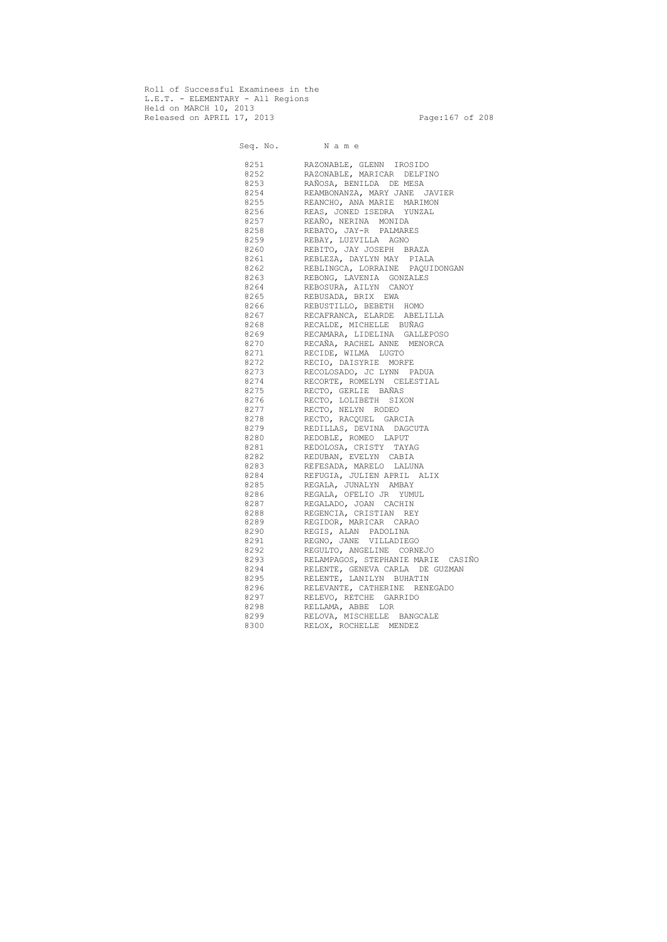Roll of Successful Examinees in the L.E.T. - ELEMENTARY - All Regions Held on MARCH 10, 2013 Released on APRIL 17, 2013 Page:167 of 208

 Seq. No. N a m e 8251 RAZONABLE, GLENN IROSIDO 8252 RAZONABLE, MARICAR DELFINO 8253 RAÑOSA, BENILDA DE MESA 8254 REAMBONANZA, MARY JANE JAVIER 8255 REANCHO, ANA MARIE MARIMON 8256 REAS, JONED ISEDRA YUNZAL 8257 REAÑO, NERINA MONIDA 8258 REBATO, JAY-R PALMARES 8259 REBAY, LUZVILLA AGNO 8260 REBITO, JAY JOSEPH BRAZA 8261 REBLEZA, DAYLYN MAY PIALA 8262 REBLINGCA, LORRAINE PAQUIDONGAN 8263 REBONG, LAVENIA GONZALES 8264 REBOSURA, AILYN CANOY 8265 REBUSADA, BRIX EWA 8266 REBUSTILLO, BEBETH HOMO 8267 RECAFRANCA, ELARDE ABELILLA 8268 RECALDE, MICHELLE BUÑAG 8269 RECAMARA, LIDELINA GALLEPOSO 8270 RECAÑA, RACHEL ANNE MENORCA 8271 RECIDE, WILMA LUGTO 8272 RECIO, DAISYRIE MORFE 8273 RECOLOSADO, JC LYNN PADUA 8274 RECORTE, ROMELYN CELESTIAL 8275 RECTO, GERLIE BAÑAS 8276 RECTO, LOLIBETH SIXON 8277 RECTO, NELYN RODEO 8278 RECTO, RACQUEL GARCIA 8279 REDILLAS, DEVINA DAGCUTA 8280 REDOBLE, ROMEO LAPUT 8281 REDOLOSA, CRISTY TAYAG 8282 REDUBAN, EVELYN CABIA 8283 REFESADA, MARELO LALUNA 8284 REFUGIA, JULIEN APRIL ALIX 8285 REGALA, JUNALYN AMBAY 8286 REGALA, OFELIO JR YUMUL 8287 REGALADO, JOAN CACHIN 8288 REGENCIA, CRISTIAN REY 8289 REGIDOR, MARICAR CARAO 8290 REGIS, ALAN PADOLINA 8291 REGNO, JANE VILLADIEGO 8292 REGULTO, ANGELINE CORNEJO 8293 RELAMPAGOS, STEPHANIE MARIE CASIÑO 8294 RELENTE, GENEVA CARLA DE GUZMAN 8295 RELENTE, LANILYN BUHATIN 8296 RELEVANTE, CATHERINE RENEGADO 8297 RELEVO, RETCHE GARRIDO 8298 RELLAMA, ABBE LOR 8299 RELOVA, MISCHELLE BANGCALE 8300 RELOX, ROCHELLE MENDEZ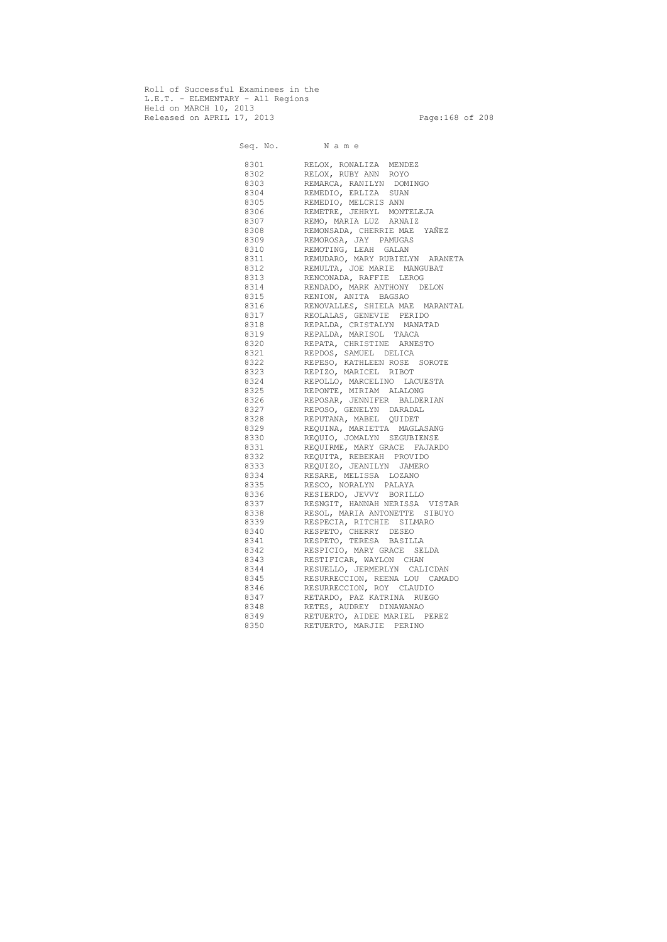Roll of Successful Examinees in the L.E.T. - ELEMENTARY - All Regions Held on MARCH 10, 2013 Released on APRIL 17, 2013 Page:168 of 208

 Seq. No. N a m e 8301 RELOX, RONALIZA MENDEZ 8302 RELOX, RUBY ANN ROYO 8303 REMARCA, RANILYN DOMINGO 8304 REMEDIO, ERLIZA SUAN 8305 REMEDIO, MELCRIS ANN 8306 REMETRE, JEHRYL MONTELEJA 8307 REMO, MARIA LUZ ARNAIZ 8308 REMONSADA, CHERRIE MAE YAÑEZ 8309 REMOROSA, JAY PAMUGAS 8310 REMOTING, LEAH GALAN 8311 REMUDARO, MARY RUBIELYN ARANETA 8312 REMULTA, JOE MARIE MANGUBAT 8313 RENCONADA, RAFFIE LEROG 8314 RENDADO, MARK ANTHONY DELON 8315 RENION, ANITA BAGSAO 8316 RENOVALLES, SHIELA MAE MARANTAL 8317 REOLALAS, GENEVIE PERIDO 8318 REPALDA, CRISTALYN MANATAD 8319 REPALDA, MARISOL TAACA 8320 REPATA, CHRISTINE ARNESTO 8321 REPDOS, SAMUEL DELICA 8322 REPESO, KATHLEEN ROSE SOROTE 8323 REPIZO, MARICEL RIBOT 8324 REPOLLO, MARCELINO LACUESTA 8325 REPONTE, MIRIAM ALALONG 8326 REPOSAR, JENNIFER BALDERIAN 8327 REPOSO, GENELYN DARADAL 8328 REPUTANA, MABEL QUIDET 8329 REQUINA, MARIETTA MAGLASANG 8330 REQUIO, JOMALYN SEGUBIENSE 8331 REQUIRME, MARY GRACE FAJARDO 8332 REQUITA, REBEKAH PROVIDO 8333 REQUIZO, JEANILYN JAMERO 8334 RESARE, MELISSA LOZANO 8335 RESCO, NORALYN PALAYA 8336 RESIERDO, JEVVY BORILLO 8337 RESNGIT, HANNAH NERISSA VISTAR 8338 RESOL, MARIA ANTONETTE SIBUYO 8339 RESPECIA, RITCHIE SILMARO 8340 RESPETO, CHERRY DESEO 8341 RESPETO, TERESA BASILLA 8342 RESPICIO, MARY GRACE SELDA 8343 RESTIFICAR, WAYLON CHAN 8344 RESUELLO, JERMERLYN CALICDAN 8345 RESURRECCION, REENA LOU CAMADO 8346 RESURRECCION, ROY CLAUDIO 8347 RETARDO, PAZ KATRINA RUEGO 8348 RETES, AUDREY DINAWANAO 8349 RETUERTO, AIDEE MARIEL PEREZ 8350 RETUERTO, MARJIE PERINO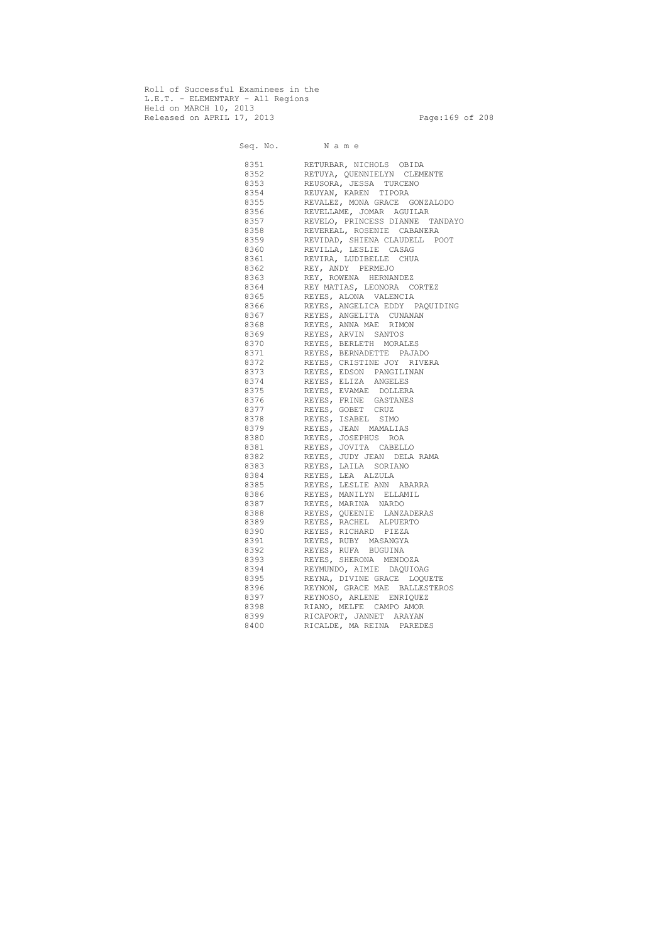Roll of Successful Examinees in the L.E.T. - ELEMENTARY - All Regions Held on MARCH 10, 2013 Released on APRIL 17, 2013 Page:169 of 208

 Seq. No. N a m e 8351 RETURBAR, NICHOLS OBIDA 8352 RETUYA, QUENNIELYN CLEMENTE 8353 REUSORA, JESSA TURCENO 8354 REUYAN, KAREN TIPORA 8355 REVALEZ, MONA GRACE GONZALODO 8356 REVELLAME, JOMAR AGUILAR 8357 REVELO, PRINCESS DIANNE TANDAYO 8358 REVEREAL, ROSENIE CABANERA 8359 REVIDAD, SHIENA CLAUDELL POOT 8360 REVILLA, LESLIE CASAG 8361 REVIRA, LUDIBELLE CHUA 8362 REY, ANDY PERMEJO 8363 REY, ROWENA HERNANDEZ 8364 REY MATIAS, LEONORA CORTEZ 8365 REYES, ALONA VALENCIA 8366 REYES, ANGELICA EDDY PAQUIDING 8367 REYES, ANGELITA CUNANAN 8368 REYES, ANNA MAE RIMON 8369 REYES, ARVIN SANTOS 8370 REYES, BERLETH MORALES 8371 REYES, BERNADETTE PAJADO 8372 REYES, CRISTINE JOY RIVERA 8373 REYES, EDSON PANGILINAN 8374 REYES, ELIZA ANGELES 8375 REYES, EVAMAE DOLLERA 8376 REYES, FRINE GASTANES 8377 REYES, GOBET CRUZ 8378 REYES, ISABEL SIMO 8379 REYES, JEAN MAMALIAS 8380 REYES, JOSEPHUS ROA 8381 REYES, JOVITA CABELLO 8382 REYES, JUDY JEAN DELA RAMA 8383 REYES, LAILA SORIANO 8384 REYES, LEA ALZULA 8385 REYES, LESLIE ANN ABARRA 8386 REYES, MANILYN ELLAMIL 8387 REYES, MARINA NARDO 8388 REYES, QUEENIE LANZADERAS 8389 REYES, RACHEL ALPUERTO 8390 REYES, RICHARD PIEZA 8391 REYES, RUBY MASANGYA 8392 REYES, RUFA BUGUINA 8393 REYES, SHERONA MENDOZA 8394 REYMUNDO, AIMIE DAQUIOAG 8395 REYNA, DIVINE GRACE LOQUETE 8396 REYNON, GRACE MAE BALLESTEROS 8397 REYNOSO, ARLENE ENRIQUEZ 8398 RIANO, MELFE CAMPO AMOR 8399 RICAFORT, JANNET ARAYAN 8400 RICALDE, MA REINA PAREDES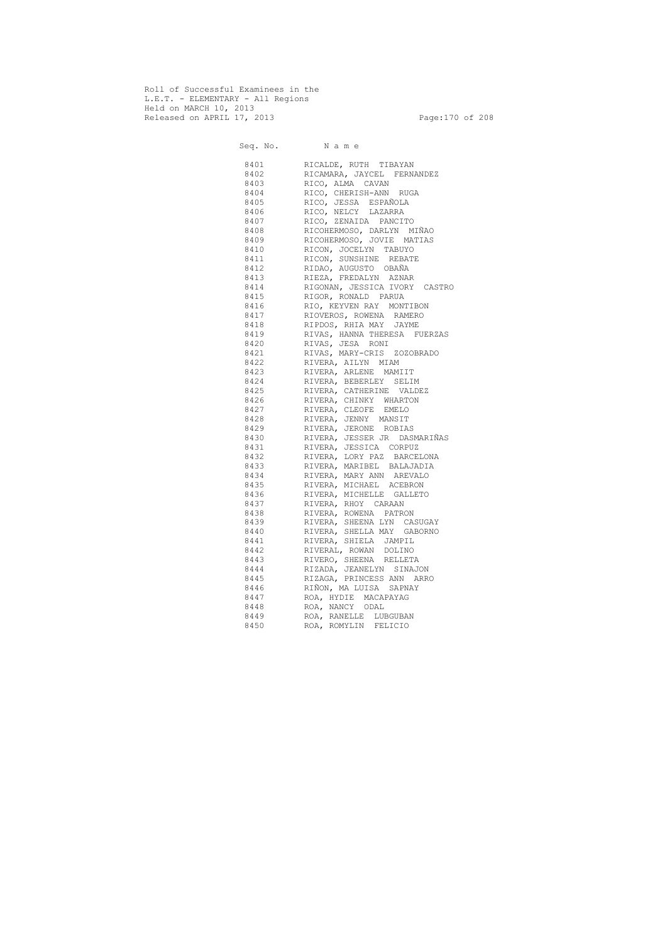Roll of Successful Examinees in the L.E.T. - ELEMENTARY - All Regions Held on MARCH 10, 2013 Released on APRIL 17, 2013 Page:170 of 208

 Seq. No. N a m e 8401 RICALDE, RUTH TIBAYAN 8402 RICAMARA, JAYCEL FERNANDEZ 8403 RICO, ALMA CAVAN 8404 RICO, CHERISH-ANN RUGA 8405 RICO, JESSA ESPAÑOLA 8406 RICO, NELCY LAZARRA 8407 RICO, ZENAIDA PANCITO 8408 RICOHERMOSO, DARLYN MIÑAO 8409 RICOHERMOSO, JOVIE MATIAS 8410 RICON, JOCELYN TABUYO 8411 RICON, SUNSHINE REBATE 8412 RIDAO, AUGUSTO OBAÑA 8413 RIEZA, FREDALYN AZNAR 8414 RIGONAN, JESSICA IVORY CASTRO 8415 RIGOR, RONALD PARUA 8416 RIO, KEYVEN RAY MONTIBON 8417 RIOVEROS, ROWENA RAMERO 8418 RIPDOS, RHIA MAY JAYME 8419 RIVAS, HANNA THERESA FUERZAS 8420 RIVAS, JESA RONI 8421 RIVAS, MARY-CRIS ZOZOBRADO 8422 RIVERA, AILYN MIAM 8423 RIVERA, ARLENE MAMIIT 8424 RIVERA, BEBERLEY SELIM 8425 RIVERA, CATHERINE VALDEZ 8426 RIVERA, CHINKY WHARTON 8427 RIVERA, CLEOFE EMELO 8428 RIVERA, JENNY MANSIT 8429 RIVERA, JERONE ROBIAS 8430 RIVERA, JESSER JR DASMARIÑAS 8431 RIVERA, JESSICA CORPUZ 8432 RIVERA, LORY PAZ BARCELONA 8433 RIVERA, MARIBEL BALAJADIA 8434 RIVERA, MARY ANN AREVALO 8435 RIVERA, MICHAEL ACEBRON 8436 RIVERA, MICHELLE GALLETO 8437 RIVERA, RHOY CARAAN 8438 RIVERA, ROWENA PATRON 8439 RIVERA, SHEENA LYN CASUGAY 8440 RIVERA, SHELLA MAY GABORNO 8441 RIVERA, SHIELA JAMPIL 8442 RIVERAL, ROWAN DOLINO 8443 RIVERO, SHEENA RELLETA 8444 RIZADA, JEANELYN SINAJON 8445 RIZAGA, PRINCESS ANN ARRO 8446 RIÑON, MA LUISA SAPNAY 8447 ROA, HYDIE MACAPAYAG 8448 ROA, NANCY ODAL 8449 ROA, RANELLE LUBGUBAN 8450 ROA, ROMYLIN FELICIO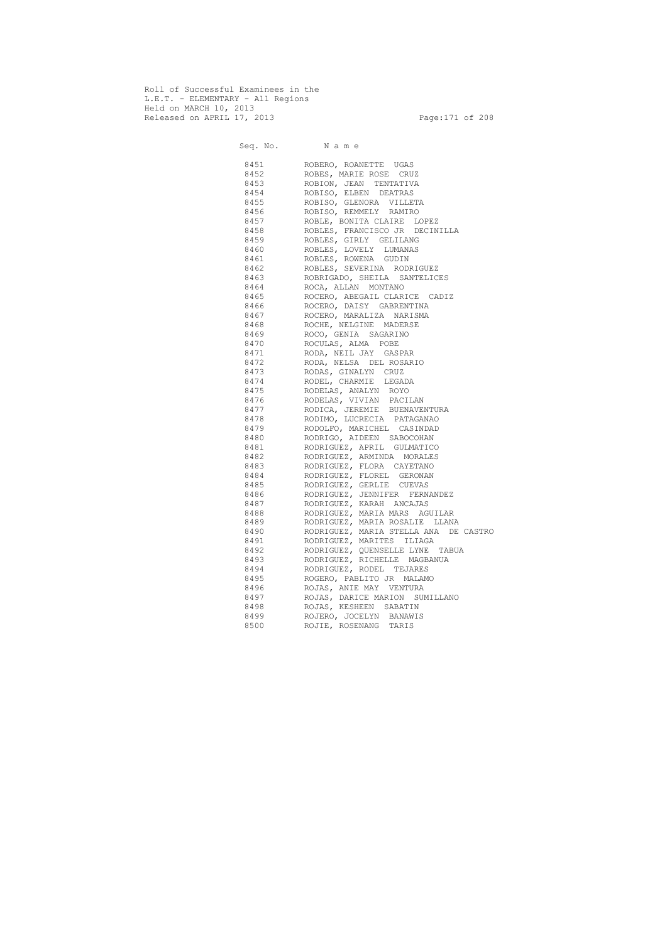Roll of Successful Examinees in the L.E.T. - ELEMENTARY - All Regions Held on MARCH 10, 2013 Released on APRIL 17, 2013 Page:171 of 208

 Seq. No. N a m e 8451 ROBERO, ROANETTE UGAS 8452 ROBES, MARIE ROSE CRUZ 8453 ROBION, JEAN TENTATIVA 8454 ROBISO, ELBEN DEATRAS 8455 ROBISO, GLENORA VILLETA 8456 ROBISO, REMMELY RAMIRO 8457 ROBLE, BONITA CLAIRE LOPEZ 8458 ROBLES, FRANCISCO JR DECINILLA 8459 ROBLES, GIRLY GELILANG 8460 ROBLES, LOVELY LUMANAS 8461 ROBLES, ROWENA GUDIN 8462 ROBLES, SEVERINA RODRIGUEZ 8463 ROBRIGADO, SHEILA SANTELICES 8464 ROCA, ALLAN MONTANO 8465 ROCERO, ABEGAIL CLARICE CADIZ 8466 ROCERO, DAISY GABRENTINA 8467 ROCERO, MARALIZA NARISMA 8468 ROCHE, NELGINE MADERSE 8469 ROCO, GENIA SAGARINO 8470 ROCULAS, ALMA POBE 8471 RODA, NEIL JAY GASPAR 8472 RODA, NELSA DEL ROSARIO 8473 RODAS, GINALYN CRUZ 8474 RODEL, CHARMIE LEGADA 8475 RODELAS, ANALYN ROYO 8476 RODELAS, VIVIAN PACILAN 8477 RODICA, JEREMIE BUENAVENTURA 8478 RODIMO, LUCRECIA PATAGANAO 8479 RODOLFO, MARICHEL CASINDAD 8480 RODRIGO, AIDEEN SABOCOHAN 8481 RODRIGUEZ, APRIL GULMATICO 8482 RODRIGUEZ, ARMINDA MORALES 8483 RODRIGUEZ, FLORA CAYETANO 8484 RODRIGUEZ, FLOREL GERONAN 8485 RODRIGUEZ, GERLIE CUEVAS 8486 RODRIGUEZ, JENNIFER FERNANDEZ 8487 RODRIGUEZ, KARAH ANCAJAS 8488 RODRIGUEZ, MARIA MARS AGUILAR 8489 RODRIGUEZ, MARIA ROSALIE LLANA 8490 RODRIGUEZ, MARIA STELLA ANA DE CASTRO 8491 RODRIGUEZ, MARITES ILIAGA 8492 RODRIGUEZ, QUENSELLE LYNE TABUA 8493 RODRIGUEZ, RICHELLE MAGBANUA 8494 RODRIGUEZ, RODEL TEJARES 8495 ROGERO, PABLITO JR MALAMO 8496 ROJAS, ANIE MAY VENTURA 8497 ROJAS, DARICE MARION SUMILLANO 8498 ROJAS, KESHEEN SABATIN 8499 ROJERO, JOCELYN BANAWIS 8500 ROJIE, ROSENANG TARIS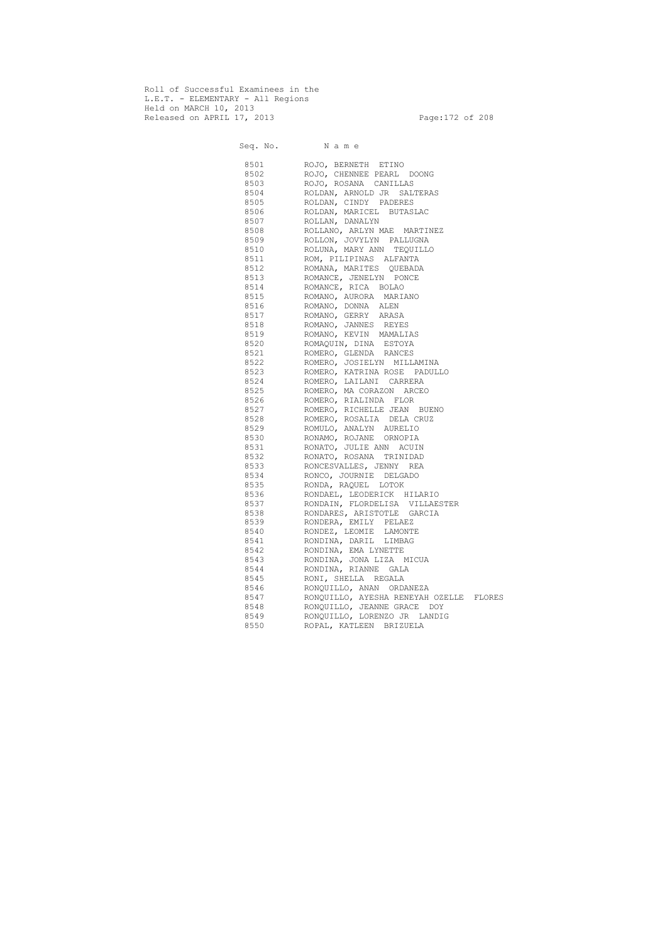Roll of Successful Examinees in the L.E.T. - ELEMENTARY - All Regions Held on MARCH 10, 2013 Released on APRIL 17, 2013 Page:172 of 208

 Seq. No. N a m e 8501 ROJO, BERNETH ETINO 8502 ROJO, CHENNEE PEARL DOONG 8503 ROJO, ROSANA CANILLAS 8504 ROLDAN, ARNOLD JR SALTERAS 8505 ROLDAN, CINDY PADERES 8506 ROLDAN, MARICEL BUTASLAC 8507 ROLLAN, DANALYN 8508 ROLLANO, ARLYN MAE MARTINEZ 8509 ROLLON, JOVYLYN PALLUGNA 8510 ROLUNA, MARY ANN TEQUILLO 8511 ROM, PILIPINAS ALFANTA 8512 ROMANA, MARITES QUEBADA 8513 ROMANCE, JENELYN PONCE 8514 ROMANCE, RICA BOLAO 8515 ROMANO, AURORA MARIANO 8516 ROMANO, DONNA ALEN 8517 ROMANO, GERRY ARASA 8518 ROMANO, JANNES REYES 8519 ROMANO, KEVIN MAMALIAS 8520 ROMAQUIN, DINA ESTOYA 8521 ROMERO, GLENDA RANCES 8522 ROMERO, JOSIELYN MILLAMINA 8523 ROMERO, KATRINA ROSE PADULLO 8524 ROMERO, LAILANI CARRERA 8525 ROMERO, MA CORAZON ARCEO 8526 ROMERO, RIALINDA FLOR 8527 ROMERO, RICHELLE JEAN BUENO 8528 ROMERO, ROSALIA DELA CRUZ 8529 ROMULO, ANALYN AURELIO 8530 RONAMO, ROJANE ORNOPIA 8531 RONATO, JULIE ANN ACUIN 8532 RONATO, ROSANA TRINIDAD 8533 RONCESVALLES, JENNY REA 8534 RONCO, JOURNIE DELGADO 8535 RONDA, RAQUEL LOTOK 8536 RONDAEL, LEODERICK HILARIO 8537 RONDAIN, FLORDELISA VILLAESTER 8538 RONDARES, ARISTOTLE GARCIA 8539 RONDERA, EMILY PELAEZ 8540 RONDEZ, LEOMIE LAMONTE 8541 RONDINA, DARIL LIMBAG 8542 RONDINA, EMA LYNETTE 8543 RONDINA, JONA LIZA MICUA 8544 RONDINA, RIANNE GALA 8545 RONI, SHELLA REGALA 8546 RONQUILLO, ANAN ORDANEZA 8547 RONQUILLO, AYESHA RENEYAH OZELLE FLORES 8548 RONQUILLO, JEANNE GRACE DOY 8549 RONQUILLO, LORENZO JR LANDIG 8550 ROPAL, KATLEEN BRIZUELA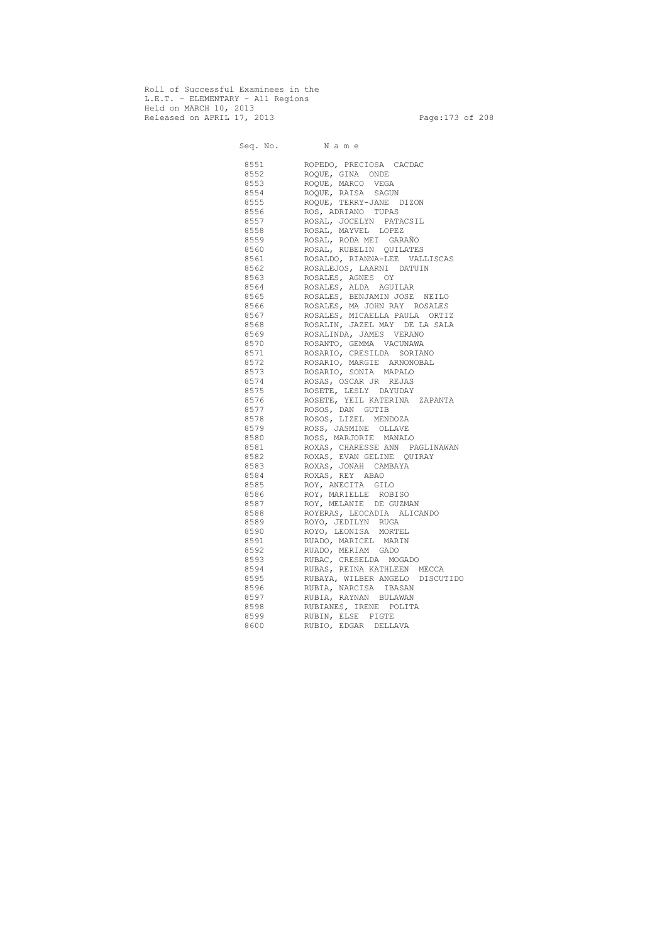Roll of Successful Examinees in the L.E.T. - ELEMENTARY - All Regions Held on MARCH 10, 2013 Released on APRIL 17, 2013 Page:173 of 208

 Seq. No. N a m e 8551 ROPEDO, PRECIOSA CACDAC 8552 ROQUE, GINA ONDE 8553 ROQUE, MARCO VEGA 8554 ROQUE, RAISA SAGUN 8555 ROQUE, TERRY-JANE DIZON 8556 ROS, ADRIANO TUPAS 8557 ROSAL, JOCELYN PATACSIL 8558 ROSAL, MAYVEL LOPEZ 8559 ROSAL, RODA MEI GARAÑO 8560 ROSAL, RUBELIN QUILATES 8561 ROSALDO, RIANNA-LEE VALLISCAS 8562 ROSALEJOS, LAARNI DATUIN 8563 ROSALES, AGNES OY 8564 ROSALES, ALDA AGUILAR 8565 ROSALES, BENJAMIN JOSE NEILO 8566 ROSALES, MA JOHN RAY ROSALES 8567 ROSALES, MICAELLA PAULA ORTIZ 8568 ROSALIN, JAZEL MAY DE LA SALA 8569 ROSALINDA, JAMES VERANO 8570 ROSANTO, GEMMA VACUNAWA 8571 ROSARIO, CRESILDA SORIANO 8572 ROSARIO, MARGIE ARNONOBAL 8573 ROSARIO, SONIA MAPALO 8574 ROSAS, OSCAR JR REJAS 8575 ROSETE, LESLY DAYUDAY 8576 ROSETE, YEIL KATERINA ZAPANTA 8577 ROSOS, DAN GUTIB 8578 ROSOS, LIZEL MENDOZA 8579 ROSS, JASMINE OLLAVE 8580 ROSS, MARJORIE MANALO 8581 ROXAS, CHARESSE ANN PAGLINAWAN 8582 ROXAS, EVAN GELINE QUIRAY 8583 ROXAS, JONAH CAMBAYA 8584 ROXAS, REY ABAO 8585 ROY, ANECITA GILO 8586 ROY, MARIELLE ROBISO 8587 ROY, MELANIE DE GUZMAN 8588 ROYERAS, LEOCADIA ALICANDO 8589 ROYO, JEDILYN RUGA 8590 ROYO, LEONISA MORTEL 8591 RUADO, MARICEL MARIN 8592 RUADO, MERIAM GADO 8593 RUBAC, CRESELDA MOGADO 8594 RUBAS, REINA KATHLEEN MECCA 8595 RUBAYA, WILBER ANGELO DISCUTIDO 8596 RUBIA, NARCISA IBASAN 8597 RUBIA, RAYNAN BULAWAN 8598 RUBIANES, IRENE POLITA 8599 RUBIN, ELSE PIGTE 8600 RUBIO, EDGAR DELLAVA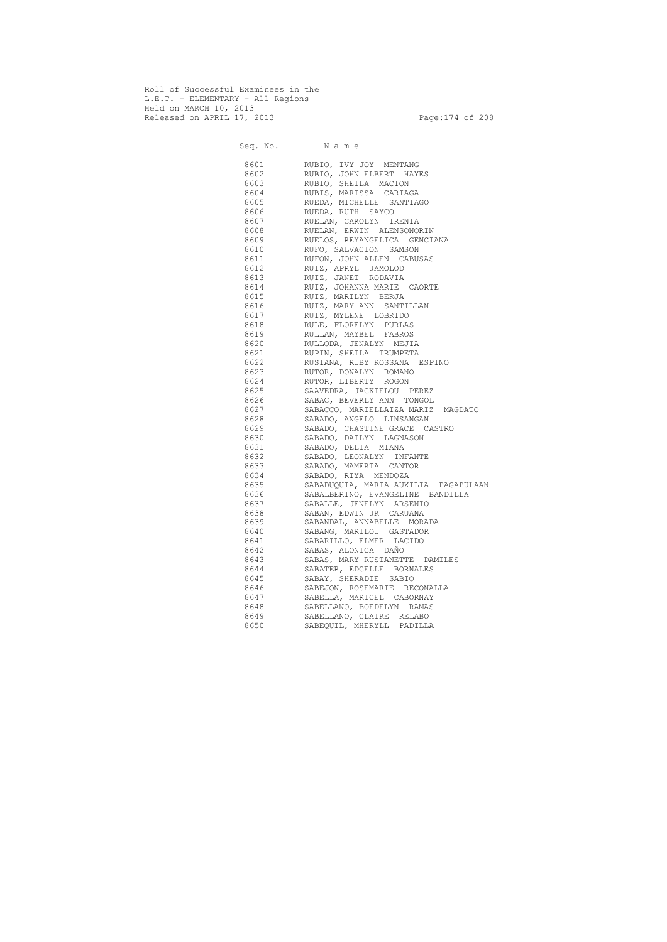Roll of Successful Examinees in the L.E.T. - ELEMENTARY - All Regions Held on MARCH 10, 2013 Released on APRIL 17, 2013 Page: 174 of 208

 Seq. No. N a m e 8601 RUBIO, IVY JOY MENTANG 8602 RUBIO, JOHN ELBERT HAYES 8603 RUBIO, SHEILA MACION 8604 RUBIS, MARISSA CARIAGA 8605 RUEDA, MICHELLE SANTIAGO 8606 RUEDA, RUTH SAYCO 8607 RUELAN, CAROLYN IRENIA 8608 RUELAN, ERWIN ALENSONORIN 8609 RUELOS, REYANGELICA GENCIANA 8610 RUFO, SALVACION SAMSON 8611 RUFON, JOHN ALLEN CABUSAS 8612 RUIZ, APRYL JAMOLOD 8613 RUIZ, JANET RODAVIA 8614 RUIZ, JOHANNA MARIE CAORTE 8615 RUIZ, MARILYN BERJA 8616 RUIZ, MARY ANN SANTILLAN 8617 RUIZ, MYLENE LOBRIDO 8618 RULE, FLORELYN PURLAS 8619 RULLAN, MAYBEL FABROS 8620 RULLODA, JENALYN MEJIA 8621 RUPIN, SHEILA TRUMPETA 8622 RUSIANA, RUBY ROSSANA ESPINO 8623 RUTOR, DONALYN ROMANO 8624 RUTOR, LIBERTY ROGON 8625 SAAVEDRA, JACKIELOU PEREZ 8626 SABAC, BEVERLY ANN TONGOL 8627 SABACCO, MARIELLAIZA MARIZ MAGDATO 8628 SABADO, ANGELO LINSANGAN 8629 SABADO, CHASTINE GRACE CASTRO 8630 SABADO, DAILYN LAGNASON 8631 SABADO, DELIA MIANA 8632 SABADO, LEONALYN INFANTE 8633 SABADO, MAMERTA CANTOR 8634 SABADO, RIYA MENDOZA 8635 SABADUQUIA, MARIA AUXILIA PAGAPULAAN 8636 SABALBERINO, EVANGELINE BANDILLA 8637 SABALLE, JENELYN ARSENIO 8638 SABAN, EDWIN JR CARUANA 8639 SABANDAL, ANNABELLE MORADA 8640 SABANG, MARILOU GASTADOR 8641 SABARILLO, ELMER LACIDO 8642 SABAS, ALONICA DAÑO 8643 SABAS, MARY RUSTANETTE DAMILES 8644 SABATER, EDCELLE BORNALES 8645 SABAY, SHERADIE SABIO 8646 SABEJON, ROSEMARIE RECONALLA 8647 SABELLA, MARICEL CABORNAY 8648 SABELLANO, BOEDELYN RAMAS 8649 SABELLANO, CLAIRE RELABO 8650 SABEQUIL, MHERYLL PADILLA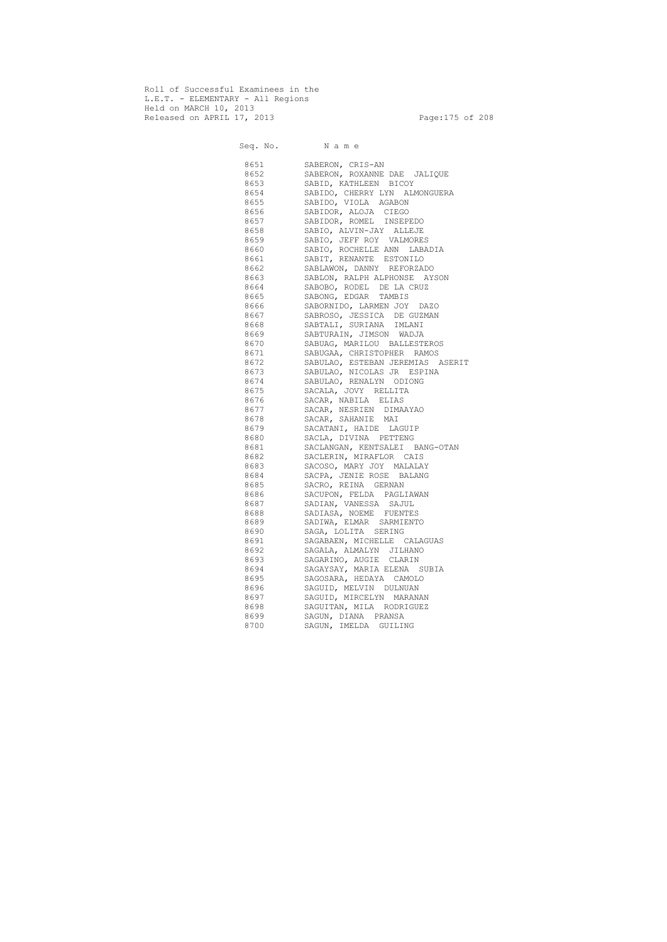Roll of Successful Examinees in the L.E.T. - ELEMENTARY - All Regions Held on MARCH 10, 2013 Released on APRIL 17, 2013 Page:175 of 208

 Seq. No. N a m e 8651 SABERON, CRIS-AN 8652 SABERON, ROXANNE DAE JALIQUE 8653 SABID, KATHLEEN BICOY 8654 SABIDO, CHERRY LYN ALMONGUERA 8655 SABIDO, VIOLA AGABON 8656 SABIDOR, ALOJA CIEGO 8657 SABIDOR, ROMEL INSEPEDO 8658 SABIO, ALVIN-JAY ALLEJE 8659 SABIO, JEFF ROY VALMORES 8660 SABIO, ROCHELLE ANN LABADIA 8661 SABIT, RENANTE ESTONILO 8662 SABLAWON, DANNY REFORZADO 8663 SABLON, RALPH ALPHONSE AYSON 8664 SABOBO, RODEL DE LA CRUZ 8665 SABONG, EDGAR TAMBIS 8666 SABORNIDO, LARMEN JOY DAZO 8667 SABROSO, JESSICA DE GUZMAN 8668 SABTALI, SURIANA IMLANI 8669 SABTURAIN, JIMSON WADJA 8670 SABUAG, MARILOU BALLESTEROS 8671 SABUGAA, CHRISTOPHER RAMOS 8672 SABULAO, ESTEBAN JEREMIAS ASERIT 8673 SABULAO, NICOLAS JR ESPINA 8674 SABULAO, RENALYN ODIONG 8675 SACALA, JOVY RELLITA 8676 SACAR, NABILA ELIAS 8677 SACAR, NESRIEN DIMAAYAO 8678 SACAR, SAHANIE MAI 8679 SACATANI, HAIDE LAGUIP 8680 SACLA, DIVINA PETTENG 8681 SACLANGAN, KENTSALEI BANG-OTAN 8682 SACLERIN, MIRAFLOR CAIS 8683 SACOSO, MARY JOY MALALAY 8684 SACPA, JENIE ROSE BALANG 8685 SACRO, REINA GERNAN 8686 SACUPON, FELDA PAGLIAWAN 8687 SADIAN, VANESSA SAJUL 8688 SADIASA, NOEME FUENTES 8689 SADIWA, ELMAR SARMIENTO 8690 SAGA, LOLITA SERING 8691 SAGABAEN, MICHELLE CALAGUAS 8692 SAGALA, ALMALYN JILHANO 8693 SAGARINO, AUGIE CLARIN 8694 SAGAYSAY, MARIA ELENA SUBIA 8695 SAGOSARA, HEDAYA CAMOLO 8696 SAGUID, MELVIN DULNUAN 8697 SAGUID, MIRCELYN MARANAN 8698 SAGUITAN, MILA RODRIGUEZ 8699 SAGUN, DIANA PRANSA 8700 SAGUN, IMELDA GUILING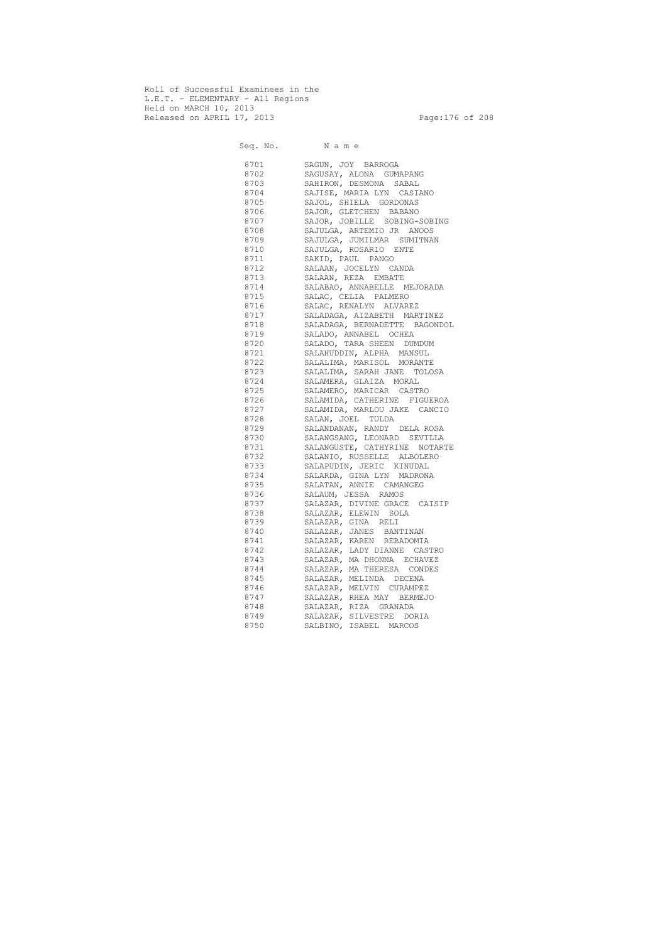Roll of Successful Examinees in the L.E.T. - ELEMENTARY - All Regions Held on MARCH 10, 2013 Released on APRIL 17, 2013 Page: 176 of 208

 Seq. No. N a m e 8701 SAGUN, JOY BARROGA 8702 SAGUSAY, ALONA GUMAPANG 8703 SAHIRON, DESMONA SABAL 8704 SAJISE, MARIA LYN CASIANO 8705 SAJOL, SHIELA GORDONAS 8706 SAJOR, GLETCHEN BABANO 8707 SAJOR, JOBILLE SOBING-SOBING 8708 SAJULGA, ARTEMIO JR ANOOS 8709 SAJULGA, JUMILMAR SUMITNAN 8710 SAJULGA, ROSARIO ENTE 8711 SAKID, PAUL PANGO 8712 SALAAN, JOCELYN CANDA 8713 SALAAN, REZA EMBATE 8714 SALABAO, ANNABELLE MEJORADA 8715 SALAC, CELIA PALMERO 8716 SALAC, RENALYN ALVAREZ 8717 SALADAGA, AIZABETH MARTINEZ 8718 SALADAGA, BERNADETTE BAGONDOL 8719 SALADO, ANNABEL OCHEA 8720 SALADO, TARA SHEEN DUMDUM 8721 SALAHUDDIN, ALPHA MANSUL 8722 SALALIMA, MARISOL MORANTE 8723 SALALIMA, SARAH JANE TOLOSA 8724 SALAMERA, GLAIZA MORAL 8725 SALAMERO, MARICAR CASTRO 8726 SALAMIDA, CATHERINE FIGUEROA 8727 SALAMIDA, MARLOU JAKE CANCIO 8728 SALAN, JOEL TULDA 8729 SALANDANAN, RANDY DELA ROSA 8730 SALANGSANG, LEONARD SEVILLA 8731 SALANGUSTE, CATHYRINE NOTARTE 8732 SALANIO, RUSSELLE ALBOLERO 8733 SALAPUDIN, JERIC KINUDAL 8734 SALARDA, GINA LYN MADRONA 8735 SALATAN, ANNIE CAMANGEG 8736 SALAUM, JESSA RAMOS 8737 SALAZAR, DIVINE GRACE CAISIP 8738 SALAZAR, ELEWIN SOLA 8739 SALAZAR, GINA RELI 8740 SALAZAR, JANES BANTINAN 8741 SALAZAR, KAREN REBADOMIA 8742 SALAZAR, LADY DIANNE CASTRO 8743 SALAZAR, MA DHONNA ECHAVEZ 8744 SALAZAR, MA THERESA CONDES 8745 SALAZAR, MELINDA DECENA 8746 SALAZAR, MELVIN CURAMPEZ 8747 SALAZAR, RHEA MAY BERMEJO 8748 SALAZAR, RIZA GRANADA 8749 SALAZAR, SILVESTRE DORIA 8750 SALBINO, ISABEL MARCOS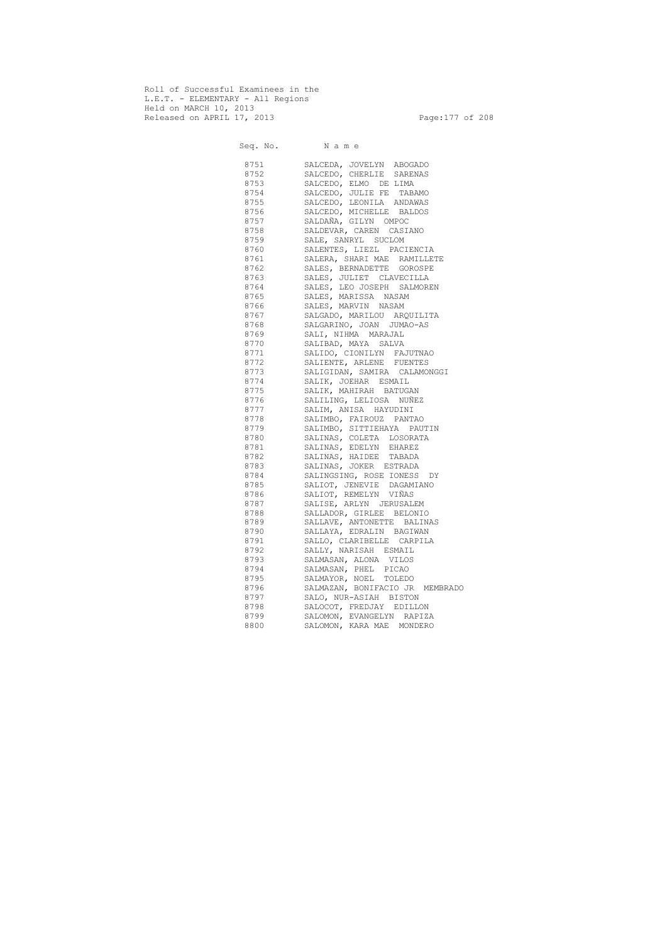Roll of Successful Examinees in the L.E.T. - ELEMENTARY - All Regions Held on MARCH 10, 2013 Released on APRIL 17, 2013 Page:177 of 208

 Seq. No. N a m e 8751 SALCEDA, JOVELYN ABOGADO 8752 SALCEDO, CHERLIE SARENAS 8753 SALCEDO, ELMO DE LIMA 8754 SALCEDO, JULIE FE TABAMO 8755 SALCEDO, LEONILA ANDAWAS 8756 SALCEDO, MICHELLE BALDOS 8757 SALDAÑA, GILYN OMPOC 8758 SALDEVAR, CAREN CASIANO 8759 SALE, SANRYL SUCLOM 8760 SALENTES, LIEZL PACIENCIA 8761 SALERA, SHARI MAE RAMILLETE 8762 SALES, BERNADETTE GOROSPE 8763 SALES, JULIET CLAVECILLA 8764 SALES, LEO JOSEPH SALMOREN 8765 SALES, MARISSA NASAM 8766 SALES, MARVIN NASAM 8767 SALGADO, MARILOU ARQUILITA 8768 SALGARINO, JOAN JUMAO-AS 8769 SALI, NIHMA MARAJAL 8770 SALIBAD, MAYA SALVA 8771 SALIDO, CIONILYN FAJUTNAO 8772 SALIENTE, ARLENE FUENTES 8773 SALIGIDAN, SAMIRA CALAMONGGI 8774 SALIK, JOEHAR ESMAIL 8775 SALIK, MAHIRAH BATUGAN 8776 SALILING, LELIOSA NUÑEZ 8777 SALIM, ANISA HAYUDINI 8778 SALIMBO, FAIROUZ PANTAO 8779 SALIMBO, SITTIEHAYA PAUTIN 8780 SALINAS, COLETA LOSORATA 8781 SALINAS, EDELYN EHAREZ 8782 SALINAS, HAIDEE TABADA 8783 SALINAS, JOKER ESTRADA 8784 SALINGSING, ROSE IONESS DY 8785 SALIOT, JENEVIE DAGAMIANO 8786 SALIOT, REMELYN VIÑAS 8787 SALISE, ARLYN JERUSALEM 8788 SALLADOR, GIRLEE BELONIO 8789 SALLAVE, ANTONETTE BALINAS 8790 SALLAYA, EDRALIN BAGIWAN 8791 SALLO, CLARIBELLE CARPILA 8792 SALLY, NARISAH ESMAIL 8793 SALMASAN, ALONA VILOS 8794 SALMASAN, PHEL PICAO 8795 SALMAYOR, NOEL TOLEDO 8796 SALMAZAN, BONIFACIO JR MEMBRADO 8797 SALO, NUR-ASIAH BISTON 8798 SALOCOT, FREDJAY EDILLON 8799 SALOMON, EVANGELYN RAPIZA 8800 SALOMON, KARA MAE MONDERO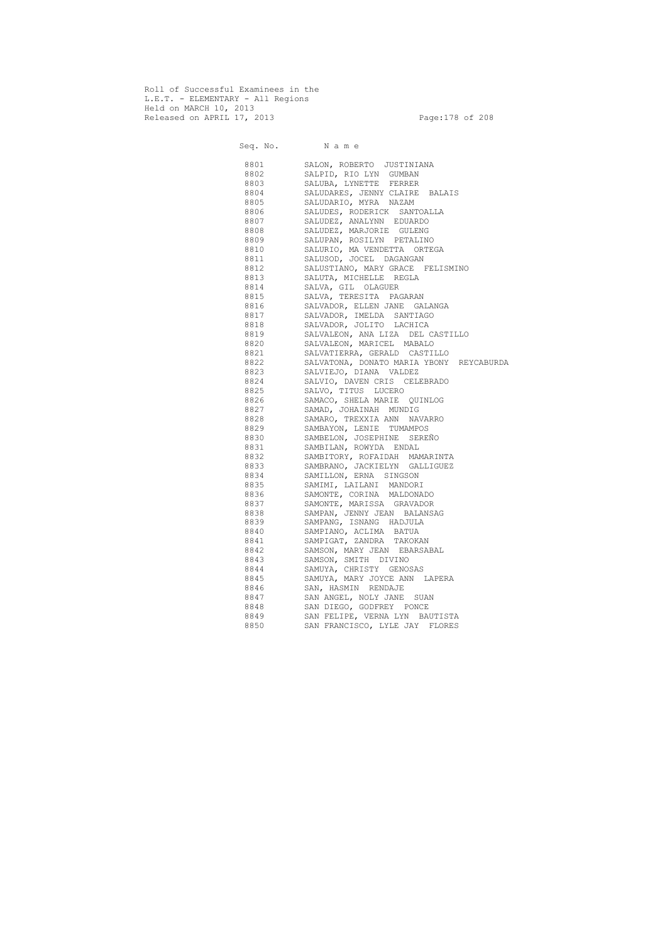Roll of Successful Examinees in the L.E.T. - ELEMENTARY - All Regions Held on MARCH 10, 2013 Released on APRIL 17, 2013 Page: 178 of 208

Seq. No. Name 8801 SALON, ROBERTO JUSTINIANA 8802 SALPID, RIO LYN GUMBAN 8803 SALUBA, LYNETTE FERRER 8804 SALUDARES, JENNY CLAIRE BALAIS 8805 SALUDARIO, MYRA NAZAM 8806 SALUDES, RODERICK SANTOALLA 8807 SALUDEZ, ANALYNN EDUARDO 8808 SALUDEZ, MARJORIE GULENG 8809 SALUPAN, ROSILYN PETALINO 8810 SALURIO, MA VENDETTA ORTEGA 8811 SALUSOD, JOCEL DAGANGAN 8812 SALUSTIANO, MARY GRACE FELISMINO 8813 SALUTA, MICHELLE REGLA 8814 SALVA, GIL OLAGUER 8815 SALVA, TERESITA PAGARAN 8816 SALVADOR, ELLEN JANE GALANGA 8817 SALVADOR, IMELDA SANTIAGO 8818 SALVADOR, JOLITO LACHICA 8819 SALVALEON, ANA LIZA DEL CASTILLO 8820 SALVALEON, MARICEL MABALO 8821 SALVATIERRA, GERALD CASTILLO 8822 SALVATONA, DONATO MARIA YBONY REYCABURDA 8823 SALVIEJO, DIANA VALDEZ 8824 SALVIO, DAVEN CRIS CELEBRADO 8825 SALVO, TITUS LUCERO 8826 SAMACO, SHELA MARIE QUINLOG 8827 SAMAD, JOHAINAH MUNDIG 8828 SAMARO, TREXXIA ANN NAVARRO 8829 SAMBAYON, LENIE TUMAMPOS 8830 SAMBELON, JOSEPHINE SEREÑO 8831 SAMBILAN, ROWYDA ENDAL 8832 SAMBITORY, ROFAIDAH MAMARINTA 8833 SAMBRANO, JACKIELYN GALLIGUEZ 8834 SAMILLON, ERNA SINGSON 8835 SAMIMI, LAILANI MANDORI 8836 SAMONTE, CORINA MALDONADO 8837 SAMONTE, MARISSA GRAVADOR 8838 SAMPAN, JENNY JEAN BALANSAG 8839 SAMPANG, ISNANG HADJULA 8840 SAMPIANO, ACLIMA BATUA 8841 SAMPIGAT, ZANDRA TAKOKAN 8842 SAMSON, MARY JEAN EBARSABAL 8843 SAMSON, SMITH DIVINO 8844 SAMUYA, CHRISTY GENOSAS 8845 SAMUYA, MARY JOYCE ANN LAPERA 8846 SAN, HASMIN RENDAJE 8847 SAN ANGEL, NOLY JANE SUAN 8848 SAN DIEGO, GODFREY PONCE 8849 SAN FELIPE, VERNA LYN BAUTISTA 8850 SAN FRANCISCO, LYLE JAY FLORES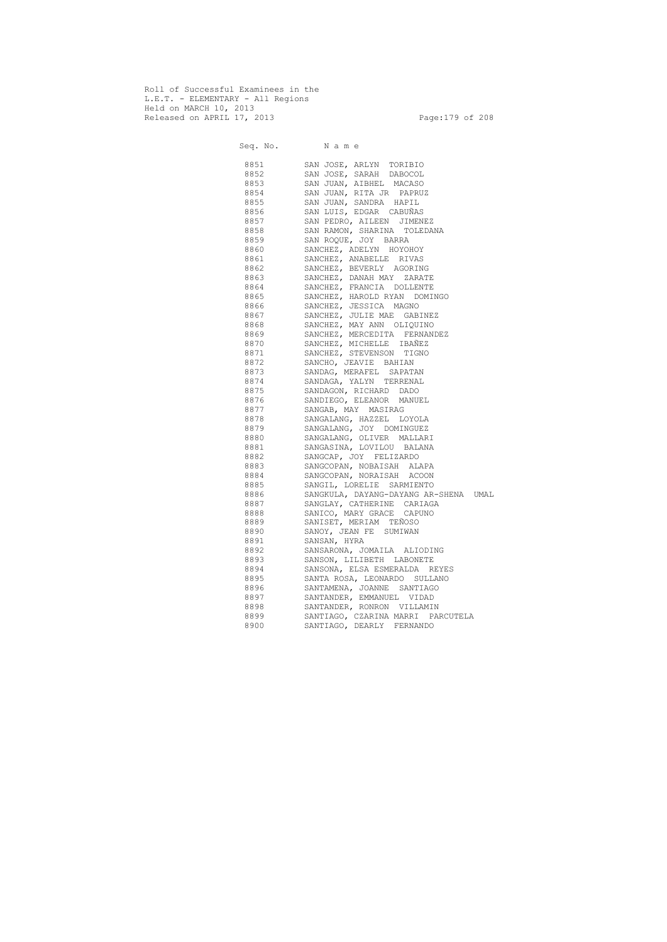Roll of Successful Examinees in the L.E.T. - ELEMENTARY - All Regions Held on MARCH 10, 2013 Released on APRIL 17, 2013 Page: 179 of 208

 Seq. No. N a m e 8851 SAN JOSE, ARLYN TORIBIO 8852 SAN JOSE, SARAH DABOCOL 8853 SAN JUAN, AIBHEL MACASO 8854 SAN JUAN, RITA JR PAPRUZ 8855 SAN JUAN, SANDRA HAPIL 8856 SAN LUIS, EDGAR CABUÑAS 8857 SAN PEDRO, AILEEN JIMENEZ 8858 SAN RAMON, SHARINA TOLEDANA 8859 SAN ROQUE, JOY BARRA 8860 SANCHEZ, ADELYN HOYOHOY 8861 SANCHEZ, ANABELLE RIVAS 8862 SANCHEZ, BEVERLY AGORING 8863 SANCHEZ, DANAH MAY ZARATE 8864 SANCHEZ, FRANCIA DOLLENTE 8865 SANCHEZ, HAROLD RYAN DOMINGO 8866 SANCHEZ, JESSICA MAGNO 8867 SANCHEZ, JULIE MAE GABINEZ 8868 SANCHEZ, MAY ANN OLIQUINO 8869 SANCHEZ, MERCEDITA FERNANDEZ 8870 SANCHEZ, MICHELLE IBAÑEZ 8871 SANCHEZ, STEVENSON TIGNO 8872 SANCHO, JEAVIE BAHIAN 8873 SANDAG, MERAFEL SAPATAN 8874 SANDAGA, YALYN TERRENAL 8875 SANDAGON, RICHARD DADO 8876 SANDIEGO, ELEANOR MANUEL 8877 SANGAB, MAY MASIRAG 8878 SANGALANG, HAZZEL LOYOLA 8879 SANGALANG, JOY DOMINGUEZ 8880 SANGALANG, OLIVER MALLARI 8881 SANGASINA, LOVILOU BALANA 8882 SANGCAP, JOY FELIZARDO 8883 SANGCOPAN, NOBAISAH ALAPA 8884 SANGCOPAN, NORAISAH ACOON 8885 SANGIL, LORELIE SARMIENTO 8886 SANGKULA, DAYANG-DAYANG AR-SHENA UMAL 8887 SANGLAY, CATHERINE CARIAGA 8888 SANICO, MARY GRACE CAPUNO 8889 SANISET, MERIAM TEÑOSO 8890 SANOY, JEAN FE SUMIWAN 8891 SANSAN, HYRA 8892 SANSARONA, JOMAILA ALIODING 8893 SANSON, LILIBETH LABONETE 8894 SANSONA, ELSA ESMERALDA REYES 8895 SANTA ROSA, LEONARDO SULLANO 8896 SANTAMENA, JOANNE SANTIAGO 8897 SANTANDER, EMMANUEL VIDAD 8898 SANTANDER, RONRON VILLAMIN 8899 SANTIAGO, CZARINA MARRI PARCUTELA 8900 SANTIAGO, DEARLY FERNANDO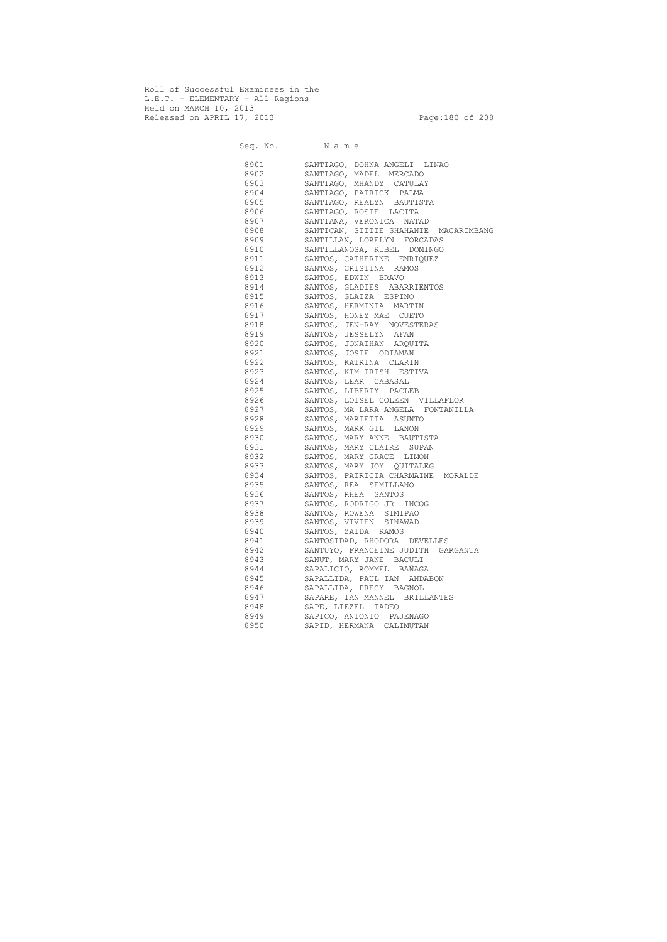Roll of Successful Examinees in the L.E.T. - ELEMENTARY - All Regions Held on MARCH 10, 2013 Released on APRIL 17, 2013 Page:180 of 208

Seq. No. Name 8901 SANTIAGO, DOHNA ANGELI LINAO 8902 SANTIAGO, MADEL MERCADO 8903 SANTIAGO, MHANDY CATULAY 8904 SANTIAGO, PATRICK PALMA 8905 SANTIAGO, REALYN BAUTISTA 8906 SANTIAGO, ROSIE LACITA 8907 SANTIANA, VERONICA NATAD 8908 SANTICAN, SITTIE SHAHANIE MACARIMBANG 8909 SANTILLAN, LORELYN FORCADAS 8910 SANTILLANOSA, RUBEL DOMINGO 8911 SANTOS, CATHERINE ENRIQUEZ 8912 SANTOS, CRISTINA RAMOS 8913 SANTOS, EDWIN BRAVO 8914 SANTOS, GLADIES ABARRIENTOS 8915 SANTOS, GLAIZA ESPINO 8916 SANTOS, HERMINIA MARTIN 8917 SANTOS, HONEY MAE CUETO 8918 SANTOS, JEN-RAY NOVESTERAS 8919 SANTOS, JESSELYN AFAN 8920 SANTOS, JONATHAN ARQUITA 8921 SANTOS, JOSIE ODIAMAN 8922 SANTOS, KATRINA CLARIN 8923 SANTOS, KIM IRISH ESTIVA 8924 SANTOS, LEAR CABASAL 8925 SANTOS, LIBERTY PACLEB 8926 SANTOS, LOISEL COLEEN VILLAFLOR 8927 SANTOS, MA LARA ANGELA FONTANILLA 8928 SANTOS, MARIETTA ASUNTO 8929 SANTOS, MARK GIL LANON 8930 SANTOS, MARY ANNE BAUTISTA 8931 SANTOS, MARY CLAIRE SUPAN 8932 SANTOS, MARY GRACE LIMON 8933 SANTOS, MARY JOY QUITALEG 8934 SANTOS, PATRICIA CHARMAINE MORALDE 8935 SANTOS, REA SEMILLANO 8936 SANTOS, RHEA SANTOS 8937 SANTOS, RODRIGO JR INCOG 8938 SANTOS, ROWENA SIMIPAO 8939 SANTOS, VIVIEN SINAWAD 8940 SANTOS, ZAIDA RAMOS 8941 SANTOSIDAD, RHODORA DEVELLES 8942 SANTUYO, FRANCEINE JUDITH GARGANTA 8943 SANUT, MARY JANE BACULI 8944 SAPALICIO, ROMMEL BAÑAGA 8945 SAPALLIDA, PAUL IAN ANDABON 8946 SAPALLIDA, PRECY BAGNOL 8947 SAPARE, IAN MANNEL BRILLANTES 8948 SAPE, LIEZEL TADEO 8949 SAPICO, ANTONIO PAJENAGO 8950 SAPID, HERMANA CALIMUTAN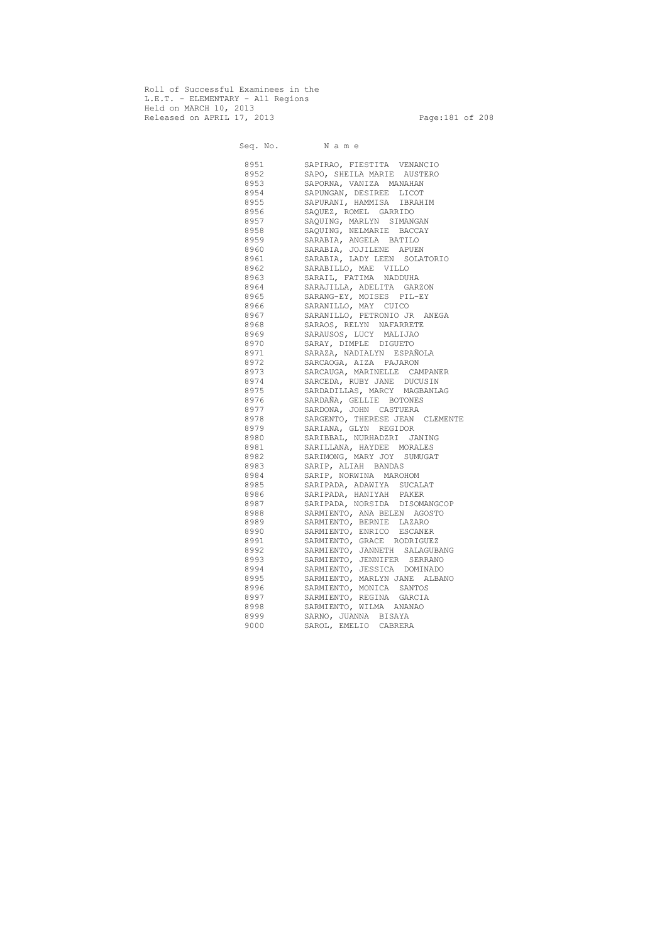Roll of Successful Examinees in the L.E.T. - ELEMENTARY - All Regions Held on MARCH 10, 2013 Released on APRIL 17, 2013 Page:181 of 208

Seq. No. Name 8951 SAPIRAO, FIESTITA VENANCIO 8952 SAPO, SHEILA MARIE AUSTERO 8953 SAPORNA, VANIZA MANAHAN 8954 SAPUNGAN, DESIREE LICOT 8955 SAPURANI, HAMMISA IBRAHIM 8956 SAQUEZ, ROMEL GARRIDO 8957 SAQUING, MARLYN SIMANGAN 8958 SAQUING, NELMARIE BACCAY 8959 SARABIA, ANGELA BATILO 8960 SARABIA, JOJILENE APUEN 8961 SARABIA, LADY LEEN SOLATORIO 8962 SARABILLO, MAE VILLO 8963 SARAIL, FATIMA NADDUHA 8964 SARAJILLA, ADELITA GARZON 8965 SARANG-EY, MOISES PIL-EY 8966 SARANILLO, MAY CUICO 8967 SARANILLO, PETRONIO JR ANEGA 8968 SARAOS, RELYN NAFARRETE 8969 SARAUSOS, LUCY MALIJAO 8970 SARAY, DIMPLE DIGUETO 8971 SARAZA, NADIALYN ESPAÑOLA 8972 SARCAOGA, AIZA PAJARON 8973 SARCAUGA, MARINELLE CAMPANER 8974 SARCEDA, RUBY JANE DUCUSIN 8975 SARDADILLAS, MARCY MAGBANLAG 8976 SARDAÑA, GELLIE BOTONES 8977 SARDONA, JOHN CASTUERA 8978 SARGENTO, THERESE JEAN CLEMENTE 8979 SARIANA, GLYN REGIDOR 8980 SARIBBAL, NURHADZRI JANING 8981 SARILLANA, HAYDEE MORALES 8982 SARIMONG, MARY JOY SUMUGAT 8983 SARIP, ALIAH BANDAS 8984 SARIP, NORWINA MAROHOM 8985 SARIPADA, ADAWIYA SUCALAT 8986 SARIPADA, HANIYAH PAKER 8987 SARIPADA, NORSIDA DISOMANGCOP 8988 SARMIENTO, ANA BELEN AGOSTO 8989 SARMIENTO, BERNIE LAZARO 8990 SARMIENTO, ENRICO ESCANER 8991 SARMIENTO, GRACE RODRIGUEZ 8992 SARMIENTO, JANNETH SALAGUBANG 8993 SARMIENTO, JENNIFER SERRANO 8994 SARMIENTO, JESSICA DOMINADO 8995 SARMIENTO, MARLYN JANE ALBANO 8996 SARMIENTO, MONICA SANTOS 8997 SARMIENTO, REGINA GARCIA 8998 SARMIENTO, WILMA ANANAO 8999 SARNO, JUANNA BISAYA 9000 SAROL, EMELIO CABRERA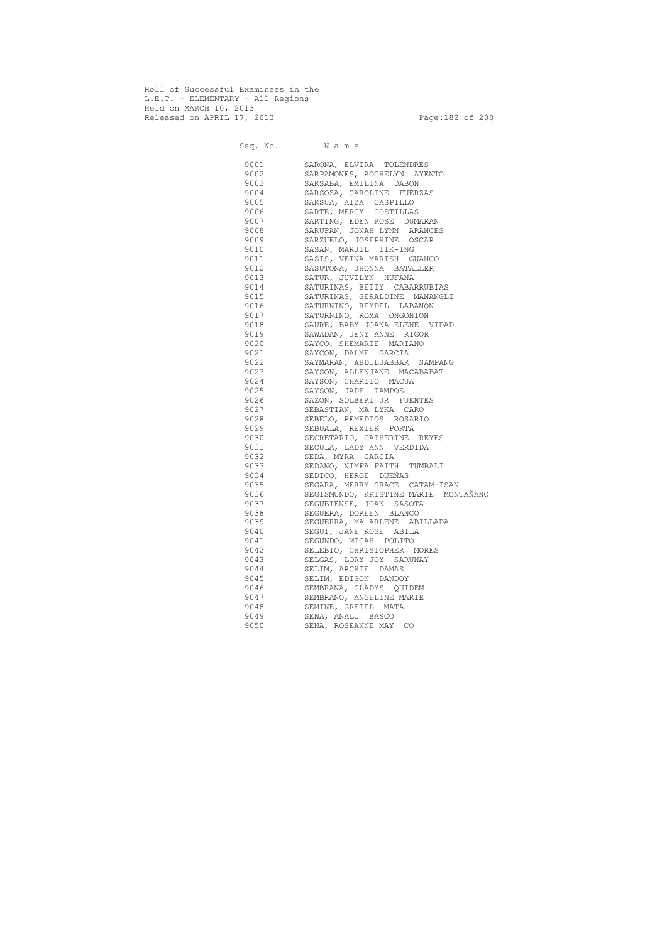Roll of Successful Examinees in the L.E.T. - ELEMENTARY - All Regions Held on MARCH 10, 2013 Released on APRIL 17, 2013 Page:182 of 208

 Seq. No. N a m e 9001 SARONA, ELVIRA TOLENDRES 9002 SARPAMONES, ROCHELYN AYENTO 9003 SARSABA, EMILINA DABON 9004 SARSOZA, CAROLINE FUERZAS 9005 SARSUA, AIZA CASPILLO 9006 SARTE, MERCY COSTILLAS 9007 SARTING, EDEN ROSE DUMARAN 9008 SARUPAN, JONAH LYNN ARANCES 9009 SARZUELO, JOSEPHINE OSCAR 9010 SASAN, MARJIL TIK-ING 9011 SASIS, VEINA MARISH GUANCO 9012 SASUTONA, JHONNA BATALLER 9013 SATUR, JUVILYN HUFANA 9014 SATURINAS, BETTY CABARRUBIAS 9015 SATURINAS, GERALDINE MANANGLI 9016 SATURNINO, REYDEL LABANON 9017 SATURNINO, ROMA ONGONION 9018 SAURE, BABY JOANA ELENE VIDAD 9019 SAWADAN, JENY ANNE RIGOR 9020 SAYCO, SHEMARIE MARIANO 9021 SAYCON, DALME GARCIA 9022 SAYMARAN, ABDULJABBAR SAMPANG 9023 SAYSON, ALLENJANE MACABABAT 9024 SAYSON, CHARITO MACUA 9025 SAYSON, JADE TAMPOS 9026 SAZON, SOLBERT JR FUENTES 9027 SEBASTIAN, MA LYKA CARO 9028 SEBELO, REMEDIOS ROSARIO 9029 SEBUALA, REXTER PORTA 9030 SECRETARIO, CATHERINE REYES 9031 SECULA, LADY ANN VERDIDA 9032 SEDA, MYRA GARCIA 9033 SEDANO, NIMFA FAITH TUMBALI 9034 SEDICO, HEROE DUEÑAS 9035 SEGARA, MERRY GRACE CATAM-ISAN 9036 SEGISMUNDO, KRISTINE MARIE MONTAÑANO 9037 SEGUBIENSE, JOAN SASOTA 9038 SEGUERA, DOREEN BLANCO 9039 SEGUERRA, MA ARLENE ABILLADA 9040 SEGUI, JANE ROSE ABILA 9041 SEGUNDO, MICAH POLITO 9042 SELEBIO, CHRISTOPHER MORES 9043 SELGAS, LORY JOY SARUNAY 9044 SELIM, ARCHIE DAMAS 9045 SELIM, EDISON DANDOY 9046 SEMBRANA, GLADYS QUIDEM 9047 SEMBRANO, ANGELINE MARIE 9048 SEMINE, GRETEL MATA 9049 SENA, ANALU BASCO 9050 SENA, ROSEANNE MAY CO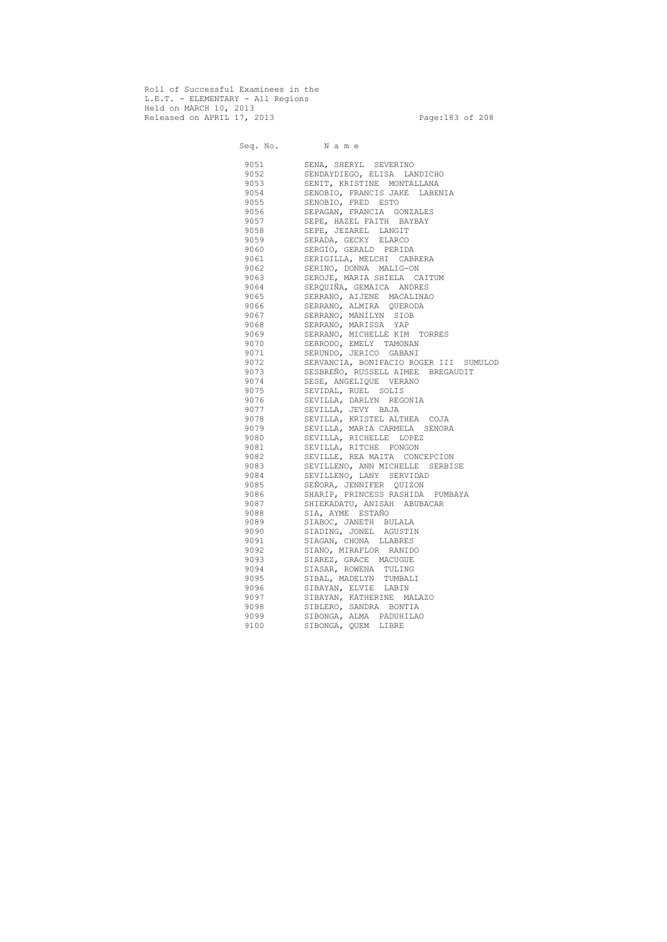Roll of Successful Examinees in the L.E.T. - ELEMENTARY - All Regions Held on MARCH 10, 2013 Released on APRIL 17, 2013 Page:183 of 208

 Seq. No. N a m e 9051 SENA, SHERYL SEVERINO 9052 SENDAYDIEGO, ELISA LANDICHO 9053 SENIT, KRISTINE MONTALLANA 9054 SENOBIO, FRANCIS JAKE LABENIA 9055 SENOBIO, FRED ESTO 9056 SEPAGAN, FRANCIA GONZALES 9057 SEPE, HAZEL FAITH BAYBAY 9058 SEPE, JEZAREL LANGIT 9059 SERADA, GECKY ELARCO 9060 SERGIO, GERALD PERIDA 9061 SERIGILLA, MELCHI CABRERA 9062 SERINO, DONNA MALIG-ON 9063 SEROJE, MARIA SHIELA CAITUM 9064 SERQUIÑA, GEMAICA ANDRES 9065 SERRANO, AIJENE MACALINAO 9066 SERRANO, ALMIRA QUERODA 9067 SERRANO, MANILYN SIOB 9068 SERRANO, MARISSA YAP 9069 SERRANO, MICHELLE KIM TORRES 9070 SERRODO, EMELY TAMONAN 9071 SERUNDO, JERICO GABANI 9072 SERVANCIA, BONIFACIO ROGER III SUMULOD 9073 SESBREÑO, RUSSELL AIMEE BREGAUDIT 9074 SESE, ANGELIQUE VERANO 9075 SEVIDAL, RUEL SOLIS 9076 SEVILLA, DARLYN REGONIA 9077 SEVILLA, JEVY BAJA 9078 SEVILLA, KRISTEL ALTHEA COJA 9079 SEVILLA, MARIA CARMELA SENORA 9080 SEVILLA, RICHELLE LOPEZ 9081 SEVILLA, RITCHE PONGON 9082 SEVILLE, REA MAITA CONCEPCION 9083 SEVILLENO, ANN MICHELLE SERBISE 9084 SEVILLENO, LANY SERVIDAD 9085 SEÑORA, JENNIFER QUIZON 9086 SHARIP, PRINCESS RASHIDA PUMBAYA 9087 SHIEKADATU, ANISAH ABUBACAR 9088 SIA, AYME ESTAÑO 9089 SIABOC, JANETH BULALA 9090 SIADING, JONEL AGUSTIN 9091 SIAGAN, CHONA LLABRES 9092 SIANO, MIRAFLOR RANIDO 9093 SIAREZ, GRACE MACUGUE 9094 SIASAR, ROWENA TULING 9095 SIBAL, MADELYN TUMBALI 9096 SIBAYAN, ELVIE LABIN 9097 SIBAYAN, KATHERINE MALAZO 9098 SIBLERO, SANDRA BONTIA 9099 SIBONGA, ALMA PADUHILAO 9100 SIBONGA, QUEM LIBRE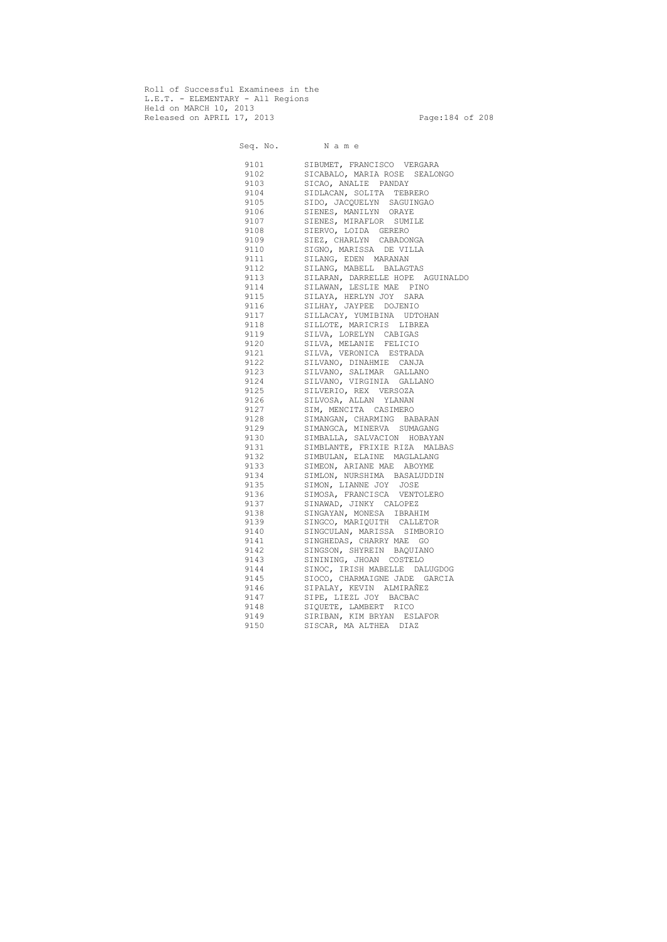Roll of Successful Examinees in the L.E.T. - ELEMENTARY - All Regions Held on MARCH 10, 2013 Released on APRIL 17, 2013 Page:184 of 208

Seq. No. Name 9101 SIBUMET, FRANCISCO VERGARA 9102 SICABALO, MARIA ROSE SEALONGO 9103 SICAO, ANALIE PANDAY 9104 SIDLACAN, SOLITA TEBRERO 9105 SIDO, JACQUELYN SAGUINGAO 9106 SIENES, MANILYN ORAYE 9107 SIENES, MIRAFLOR SUMILE 9108 SIERVO, LOIDA GERERO 9109 SIEZ, CHARLYN CABADONGA 9110 SIGNO, MARISSA DE VILLA 9111 SILANG, EDEN MARANAN 9112 SILANG, MABELL BALAGTAS 9113 SILARAN, DARRELLE HOPE AGUINALDO 9114 SILAWAN, LESLIE MAE PINO 9115 SILAYA, HERLYN JOY SARA 9116 SILHAY, JAYPEE DOJENIO 9117 SILLACAY, YUMIBINA UDTOHAN 9118 SILLOTE, MARICRIS LIBREA 9119 SILVA, LORELYN CABIGAS 9120 SILVA, MELANIE FELICIO 9121 SILVA, VERONICA ESTRADA 9122 SILVANO, DINAHMIE CANJA 9123 SILVANO, SALIMAR GALLANO 9124 SILVANO, VIRGINIA GALLANO 9125 SILVERIO, REX VERSOZA 9126 SILVOSA, ALLAN YLANAN 9127 SIM, MENCITA CASIMERO 9128 SIMANGAN, CHARMING BABARAN 9129 SIMANGCA, MINERVA SUMAGANG 9130 SIMBALLA, SALVACION HOBAYAN 9131 SIMBLANTE, FRIXIE RIZA MALBAS 9132 SIMBULAN, ELAINE MAGLALANG 9133 SIMEON, ARIANE MAE ABOYME 9134 SIMLON, NURSHIMA BASALUDDIN 9135 SIMON, LIANNE JOY JOSE 9136 SIMOSA, FRANCISCA VENTOLERO 9137 SINAWAD, JINKY CALOPEZ 9138 SINGAYAN, MONESA IBRAHIM 9139 SINGCO, MARIQUITH CALLETOR 9140 SINGCULAN, MARISSA SIMBORIO 9141 SINGHEDAS, CHARRY MAE GO 9142 SINGSON, SHYREIN BAQUIANO 9143 SININING, JHOAN COSTELO 9144 SINOC, IRISH MABELLE DALUGDOG 9145 SIOCO, CHARMAIGNE JADE GARCIA 9146 SIPALAY, KEVIN ALMIRAÑEZ 9147 SIPE, LIEZL JOY BACBAC 9148 SIQUETE, LAMBERT RICO 9149 SIRIBAN, KIM BRYAN ESLAFOR 9150 SISCAR, MA ALTHEA DIAZ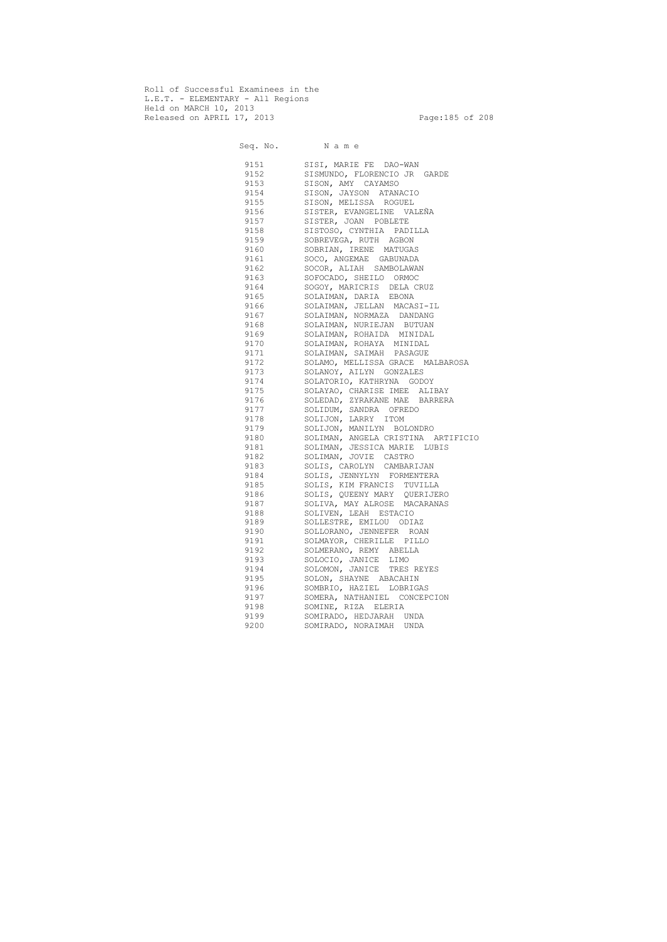Roll of Successful Examinees in the L.E.T. - ELEMENTARY - All Regions Held on MARCH 10, 2013 Released on APRIL 17, 2013 Page:185 of 208

Seq. No. Name 9151 SISI, MARIE FE DAO-WAN 9152 SISMUNDO, FLORENCIO JR GARDE 9153 SISON, AMY CAYAMSO 9154 SISON, JAYSON ATANACIO 9155 SISON, MELISSA ROGUEL 9156 SISTER, EVANGELINE VALEÑA 9157 SISTER, JOAN POBLETE 9158 SISTOSO, CYNTHIA PADILLA 9159 SOBREVEGA, RUTH AGBON 9160 SOBRIAN, IRENE MATUGAS 9161 SOCO, ANGEMAE GABUNADA 9162 SOCOR, ALIAH SAMBOLAWAN 9163 SOFOCADO, SHEILO ORMOC 9164 SOGOY, MARICRIS DELA CRUZ 9165 SOLAIMAN, DARIA EBONA 9166 SOLAIMAN, JELLAN MACASI-IL 9167 SOLAIMAN, NORMAZA DANDANG 9168 SOLAIMAN, NURIEJAN BUTUAN 9169 SOLAIMAN, ROHAIDA MINIDAL 9170 SOLAIMAN, ROHAYA MINIDAL 9171 SOLAIMAN, SAIMAH PASAGUE 9172 SOLAMO, MELLISSA GRACE MALBAROSA 9173 SOLANOY, AILYN GONZALES 9174 SOLATORIO, KATHRYNA GODOY 9175 SOLAYAO, CHARISE IMEE ALIBAY<br>9176 SOLEDAD, ZYRAKANE MAE BARRER. 9176 SOLEDAD, ZYRAKANE MAE BARRERA SOLIDUM, SANDRA OFREDO 9178 SOLIJON, LARRY ITOM 9179 SOLIJON, MANILYN BOLONDRO 9180 SOLIMAN, ANGELA CRISTINA ARTIFICIO 9181 SOLIMAN, JESSICA MARIE LUBIS 9182 SOLIMAN, JOVIE CASTRO 9183 SOLIS, CAROLYN CAMBARIJAN 9184 SOLIS, JENNYLYN FORMENTERA 9185 SOLIS, KIM FRANCIS TUVILLA 9186 SOLIS, QUEENY MARY QUERIJERO 9187 SOLIVA, MAY ALROSE MACARANAS 9188 SOLIVEN, LEAH ESTACIO 9189 SOLLESTRE, EMILOU ODIAZ 9190 SOLLORANO, JENNEFER ROAN 9191 SOLMAYOR, CHERILLE PILLO 9192 SOLMERANO, REMY ABELLA 9193 SOLOCIO, JANICE LIMO 9194 SOLOMON, JANICE TRES REYES 9195 SOLON, SHAYNE ABACAHIN 9196 SOMBRIO, HAZIEL LOBRIGAS 9197 SOMERA, NATHANIEL CONCEPCION 9198 SOMINE, RIZA ELERIA 9199 SOMIRADO, HEDJARAH UNDA 9200 SOMIRADO, NORAIMAH UNDA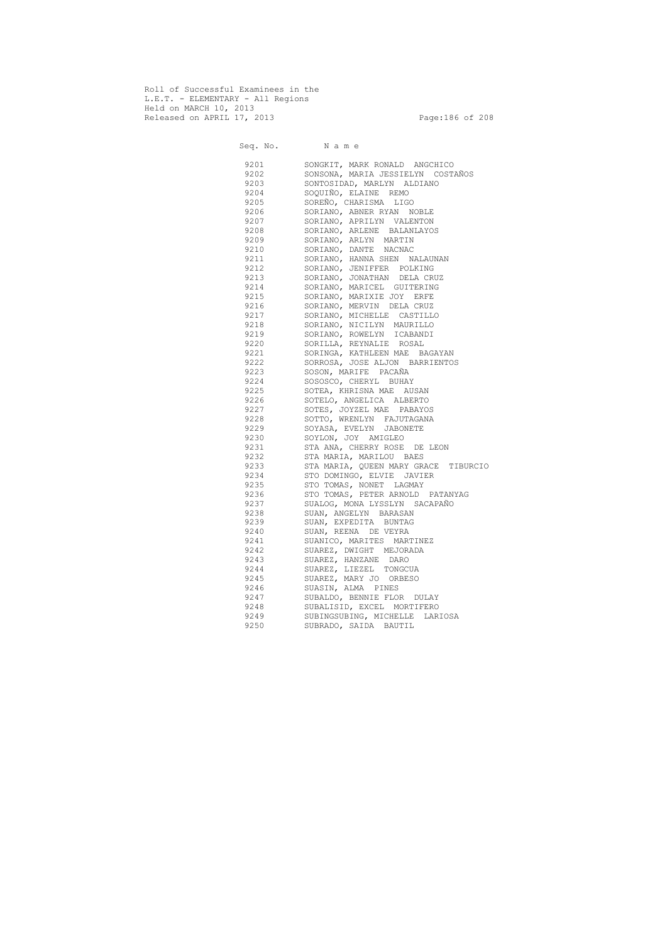Roll of Successful Examinees in the L.E.T. - ELEMENTARY - All Regions Held on MARCH 10, 2013 Released on APRIL 17, 2013 Page:186 of 208

 Seq. No. N a m e 9201 SONGKIT, MARK RONALD ANGCHICO 9202 SONSONA, MARIA JESSIELYN COSTAÑOS 9203 SONTOSIDAD, MARLYN ALDIANO 9204 SOQUIÑO, ELAINE REMO 9205 SOREÑO, CHARISMA LIGO 9206 SORIANO, ABNER RYAN NOBLE 9207 SORIANO, APRILYN VALENTON 9208 SORIANO, ARLENE BALANLAYOS 9209 SORIANO, ARLYN MARTIN 9210 SORIANO, DANTE NACNAC 9211 SORIANO, HANNA SHEN NALAUNAN 9212 SORIANO, JENIFFER POLKING 9213 SORIANO, JONATHAN DELA CRUZ 9214 SORIANO, MARICEL GUITERING 9215 SORIANO, MARIXIE JOY ERFE 9216 SORIANO, MERVIN DELA CRUZ 9217 SORIANO, MICHELLE CASTILLO 9218 SORIANO, NICILYN MAURILLO 9219 SORIANO, ROWELYN ICABANDI 9220 SORILLA, REYNALIE ROSAL 9221 SORINGA, KATHLEEN MAE BAGAYAN 9222 SORROSA, JOSE ALJON BARRIENTOS 9223 SOSON, MARIFE PACAÑA 9224 SOSOSCO, CHERYL BUHAY 9225 SOTEA, KHRISNA MAE AUSAN 9226 SOTELO, ANGELICA ALBERTO 9227 SOTES, JOYZEL MAE PABAYOS 9228 SOTTO, WRENLYN FAJUTAGANA 9229 SOYASA, EVELYN JABONETE 9230 SOYLON, JOY AMIGLEO 9231 STA ANA, CHERRY ROSE DE LEON 9232 STA MARIA, MARILOU BAES 9233 STA MARIA, QUEEN MARY GRACE TIBURCIO 9234 STO DOMINGO, ELVIE JAVIER 9235 STO TOMAS, NONET LAGMAY 9236 STO TOMAS, PETER ARNOLD PATANYAG 9237 SUALOG, MONA LYSSLYN SACAPAÑO 9238 SUAN, ANGELYN BARASAN 9239 SUAN, EXPEDITA BUNTAG 9240 SUAN, REENA DE VEYRA 9241 SUANICO, MARITES MARTINEZ 9242 SUAREZ, DWIGHT MEJORADA 9243 SUAREZ, HANZANE DARO 9244 SUAREZ, LIEZEL TONGCUA 9245 SUAREZ, MARY JO ORBESO 9246 SUASIN, ALMA PINES 9247 SUBALDO, BENNIE FLOR DULAY 9248 SUBALISID, EXCEL MORTIFERO 9249 SUBINGSUBING, MICHELLE LARIOSA 9250 SUBRADO, SAIDA BAUTIL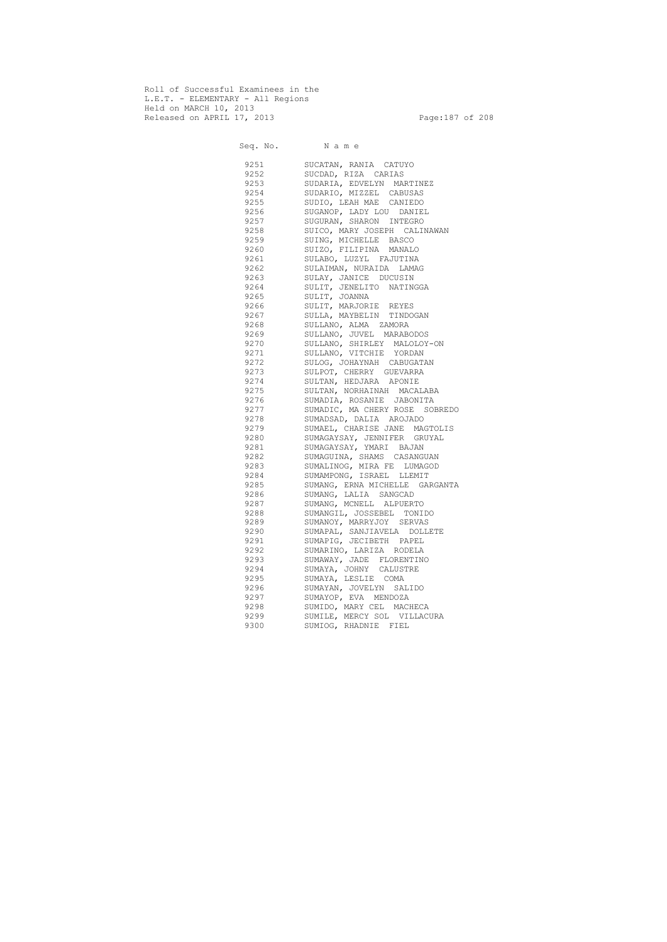Roll of Successful Examinees in the L.E.T. - ELEMENTARY - All Regions Held on MARCH 10, 2013 Released on APRIL 17, 2013 Page:187 of 208

 Seq. No. N a m e 9251 SUCATAN, RANIA CATUYO 9252 SUCDAD, RIZA CARIAS 9253 SUDARIA, EDVELYN MARTINEZ 9254 SUDARIO, MIZZEL CABUSAS 9255 SUDIO, LEAH MAE CANIEDO 9256 SUGANOP, LADY LOU DANIEL 9257 SUGURAN, SHARON INTEGRO 9258 SUICO, MARY JOSEPH CALINAWAN 9259 SUING, MICHELLE BASCO 9260 SUIZO, FILIPINA MANALO 9261 SULABO, LUZYL FAJUTINA 9262 SULAIMAN, NURAIDA LAMAG 9263 SULAY, JANICE DUCUSIN 9264 SULIT, JENELITO NATINGGA 9265 SULIT, JOANNA 9266 SULIT, MARJORIE REYES 9267 SULLA, MAYBELIN TINDOGAN 9268 SULLANO, ALMA ZAMORA 9269 SULLANO, JUVEL MARABODOS 9270 SULLANO, SHIRLEY MALOLOY-ON 9271 SULLANO, VITCHIE YORDAN 9272 SULOG, JOHAYNAH CABUGATAN 9273 SULPOT, CHERRY GUEVARRA 9274 SULTAN, HEDJARA APONIE 9275 SULTAN, NORHAINAH MACALABA 9276 SUMADIA, ROSANIE JABONITA 9277 SUMADIC, MA CHERY ROSE SOBREDO 9278 SUMADSAD, DALIA AROJADO 9279 SUMAEL, CHARISE JANE MAGTOLIS 9280 SUMAGAYSAY, JENNIFER GRUYAL 9281 SUMAGAYSAY, YMARI BAJAN 9282 SUMAGUINA, SHAMS CASANGUAN 9283 SUMALINOG, MIRA FE LUMAGOD 9284 SUMAMPONG, ISRAEL LLEMIT 9285 SUMANG, ERNA MICHELLE GARGANTA 9286 SUMANG, LALIA SANGCAD 9287 SUMANG, MCNELL ALPUERTO 9288 SUMANGIL, JOSSEBEL TONIDO 9289 SUMANOY, MARRYJOY SERVAS 9290 SUMAPAL, SANJIAVELA DOLLETE 9291 SUMAPIG, JECIBETH PAPEL 9292 SUMARINO, LARIZA RODELA 9293 SUMAWAY, JADE FLORENTINO 9294 SUMAYA, JOHNY CALUSTRE 9295 SUMAYA, LESLIE COMA 9296 SUMAYAN, JOVELYN SALIDO 9297 SUMAYOP, EVA MENDOZA 9298 SUMIDO, MARY CEL MACHECA 9299 SUMILE, MERCY SOL VILLACURA 9300 SUMIOG, RHADNIE FIEL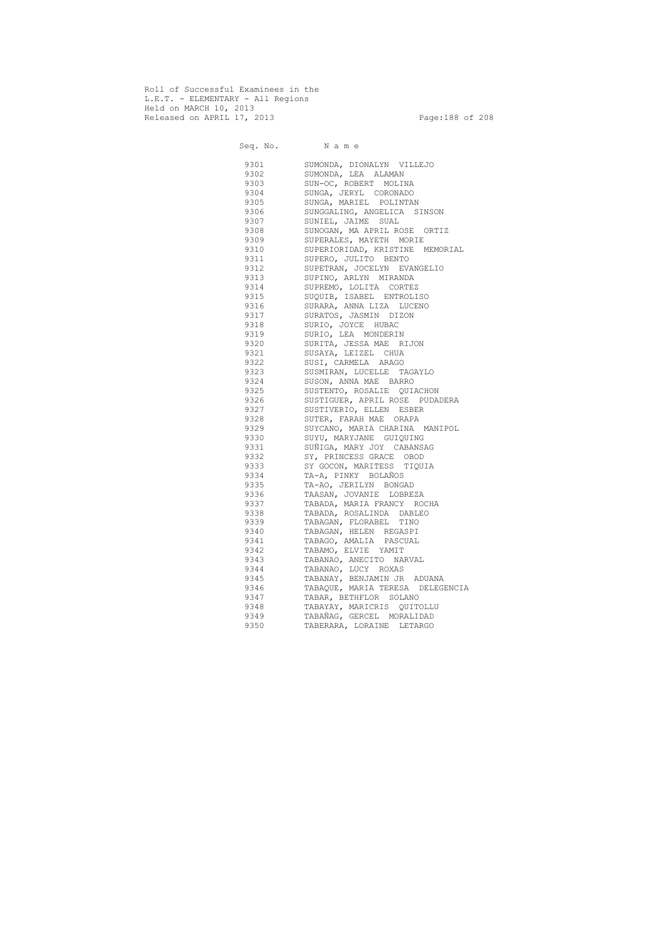Roll of Successful Examinees in the L.E.T. - ELEMENTARY - All Regions Held on MARCH 10, 2013 Released on APRIL 17, 2013 Page:188 of 208

 Seq. No. N a m e 9301 SUMONDA, DIONALYN VILLEJO 9302 SUMONDA, LEA ALAMAN 9303 SUN-OC, ROBERT MOLINA 9304 SUNGA, JERYL CORONADO 9305 SUNGA, MARIEL POLINTAN 9306 SUNGGALING, ANGELICA SINSON 9307 SUNIEL, JAIME SUAL 9308 SUNOGAN, MA APRIL ROSE ORTIZ 9309 SUPERALES, MAYETH MORIE 9310 SUPERIORIDAD, KRISTINE MEMORIAL 9311 SUPERO, JULITO BENTO 9312 SUPETRAN, JOCELYN EVANGELIO 9313 SUPINO, ARLYN MIRANDA 9314 SUPREMO, LOLITA CORTEZ 9315 SUQUIB, ISABEL ENTROLISO 9316 SURARA, ANNA LIZA LUCENO 9317 SURATOS, JASMIN DIZON 9318 SURIO, JOYCE HUBAC 9319 SURIO, LEA MONDERIN 9320 SURITA, JESSA MAE RIJON 9321 SUSAYA, LEIZEL CHUA 9322 SUSI, CARMELA ARAGO 9323 SUSMIRAN, LUCELLE TAGAYLO 9324 SUSON, ANNA MAE BARRO 9325 SUSTENTO, ROSALIE QUIACHON 9326 SUSTIGUER, APRIL ROSE PUDADERA 9327 SUSTIVERIO, ELLEN ESBER 9328 SUTER, FARAH MAE ORAPA 9329 SUYCANO, MARIA CHARINA MANIPOL 9330 SUYU, MARYJANE GUIQUING 9331 SUÑIGA, MARY JOY CABANSAG 9332 SY, PRINCESS GRACE OBOD 9333 SY GOCON, MARITESS TIQUIA 9334 TA-A, PINKY BOLAÑOS 9335 TA-AO, JERILYN BONGAD 9336 TAASAN, JOVANIE LOBREZA 9337 TABADA, MARIA FRANCY ROCHA 9338 TABADA, ROSALINDA DABLEO 9339 TABAGAN, FLORABEL TINO 9340 TABAGAN, HELEN REGASPI 9341 TABAGO, AMALIA PASCUAL 9342 TABAMO, ELVIE YAMIT 9343 TABANAO, ANECITO NARVAL 9344 TABANAO, LUCY ROXAS 9345 TABANAY, BENJAMIN JR ADUANA 9346 TABAQUE, MARIA TERESA DELEGENCIA 9347 TABAR, BETHFLOR SOLANO 9348 TABAYAY, MARICRIS QUITOLLU 9349 TABAÑAG, GERCEL MORALIDAD 9350 TABERARA, LORAINE LETARGO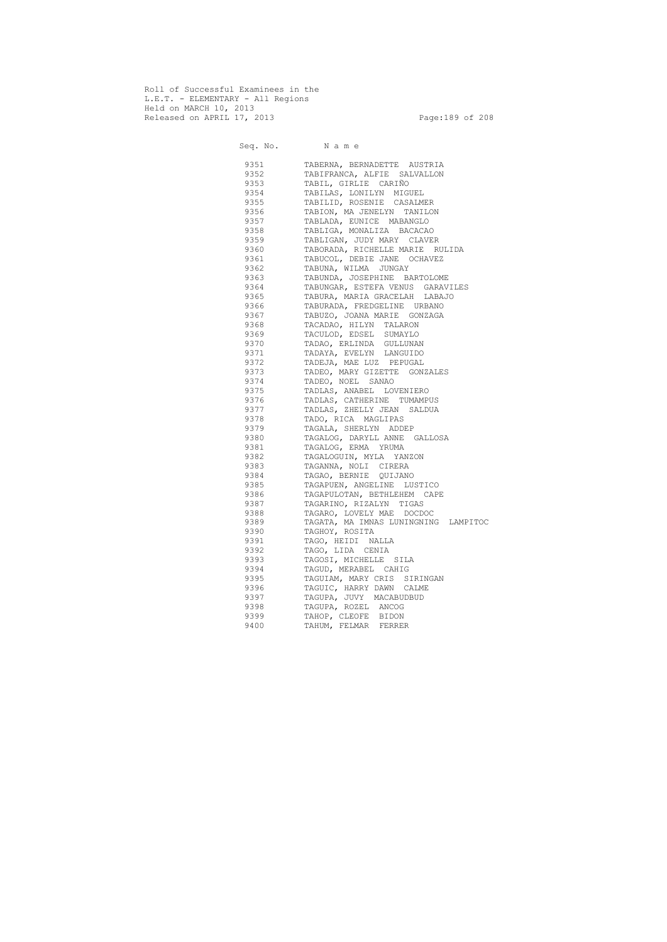Roll of Successful Examinees in the L.E.T. - ELEMENTARY - All Regions Held on MARCH 10, 2013 Released on APRIL 17, 2013 Page:189 of 208

 Seq. No. N a m e 9351 TABERNA, BERNADETTE AUSTRIA 9352 TABIFRANCA, ALFIE SALVALLON 9353 TABIL, GIRLIE CARIÑO 9354 TABILAS, LONILYN MIGUEL 9355 TABILID, ROSENIE CASALMER 9356 TABION, MA JENELYN TANILON 9357 TABLADA, EUNICE MABANGLO 9358 TABLIGA, MONALIZA BACACAO 9359 TABLIGAN, JUDY MARY CLAVER 9360 TABORADA, RICHELLE MARIE RULIDA 9361 TABUCOL, DEBIE JANE OCHAVEZ 9362 TABUNA, WILMA JUNGAY 9363 TABUNDA, JOSEPHINE BARTOLOME 9364 TABUNGAR, ESTEFA VENUS GARAVILES 9365 TABURA, MARIA GRACELAH LABAJO 9366 TABURADA, FREDGELINE URBANO 9367 TABUZO, JOANA MARIE GONZAGA 9368 TACADAO, HILYN TALARON 9369 TACULOD, EDSEL SUMAYLO 9370 TADAO, ERLINDA GULLUNAN 9371 TADAYA, EVELYN LANGUIDO 9372 TADEJA, MAE LUZ PEPUGAL 9373 TADEO, MARY GIZETTE GONZALES 9374 TADEO, NOEL SANAO 9375 TADLAS, ANABEL LOVENIERO 9376 TADLAS, CATHERINE TUMAMPUS 9377 TADLAS, ZHELLY JEAN SALDUA 9378 TADO, RICA MAGLIPAS 9379 TAGALA, SHERLYN ADDEP 9380 TAGALOG, DARYLL ANNE GALLOSA 9381 TAGALOG, ERMA YRUMA 9382 TAGALOGUIN, MYLA YANZON 9383 TAGANNA, NOLI CIRERA 9384 TAGAO, BERNIE QUIJANO 9385 TAGAPUEN, ANGELINE LUSTICO 9386 TAGAPULOTAN, BETHLEHEM CAPE 9387 TAGARINO, RIZALYN TIGAS 9388 TAGARO, LOVELY MAE DOCDOC 9389 TAGATA, MA IMNAS LUNINGNING LAMPITOC 9390 TAGHOY, ROSITA 9391 TAGO, HEIDI NALLA 9392 TAGO, LIDA CENIA 9393 TAGOSI, MICHELLE SILA 9394 TAGUD, MERABEL CAHIG 9395 TAGUIAM, MARY CRIS SIRINGAN 9396 TAGUIC, HARRY DAWN CALME 9397 TAGUPA, JUVY MACABUDBUD 9398 TAGUPA, ROZEL ANCOG 9399 TAHOP, CLEOFE BIDON 9400 TAHUM, FELMAR FERRER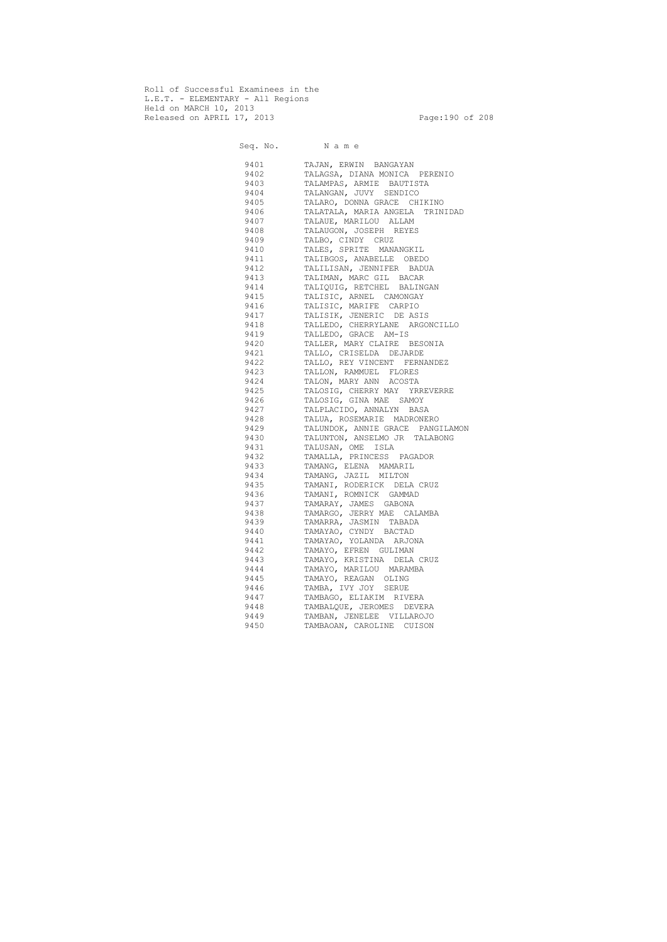Roll of Successful Examinees in the L.E.T. - ELEMENTARY - All Regions Held on MARCH 10, 2013 Released on APRIL 17, 2013 Page:190 of 208

 Seq. No. N a m e 9401 TAJAN, ERWIN BANGAYAN 9402 TALAGSA, DIANA MONICA PERENIO 9403 TALAMPAS, ARMIE BAUTISTA 9404 TALANGAN, JUVY SENDICO 9405 TALARO, DONNA GRACE CHIKINO 9406 TALATALA, MARIA ANGELA TRINIDAD 9407 TALAUE, MARILOU ALLAM 9408 TALAUGON, JOSEPH REYES 9409 TALBO, CINDY CRUZ 9410 TALES, SPRITE MANANGKIL 9411 TALIBGOS, ANABELLE OBEDO 9412 TALILISAN, JENNIFER BADUA 9413 TALIMAN, MARC GIL BACAR 9414 TALIQUIG, RETCHEL BALINGAN 9415 TALISIC, ARNEL CAMONGAY 9416 TALISIC, MARIFE CARPIO 9417 TALISIK, JENERIC DE ASIS 9418 TALLEDO, CHERRYLANE ARGONCILLO 9419 TALLEDO, GRACE AM-IS 9420 TALLER, MARY CLAIRE BESONIA 9421 TALLO, CRISELDA DEJARDE 9422 TALLO, REY VINCENT FERNANDEZ 9423 TALLON, RAMMUEL FLORES 9424 TALON, MARY ANN ACOSTA 9425 TALOSIG, CHERRY MAY YRREVERRE 9426 TALOSIG, GINA MAE SAMOY 9427 TALPLACIDO, ANNALYN BASA 9428 TALUA, ROSEMARIE MADRONERO 9429 TALUNDOK, ANNIE GRACE PANGILAMON 9430 TALUNTON, ANSELMO JR TALABONG 9431 TALUSAN, OME ISLA 9432 TAMALLA, PRINCESS PAGADOR 9433 TAMANG, ELENA MAMARIL 9434 TAMANG, JAZIL MILTON 9435 TAMANI, RODERICK DELA CRUZ 9436 TAMANI, ROMNICK GAMMAD 9437 TAMARAY, JAMES GABONA 9438 TAMARGO, JERRY MAE CALAMBA 9439 TAMARRA, JASMIN TABADA 9440 TAMAYAO, CYNDY BACTAD 9441 TAMAYAO, YOLANDA ARJONA 9442 TAMAYO, EFREN GULIMAN 9443 TAMAYO, KRISTINA DELA CRUZ 9444 TAMAYO, MARILOU MARAMBA 9445 TAMAYO, REAGAN OLING 9446 TAMBA, IVY JOY SERUE 9447 TAMBAGO, ELIAKIM RIVERA 9448 TAMBALQUE, JEROMES DEVERA 9449 TAMBAN, JENELEE VILLAROJO 9450 TAMBAOAN, CAROLINE CUISON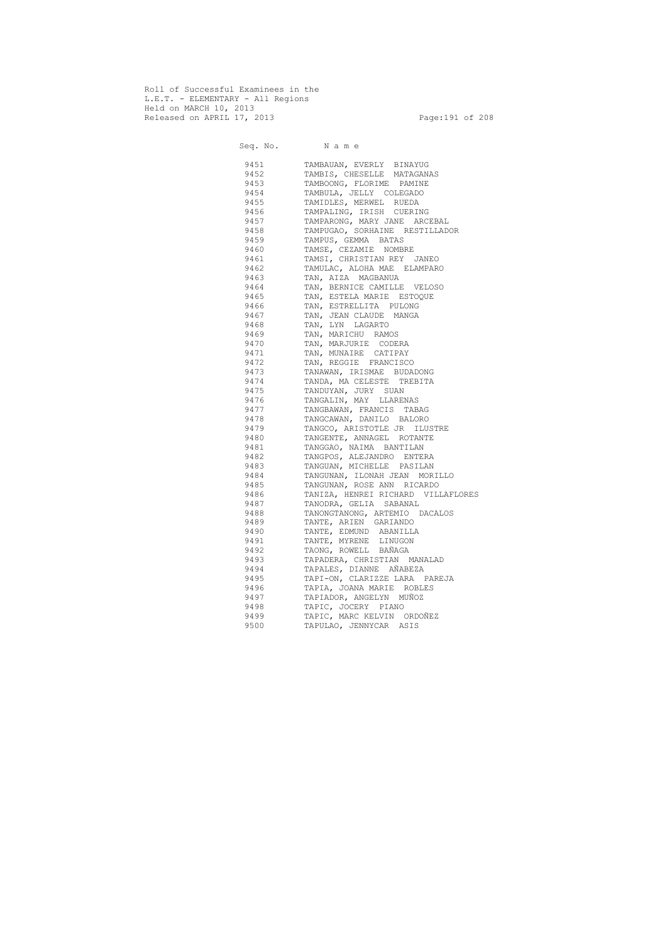Roll of Successful Examinees in the L.E.T. - ELEMENTARY - All Regions Held on MARCH 10, 2013 Released on APRIL 17, 2013 Page:191 of 208

 Seq. No. N a m e 9451 TAMBAUAN, EVERLY BINAYUG 9452 TAMBIS, CHESELLE MATAGANAS 9453 TAMBOONG, FLORIME PAMINE 9454 TAMBULA, JELLY COLEGADO 9455 TAMIDLES, MERWEL RUEDA 9456 TAMPALING, IRISH CUERING 9457 TAMPARONG, MARY JANE ARCEBAL 9458 TAMPUGAO, SORHAINE RESTILLADOR 9459 TAMPUS, GEMMA BATAS 9460 TAMSE, CEZAMIE NOMBRE 9461 TAMSI, CHRISTIAN REY JANEO 9462 TAMULAC, ALOHA MAE ELAMPARO 9463 TAN, AIZA MAGBANUA 9464 TAN, BERNICE CAMILLE VELOSO 9465 TAN, ESTELA MARIE ESTOQUE 9466 TAN, ESTRELLITA PULONG 9467 TAN, JEAN CLAUDE MANGA 9468 TAN, LYN LAGARTO 9469 TAN, MARICHU RAMOS 9470 TAN, MARJURIE CODERA 9471 TAN, MUNAIRE CATIPAY 9472 TAN, REGGIE FRANCISCO<br>9473 TANAWAN, IRISMAE BUDA 9473 TANAWAN, IRISMAE BUDADONG<br>9474 TANDA, MACELESTE TREBITA TANDA, MA CELESTE TREBITA 9475 TANDUYAN, JURY SUAN 9476 TANGALIN, MAY LLARENAS 9477 TANGBAWAN, FRANCIS TABAG 9478 TANGCAWAN, DANILO BALORO 9479 TANGCO, ARISTOTLE JR ILUSTRE 9480 TANGENTE, ANNAGEL ROTANTE 9481 TANGGAO, NAIMA BANTILAN 9482 TANGPOS, ALEJANDRO ENTERA 9483 TANGUAN, MICHELLE PASILAN 9484 TANGUNAN, ILONAH JEAN MORILLO 9485 TANGUNAN, ROSE ANN RICARDO 9486 TANIZA, HENREI RICHARD VILLAFLORES 9487 TANODRA, GELIA SABANAL 9488 TANONGTANONG, ARTEMIO DACALOS 9489 TANTE, ARIEN GARIANDO 9490 TANTE, EDMUND ABANILLA 9491 TANTE, MYRENE LINUGON 9492 TAONG, ROWELL BAÑAGA 9493 TAPADERA, CHRISTIAN MANALAD 9494 TAPALES, DIANNE AÑABEZA 9495 TAPI-ON, CLARIZZE LARA PAREJA 9496 TAPIA, JOANA MARIE ROBLES 9497 TAPIADOR, ANGELYN MUÑOZ 9498 TAPIC, JOCERY PIANO 9499 TAPIC, MARC KELVIN ORDOÑEZ 9500 TAPULAO, JENNYCAR ASIS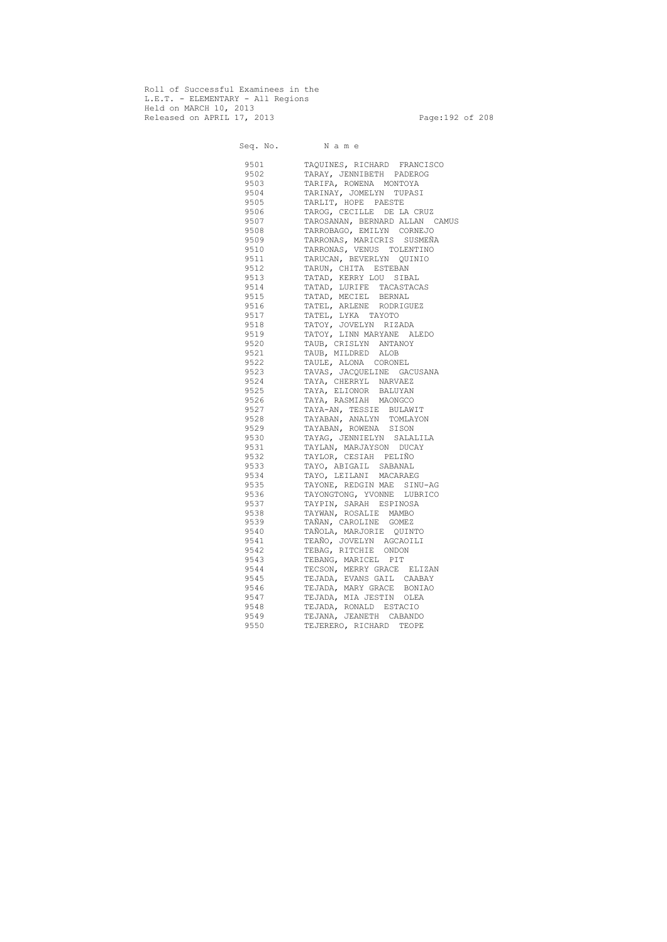Roll of Successful Examinees in the L.E.T. - ELEMENTARY - All Regions Held on MARCH 10, 2013 Released on APRIL 17, 2013 Page:192 of 208

 Seq. No. N a m e 9501 TAQUINES, RICHARD FRANCISCO 9502 TARAY, JENNIBETH PADEROG 9503 TARIFA, ROWENA MONTOYA 9504 TARINAY, JOMELYN TUPASI 9505 TARLIT, HOPE PAESTE 9506 TAROG, CECILLE DE LA CRUZ 9507 TAROSANAN, BERNARD ALLAN CAMUS 9508 TARROBAGO, EMILYN CORNEJO 9509 TARRONAS, MARICRIS SUSMEÑA 9510 TARRONAS, VENUS TOLENTINO 9511 TARUCAN, BEVERLYN QUINIO 9512 TARUN, CHITA ESTEBAN 9513 TATAD, KERRY LOU SIBAL 9514 TATAD, LURIFE TACASTACAS 9515 TATAD, MECIEL BERNAL 9516 TATEL, ARLENE RODRIGUEZ 9517 TATEL, LYKA TAYOTO 9518 TATOY, JOVELYN RIZADA 9519 TATOY, LINN MARYANE ALEDO 9520 TAUB, CRISLYN ANTANOY 9521 TAUB, MILDRED ALOB 9522 TAULE, ALONA CORONEL 9523 TAVAS, JACQUELINE GACUSANA 9524 TAYA, CHERRYL NARVAEZ 9525 TAYA, ELIONOR BALUYAN 9526 TAYA, RASMIAH MAONGCO 9527 TAYA-AN, TESSIE BULAWIT 9528 TAYABAN, ANALYN TOMLAYON 9529 TAYABAN, ROWENA SISON 9530 TAYAG, JENNIELYN SALALILA 9531 TAYLAN, MARJAYSON DUCAY 9532 TAYLOR, CESIAH PELIÑO 9533 TAYO, ABIGAIL SABANAL 9534 TAYO, LEILANI MACARAEG 9535 TAYONE, REDGIN MAE SINU-AG 9536 TAYONGTONG, YVONNE LUBRICO 9537 TAYPIN, SARAH ESPINOSA 9538 TAYWAN, ROSALIE MAMBO 9539 TAÑAN, CAROLINE GOMEZ 9540 TAÑOLA, MARJORIE QUINTO 9541 TEAÑO, JOVELYN AGCAOILI 9542 TEBAG, RITCHIE ONDON 9543 TEBANG, MARICEL PIT 9544 TECSON, MERRY GRACE ELIZAN 9545 TEJADA, EVANS GAIL CAABAY 9546 TEJADA, MARY GRACE BONIAO 9547 TEJADA, MIA JESTIN OLEA 9548 TEJADA, RONALD ESTACIO 9549 TEJANA, JEANETH CABANDO 9550 TEJERERO, RICHARD TEOPE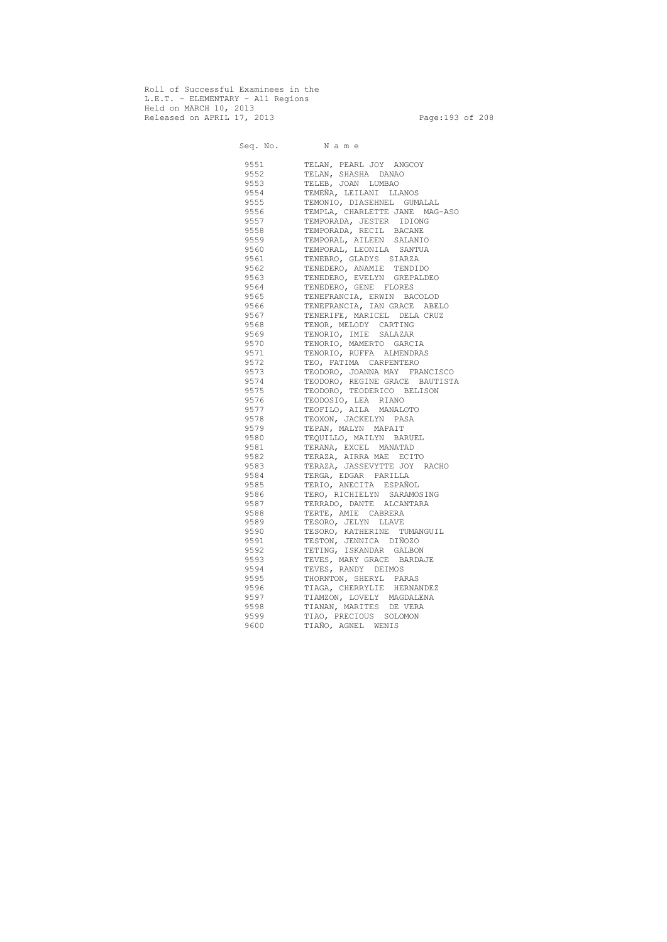Roll of Successful Examinees in the L.E.T. - ELEMENTARY - All Regions Held on MARCH 10, 2013 Released on APRIL 17, 2013 Page:193 of 208

 Seq. No. N a m e 9551 TELAN, PEARL JOY ANGCOY 9552 TELAN, SHASHA DANAO 9553 TELEB, JOAN LUMBAO 9554 TEMEÑA, LEILANI LLANOS 9555 TEMONIO, DIASEHNEL GUMALAL 9556 TEMPLA, CHARLETTE JANE MAG-ASO 9557 TEMPORADA, JESTER IDIONG 9558 TEMPORADA, RECIL BACANE 9559 TEMPORAL, AILEEN SALANIO 9560 TEMPORAL, LEONILA SANTUA 9561 TENEBRO, GLADYS SIARZA 9562 TENEDERO, ANAMIE TENDIDO 9563 TENEDERO, EVELYN GREPALDEO 9564 TENEDERO, GENE FLORES 9565 TENEFRANCIA, ERWIN BACOLOD 9566 TENEFRANCIA, IAN GRACE ABELO 9567 TENERIFE, MARICEL DELA CRUZ 9568 TENOR, MELODY CARTING 9569 TENORIO, IMIE SALAZAR 9570 TENORIO, MAMERTO GARCIA 9571 TENORIO, RUFFA ALMENDRAS 9572 TEO, FATIMA CARPENTERO 9573 TEODORO, JOANNA MAY FRANCISCO<br>9574 TEODORO, REGINE GRACE BAUTIST TEODORO, REGINE GRACE BAUTISTA 9575 TEODORO, TEODERICO BELISON 9576 TEODOSIO, LEA RIANO 9577 TEOFILO, AILA MANALOTO 9578 TEOXON, JACKELYN PASA 9579 TEPAN, MALYN MAPAIT 9580 TEQUILLO, MAILYN BARUEL 9581 TERANA, EXCEL MANATAD 9582 TERAZA, AIRRA MAE ECITO 9583 TERAZA, JASSEVYTTE JOY RACHO 9584 TERGA, EDGAR PARILLA 9585 TERIO, ANECITA ESPAÑOL 9586 TERO, RICHIELYN SARAMOSING 9587 TERRADO, DANTE ALCANTARA 9588 TERTE, AMIE CABRERA 9589 TESORO, JELYN LLAVE 9590 TESORO, KATHERINE TUMANGUIL 9591 TESTON, JENNICA DIÑOZO 9592 TETING, ISKANDAR GALBON 9593 TEVES, MARY GRACE BARDAJE 9594 TEVES, RANDY DEIMOS 9595 THORNTON, SHERYL PARAS 9596 TIAGA, CHERRYLIE HERNANDEZ 9597 TIAMZON, LOVELY MAGDALENA 9598 TIANAN, MARITES DE VERA 9599 TIAO, PRECIOUS SOLOMON 9600 TIAÑO, AGNEL WENIS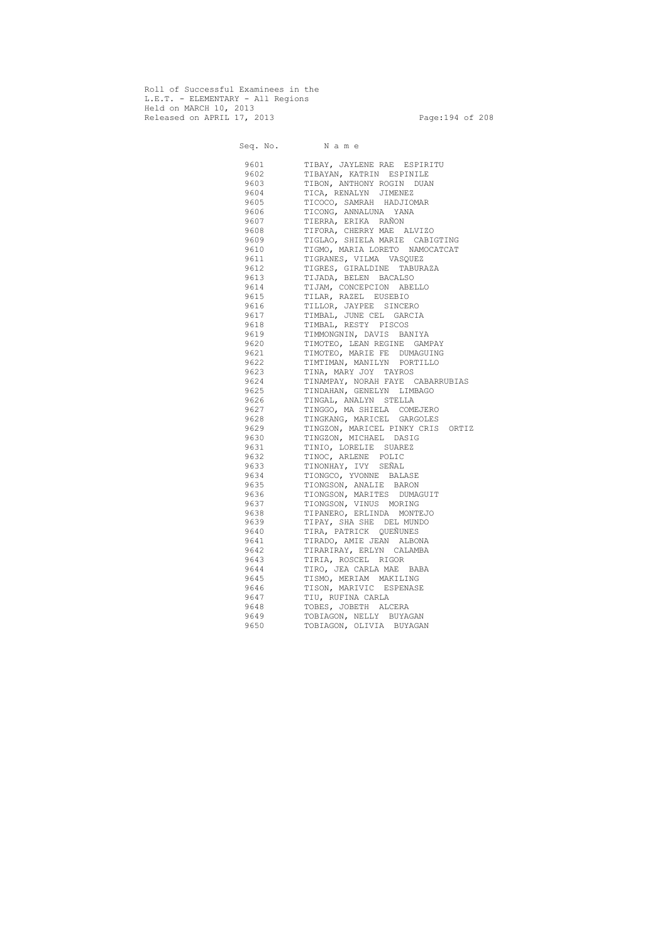Roll of Successful Examinees in the L.E.T. - ELEMENTARY - All Regions Held on MARCH 10, 2013 Released on APRIL 17, 2013 Page:194 of 208

 Seq. No. N a m e 9601 TIBAY, JAYLENE RAE ESPIRITU 9602 TIBAYAN, KATRIN ESPINILE 9603 TIBON, ANTHONY ROGIN DUAN 9604 TICA, RENALYN JIMENEZ 9605 TICOCO, SAMRAH HADJIOMAR 9606 TICONG, ANNALUNA YANA 9607 TIERRA, ERIKA RAÑON 9608 TIFORA, CHERRY MAE ALVIZO 9609 TIGLAO, SHIELA MARIE CABIGTING 9610 TIGMO, MARIA LORETO NAMOCATCAT 9611 TIGRANES, VILMA VASQUEZ 9612 TIGRES, GIRALDINE TABURAZA 9613 TIJADA, BELEN BACALSO 9614 TIJAM, CONCEPCION ABELLO 9615 TILAR, RAZEL EUSEBIO 9616 TILLOR, JAYPEE SINCERO 9617 TIMBAL, JUNE CEL GARCIA 9618 TIMBAL, RESTY PISCOS 9619 TIMMONGNIN, DAVIS BANIYA 9620 TIMOTEO, LEAN REGINE GAMPAY 9621 TIMOTEO, MARIE FE DUMAGUING 9622 TIMTIMAN, MANILYN PORTILLO 9623 TINA, MARY JOY TAYROS 9624 TINAMPAY, NORAH FAYE CABARRUBIAS 9625 TINDAHAN, GENELYN LIMBAGO 9626 TINGAL, ANALYN STELLA 9627 TINGGO, MA SHIELA COMEJERO 9628 TINGKANG, MARICEL GARGOLES 9629 TINGZON, MARICEL PINKY CRIS ORTIZ 9630 TINGZON, MICHAEL DASIG 9631 TINIO, LORELIE SUAREZ 9632 TINOC, ARLENE POLIC 9633 TINONHAY, IVY SEÑAL 9634 TIONGCO, YVONNE BALASE 9635 TIONGSON, ANALIE BARON 9636 TIONGSON, MARITES DUMAGUIT 9637 TIONGSON, VINUS MORING 9638 TIPANERO, ERLINDA MONTEJO 9639 TIPAY, SHA SHE DEL MUNDO 9640 TIRA, PATRICK QUEÑUNES 9641 TIRADO, AMIE JEAN ALBONA 9642 TIRARIRAY, ERLYN CALAMBA 9643 TIRIA, ROSCEL RIGOR 9644 TIRO, JEA CARLA MAE BABA 9645 TISMO, MERIAM MAKILING 9646 TISON, MARIVIC ESPENASE 9647 TIU, RUFINA CARLA 9648 TOBES, JOBETH ALCERA 9649 TOBIAGON, NELLY BUYAGAN 9650 TOBIAGON, OLIVIA BUYAGAN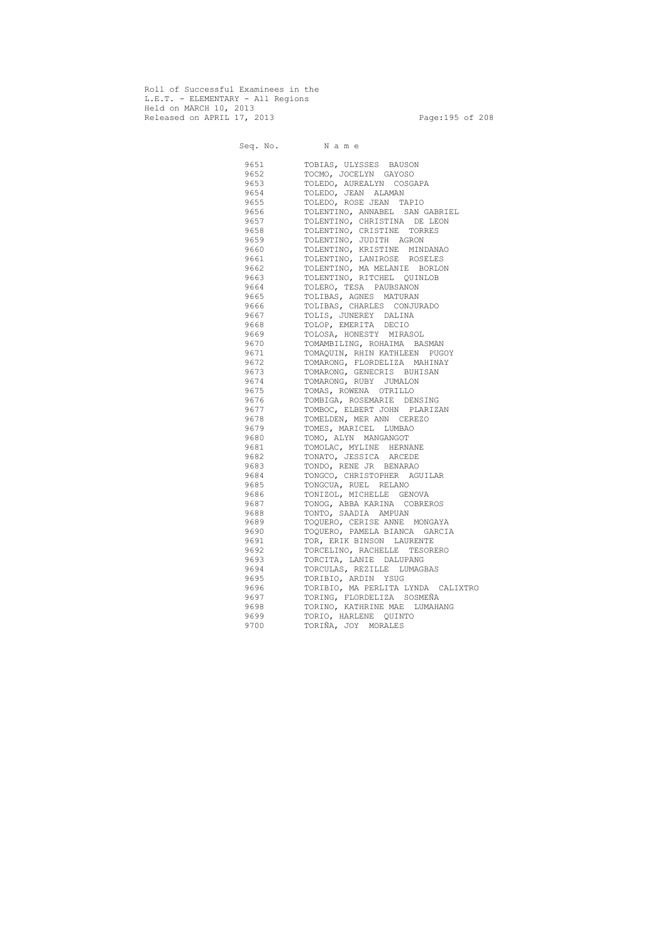Roll of Successful Examinees in the L.E.T. - ELEMENTARY - All Regions Held on MARCH 10, 2013 Released on APRIL 17, 2013 Page:195 of 208

 Seq. No. N a m e 9651 TOBIAS, ULYSSES BAUSON 9652 TOCMO, JOCELYN GAYOSO 9653 TOLEDO, AUREALYN COSGAPA 9654 TOLEDO, JEAN ALAMAN 9655 TOLEDO, ROSE JEAN TAPIO 9656 TOLENTINO, ANNABEL SAN GABRIEL 9657 TOLENTINO, CHRISTINA DE LEON 9658 TOLENTINO, CRISTINE TORRES 9659 TOLENTINO, JUDITH AGRON 9660 TOLENTINO, KRISTINE MINDANAO 9661 TOLENTINO, LANIROSE ROSELES 9662 TOLENTINO, MA MELANIE BORLON 9663 TOLENTINO, RITCHEL QUINLOB 9664 TOLERO, TESA PAUBSANON 9665 TOLIBAS, AGNES MATURAN 9666 TOLIBAS, CHARLES CONJURADO 9667 TOLIS, JUNEREY DALINA 9668 TOLOP, EMERITA DECIO 9669 TOLOSA, HONESTY MIRASOL 9670 TOMAMBILING, ROHAIMA BASMAN 9671 TOMAQUIN, RHIN KATHLEEN PUGOY 9672 TOMARONG, FLORDELIZA MAHINAY 9673 TOMARONG, GENECRIS BUHISAN 9674 TOMARONG, RUBY JUMALON 9675 TOMAS, ROWENA OTRILLO 9676 TOMBIGA, ROSEMARIE DENSING 9677 TOMBOC, ELBERT JOHN PLARIZAN 9678 TOMELDEN, MER ANN CEREZO 9679 TOMES, MARICEL LUMBAO 9680 TOMO, ALYN MANGANGOT 9681 TOMOLAC, MYLINE HERNANE 9682 TONATO, JESSICA ARCEDE 9683 TONDO, RENE JR BENARAO 9684 TONGCO, CHRISTOPHER AGUILAR 9685 TONGCUA, RUEL RELANO 9686 TONIZOL, MICHELLE GENOVA 9687 TONOG, ABBA KARINA COBREROS 9688 TONTO, SAADIA AMPUAN 9689 TOQUERO, CERISE ANNE MONGAYA 9690 TOQUERO, PAMELA BIANCA GARCIA 9691 TOR, ERIK BINSON LAURENTE 9692 TORCELINO, RACHELLE TESORERO 9693 TORCITA, LANIE DALUPANG 9694 TORCULAS, REZILLE LUMAGBAS 9695 TORIBIO, ARDIN YSUG 9696 TORIBIO, MA PERLITA LYNDA CALIXTRO 9697 TORING, FLORDELIZA SOSMEÑA 9698 TORINO, KATHRINE MAE LUMAHANG 9699 TORIO, HARLENE QUINTO 9700 TORIÑA, JOY MORALES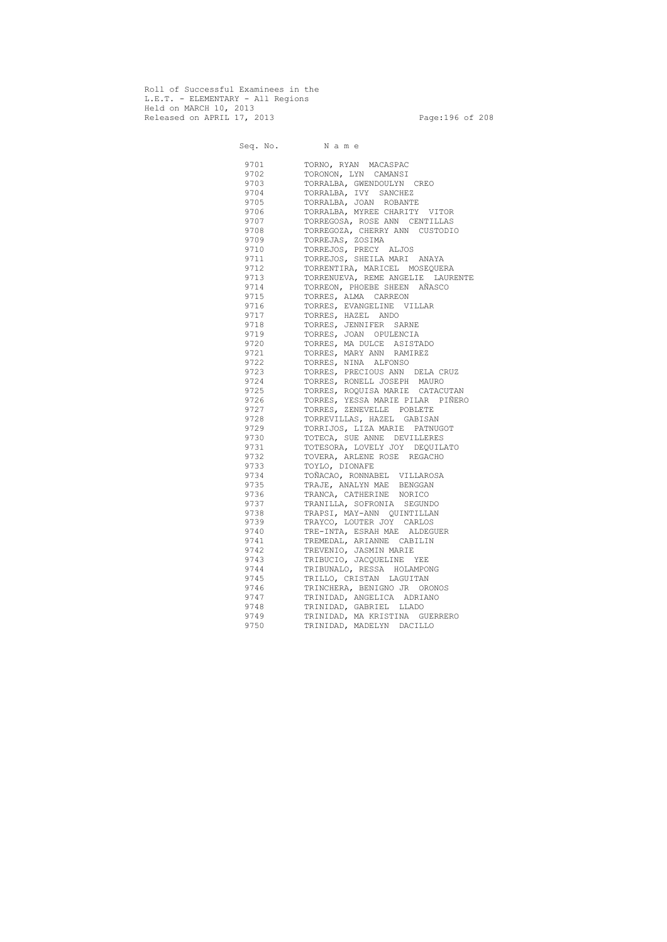Roll of Successful Examinees in the L.E.T. - ELEMENTARY - All Regions Held on MARCH 10, 2013 Released on APRIL 17, 2013 Page:196 of 208

 Seq. No. N a m e 9701 TORNO, RYAN MACASPAC 9702 TORONON, LYN CAMANSI 9703 TORRALBA, GWENDOULYN CREO 9704 TORRALBA, IVY SANCHEZ 9705 TORRALBA, JOAN ROBANTE 9706 TORRALBA, MYREE CHARITY VITOR 9707 TORREGOSA, ROSE ANN CENTILLAS 9708 TORREGOZA, CHERRY ANN CUSTODIO 9709 TORREJAS, ZOSIMA 9710 TORREJOS, PRECY ALJOS 9711 TORREJOS, SHEILA MARI ANAYA 9712 TORRENTIRA, MARICEL MOSEQUERA 9713 TORRENUEVA, REME ANGELIE LAURENTE 9714 TORREON, PHOEBE SHEEN AÑASCO 9715 TORRES, ALMA CARREON 9716 TORRES, EVANGELINE VILLAR 9717 TORRES, HAZEL ANDO 9718 TORRES, JENNIFER SARNE 9719 TORRES, JOAN OPULENCIA 9720 TORRES, MA DULCE ASISTADO 9721 TORRES, MARY ANN RAMIREZ 9722 TORRES, NINA ALFONSO 9723 TORRES, PRECIOUS ANN DELA CRUZ 9724 TORRES, RONELL JOSEPH MAURO 9725 TORRES, ROQUISA MARIE CATACUTAN 9726 TORRES, YESSA MARIE PILAR PIÑERO 9727 TORRES, ZENEVELLE POBLETE 9728 TORREVILLAS, HAZEL GABISAN 9729 TORRIJOS, LIZA MARIE PATNUGOT 9730 TOTECA, SUE ANNE DEVILLERES 9731 TOTESORA, LOVELY JOY DEQUILATO 9732 TOVERA, ARLENE ROSE REGACHO 9733 TOYLO, DIONAFE 9734 TOÑACAO, RONNABEL VILLAROSA 9735 TRAJE, ANALYN MAE BENGGAN 9736 TRANCA, CATHERINE NORICO 9737 TRANILLA, SOFRONIA SEGUNDO 9738 TRAPSI, MAY-ANN QUINTILLAN 9739 TRAYCO, LOUTER JOY CARLOS 9740 TRE-INTA, ESRAH MAE ALDEGUER 9741 TREMEDAL, ARIANNE CABILIN 9742 TREVENIO, JASMIN MARIE 9743 TRIBUCIO, JACQUELINE YEE 9744 TRIBUNALO, RESSA HOLAMPONG 9745 TRILLO, CRISTAN LAGUITAN 9746 TRINCHERA, BENIGNO JR ORONOS 9747 TRINIDAD, ANGELICA ADRIANO 9748 TRINIDAD, GABRIEL LLADO 9749 TRINIDAD, MA KRISTINA GUERRERO 9750 TRINIDAD, MADELYN DACILLO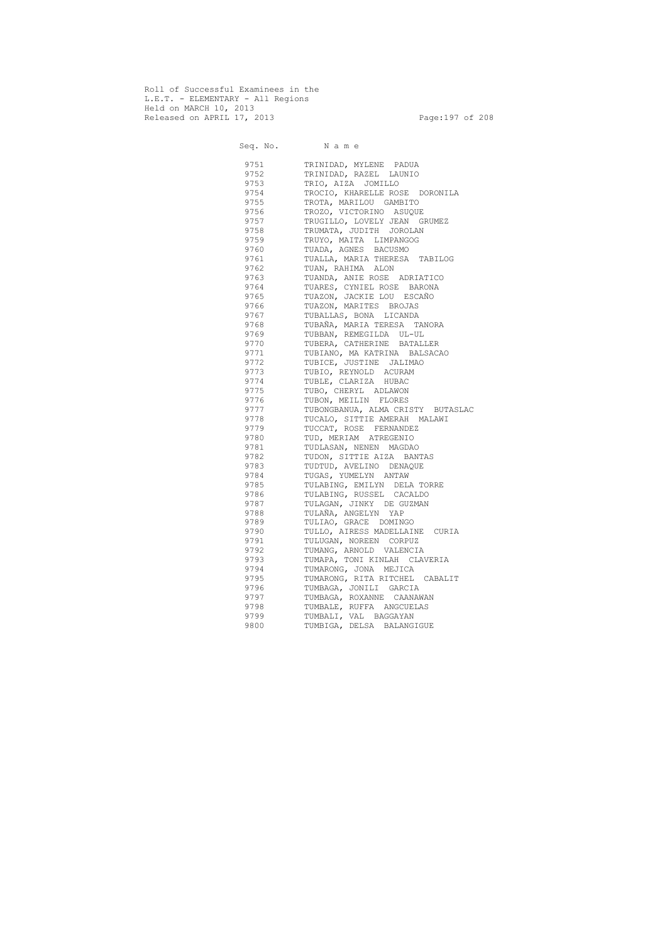Roll of Successful Examinees in the L.E.T. - ELEMENTARY - All Regions Held on MARCH 10, 2013 Released on APRIL 17, 2013 Page:197 of 208

 Seq. No. N a m e 9751 TRINIDAD, MYLENE PADUA 9752 TRINIDAD, RAZEL LAUNIO 9753 TRIO, AIZA JOMILLO 9754 TROCIO, KHARELLE ROSE DORONILA 9755 TROTA, MARILOU GAMBITO 9756 TROZO, VICTORINO ASUQUE 9757 TRUGILLO, LOVELY JEAN GRUMEZ 9758 TRUMATA, JUDITH JOROLAN 9759 TRUYO, MAITA LIMPANGOG 9760 TUADA, AGNES BACUSMO 9761 TUALLA, MARIA THERESA TABILOG 9762 TUAN, RAHIMA ALON 9763 TUANDA, ANIE ROSE ADRIATICO 9764 TUARES, CYNIEL ROSE BARONA 9765 TUAZON, JACKIE LOU ESCAÑO 9766 TUAZON, MARITES BROJAS 9767 TUBALLAS, BONA LICANDA 9768 TUBAÑA, MARIA TERESA TANORA 9769 TUBBAN, REMEGILDA UL-UL 9770 TUBERA, CATHERINE BATALLER 9771 TUBIANO, MA KATRINA BALSACAO 9772 TUBICE, JUSTINE JALIMAO<br>9773 TUBIO, REYNOLD ACURAM 9773 TUBIO, REYNOLD ACURAM<br>9774 TUBLE, CLARIZA HUBAC 9774 TUBLE, CLARIZA HUBAC<br>9775 TUBO, CHERYL ADLAWON 9775 TUBO, CHERYL ADLAWON<br>9776 TUBON, MEILIN FLORES 9776 TUBON, MEILIN FLORES<br>9777 TUBONGBANUA, ALMA CRI 9777 TUBONGBANUA, ALMA CRISTY BUTASLAC 9778 TUCALO, SITTIE AMERAH MALAWI 9779 TUCCAT, ROSE FERNANDEZ 9780 TUD, MERIAM ATREGENIO 9781 TUDLASAN, NENEN MAGDAO 9782 TUDON, SITTIE AIZA BANTAS 9783 TUDTUD, AVELINO DENAQUE 9784 TUGAS, YUMELYN ANTAW 9785 TULABING, EMILYN DELA TORRE 9786 TULABING, RUSSEL CACALDO 9787 TULAGAN, JINKY DE GUZMAN 9788 TULAÑA, ANGELYN YAP 9789 TULIAO, GRACE DOMINGO 9790 TULLO, AIRESS MADELLAINE CURIA 9791 TULUGAN, NOREEN CORPUZ 9792 TUMANG, ARNOLD VALENCIA 9793 TUMAPA, TONI KINLAH CLAVERIA 9794 TUMARONG, JONA MEJICA 9795 TUMARONG, RITA RITCHEL CABALIT 9796 TUMBAGA, JONILI GARCIA 9797 TUMBAGA, ROXANNE CAANAWAN 9798 TUMBALE, RUFFA ANGCUELAS 9799 TUMBALI, VAL BAGGAYAN 9800 TUMBIGA, DELSA BALANGIGUE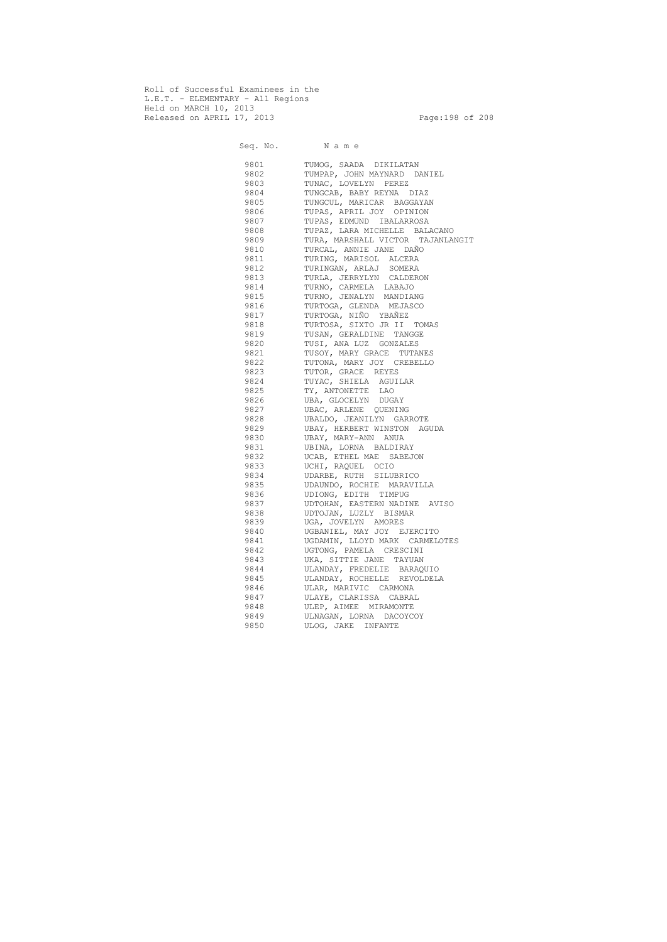Roll of Successful Examinees in the L.E.T. - ELEMENTARY - All Regions Held on MARCH 10, 2013 Released on APRIL 17, 2013 Page:198 of 208

 Seq. No. N a m e 9801 TUMOG, SAADA DIKILATAN 9802 TUMPAP, JOHN MAYNARD DANIEL 9803 TUNAC, LOVELYN PEREZ 9804 TUNGCAB, BABY REYNA DIAZ 9805 TUNGCUL, MARICAR BAGGAYAN 9806 TUPAS, APRIL JOY OPINION 9807 TUPAS, EDMUND IBALARROSA 9808 TUPAZ, LARA MICHELLE BALACANO 9809 TURA, MARSHALL VICTOR TAJANLANGIT 9810 TURCAL, ANNIE JANE DAÑO 9811 TURING, MARISOL ALCERA 9812 TURINGAN, ARLAJ SOMERA 9813 TURLA, JERRYLYN CALDERON 9814 TURNO, CARMELA LABAJO 9815 TURNO, JENALYN MANDIANG 9816 TURTOGA, GLENDA MEJASCO 9817 TURTOGA, NIÑO YBAÑEZ 9818 TURTOSA, SIXTO JR II TOMAS 9819 TUSAN, GERALDINE TANGGE 9820 TUSI, ANA LUZ GONZALES 9821 TUSOY, MARY GRACE TUTANES 9822 TUTONA, MARY JOY CREBELLO 9823 TUTOR, GRACE REYES 9824 TUYAC, SHIELA AGUILAR 9825 TY, ANTONETTE LAO 9826 UBA, GLOCELYN DUGAY<br>9827 UBAC, ARLENE QUENIN UBAC, ARLENE QUENING 9828 UBALDO, JEANILYN GARROTE 9829 UBAY, HERBERT WINSTON AGUDA 9830 UBAY, MARY-ANN ANUA 9831 UBINA, LORNA BALDIRAY 9832 UCAB, ETHEL MAE SABEJON 9833 UCHI, RAQUEL OCIO 9834 UDARBE, RUTH SILUBRICO 9835 UDAUNDO, ROCHIE MARAVILLA 9836 UDIONG, EDITH TIMPUG 9837 UDTOHAN, EASTERN NADINE AVISO 9838 UDTOJAN, LUZLY BISMAR 9839 UGA, JOVELYN AMORES 9840 UGBANIEL, MAY JOY EJERCITO 9841 UGDAMIN, LLOYD MARK CARMELOTES 9842 UGTONG, PAMELA CRESCINI 9843 UKA, SITTIE JANE TAYUAN 9844 ULANDAY, FREDELIE BARAQUIO 9845 ULANDAY, ROCHELLE REVOLDELA 9846 ULAR, MARIVIC CARMONA 9847 ULAYE, CLARISSA CABRAL 9848 ULEP, AIMEE MIRAMONTE 9849 ULNAGAN, LORNA DACOYCOY 9850 ULOG, JAKE INFANTE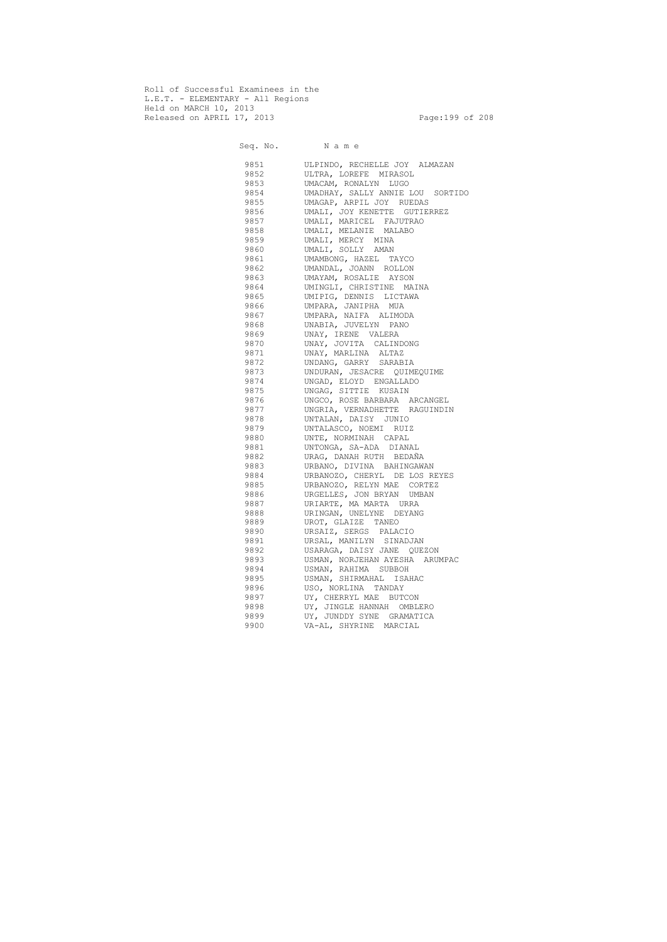Roll of Successful Examinees in the L.E.T. - ELEMENTARY - All Regions Held on MARCH 10, 2013 Released on APRIL 17, 2013 Page:199 of 208

 Seq. No. N a m e 9851 ULPINDO, RECHELLE JOY ALMAZAN 9852 ULTRA, LOREFE MIRASOL 9853 UMACAM, RONALYN LUGO 9854 UMADHAY, SALLY ANNIE LOU SORTIDO 9855 UMAGAP, ARPIL JOY RUEDAS 9856 UMALI, JOY KENETTE GUTIERREZ 9857 UMALI, MARICEL FAJUTRAO 9858 UMALI, MELANIE MALABO 9859 UMALI, MERCY MINA 9860 UMALI, SOLLY AMAN 9861 UMAMBONG, HAZEL TAYCO 9862 UMANDAL, JOANN ROLLON 9863 UMAYAM, ROSALIE AYSON 9864 UMINGLI, CHRISTINE MAINA 9865 UMIPIG, DENNIS LICTAWA 9866 UMPARA, JANIPHA MUA 9867 UMPARA, NAIFA ALIMODA 9868 UNABIA, JUVELYN PANO 9869 UNAY, IRENE VALERA 9870 UNAY, JOVITA CALINDONG 9871 UNAY, MARLINA ALTAZ 9872 UNDANG, GARRY SARABIA 9873 UNDURAN, JESACRE QUIMEQUIME 9874 UNGAD, ELOYD ENGALLADO 9875 UNGAG, SITTIE KUSAIN 9876 UNGCO, ROSE BARBARA ARCANGEL 9877 UNGRIA, VERNADHETTE RAGUINDIN 9878 UNTALAN, DAISY JUNIO 9879 UNTALASCO, NOEMI RUIZ 9880 UNTE, NORMINAH CAPAL 9881 UNTONGA, SA-ADA DIANAL 9882 URAG, DANAH RUTH BEDAÑA 9883 URBANO, DIVINA BAHINGAWAN 9884 URBANOZO, CHERYL DE LOS REYES 9885 URBANOZO, RELYN MAE CORTEZ 9886 URGELLES, JON BRYAN UMBAN 9887 URIARTE, MA MARTA URRA 9888 URINGAN, UNELYNE DEYANG 9889 UROT, GLAIZE TANEO 9890 URSAIZ, SERGS PALACIO 9891 URSAL, MANILYN SINADJAN 9892 USARAGA, DAISY JANE QUEZON 9893 USMAN, NORJEHAN AYESHA ARUMPAC 9894 USMAN, RAHIMA SUBBOH 9895 USMAN, SHIRMAHAL ISAHAC 9896 USO, NORLINA TANDAY 9897 UY, CHERRYL MAE BUTCON 9898 UY, JINGLE HANNAH OMBLERO 9899 UY, JUNDDY SYNE GRAMATICA 9900 VA-AL, SHYRINE MARCIAL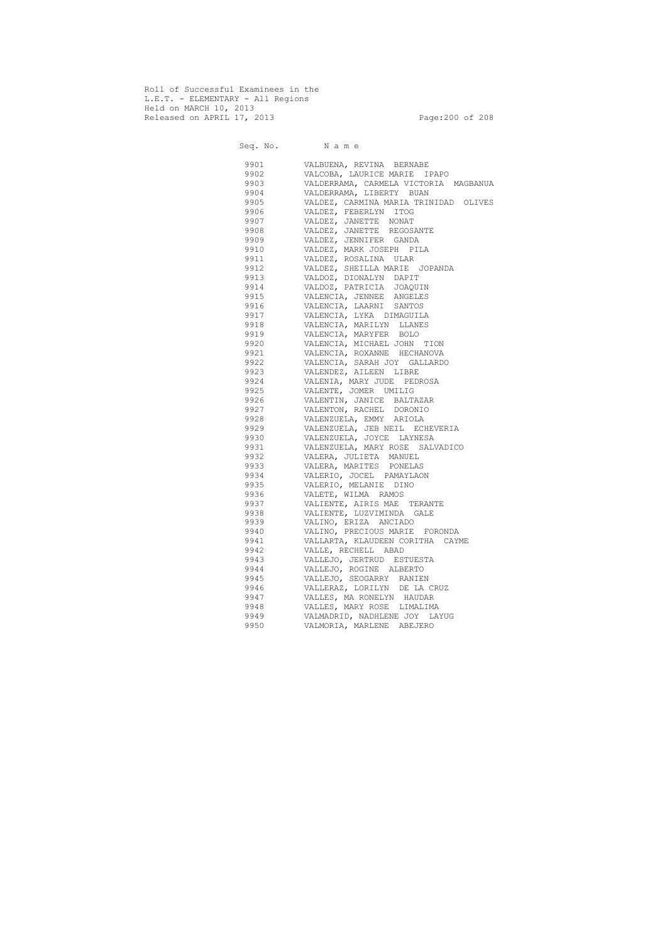Roll of Successful Examinees in the L.E.T. - ELEMENTARY - All Regions Held on MARCH 10, 2013 Released on APRIL 17, 2013 Page:200 of 208

 Seq. No. N a m e 9901 VALBUENA, REVINA BERNABE 9902 VALCOBA, LAURICE MARIE IPAPO 9903 VALDERRAMA, CARMELA VICTORIA MAGBANUA 9904 VALDERRAMA, LIBERTY BUAN 9905 VALDEZ, CARMINA MARIA TRINIDAD OLIVES 9906 VALDEZ, FEBERLYN ITOG 9907 VALDEZ, JANETTE NONAT 9908 VALDEZ, JANETTE REGOSANTE 9909 VALDEZ, JENNIFER GANDA 9910 VALDEZ, MARK JOSEPH PILA 9911 VALDEZ, ROSALINA ULAR 9912 VALDEZ, SHEILLA MARIE JOPANDA 9913 VALDOZ, DIONALYN DAPIT 9914 VALDOZ, PATRICIA JOAQUIN 9915 VALENCIA, JENNEE ANGELES 9916 VALENCIA, LAARNI SANTOS 9917 VALENCIA, LYKA DIMAGUILA 9918 VALENCIA, MARILYN LLANES 9919 VALENCIA, MARYFER BOLO 9920 VALENCIA, MICHAEL JOHN TION 9921 VALENCIA, ROXANNE HECHANOVA 9922 VALENCIA, SARAH JOY GALLARDO 9923 VALENDEZ, AILEEN LIBRE 9924 VALENIA, MARY JUDE PEDROSA 9925 VALENTE, JOMER UMILIG 9926 VALENTIN, JANICE BALTAZAR 9927 VALENTON, RACHEL DORONIO 9928 VALENZUELA, EMMY ARIOLA 9929 VALENZUELA, JEB NEIL ECHEVERIA 9930 VALENZUELA, JOYCE LAYNESA 9931 VALENZUELA, MARY ROSE SALVADICO 9932 VALERA, JULIETA MANUEL 9933 VALERA, MARITES PONELAS 9934 VALERIO, JOCEL PAMAYLAON 9935 VALERIO, MELANIE DINO 9936 VALETE, WILMA RAMOS 9937 VALIENTE, AIRIS MAE TERANTE 9938 VALIENTE, LUZVIMINDA GALE 9939 VALINO, ERIZA ANCIADO 9940 VALINO, PRECIOUS MARIE FORONDA 9941 VALLARTA, KLAUDEEN CORITHA CAYME 9942 VALLE, RECHELL ABAD 9943 VALLEJO, JERTRUD ESTUESTA 9944 VALLEJO, ROGINE ALBERTO 9945 VALLEJO, SEOGARRY RANIEN 9946 VALLERAZ, LORILYN DE LA CRUZ 9947 VALLES, MA RONELYN HAUDAR 9948 VALLES, MARY ROSE LIMALIMA 9949 VALMADRID, NADHLENE JOY LAYUG 9950 VALMORIA, MARLENE ABEJERO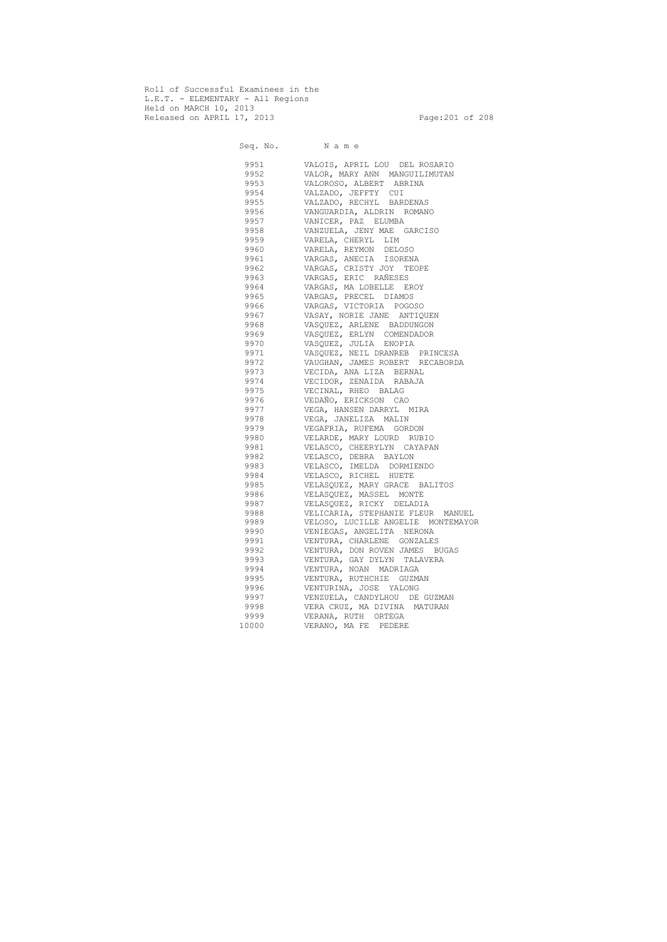Roll of Successful Examinees in the L.E.T. - ELEMENTARY - All Regions Held on MARCH 10, 2013 Released on APRIL 17, 2013 Page:201 of 208

 Seq. No. N a m e 9951 VALOIS, APRIL LOU DEL ROSARIO 9952 VALOR, MARY ANN MANGUILIMUTAN 9953 VALOROSO, ALBERT ABRINA 9954 VALZADO, JEFFTY CUI 9955 VALZADO, RECHYL BARDENAS 9956 VANGUARDIA, ALDRIN ROMANO 9957 VANICER, PAZ ELUMBA 9958 VANZUELA, JENY MAE GARCISO 9959 VARELA, CHERYL LIM 9960 VARELA, REYMON DELOSO 9961 VARGAS, ANECIA ISORENA 9962 VARGAS, CRISTY JOY TEOPE 9963 VARGAS, ERIC RAÑESES 9964 VARGAS, MA LOBELLE EROY 9965 VARGAS, PRECEL DIAMOS 9966 VARGAS, VICTORIA POGOSO 9967 VASAY, NORIE JANE ANTIQUEN 9968 VASQUEZ, ARLENE BADDUNGON 9969 VASQUEZ, ERLYN COMENDADOR 9970 VASQUEZ, JULIA ENOPIA 9971 VASQUEZ, NEIL DRANREB PRINCESA 9972 VAUGHAN, JAMES ROBERT RECABORDA 9973 VECIDA, ANA LIZA BERNAL 9974 VECIDOR, ZENAIDA RABAJA 9975 VECINAL, RHEO BALAG 9976 VEDAÑO, ERICKSON CAO VEGA, HANSEN DARRYL MIRA 9978 VEGA, JANELIZA MALIN 9979 VEGAFRIA, RUFEMA GORDON 9980 VELARDE, MARY LOURD RUBIO 9981 VELASCO, CHEERYLYN CAYAPAN 9982 VELASCO, DEBRA BAYLON 9983 VELASCO, IMELDA DORMIENDO 9984 VELASCO, RICHEL HUETE 9985 VELASQUEZ, MARY GRACE BALITOS 9986 VELASQUEZ, MASSEL MONTE 9987 VELASQUEZ, RICKY DELADIA 9988 VELICARIA, STEPHANIE FLEUR MANUEL 9989 VELOSO, LUCILLE ANGELIE MONTEMAYOR 9990 VENIEGAS, ANGELITA NERONA 9991 VENTURA, CHARLENE GONZALES 9992 VENTURA, DON ROVEN JAMES BUGAS 9993 VENTURA, GAY DYLYN TALAVERA 9994 VENTURA, NOAN MADRIAGA 9995 VENTURA, RUTHCHIE GUZMAN 9996 VENTURINA, JOSE YALONG 9997 VENZUELA, CANDYLHOU DE GUZMAN 9998 VERA CRUZ, MA DIVINA MATURAN 9999 VERANA, RUTH ORTEGA 10000 VERANO, MA FE PEDERE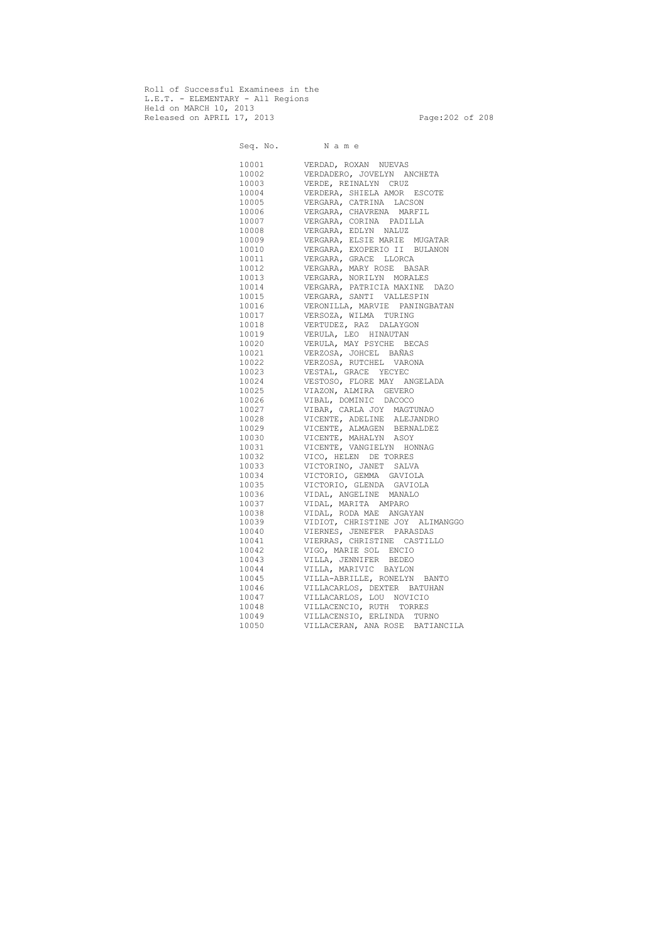Roll of Successful Examinees in the L.E.T. - ELEMENTARY - All Regions Held on MARCH 10, 2013 Released on APRIL 17, 2013 Page:202 of 208

Seq. No. Name 10001 VERDAD, ROXAN NUEVAS 10002 VERDADERO, JOVELYN ANCHETA 10003 VERDE, REINALYN CRUZ 10004 VERDERA, SHIELA AMOR ESCOTE 10005 VERGARA, CATRINA LACSON 10006 VERGARA, CHAVRENA MARFIL 10007 VERGARA, CORINA PADILLA 10008 VERGARA, EDLYN NALUZ 10009 VERGARA, ELSIE MARIE MUGATAR 10010 VERGARA, EXOPERIO II BULANON 10011 VERGARA, GRACE LLORCA 10012 VERGARA, MARY ROSE BASAR 10013 VERGARA, NORILYN MORALES 10014 VERGARA, PATRICIA MAXINE DAZO 10015 VERGARA, SANTI VALLESPIN 10016 VERONILLA, MARVIE PANINGBATAN 10017 VERSOZA, WILMA TURING 10018 VERTUDEZ, RAZ DALAYGON 10019 VERULA, LEO HINAUTAN 10020 VERULA, MAY PSYCHE BECAS 10021 VERZOSA, JOHCEL BAÑAS 10022 VERZOSA, RUTCHEL VARONA 10023 VESTAL, GRACE YECYEC 10024 VESTOSO, FLORE MAY ANGELADA 10025 VIAZON, ALMIRA GEVERO 10026 VIBAL, DOMINIC DACOCO 10027 VIBAR, CARLA JOY MAGTUNAO 10028 VICENTE, ADELINE ALEJANDRO 10029 VICENTE, ALMAGEN BERNALDEZ<br>10030 VICENTE, MAHALYN ASOY 10030 VICENTE, MAHALYN ASOY<br>10031 VICENTE, VANGIELYN HO 10031 VICENTE, VANGIELYN HONNAG<br>10032 VICO, HELEN DE TORRES 10032 VICO, HELEN DE TORRES<br>10033 VICTORINO, JANET SALV VICTORINO, JANET SALVA 10034 VICTORIO, GEMMA GAVIOLA 10035 VICTORIO, GLENDA GAVIOLA 10036 VIDAL, ANGELINE MANALO 10037 VIDAL, MARITA AMPARO 10038 VIDAL, RODA MAE ANGAYAN 10039 VIDIOT, CHRISTINE JOY ALIMANGGO 10040 VIERNES, JENEFER PARASDAS 10041 VIERRAS, CHRISTINE CASTILLO 10042 VIGO, MARIE SOL ENCIO 10043 VILLA, JENNIFER BEDEO 10044 VILLA, MARIVIC BAYLON 10045 VILLA-ABRILLE, RONELYN BANTO 10046 VILLACARLOS, DEXTER BATUHAN 10047 VILLACARLOS, LOU NOVICIO 10048 VILLACENCIO, RUTH TORRES 10049 VILLACENSIO, ERLINDA TURNO 10050 VILLACERAN, ANA ROSE BATIANCILA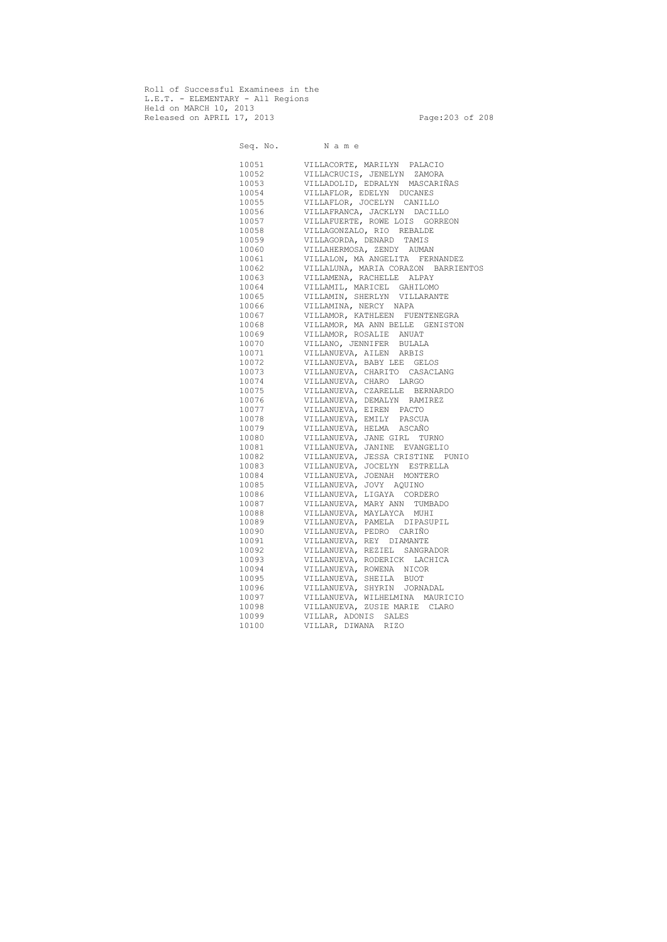Roll of Successful Examinees in the L.E.T. - ELEMENTARY - All Regions Held on MARCH 10, 2013 Released on APRIL 17, 2013 Page:203 of 208

Seq. No. Name 10051 VILLACORTE, MARILYN PALACIO 10052 VILLACRUCIS, JENELYN ZAMORA 10053 VILLADOLID, EDRALYN MASCARIÑAS<br>10054 VILLAFLOR, EDELYN DUCANES VILLAFLOR, EDELYN DUCANES 10055 VILLAFLOR, JOCELYN CANILLO 10056 VILLAFRANCA, JACKLYN DACILLO 10057 VILLAFUERTE, ROWE LOIS GORREON 10058 VILLAGONZALO, RIO REBALDE 10059 VILLAGORDA, DENARD TAMIS 10060 VILLAHERMOSA, ZENDY AUMAN 10061 VILLALON, MA ANGELITA FERNANDEZ 10062 VILLALUNA, MARIA CORAZON BARRIENTOS 10063 VILLAMENA, RACHELLE ALPAY 10064 VILLAMIL, MARICEL GAHILOMO 10065 VILLAMIN, SHERLYN VILLARANTE 10066 VILLAMINA, NERCY NAPA 10067 VILLAMOR, KATHLEEN FUENTENEGRA 10068 VILLAMOR, MA ANN BELLE GENISTON 10069 VILLAMOR, ROSALIE ANUAT 10070 VILLANO, JENNIFER BULALA 10071 VILLANUEVA, AILEN ARBIS 10072 VILLANUEVA, BABY LEE GELOS 10073 VILLANUEVA, CHARITO CASACLANG 10074 VILLANUEVA, CHARO LARGO 10075 VILLANUEVA, CZARELLE BERNARDO 10076 VILLANUEVA, DEMALYN RAMIREZ 10077 VILLANUEVA, EIREN PACTO 10078 VILLANUEVA, EMILY PASCUA 10079 VILLANUEVA, HELMA ASCAÑO 10080 VILLANUEVA, JANE GIRL TURNO 10081 VILLANUEVA, JANINE EVANGELIO<br>10082 VILLANUEVA, JESSA CRISTINE P 10082 VILLANUEVA, JESSA CRISTINE PUNIO 10083 VILLANUEVA, JOCELYN ESTRELLA<br>10084 VILLANUEVA, JOENAH MONTERO VILLANUEVA, JOENAH MONTERO 10085 VILLANUEVA, JOVY AQUINO<br>10086 VILLANUEVA, LIGAYA CORD VILLANUEVA, LIGAYA CORDERO 10087 VILLANUEVA, MARY ANN TUMBADO 10088 VILLANUEVA, MAYLAYCA MUHI 10089 VILLANUEVA, PAMELA DIPASUPIL 10090 VILLANUEVA, PEDRO CARIÑO 10091 VILLANUEVA, REY DIAMANTE 10092 VILLANUEVA, REZIEL SANGRADOR 10093 VILLANUEVA, RODERICK LACHICA 10094 VILLANUEVA, ROWENA NICOR 10095 VILLANUEVA, SHEILA BUOT 10096 VILLANUEVA, SHYRIN JORNADAL 10097 VILLANUEVA, WILHELMINA MAURICIO 10098 VILLANUEVA, ZUSIE MARIE CLARO 10099 VILLAR, ADONIS SALES 10100 VILLAR, DIWANA RIZO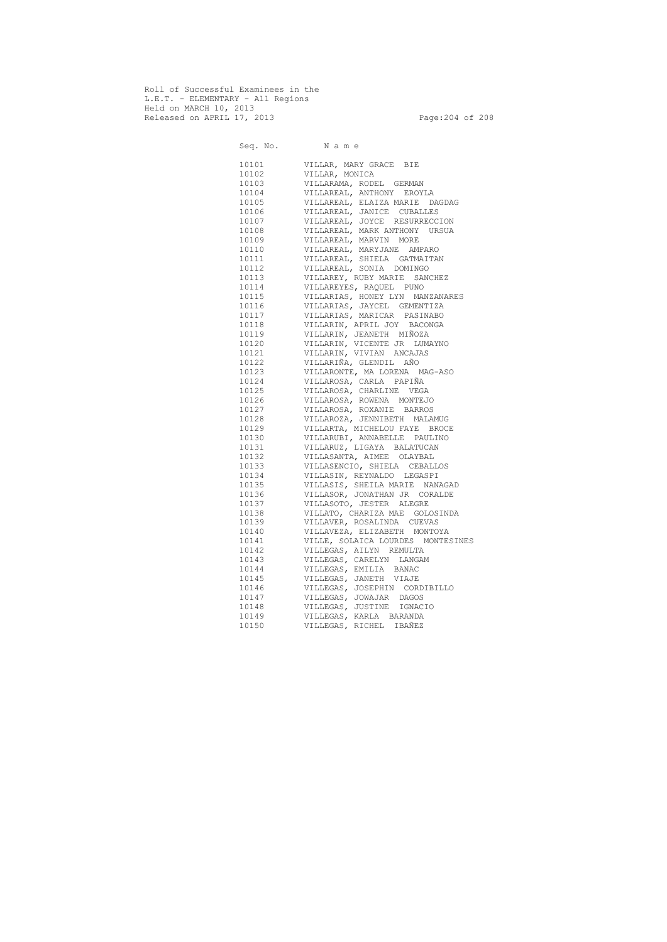Roll of Successful Examinees in the L.E.T. - ELEMENTARY - All Regions Held on MARCH 10, 2013 Released on APRIL 17, 2013 Page: 204 of 208

|       | Seq. No. Name                     |
|-------|-----------------------------------|
|       |                                   |
| 10101 | VILLAR, MARY GRACE BIE            |
| 10102 | VILLAR, MONICA                    |
| 10103 | VILLARAMA, RODEL GERMAN           |
| 10104 | VILLAREAL, ANTHONY EROYLA         |
| 10105 | VILLAREAL, ELAIZA MARIE DAGDAG    |
| 10106 | VILLAREAL, JANICE CUBALLES        |
| 10107 | VILLAREAL, JOYCE RESURRECCION     |
| 10108 | VILLAREAL, MARK ANTHONY URSUA     |
| 10109 | VILLAREAL, MARVIN MORE            |
| 10110 | VILLAREAL, MARYJANE AMPARO        |
| 10111 | VILLAREAL, SHIELA GATMAITAN       |
| 10112 | VILLAREAL, SONIA DOMINGO          |
| 10113 | VILLAREY, RUBY MARIE SANCHEZ      |
| 10114 | VILLAREYES, RAQUEL PUNO           |
| 10115 | VILLARIAS, HONEY LYN MANZANARES   |
| 10116 | VILLARIAS, JAYCEL GEMENTIZA       |
| 10117 | VILLARIAS, MARICAR PASINABO       |
| 10118 | VILLARIN, APRIL JOY BACONGA       |
| 10119 | VILLARIN, JEANETH MIÑOZA          |
| 10120 | VILLARIN, VICENTE JR LUMAYNO      |
| 10121 | VILLARIN, VIVIAN ANCAJAS          |
| 10122 | VILLARIÑA, GLENDIL AÑO            |
| 10123 | VILLARONTE, MA LORENA MAG-ASO     |
| 10124 | VILLAROSA, CARLA PAPIÑA           |
| 10125 | VILLAROSA, CHARLINE VEGA          |
| 10126 | VILLAROSA, ROWENA MONTEJO         |
| 10127 | VILLAROSA, ROXANIE BARROS         |
| 10128 | VILLAROZA, JENNIBETH MALAMUG      |
| 10129 | VILLARTA, MICHELOU FAYE BROCE     |
| 10130 | VILLARUBI, ANNABELLE PAULINO      |
| 10131 | VILLARUZ, LIGAYA BALATUCAN        |
| 10132 | VILLASANTA, AIMEE OLAYBAL         |
| 10133 | VILLASENCIO, SHIELA CEBALLOS      |
| 10134 | VILLASIN, REYNALDO LEGASPI        |
| 10135 | VILLASIS, SHEILA MARIE NANAGAD    |
| 10136 | VILLASOR, JONATHAN JR CORALDE     |
| 10137 | VILLASOTO, JESTER ALEGRE          |
| 10138 | VILLATO, CHARIZA MAE GOLOSINDA    |
| 10139 | VILLAVER, ROSALINDA CUEVAS        |
| 10140 | VILLAVEZA, ELIZABETH MONTOYA      |
| 10141 | VILLE, SOLAICA LOURDES MONTESINES |
| 10142 | VILLEGAS, AILYN REMULTA           |
| 10143 | VILLEGAS, CARELYN LANGAM          |
| 10144 | VILLEGAS, EMILIA BANAC            |
| 10145 | VILLEGAS, JANETH VIAJE            |
| 10146 | VILLEGAS, JOSEPHIN CORDIBILLO     |
| 10147 | VILLEGAS, JOWAJAR DAGOS           |
| 10148 | VILLEGAS, JUSTINE IGNACIO         |
| 10149 | VILLEGAS, KARLA BARANDA           |
| 10150 | IBAÑEZ<br>VILLEGAS, RICHEL        |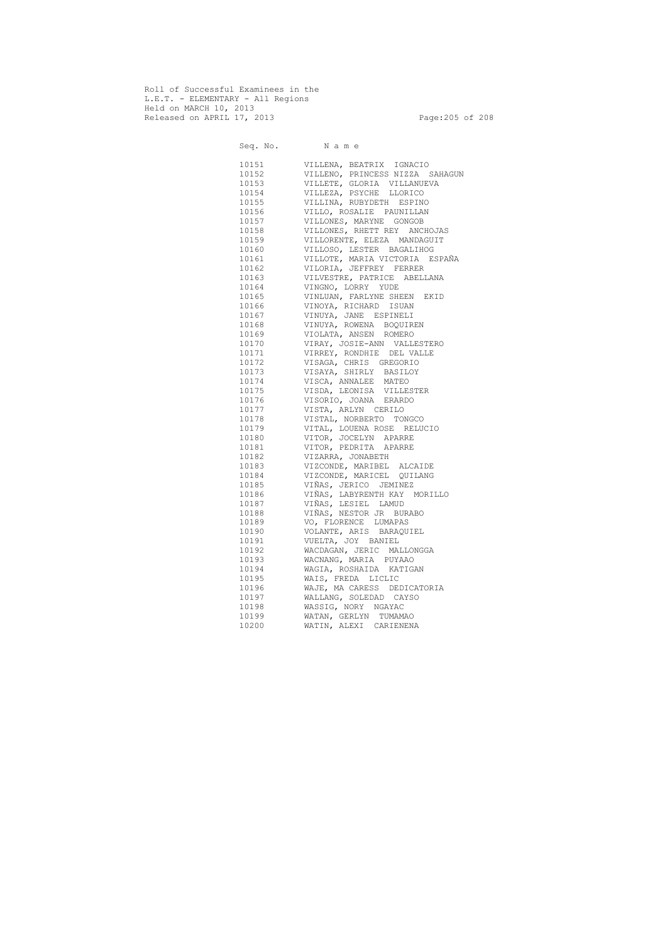Roll of Successful Examinees in the L.E.T. - ELEMENTARY - All Regions Held on MARCH 10, 2013 Released on APRIL 17, 2013 Page:205 of 208

Seq. No. Name 10151 VILLENA, BEATRIX IGNACIO 10152 VILLENO, PRINCESS NIZZA SAHAGUN 10153 VILLETE, GLORIA VILLANUEVA 10154 VILLEZA, PSYCHE LLORICO 10155 VILLINA, RUBYDETH ESPINO VILLO, ROSALIE PAUNILLAN 10157 VILLONES, MARYNE GONGOB 10158 VILLONES, RHETT REY ANCHOJAS 10159 VILLORENTE, ELEZA MANDAGUIT 10160 VILLOSO, LESTER BAGALIHOG 10161 VILLOTE, MARIA VICTORIA ESPAÑA 10162 VILORIA, JEFFREY FERRER 10163 VILVESTRE, PATRICE ABELLANA 10164 VINGNO, LORRY YUDE 10165 VINLUAN, FARLYNE SHEEN EKID 10166 VINOYA, RICHARD ISUAN 10167 VINUYA, JANE ESPINELI 10168 VINUYA, ROWENA BOQUIREN 10169 VIOLATA, ANSEN ROMERO 10170 VIRAY, JOSIE-ANN VALLESTERO 10171 VIRREY, RONDHIE DEL VALLE 10172 VISAGA, CHRIS GREGORIO 10173 VISAYA, SHIRLY BASILOY 10174 VISCA, ANNALEE MATEO 10175 VISDA, LEONISA VILLESTER 10176 VISORIO, JOANA ERARDO 10177 VISTA, ARLYN CERILO 10178 VISTAL, NORBERTO TONGCO<br>10179 VITAL, LOUENA ROSE RELU 10179 VITAL, LOUENA ROSE RELUCIO 10180 VITOR, JOCELYN APARRE 10181 VITOR, PEDRITA APARRE 10182 VIZARRA, JONABETH VIZCONDE, MARIBEL ALCAIDE 10184 VIZCONDE, MARICEL QUILANG 10185 VIÑAS, JERICO JEMINEZ 10186 VIÑAS, LABYRENTH KAY MORILLO 10187 VIÑAS, LESIEL LAMUD 10188 VIÑAS, NESTOR JR BURABO 10189 VO, FLORENCE LUMAPAS 10190 VOLANTE, ARIS BARAQUIEL 10191 VUELTA, JOY BANIEL 10192 WACDAGAN, JERIC MALLONGGA 10193 WACNANG, MARIA PUYAAO 10194 WAGIA, ROSHAIDA KATIGAN 10195 WAIS, FREDA LICLIC 10196 WAJE, MA CARESS DEDICATORIA 10197 WALLANG, SOLEDAD CAYSO 10198 WASSIG, NORY NGAYAC 10199 WATAN, GERLYN TUMAMAO 10200 WATIN, ALEXI CARIENENA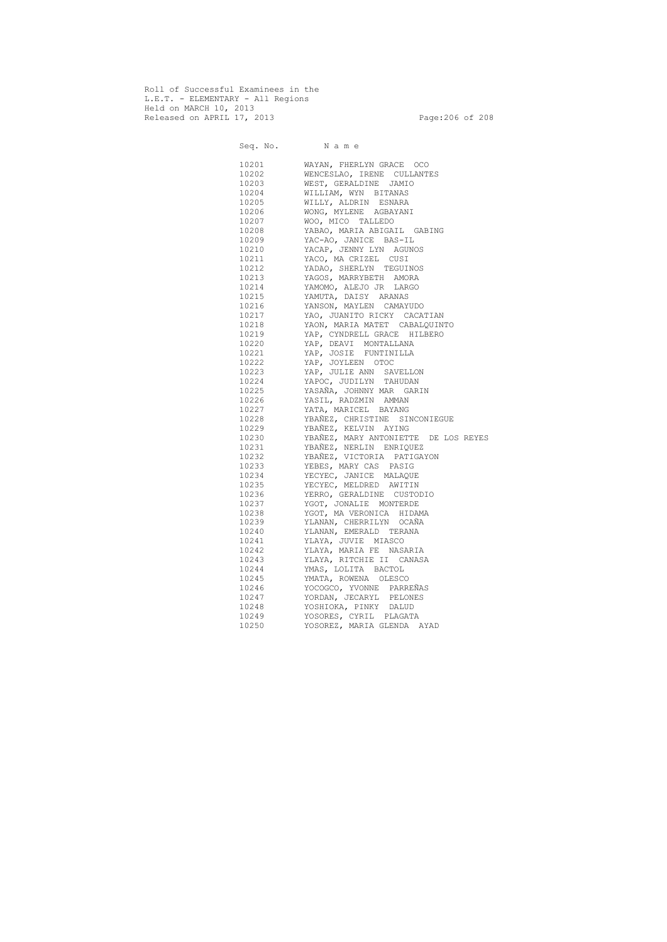Roll of Successful Examinees in the L.E.T. - ELEMENTARY - All Regions Held on MARCH 10, 2013 Released on APRIL 17, 2013 Page:206 of 208

Seq. No. Name 10201 WAYAN, FHERLYN GRACE OCO 10202 WENCESLAO, IRENE CULLANTES 10203 WEST, GERALDINE JAMIO 10204 WILLIAM, WYN BITANAS 10205 WILLY, ALDRIN ESNARA 10206 WONG, MYLENE AGBAYANI 10207 WOO, MICO TALLEDO 10208 YABAO, MARIA ABIGAIL GABING 10209 YAC-AO, JANICE BAS-IL 10210 YACAP, JENNY LYN AGUNOS 10211 YACO, MA CRIZEL CUSI 10212 YADAO, SHERLYN TEGUINOS 10213 YAGOS, MARRYBETH AMORA 10214 YAMOMO, ALEJO JR LARGO 10215 YAMUTA, DAISY ARANAS 10216 YANSON, MAYLEN CAMAYUDO 10217 YAO, JUANITO RICKY CACATIAN 10218 YAON, MARIA MATET CABALQUINTO 10219 YAP, CYNDRELL GRACE HILBERO 10220 YAP, DEAVI MONTALLANA 10221 YAP, JOSIE FUNTINILLA 10222 YAP, JOYLEEN OTOC 10223 YAP, JULIE ANN SAVELLON 10224 YAPOC, JUDILYN TAHUDAN 10225 YASAÑA, JOHNNY MAR GARIN<br>10226 YASIL, RADZMIN AMMAN 10226 YASIL, RADZMIN AMMAN<br>10227 YATA, MARICEL BAYANG YATA, MARICEL BAYANG 10228 YBAÑEZ, CHRISTINE SINCONIEGUE 10229 YBAÑEZ, KELVIN AYING 10230 YBAÑEZ, MARY ANTONIETTE DE LOS REYES 10231 YBAÑEZ, NERLIN ENRIQUEZ 10232 YBAÑEZ, VICTORIA PATIGAYON 10233 YEBES, MARY CAS PASIG 10234 YECYEC, JANICE MALAQUE 10235 YECYEC, MELDRED AWITIN 10236 YERRO, GERALDINE CUSTODIO 10237 YGOT, JONALIE MONTERDE 10238 YGOT, MA VERONICA HIDAMA 10239 YLANAN, CHERRILYN OCAÑA 10240 YLANAN, EMERALD TERANA 10241 YLAYA, JUVIE MIASCO 10242 YLAYA, MARIA FE NASARIA 10243 YLAYA, RITCHIE II CANASA 10244 YMAS, LOLITA BACTOL 10245 YMATA, ROWENA OLESCO 10246 YOCOGCO, YVONNE PARREÑAS 10247 YORDAN, JECARYL PELONES 10248 YOSHIOKA, PINKY DALUD 10249 YOSORES, CYRIL PLAGATA 10250 YOSOREZ, MARIA GLENDA AYAD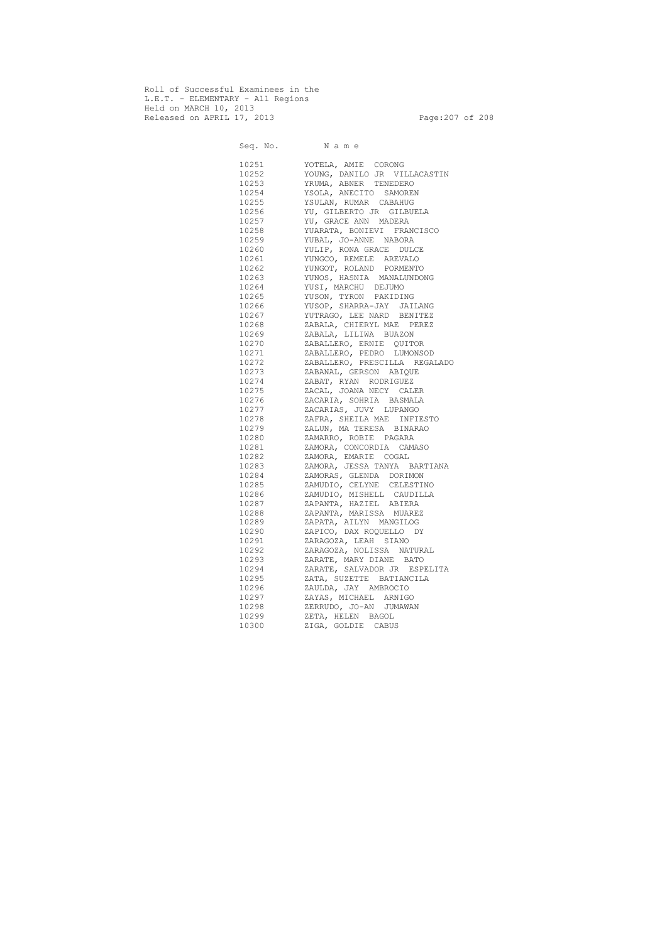Roll of Successful Examinees in the L.E.T. - ELEMENTARY - All Regions Held on MARCH 10, 2013 Released on APRIL 17, 2013 Page:207 of 208

 Seq. No. N a m e 10251 YOTELA, AMIE CORONG 10252 YOUNG, DANILO JR VILLACASTIN 10253 YRUMA, ABNER TENEDERO 10254 YSOLA, ANECITO SAMOREN 10255 YSULAN, RUMAR CABAHUG 10256 YU, GILBERTO JR GILBUELA 10257 YU, GRACE ANN MADERA 10258 YUARATA, BONIEVI FRANCISCO 10259 YUBAL, JO-ANNE NABORA 10260 YULIP, RONA GRACE DULCE 10261 YUNGCO, REMELE AREVALO 10262 YUNGOT, ROLAND PORMENTO 10263 YUNOS, HASNIA MANALUNDONG 10264 YUSI, MARCHU DEJUMO 10265 YUSON, TYRON PAKIDING 10266 YUSOP, SHARRA-JAY JAILANG 10267 YUTRAGO, LEE NARD BENITEZ 10268 ZABALA, CHIERYL MAE PEREZ 10269 ZABALA, LILIWA BUAZON 10270 ZABALLERO, ERNIE QUITOR 10271 ZABALLERO, PEDRO LUMONSOD 10272 ZABALLERO, PRESCILLA REGALADO 10273 ZABANAL, GERSON ABIQUE 10274 ZABAT, RYAN RODRIGUEZ 10275 ZACAL, JOANA NECY CALER 10276 ZACARIA, SOHRIA BASMALA 10277 ZACARIAS, JUVY LUPANGO 10278 ZAFRA, SHEILA MAE INFIESTO 10279 ZALUN, MA TERESA BINARAO 10280 ZAMARRO, ROBIE PAGARA 10281 ZAMORA, CONCORDIA CAMASO ZAMORA, EMARIE COGAL 10283 ZAMORA, JESSA TANYA BARTIANA 10284 ZAMORAS, GLENDA DORIMON 10285 ZAMUDIO, CELYNE CELESTINO 10286 ZAMUDIO, MISHELL CAUDILLA 10287 ZAPANTA, HAZIEL ABIERA 10288 ZAPANTA, MARISSA MUAREZ 10289 ZAPATA, AILYN MANGILOG 10290 ZAPICO, DAX ROQUELLO DY 10291 ZARAGOZA, LEAH SIANO 10292 ZARAGOZA, NOLISSA NATURAL 10293 ZARATE, MARY DIANE BATO 10294 ZARATE, SALVADOR JR ESPELITA 10295 ZATA, SUZETTE BATIANCILA 10296 ZAULDA, JAY AMBROCIO 10297 ZAYAS, MICHAEL ARNIGO 10298 ZERRUDO, JO-AN JUMAWAN 10299 ZETA, HELEN BAGOL 10300 ZIGA, GOLDIE CABUS